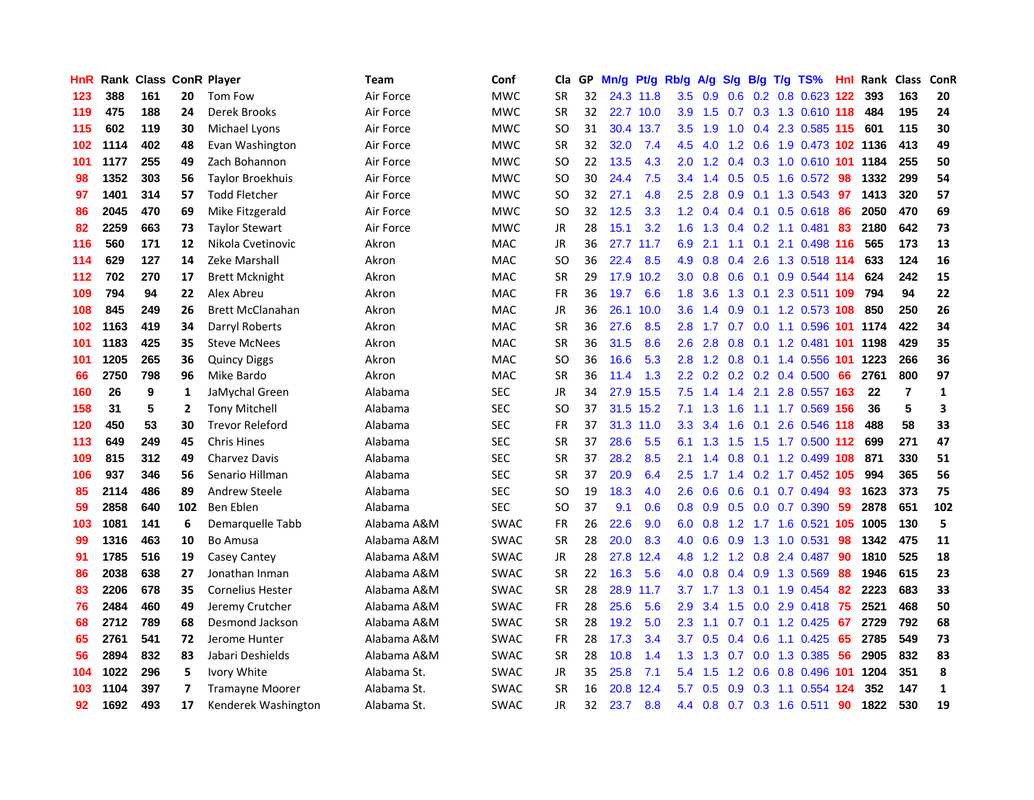| HnR |      | <b>Rank Class ConR Player</b> |                |                         | Team        | Conf        | Cla       |    | GP Mn/g | Pt/g      | Rb/g             | A/g | <b>S/g</b> |                 | B/g T/g TS%                    | Hnl | Rank Class |                | ConR         |
|-----|------|-------------------------------|----------------|-------------------------|-------------|-------------|-----------|----|---------|-----------|------------------|-----|------------|-----------------|--------------------------------|-----|------------|----------------|--------------|
| 123 | 388  | 161                           | 20             | Tom Fow                 | Air Force   | <b>MWC</b>  | SR        | 32 |         | 24.3 11.8 | 3.5              | 0.9 | 0.6        | 0.2             | $0.8$ 0.623                    | 122 | 393        | 163            | 20           |
| 119 | 475  | 188                           | 24             | Derek Brooks            | Air Force   | <b>MWC</b>  | <b>SR</b> | 32 |         | 22.7 10.0 | 3.9              | 1.5 | 0.7        | 0.3             | 1.3 0.610 118                  |     | 484        | 195            | 24           |
| 115 | 602  | 119                           | 30             | Michael Lyons           | Air Force   | <b>MWC</b>  | <b>SO</b> | 31 |         | 30.4 13.7 | 3.5              | 1.9 | 1.0        |                 | 0.4 2.3 0.585 115              |     | 601        | 115            | 30           |
| 102 | 1114 | 402                           | 48             | Evan Washington         | Air Force   | <b>MWC</b>  | SR        | 32 | 32.0    | 7.4       | 4.5              | 4.0 |            |                 | 1.2 0.6 1.9 0.473 102 1136     |     |            | 413            | 49           |
| 101 | 1177 | 255                           | 49             | Zach Bohannon           | Air Force   | <b>MWC</b>  | <b>SO</b> | 22 | 13.5    | 4.3       | 2.0 <sub>1</sub> |     |            |                 | 1.2 0.4 0.3 1.0 0.610 101 1184 |     |            | 255            | 50           |
| 98  | 1352 | 303                           | 56             | <b>Taylor Broekhuis</b> | Air Force   | <b>MWC</b>  | <b>SO</b> | 30 | 24.4    | 7.5       | $3.4^{\circ}$    | 1.4 |            |                 | $0.5$ $0.5$ 1.6 $0.572$        | -98 | 1332       | 299            | 54           |
| 97  | 1401 | 314                           | 57             | <b>Todd Fletcher</b>    | Air Force   | <b>MWC</b>  | <b>SO</b> | 32 | 27.1    | 4.8       | $2.5^{\circ}$    | 2.8 | 0.9        |                 | $0.1$ 1.3 0.543                | 97  | 1413       | 320            | 57           |
| 86  | 2045 | 470                           | 69             | Mike Fitzgerald         | Air Force   | <b>MWC</b>  | <b>SO</b> | 32 | 12.5    | 3.3       | 1.2 <sub>1</sub> | 0.4 |            |                 | $0.4$ 0.1 0.5 0.618            | 86  | 2050       | 470            | 69           |
| 82  | 2259 | 663                           | 73             | <b>Taylor Stewart</b>   | Air Force   | <b>MWC</b>  | JR        | 28 | 15.1    | 3.2       | 1.6              | 1.3 |            |                 | $0.4$ 0.2 1.1 0.481            | 83  | 2180       | 642            | 73           |
| 116 | 560  | 171                           | 12             | Nikola Cvetinovic       | Akron       | <b>MAC</b>  | <b>JR</b> | 36 |         | 27.7 11.7 | 6.9              | 2.1 | 1.1        | 0.1             | 2.1 0.498 116                  |     | 565        | 173            | 13           |
| 114 | 629  | 127                           | 14             | Zeke Marshall           | Akron       | MAC         | SO        | 36 | 22.4    | 8.5       | 4.9              | 0.8 | 0.4        |                 | 2.6 1.3 0.518 114              |     | 633        | 124            | 16           |
| 112 | 702  | 270                           | 17             | <b>Brett Mcknight</b>   | Akron       | <b>MAC</b>  | <b>SR</b> | 29 | 17.9    | 10.2      | 3.0 <sub>2</sub> | 0.8 | 0.6        | 0.1             | 0.9 0.544 114                  |     | 624        | 242            | 15           |
| 109 | 794  | 94                            | 22             | Alex Abreu              | Akron       | <b>MAC</b>  | <b>FR</b> | 36 | 19.7    | 6.6       | 1.8              | 3.6 | 1.3        | 0.1             | 2.3 0.511 109                  |     | 794        | 94             | 22           |
| 108 | 845  | 249                           | 26             | <b>Brett McClanahan</b> | Akron       | MAC         | JR        | 36 |         | 26.1 10.0 | 3.6 <sup>°</sup> | 1.4 | 0.9        | 0.1             | 1.2 0.573 108                  |     | 850        | 250            | 26           |
| 102 | 1163 | 419                           | 34             | Darryl Roberts          | Akron       | <b>MAC</b>  | <b>SR</b> | 36 | 27.6    | 8.5       | 2.8              | 1.7 | 0.7        | 0.0             | 1.1 0.596 101                  |     | 1174       | 422            | 34           |
| 101 | 1183 | 425                           | 35             | <b>Steve McNees</b>     | Akron       | <b>MAC</b>  | <b>SR</b> | 36 | 31.5    | 8.6       | 2.6              | 2.8 | 0.8        | 0.1             | 1.2 0.481 101                  |     | 1198       | 429            | 35           |
| 101 | 1205 | 265                           | 36             | <b>Quincy Diggs</b>     | Akron       | MAC         | SO        | 36 | 16.6    | 5.3       | 2.8              |     |            |                 | 1.2 0.8 0.1 1.4 0.556 101 1223 |     |            | 266            | 36           |
| 66  | 2750 | 798                           | 96             | Mike Bardo              | Akron       | <b>MAC</b>  | <b>SR</b> | 36 | 11.4    | 1.3       |                  |     |            |                 | 2.2 0.2 0.2 0.2 0.4 0.500 66   |     | 2761       | 800            | 97           |
| 160 | 26   | 9                             | 1              | JaMychal Green          | Alabama     | <b>SEC</b>  | JR        | 34 | 27.9    | 15.5      | 7.5              | 1.4 |            |                 | 1.4 2.1 2.8 0.557 163          |     | 22         | $\overline{7}$ | $\mathbf{1}$ |
| 158 | 31   | 5                             | 2              | <b>Tony Mitchell</b>    | Alabama     | <b>SEC</b>  | SO        | 37 |         | 31.5 15.2 | 7.1              | 1.3 | $1.6\,$    |                 | 1.1 1.7 0.569 156              |     | 36         | 5              | 3            |
| 120 | 450  | 53                            | 30             | <b>Trevor Releford</b>  | Alabama     | <b>SEC</b>  | <b>FR</b> | 37 |         | 31.3 11.0 | 3.3 <sub>2</sub> | 3.4 | 1.6        | 0.1             | 2.6 0.546 118                  |     | 488        | 58             | 33           |
| 113 | 649  | 249                           | 45             | <b>Chris Hines</b>      | Alabama     | <b>SEC</b>  | <b>SR</b> | 37 | 28.6    | 5.5       | 6.1              | 1.3 | 1.5        |                 | 1.5 1.7 0.500 112              |     | 699        | 271            | 47           |
| 109 | 815  | 312                           | 49             | Charvez Davis           | Alabama     | <b>SEC</b>  | <b>SR</b> | 37 | 28.2    | 8.5       | 2.1              | 1.4 | 0.8        |                 | 0.1 1.2 0.499 108              |     | 871        | 330            | 51           |
| 106 | 937  | 346                           | 56             | Senario Hillman         | Alabama     | <b>SEC</b>  | <b>SR</b> | 37 | 20.9    | 6.4       | 2.5              | 1.7 |            |                 | 1.4 0.2 1.7 0.452 105          |     | 994        | 365            | 56           |
| 85  | 2114 | 486                           | 89             | <b>Andrew Steele</b>    | Alabama     | <b>SEC</b>  | SO        | 19 | 18.3    | 4.0       | 2.6              | 0.6 | 0.6        | 0.1             | 0.7 0.494                      | 93  | 1623       | 373            | 75           |
| 59  | 2858 | 640                           | 102            | Ben Eblen               | Alabama     | <b>SEC</b>  | SO        | 37 | 9.1     | 0.6       | 0.8 <sub>0</sub> | 0.9 | 0.5        | 0.0             | $0.7$ $0.390$                  | -59 | 2878       | 651            | 102          |
| 103 | 1081 | 141                           | 6              | Demarquelle Tabb        | Alabama A&M | <b>SWAC</b> | FR        | 26 | 22.6    | 9.0       | 6.0              | 0.8 | 1.2        |                 | 1.7 1.6 0.521 105              |     | 1005       | 130            | 5            |
| 99  | 1316 | 463                           | 10             | <b>Bo Amusa</b>         | Alabama A&M | <b>SWAC</b> | <b>SR</b> | 28 | 20.0    | 8.3       | 4.0              | 0.6 | 0.9        | 1.3             | 1.0 0.531                      | 98  | 1342       | 475            | 11           |
| 91  | 1785 | 516                           | 19             | Casey Cantey            | Alabama A&M | <b>SWAC</b> | JR        | 28 | 27.8    | 12.4      | 4.8              | 1.2 |            |                 | 1.2 0.8 2.4 0.487              | -90 | 1810       | 525            | 18           |
| 86  | 2038 | 638                           | 27             | Jonathan Inman          | Alabama A&M | <b>SWAC</b> | <b>SR</b> | 22 | 16.3    | 5.6       | 4.0              |     |            |                 | 0.8 0.4 0.9 1.3 0.569          | 88  | 1946       | 615            | 23           |
| 83  | 2206 | 678                           | 35             | <b>Cornelius Hester</b> | Alabama A&M | <b>SWAC</b> | SR        | 28 |         | 28.9 11.7 | 3.7 <sub>2</sub> | 1.7 |            | $1.3 \quad 0.1$ | 1.9 0.454                      | 82  | 2223       | 683            | 33           |
| 76  | 2484 | 460                           | 49             | Jeremy Crutcher         | Alabama A&M | <b>SWAC</b> | <b>FR</b> | 28 | 25.6    | 5.6       | 2.9              | 3.4 |            |                 | 1.5 0.0 2.9 0.418              | 75  | 2521       | 468            | 50           |
| 68  | 2712 | 789                           | 68             | Desmond Jackson         | Alabama A&M | <b>SWAC</b> | <b>SR</b> | 28 | 19.2    | 5.0       | $2.3^{\circ}$    | 1.1 | 0.7        |                 | $0.1$ 1.2 0.425                | 67  | 2729       | 792            | 68           |
| 65  | 2761 | 541                           | 72             | Jerome Hunter           | Alabama A&M | <b>SWAC</b> | FR        | 28 | 17.3    | 3.4       | 3.7              | 0.5 | 0.4        |                 | $0.6$ 1.1 $0.425$              | 65  | 2785       | 549            | 73           |
| 56  | 2894 | 832                           | 83             | Jabari Deshields        | Alabama A&M | SWAC        | <b>SR</b> | 28 | 10.8    | 1.4       | 1.3 <sup>°</sup> | 1.3 | 0.7        |                 | 0.0 1.3 0.385                  | 56  | 2905       | 832            | 83           |
| 104 | 1022 | 296                           | 5              | Ivory White             | Alabama St. | SWAC        | JR        | 35 | 25.8    | 7.1       | 5.4              | 1.5 | 1.2        | 0.6             | 0.8 0.496                      | 101 | 1204       | 351            | 8            |
| 103 | 1104 | 397                           | $\overline{ }$ | <b>Tramayne Moorer</b>  | Alabama St. | <b>SWAC</b> | <b>SR</b> | 16 | 20.8    | 12.4      | 5.7              | 0.5 | 0.9        | 0.3             | 1.1 0.554                      | 124 | 352        | 147            | 1            |
| 92  | 1692 | 493                           | 17             | Kenderek Washington     | Alabama St. | <b>SWAC</b> | <b>JR</b> | 32 | 23.7    | 8.8       |                  |     |            |                 | 4.4 0.8 0.7 0.3 1.6 0.511      | 90  | 1822       | 530            | 19           |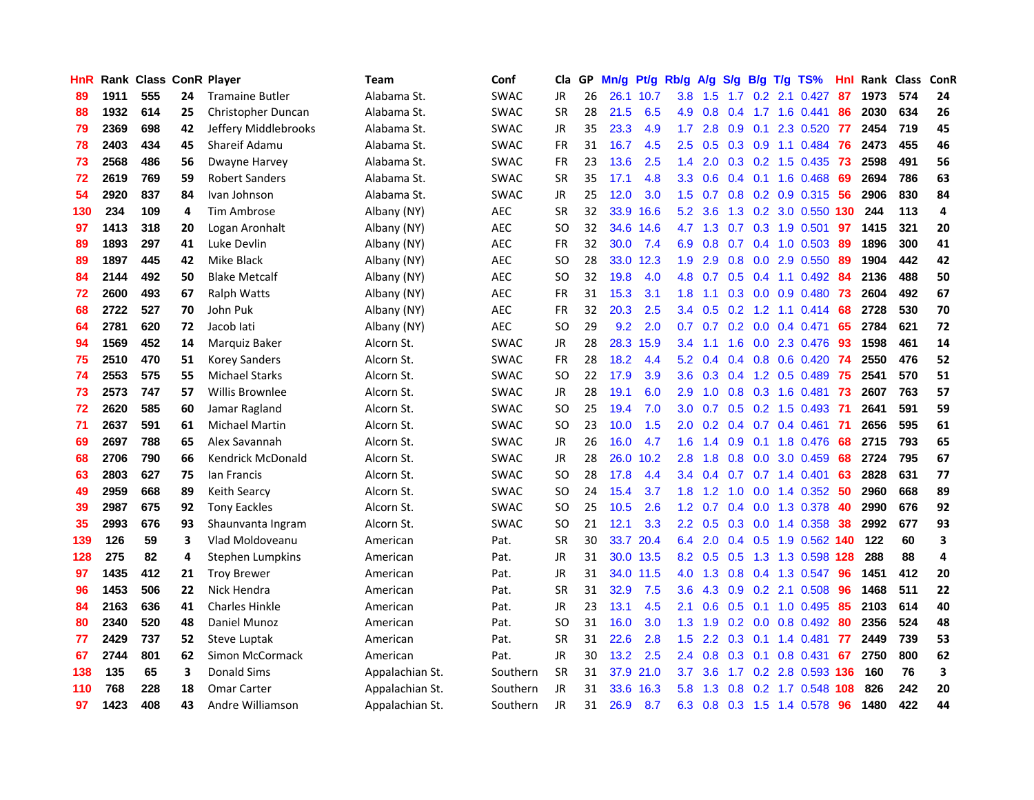| HnR |      | Rank Class ConR Player |    |                          | <b>Team</b>     | Conf        | <b>Cla</b>    | GP. | Mn/g | Pt/g Rb/g |                  | A/g             | S/g |                | B/g T/g TS%               | Hnl | Rank Class |     | ConR |
|-----|------|------------------------|----|--------------------------|-----------------|-------------|---------------|-----|------|-----------|------------------|-----------------|-----|----------------|---------------------------|-----|------------|-----|------|
| 89  | 1911 | 555                    | 24 | <b>Tramaine Butler</b>   | Alabama St.     | <b>SWAC</b> | JR            | 26  |      | 26.1 10.7 | 3.8              | 1.5             | 1.7 | 0.2            | 2.1 0.427                 | 87  | 1973       | 574 | 24   |
| 88  | 1932 | 614                    | 25 | Christopher Duncan       | Alabama St.     | <b>SWAC</b> | <b>SR</b>     | 28  | 21.5 | 6.5       | 4.9              | 0.8             | 0.4 | 1.7            | 1.6 0.441                 | 86  | 2030       | 634 | 26   |
| 79  | 2369 | 698                    | 42 | Jeffery Middlebrooks     | Alabama St.     | <b>SWAC</b> | JR            | 35  | 23.3 | 4.9       | 1.7              | 2.8             | 0.9 | 0.1            | 2.3 0.520                 | -77 | 2454       | 719 | 45   |
| 78  | 2403 | 434                    | 45 | Shareif Adamu            | Alabama St.     | <b>SWAC</b> | <b>FR</b>     | 31  | 16.7 | 4.5       | $2.5\,$          | 0.5             |     |                | 0.3 0.9 1.1 0.484         | -76 | 2473       | 455 | 46   |
| 73  | 2568 | 486                    | 56 | Dwayne Harvey            | Alabama St.     | <b>SWAC</b> | <b>FR</b>     | 23  | 13.6 | 2.5       | 1.4              | 2.0             |     |                | 0.3 0.2 1.5 0.435         | -73 | 2598       | 491 | 56   |
| 72  | 2619 | 769                    | 59 | <b>Robert Sanders</b>    | Alabama St.     | <b>SWAC</b> | <b>SR</b>     | 35  | 17.1 | 4.8       | 3.3 <sub>1</sub> | 0.6             |     |                | $0.4$ 0.1 1.6 0.468       | -69 | 2694       | 786 | 63   |
| 54  | 2920 | 837                    | 84 | Ivan Johnson             | Alabama St.     | <b>SWAC</b> | JR            | 25  | 12.0 | 3.0       | 1.5              | 0.7             |     |                | $0.8$ $0.2$ $0.9$ $0.315$ | -56 | 2906       | 830 | 84   |
| 130 | 234  | 109                    | 4  | <b>Tim Ambrose</b>       | Albany (NY)     | AEC         | <b>SR</b>     | 32  |      | 33.9 16.6 | 5.2 <sub>1</sub> | 3.6             |     |                | 1.3 0.2 3.0 0.550 130     |     | 244        | 113 | 4    |
| 97  | 1413 | 318                    | 20 | Logan Aronhalt           | Albany (NY)     | <b>AEC</b>  | <b>SO</b>     | 32  |      | 34.6 14.6 | 4.7              | 1.3             | 0.7 |                | 0.3 1.9 0.501             | 97  | 1415       | 321 | 20   |
| 89  | 1893 | 297                    | 41 | Luke Devlin              | Albany (NY)     | <b>AEC</b>  | <b>FR</b>     | 32  | 30.0 | 7.4       | 6.9              | 0.8             | 0.7 |                | 0.4 1.0 0.503             | -89 | 1896       | 300 | 41   |
| 89  | 1897 | 445                    | 42 | Mike Black               | Albany (NY)     | <b>AEC</b>  | <b>SO</b>     | 28  |      | 33.0 12.3 | 1.9              | 2.9             | 0.8 |                | 0.0 2.9 0.550             | -89 | 1904       | 442 | 42   |
| 84  | 2144 | 492                    | 50 | <b>Blake Metcalf</b>     | Albany (NY)     | <b>AEC</b>  | <b>SO</b>     | 32  | 19.8 | 4.0       | 4.8              | 0.7             | 0.5 | 0.4            | 1.1 0.492                 | 84  | 2136       | 488 | 50   |
| 72  | 2600 | 493                    | 67 | <b>Ralph Watts</b>       | Albany (NY)     | <b>AEC</b>  | <b>FR</b>     | 31  | 15.3 | 3.1       | 1.8              | 1.1             | 0.3 | 0.0            | $0.9$ $0.480$             | 73  | 2604       | 492 | 67   |
| 68  | 2722 | 527                    | 70 | John Puk                 | Albany (NY)     | AEC         | <b>FR</b>     | 32  | 20.3 | 2.5       | 3.4              | 0.5             | 0.2 | 1.2            | $1.1 \quad 0.414$         | 68  | 2728       | 530 | 70   |
| 64  | 2781 | 620                    | 72 | Jacob lati               | Albany (NY)     | <b>AEC</b>  | <sub>SO</sub> | 29  | 9.2  | 2.0       | 0.7              | 0.7             | 0.2 | 0.0            | 0.4 0.471                 | 65  | 2784       | 621 | 72   |
| 94  | 1569 | 452                    | 14 | Marquiz Baker            | Alcorn St.      | <b>SWAC</b> | <b>JR</b>     | 28  |      | 28.3 15.9 | 3.4              | 1.1             | 1.6 |                | 0.0 2.3 0.476             | -93 | 1598       | 461 | 14   |
| 75  | 2510 | 470                    | 51 | <b>Korey Sanders</b>     | Alcorn St.      | <b>SWAC</b> | FR            | 28  | 18.2 | 4.4       |                  | $5.2 \quad 0.4$ |     |                | 0.4 0.8 0.6 0.420 74      |     | 2550       | 476 | 52   |
| 74  | 2553 | 575                    | 55 | <b>Michael Starks</b>    | Alcorn St.      | <b>SWAC</b> | <b>SO</b>     | 22  | 17.9 | 3.9       |                  | $3.6 \quad 0.3$ |     |                | 0.4 1.2 0.5 0.489 75      |     | 2541       | 570 | 51   |
| 73  | 2573 | 747                    | 57 | <b>Willis Brownlee</b>   | Alcorn St.      | <b>SWAC</b> | JR            | 28  | 19.1 | 6.0       | 2.9 <sup>°</sup> | 1.0             |     |                | 0.8 0.3 1.6 0.481 73      |     | 2607       | 763 | 57   |
| 72  | 2620 | 585                    | 60 | Jamar Ragland            | Alcorn St.      | <b>SWAC</b> | SO.           | 25  | 19.4 | 7.0       | 3.0 <sub>2</sub> | 0.7             |     |                | 0.5 0.2 1.5 0.493 71      |     | 2641       | 591 | 59   |
| 71  | 2637 | 591                    | 61 | <b>Michael Martin</b>    | Alcorn St.      | <b>SWAC</b> | <b>SO</b>     | 23  | 10.0 | 1.5       | 2.0              | 0.2             |     |                | 0.4 0.7 0.4 0.461 71      |     | 2656       | 595 | 61   |
| 69  | 2697 | 788                    | 65 | Alex Savannah            | Alcorn St.      | <b>SWAC</b> | <b>JR</b>     | 26  | 16.0 | 4.7       | 1.6              | 1.4             |     |                | 0.9 0.1 1.8 0.476         | 68  | 2715       | 793 | 65   |
| 68  | 2706 | 790                    | 66 | <b>Kendrick McDonald</b> | Alcorn St.      | <b>SWAC</b> | JR            | 28  | 26.0 | 10.2      | 2.8              | 1.8             | 0.8 |                | 0.0 3.0 0.459             | 68  | 2724       | 795 | 67   |
| 63  | 2803 | 627                    | 75 | lan Francis              | Alcorn St.      | <b>SWAC</b> | <b>SO</b>     | 28  | 17.8 | 4.4       | 3.4              | 0.4             | 0.7 |                | $0.7$ 1.4 0.401           | 63  | 2828       | 631 | 77   |
| 49  | 2959 | 668                    | 89 | Keith Searcy             | Alcorn St.      | SWAC        | <b>SO</b>     | 24  | 15.4 | 3.7       | 1.8              | 1.2             | 1.0 | 0.0            | 1.4 0.352                 | -50 | 2960       | 668 | 89   |
| 39  | 2987 | 675                    | 92 | <b>Tony Eackles</b>      | Alcorn St.      | <b>SWAC</b> | <b>SO</b>     | 25  | 10.5 | 2.6       | 1.2              | 0.7             | 0.4 | 0.0            | 1.3 0.378                 | 40  | 2990       | 676 | 92   |
| 35  | 2993 | 676                    | 93 | Shaunvanta Ingram        | Alcorn St.      | <b>SWAC</b> | <b>SO</b>     | 21  | 12.1 | 3.3       | 2.2              | 0.5             | 0.3 | 0.0            | 1.4 0.358                 | 38  | 2992       | 677 | 93   |
| 139 | 126  | 59                     | 3  | Vlad Moldoveanu          | American        | Pat.        | SR            | 30  | 33.7 | 20.4      | 6.4              | 2.0             |     | $0.4\quad 0.5$ | 1.9 0.562 140             |     | 122        | 60  | 3    |
| 128 | 275  | 82                     | 4  | Stephen Lumpkins         | American        | Pat.        | <b>JR</b>     | 31  |      | 30.0 13.5 | 8.2              | 0.5             | 0.5 |                | 1.3 1.3 0.598 128         |     | 288        | 88  | 4    |
| 97  | 1435 | 412                    | 21 | <b>Troy Brewer</b>       | American        | Pat.        | JR            | 31  |      | 34.0 11.5 | 4.0              | 1.3             |     |                | 0.8 0.4 1.3 0.547         | -96 | 1451       | 412 | 20   |
| 96  | 1453 | 506                    | 22 | Nick Hendra              | American        | Pat.        | <b>SR</b>     | 31  | 32.9 | 7.5       | $3.6\,$          | 4.3             |     |                | $0.9$ $0.2$ 2.1 $0.508$   | -96 | 1468       | 511 | 22   |
| 84  | 2163 | 636                    | 41 | <b>Charles Hinkle</b>    | American        | Pat.        | <b>JR</b>     | 23  | 13.1 | 4.5       | 2.1              | 0.6             |     |                | 0.5 0.1 1.0 0.495         | 85  | 2103       | 614 | 40   |
| 80  | 2340 | 520                    | 48 | Daniel Munoz             | American        | Pat.        | <b>SO</b>     | 31  | 16.0 | 3.0       | 1.3              | 1.9             |     |                | $0.2$ 0.0 0.8 0.492       | 80  | 2356       | 524 | 48   |
| 77  | 2429 | 737                    | 52 | Steve Luptak             | American        | Pat.        | <b>SR</b>     | 31  | 22.6 | 2.8       | 1.5              | 2.2             | 0.3 |                | $0.1$ 1.4 $0.481$         | 77  | 2449       | 739 | 53   |
| 67  | 2744 | 801                    | 62 | Simon McCormack          | American        | Pat.        | <b>JR</b>     | 30  | 13.2 | 2.5       | $2.4\,$          | 0.8             | 0.3 | 0.1            | $0.8$ 0.431               | 67  | 2750       | 800 | 62   |
| 138 | 135  | 65                     | 3  | <b>Donald Sims</b>       | Appalachian St. | Southern    | <b>SR</b>     | 31  | 37.9 | 21.0      | 3.7              | 3.6             | 1.7 |                | 0.2 2.8 0.593 136         |     | 160        | 76  | 3    |
| 110 | 768  | 228                    | 18 | <b>Omar Carter</b>       | Appalachian St. | Southern    | <b>JR</b>     | 31  | 33.6 | 16.3      | 5.8              | 1.3             | 0.8 | 0.2            | 1.7 0.548                 | 108 | 826        | 242 | 20   |
| 97  | 1423 | 408                    | 43 | Andre Williamson         | Appalachian St. | Southern    | <b>JR</b>     | 31  | 26.9 | 8.7       |                  | 6.3 0.8         |     |                | 0.3 1.5 1.4 0.578         | 96  | 1480       | 422 | 44   |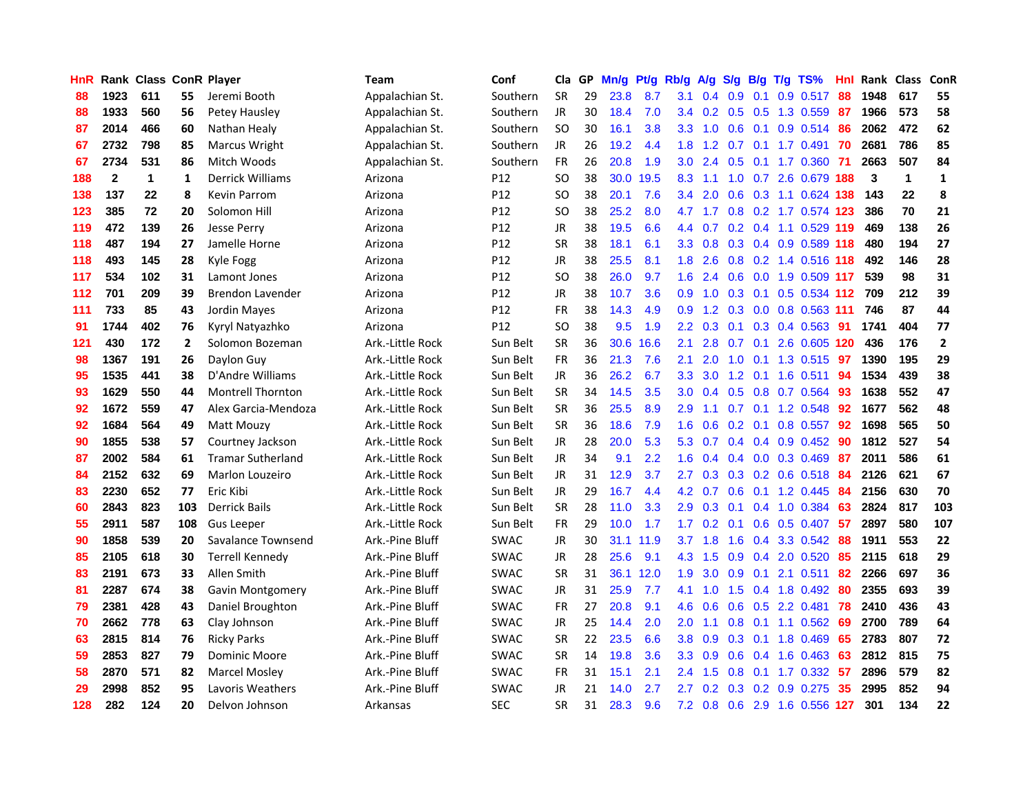| HnR |              | Rank Class ConR Player |              |                          | Team             | Conf            | Cla       |    | GP Mn/g | Pt/g      | <b>Rb/g</b>      | A/g             | S/g B/g         |                 | T/g TS%                   | Hnl | Rank Class |              | <b>ConR</b>    |
|-----|--------------|------------------------|--------------|--------------------------|------------------|-----------------|-----------|----|---------|-----------|------------------|-----------------|-----------------|-----------------|---------------------------|-----|------------|--------------|----------------|
| 88  | 1923         | 611                    | 55           | Jeremi Booth             | Appalachian St.  | Southern        | <b>SR</b> | 29 | 23.8    | 8.7       | 3.1              | 0.4             | 0.9             | 0.1             | 0.9 0.517                 | 88  | 1948       | 617          | 55             |
| 88  | 1933         | 560                    | 56           | Petey Hausley            | Appalachian St.  | Southern        | JR        | 30 | 18.4    | 7.0       | 3.4              | 0.2             |                 | $0.5 \quad 0.5$ | 1.3 0.559                 | -87 | 1966       | 573          | 58             |
| 87  | 2014         | 466                    | 60           | Nathan Healy             | Appalachian St.  | Southern        | <b>SO</b> | 30 | 16.1    | 3.8       | 3.3              | 1.0             | 0.6             | 0.1             | 0.9 0.514                 | 86  | 2062       | 472          | 62             |
| 67  | 2732         | 798                    | 85           | Marcus Wright            | Appalachian St.  | Southern        | JR        | 26 | 19.2    | 4.4       |                  |                 |                 |                 | 1.8 1.2 0.7 0.1 1.7 0.491 | 70  | 2681       | 786          | 85             |
| 67  | 2734         | 531                    | 86           | Mitch Woods              | Appalachian St.  | Southern        | <b>FR</b> | 26 | 20.8    | 1.9       | 3.0 <sub>2</sub> | 2.4             |                 |                 | 0.5 0.1 1.7 0.360 71      |     | 2663       | 507          | 84             |
| 188 | $\mathbf{2}$ | $\mathbf{1}$           | 1            | <b>Derrick Williams</b>  | Arizona          | P12             | <b>SO</b> | 38 | 30.0    | 19.5      | 8.3              | 1.1             |                 |                 | 1.0 0.7 2.6 0.679 188     |     | 3          | $\mathbf{1}$ | $\mathbf{1}$   |
| 138 | 137          | 22                     | 8            | <b>Kevin Parrom</b>      | Arizona          | P12             | SO.       | 38 | 20.1    | 7.6       | 3.4              | 2.0             |                 |                 | 0.6 0.3 1.1 0.624 138     |     | 143        | 22           | 8              |
| 123 | 385          | 72                     | 20           | Solomon Hill             | Arizona          | P12             | SO.       | 38 | 25.2    | 8.0       | 4.7              | 1.7             |                 |                 | 0.8 0.2 1.7 0.574 123     |     | 386        | 70           | 21             |
| 119 | 472          | 139                    | 26           | <b>Jesse Perry</b>       | Arizona          | P <sub>12</sub> | <b>JR</b> | 38 | 19.5    | 6.6       |                  | 4.4 0.7         |                 |                 | 0.2 0.4 1.1 0.529 119     |     | 469        | 138          | 26             |
| 118 | 487          | 194                    | 27           | Jamelle Horne            | Arizona          | P <sub>12</sub> | <b>SR</b> | 38 | 18.1    | 6.1       | 3.3 <sub>1</sub> | 0.8             |                 |                 | 0.3 0.4 0.9 0.589 118     |     | 480        | 194          | 27             |
| 118 | 493          | 145                    | 28           | Kyle Fogg                | Arizona          | P12             | JR        | 38 | 25.5    | 8.1       | 1.8              | 2.6             |                 |                 | 0.8 0.2 1.4 0.516 118     |     | 492        | 146          | 28             |
| 117 | 534          | 102                    | 31           | Lamont Jones             | Arizona          | P12             | <b>SO</b> | 38 | 26.0    | 9.7       | 1.6              | 2.4             | 0.6             |                 | 0.0 1.9 0.509 117         |     | 539        | 98           | 31             |
| 112 | 701          | 209                    | 39           | Brendon Lavender         | Arizona          | P12             | <b>JR</b> | 38 | 10.7    | 3.6       | 0.9              | 1.0             | 0.3             | 0.1             | 0.5 0.534                 | 112 | 709        | 212          | 39             |
| 111 | 733          | 85                     | 43           | Jordin Mayes             | Arizona          | P <sub>12</sub> | FR        | 38 | 14.3    | 4.9       | 0.9              | 1.2             | 0.3             |                 | 0.0 0.8 0.563 111         |     | 746        | 87           | 44             |
| 91  | 1744         | 402                    | 76           | Kyryl Natyazhko          | Arizona          | P <sub>12</sub> | <b>SO</b> | 38 | 9.5     | 1.9       | $2.2^{\circ}$    | 0.3             | 0.1             | 0.3             | 0.4 0.563                 | -91 | 1741       | 404          | 77             |
| 121 | 430          | 172                    | $\mathbf{2}$ | Solomon Bozeman          | Ark.-Little Rock | Sun Belt        | <b>SR</b> | 36 | 30.6    | 16.6      | 2.1              | 2.8             | 0.7             | 0.1             | 2.6 0.605 120             |     | 436        | 176          | $\overline{2}$ |
| 98  | 1367         | 191                    | 26           | Daylon Guy               | Ark.-Little Rock | Sun Belt        | <b>FR</b> | 36 | 21.3    | 7.6       | 2.1              | 2.0             | $1.0 \quad 0.1$ |                 | 1.3 0.515 97              |     | 1390       | 195          | 29             |
| 95  | 1535         | 441                    | 38           | D'Andre Williams         | Ark.-Little Rock | Sun Belt        | JR        | 36 | 26.2    | 6.7       | 3.3              | 3.0             |                 | $1.2 \quad 0.1$ | 1.6 0.511 94              |     | 1534       | 439          | 38             |
| 93  | 1629         | 550                    | 44           | <b>Montrell Thornton</b> | Ark.-Little Rock | Sun Belt        | <b>SR</b> | 34 | 14.5    | 3.5       | 3.0 <sub>2</sub> | 0.4             |                 |                 | 0.5 0.8 0.7 0.564         | 93  | 1638       | 552          | 47             |
| 92  | 1672         | 559                    | 47           | Alex Garcia-Mendoza      | Ark.-Little Rock | Sun Belt        | <b>SR</b> | 36 | 25.5    | 8.9       | 2.9              | 1.1             |                 |                 | 0.7 0.1 1.2 0.548         | 92  | 1677       | 562          | 48             |
| 92  | 1684         | 564                    | 49           | Matt Mouzy               | Ark.-Little Rock | Sun Belt        | <b>SR</b> | 36 | 18.6    | 7.9       | 1.6              | 0.6             |                 |                 | $0.2$ 0.1 0.8 0.557       | 92  | 1698       | 565          | 50             |
| 90  | 1855         | 538                    | 57           | Courtney Jackson         | Ark.-Little Rock | Sun Belt        | JR        | 28 | 20.0    | 5.3       | 5.3              | 0.7             |                 |                 | $0.4$ 0.4 0.9 0.452       | 90  | 1812       | 527          | 54             |
| 87  | 2002         | 584                    | 61           | <b>Tramar Sutherland</b> | Ark.-Little Rock | Sun Belt        | JR        | 34 | 9.1     | 2.2       | 1.6              | 0.4             |                 |                 | $0.4$ 0.0 0.3 0.469       | -87 | 2011       | 586          | 61             |
| 84  | 2152         | 632                    | 69           | Marlon Louzeiro          | Ark.-Little Rock | Sun Belt        | JR        | 31 | 12.9    | 3.7       | 2.7              | 0.3             |                 |                 | $0.3$ 0.2 0.6 0.518       | 84  | 2126       | 621          | 67             |
| 83  | 2230         | 652                    | 77           | Eric Kibi                | Ark.-Little Rock | Sun Belt        | <b>JR</b> | 29 | 16.7    | 4.4       | 4.2              | 0.7             | 0.6             | 0.1             | 1.2 0.445                 | 84  | 2156       | 630          | 70             |
| 60  | 2843         | 823                    | 103          | <b>Derrick Bails</b>     | Ark.-Little Rock | Sun Belt        | <b>SR</b> | 28 | 11.0    | 3.3       | 2.9              | 0.3             | 0.1             | 0.4             | 1.0 0.384                 | 63  | 2824       | 817          | 103            |
| 55  | 2911         | 587                    | 108          | <b>Gus Leeper</b>        | Ark.-Little Rock | Sun Belt        | <b>FR</b> | 29 | 10.0    | 1.7       | 1.7              | 0.2             | 0.1             | 0.6             | 0.5 0.407                 | 57  | 2897       | 580          | 107            |
| 90  | 1858         | 539                    | 20           | Savalance Townsend       | Ark.-Pine Bluff  | <b>SWAC</b>     | JR        | 30 |         | 31.1 11.9 | 3.7              | 1.8             | 1.6             | 0.4             | 3.3 0.542                 | 88  | 1911       | 553          | 22             |
| 85  | 2105         | 618                    | 30           | Terrell Kennedy          | Ark.-Pine Bluff  | <b>SWAC</b>     | JR        | 28 | 25.6    | 9.1       | 4.3              | 1.5             | 0.9             | 0.4             | 2.0 0.520                 | 85  | 2115       | 618          | 29             |
| 83  | 2191         | 673                    | 33           | Allen Smith              | Ark.-Pine Bluff  | <b>SWAC</b>     | <b>SR</b> | 31 |         | 36.1 12.0 | 1.9              | 3.0             | 0.9             |                 | $0.1$ 2.1 0.511           | 82  | 2266       | 697          | 36             |
| 81  | 2287         | 674                    | 38           | <b>Gavin Montgomery</b>  | Ark.-Pine Bluff  | <b>SWAC</b>     | JR        | 31 | 25.9    | 7.7       | 4.1              | 1.0             |                 |                 | 1.5 0.4 1.8 0.492         | 80  | 2355       | 693          | 39             |
| 79  | 2381         | 428                    | 43           | Daniel Broughton         | Ark.-Pine Bluff  | <b>SWAC</b>     | <b>FR</b> | 27 | 20.8    | 9.1       | 4.6              | 0.6             |                 |                 | $0.6$ $0.5$ 2.2 $0.481$   | 78  | 2410       | 436          | 43             |
| 70  | 2662         | 778                    | 63           | Clay Johnson             | Ark.-Pine Bluff  | <b>SWAC</b>     | JR        | 25 | 14.4    | 2.0       | 2.0 <sub>1</sub> | 1.1             |                 |                 | $0.8$ 0.1 1.1 0.562       | 69  | 2700       | 789          | 64             |
| 63  | 2815         | 814                    | 76           | <b>Ricky Parks</b>       | Ark.-Pine Bluff  | <b>SWAC</b>     | <b>SR</b> | 22 | 23.5    | 6.6       | 3.8 <sup>°</sup> | 0.9             | 0.3             |                 | $0.1$ 1.8 0.469           | 65  | 2783       | 807          | 72             |
| 59  | 2853         | 827                    | 79           | <b>Dominic Moore</b>     | Ark.-Pine Bluff  | SWAC            | <b>SR</b> | 14 | 19.8    | 3.6       | 3.3 <sub>2</sub> | 0.9             | 0.6             |                 | $0.4$ 1.6 0.463           | 63  | 2812       | 815          | 75             |
| 58  | 2870         | 571                    | 82           | <b>Marcel Mosley</b>     | Ark.-Pine Bluff  | <b>SWAC</b>     | <b>FR</b> | 31 | 15.1    | 2.1       | $2.4^{\circ}$    | 1.5             | 0.8             | 0.1             | 1.7 0.332                 | 57  | 2896       | 579          | 82             |
| 29  | 2998         | 852                    | 95           | Lavoris Weathers         | Ark.-Pine Bluff  | <b>SWAC</b>     | JR        | 21 | 14.0    | 2.7       | 2.7              | 0.2             | 0.3             | 0.2             | 0.9 0.275                 | 35  | 2995       | 852          | 94             |
| 128 | 282          | 124                    | 20           | Delvon Johnson           | Arkansas         | <b>SEC</b>      | <b>SR</b> | 31 | 28.3    | 9.6       |                  | $7.2 \quad 0.8$ |                 |                 | 0.6 2.9 1.6 0.556 127     |     | 301        | 134          | 22             |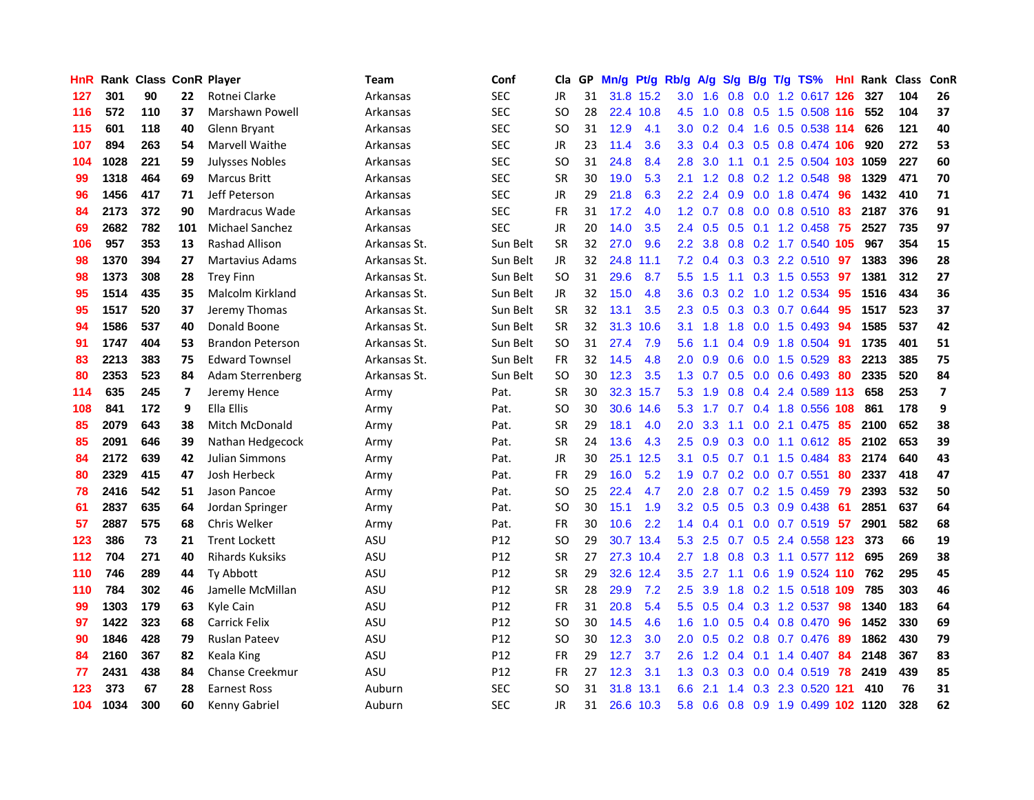| <b>HnR</b> |      | <b>Rank Class ConR Player</b> |     |                         | Team         | Conf            | Cla       |    | GP Mn/g   | Pt/g      | Rb/g             | A/g             | S/g             | B/g            | $T/g$ TS%                 | Hnl | Rank Class |     | ConR                    |
|------------|------|-------------------------------|-----|-------------------------|--------------|-----------------|-----------|----|-----------|-----------|------------------|-----------------|-----------------|----------------|---------------------------|-----|------------|-----|-------------------------|
| 127        | 301  | 90                            | 22  | Rotnei Clarke           | Arkansas     | <b>SEC</b>      | JR        | 31 | 31.8 15.2 |           | 3.0              | 1.6             | 0.8             | 0.0            | 1.2 0.617 126             |     | 327        | 104 | 26                      |
| 116        | 572  | 110                           | 37  | Marshawn Powell         | Arkansas     | <b>SEC</b>      | SO.       | 28 |           | 22.4 10.8 | 4.5              | 1.0             | 0.8             | 0.5            | 1.5 0.508 116             |     | 552        | 104 | 37                      |
| 115        | 601  | 118                           | 40  | Glenn Bryant            | Arkansas     | <b>SEC</b>      | <b>SO</b> | 31 | 12.9      | 4.1       | 3.0 <sub>1</sub> |                 | $0.2 \quad 0.4$ | 1.6            | $0.5$ 0.538 114           |     | 626        | 121 | 40                      |
| 107        | 894  | 263                           | 54  | Marvell Waithe          | Arkansas     | <b>SEC</b>      | JR        | 23 | 11.4      | 3.6       | 3.3 <sub>2</sub> |                 |                 |                | 0.4 0.3 0.5 0.8 0.474 106 |     | 920        | 272 | 53                      |
| 104        | 1028 | 221                           | 59  | <b>Julysses Nobles</b>  | Arkansas     | <b>SEC</b>      | SO.       | 31 | 24.8      | 8.4       | 2.8              | 3.0             | 1.1             |                | 0.1 2.5 0.504 103 1059    |     |            | 227 | 60                      |
| 99         | 1318 | 464                           | 69  | <b>Marcus Britt</b>     | Arkansas     | <b>SEC</b>      | <b>SR</b> | 30 | 19.0      | 5.3       | 2.1              | 1.2             | 0.8             |                | $0.2$ 1.2 0.548           | 98  | 1329       | 471 | 70                      |
| 96         | 1456 | 417                           | 71  | Jeff Peterson           | Arkansas     | <b>SEC</b>      | JR        | 29 | 21.8      | 6.3       | 2.2              | 2.4             | 0.9             |                | $0.0$ 1.8 $0.474$         | 96  | 1432       | 410 | 71                      |
| 84         | 2173 | 372                           | 90  | Mardracus Wade          | Arkansas     | <b>SEC</b>      | <b>FR</b> | 31 | 17.2      | 4.0       | 1.2              | 0.7             | 0.8             |                | $0.0$ 0.8 0.510           | 83  | 2187       | 376 | 91                      |
| 69         | 2682 | 782                           | 101 | <b>Michael Sanchez</b>  | Arkansas     | <b>SEC</b>      | JR        | 20 | 14.0      | 3.5       | $2.4^{\circ}$    | 0.5             | 0.5             |                | $0.1$ 1.2 0.458           | 75  | 2527       | 735 | 97                      |
| 106        | 957  | 353                           | 13  | Rashad Allison          | Arkansas St. | Sun Belt        | <b>SR</b> | 32 | 27.0      | 9.6       | 2.2 <sub>2</sub> | 3.8             |                 |                | 0.8 0.2 1.7 0.540 105     |     | 967        | 354 | 15                      |
| 98         | 1370 | 394                           | 27  | <b>Martavius Adams</b>  | Arkansas St. | Sun Belt        | <b>JR</b> | 32 | 24.8      | 11.1      | 7.2              | 0.4             |                 |                | $0.3$ $0.3$ $2.2$ $0.510$ | 97  | 1383       | 396 | 28                      |
| 98         | 1373 | 308                           | 28  | <b>Trey Finn</b>        | Arkansas St. | Sun Belt        | <b>SO</b> | 31 | 29.6      | 8.7       | 5.5 <sub>1</sub> | 1.5             | 1.1             | 0.3            | 1.5 0.553                 | 97  | 1381       | 312 | 27                      |
| 95         | 1514 | 435                           | 35  | Malcolm Kirkland        | Arkansas St. | Sun Belt        | JR        | 32 | 15.0      | 4.8       | 3.6              | 0.3             | 0.2             | 1.0            | 1.2 0.534                 | 95  | 1516       | 434 | 36                      |
| 95         | 1517 | 520                           | 37  | Jeremy Thomas           | Arkansas St. | Sun Belt        | <b>SR</b> | 32 | 13.1      | 3.5       | 2.3              | 0.5             | 0.3             | 0.3            | 0.7 0.644                 | 95  | 1517       | 523 | 37                      |
| 94         | 1586 | 537                           | 40  | Donald Boone            | Arkansas St. | Sun Belt        | <b>SR</b> | 32 | 31.3      | 10.6      | 3.1              | 1.8             | 1.8             | 0.0            | 1.5 0.493                 | 94  | 1585       | 537 | 42                      |
| 91         | 1747 | 404                           | 53  | <b>Brandon Peterson</b> | Arkansas St. | Sun Belt        | <b>SO</b> | 31 | 27.4      | 7.9       | 5.6              | 1.1             |                 | $0.4\quad 0.9$ | 1.8 0.504                 | -91 | 1735       | 401 | 51                      |
| 83         | 2213 | 383                           | 75  | <b>Edward Townsel</b>   | Arkansas St. | Sun Belt        | FR        | 32 | 14.5      | 4.8       | $2.0^{\circ}$    | 0.9             |                 |                | $0.6$ $0.0$ 1.5 $0.529$   | -83 | 2213       | 385 | 75                      |
| 80         | 2353 | 523                           | 84  | <b>Adam Sterrenberg</b> | Arkansas St. | Sun Belt        | SO.       | 30 | 12.3      | 3.5       |                  | $1.3 \quad 0.7$ |                 |                | $0.5$ 0.0 0.6 0.493       | -80 | 2335       | 520 | 84                      |
| 114        | 635  | 245                           | 7   | Jeremy Hence            | Army         | Pat.            | <b>SR</b> | 30 |           | 32.3 15.7 | 5.3              | 1.9             |                 |                | 0.8 0.4 2.4 0.589 113     |     | 658        | 253 | $\overline{\mathbf{z}}$ |
| 108        | 841  | 172                           | 9   | Ella Ellis              | Army         | Pat.            | SO        | 30 |           | 30.6 14.6 | 5.3              | 1.7             |                 |                | 0.7 0.4 1.8 0.556 108     |     | 861        | 178 | 9                       |
| 85         | 2079 | 643                           | 38  | Mitch McDonald          | Army         | Pat.            | <b>SR</b> | 29 | 18.1      | 4.0       | 2.0              | 3.3             | 1.1             |                | $0.0$ 2.1 $0.475$         | 85  | 2100       | 652 | 38                      |
| 85         | 2091 | 646                           | 39  | Nathan Hedgecock        | Army         | Pat.            | <b>SR</b> | 24 | 13.6      | 4.3       | 2.5              | 0.9             | 0.3             |                | $0.0$ 1.1 $0.612$         | -85 | 2102       | 653 | 39                      |
| 84         | 2172 | 639                           | 42  | Julian Simmons          | Army         | Pat.            | JR        | 30 |           | 25.1 12.5 | 3.1              | 0.5             |                 |                | $0.7$ 0.1 1.5 0.484       | -83 | 2174       | 640 | 43                      |
| 80         | 2329 | 415                           | 47  | Josh Herbeck            | Army         | Pat.            | <b>FR</b> | 29 | 16.0      | 5.2       | 1.9              | 0.7             |                 |                | $0.2$ $0.0$ $0.7$ $0.551$ | 80  | 2337       | 418 | 47                      |
| 78         | 2416 | 542                           | 51  | Jason Pancoe            | Army         | Pat.            | SO.       | 25 | 22.4      | 4.7       | 2.0              | 2.8             | 0.7             |                | $0.2$ 1.5 0.459           | -79 | 2393       | 532 | 50                      |
| 61         | 2837 | 635                           | 64  | Jordan Springer         | Army         | Pat.            | <b>SO</b> | 30 | 15.1      | 1.9       | 3.2 <sub>2</sub> | 0.5             | 0.5             |                | 0.3 0.9 0.438             | -61 | 2851       | 637 | 64                      |
| 57         | 2887 | 575                           | 68  | Chris Welker            | Army         | Pat.            | FR        | 30 | 10.6      | 2.2       | $1.4^{\circ}$    | 0.4             | 0.1             |                | $0.0$ 0.7 0.519           | 57  | 2901       | 582 | 68                      |
| 123        | 386  | 73                            | 21  | <b>Trent Lockett</b>    | ASU          | P12             | <b>SO</b> | 29 |           | 30.7 13.4 | 5.3              | 2.5             | 0.7             | 0.5            | 2.4 0.558 123             |     | 373        | 66  | 19                      |
| 112        | 704  | 271                           | 40  | <b>Rihards Kuksiks</b>  | ASU          | P12             | <b>SR</b> | 27 |           | 27.3 10.4 | $2.7^{\circ}$    | 1.8             | 0.8             |                | 0.3 1.1 0.577 112         |     | 695        | 269 | 38                      |
| 110        | 746  | 289                           | 44  | <b>Ty Abbott</b>        | ASU          | P12             | <b>SR</b> | 29 |           | 32.6 12.4 | 3.5              | 2.7             |                 |                | 1.1 0.6 1.9 0.524 110     |     | 762        | 295 | 45                      |
| 110        | 784  | 302                           | 46  | Jamelle McMillan        | ASU          | P12             | <b>SR</b> | 28 | 29.9      | 7.2       | $2.5^{\circ}$    | 3.9             |                 |                | 1.8 0.2 1.5 0.518 109     |     | 785        | 303 | 46                      |
| 99         | 1303 | 179                           | 63  | Kyle Cain               | ASU          | P12             | <b>FR</b> | 31 | 20.8      | 5.4       | 5.5              | 0.5             |                 |                | $0.4$ $0.3$ 1.2 $0.537$   | -98 | 1340       | 183 | 64                      |
| 97         | 1422 | 323                           | 68  | Carrick Felix           | ASU          | P12             | <b>SO</b> | 30 | 14.5      | 4.6       | 1.6              | 1.0             |                 |                | $0.5$ 0.4 0.8 0.470       | -96 | 1452       | 330 | 69                      |
| 90         | 1846 | 428                           | 79  | <b>Ruslan Pateev</b>    | ASU          | P <sub>12</sub> | SO.       | 30 | 12.3      | 3.0       | 2.0              | 0.5             |                 |                | 0.2 0.8 0.7 0.476         | -89 | 1862       | 430 | 79                      |
| 84         | 2160 | 367                           | 82  | Keala King              | ASU          | P12             | <b>FR</b> | 29 | 12.7      | 3.7       | 2.6              | 1.2             | 0.4             | 0.1            | 1.4 0.407                 | 84  | 2148       | 367 | 83                      |
| 77         | 2431 | 438                           | 84  | <b>Chanse Creekmur</b>  | ASU          | P12             | <b>FR</b> | 27 | 12.3      | 3.1       | 1.3              | 0.3             | 0.3             |                | $0.0$ 0.4 0.519           | 78  | 2419       | 439 | 85                      |
| 123        | 373  | 67                            | 28  | <b>Earnest Ross</b>     | Auburn       | <b>SEC</b>      | <b>SO</b> | 31 | 31.8      | 13.1      | 6.6              | 2.1             | $1.4^{\circ}$   |                | 0.3 2.3 0.520 121         |     | 410        | 76  | 31                      |
| 104        | 1034 | 300                           | 60  | Kenny Gabriel           | Auburn       | <b>SEC</b>      | <b>JR</b> | 31 |           | 26.6 10.3 | 5.8              | 0.6             | $0.8\ 0.9$      |                | 1.9 0.499 102 1120        |     |            | 328 | 62                      |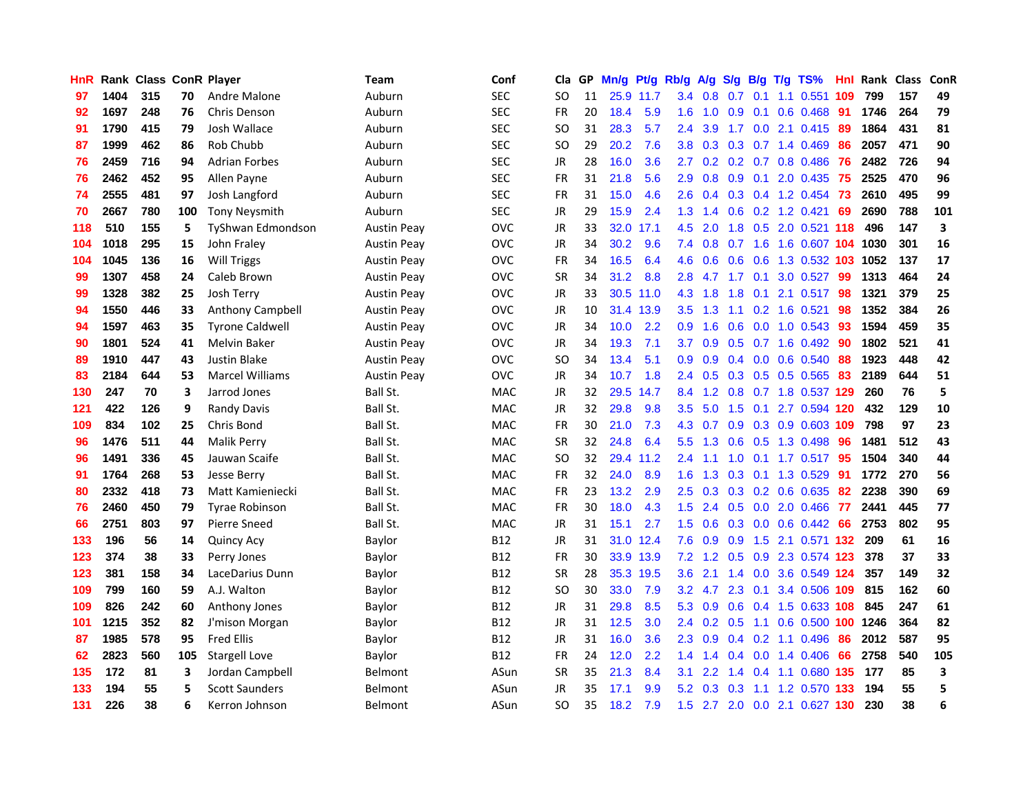| <b>HnR</b> |      | Rank Class ConR Player |     |                        | Team               | Conf       | Cla       |     | GP Mn/g | Pt/g      | Rb/g             | A/g                                  |     |                 | $S/g$ B/g T/g TS%         | Hnl  |      | Rank Class | ConR                    |
|------------|------|------------------------|-----|------------------------|--------------------|------------|-----------|-----|---------|-----------|------------------|--------------------------------------|-----|-----------------|---------------------------|------|------|------------|-------------------------|
| 97         | 1404 | 315                    | 70  | Andre Malone           | Auburn             | <b>SEC</b> | SO.       | 11  |         | 25.9 11.7 | 3.4              | 0.8                                  | 0.7 | 0.1             | $1.1 \quad 0.551$         | 109  | 799  | 157        | 49                      |
| 92         | 1697 | 248                    | 76  | Chris Denson           | Auburn             | <b>SEC</b> | <b>FR</b> | 20  | 18.4    | 5.9       | 1.6              | 1.0                                  | 0.9 | 0.1             | $0.6$ 0.468               | -91  | 1746 | 264        | 79                      |
| 91         | 1790 | 415                    | 79  | Josh Wallace           | Auburn             | <b>SEC</b> | <b>SO</b> | 31  | 28.3    | 5.7       | $2.4^{\circ}$    | 3.9                                  | 1.7 |                 | $0.0$ 2.1 $0.415$         | -89  | 1864 | 431        | 81                      |
| 87         | 1999 | 462                    | 86  | Rob Chubb              | Auburn             | <b>SEC</b> | <b>SO</b> | 29  | 20.2    | 7.6       |                  | $3.8\quad 0.3$                       |     |                 | 0.3 0.7 1.4 0.469         | -86  | 2057 | 471        | 90                      |
| 76         | 2459 | 716                    | 94  | <b>Adrian Forbes</b>   | Auburn             | <b>SEC</b> | <b>JR</b> | 28  | 16.0    | 3.6       | 2.7              | 0.2 <sub>2</sub>                     |     |                 | 0.2 0.7 0.8 0.486         | -76  | 2482 | 726        | 94                      |
| 76         | 2462 | 452                    | 95  | Allen Payne            | Auburn             | <b>SEC</b> | <b>FR</b> | 31  | 21.8    | 5.6       | 2.9              | 0.8                                  |     |                 | $0.9$ $0.1$ $2.0$ $0.435$ | -75  | 2525 | 470        | 96                      |
| 74         | 2555 | 481                    | 97  | Josh Langford          | Auburn             | <b>SEC</b> | FR        | 31  | 15.0    | 4.6       | 2.6              | 0.4                                  |     |                 | 0.3 0.4 1.2 0.454         | 73   | 2610 | 495        | 99                      |
| 70         | 2667 | 780                    | 100 | <b>Tony Neysmith</b>   | Auburn             | <b>SEC</b> | <b>JR</b> | 29  | 15.9    | 2.4       | 1.3              | 1.4                                  |     |                 | 0.6 0.2 1.2 0.421         | 69   | 2690 | 788        | 101                     |
| 118        | 510  | 155                    | 5   | TyShwan Edmondson      | <b>Austin Peay</b> | <b>OVC</b> | <b>JR</b> | 33  | 32.0    | 17.1      | 4.5              | 2.0                                  | 1.8 |                 | 0.5 2.0 0.521 118         |      | 496  | 147        | $\overline{\mathbf{3}}$ |
| 104        | 1018 | 295                    | 15  | John Fraley            | <b>Austin Peay</b> | <b>OVC</b> | JR        | 34  | 30.2    | 9.6       | 7.4              | 0.8                                  | 0.7 | 1.6             | 1.6 0.607 104 1030        |      |      | 301        | 16                      |
| 104        | 1045 | 136                    | 16  | <b>Will Triggs</b>     | <b>Austin Peay</b> | <b>OVC</b> | <b>FR</b> | 34  | 16.5    | 6.4       | 4.6              | 0.6                                  | 0.6 | 0.6             | 1.3 0.532                 | 103  | 1052 | 137        | 17                      |
| 99         | 1307 | 458                    | 24  | Caleb Brown            | <b>Austin Peay</b> | <b>OVC</b> | <b>SR</b> | 34  | 31.2    | 8.8       | 2.8              | 4.7                                  | 1.7 | 0.1             | 3.0 0.527                 | -99  | 1313 | 464        | 24                      |
| 99         | 1328 | 382                    | 25  | Josh Terry             | <b>Austin Peav</b> | <b>OVC</b> | JR        | 33  |         | 30.5 11.0 | 4.3              | 1.8                                  | 1.8 | 0.1             | 2.1 0.517                 | 98   | 1321 | 379        | 25                      |
| 94         | 1550 | 446                    | 33  | Anthony Campbell       | <b>Austin Peay</b> | OVC        | <b>JR</b> | 10  |         | 31.4 13.9 | 3.5              | 1.3                                  | 1.1 | 0.2             | 1.6 0.521                 | 98   | 1352 | 384        | 26                      |
| 94         | 1597 | 463                    | 35  | <b>Tyrone Caldwell</b> | <b>Austin Peay</b> | <b>OVC</b> | <b>JR</b> | 34  | 10.0    | 2.2       | 0.9              | 1.6                                  | 0.6 | 0.0             | $1.0 \t0.543$             | 93   | 1594 | 459        | 35                      |
| 90         | 1801 | 524                    | 41  | <b>Melvin Baker</b>    | <b>Austin Peay</b> | <b>OVC</b> | JR        | 34  | 19.3    | 7.1       | 3.7              | 0.9                                  |     |                 | 0.5 0.7 1.6 0.492         | -90  | 1802 | 521        | 41                      |
| 89         | 1910 | 447                    | 43  | Justin Blake           | <b>Austin Peay</b> | <b>OVC</b> | <b>SO</b> | 34  | 13.4    | 5.1       | 0.9 <sup>°</sup> | 0.9                                  |     |                 | $0.4$ 0.0 0.6 0.540       | -88  | 1923 | 448        | 42                      |
| 83         | 2184 | 644                    | 53  | <b>Marcel Williams</b> | <b>Austin Peav</b> | <b>OVC</b> | JR        | 34  | 10.7    | 1.8       |                  | $2.4\quad 0.5$                       |     |                 | $0.3$ $0.5$ $0.5$ $0.565$ | 83   | 2189 | 644        | 51                      |
| 130        | 247  | 70                     | 3   | Jarrod Jones           | Ball St.           | <b>MAC</b> | JR        | 32. |         | 29.5 14.7 |                  | 8.4 1.2                              |     |                 | 0.8 0.7 1.8 0.537 129     |      | 260  | 76         | 5                       |
| 121        | 422  | 126                    | 9   | Randy Davis            | Ball St.           | MAC        | JR        | 32  | 29.8    | 9.8       | $3.5\,$          | 5.0                                  |     |                 | 1.5 0.1 2.7 0.594 120     |      | 432  | 129        | 10                      |
| 109        | 834  | 102                    | 25  | Chris Bond             | Ball St.           | <b>MAC</b> | <b>FR</b> | 30  | 21.0    | 7.3       | 4.3              | 0.7                                  |     |                 | 0.9 0.3 0.9 0.603 109     |      | 798  | 97         | 23                      |
| 96         | 1476 | 511                    | 44  | <b>Malik Perry</b>     | Ball St.           | <b>MAC</b> | <b>SR</b> | 32  | 24.8    | 6.4       | 5.5              | 1.3                                  | 0.6 |                 | 0.5 1.3 0.498             | 96   | 1481 | 512        | 43                      |
| 96         | 1491 | 336                    | 45  | Jauwan Scaife          | Ball St.           | <b>MAC</b> | <b>SO</b> | 32  |         | 29.4 11.2 | 2.4              | 1.1                                  | 1.0 |                 | $0.1$ 1.7 0.517           | -95  | 1504 | 340        | 44                      |
| 91         | 1764 | 268                    | 53  | Jesse Berry            | Ball St.           | <b>MAC</b> | <b>FR</b> | 32  | 24.0    | 8.9       | 1.6              | 1.3                                  | 0.3 |                 | 0.1 1.3 0.529             | -91  | 1772 | 270        | 56                      |
| 80         | 2332 | 418                    | 73  | Matt Kamieniecki       | Ball St.           | MAC        | <b>FR</b> | 23  | 13.2    | 2.9       | 2.5              | 0.3                                  |     |                 | 0.3 0.2 0.6 0.635         | -82  | 2238 | 390        | 69                      |
| 76         | 2460 | 450                    | 79  | <b>Tyrae Robinson</b>  | Ball St.           | <b>MAC</b> | <b>FR</b> | 30  | 18.0    | 4.3       | 1.5              | 2.4                                  | 0.5 | 0.0             | 2.0 0.466                 | 77   | 2441 | 445        | 77                      |
| 66         | 2751 | 803                    | 97  | Pierre Sneed           | Ball St.           | <b>MAC</b> | JR        | 31  | 15.1    | 2.7       | 1.5              | 0.6                                  |     | $0.3 \ 0.0$     | $0.6$ $0.442$             | 66   | 2753 | 802        | 95                      |
| 133        | 196  | 56                     | 14  | <b>Quincy Acy</b>      | Baylor             | <b>B12</b> | JR        | 31  | 31.0    | 12.4      | 7.6              | 0.9                                  | 0.9 | 1.5             | 2.1 0.571 132             |      | 209  | 61         | 16                      |
| 123        | 374  | 38                     | 33  | Perry Jones            | Baylor             | B12        | <b>FR</b> | 30  |         | 33.9 13.9 |                  | $7.2$ 1.2                            |     |                 | 0.5 0.9 2.3 0.574 123     |      | 378  | 37         | 33                      |
| 123        | 381  | 158                    | 34  | LaceDarius Dunn        | Baylor             | B12        | <b>SR</b> | 28  |         | 35.3 19.5 | 3.6 <sup>2</sup> | 2.1                                  |     |                 | 1.4 0.0 3.6 0.549 124     |      | 357  | 149        | 32                      |
| 109        | 799  | 160                    | 59  | A.J. Walton            | Baylor             | B12        | <b>SO</b> | 30  | 33.0    | 7.9       |                  | $3.2$ 4.7                            |     | $2.3 \quad 0.1$ | 3.4 0.506 109             |      | 815  | 162        | 60                      |
| 109        | 826  | 242                    | 60  | Anthony Jones          | Baylor             | <b>B12</b> | <b>JR</b> | 31  | 29.8    | 8.5       | 5.3              | 0.9                                  |     |                 | 0.6 0.4 1.5 0.633 108     |      | 845  | 247        | 61                      |
| 101        | 1215 | 352                    | 82  | J'mison Morgan         | Baylor             | B12        | JR        | 31  | 12.5    | 3.0       | 2.4              | 0.2                                  | 0.5 |                 | 1.1 0.6 0.500 100         |      | 1246 | 364        | 82                      |
| 87         | 1985 | 578                    | 95  | <b>Fred Ellis</b>      | Baylor             | <b>B12</b> | <b>JR</b> | 31  | 16.0    | 3.6       | 2.3              | 0.9                                  |     |                 | $0.4$ 0.2 1.1 0.496       | 86   | 2012 | 587        | 95                      |
| 62         | 2823 | 560                    | 105 | <b>Stargell Love</b>   | Baylor             | <b>B12</b> | FR        | 24  | 12.0    | 2.2       | 1.4              | $\blacktriangleleft$<br>$\mathbf{A}$ | 0.4 | 0.0             | 1.4 0.406                 | 66   | 2758 | 540        | 105                     |
| 135        | 172  | 81                     | 3   | Jordan Campbell        | Belmont            | ASun       | <b>SR</b> | 35  | 21.3    | 8.4       | 3.1              | 2.2                                  | 1.4 |                 | 0.4 1.1 0.680 135         |      | 177  | 85         | 3                       |
| 133        | 194  | 55                     | 5   | <b>Scott Saunders</b>  | Belmont            | ASun       | JR        | 35  | 17.1    | 9.9       | 5.2              | 0.3                                  | 0.3 | 1.1             | 1.2 0.570                 | -133 | 194  | 55         | 5                       |
| 131        | 226  | 38                     | 6   | Kerron Johnson         | <b>Belmont</b>     | ASun       | <b>SO</b> | 35  | 18.2    | 7.9       | 1.5              | 2.7                                  |     |                 | 2.0 0.0 2.1 0.627 130     |      | 230  | 38         | 6                       |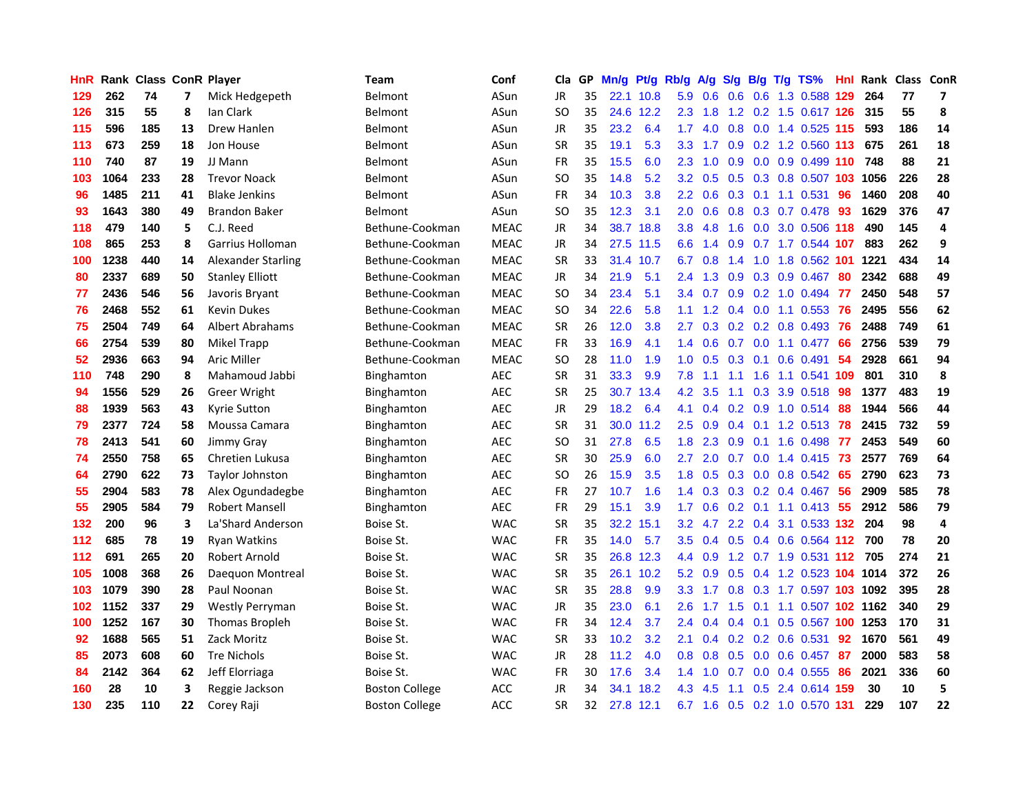| HnR. |      | Rank Class ConR Player |                          |                           | Team                  | Conf        | Cla       | GP. | Mn/g | Pt/g      | Rb/g             | <b>A/g</b>    | <b>S/g</b>      |     | B/g T/g TS%                   | Hnl  |      | Rank Class ConR |    |
|------|------|------------------------|--------------------------|---------------------------|-----------------------|-------------|-----------|-----|------|-----------|------------------|---------------|-----------------|-----|-------------------------------|------|------|-----------------|----|
| 129  | 262  | 74                     | $\overline{\phantom{a}}$ | Mick Hedgepeth            | <b>Belmont</b>        | ASun        | JR.       | 35  |      | 22.1 10.8 | 5.9              | 0.6           | 0.6             | 0.6 | 1.3 0.588                     | 129  | 264  | 77              | 7  |
| 126  | 315  | 55                     | 8                        | lan Clark                 | <b>Belmont</b>        | ASun        | SO        | 35  |      | 24.6 12.2 | $2.3^{\circ}$    | 1.8           | 1.2             | 0.2 | 1.5 0.617 126                 |      | 315  | 55              | 8  |
| 115  | 596  | 185                    | 13                       | Drew Hanlen               | Belmont               | ASun        | <b>JR</b> | 35  | 23.2 | 6.4       | 1.7              | 4.0           | 0.8             | 0.0 | 1.4 0.525 115                 |      | 593  | 186             | 14 |
| 113  | 673  | 259                    | 18                       | Jon House                 | <b>Belmont</b>        | ASun        | <b>SR</b> | 35  | 19.1 | 5.3       | 3.3 <sub>1</sub> | 1.7           |                 |     | 0.9 0.2 1.2 0.560 113         |      | 675  | 261             | 18 |
| 110  | 740  | 87                     | 19                       | JJ Mann                   | Belmont               | ASun        | <b>FR</b> | 35  | 15.5 | 6.0       | $2.3^{\circ}$    | 1.0           | 0.9             |     | 0.0 0.9 0.499 110             |      | 748  | 88              | 21 |
| 103  | 1064 | 233                    | 28                       | <b>Trevor Noack</b>       | Belmont               | ASun        | SO        | 35  | 14.8 | 5.2       | 3.2              | 0.5           |                 |     | 0.5 0.3 0.8 0.507 103         |      | 1056 | 226             | 28 |
| 96   | 1485 | 211                    | 41                       | <b>Blake Jenkins</b>      | Belmont               | ASun        | FR        | 34  | 10.3 | 3.8       | 2.2 <sub>2</sub> | 0.6           |                 |     | 0.3 0.1 1.1 0.531             | 96   | 1460 | 208             | 40 |
| 93   | 1643 | 380                    | 49                       | <b>Brandon Baker</b>      | Belmont               | ASun        | SO        | 35  | 12.3 | 3.1       | $2.0^{\circ}$    | 0.6           | 0.8             |     | $0.3$ 0.7 0.478               | 93   | 1629 | 376             | 47 |
| 118  | 479  | 140                    | 5                        | C.J. Reed                 | Bethune-Cookman       | <b>MEAC</b> | <b>JR</b> | 34  |      | 38.7 18.8 | 3.8 <sub>2</sub> | 4.8           | 1.6             |     | 0.0 3.0 0.506 118             |      | 490  | 145             | 4  |
| 108  | 865  | 253                    | 8                        | Garrius Holloman          | Bethune-Cookman       | <b>MEAC</b> | JR        | 34  | 27.5 | 11.5      | 6.6              | 1.4           | 0.9             |     | 0.7 1.7 0.544 107             |      | 883  | 262             | 9  |
| 100  | 1238 | 440                    | 14                       | <b>Alexander Starling</b> | Bethune-Cookman       | <b>MEAC</b> | <b>SR</b> | 33  | 31.4 | 10.7      | 6.7              | 0.8           | 1.4             | 1.0 | 1.8 0.562                     | 101  | 1221 | 434             | 14 |
| 80   | 2337 | 689                    | 50                       | <b>Stanley Elliott</b>    | Bethune-Cookman       | <b>MEAC</b> | <b>JR</b> | 34  | 21.9 | 5.1       | 2.4              | 1.3           | 0.9             | 0.3 | 0.9 0.467                     | 80   | 2342 | 688             | 49 |
| 77   | 2436 | 546                    | 56                       | Javoris Bryant            | Bethune-Cookman       | <b>MEAC</b> | SO        | 34  | 23.4 | 5.1       | 3.4              | 0.7           | 0.9             | 0.2 | 1.0 0.494                     | 77   | 2450 | 548             | 57 |
| 76   | 2468 | 552                    | 61                       | <b>Kevin Dukes</b>        | Bethune-Cookman       | <b>MEAC</b> | SO        | 34  | 22.6 | 5.8       | 1.1 <sup>1</sup> | 1.2           | $0.4^{\circ}$   | 0.0 | 1.1 0.553                     | 76   | 2495 | 556             | 62 |
| 75   | 2504 | 749                    | 64                       | Albert Abrahams           | Bethune-Cookman       | <b>MEAC</b> | <b>SR</b> | 26  | 12.0 | 3.8       | $2.7^{\circ}$    | 0.3           | 0.2             | 0.2 | 0.8 0.493                     | -76  | 2488 | 749             | 61 |
| 66   | 2754 | 539                    | 80                       | Mikel Trapp               | Bethune-Cookman       | <b>MEAC</b> | <b>FR</b> | 33  | 16.9 | 4.1       | 1.4              | 0.6           | 0.7             | 0.0 | 1.1 0.477                     | -66  | 2756 | 539             | 79 |
| 52   | 2936 | 663                    | 94                       | <b>Aric Miller</b>        | Bethune-Cookman       | <b>MEAC</b> | <b>SO</b> | 28  | 11.0 | 1.9       | 1.0 <sub>1</sub> | 0.5           | $0.3 \quad 0.1$ |     | $0.6$ 0.491                   | 54   | 2928 | 661             | 94 |
| 110  | 748  | 290                    | 8                        | Mahamoud Jabbi            | <b>Binghamton</b>     | <b>AEC</b>  | <b>SR</b> | 31  | 33.3 | 9.9       | 7.8              | 1.1           | 1.1             | 1.6 | 1.1 0.541 109                 |      | 801  | 310             | 8  |
| 94   | 1556 | 529                    | 26                       | <b>Greer Wright</b>       | <b>Binghamton</b>     | <b>AEC</b>  | <b>SR</b> | 25  |      | 30.7 13.4 | 4.2              | 3.5           | 1.1             |     | 0.3 3.9 0.518                 | -98  | 1377 | 483             | 19 |
| 88   | 1939 | 563                    | 43                       | <b>Kyrie Sutton</b>       | <b>Binghamton</b>     | <b>AEC</b>  | JR        | 29  | 18.2 | 6.4       | 4.1              |               |                 |     | $0.4$ 0.2 0.9 1.0 0.514       | 88   | 1944 | 566             | 44 |
| 79   | 2377 | 724                    | 58                       | Moussa Camara             | <b>Binghamton</b>     | AEC         | <b>SR</b> | 31  | 30.0 | 11.2      | $2.5^{\circ}$    | 0.9           |                 |     | $0.4$ 0.1 1.2 0.513 78        |      | 2415 | 732             | 59 |
| 78   | 2413 | 541                    | 60                       | Jimmy Gray                | Binghamton            | AEC         | <b>SO</b> | 31  | 27.8 | 6.5       | 1.8              | 2.3           | 0.9             | 0.1 | 1.6 0.498                     | -77  | 2453 | 549             | 60 |
| 74   | 2550 | 758                    | 65                       | Chretien Lukusa           | Binghamton            | AEC         | <b>SR</b> | 30  | 25.9 | 6.0       | 2.7              | 2.0           | 0.7             |     | $0.0$ 1.4 $0.415$             | 73   | 2577 | 769             | 64 |
| 64   | 2790 | 622                    | 73                       | <b>Taylor Johnston</b>    | Binghamton            | <b>AEC</b>  | SO        | 26  | 15.9 | 3.5       | 1.8              | 0.5           |                 |     | 0.3 0.0 0.8 0.542             | 65   | 2790 | 623             | 73 |
| 55   | 2904 | 583                    | 78                       | Alex Ogundadegbe          | <b>Binghamton</b>     | <b>AEC</b>  | <b>FR</b> | 27  | 10.7 | 1.6       | $1.4^{\circ}$    | 0.3           |                 |     | $0.3$ $0.2$ $0.4$ $0.467$     | 56   | 2909 | 585             | 78 |
| 55   | 2905 | 584                    | 79                       | <b>Robert Mansell</b>     | <b>Binghamton</b>     | <b>AEC</b>  | FR        | 29  | 15.1 | 3.9       | 1.7              | 0.6           | 0.2             | 0.1 | $1.1 \quad 0.413$             | 55   | 2912 | 586             | 79 |
| 132  | 200  | 96                     | 3                        | La'Shard Anderson         | Boise St.             | <b>WAC</b>  | SR        | 35  |      | 32.2 15.1 | 3.2              | 4.7           | 2.2             | 0.4 | 3.1 0.533 132                 |      | 204  | 98              | 4  |
| 112  | 685  | 78                     | 19                       | <b>Ryan Watkins</b>       | Boise St.             | <b>WAC</b>  | <b>FR</b> | 35  | 14.0 | 5.7       | 3.5              | 0.4           | 0.5             |     | 0.4 0.6 0.564 112 700         |      |      | 78              | 20 |
| 112  | 691  | 265                    | 20                       | Robert Arnold             | Boise St.             | <b>WAC</b>  | <b>SR</b> | 35  | 26.8 | 12.3      | 4.4              | 0.9           |                 |     | 1.2 0.7 1.9 0.531 112         |      | 705  | 274             | 21 |
| 105  | 1008 | 368                    | 26                       | Daeguon Montreal          | Boise St.             | <b>WAC</b>  | <b>SR</b> | 35  |      | 26.1 10.2 |                  | $5.2\quad0.9$ |                 |     | 0.5 0.4 1.2 0.523 104 1014    |      |      | 372             | 26 |
| 103  | 1079 | 390                    | 28                       | Paul Noonan               | Boise St.             | <b>WAC</b>  | <b>SR</b> | 35  | 28.8 | 9.9       | 3.3 <sub>2</sub> | 1.7           |                 |     | 0.8 0.3 1.7 0.597 103 1092    |      |      | 395             | 28 |
| 102  | 1152 | 337                    | 29                       | Westly Perryman           | Boise St.             | <b>WAC</b>  | <b>JR</b> | 35  | 23.0 | 6.1       | 2.6              | 1.7           |                 |     | 1.5 0.1 1.1 0.507 102 1162    |      |      | 340             | 29 |
| 100  | 1252 | 167                    | 30                       | Thomas Bropleh            | Boise St.             | <b>WAC</b>  | FR        | 34  | 12.4 | 3.7       | $2.4^{\circ}$    | 0.4           |                 |     | 0.4 0.1 0.5 0.567 100         |      | 1253 | 170             | 31 |
| 92   | 1688 | 565                    | 51                       | Zack Moritz               | Boise St.             | <b>WAC</b>  | <b>SR</b> | 33  | 10.2 | 3.2       | 2.1              | 0.4           |                 |     | $0.2$ $0.2$ $0.6$ $0.531$     | 92   | 1670 | 561             | 49 |
| 85   | 2073 | 608                    | 60                       | <b>Tre Nichols</b>        | Boise St.             | <b>WAC</b>  | <b>JR</b> | 28  | 11.2 | 4.0       | 0.8 <sub>0</sub> | 0.8           | 0.5             | 0.0 | $0.6$ 0.457                   | -87  | 2000 | 583             | 58 |
| 84   | 2142 | 364                    | 62                       | Jeff Elorriaga            | Boise St.             | <b>WAC</b>  | <b>FR</b> | 30  | 17.6 | 3.4       | 1.4              | 1.0           | 0.7             | 0.0 | 0.4 0.555                     | 86   | 2021 | 336             | 60 |
| 160  | 28   | 10                     | 3                        | Reggie Jackson            | <b>Boston College</b> | <b>ACC</b>  | <b>JR</b> | 34  | 34.1 | 18.2      | 4.3              | 4.5           | 1.1             | 0.5 | 2.4 0.614                     | -159 | 30   | 10              | 5  |
| 130  | 235  | 110                    | 22                       | Corey Raji                | <b>Boston College</b> | <b>ACC</b>  | <b>SR</b> | 32  |      | 27.8 12.1 |                  |               |                 |     | 6.7 1.6 0.5 0.2 1.0 0.570 131 |      | 229  | 107             | 22 |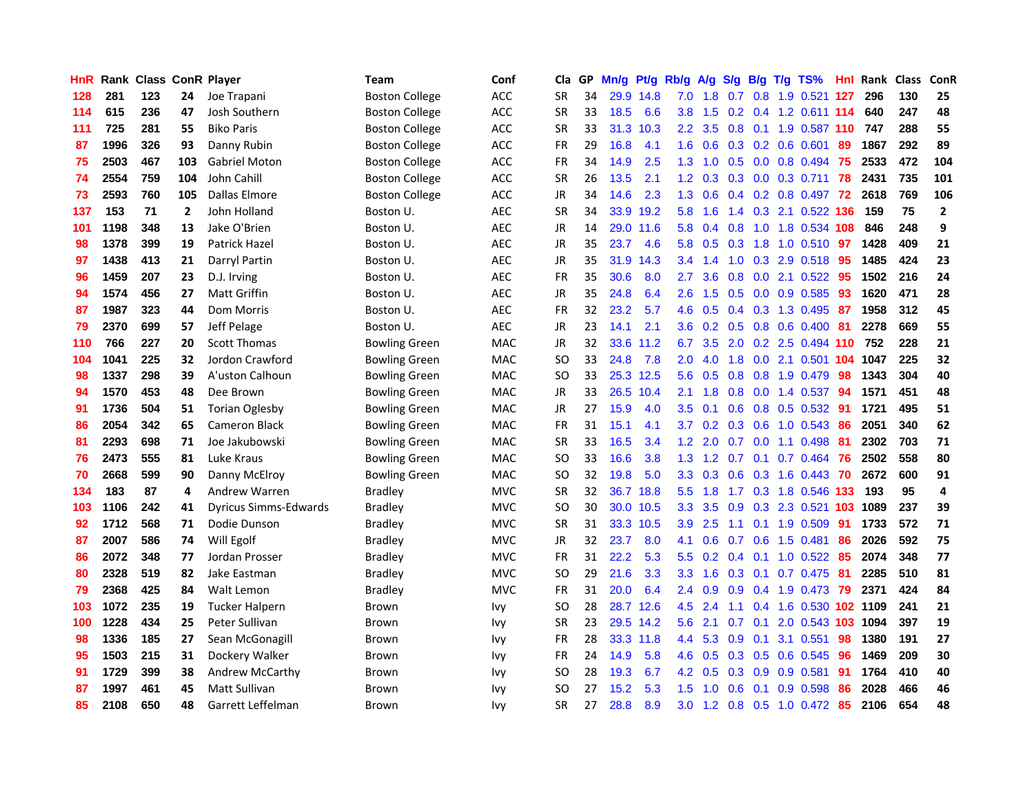| <b>HnR</b> |      | Rank Class ConR Player |     |                              | <b>Team</b>           | Conf       | Cla       |    | GP Mn/g Pt/g |           | Rb/g             | A/g             |                 |                 | S/g B/g T/g TS%            | Hnl | Rank Class |     | ConR           |
|------------|------|------------------------|-----|------------------------------|-----------------------|------------|-----------|----|--------------|-----------|------------------|-----------------|-----------------|-----------------|----------------------------|-----|------------|-----|----------------|
| 128        | 281  | 123                    | 24  | Joe Trapani                  | <b>Boston College</b> | <b>ACC</b> | <b>SR</b> | 34 |              | 29.9 14.8 | 7.0              | 1.8             | 0.7             | 0.8             | 1.9 0.521                  | 127 | 296        | 130 | 25             |
| 114        | 615  | 236                    | 47  | Josh Southern                | <b>Boston College</b> | ACC        | <b>SR</b> | 33 | 18.5         | 6.6       | 3.8              | 1.5             | 0.2             | 0.4             | 1.2 0.611 114              |     | 640        | 247 | 48             |
| 111        | 725  | 281                    | 55  | <b>Biko Paris</b>            | <b>Boston College</b> | ACC        | <b>SR</b> | 33 | 31.3         | 10.3      | $2.2^{\circ}$    | 3.5             | 0.8             | 0.1             | 1.9 0.587 110              |     | 747        | 288 | 55             |
| 87         | 1996 | 326                    | 93  | Danny Rubin                  | <b>Boston College</b> | <b>ACC</b> | FR        | 29 | 16.8         | 4.1       | 1.6              | 0.6             |                 |                 | $0.3$ 0.2 0.6 0.601        | 89  | 1867       | 292 | 89             |
| 75         | 2503 | 467                    | 103 | <b>Gabriel Moton</b>         | <b>Boston College</b> | <b>ACC</b> | FR        | 34 | 14.9         | 2.5       |                  | $1.3 \quad 1.0$ |                 |                 | $0.5$ 0.0 0.8 0.494        | -75 | 2533       | 472 | 104            |
| 74         | 2554 | 759                    | 104 | John Cahill                  | <b>Boston College</b> | ACC        | <b>SR</b> | 26 | 13.5         | 2.1       | 1.2 <sub>1</sub> | 0.3             |                 |                 | $0.3$ $0.0$ $0.3$ $0.711$  | 78  | 2431       | 735 | 101            |
| 73         | 2593 | 760                    | 105 | Dallas Elmore                | <b>Boston College</b> | ACC        | JR        | 34 | 14.6         | 2.3       | 1.3              | 0.6             |                 |                 | $0.4$ 0.2 0.8 0.497        | -72 | 2618       | 769 | 106            |
| 137        | 153  | 71                     | 2   | John Holland                 | Boston U.             | <b>AEC</b> | <b>SR</b> | 34 |              | 33.9 19.2 | 5.8              | 1.6             |                 |                 | 1.4 0.3 2.1 0.522 136      |     | 159        | 75  | $\overline{2}$ |
| 101        | 1198 | 348                    | 13  | Jake O'Brien                 | Boston U.             | <b>AEC</b> | JR        | 14 | 29.0         | 11.6      | 5.8              | 0.4             | 0.8             | 1.0             | 1.8 0.534 108              |     | 846        | 248 | 9              |
| 98         | 1378 | 399                    | 19  | <b>Patrick Hazel</b>         | Boston U.             | <b>AEC</b> | JR        | 35 | 23.7         | 4.6       | 5.8              | 0.5             | 0.3             | 1.8             | 1.0 0.510                  | -97 | 1428       | 409 | 21             |
| 97         | 1438 | 413                    | 21  | Darryl Partin                | Boston U.             | <b>AEC</b> | JR        | 35 | 31.9         | 14.3      | 3.4              | 1.4             | 1.0             | 0.3             | 2.9 0.518                  | 95  | 1485       | 424 | 23             |
| 96         | 1459 | 207                    | 23  | D.J. Irving                  | Boston U.             | <b>AEC</b> | <b>FR</b> | 35 | 30.6         | 8.0       | 2.7              | 3.6             | 0.8             | 0.0             | 2.1 0.522                  | 95  | 1502       | 216 | 24             |
| 94         | 1574 | 456                    | 27  | Matt Griffin                 | Boston U.             | <b>AEC</b> | JR        | 35 | 24.8         | 6.4       | 2.6              | 1.5             | 0.5             | 0.0             | 0.9 0.585                  | 93  | 1620       | 471 | 28             |
| 87         | 1987 | 323                    | 44  | Dom Morris                   | Boston U.             | <b>AEC</b> | FR        | 32 | 23.2         | 5.7       | 4.6              | 0.5             | $0.4^{\circ}$   | 0.3             | 1.3 0.495                  | 87  | 1958       | 312 | 45             |
| 79         | 2370 | 699                    | 57  | Jeff Pelage                  | Boston U.             | <b>AEC</b> | <b>JR</b> | 23 | 14.1         | 2.1       | 3.6              | 0.2             | 0.5             | 0.8             | $0.6$ $0.400$              | 81  | 2278       | 669 | 55             |
| 110        | 766  | 227                    | 20  | <b>Scott Thomas</b>          | <b>Bowling Green</b>  | <b>MAC</b> | JR        | 32 | 33.6         | 11.2      | 6.7              | 3.5             | 2.0             |                 | 0.2 2.5 0.494 110          |     | 752        | 228 | 21             |
| 104        | 1041 | 225                    | 32  | Jordon Crawford              | <b>Bowling Green</b>  | MAC        | <b>SO</b> | 33 | 24.8         | 7.8       | 2.0              | 4.0             |                 |                 | 1.8 0.0 2.1 0.501 104 1047 |     |            | 225 | 32             |
| 98         | 1337 | 298                    | 39  | A'uston Calhoun              | <b>Bowling Green</b>  | <b>MAC</b> | SO.       | 33 |              | 25.3 12.5 |                  | $5.6\quad 0.5$  |                 |                 | 0.8 0.8 1.9 0.479 98       |     | 1343       | 304 | 40             |
| 94         | 1570 | 453                    | 48  | Dee Brown                    | Bowling Green         | <b>MAC</b> | JR        | 33 |              | 26.5 10.4 | 2.1              | 1.8             |                 |                 | 0.8 0.0 1.4 0.537          | 94  | 1571       | 451 | 48             |
| 91         | 1736 | 504                    | 51  | <b>Torian Oglesby</b>        | Bowling Green         | <b>MAC</b> | JR        | 27 | 15.9         | 4.0       | $3.5^{\circ}$    | 0.1             |                 |                 | $0.6$ $0.8$ $0.5$ $0.532$  | -91 | 1721       | 495 | 51             |
| 86         | 2054 | 342                    | 65  | <b>Cameron Black</b>         | <b>Bowling Green</b>  | MAC        | FR        | 31 | 15.1         | 4.1       | 3.7              | 0.2             | 0.3             |                 | 0.6 1.0 0.543              | 86  | 2051       | 340 | 62             |
| 81         | 2293 | 698                    | 71  | Joe Jakubowski               | <b>Bowling Green</b>  | MAC        | <b>SR</b> | 33 | 16.5         | 3.4       | 1.2              | 2.0             | 0.7             | 0.0             | 1.1 0.498                  | 81  | 2302       | 703 | 71             |
| 76         | 2473 | 555                    | 81  | Luke Kraus                   | <b>Bowling Green</b>  | MAC        | <b>SO</b> | 33 | 16.6         | 3.8       | 1.3              | 1.2             | 0.7             | 0.1             | $0.7$ $0.464$              | 76  | 2502       | 558 | 80             |
| 70         | 2668 | 599                    | 90  | Danny McElroy                | Bowling Green         | MAC        | SO        | 32 | 19.8         | 5.0       | 3.3              | 0.3             | 0.6             |                 | 0.3 1.6 0.443              | 70  | 2672       | 600 | 91             |
| 134        | 183  | 87                     | 4   | <b>Andrew Warren</b>         | <b>Bradley</b>        | <b>MVC</b> | <b>SR</b> | 32 |              | 36.7 18.8 | 5.5              | 1.8             | 1.7             | 0.3             | 1.8 0.546 133              |     | 193        | 95  | 4              |
| 103        | 1106 | 242                    | 41  | <b>Dyricus Simms-Edwards</b> | <b>Bradley</b>        | <b>MVC</b> | <b>SO</b> | 30 | 30.0         | 10.5      | 3.3              | 3.5             | 0.9             | 0.3             | 2.3 0.521 103              |     | 1089       | 237 | 39             |
| 92         | 1712 | 568                    | 71  | Dodie Dunson                 | Bradley               | <b>MVC</b> | <b>SR</b> | 31 |              | 33.3 10.5 | 3.9              | 2.5             | 1.1             | 0.1             | 1.9 0.509                  | 91  | 1733       | 572 | 71             |
| 87         | 2007 | 586                    | 74  | Will Egolf                   | Bradley               | <b>MVC</b> | JR        | 32 | 23.7         | 8.0       | 4.1              | 0.6             | 0.7             | 0.6             | 1.5 0.481                  | 86  | 2026       | 592 | 75             |
| 86         | 2072 | 348                    | 77  | Jordan Prosser               | <b>Bradley</b>        | <b>MVC</b> | <b>FR</b> | 31 | 22.2         | 5.3       | 5.5              | 0.2             | 0.4             | 0.1             | $1.0 \t0.522$              | -85 | 2074       | 348 | 77             |
| 80         | 2328 | 519                    | 82  | Jake Eastman                 | <b>Bradley</b>        | <b>MVC</b> | SO.       | 29 | 21.6         | 3.3       | 3.3 <sub>2</sub> | 1.6             | $0.3 \quad 0.1$ |                 | 0.7 0.475                  | -81 | 2285       | 510 | 81             |
| 79         | 2368 | 425                    | 84  | Walt Lemon                   | <b>Bradley</b>        | <b>MVC</b> | <b>FR</b> | 31 | 20.0         | 6.4       | $2.4\phantom{0}$ | 0.9             |                 |                 | 0.9 0.4 1.9 0.473 79       |     | 2371       | 424 | 84             |
| 103        | 1072 | 235                    | 19  | <b>Tucker Halpern</b>        | Brown                 | Ivy        | <b>SO</b> | 28 |              | 28.7 12.6 | 4.5              | 2.4             | 1.1             |                 | 0.4 1.6 0.530 102 1109     |     |            | 241 | 21             |
| 100        | 1228 | 434                    | 25  | Peter Sullivan               | Brown                 | Ivy        | <b>SR</b> | 23 |              | 29.5 14.2 | 5.6              | 2.1             | 0.7             | 0.1             | 2.0 0.543 103              |     | 1094       | 397 | 19             |
| 98         | 1336 | 185                    | 27  | Sean McGonagill              | Brown                 | Ivy        | FR        | 28 |              | 33.3 11.8 | 4.4              | 5.3             | 0.9             | 0.1             | 3.1 0.551                  | 98  | 1380       | 191 | 27             |
| 95         | 1503 | 215                    | 31  | Dockery Walker               | Brown                 | Ivy        | <b>FR</b> | 24 | 14.9         | 5.8       | 4.6              | 0.5             |                 | $0.3 \quad 0.5$ | 0.6 0.545                  | 96  | 1469       | 209 | 30             |
| 91         | 1729 | 399                    | 38  | Andrew McCarthy              | Brown                 | Ivy        | <b>SO</b> | 28 | 19.3         | 6.7       | 4.2 <sub>1</sub> | 0.5             | 0.3             | 0.9             | 0.9 0.581                  | 91  | 1764       | 410 | 40             |
| 87         | 1997 | 461                    | 45  | Matt Sullivan                | Brown                 | Ivy        | SO        | 27 | 15.2         | 5.3       | 1.5              | .0<br>-1        | 0.6             | 0.1             | 0.9 0.598                  | 86  | 2028       | 466 | 46             |
| 85         | 2108 | 650                    | 48  | Garrett Leffelman            | <b>Brown</b>          | <b>Ivy</b> | <b>SR</b> | 27 | 28.8         | 8.9       | 3.0              |                 |                 |                 | 1.2 0.8 0.5 1.0 0.472      | 85  | 2106       | 654 | 48             |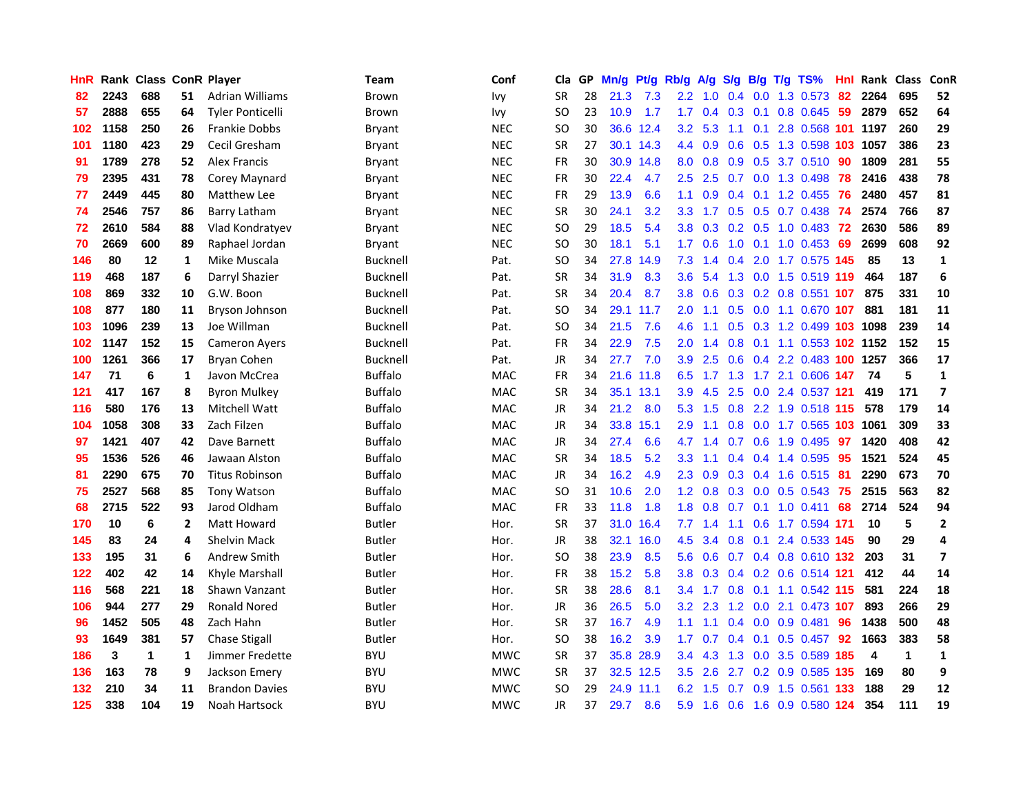| HnR |      | Rank Class ConR Player |                |                         | <b>Team</b>     | Conf       | Cla       |    | GP Mn/g | Pt/g      | Rb/g             | A/g           | S/g             | B/g             | $T/g$ TS%                  | Hnl  | Rank Class |              | ConR                    |
|-----|------|------------------------|----------------|-------------------------|-----------------|------------|-----------|----|---------|-----------|------------------|---------------|-----------------|-----------------|----------------------------|------|------------|--------------|-------------------------|
| 82  | 2243 | 688                    | 51             | <b>Adrian Williams</b>  | Brown           | lvy.       | <b>SR</b> | 28 | 21.3    | 7.3       | $2.2\phantom{0}$ | 1.0           | 0.4             | 0.0             | 1.3 0.573                  | 82   | 2264       | 695          | 52                      |
| 57  | 2888 | 655                    | 64             | <b>Tyler Ponticelli</b> | Brown           | Ivy        | SO.       | 23 | 10.9    | 1.7       | 1.7              | 0.4           | $0.3 \quad 0.1$ |                 | 0.8 0.645                  | 59   | 2879       | 652          | 64                      |
| 102 | 1158 | 250                    | 26             | <b>Frankie Dobbs</b>    | <b>Bryant</b>   | <b>NEC</b> | <b>SO</b> | 30 | 36.6    | 12.4      | 3.2              | 5.3           | 1.1             | 0.1             | 2.8 0.568 101 1197         |      |            | 260          | 29                      |
| 101 | 1180 | 423                    | 29             | Cecil Gresham           | Bryant          | <b>NEC</b> | <b>SR</b> | 27 |         | 30.1 14.3 |                  | 4.4 0.9       |                 |                 | 0.6 0.5 1.3 0.598 103 1057 |      |            | 386          | 23                      |
| 91  | 1789 | 278                    | 52.            | <b>Alex Francis</b>     | Bryant          | <b>NEC</b> | <b>FR</b> | 30 |         | 30.9 14.8 | 8.0              | 0.8           |                 |                 | 0.9 0.5 3.7 0.510 90       |      | 1809       | 281          | 55                      |
| 79  | 2395 | 431                    | 78             | Corey Maynard           | Bryant          | <b>NEC</b> | FR        | 30 | 22.4    | 4.7       | $2.5^{\circ}$    | 2.5           |                 |                 | $0.7$ $0.0$ 1.3 $0.498$    | -78  | 2416       | 438          | 78                      |
| 77  | 2449 | 445                    | 80             | Matthew Lee             | Bryant          | <b>NEC</b> | <b>FR</b> | 29 | 13.9    | 6.6       | 1.1              | 0.9           |                 |                 | $0.4$ 0.1 1.2 0.455        | -76  | 2480       | 457          | 81                      |
| 74  | 2546 | 757                    | 86             | Barry Latham            | Bryant          | <b>NEC</b> | <b>SR</b> | 30 | 24.1    | 3.2       | 3.3 <sub>2</sub> | 1.7           |                 |                 | $0.5$ $0.5$ $0.7$ $0.438$  | 74   | 2574       | 766          | 87                      |
| 72  | 2610 | 584                    | 88             | Vlad Kondratyev         | Bryant          | <b>NEC</b> | <b>SO</b> | 29 | 18.5    | 5.4       | 3.8              | 0.3           |                 |                 | 0.2 0.5 1.0 0.483          | 72   | 2630       | 586          | 89                      |
| 70  | 2669 | 600                    | 89             | Raphael Jordan          | Bryant          | <b>NEC</b> | <b>SO</b> | 30 | 18.1    | 5.1       | 1.7              | 0.6           | 1.0             | 0.1             | 1.0 0.453                  | -69  | 2699       | 608          | 92                      |
| 146 | 80   | 12                     | $\mathbf{1}$   | Mike Muscala            | Bucknell        | Pat.       | SO.       | 34 | 27.8    | 14.9      | 7.3              | 1.4           | 0.4             | 2.0             | 1.7 0.575 145              |      | 85         | 13           | $\mathbf{1}$            |
| 119 | 468  | 187                    | 6              | Darryl Shazier          | Bucknell        | Pat.       | <b>SR</b> | 34 | 31.9    | 8.3       | 3.6              | 5.4           |                 | $1.3 \quad 0.0$ | 1.5 0.519 119              |      | 464        | 187          | 6                       |
| 108 | 869  | 332                    | 10             | G.W. Boon               | Bucknell        | Pat.       | <b>SR</b> | 34 | 20.4    | 8.7       | 3.8 <sub>2</sub> | 0.6           | 0.3             |                 | $0.2$ 0.8 0.551 107        |      | 875        | 331          | 10                      |
| 108 | 877  | 180                    | 11             | Bryson Johnson          | Bucknell        | Pat.       | <b>SO</b> | 34 |         | 29.1 11.7 | 2.0              | 1.1           | 0.5             | 0.0             | 1.1 0.670 107              |      | 881        | 181          | 11                      |
| 103 | 1096 | 239                    | 13             | Joe Willman             | <b>Bucknell</b> | Pat.       | <b>SO</b> | 34 | 21.5    | 7.6       | 4.6              | 1.1           | 0.5             |                 | 0.3 1.2 0.499 103          |      | 1098       | 239          | 14                      |
| 102 | 1147 | 152                    | 15             | <b>Cameron Ayers</b>    | <b>Bucknell</b> | Pat.       | FR        | 34 | 22.9    | 7.5       | 2.0 <sub>2</sub> | 1.4           | 0.8             |                 | 0.1 1.1 0.553 102 1152     |      |            | 152          | 15                      |
| 100 | 1261 | 366                    | 17             | Bryan Cohen             | Bucknell        | Pat.       | <b>JR</b> | 34 | 27.7    | 7.0       |                  | $3.9$ 2.5     |                 |                 | 0.6 0.4 2.2 0.483 100 1257 |      |            | 366          | 17                      |
| 147 | 71   | 6                      | 1              | Javon McCrea            | <b>Buffalo</b>  | <b>MAC</b> | <b>FR</b> | 34 |         | 21.6 11.8 |                  | $6.5$ 1.7     |                 |                 | 1.3 1.7 2.1 0.606 147      |      | -74        | 5            | $\mathbf{1}$            |
| 121 | 417  | 167                    | 8              | <b>Byron Mulkey</b>     | <b>Buffalo</b>  | <b>MAC</b> | <b>SR</b> | 34 |         | 35.1 13.1 | 3.9              | 4.5           |                 |                 | 2.5 0.0 2.4 0.537 121      |      | 419        | 171          | $\overline{ }$          |
| 116 | 580  | 176                    | 13             | Mitchell Watt           | <b>Buffalo</b>  | MAC        | JR        | 34 | 21.2    | 8.0       | 5.3              | 1.5           | 0.8             |                 | 2.2 1.9 0.518 115          |      | 578        | 179          | 14                      |
| 104 | 1058 | 308                    | 33             | Zach Filzen             | <b>Buffalo</b>  | <b>MAC</b> | JR        | 34 | 33.8    | 15.1      | 2.9              | 1.1           | 0.8             |                 | 0.0 1.7 0.565 103 1061     |      |            | 309          | 33                      |
| 97  | 1421 | 407                    | 42             | Dave Barnett            | <b>Buffalo</b>  | MAC        | JR        | 34 | 27.4    | 6.6       | 4.7              | 1.4           | 0.7             | 0.6             | 1.9 0.495                  | -97  | 1420       | 408          | 42                      |
| 95  | 1536 | 526                    | 46             | Jawaan Alston           | <b>Buffalo</b>  | <b>MAC</b> | <b>SR</b> | 34 | 18.5    | 5.2       | 3.3 <sub>2</sub> | 1.1           |                 |                 | $0.4$ 0.4 1.4 0.595        | 95   | 1521       | 524          | 45                      |
| 81  | 2290 | 675                    | 70             | <b>Titus Robinson</b>   | <b>Buffalo</b>  | MAC        | JR        | 34 | 16.2    | 4.9       | $2.3^{\circ}$    | 0.9           |                 |                 | $0.3$ 0.4 1.6 0.515        | -81  | 2290       | 673          | 70                      |
| 75  | 2527 | 568                    | 85             | <b>Tony Watson</b>      | <b>Buffalo</b>  | <b>MAC</b> | SO.       | 31 | 10.6    | 2.0       | 1.2 <sub>1</sub> | 0.8           |                 | $0.3 \ 0.0$     | $0.5 \quad 0.543$          | -75  | 2515       | 563          | 82                      |
| 68  | 2715 | 522                    | 93             | Jarod Oldham            | <b>Buffalo</b>  | <b>MAC</b> | <b>FR</b> | 33 | 11.8    | 1.8       | 1.8              | 0.8           | 0.7             |                 | $0.1$ 1.0 0.411            | 68   | 2714       | 524          | 94                      |
| 170 | 10   | 6                      | $\overline{2}$ | Matt Howard             | Butler          | Hor.       | <b>SR</b> | 37 | 31.0    | 16.4      | 7.7              | 1.4           | 1.1             | 0.6             | 1.7 0.594 171              |      | 10         | 5            | $\mathbf{2}$            |
| 145 | 83   | 24                     | 4              | Shelvin Mack            | Butler          | Hor.       | JR        | 38 | 32.1    | 16.0      | 4.5              | 3.4           | 0.8             | 0.1             | 2.4 0.533 145              |      | 90         | 29           | 4                       |
| 133 | 195  | 31                     | 6              | Andrew Smith            | <b>Butler</b>   | Hor.       | SO.       | 38 | 23.9    | 8.5       | 5.6              | 0.6           |                 |                 | 0.7 0.4 0.8 0.610 132      |      | 203        | 31           | $\overline{\mathbf{z}}$ |
| 122 | 402  | 42                     | 14             | Khyle Marshall          | Butler          | Hor.       | <b>FR</b> | 38 | 15.2    | 5.8       | 3.8 <sup>°</sup> |               |                 |                 | 0.3 0.4 0.2 0.6 0.514 121  |      | 412        | 44           | 14                      |
| 116 | 568  | 221                    | 18             | Shawn Vanzant           | Butler          | Hor.       | <b>SR</b> | 38 | 28.6    | 8.1       |                  | $3.4$ 1.7     |                 |                 | 0.8 0.1 1.1 0.542 115      |      | 581        | 224          | 18                      |
| 106 | 944  | 277                    | 29             | <b>Ronald Nored</b>     | Butler          | Hor.       | JR        | 36 | 26.5    | 5.0       |                  | $3.2\quad2.3$ |                 |                 | 1.2 0.0 2.1 0.473 107      |      | 893        | 266          | 29                      |
| 96  | 1452 | 505                    | 48             | Zach Hahn               | Butler          | Hor.       | <b>SR</b> | 37 | 16.7    | 4.9       | 1.1 <sub>1</sub> | 1.1           |                 |                 | $0.4$ 0.0 0.9 0.481        | 96   | 1438       | 500          | 48                      |
| 93  | 1649 | 381                    | 57             | <b>Chase Stigall</b>    | Butler          | Hor.       | SO.       | 38 | 16.2    | 3.9       | 1.7 <sub>z</sub> | 0.7           |                 | $0.4 \quad 0.1$ | $0.5$ 0.457                | 92   | 1663       | 383          | 58                      |
| 186 | 3    | 1                      | 1              | Jimmer Fredette         | <b>BYU</b>      | <b>MWC</b> | <b>SR</b> | 37 |         | 35.8 28.9 | $3.4^{\circ}$    | 4.3           | 1.3             |                 | 0.0 3.5 0.589 185          |      | 4          | $\mathbf{1}$ | 1                       |
| 136 | 163  | 78                     | 9              | Jackson Emery           | <b>BYU</b>      | <b>MWC</b> | <b>SR</b> | 37 |         | 32.5 12.5 | $3.5^{\circ}$    | 2.6           | 2.7             |                 | $0.2$ 0.9 0.585            | 135  | 169        | 80           | 9                       |
| 132 | 210  | 34                     | 11             | <b>Brandon Davies</b>   | <b>BYU</b>      | <b>MWC</b> | <b>SO</b> | 29 | 24.9    | 11.1      | 6.2              | 1.5           | 0.7             | 0.9             | 1.5 0.561                  | -133 | 188        | 29           | 12                      |
| 125 | 338  | 104                    | 19             | Noah Hartsock           | BYU             | <b>MWC</b> | JR        | 37 | 29.7    | 8.6       | 5.9              | 1.6           | 0.6             |                 | 1.6 0.9 0.580 124          |      | 354        | 111          | 19                      |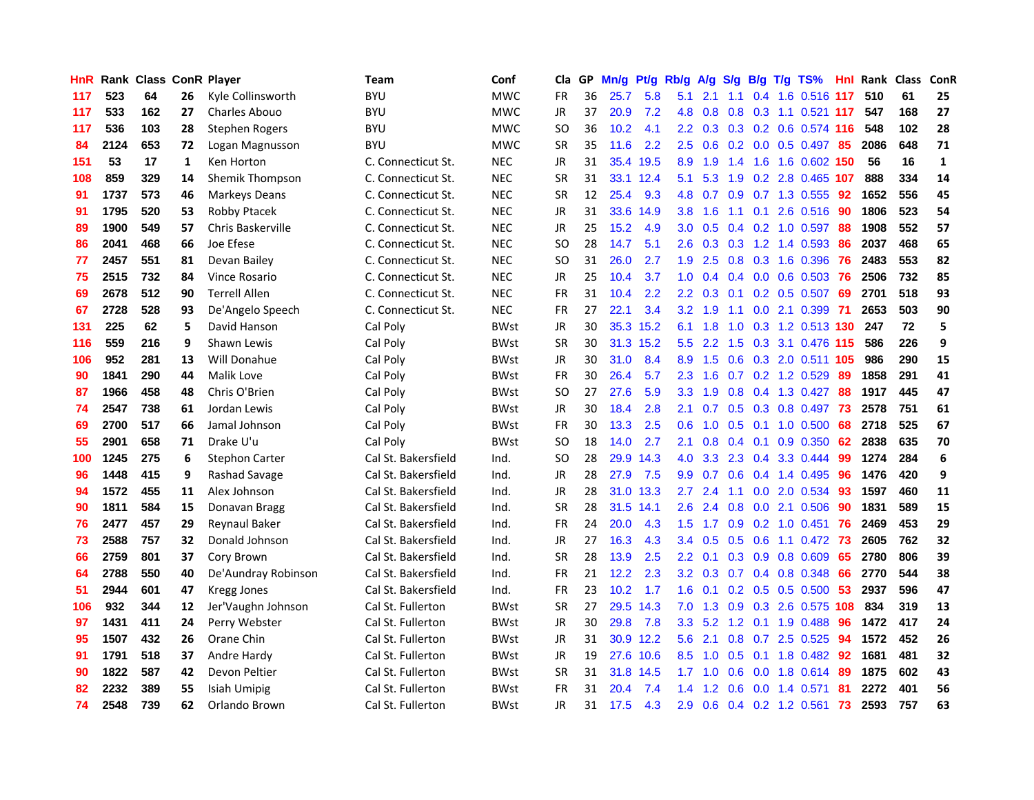| HnR |      | Rank Class ConR Player |    |                          | <b>Team</b>         | Conf        | Cla       |    | GP Mn/g | Pt/g Rb/g |                  | A/g             |     |                 | S/g B/g T/g TS%           | Hnl | Rank Class |     | ConR         |
|-----|------|------------------------|----|--------------------------|---------------------|-------------|-----------|----|---------|-----------|------------------|-----------------|-----|-----------------|---------------------------|-----|------------|-----|--------------|
| 117 | 523  | 64                     | 26 | Kyle Collinsworth        | <b>BYU</b>          | <b>MWC</b>  | <b>FR</b> | 36 | 25.7    | 5.8       | 5.1              | 2.1             | 1.1 | 0.4             | 1.6 0.516 117             |     | 510        | 61  | 25           |
| 117 | 533  | 162                    | 27 | Charles Abouo            | <b>BYU</b>          | <b>MWC</b>  | <b>JR</b> | 37 | 20.9    | 7.2       | 4.8              | 0.8             | 0.8 | 0.3             | 1.1 0.521 117             |     | 547        | 168 | 27           |
| 117 | 536  | 103                    | 28 | <b>Stephen Rogers</b>    | <b>BYU</b>          | <b>MWC</b>  | <b>SO</b> | 36 | 10.2    | 4.1       | 2.2 <sub>2</sub> | 0.3             |     | $0.3 \quad 0.2$ | 0.6 0.574 116             |     | 548        | 102 | 28           |
| 84  | 2124 | 653                    | 72 | Logan Magnusson          | <b>BYU</b>          | <b>MWC</b>  | <b>SR</b> | 35 | 11.6    | 2.2       | 2.5              | 0.6             |     |                 | 0.2 0.0 0.5 0.497 85      |     | 2086       | 648 | 71           |
| 151 | 53   | 17                     | 1  | Ken Horton               | C. Connecticut St.  | <b>NEC</b>  | JR        | 31 |         | 35.4 19.5 |                  | 8.9 1.9         | 1.4 |                 | 1.6 1.6 0.602 150         |     | 56         | 16  | $\mathbf{1}$ |
| 108 | 859  | 329                    | 14 | Shemik Thompson          | C. Connecticut St.  | <b>NEC</b>  | <b>SR</b> | 31 |         | 33.1 12.4 | 5.1              | 5.3             |     |                 | 1.9 0.2 2.8 0.465 107     |     | 888        | 334 | 14           |
| 91  | 1737 | 573                    | 46 | <b>Markeys Deans</b>     | C. Connecticut St.  | <b>NEC</b>  | <b>SR</b> | 12 | 25.4    | 9.3       | 4.8              | 0.7             |     |                 | $0.9$ 0.7 1.3 0.555       | 92  | 1652       | 556 | 45           |
| 91  | 1795 | 520                    | 53 | Robby Ptacek             | C. Connecticut St.  | <b>NEC</b>  | JR        | 31 | 33.6    | 14.9      | 3.8 <sub>1</sub> | 1.6             | 1.1 | 0.1             | 2.6 0.516                 | 90  | 1806       | 523 | 54           |
| 89  | 1900 | 549                    | 57 | <b>Chris Baskerville</b> | C. Connecticut St.  | <b>NEC</b>  | <b>JR</b> | 25 | 15.2    | 4.9       | 3.0              | 0.5             |     |                 | 0.4 0.2 1.0 0.597         | 88  | 1908       | 552 | 57           |
| 86  | 2041 | 468                    | 66 | Joe Efese                | C. Connecticut St.  | <b>NEC</b>  | <b>SO</b> | 28 | 14.7    | 5.1       | 2.6              | 0.3             | 0.3 |                 | 1.2 1.4 0.593             | 86  | 2037       | 468 | 65           |
| 77  | 2457 | 551                    | 81 | Devan Bailey             | C. Connecticut St.  | <b>NEC</b>  | <b>SO</b> | 31 | 26.0    | 2.7       | 1.9              | 2.5             | 0.8 |                 | 0.3 1.6 0.396             | 76  | 2483       | 553 | 82           |
| 75  | 2515 | 732                    | 84 | Vince Rosario            | C. Connecticut St.  | <b>NEC</b>  | JR.       | 25 | 10.4    | 3.7       | 1.0              | 0.4             | 0.4 | 0.0             | 0.6 0.503                 | 76  | 2506       | 732 | 85           |
| 69  | 2678 | 512                    | 90 | <b>Terrell Allen</b>     | C. Connecticut St.  | <b>NEC</b>  | <b>FR</b> | 31 | 10.4    | 2.2       | $2.2\phantom{0}$ | 0.3             | 0.1 | 0.2             | $0.5$ 0.507               | 69  | 2701       | 518 | 93           |
| 67  | 2728 | 528                    | 93 | De'Angelo Speech         | C. Connecticut St.  | <b>NEC</b>  | <b>FR</b> | 27 | 22.1    | 3.4       | 3.2 <sub>2</sub> | 1.9             | 1.1 | 0.0             | 2.1 0.399                 | -71 | 2653       | 503 | 90           |
| 131 | 225  | 62                     | 5  | David Hanson             | Cal Poly            | <b>BWst</b> | <b>JR</b> | 30 |         | 35.3 15.2 | 6.1              | 1.8             | 1.0 | 0.3             | 1.2 0.513 130             |     | 247        | 72  | 5            |
| 116 | 559  | 216                    | 9  | Shawn Lewis              | Cal Poly            | <b>BWst</b> | <b>SR</b> | 30 |         | 31.3 15.2 | 5.5              | 2.2             | 1.5 |                 | 0.3 3.1 0.476 115         |     | 586        | 226 | 9            |
| 106 | 952  | 281                    | 13 | Will Donahue             | Cal Poly            | <b>BWst</b> | JR        | 30 | 31.0    | 8.4       | 8.9              | 1.5             |     |                 | 0.6 0.3 2.0 0.511 105     |     | 986        | 290 | 15           |
| 90  | 1841 | 290                    | 44 | Malik Love               | Cal Poly            | <b>BWst</b> | <b>FR</b> | 30 | 26.4    | 5.7       |                  | $2.3$ 1.6       |     |                 | $0.7$ $0.2$ 1.2 $0.529$   | -89 | 1858       | 291 | 41           |
| 87  | 1966 | 458                    | 48 | Chris O'Brien            | Cal Poly            | <b>BWst</b> | SO.       | 27 | 27.6    | 5.9       | 3.3 <sub>2</sub> | 1.9             |     |                 | 0.8 0.4 1.3 0.427         | 88  | 1917       | 445 | 47           |
| 74  | 2547 | 738                    | 61 | Jordan Lewis             | Cal Poly            | <b>BWst</b> | JR        | 30 | 18.4    | 2.8       | 2.1              | 0.7             |     |                 | 0.5 0.3 0.8 0.497 73      |     | 2578       | 751 | 61           |
| 69  | 2700 | 517                    | 66 | Jamal Johnson            | Cal Poly            | <b>BWst</b> | <b>FR</b> | 30 | 13.3    | 2.5       | 0.6              | 1.0             |     |                 | 0.5 0.1 1.0 0.500         | 68  | 2718       | 525 | 67           |
| 55  | 2901 | 658                    | 71 | Drake U'u                | Cal Poly            | <b>BWst</b> | <b>SO</b> | 18 | 14.0    | 2.7       | 2.1              | 0.8             |     | $0.4 \quad 0.1$ | 0.9 0.350                 | 62  | 2838       | 635 | 70           |
| 100 | 1245 | 275                    | 6  | <b>Stephon Carter</b>    | Cal St. Bakersfield | Ind.        | <b>SO</b> | 28 | 29.9    | 14.3      | 4.0              | 3.3             |     |                 | 2.3 0.4 3.3 0.444         | -99 | 1274       | 284 | 6            |
| 96  | 1448 | 415                    | 9  | Rashad Savage            | Cal St. Bakersfield | Ind.        | JR        | 28 | 27.9    | 7.5       | 9.9              | 0.7             | 0.6 | 0.4             | 1.4 0.495                 | 96  | 1476       | 420 | 9            |
| 94  | 1572 | 455                    | 11 | Alex Johnson             | Cal St. Bakersfield | Ind.        | <b>JR</b> | 28 | 31.0    | 13.3      | 2.7              | 2.4             | 1.1 | 0.0             | 2.0 0.534                 | 93  | 1597       | 460 | 11           |
| 90  | 1811 | 584                    | 15 | Donavan Bragg            | Cal St. Bakersfield | Ind.        | <b>SR</b> | 28 |         | 31.5 14.1 | 2.6              | 2.4             | 0.8 | 0.0             | 2.1 0.506                 | -90 | 1831       | 589 | 15           |
| 76  | 2477 | 457                    | 29 | <b>Reynaul Baker</b>     | Cal St. Bakersfield | Ind.        | <b>FR</b> | 24 | 20.0    | 4.3       | 1.5              | 1.7             | 0.9 | 0.2             | $1.0$ 0.451               | -76 | 2469       | 453 | 29           |
| 73  | 2588 | 757                    | 32 | Donald Johnson           | Cal St. Bakersfield | Ind.        | JR        | 27 | 16.3    | 4.3       | 3.4              | 0.5             | 0.5 | 0.6             | $1.1$ 0.472               | 73  | 2605       | 762 | 32           |
| 66  | 2759 | 801                    | 37 | Cory Brown               | Cal St. Bakersfield | Ind.        | <b>SR</b> | 28 | 13.9    | 2.5       | $2.2\,$          | 0.1             |     | $0.3 \quad 0.9$ | 0.8 0.609                 | 65  | 2780       | 806 | 39           |
| 64  | 2788 | 550                    | 40 | De'Aundray Robinson      | Cal St. Bakersfield | Ind.        | <b>FR</b> | 21 | 12.2    | 2.3       |                  | $3.2 \quad 0.3$ |     |                 | $0.7$ $0.4$ $0.8$ $0.348$ | 66  | 2770       | 544 | 38           |
| 51  | 2944 | 601                    | 47 | <b>Kregg Jones</b>       | Cal St. Bakersfield | Ind.        | <b>FR</b> | 23 | 10.2    | 1.7       | 1.6              | 0.1             |     |                 | $0.2$ 0.5 0.5 0.500       | 53  | 2937       | 596 | 47           |
| 106 | 932  | 344                    | 12 | Jer'Vaughn Johnson       | Cal St. Fullerton   | <b>BWst</b> | <b>SR</b> | 27 |         | 29.5 14.3 | 7.0              | 1.3             |     |                 | 0.9 0.3 2.6 0.575 108     |     | 834        | 319 | 13           |
| 97  | 1431 | 411                    | 24 | Perry Webster            | Cal St. Fullerton   | <b>BWst</b> | JR        | 30 | 29.8    | 7.8       | 3.3 <sub>2</sub> | 5.2             |     |                 | 1.2 0.1 1.9 0.488         | 96  | 1472       | 417 | 24           |
| 95  | 1507 | 432                    | 26 | Orane Chin               | Cal St. Fullerton   | <b>BWst</b> | JR        | 31 |         | 30.9 12.2 | 5.6              | 2.1             | 0.8 |                 | $0.7$ 2.5 $0.525$         | 94  | 1572       | 452 | 26           |
| 91  | 1791 | 518                    | 37 | Andre Hardy              | Cal St. Fullerton   | <b>BWst</b> | <b>JR</b> | 19 | 27.6    | 10.6      | 8.5              | 1.0             | 0.5 | 0.1             | 1.8 0.482                 | 92  | 1681       | 481 | 32           |
| 90  | 1822 | 587                    | 42 | Devon Peltier            | Cal St. Fullerton   | <b>BWst</b> | <b>SR</b> | 31 | 31.8    | 14.5      | 1.7              | 1.0             | 0.6 | 0.0             | 1.8 0.614                 | 89  | 1875       | 602 | 43           |
| 82  | 2232 | 389                    | 55 | Isiah Umipig             | Cal St. Fullerton   | BWst        | FR        | 31 | 20.4    | 7.4       | 1.4              | .2<br>-1        | 0.6 | 0.0             | 1.4 0.571                 | 81  | 2272       | 401 | 56           |
| 74  | 2548 | 739                    | 62 | Orlando Brown            | Cal St. Fullerton   | <b>BWst</b> | <b>JR</b> | 31 | 17.5    | 4.3       | 2.9              | 0.6             |     |                 | 0.4 0.2 1.2 0.561         | 73  | 2593       | 757 | 63           |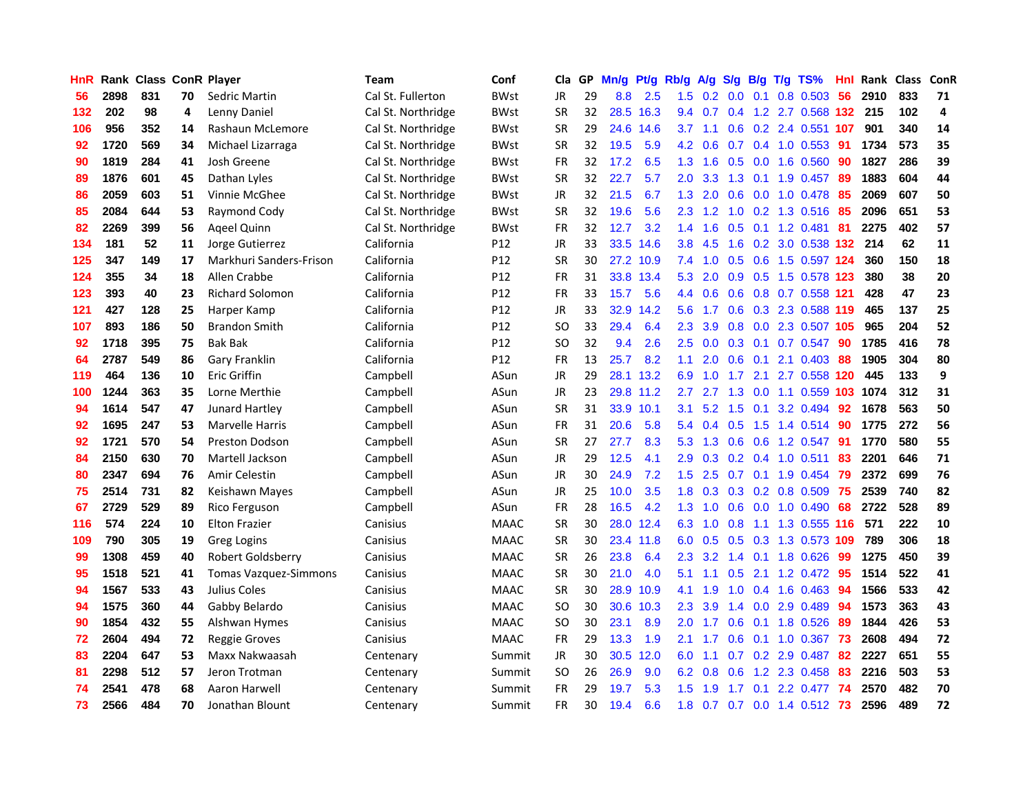| HnR |      | Rank Class ConR Player |    |                              | <b>Team</b>        | Conf        | Cla       |     | GP Mn/g | Pt/g      | Rb/g             | A/g       |                  |                 | S/g B/g T/g TS%      | Hnl  | Rank Class |     | ConR |
|-----|------|------------------------|----|------------------------------|--------------------|-------------|-----------|-----|---------|-----------|------------------|-----------|------------------|-----------------|----------------------|------|------------|-----|------|
| 56  | 2898 | 831                    | 70 | Sedric Martin                | Cal St. Fullerton  | <b>BWst</b> | <b>JR</b> | 29  | 8.8     | 2.5       | 1.5              | 0.2       | 0.0              | 0.1             | 0.8 0.503            | 56   | 2910       | 833 | 71   |
| 132 | 202  | 98                     | 4  | Lenny Daniel                 | Cal St. Northridge | <b>BWst</b> | <b>SR</b> | 32  | 28.5    | 16.3      | 9.4              | 0.7       | 0.4              | 1.2             | 2.7 0.568            | 132  | 215        | 102 | 4    |
| 106 | 956  | 352                    | 14 | Rashaun McLemore             | Cal St. Northridge | <b>BWst</b> | <b>SR</b> | 29  | 24.6    | 14.6      | 3.7              | 1.1       | 0.6              |                 | 0.2 2.4 0.551 107    |      | 901        | 340 | 14   |
| 92  | 1720 | 569                    | 34 | Michael Lizarraga            | Cal St. Northridge | <b>BWst</b> | <b>SR</b> | 32  | 19.5    | 5.9       |                  | 4.2 0.6   | 0.7              |                 | 0.4 1.0 0.553        | -91  | 1734       | 573 | 35   |
| 90  | 1819 | 284                    | 41 | Josh Greene                  | Cal St. Northridge | <b>BWst</b> | <b>FR</b> | 32  | 17.2    | 6.5       |                  | $1.3$ 1.6 |                  |                 | $0.5$ 0.0 1.6 0.560  | -90  | 1827       | 286 | 39   |
| 89  | 1876 | 601                    | 45 | Dathan Lyles                 | Cal St. Northridge | <b>BWst</b> | <b>SR</b> | 32  | 22.7    | 5.7       | $2.0^{\circ}$    | 3.3       |                  |                 | 1.3 0.1 1.9 0.457    | -89  | 1883       | 604 | 44   |
| 86  | 2059 | 603                    | 51 | Vinnie McGhee                | Cal St. Northridge | <b>BWst</b> | JR        | 32. | 21.5    | 6.7       | 1.3              | 2.0       | 0.6              |                 | $0.0$ 1.0 0.478      | -85  | 2069       | 607 | 50   |
| 85  | 2084 | 644                    | 53 | Raymond Cody                 | Cal St. Northridge | <b>BWst</b> | <b>SR</b> | 32  | 19.6    | 5.6       | $2.3\phantom{0}$ | 1.2       | 1.0              |                 | 0.2 1.3 0.516        | 85   | 2096       | 651 | 53   |
| 82  | 2269 | 399                    | 56 | <b>Ageel Quinn</b>           | Cal St. Northridge | <b>BWst</b> | <b>FR</b> | 32  | 12.7    | 3.2       | 1.4              | 1.6       | 0.5              | 0.1             | 1.2 0.481            | -81  | 2275       | 402 | 57   |
| 134 | 181  | 52                     | 11 | Jorge Gutierrez              | California         | P12         | <b>JR</b> | 33  | 33.5    | 14.6      | 3.8              | 4.5       | 1.6              |                 | 0.2 3.0 0.538        | 132  | 214        | 62  | 11   |
| 125 | 347  | 149                    | 17 | Markhuri Sanders-Frison      | California         | P12         | <b>SR</b> | 30  |         | 27.2 10.9 | 7.4              | 1.0       | 0.5              | 0.6             | 1.5 0.597 124        |      | 360        | 150 | 18   |
| 124 | 355  | 34                     | 18 | Allen Crabbe                 | California         | P12         | <b>FR</b> | 31  |         | 33.8 13.4 | 5.3              | 2.0       | 0.9              | 0.5             | 1.5 0.578            | 123  | 380        | 38  | 20   |
| 123 | 393  | 40                     | 23 | <b>Richard Solomon</b>       | California         | P12         | <b>FR</b> | 33  | 15.7    | 5.6       | 4.4              | 0.6       | 0.6              |                 | 0.8 0.7 0.558        | 121  | 428        | 47  | 23   |
| 121 | 427  | 128                    | 25 | Harper Kamp                  | California         | P12         | <b>JR</b> | 33  | 32.9    | 14.2      | 5.6              | 1.7       | 0.6 <sub>2</sub> | 0.3             | 2.3 0.588            | -119 | 465        | 137 | 25   |
| 107 | 893  | 186                    | 50 | <b>Brandon Smith</b>         | California         | P12         | <b>SO</b> | 33  | 29.4    | 6.4       | 2.3              | 3.9       | 0.8              | 0.0             | 2.3 0.507 105        |      | 965        | 204 | 52   |
| 92  | 1718 | 395                    | 75 | <b>Bak Bak</b>               | California         | P12         | <b>SO</b> | 32  | 9.4     | 2.6       | 2.5              | 0.0       |                  | $0.3 \quad 0.1$ | $0.7$ 0.547          | -90  | 1785       | 416 | 78   |
| 64  | 2787 | 549                    | 86 | Gary Franklin                | California         | P12         | <b>FR</b> | 13  | 25.7    | 8.2       | 1.1              | 2.0       |                  | $0.6$ 0.1       | 2.1 0.403            | -88  | 1905       | 304 | 80   |
| 119 | 464  | 136                    | 10 | <b>Eric Griffin</b>          | Campbell           | ASun        | JR        | 29  |         | 28.1 13.2 | 6.9              | 1.0       | 1.7              | 2.1             | 2.7 0.558 120        |      | 445        | 133 | 9    |
| 100 | 1244 | 363                    | 35 | Lorne Merthie                | Campbell           | ASun        | JR        | 23  |         | 29.8 11.2 | $2.7^{\circ}$    | 2.7       |                  | $1.3 \ 0.0$     | 1.1 0.559 103        |      | 1074       | 312 | 31   |
| 94  | 1614 | 547                    | 47 | <b>Junard Hartley</b>        | Campbell           | ASun        | <b>SR</b> | 31  |         | 33.9 10.1 | 3.1              | 5.2       |                  |                 | 1.5 0.1 3.2 0.494    | 92   | 1678       | 563 | 50   |
| 92  | 1695 | 247                    | 53 | Marvelle Harris              | Campbell           | ASun        | <b>FR</b> | 31  | 20.6    | 5.8       | 5.4              | 0.4       | 0.5              |                 | 1.5 1.4 0.514        | 90   | 1775       | 272 | 56   |
| 92  | 1721 | 570                    | 54 | Preston Dodson               | Campbell           | ASun        | <b>SR</b> | 27  | 27.7    | 8.3       | 5.3              | 1.3       | 0.6              | 0.6             | 1.2 0.547            | -91  | 1770       | 580 | 55   |
| 84  | 2150 | 630                    | 70 | Martell Jackson              | Campbell           | ASun        | JR        | 29  | 12.5    | 4.1       | 2.9              | 0.3       |                  |                 | 0.2 0.4 1.0 0.511    | 83   | 2201       | 646 | 71   |
| 80  | 2347 | 694                    | 76 | Amir Celestin                | Campbell           | ASun        | JR        | 30  | 24.9    | 7.2       | 1.5              | 2.5       | 0.7              | 0.1             | 1.9 0.454            | 79   | 2372       | 699 | 76   |
| 75  | 2514 | 731                    | 82 | Keishawn Mayes               | Campbell           | ASun        | <b>JR</b> | 25  | 10.0    | 3.5       | 1.8              | 0.3       | 0.3              |                 | 0.2 0.8 0.509        | -75  | 2539       | 740 | 82   |
| 67  | 2729 | 529                    | 89 | Rico Ferguson                | Campbell           | ASun        | <b>FR</b> | 28  | 16.5    | 4.2       | 1.3              | 1.0       | 0.6              | 0.0             | 1.0 0.490            | 68   | 2722       | 528 | 89   |
| 116 | 574  | 224                    | 10 | <b>Elton Frazier</b>         | Canisius           | <b>MAAC</b> | <b>SR</b> | 30  |         | 28.0 12.4 | 6.3              | 1.0       | 0.8              | 1.1             | 1.3 0.555 116        |      | 571        | 222 | 10   |
| 109 | 790  | 305                    | 19 | <b>Greg Logins</b>           | Canisius           | <b>MAAC</b> | <b>SR</b> | 30  |         | 23.4 11.8 | 6.0              | 0.5       | 0.5              | 0.3             | 1.3 0.573 109        |      | 789        | 306 | 18   |
| 99  | 1308 | 459                    | 40 | Robert Goldsberry            | Canisius           | <b>MAAC</b> | <b>SR</b> | 26  | 23.8    | 6.4       | $2.3\phantom{0}$ | 3.2       | 1.4              | 0.1             | 1.8 0.626            | -99  | 1275       | 450 | 39   |
| 95  | 1518 | 521                    | 41 | <b>Tomas Vazquez-Simmons</b> | Canisius           | <b>MAAC</b> | <b>SR</b> | 30  | 21.0    | 4.0       | 5.1              | 1.1       |                  | $0.5$ 2.1       | 1.2 0.472            | -95  | 1514       | 522 | 41   |
| 94  | 1567 | 533                    | 43 | Julius Coles                 | Canisius           | <b>MAAC</b> | <b>SR</b> | 30  |         | 28.9 10.9 | 4.1              | 1.9       |                  |                 | $1.0$ 0.4 1.6 0.463  | -94  | 1566       | 533 | 42   |
| 94  | 1575 | 360                    | 44 | Gabby Belardo                | Canisius           | <b>MAAC</b> | <b>SO</b> | 30  |         | 30.6 10.3 | 2.3              | 3.9       |                  | $1.4 \quad 0.0$ | 2.9 0.489            | 94   | 1573       | 363 | 43   |
| 90  | 1854 | 432                    | 55 | Alshwan Hymes                | Canisius           | <b>MAAC</b> | <b>SO</b> | 30  | 23.1    | 8.9       | 2.0              | 1.7       | 0.6              |                 | 0.1 1.8 0.526        | 89   | 1844       | 426 | 53   |
| 72  | 2604 | 494                    | 72 | <b>Reggie Groves</b>         | Canisius           | <b>MAAC</b> | FR        | 29  | 13.3    | 1.9       | 2.1              | 1.7       | 0.6              |                 | $0.1$ 1.0 0.367      | 73   | 2608       | 494 | 72   |
| 83  | 2204 | 647                    | 53 | Maxx Nakwaasah               | Centenary          | Summit      | <b>JR</b> | 30  | 30.5    | 12.0      | 6.0              | 1.1       | 0.7              |                 | 0.2 2.9 0.487        | 82   | 2227       | 651 | 55   |
| 81  | 2298 | 512                    | 57 | Jeron Trotman                | Centenary          | Summit      | <b>SO</b> | 26  | 26.9    | 9.0       | 6.2              | 0.8       | 0.6              |                 | 1.2 2.3 0.458        | 83   | 2216       | 503 | 53   |
| 74  | 2541 | 478                    | 68 | Aaron Harwell                | Centenary          | Summit      | FR        | 29  | 19.7    | 5.3       | 1.5              | 1.9       | 1.7              | 0.1             | 2.2 0.477            | 74   | 2570       | 482 | 70   |
| 73  | 2566 | 484                    | 70 | Jonathan Blount              | Centenary          | Summit      | <b>FR</b> | 30  | 19.4    | 6.6       | 1.8              | 0.7       |                  |                 | 0.7 0.0 1.4 0.512 73 |      | 2596       | 489 | 72   |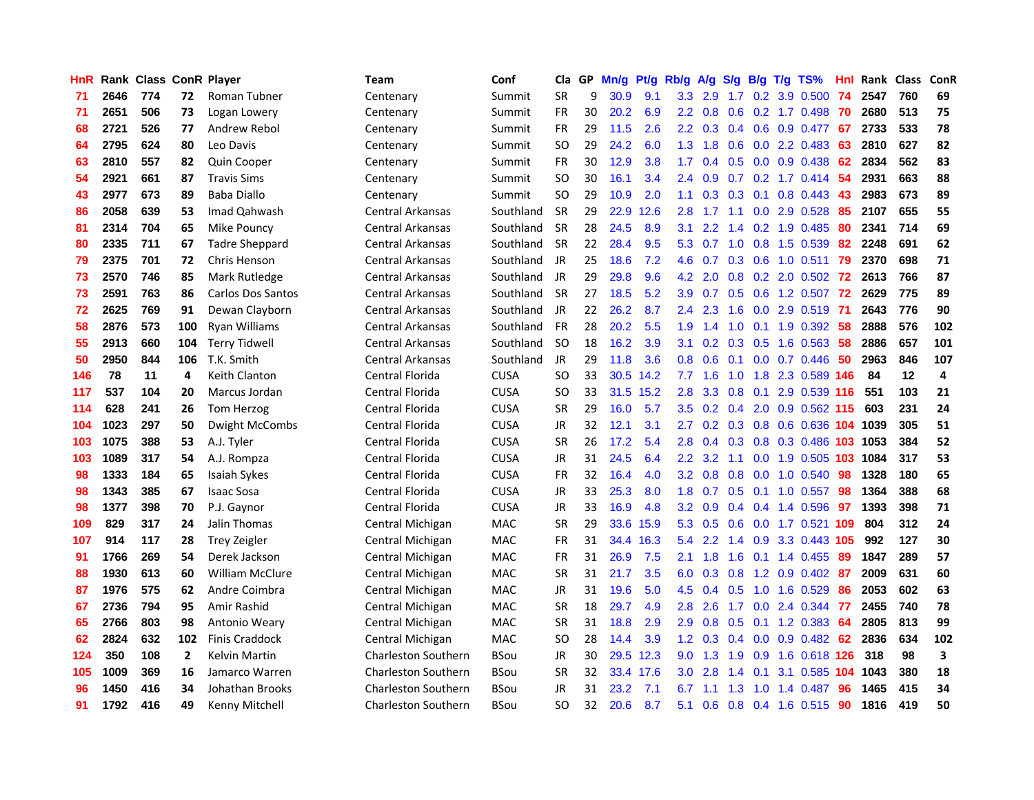| <b>HnR</b> |      | Rank Class ConR Player |     |                          | Team                       | Conf        | Cla       | GP. | Mn/g | Pt/g      | Rb/g             | A/g            | <b>S/g</b>    |                | B/g T/g TS%                    | Hnl | Rank Class |     | <b>ConR</b> |
|------------|------|------------------------|-----|--------------------------|----------------------------|-------------|-----------|-----|------|-----------|------------------|----------------|---------------|----------------|--------------------------------|-----|------------|-----|-------------|
| 71         | 2646 | 774                    | 72  | Roman Tubner             | Centenary                  | Summit      | <b>SR</b> | 9   | 30.9 | 9.1       | 3.3              | 2.9            | 1.7           | 0.2            | 3.9 0.500                      | 74  | 2547       | 760 | 69          |
| 71         | 2651 | 506                    | 73  | Logan Lowery             | Centenary                  | Summit      | <b>FR</b> | 30  | 20.2 | 6.9       | $2.2^{\circ}$    | 0.8            | 0.6           | 0.2            | 1.7 0.498                      | -70 | 2680       | 513 | 75          |
| 68         | 2721 | 526                    | 77  | Andrew Rebol             | Centenary                  | Summit      | <b>FR</b> | 29  | 11.5 | 2.6       | $2.2^{\circ}$    | 0.3            | $0.4^{\circ}$ | 0.6            | 0.9 0.477                      | -67 | 2733       | 533 | 78          |
| 64         | 2795 | 624                    | 80  | Leo Davis                | Centenary                  | Summit      | <b>SO</b> | 29  | 24.2 | 6.0       | 1.3              | 1.8            | 0.6           |                | $0.0$ 2.2 $0.483$              | 63  | 2810       | 627 | 82          |
| 63         | 2810 | 557                    | 82  | Quin Cooper              | Centenary                  | Summit      | FR        | 30  | 12.9 | 3.8       | 1.7 <sup>2</sup> | 0.4            |               |                | $0.5$ 0.0 0.9 0.438            | 62  | 2834       | 562 | 83          |
| 54         | 2921 | 661                    | 87  | <b>Travis Sims</b>       | Centenary                  | Summit      | SO.       | 30  | 16.1 | 3.4       |                  | $2.4\quad 0.9$ |               |                | $0.7$ $0.2$ 1.7 $0.414$        | -54 | 2931       | 663 | 88          |
| 43         | 2977 | 673                    | 89  | <b>Baba Diallo</b>       | Centenary                  | Summit      | SO.       | 29  | 10.9 | 2.0       | 1.1              | 0.3            | 0.3           |                | $0.1$ 0.8 0.443                | 43  | 2983       | 673 | 89          |
| 86         | 2058 | 639                    | 53  | Imad Qahwash             | Central Arkansas           | Southland   | <b>SR</b> | 29  | 22.9 | 12.6      | 2.8              | 1.7            | 1.1           |                | $0.0$ 2.9 $0.528$              | 85  | 2107       | 655 | 55          |
| 81         | 2314 | 704                    | 65  | Mike Pouncy              | Central Arkansas           | Southland   | SR        | 28  | 24.5 | 8.9       | 3.1              | 2.2            | 1.4           |                | 0.2 1.9 0.485                  | 80  | 2341       | 714 | 69          |
| 80         | 2335 | 711                    | 67  | <b>Tadre Sheppard</b>    | Central Arkansas           | Southland   | <b>SR</b> | 22  | 28.4 | 9.5       | 5.3              | 0.7            | 1.0           | 0.8            | 1.5 0.539                      | 82  | 2248       | 691 | 62          |
| 79         | 2375 | 701                    | 72  | <b>Chris Henson</b>      | Central Arkansas           | Southland   | JR        | 25  | 18.6 | 7.2       | 4.6              | 0.7            | 0.3           | 0.6            | 1.0 0.511                      | 79  | 2370       | 698 | 71          |
| 73         | 2570 | 746                    | 85  | Mark Rutledge            | <b>Central Arkansas</b>    | Southland   | JR        | 29  | 29.8 | 9.6       | 4.2 <sub>1</sub> | 2.0            | 0.8           |                | 0.2 2.0 0.502                  | 72  | 2613       | 766 | 87          |
| 73         | 2591 | 763                    | 86  | <b>Carlos Dos Santos</b> | Central Arkansas           | Southland   | <b>SR</b> | 27  | 18.5 | 5.2       | 3.9              | 0.7            | 0.5           | 0.6            | 1.2 0.507                      | 72  | 2629       | 775 | 89          |
| 72         | 2625 | 769                    | 91  | Dewan Clayborn           | <b>Central Arkansas</b>    | Southland   | JR        | 22  | 26.2 | 8.7       | 2.4              | 2.3            | 1.6           | 0.0            | 2.9 0.519                      | 71  | 2643       | 776 | 90          |
| 58         | 2876 | 573                    | 100 | Ryan Williams            | <b>Central Arkansas</b>    | Southland   | FR        | 28  | 20.2 | 5.5       | 1.9              | 1.4            | 1.0           | 0.1            | 1.9 0.392                      | 58  | 2888       | 576 | 102         |
| 55         | 2913 | 660                    | 104 | <b>Terry Tidwell</b>     | <b>Central Arkansas</b>    | Southland   | <b>SO</b> | 18  | 16.2 | 3.9       | 3.1              | 0.2            | 0.3           | 0.5            | 1.6 0.563                      | 58  | 2886       | 657 | 101         |
| 50         | 2950 | 844                    | 106 | T.K. Smith               | <b>Central Arkansas</b>    | Southland   | JR        | 29  | 11.8 | 3.6       | 0.8 <sub>0</sub> | 0.6            | 0.1           |                | $0.0$ 0.7 0.446                | 50  | 2963       | 846 | 107         |
| 146        | 78   | 11                     | 4   | Keith Clanton            | Central Florida            | <b>CUSA</b> | SO.       | 33  |      | 30.5 14.2 |                  | $7.7$ 1.6      | 1.0           |                | 1.8 2.3 0.589 146              |     | 84         | 12  | 4           |
| 117        | 537  | 104                    | 20  | Marcus Jordan            | Central Florida            | <b>CUSA</b> | SO.       | 33  |      | 31.5 15.2 | 2.8              |                |               |                | 3.3 0.8 0.1 2.9 0.539 116      |     | 551        | 103 | 21          |
| 114        | 628  | 241                    | 26  | Tom Herzog               | Central Florida            | <b>CUSA</b> | <b>SR</b> | 29  | 16.0 | 5.7       |                  |                |               |                | 3.5 0.2 0.4 2.0 0.9 0.562 115  |     | 603        | 231 | 24          |
| 104        | 1023 | 297                    | 50  | Dwight McCombs           | Central Florida            | <b>CUSA</b> | JR        | 32  | 12.1 | 3.1       | 2.7              |                |               |                | 0.2 0.3 0.8 0.6 0.636 104 1039 |     |            | 305 | 51          |
| 103        | 1075 | 388                    | 53  | A.J. Tyler               | Central Florida            | <b>CUSA</b> | <b>SR</b> | 26  | 17.2 | 5.4       | 2.8              | 0.4            |               |                | 0.3 0.8 0.3 0.486 103          |     | 1053       | 384 | 52          |
| 103        | 1089 | 317                    | 54  | A.J. Rompza              | Central Florida            | <b>CUSA</b> | JR        | 31  | 24.5 | 6.4       | $2.2^{\circ}$    | 3.2            | 1.1           |                | 0.0 1.9 0.505 103 1084         |     |            | 317 | 53          |
| 98         | 1333 | 184                    | 65  | Isaiah Sykes             | Central Florida            | <b>CUSA</b> | <b>FR</b> | 32  | 16.4 | 4.0       | 3.2 <sub>2</sub> | 0.8            | 0.8           | 0.0            | 1.0 0.540                      | -98 | 1328       | 180 | 65          |
| 98         | 1343 | 385                    | 67  | <b>Isaac Sosa</b>        | Central Florida            | <b>CUSA</b> | JR        | 33  | 25.3 | 8.0       | 1.8              | 0.7            |               | $0.5$ 0.1      | 1.0 0.557                      | 98  | 1364       | 388 | 68          |
| 98         | 1377 | 398                    | 70  | P.J. Gaynor              | Central Florida            | <b>CUSA</b> | JR        | 33  | 16.9 | 4.8       | 3.2 <sub>2</sub> | 0.9            |               | $0.4$ 0.4      | 1.4 0.596                      | -97 | 1393       | 398 | 71          |
| 109        | 829  | 317                    | 24  | Jalin Thomas             | Central Michigan           | MAC         | <b>SR</b> | 29  | 33.6 | 15.9      | 5.3              | 0.5            | 0.6           | 0.0            | 1.7 0.521                      | 109 | 804        | 312 | 24          |
| 107        | 914  | 117                    | 28  | <b>Trey Zeigler</b>      | Central Michigan           | MAC         | <b>FR</b> | 31  |      | 34.4 16.3 | 5.4              | 2.2            | $1.4^{\circ}$ | 0.9            | 3.3 0.443 105                  |     | 992        | 127 | 30          |
| 91         | 1766 | 269                    | 54  | Derek Jackson            | Central Michigan           | MAC         | FR        | 31  | 26.9 | 7.5       | 2.1              | 1.8            | 1.6           | 0.1            | 1.4 0.455                      | 89  | 1847       | 289 | 57          |
| 88         | 1930 | 613                    | 60  | <b>William McClure</b>   | Central Michigan           | <b>MAC</b>  | <b>SR</b> | 31  | 21.7 | 3.5       | 6.0              | 0.3            | 0.8           | 1.2            | $0.9$ $0.402$                  | -87 | 2009       | 631 | 60          |
| 87         | 1976 | 575                    | 62  | Andre Coimbra            | Central Michigan           | <b>MAC</b>  | JR        | 31  | 19.6 | 5.0       | 4.5              | 0.4            | 0.5           | 1.0            | 1.6 0.529                      | 86  | 2053       | 602 | 63          |
| 67         | 2736 | 794                    | 95  | Amir Rashid              | Central Michigan           | <b>MAC</b>  | <b>SR</b> | 18  | 29.7 | 4.9       | 2.8              | 2.6            |               |                | 1.7 0.0 2.4 0.344              | 77  | 2455       | 740 | 78          |
| 65         | 2766 | 803                    | 98  | Antonio Weary            | Central Michigan           | MAC         | <b>SR</b> | 31  | 18.8 | 2.9       | 2.9              | 0.8            |               |                | 0.5 0.1 1.2 0.383              | -64 | 2805       | 813 | 99          |
| 62         | 2824 | 632                    | 102 | <b>Finis Craddock</b>    | Central Michigan           | <b>MAC</b>  | <b>SO</b> | 28  | 14.4 | 3.9       | 1.2 <sub>1</sub> | 0.3            |               | $0.4\quad 0.0$ | $0.9$ $0.482$                  | 62  | 2836       | 634 | 102         |
| 124        | 350  | 108                    | 2   | Kelvin Martin            | <b>Charleston Southern</b> | <b>BSou</b> | JR        | 30  |      | 29.5 12.3 | 9.0              | 1.3            | 1.9           | 0.9            | 1.6 0.618 126                  |     | 318        | 98  | 3           |
| 105        | 1009 | 369                    | 16  | Jamarco Warren           | <b>Charleston Southern</b> | <b>BSou</b> | <b>SR</b> | 32  |      | 33.4 17.6 | 3.0              | 2.8            | 1.4           | 0.1            | 3.1 0.585                      | 104 | 1043       | 380 | 18          |
| 96         | 1450 | 416                    | 34  | Johathan Brooks          | <b>Charleston Southern</b> | <b>BSou</b> | JR        | 31  | 23.2 | 7.1       | 6.7              | 1.1            | 1.3           | 1.0            | 1.4 0.487                      | 96  | 1465       | 415 | 34          |
| 91         | 1792 | 416                    | 49  | Kenny Mitchell           | <b>Charleston Southern</b> | BSou        | SO.       | 32  | 20.6 | 8.7       | 5.1              | 0.6            | 0.8           |                | $0.4$ 1.6 0.515                | 90  | 1816       | 419 | 50          |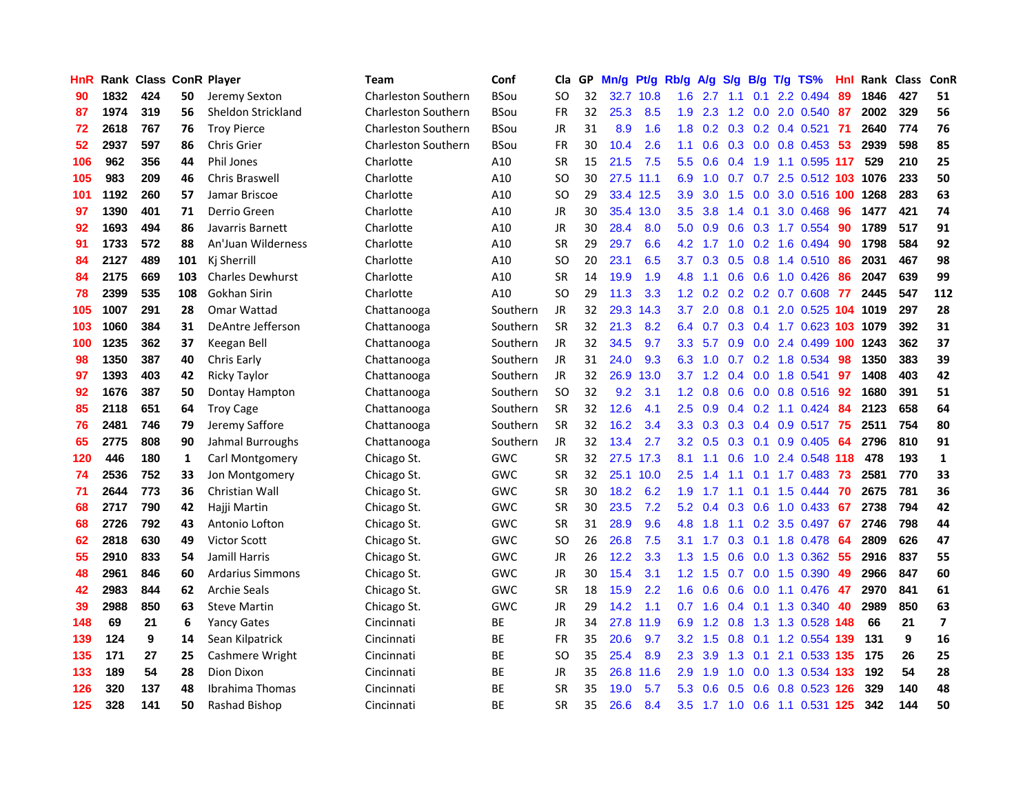| HnR |      | <b>Rank Class ConR Player</b> |     |                         | Team                       | Conf        | Cla       | GP. | Mn/g | Pt/g      | Rb/g             | A/g             | S/g             |                 | B/g T/g TS%                     | Hnl  | Rank Class |     | ConR                     |
|-----|------|-------------------------------|-----|-------------------------|----------------------------|-------------|-----------|-----|------|-----------|------------------|-----------------|-----------------|-----------------|---------------------------------|------|------------|-----|--------------------------|
| 90  | 1832 | 424                           | 50  | Jeremy Sexton           | <b>Charleston Southern</b> | <b>BSou</b> | SO        | 32  |      | 32.7 10.8 | 1.6              | 2.7             | 1.1             | 0.1             | 2.2 0.494                       | 89   | 1846       | 427 | 51                       |
| 87  | 1974 | 319                           | 56  | Sheldon Strickland      | <b>Charleston Southern</b> | <b>BSou</b> | <b>FR</b> | 32  | 25.3 | 8.5       | 1.9              | 2.3             | 1.2             | 0.0             | 2.0 0.540                       | 87   | 2002       | 329 | 56                       |
| 72  | 2618 | 767                           | 76  | <b>Troy Pierce</b>      | <b>Charleston Southern</b> | <b>BSou</b> | JR        | 31  | 8.9  | 1.6       | 1.8              |                 |                 |                 | $0.2$ $0.3$ $0.2$ $0.4$ $0.521$ | -71  | 2640       | 774 | 76                       |
| 52  | 2937 | 597                           | 86  | <b>Chris Grier</b>      | <b>Charleston Southern</b> | <b>BSou</b> | <b>FR</b> | 30  | 10.4 | 2.6       | 1.1              | 0.6             |                 |                 | 0.3 0.0 0.8 0.453               | -53  | 2939       | 598 | 85                       |
| 106 | 962  | 356                           | 44  | <b>Phil Jones</b>       | Charlotte                  | A10         | <b>SR</b> | 15  | 21.5 | 7.5       | 5.5              | 0.6             |                 |                 | 0.4 1.9 1.1 0.595 117           |      | 529        | 210 | 25                       |
| 105 | 983  | 209                           | 46  | Chris Braswell          | Charlotte                  | A10         | <b>SO</b> | 30  |      | 27.5 11.1 | 6.9              | 1.0             |                 |                 | 0.7 0.7 2.5 0.512 103 1076      |      |            | 233 | 50                       |
| 101 | 1192 | 260                           | 57  | Jamar Briscoe           | Charlotte                  | A10         | <b>SO</b> | 29  |      | 33.4 12.5 | 3.9              | 3.0             | 1.5             |                 | 0.0 3.0 0.516 100               |      | 1268       | 283 | 63                       |
| 97  | 1390 | 401                           | 71  | Derrio Green            | Charlotte                  | A10         | <b>JR</b> | 30  |      | 35.4 13.0 | $3.5^{\circ}$    | 3.8             | $1.4^{\circ}$   | 0.1             | 3.0 0.468                       | 96   | 1477       | 421 | 74                       |
| 92  | 1693 | 494                           | 86  | Javarris Barnett        | Charlotte                  | A10         | <b>JR</b> | 30  | 28.4 | 8.0       | 5.0              | 0.9             | 0.6             |                 | 0.3 1.7 0.554                   | 90   | 1789       | 517 | 91                       |
| 91  | 1733 | 572                           | 88  | An'Juan Wilderness      | Charlotte                  | A10         | <b>SR</b> | 29  | 29.7 | 6.6       | 4.2              | 1.7             | 1.0             |                 | 0.2 1.6 0.494                   | 90   | 1798       | 584 | 92                       |
| 84  | 2127 | 489                           | 101 | Kj Sherrill             | Charlotte                  | A10         | SO        | 20  | 23.1 | 6.5       | 3.7              | 0.3             |                 |                 | 0.5 0.8 1.4 0.510               | 86   | 2031       | 467 | 98                       |
| 84  | 2175 | 669                           | 103 | <b>Charles Dewhurst</b> | Charlotte                  | A10         | <b>SR</b> | 14  | 19.9 | 1.9       | 4.8              | 1.1             | 0.6             | 0.6             | 1.0 0.426                       | 86   | 2047       | 639 | 99                       |
| 78  | 2399 | 535                           | 108 | Gokhan Sirin            | Charlotte                  | A10         | SO        | 29  | 11.3 | 3.3       | 1.2 <sub>1</sub> | 0.2             | 0.2             |                 | 0.2 0.7 0.608                   | 77   | 2445       | 547 | 112                      |
| 105 | 1007 | 291                           | 28  | Omar Wattad             | Chattanooga                | Southern    | <b>JR</b> | 32  | 29.3 | 14.3      | 3.7              | 2.0             | 0.8             | 0.1             | 2.0 0.525                       | 104  | 1019       | 297 | 28                       |
| 103 | 1060 | 384                           | 31  | DeAntre Jefferson       | Chattanooga                | Southern    | <b>SR</b> | 32  | 21.3 | 8.2       | 6.4              | 0.7             | 0.3             |                 | 0.4 1.7 0.623                   | 103  | 1079       | 392 | 31                       |
| 100 | 1235 | 362                           | 37  | Keegan Bell             | Chattanooga                | Southern    | <b>JR</b> | 32  | 34.5 | 9.7       | 3.3 <sub>2</sub> | 5.7             | 0.9             |                 | 0.0 2.4 0.499 100               |      | 1243       | 362 | 37                       |
| 98  | 1350 | 387                           | 40  | Chris Early             | Chattanooga                | Southern    | <b>JR</b> | 31  | 24.0 | 9.3       |                  |                 |                 |                 | 6.3 1.0 0.7 0.2 1.8 0.534       | 98   | 1350       | 383 | 39                       |
| 97  | 1393 | 403                           | 42  | <b>Ricky Taylor</b>     | Chattanooga                | Southern    | <b>JR</b> | 32  |      | 26.9 13.0 |                  |                 |                 |                 | 3.7 1.2 0.4 0.0 1.8 0.541       | 97   | 1408       | 403 | 42                       |
| 92  | 1676 | 387                           | 50  | Dontay Hampton          | Chattanooga                | Southern    | <b>SO</b> | 32  | 9.2  | 3.1       |                  | $1.2 \quad 0.8$ |                 |                 | 0.6 0.0 0.8 0.516 92            |      | 1680       | 391 | 51                       |
| 85  | 2118 | 651                           | 64  | <b>Troy Cage</b>        | Chattanooga                | Southern    | <b>SR</b> | 32  | 12.6 | 4.1       | $2.5^{\circ}$    | 0.9             |                 |                 | $0.4$ 0.2 1.1 0.424             | 84   | 2123       | 658 | 64                       |
| 76  | 2481 | 746                           | 79  | Jeremy Saffore          | Chattanooga                | Southern    | <b>SR</b> | 32  | 16.2 | 3.4       | 3.3 <sub>2</sub> | 0.3             |                 |                 | 0.3 0.4 0.9 0.517 75            |      | 2511       | 754 | 80                       |
| 65  | 2775 | 808                           | 90  | Jahmal Burroughs        | Chattanooga                | Southern    | JR        | 32  | 13.4 | 2.7       | 3.2              | 0.5             |                 | $0.3 \quad 0.1$ | 0.9 0.405                       | 64   | 2796       | 810 | 91                       |
| 120 | 446  | 180                           | 1   | Carl Montgomery         | Chicago St.                | <b>GWC</b>  | <b>SR</b> | 32  | 27.5 | 17.3      | 8.1              | 1.1             | 0.6             |                 | 1.0 2.4 0.548 118               |      | 478        | 193 | $\mathbf{1}$             |
| 74  | 2536 | 752                           | 33  | Jon Montgomery          | Chicago St.                | GWC         | SR        | 32  |      | 25.1 10.0 | 2.5              | 14              | 1.1             | 0.1             | 1.7 0.483                       | 73   | 2581       | 770 | 33                       |
| 71  | 2644 | 773                           | 36  | Christian Wall          | Chicago St.                | GWC         | <b>SR</b> | 30  | 18.2 | 6.2       | 1.9              | 1.7             | 1.1             | 0.1             | 1.5 0.444                       | 70   | 2675       | 781 | 36                       |
| 68  | 2717 | 790                           | 42  | Hajji Martin            | Chicago St.                | GWC         | <b>SR</b> | 30  | 23.5 | 7.2       | 5.2              | 0.4             | 0.3             | 0.6             | $1.0$ 0.433                     | 67   | 2738       | 794 | 42                       |
| 68  | 2726 | 792                           | 43  | Antonio Lofton          | Chicago St.                | <b>GWC</b>  | SR        | 31  | 28.9 | 9.6       | 4.8              | 1.8             | 1.1             | 0.2             | 3.5 0.497                       | 67   | 2746       | 798 | 44                       |
| 62  | 2818 | 630                           | 49  | <b>Victor Scott</b>     | Chicago St.                | <b>GWC</b>  | <b>SO</b> | 26  | 26.8 | 7.5       | 3.1              | 1.7             | 0.3             | 0.1             | 1.8 0.478                       | 64   | 2809       | 626 | 47                       |
| 55  | 2910 | 833                           | 54  | Jamill Harris           | Chicago St.                | <b>GWC</b>  | JR        | 26  | 12.2 | 3.3       | 1.3              | 1.5             | 0.6             | 0.0             | 1.3 0.362                       | -55  | 2916       | 837 | 55                       |
| 48  | 2961 | 846                           | 60  | <b>Ardarius Simmons</b> | Chicago St.                | <b>GWC</b>  | JR        | 30  | 15.4 | 3.1       |                  | $1.2 \quad 1.5$ |                 |                 | 0.7 0.0 1.5 0.390               | -49  | 2966       | 847 | 60                       |
| 42  | 2983 | 844                           | 62  | <b>Archie Seals</b>     | Chicago St.                | GWC         | SR        | 18  | 15.9 | 2.2       | 1.6              | 0.6             |                 |                 | 0.6 0.0 1.1 0.476 47            |      | 2970       | 841 | 61                       |
| 39  | 2988 | 850                           | 63  | <b>Steve Martin</b>     | Chicago St.                | <b>GWC</b>  | <b>JR</b> | 29  | 14.2 | 1.1       | 0.7              | 1.6             |                 |                 | $0.4$ 0.1 1.3 0.340             | 40   | 2989       | 850 | 63                       |
| 148 | 69   | 21                            | 6   | <b>Yancy Gates</b>      | Cincinnati                 | ВE          | <b>JR</b> | 34  | 27.8 | 11.9      | 6.9              |                 | $1.2 \quad 0.8$ |                 | 1.3 1.3 0.528 148               |      | 66         | 21  | $\overline{\phantom{a}}$ |
| 139 | 124  | 9                             | 14  | Sean Kilpatrick         | Cincinnati                 | ВE          | FR        | 35  | 20.6 | 9.7       | 3.2 <sub>1</sub> | 1.5             | 0.8             |                 | 0.1 1.2 0.554 139               |      | 131        | 9   | 16                       |
| 135 | 171  | 27                            | 25  | Cashmere Wright         | Cincinnati                 | BE          | <b>SO</b> | 35  | 25.4 | 8.9       | $2.3^{\circ}$    | 3.9             | 1.3             | 0.1             | 2.1 0.533 135                   |      | 175        | 26  | 25                       |
| 133 | 189  | 54                            | 28  | Dion Dixon              | Cincinnati                 | <b>BE</b>   | JR        | 35  | 26.8 | 11.6      | 2.9              | 1.9             | 1.0             | 0.0             | 1.3 0.534                       | -133 | 192        | 54  | 28                       |
| 126 | 320  | 137                           | 48  | Ibrahima Thomas         | Cincinnati                 | ВE          | <b>SR</b> | 35  | 19.0 | 5.7       | 5.3              | 0.6             | 0.5             | 0.6             | $0.8$ 0.523                     | 126  | 329        | 140 | 48                       |
| 125 | 328  | 141                           | 50  | Rashad Bishop           | Cincinnati                 | <b>BE</b>   | <b>SR</b> | 35  | 26.6 | 8.4       | 3.5              |                 |                 |                 | 1.7 1.0 0.6 1.1 0.531 125       |      | 342        | 144 | 50                       |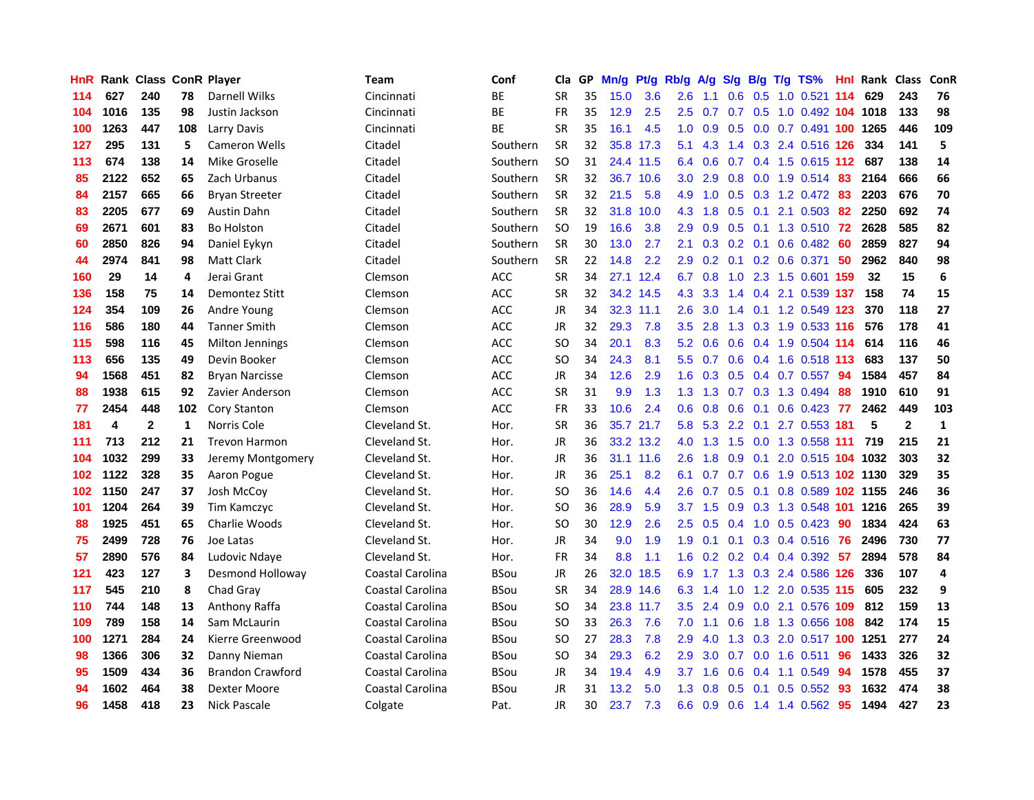| <b>HnR</b> |      | <b>Rank Class ConR Player</b> |     |                         | Team             | Conf        | Cla       | GP | Mn/g | Pt/g      | Rb/g             | A/g             | S/g           | B/g             | T/g | TS%                          | Hnl  | Rank Class |              | ConR         |
|------------|------|-------------------------------|-----|-------------------------|------------------|-------------|-----------|----|------|-----------|------------------|-----------------|---------------|-----------------|-----|------------------------------|------|------------|--------------|--------------|
| 114        | 627  | 240                           | 78  | Darnell Wilks           | Cincinnati       | BE          | <b>SR</b> | 35 | 15.0 | 3.6       | 2.6              | 1.1             | 0.6           | 0.5             |     | $1.0$ 0.521                  | 114  | 629        | 243          | 76           |
| 104        | 1016 | 135                           | 98  | Justin Jackson          | Cincinnati       | BE          | <b>FR</b> | 35 | 12.9 | 2.5       | 2.5              | 0.7             | 0.7           | 0.5             |     | 1.0 0.492 104 1018           |      |            | 133          | 98           |
| 100        | 1263 | 447                           | 108 | Larry Davis             | Cincinnati       | ВE          | <b>SR</b> | 35 | 16.1 | 4.5       | 1.0              | 0.9             | 0.5           |                 |     | 0.0 0.7 0.491 100 1265       |      |            | 446          | 109          |
| 127        | 295  | 131                           | 5   | <b>Cameron Wells</b>    | Citadel          | Southern    | <b>SR</b> | 32 |      | 35.8 17.3 | 5.1              | 4.3             |               |                 |     | 1.4 0.3 2.4 0.516 126        |      | 334        | 141          | 5            |
| 113        | 674  | 138                           | 14  | Mike Groselle           | Citadel          | Southern    | <b>SO</b> | 31 |      | 24.4 11.5 |                  | 6.4 0.6         |               |                 |     | 0.7 0.4 1.5 0.615 112 687    |      |            | 138          | 14           |
| 85         | 2122 | 652                           | 65  | Zach Urbanus            | Citadel          | Southern    | <b>SR</b> | 32 |      | 36.7 10.6 | 3.0 <sub>2</sub> | 2.9             |               |                 |     | 0.8 0.0 1.9 0.514            | -83  | 2164       | 666          | 66           |
| 84         | 2157 | 665                           | 66  | <b>Bryan Streeter</b>   | Citadel          | Southern    | <b>SR</b> | 32 | 21.5 | 5.8       | 4.9              | 1.0             |               |                 |     | $0.5$ $0.3$ $1.2$ $0.472$    | 83   | 2203       | 676          | 70           |
| 83         | 2205 | 677                           | 69  | Austin Dahn             | Citadel          | Southern    | <b>SR</b> | 32 | 31.8 | 10.0      | 4.3              | 1.8             | 0.5           | 0.1             |     | 2.1 0.503                    | 82   | 2250       | 692          | 74           |
| 69         | 2671 | 601                           | 83  | <b>Bo Holston</b>       | Citadel          | Southern    | <b>SO</b> | 19 | 16.6 | 3.8       | 2.9              | 0.9             | 0.5           | 0.1             |     | 1.3 0.510                    | 72   | 2628       | 585          | 82           |
| 60         | 2850 | 826                           | 94  | Daniel Eykyn            | Citadel          | Southern    | <b>SR</b> | 30 | 13.0 | 2.7       | 2.1              | 0.3             |               | $0.2 \quad 0.1$ |     | $0.6$ 0.482                  | -60  | 2859       | 827          | 94           |
| 44         | 2974 | 841                           | 98  | <b>Matt Clark</b>       | Citadel          | Southern    | <b>SR</b> | 22 | 14.8 | 2.2       | 2.9              | 0.2             | 0.1           |                 |     | 0.2 0.6 0.371                | 50   | 2962       | 840          | 98           |
| 160        | 29   | 14                            | 4   | Jerai Grant             | Clemson          | ACC         | <b>SR</b> | 34 |      | 27.1 12.4 | 6.7              | 0.8             | 1.0           | 2.3             |     | 1.5 0.601                    | -159 | 32         | 15           | 6            |
| 136        | 158  | 75                            | 14  | Demontez Stitt          | Clemson          | ACC         | <b>SR</b> | 32 |      | 34.2 14.5 | 4.3              | 3.3             | $1.4^{\circ}$ | 0.4             |     | 2.1 0.539 137                |      | 158        | 74           | 15           |
| 124        | 354  | 109                           | 26  | Andre Young             | Clemson          | <b>ACC</b>  | JR        | 34 |      | 32.3 11.1 | 2.6              | 3.0             | 1.4           |                 |     | 0.1 1.2 0.549 123            |      | 370        | 118          | 27           |
| 116        | 586  | 180                           | 44  | <b>Tanner Smith</b>     | Clemson          | <b>ACC</b>  | JR        | 32 | 29.3 | 7.8       | 3.5              | 2.8             | 1.3           | 0.3             |     | 1.9 0.533 116                |      | 576        | 178          | 41           |
| 115        | 598  | 116                           | 45  | Milton Jennings         | Clemson          | <b>ACC</b>  | <b>SO</b> | 34 | 20.1 | 8.3       | 5.2              | 0.6             | 0.6           |                 |     | 0.4 1.9 0.504 114            |      | 614        | 116          | 46           |
| 113        | 656  | 135                           | 49  | Devin Booker            | Clemson          | ACC         | <b>SO</b> | 34 | 24.3 | 8.1       |                  | 5.5 0.7         |               |                 |     | 0.6 0.4 1.6 0.518 113        |      | 683        | 137          | 50           |
| 94         | 1568 | 451                           | 82  | <b>Bryan Narcisse</b>   | Clemson          | ACC         | JR        | 34 | 12.6 | 2.9       |                  |                 |               |                 |     | 1.6 0.3 0.5 0.4 0.7 0.557 94 |      | 1584       | 457          | 84           |
| 88         | 1938 | 615                           | 92  | Zavier Anderson         | Clemson          | <b>ACC</b>  | <b>SR</b> | 31 | 9.9  | 1.3       |                  | $1.3 \quad 1.3$ |               |                 |     | 0.7 0.3 1.3 0.494            | -88  | 1910       | 610          | 91           |
| 77         | 2454 | 448                           | 102 | Cory Stanton            | Clemson          | <b>ACC</b>  | FR        | 33 | 10.6 | 2.4       | 0.6              | 0.8             | 0.6           |                 |     | $0.1$ 0.6 0.423 77           |      | 2462       | 449          | 103          |
| 181        | 4    | $\mathbf{2}$                  | 1   | Norris Cole             | Cleveland St.    | Hor.        | <b>SR</b> | 36 |      | 35.7 21.7 | 5.8              | 5.3             |               |                 |     | 2.2 0.1 2.7 0.553 181        |      | 5          | $\mathbf{2}$ | $\mathbf{1}$ |
| 111        | 713  | 212                           | 21  | <b>Trevon Harmon</b>    | Cleveland St.    | Hor.        | JR        | 36 |      | 33.2 13.2 | 4.0              | 1.3             | 1.5           |                 |     | 0.0 1.3 0.558 111            |      | 719        | 215          | 21           |
| 104        | 1032 | 299                           | 33  | Jeremy Montgomery       | Cleveland St.    | Hor.        | JR        | 36 |      | 31.1 11.6 | 2.6              | 1.8             | 0.9           | 0.1             |     | 2.0 0.515 104 1032           |      |            | 303          | 32           |
| 102        | 1122 | 328                           | 35  | Aaron Pogue             | Cleveland St.    | Hor.        | JR        | 36 | 25.1 | 8.2       | 6.1              | 0.7             |               | $0.7 \quad 0.6$ |     | 1.9 0.513 102 1130           |      |            | 329          | 35           |
| 102        | 1150 | 247                           | 37  | Josh McCov              | Cleveland St.    | Hor.        | SO.       | 36 | 14.6 | 4.4       | 2.6              | 0.7             | 0.5           | 0.1             |     | 0.8 0.589 102 1155           |      |            | 246          | 36           |
| 101        | 1204 | 264                           | 39  | Tim Kamczyc             | Cleveland St.    | Hor.        | SO.       | 36 | 28.9 | 5.9       | 3.7              | 1.5             | 0.9           | 0.3             |     | 1.3 0.548 101                |      | 1216       | 265          | 39           |
| 88         | 1925 | 451                           | 65  | Charlie Woods           | Cleveland St.    | Hor.        | <b>SO</b> | 30 | 12.9 | 2.6       | 2.5              | 0.5             | 0.4           | 1.0             |     | $0.5$ 0.423                  | -90  | 1834       | 424          | 63           |
| 75         | 2499 | 728                           | 76  | Joe Latas               | Cleveland St.    | Hor.        | JR        | 34 | 9.0  | 1.9       | 1.9              | 0.1             | 0.1           |                 |     | 0.3 0.4 0.516                | 76   | 2496       | 730          | 77           |
| 57         | 2890 | 576                           | 84  | Ludovic Ndaye           | Cleveland St.    | Hor.        | <b>FR</b> | 34 | 8.8  | 1.1       | 1.6              | 0.2             | 0.2           |                 |     | $0.4$ 0.4 0.392              | -57  | 2894       | 578          | 84           |
| 121        | 423  | 127                           | 3   | Desmond Holloway        | Coastal Carolina | <b>BSou</b> | JR        | 26 | 32.0 | 18.5      | 6.9              | 1.7             |               |                 |     | 1.3 0.3 2.4 0.586 126        |      | 336        | 107          | 4            |
| 117        | 545  | 210                           | 8   | Chad Gray               | Coastal Carolina | <b>BSou</b> | <b>SR</b> | 34 |      | 28.9 14.6 | 6.3              | 1.4             | 1.0           |                 |     | 1.2 2.0 0.535 115            |      | 605        | 232          | 9            |
| 110        | 744  | 148                           | 13  | Anthony Raffa           | Coastal Carolina | <b>BSou</b> | SO.       | 34 |      | 23.8 11.7 | 3.5              | 2.4             |               |                 |     | 0.9 0.0 2.1 0.576 109        |      | 812        | 159          | 13           |
| 109        | 789  | 158                           | 14  | Sam McLaurin            | Coastal Carolina | <b>BSou</b> | SO.       | 33 | 26.3 | 7.6       | 7.0              | 1.1             | 0.6           |                 |     | 1.8 1.3 0.656 108            |      | 842        | 174          | 15           |
| 100        | 1271 | 284                           | 24  | Kierre Greenwood        | Coastal Carolina | <b>BSou</b> | SO.       | 27 | 28.3 | 7.8       | 2.9              | 4.0             |               |                 |     | 1.3 0.3 2.0 0.517 100        |      | 1251       | 277          | 24           |
| 98         | 1366 | 306                           | 32  | Danny Nieman            | Coastal Carolina | <b>BSou</b> | <b>SO</b> | 34 | 29.3 | 6.2       | 2.9              | 3.0             | 0.7           |                 |     | $0.0$ 1.6 $0.511$            | 96   | 1433       | 326          | 32           |
| 95         | 1509 | 434                           | 36  | <b>Brandon Crawford</b> | Coastal Carolina | <b>BSou</b> | JR        | 34 | 19.4 | 4.9       | 3.7              | 1.6             | 0.6           | 0.4             |     | 1.1 0.549                    | 94   | 1578       | 455          | 37           |
| 94         | 1602 | 464                           | 38  | Dexter Moore            | Coastal Carolina | <b>BSou</b> | JR        | 31 | 13.2 | 5.0       | 1.3              | 0.8             | 0.5           | 0.1             |     | $0.5$ 0.552                  | 93   | 1632       | 474          | 38           |
| 96         | 1458 | 418                           | 23  | Nick Pascale            | Colgate          | Pat.        | JR        | 30 | 23.7 | 7.3       | 6.6              | 0.9             | 0.6           |                 |     | 1.4 1.4 0.562                | 95   | 1494       | 427          | 23           |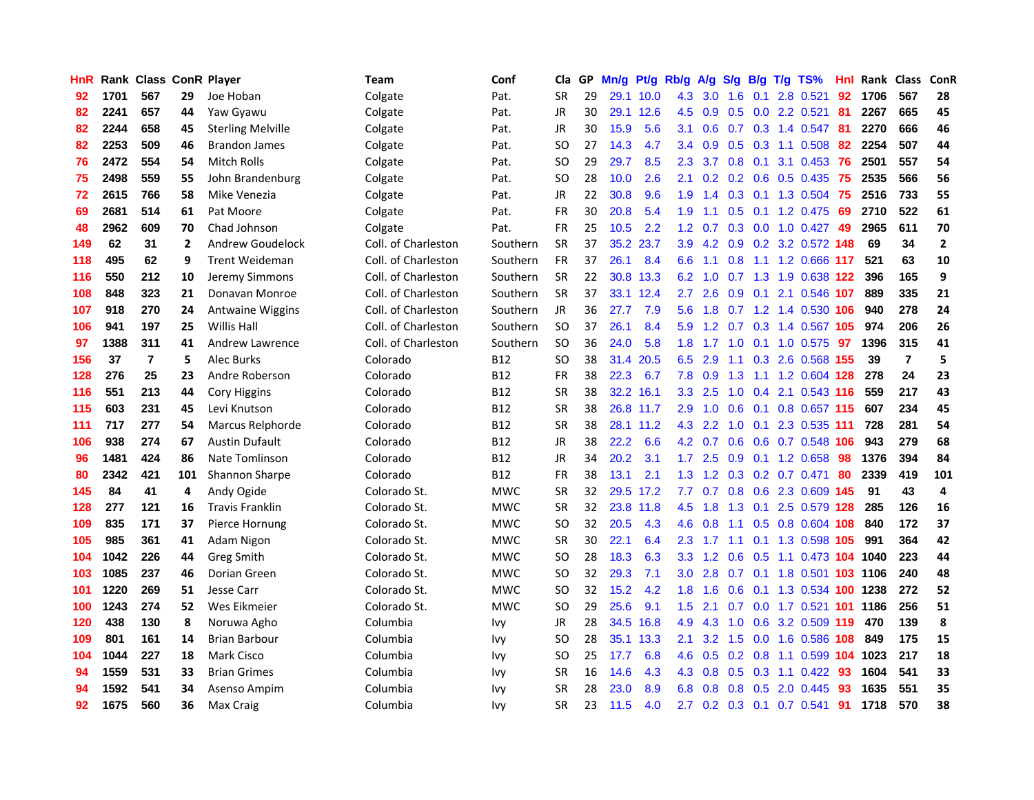| HnR |      | <b>Rank Class ConR Player</b> |                |                          | Team                | Conf       | Cla           |    | GP Mn/g | Pt/g      | Rb/g             | A/g            | S/g           | B/g        | T/g TS%                 | Hnl | Rank Class |                | ConR                    |
|-----|------|-------------------------------|----------------|--------------------------|---------------------|------------|---------------|----|---------|-----------|------------------|----------------|---------------|------------|-------------------------|-----|------------|----------------|-------------------------|
| 92  | 1701 | 567                           | 29             | Joe Hoban                | Colgate             | Pat.       | <b>SR</b>     | 29 |         | 29.1 10.0 | 4.3              | 3.0            | 1.6           | 0.1        | 2.8 0.521               | 92  | 1706       | 567            | 28                      |
| 82  | 2241 | 657                           | 44             | Yaw Gyawu                | Colgate             | Pat.       | <b>JR</b>     | 30 |         | 29.1 12.6 | 4.5              | 0.9            | 0.5           | 0.0        | 2.2 0.521               | 81  | 2267       | 665            | 45                      |
| 82  | 2244 | 658                           | 45             | <b>Sterling Melville</b> | Colgate             | Pat.       | JR            | 30 | 15.9    | 5.6       | 3.1              | 0.6            | 0.7           | 0.3        | 1.4 0.547               | -81 | 2270       | 666            | 46                      |
| 82  | 2253 | 509                           | 46             | <b>Brandon James</b>     | Colgate             | Pat.       | SO            | 27 | 14.3    | 4.7       | $3.4^{\circ}$    | 0.9            |               |            | 0.5 0.3 1.1 0.508       | 82  | 2254       | 507            | 44                      |
| 76  | 2472 | 554                           | 54             | Mitch Rolls              | Colgate             | Pat.       | SO            | 29 | 29.7    | 8.5       | $2.3^{\circ}$    | 3.7            |               | $0.8\ 0.1$ | 3.1 0.453 76            |     | 2501       | 557            | 54                      |
| 75  | 2498 | 559                           | 55             | John Brandenburg         | Colgate             | Pat.       | <b>SO</b>     | 28 | 10.0    | 2.6       | 2.1              |                |               |            | $0.2$ 0.2 0.6 0.5 0.435 | -75 | 2535       | 566            | 56                      |
| 72  | 2615 | 766                           | 58             | Mike Venezia             | Colgate             | Pat.       | JR            | 22 | 30.8    | 9.6       | 1.9              | 1.4            |               |            | $0.3$ 0.1 1.3 0.504     | -75 | 2516       | 733            | 55                      |
| 69  | 2681 | 514                           | 61             | Pat Moore                | Colgate             | Pat.       | <b>FR</b>     | 30 | 20.8    | 5.4       | 1.9              | 1.1            | 0.5           |            | $0.1$ 1.2 0.475         | 69  | 2710       | 522            | 61                      |
| 48  | 2962 | 609                           | 70             | Chad Johnson             | Colgate             | Pat.       | <b>FR</b>     | 25 | 10.5    | 2.2       | 1.2              | 0.7            | 0.3           |            | $0.0$ 1.0 $0.427$       | 49  | 2965       | 611            | 70                      |
| 149 | 62   | 31                            | $\overline{2}$ | Andrew Goudelock         | Coll. of Charleston | Southern   | <b>SR</b>     | 37 |         | 35.2 23.7 | 3.9              | 4.2            | 0.9           |            | 0.2 3.2 0.572 148       |     | 69         | 34             | $\mathbf{2}$            |
| 118 | 495  | 62                            | 9              | <b>Trent Weideman</b>    | Coll. of Charleston | Southern   | <b>FR</b>     | 37 | 26.1    | 8.4       | 6.6              | 1.1            | 0.8           |            | 1.1 1.2 0.666 117       |     | 521        | 63             | 10                      |
| 116 | 550  | 212                           | 10             | Jeremy Simmons           | Coll. of Charleston | Southern   | <b>SR</b>     | 22 |         | 30.8 13.3 | 6.2              | 1.0            | 0.7           | 1.3        | 1.9 0.638 122           |     | 396        | 165            | 9                       |
| 108 | 848  | 323                           | 21             | Donavan Monroe           | Coll. of Charleston | Southern   | <b>SR</b>     | 37 |         | 33.1 12.4 | 2.7              | 2.6            | 0.9           | 0.1        | 2.1 0.546 107           |     | 889        | 335            | 21                      |
| 107 | 918  | 270                           | 24             | <b>Antwaine Wiggins</b>  | Coll. of Charleston | Southern   | JR            | 36 | 27.7    | 7.9       | 5.6              | 1.8            | 0.7           | 1.2        | 1.4 0.530 106           |     | 940        | 278            | 24                      |
| 106 | 941  | 197                           | 25             | <b>Willis Hall</b>       | Coll. of Charleston | Southern   | <b>SO</b>     | 37 | 26.1    | 8.4       | 5.9              | 1.2            | 0.7           | 0.3        | 1.4 0.567 105           |     | 974        | 206            | 26                      |
| 97  | 1388 | 311                           | 41             | Andrew Lawrence          | Coll. of Charleston | Southern   | <sub>SO</sub> | 36 | 24.0    | 5.8       | 1.8              | 1.7            | 1.0           | 0.1        | 1.0 0.575               | -97 | 1396       | 315            | 41                      |
| 156 | 37   | $\overline{\mathbf{r}}$       | 5              | Alec Burks               | Colorado            | <b>B12</b> | SO            | 38 | 31.4    | 20.5      | 6.5              | 2.9            |               |            | 1.1 0.3 2.6 0.568 155   |     | 39         | $\overline{7}$ | 5                       |
| 128 | 276  | 25                            | 23             | Andre Roberson           | Colorado            | <b>B12</b> | <b>FR</b>     | 38 | 22.3    | 6.7       |                  | $7.8\quad 0.9$ | 1.3           |            | 1.1 1.2 0.604 128       |     | 278        | 24             | 23                      |
| 116 | 551  | 213                           | 44             | <b>Cory Higgins</b>      | Colorado            | <b>B12</b> | <b>SR</b>     | 38 |         | 32.2 16.1 | 3.3 <sup>°</sup> | 2.5            |               |            | 1.0 0.4 2.1 0.543 116   |     | 559        | 217            | 43                      |
| 115 | 603  | 231                           | 45             | Levi Knutson             | Colorado            | <b>B12</b> | <b>SR</b>     | 38 |         | 26.8 11.7 | 2.9              | 1.0            | 0.6           |            | 0.1 0.8 0.657 115       |     | 607        | 234            | 45                      |
| 111 | 717  | 277                           | 54             | Marcus Relphorde         | Colorado            | <b>B12</b> | <b>SR</b>     | 38 |         | 28.1 11.2 | 4.3              | 2.2            | 1.0           | 0.1        | 2.3 0.535 111           |     | 728        | 281            | 54                      |
| 106 | 938  | 274                           | 67             | <b>Austin Dufault</b>    | Colorado            | <b>B12</b> | JR            | 38 | 22.2    | 6.6       | 4.2              | 0.7            | 0.6           |            | 0.6 0.7 0.548           | 106 | 943        | 279            | 68                      |
| 96  | 1481 | 424                           | 86             | Nate Tomlinson           | Colorado            | <b>B12</b> | <b>JR</b>     | 34 | 20.2    | 3.1       | 1.7 <sup>2</sup> | 2.5            | 0.9           |            | $0.1$ 1.2 $0.658$       | 98  | 1376       | 394            | 84                      |
| 80  | 2342 | 421                           | 101            | <b>Shannon Sharpe</b>    | Colorado            | <b>B12</b> | <b>FR</b>     | 38 | 13.1    | 2.1       | 1.3 <sup>°</sup> | 1.2            |               |            | 0.3 0.2 0.7 0.471       | 80  | 2339       | 419            | 101                     |
| 145 | 84   | 41                            | 4              | Andy Ogide               | Colorado St.        | <b>MWC</b> | <b>SR</b>     | 32 |         | 29.5 17.2 | 7.7              | 0.7            |               |            | 0.8 0.6 2.3 0.609 145   |     | 91         | 43             | $\overline{\mathbf{4}}$ |
| 128 | 277  | 121                           | 16             | <b>Travis Franklin</b>   | Colorado St.        | <b>MWC</b> | <b>SR</b>     | 32 |         | 23.8 11.8 | 4.5              | 1.8            | 1.3           | 0.1        | 2.5 0.579 128           |     | 285        | 126            | 16                      |
| 109 | 835  | 171                           | 37             | Pierce Hornung           | Colorado St.        | <b>MWC</b> | SO            | 32 | 20.5    | 4.3       | 4.6              | 0.8            | 1.1           | 0.5        | 0.8 0.604 108           |     | 840        | 172            | 37                      |
| 105 | 985  | 361                           | 41             | Adam Nigon               | Colorado St.        | <b>MWC</b> | <b>SR</b>     | 30 | 22.1    | 6.4       | $2.3^{\circ}$    | 1.7            | 1.1           | 0.1        | 1.3 0.598 105           |     | 991        | 364            | 42                      |
| 104 | 1042 | 226                           | 44             | Greg Smith               | Colorado St.        | <b>MWC</b> | <b>SO</b>     | 28 | 18.3    | 6.3       | 3.3 <sub>1</sub> | 1.2            | 0.6           | 0.5        | 1.1 0.473 104           |     | 1040       | 223            | 44                      |
| 103 | 1085 | 237                           | 46             | Dorian Green             | Colorado St.        | <b>MWC</b> | <b>SO</b>     | 32 | 29.3    | 7.1       | 3.0 <sub>1</sub> |                | $2.8$ 0.7 0.1 |            | 1.8 0.501 103 1106      |     |            | 240            | 48                      |
| 101 | 1220 | 269                           | 51             | Jesse Carr               | Colorado St.        | <b>MWC</b> | SO            | 32 | 15.2    | 4.2       | 1.8 <sup>°</sup> | 1.6            | 0.6           |            | 0.1 1.3 0.534 100 1238  |     |            | 272            | 52                      |
| 100 | 1243 | 274                           | 52             | Wes Eikmeier             | Colorado St.        | <b>MWC</b> | <sub>SO</sub> | 29 | 25.6    | 9.1       | 1.5              | 2.1            | 0.7           |            | 0.0 1.7 0.521 101       |     | 1186       | 256            | 51                      |
| 120 | 438  | 130                           | 8              | Noruwa Agho              | Columbia            | Ivy        | JR            | 28 | 34.5    | 16.8      | 4.9              | 4.3            | 1.0           | 0.6        | 3.2 0.509 119           |     | 470        | 139            | 8                       |
| 109 | 801  | 161                           | 14             | <b>Brian Barbour</b>     | Columbia            | lvy        | SO            | 28 |         | 35.1 13.3 | 2.1              | 3.2            | 1.5           | 0.0        | 1.6 0.586 108           |     | 849        | 175            | 15                      |
| 104 | 1044 | 227                           | 18             | Mark Cisco               | Columbia            | Ivy        | <b>SO</b>     | 25 | 17.7    | 6.8       | 4.6              | 0.5            | 0.2           | 0.8        | 1.1 0.599 104 1023      |     |            | 217            | 18                      |
| 94  | 1559 | 531                           | 33             | <b>Brian Grimes</b>      | Columbia            | Ivy        | <b>SR</b>     | 16 | 14.6    | 4.3       | 4.3              | 0.8            | 0.5           | 0.3        | $1.1 \quad 0.422$       | 93  | 1604       | 541            | 33                      |
| 94  | 1592 | 541                           | 34             | Asenso Ampim             | Columbia            | Ivy        | <b>SR</b>     | 28 | 23.0    | 8.9       | 6.8              | 0.8            | 0.8           | 0.5        | 2.0 0.445               | 93  | 1635       | 551            | 35                      |
| 92  | 1675 | 560                           | 36             | Max Craig                | Columbia            | <b>Ivy</b> | <b>SR</b>     | 23 | 11.5    | 4.0       | 2.7              |                |               |            | 0.2 0.3 0.1 0.7 0.541   | 91  | 1718       | 570            | 38                      |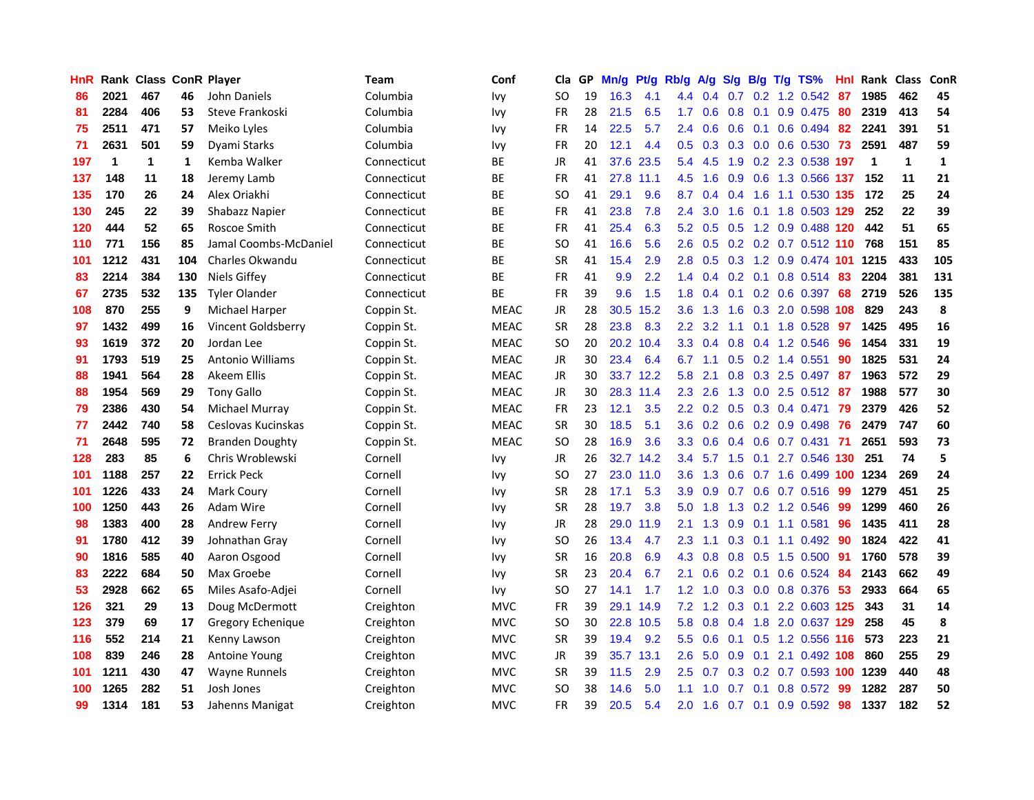| <b>HnR</b> |      | Rank Class ConR Player |     |                          | <b>Team</b> | Conf        | Cla       | GP | Mn/g | Pt/g      | Rb/g             | A/g             | S/g | B/g             | T/g TS%                   | Hnl  | Rank Class              |              | ConR         |
|------------|------|------------------------|-----|--------------------------|-------------|-------------|-----------|----|------|-----------|------------------|-----------------|-----|-----------------|---------------------------|------|-------------------------|--------------|--------------|
| 86         | 2021 | 467                    | 46  | John Daniels             | Columbia    | Ivy         | SO.       | 19 | 16.3 | 4.1       | 4.4              | 0.4             | 0.7 | 0.2             | 1.2 0.542                 | 87   | 1985                    | 462          | 45           |
| 81         | 2284 | 406                    | 53  | Steve Frankoski          | Columbia    | <b>Ivy</b>  | FR        | 28 | 21.5 | 6.5       | 1.7              | 0.6             | 0.8 | 0.1             | 0.9 0.475                 | 80   | 2319                    | 413          | 54           |
| 75         | 2511 | 471                    | 57  | Meiko Lyles              | Columbia    | <b>Ivy</b>  | <b>FR</b> | 14 | 22.5 | 5.7       | 2.4              | 0.6             | 0.6 | 0.1             | 0.6 0.494                 | -82  | 2241                    | 391          | 51           |
| 71         | 2631 | 501                    | 59  | Dyami Starks             | Columbia    | Ivy         | FR        | 20 | 12.1 | 4.4       |                  |                 |     |                 | 0.5 0.3 0.3 0.0 0.6 0.530 | -73  | 2591                    | 487          | 59           |
| 197        | 1    | 1                      | 1   | Kemba Walker             | Connecticut | <b>BE</b>   | JR        | 41 | 37.6 | 23.5      | 5.4              | 4.5             |     |                 | 1.9 0.2 2.3 0.538 197     |      | $\overline{\mathbf{1}}$ | $\mathbf{1}$ | $\mathbf{1}$ |
| 137        | 148  | 11                     | 18  | Jeremy Lamb              | Connecticut | <b>BE</b>   | FR        | 41 |      | 27.8 11.1 | 4.5              | 1.6             |     |                 | 0.9 0.6 1.3 0.566 137     |      | 152                     | 11           | 21           |
| 135        | 170  | 26                     | 24  | Alex Oriakhi             | Connecticut | BE          | SO.       | 41 | 29.1 | 9.6       | 8.7              | 0.4             | 0.4 |                 | 1.6 1.1 0.530 135         |      | 172                     | 25           | 24           |
| 130        | 245  | 22                     | 39  | Shabazz Napier           | Connecticut | BE          | FR        | 41 | 23.8 | 7.8       | 2.4              | 3.0             | 1.6 |                 | 0.1 1.8 0.503 129         |      | 252                     | 22           | 39           |
| 120        | 444  | 52                     | 65  | Roscoe Smith             | Connecticut | ВE          | <b>FR</b> | 41 | 25.4 | 6.3       | 5.2              | 0.5             | 0.5 |                 | 1.2 0.9 0.488             | 120  | 442                     | 51           | 65           |
| 110        | 771  | 156                    | 85  | Jamal Coombs-McDaniel    | Connecticut | ВE          | SO.       | 41 | 16.6 | 5.6       | 2.6              | 0.5             |     |                 | 0.2 0.2 0.7 0.512 110     |      | 768                     | 151          | 85           |
| 101        | 1212 | 431                    | 104 | Charles Okwandu          | Connecticut | BE          | <b>SR</b> | 41 | 15.4 | 2.9       | 2.8              | 0.5             | 0.3 |                 | 1.2 0.9 0.474             | -101 | 1215                    | 433          | 105          |
| 83         | 2214 | 384                    | 130 | Niels Giffey             | Connecticut | <b>BE</b>   | <b>FR</b> | 41 | 9.9  | 2.2       | $1.4^{\circ}$    | 0.4             | 0.2 | 0.1             | 0.8 0.514                 | 83   | 2204                    | 381          | 131          |
| 67         | 2735 | 532                    | 135 | <b>Tyler Olander</b>     | Connecticut | ВE          | <b>FR</b> | 39 | 9.6  | 1.5       | 1.8              | 0.4             | 0.1 | 0.2             | 0.6 0.397                 | 68   | 2719                    | 526          | 135          |
| 108        | 870  | 255                    | 9   | Michael Harper           | Coppin St.  | <b>MEAC</b> | <b>JR</b> | 28 | 30.5 | 15.2      | 3.6              | 1.3             | 1.6 | 0.3             | 2.0 0.598                 | 108  | 829                     | 243          | 8            |
| 97         | 1432 | 499                    | 16  | Vincent Goldsberry       | Coppin St.  | <b>MEAC</b> | <b>SR</b> | 28 | 23.8 | 8.3       | $2.2^{\circ}$    | 3.2             | 1.1 | 0.1             | 1.8 0.528                 | 97   | 1425                    | 495          | 16           |
| 93         | 1619 | 372                    | 20  | Jordan Lee               | Coppin St.  | <b>MEAC</b> | <b>SO</b> | 20 |      | 20.2 10.4 | 3.3 <sub>2</sub> | 0.4             | 0.8 |                 | $0.4$ 1.2 0.546           | -96  | 1454                    | 331          | 19           |
| 91         | 1793 | 519                    | 25  | <b>Antonio Williams</b>  | Coppin St.  | <b>MEAC</b> | JR        | 30 | 23.4 | 6.4       | 6.7              | 1.1             |     |                 | $0.5$ $0.2$ 1.4 $0.551$   | 90   | 1825                    | 531          | 24           |
| 88         | 1941 | 564                    | 28  | Akeem Ellis              | Coppin St.  | <b>MEAC</b> | JR        | 30 |      | 33.7 12.2 | 5.8              | 2.1             |     |                 | 0.8 0.3 2.5 0.497 87      |      | 1963                    | 572          | 29           |
| 88         | 1954 | 569                    | 29  | <b>Tony Gallo</b>        | Coppin St.  | <b>MEAC</b> | JR        | 30 |      | 28.3 11.4 | $2.3^{\circ}$    | 2.6             |     |                 | 1.3 0.0 2.5 0.512         | -87  | 1988                    | 577          | 30           |
| 79         | 2386 | 430                    | 54  | Michael Murray           | Coppin St.  | <b>MEAC</b> | FR        | 23 | 12.1 | 3.5       | $2.2^{\circ}$    | 0.2             |     |                 | $0.5$ $0.3$ $0.4$ $0.471$ | -79  | 2379                    | 426          | 52           |
| 77         | 2442 | 740                    | 58  | Ceslovas Kucinskas       | Coppin St.  | <b>MEAC</b> | <b>SR</b> | 30 | 18.5 | 5.1       | 3.6              | 0.2             |     |                 | $0.6$ $0.2$ $0.9$ $0.498$ | -76  | 2479                    | 747          | 60           |
| 71         | 2648 | 595                    | 72  | <b>Branden Doughty</b>   | Coppin St.  | <b>MEAC</b> | SO.       | 28 | 16.9 | 3.6       | 3.3 <sub>2</sub> | 0.6             | 0.4 |                 | 0.6 0.7 0.431             | -71  | 2651                    | 593          | 73           |
| 128        | 283  | 85                     | 6   | Chris Wroblewski         | Cornell     | <b>Ivy</b>  | JR        | 26 | 32.7 | 14.2      | 3.4              | 5.7             | 1.5 |                 | 0.1 2.7 0.546 130         |      | 251                     | 74           | 5            |
| 101        | 1188 | 257                    | 22  | <b>Errick Peck</b>       | Cornell     | <b>Ivy</b>  | SO.       | 27 | 23.0 | 11.0      | 3.6              | 1.3             | 0.6 |                 | 0.7 1.6 0.499 100         |      | 1234                    | 269          | 24           |
| 101        | 1226 | 433                    | 24  | Mark Coury               | Cornell     | <b>Ivy</b>  | <b>SR</b> | 28 | 17.1 | 5.3       | 3.9              | 0.9             | 0.7 | 0.6             | 0.7 0.516                 | -99  | 1279                    | 451          | 25           |
| 100        | 1250 | 443                    | 26  | <b>Adam Wire</b>         | Cornell     | <b>Ivy</b>  | <b>SR</b> | 28 | 19.7 | 3.8       | 5.0              | 1.8             | 1.3 |                 | $0.2$ 1.2 0.546           | -99  | 1299                    | 460          | 26           |
| 98         | 1383 | 400                    | 28  | <b>Andrew Ferry</b>      | Cornell     | <b>Ivy</b>  | <b>JR</b> | 28 | 29.0 | 11.9      | 2.1              | 1.3             | 0.9 | 0.1             | 1.1 0.581                 | 96   | 1435                    | 411          | 28           |
| 91         | 1780 | 412                    | 39  | Johnathan Gray           | Cornell     | <b>Ivy</b>  | <b>SO</b> | 26 | 13.4 | 4.7       | 2.3              | 1.1             | 0.3 | 0.1             | 1.1 0.492                 | 90   | 1824                    | 422          | 41           |
| 90         | 1816 | 585                    | 40  | Aaron Osgood             | Cornell     | <b>Ivy</b>  | <b>SR</b> | 16 | 20.8 | 6.9       | 4.3              | 0.8             | 0.8 | 0.5             | 1.5 0.500                 | -91  | 1760                    | 578          | 39           |
| 83         | 2222 | 684                    | 50  | Max Groebe               | Cornell     | <b>Ivy</b>  | <b>SR</b> | 23 | 20.4 | 6.7       | 2.1              | 0.6             |     | $0.2 \quad 0.1$ | $0.6$ $0.524$             | 84   | 2143                    | 662          | 49           |
| 53         | 2928 | 662                    | 65  | Miles Asafo-Adjei        | Cornell     | <b>Ivy</b>  | SO.       | 27 | 14.1 | 1.7       |                  | $1.2 \quad 1.0$ |     |                 | 0.3 0.0 0.8 0.376         | -53  | 2933                    | 664          | 65           |
| 126        | 321  | 29                     | 13  | Doug McDermott           | Creighton   | <b>MVC</b>  | <b>FR</b> | 39 |      | 29.1 14.9 | 7.2              |                 |     |                 | 1.2 0.3 0.1 2.2 0.603 125 |      | 343                     | 31           | 14           |
| 123        | 379  | 69                     | 17  | <b>Gregory Echenique</b> | Creighton   | <b>MVC</b>  | <b>SO</b> | 30 |      | 22.8 10.5 | 5.8              | 0.8             |     |                 | 0.4 1.8 2.0 0.637 129     |      | 258                     | 45           | 8            |
| 116        | 552  | 214                    | 21  | Kenny Lawson             | Creighton   | <b>MVC</b>  | <b>SR</b> | 39 | 19.4 | 9.2       | 5.5              | 0.6             | 0.1 |                 | 0.5 1.2 0.556 116         |      | 573                     | 223          | 21           |
| 108        | 839  | 246                    | 28  | <b>Antoine Young</b>     | Creighton   | <b>MVC</b>  | JR        | 39 |      | 35.7 13.1 | 2.6              | 5.0             | 0.9 | 0.1             | 2.1 0.492                 | 108  | 860                     | 255          | 29           |
| 101        | 1211 | 430                    | 47  | <b>Wayne Runnels</b>     | Creighton   | <b>MVC</b>  | <b>SR</b> | 39 | 11.5 | 2.9       | 2.5              | 0.7             | 0.3 | 0.2             | 0.7 0.593                 | 100  | 1239                    | 440          | 48           |
| 100        | 1265 | 282                    | 51  | Josh Jones               | Creighton   | <b>MVC</b>  | SO        | 38 | 14.6 | 5.0       | 1.1              | $\Omega$        | 0.7 | 0.1             | 0.8 0.572                 | 99   | 1282                    | 287          | 50           |
| 99         | 1314 | 181                    | 53  | Jahenns Manigat          | Creighton   | <b>MVC</b>  | <b>FR</b> | 39 | 20.5 | 5.4       | 2.0              | 1.6             |     | $0.7 \quad 0.1$ | 0.9 0.592                 | 98   | 1337                    | 182          | 52           |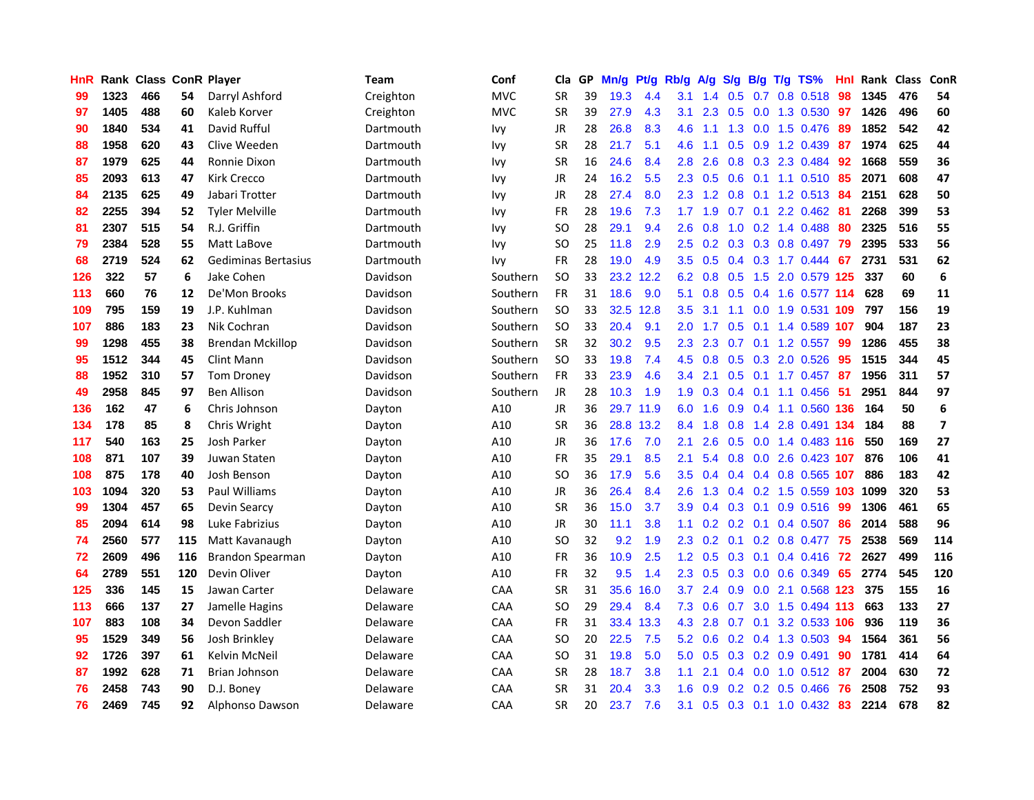| HnR |      | Rank Class ConR Player |     |                         | <b>Team</b> | Conf       | Cla           | GP | Mn/g | Pt/g      | Rb/g             | A/g | S/g |                 | B/g T/g TS%             | Hnl | Rank Class |     | ConR                    |
|-----|------|------------------------|-----|-------------------------|-------------|------------|---------------|----|------|-----------|------------------|-----|-----|-----------------|-------------------------|-----|------------|-----|-------------------------|
| 99  | 1323 | 466                    | 54  | Darryl Ashford          | Creighton   | <b>MVC</b> | <b>SR</b>     | 39 | 19.3 | 4.4       | 3.1              | 1.4 | 0.5 | 0.7             | 0.8 0.518               | 98  | 1345       | 476 | 54                      |
| 97  | 1405 | 488                    | 60  | Kaleb Korver            | Creighton   | <b>MVC</b> | <b>SR</b>     | 39 | 27.9 | 4.3       | 3.1              | 2.3 | 0.5 | 0.0             | 1.3 0.530               | 97  | 1426       | 496 | 60                      |
| 90  | 1840 | 534                    | 41  | David Rufful            | Dartmouth   | lvy        | JR            | 28 | 26.8 | 8.3       | 4.6              | 1.1 | 1.3 | 0.0             | 1.5 0.476               | -89 | 1852       | 542 | 42                      |
| 88  | 1958 | 620                    | 43  | Clive Weeden            | Dartmouth   | <b>Ivy</b> | <b>SR</b>     | 28 | 21.7 | 5.1       | 4.6              | 1.1 |     |                 | 0.5 0.9 1.2 0.439       | -87 | 1974       | 625 | 44                      |
| 87  | 1979 | 625                    | 44  | Ronnie Dixon            | Dartmouth   | <b>Ivy</b> | <b>SR</b>     | 16 | 24.6 | 8.4       | 2.8              | 2.6 |     |                 | 0.8 0.3 2.3 0.484       | 92  | 1668       | 559 | 36                      |
| 85  | 2093 | 613                    | 47  | Kirk Crecco             | Dartmouth   | <b>Ivy</b> | JR            | 24 | 16.2 | 5.5       | 2.3              | 0.5 |     |                 | $0.6$ $0.1$ 1.1 $0.510$ | -85 | 2071       | 608 | 47                      |
| 84  | 2135 | 625                    | 49  | Jabari Trotter          | Dartmouth   | <b>Ivy</b> | JR            | 28 | 27.4 | 8.0       | $2.3-$           | 1.2 |     |                 | $0.8$ 0.1 1.2 0.513     | 84  | 2151       | 628 | 50                      |
| 82  | 2255 | 394                    | 52  | <b>Tyler Melville</b>   | Dartmouth   | <b>Ivy</b> | FR            | 28 | 19.6 | 7.3       | 1.7 <sub>2</sub> | 1.9 |     | $0.7 \quad 0.1$ | 2.2 0.462               | -81 | 2268       | 399 | 53                      |
| 81  | 2307 | 515                    | 54  | R.J. Griffin            | Dartmouth   | <b>Ivy</b> | <sub>SO</sub> | 28 | 29.1 | 9.4       | 2.6              | 0.8 | 1.0 |                 | 0.2 1.4 0.488           | 80  | 2325       | 516 | 55                      |
| 79  | 2384 | 528                    | 55  | Matt LaBove             | Dartmouth   | <b>Ivy</b> | <b>SO</b>     | 25 | 11.8 | 2.9       | 2.5              | 0.2 |     |                 | 0.3 0.3 0.8 0.497       | -79 | 2395       | 533 | 56                      |
| 68  | 2719 | 524                    | 62  | Gediminas Bertasius     | Dartmouth   | Ivy        | FR            | 28 | 19.0 | 4.9       | 3.5              | 0.5 |     |                 | 0.4 0.3 1.7 0.444       | 67  | 2731       | 531 | 62                      |
| 126 | 322  | 57                     | 6   | Jake Cohen              | Davidson    | Southern   | <b>SO</b>     | 33 |      | 23.2 12.2 | 6.2              | 0.8 | 0.5 | 1.5             | 2.0 0.579 125           |     | 337        | 60  | 6                       |
| 113 | 660  | 76                     | 12  | De'Mon Brooks           | Davidson    | Southern   | <b>FR</b>     | 31 | 18.6 | 9.0       | 5.1              | 0.8 | 0.5 |                 | 0.4 1.6 0.577 114       |     | 628        | 69  | 11                      |
| 109 | 795  | 159                    | 19  | J.P. Kuhlman            | Davidson    | Southern   | <b>SO</b>     | 33 |      | 32.5 12.8 | 3.5              | 3.1 | 1.1 | 0.0             | 1.9 0.531               | 109 | 797        | 156 | 19                      |
| 107 | 886  | 183                    | 23  | Nik Cochran             | Davidson    | Southern   | <b>SO</b>     | 33 | 20.4 | 9.1       | 2.0              | 1.7 | 0.5 | 0.1             | 1.4 0.589 107           |     | 904        | 187 | 23                      |
| 99  | 1298 | 455                    | 38  | <b>Brendan Mckillop</b> | Davidson    | Southern   | <b>SR</b>     | 32 | 30.2 | 9.5       | $2.3\phantom{0}$ | 2.3 | 0.7 |                 | $0.1$ 1.2 0.557         | -99 | 1286       | 455 | 38                      |
| 95  | 1512 | 344                    | 45  | Clint Mann              | Davidson    | Southern   | <b>SO</b>     | 33 | 19.8 | 7.4       | 4.5              | 0.8 |     |                 | 0.5 0.3 2.0 0.526       | -95 | 1515       | 344 | 45                      |
| 88  | 1952 | 310                    | 57  | <b>Tom Droney</b>       | Davidson    | Southern   | <b>FR</b>     | 33 | 23.9 | 4.6       | $3.4^{\circ}$    | 2.1 |     |                 | 0.5 0.1 1.7 0.457 87    |     | 1956       | 311 | 57                      |
| 49  | 2958 | 845                    | 97  | <b>Ben Allison</b>      | Davidson    | Southern   | JR            | 28 | 10.3 | 1.9       | 1.9              | 0.3 |     |                 | $0.4$ 0.1 1.1 0.456     | -51 | 2951       | 844 | 97                      |
| 136 | 162  | 47                     | 6   | Chris Johnson           | Dayton      | A10        | JR            | 36 |      | 29.7 11.9 | 6.0              | 1.6 |     |                 | 0.9 0.4 1.1 0.560 136   |     | 164        | 50  | 6                       |
| 134 | 178  | 85                     | 8   | Chris Wright            | Dayton      | A10        | <b>SR</b>     | 36 |      | 28.8 13.2 | 8.4              | 1.8 | 0.8 |                 | 1.4 2.8 0.491 134       |     | 184        | 88  | $\overline{\mathbf{z}}$ |
| 117 | 540  | 163                    | 25  | Josh Parker             | Dayton      | A10        | JR            | 36 | 17.6 | 7.0       | 2.1              | 2.6 | 0.5 | 0.0             | 1.4 0.483 116           |     | 550        | 169 | 27                      |
| 108 | 871  | 107                    | 39  | Juwan Staten            | Dayton      | A10        | FR            | 35 | 29.1 | 8.5       | 2.1              | 5.4 |     |                 | 0.8 0.0 2.6 0.423 107   |     | 876        | 106 | 41                      |
| 108 | 875  | 178                    | 40  | Josh Benson             | Dayton      | A10        | SO.           | 36 | 17.9 | 5.6       | 3.5              | 0.4 |     |                 | 0.4 0.4 0.8 0.565 107   |     | 886        | 183 | 42                      |
| 103 | 1094 | 320                    | 53  | Paul Williams           | Dayton      | A10        | JR            | 36 | 26.4 | 8.4       | 2.6              | 1.3 |     |                 | 0.4 0.2 1.5 0.559 103   |     | 1099       | 320 | 53                      |
| 99  | 1304 | 457                    | 65  | <b>Devin Searcy</b>     | Dayton      | A10        | <b>SR</b>     | 36 | 15.0 | 3.7       | 3.9              | 0.4 | 0.3 | 0.1             | 0.9 0.516               | -99 | 1306       | 461 | 65                      |
| 85  | 2094 | 614                    | 98  | Luke Fabrizius          | Dayton      | A10        | <b>JR</b>     | 30 | 11.1 | 3.8       | 1.1              | 0.2 | 0.2 | 0.1             | 0.4 0.507               | 86  | 2014       | 588 | 96                      |
| 74  | 2560 | 577                    | 115 | Matt Kavanaugh          | Dayton      | A10        | <b>SO</b>     | 32 | 9.2  | 1.9       | 2.3              | 0.2 | 0.1 | 0.2             | 0.8 0.477               | -75 | 2538       | 569 | 114                     |
| 72  | 2609 | 496                    | 116 | Brandon Spearman        | Dayton      | A10        | <b>FR</b>     | 36 | 10.9 | 2.5       | 1.2 <sub>1</sub> | 0.5 |     | $0.3 \quad 0.1$ | $0.4$ 0.416             | 72  | 2627       | 499 | 116                     |
| 64  | 2789 | 551                    | 120 | Devin Oliver            | Dayton      | A10        | <b>FR</b>     | 32 | 9.5  | 1.4       | $2.3^{\circ}$    | 0.5 |     |                 | $0.3$ 0.0 0.6 0.349     | -65 | 2774       | 545 | 120                     |
| 125 | 336  | 145                    | 15  | Jawan Carter            | Delaware    | <b>CAA</b> | <b>SR</b>     | 31 |      | 35.6 16.0 | 3.7              | 2.4 |     |                 | 0.9 0.0 2.1 0.568 123   |     | 375        | 155 | 16                      |
| 113 | 666  | 137                    | 27  | Jamelle Hagins          | Delaware    | CAA        | <b>SO</b>     | 29 | 29.4 | 8.4       | 7.3              | 0.6 | 0.7 | 3.0             | 1.5 0.494 113           |     | 663        | 133 | 27                      |
| 107 | 883  | 108                    | 34  | Devon Saddler           | Delaware    | CAA        | <b>FR</b>     | 31 |      | 33.4 13.3 | 4.3              | 2.8 | 0.7 |                 | 0.1 3.2 0.533 106       |     | 936        | 119 | 36                      |
| 95  | 1529 | 349                    | 56  | Josh Brinkley           | Delaware    | CAA        | <b>SO</b>     | 20 | 22.5 | 7.5       | 5.2              | 0.6 |     |                 | $0.2$ 0.4 1.3 0.503     | 94  | 1564       | 361 | 56                      |
| 92  | 1726 | 397                    | 61  | Kelvin McNeil           | Delaware    | CAA        | <b>SO</b>     | 31 | 19.8 | 5.0       | 5.0              | 0.5 |     |                 | 0.3 0.2 0.9 0.491       | 90  | 1781       | 414 | 64                      |
| 87  | 1992 | 628                    | 71  | Brian Johnson           | Delaware    | <b>CAA</b> | <b>SR</b>     | 28 | 18.7 | 3.8       | 1.1              | 2.1 | 0.4 | 0.0             | 1.0 0.512               | -87 | 2004       | 630 | 72                      |
| 76  | 2458 | 743                    | 90  | D.J. Boney              | Delaware    | CAA        | <b>SR</b>     | 31 | 20.4 | 3.3       | 1.6              | 0.9 | 0.2 | 0.2             | 0.5 0.466               | 76  | 2508       | 752 | 93                      |
| 76  | 2469 | 745                    | 92  | Alphonso Dawson         | Delaware    | CAA        | <b>SR</b>     | 20 | 23.7 | 7.6       | 3.1              | 0.5 |     |                 | 0.3 0.1 1.0 0.432       | 83  | 2214       | 678 | 82                      |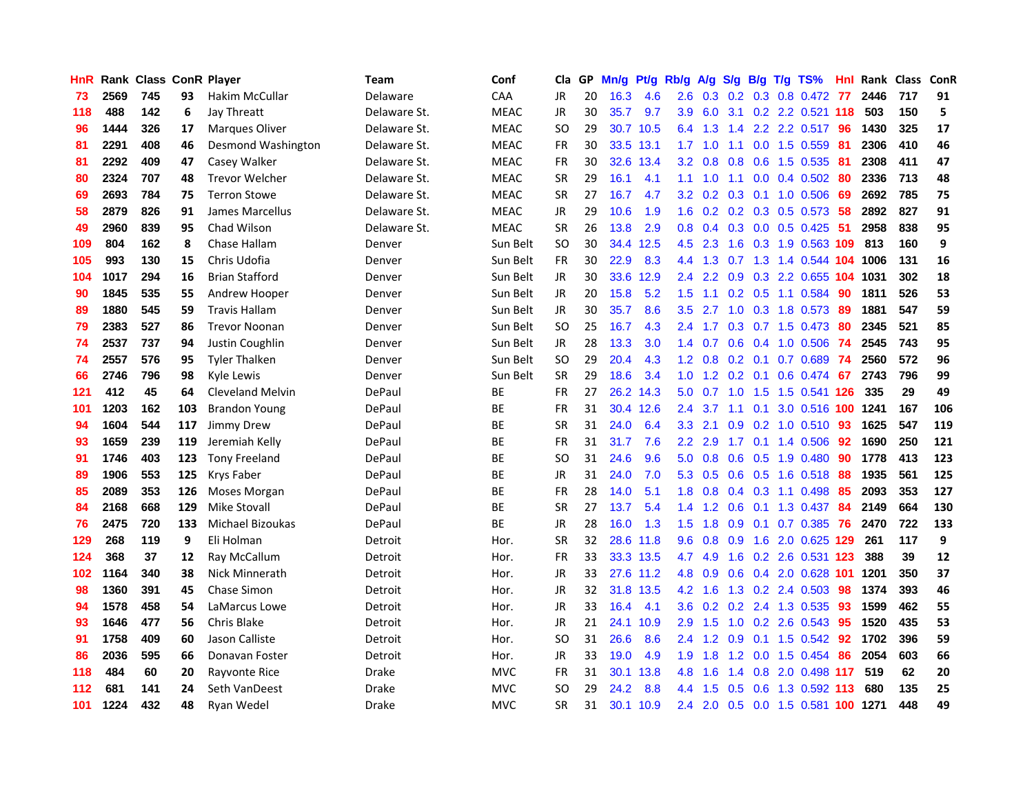| HnR |      | Rank Class ConR Player |     |                         | <b>Team</b>  | Conf        | Cla       |    | GP Mn/g | Pt/g      | Rb/g             | A/g             |        |           | S/g B/g T/g TS%              | Hnl | Rank Class |     | ConR |
|-----|------|------------------------|-----|-------------------------|--------------|-------------|-----------|----|---------|-----------|------------------|-----------------|--------|-----------|------------------------------|-----|------------|-----|------|
| 73  | 2569 | 745                    | 93  | <b>Hakim McCullar</b>   | Delaware     | CAA         | JR        | 20 | 16.3    | 4.6       | 2.6              | 0.3             | 0.2    | 0.3       | 0.8 0.472                    | 77  | 2446       | 717 | 91   |
| 118 | 488  | 142                    | 6   | Jay Threatt             | Delaware St. | <b>MEAC</b> | JR        | 30 | 35.7    | 9.7       | 3.9              | 6.0             | 3.1    |           | 0.2 2.2 0.521 118            |     | 503        | 150 | 5    |
| 96  | 1444 | 326                    | 17  | <b>Marques Oliver</b>   | Delaware St. | <b>MEAC</b> | SO.       | 29 |         | 30.7 10.5 |                  | 6.4 1.3         | 1.4    |           | 2.2 2.2 0.517                | -96 | 1430       | 325 | 17   |
| 81  | 2291 | 408                    | 46  | Desmond Washington      | Delaware St. | <b>MEAC</b> | FR        | 30 |         | 33.5 13.1 |                  | $1.7 \quad 1.0$ | $-1.1$ |           | 0.0 1.5 0.559 81             |     | 2306       | 410 | 46   |
| 81  | 2292 | 409                    | 47  | Casey Walker            | Delaware St. | <b>MEAC</b> | <b>FR</b> | 30 |         | 32.6 13.4 |                  | $3.2 \quad 0.8$ |        |           | 0.8 0.6 1.5 0.535 81         |     | 2308       | 411 | 47   |
| 80  | 2324 | 707                    | 48  | <b>Trevor Welcher</b>   | Delaware St. | <b>MEAC</b> | <b>SR</b> | 29 | 16.1    | 4.1       | 1.1              | 1.0             |        |           | 1.1 0.0 0.4 0.502            | -80 | 2336       | 713 | 48   |
| 69  | 2693 | 784                    | 75  | <b>Terron Stowe</b>     | Delaware St. | <b>MEAC</b> | <b>SR</b> | 27 | 16.7    | 4.7       | 3.2              | 0.2             |        |           | 0.3 0.1 1.0 0.506            | -69 | 2692       | 785 | 75   |
| 58  | 2879 | 826                    | 91  | James Marcellus         | Delaware St. | <b>MEAC</b> | JR        | 29 | 10.6    | 1.9       | 1.6              | 0.2             |        |           | $0.2$ 0.3 0.5 0.573          | 58  | 2892       | 827 | 91   |
| 49  | 2960 | 839                    | 95  | Chad Wilson             | Delaware St. | <b>MEAC</b> | <b>SR</b> | 26 | 13.8    | 2.9       | 0.8 <sub>0</sub> | 0.4             |        |           | 0.3 0.0 0.5 0.425            | 51  | 2958       | 838 | 95   |
| 109 | 804  | 162                    | 8   | Chase Hallam            | Denver       | Sun Belt    | <b>SO</b> | 30 |         | 34.4 12.5 | 4.5              | 2.3             | 1.6    |           | 0.3 1.9 0.563 109            |     | 813        | 160 | 9    |
| 105 | 993  | 130                    | 15  | Chris Udofia            | Denver       | Sun Belt    | <b>FR</b> | 30 | 22.9    | 8.3       |                  | 4.4 1.3         | 0.7    |           | 1.3 1.4 0.544 104 1006       |     |            | 131 | 16   |
| 104 | 1017 | 294                    | 16  | <b>Brian Stafford</b>   | Denver       | Sun Belt    | JR        | 30 | 33.6    | 12.9      | 2.4              | 2.2             | 0.9    | 0.3       | 2.2 0.655 104                |     | 1031       | 302 | 18   |
| 90  | 1845 | 535                    | 55  | Andrew Hooper           | Denver       | Sun Belt    | <b>JR</b> | 20 | 15.8    | 5.2       | 1.5              | 1.1             | 0.2    | 0.5       | 1.1 0.584                    | 90  | 1811       | 526 | 53   |
| 89  | 1880 | 545                    | 59  | <b>Travis Hallam</b>    | Denver       | Sun Belt    | JR        | 30 | 35.7    | 8.6       | 3.5              | 2.7             | 1.0    | 0.3       | 1.8 0.573                    | -89 | 1881       | 547 | 59   |
| 79  | 2383 | 527                    | 86  | <b>Trevor Noonan</b>    | Denver       | Sun Belt    | <b>SO</b> | 25 | 16.7    | 4.3       | $2.4^{\circ}$    | 1.7             | 0.3    |           | $0.7$ 1.5 0.473              | 80  | 2345       | 521 | 85   |
| 74  | 2537 | 737                    | 94  | Justin Coughlin         | Denver       | Sun Belt    | JR        | 28 | 13.3    | 3.0       |                  | $1.4 \quad 0.7$ |        |           | $0.6$ $0.4$ 1.0 0.506        | -74 | 2545       | 743 | 95   |
| 74  | 2557 | 576                    | 95  | <b>Tyler Thalken</b>    | Denver       | Sun Belt    | SO        | 29 | 20.4    | 4.3       |                  |                 |        |           | 1.2 0.8 0.2 0.1 0.7 0.689 74 |     | 2560       | 572 | 96   |
| 66  | 2746 | 796                    | 98  | Kyle Lewis              | Denver       | Sun Belt    | <b>SR</b> | 29 | 18.6    | 3.4       |                  |                 |        |           | 1.0 1.2 0.2 0.1 0.6 0.474 67 |     | 2743       | 796 | 99   |
| 121 | 412  | 45                     | 64  | <b>Cleveland Melvin</b> | DePaul       | ВE          | <b>FR</b> | 27 |         | 26.2 14.3 | 5.0              | 0.7             |        |           | 1.0 1.5 1.5 0.541 126        |     | 335        | 29  | 49   |
| 101 | 1203 | 162                    | 103 | <b>Brandon Young</b>    | DePaul       | ВE          | FR        | 31 |         | 30.4 12.6 | $2.4^{\circ}$    | 3.7             | 1.1    |           | 0.1 3.0 0.516 100 1241       |     |            | 167 | 106  |
| 94  | 1604 | 544                    | 117 | Jimmy Drew              | DePaul       | <b>BE</b>   | <b>SR</b> | 31 | 24.0    | 6.4       | 3.3              | 2.1             | 0.9    |           | $0.2$ 1.0 $0.510$            | 93  | 1625       | 547 | 119  |
| 93  | 1659 | 239                    | 119 | Jeremiah Kelly          | DePaul       | <b>BE</b>   | <b>FR</b> | 31 | 31.7    | 7.6       | $2.2^{\circ}$    | 2.9             | 1.7    | 0.1       | 1.4 0.506                    | 92  | 1690       | 250 | 121  |
| 91  | 1746 | 403                    | 123 | <b>Tony Freeland</b>    | DePaul       | ВE          | <b>SO</b> | 31 | 24.6    | 9.6       | 5.0              | 0.8             | 0.6    |           | 0.5 1.9 0.480                | -90 | 1778       | 413 | 123  |
| 89  | 1906 | 553                    | 125 | Krys Faber              | DePaul       | BE          | <b>JR</b> | 31 | 24.0    | 7.0       | 5.3              | 0.5             |        |           | 0.6 0.5 1.6 0.518            | 88  | 1935       | 561 | 125  |
| 85  | 2089 | 353                    | 126 | <b>Moses Morgan</b>     | DePaul       | ВE          | <b>FR</b> | 28 | 14.0    | 5.1       | 1.8              | 0.8             |        | $0.4$ 0.3 | 1.1 0.498                    | 85  | 2093       | 353 | 127  |
| 84  | 2168 | 668                    | 129 | <b>Mike Stovall</b>     | DePaul       | ВE          | <b>SR</b> | 27 | 13.7    | 5.4       | $1.4^{\circ}$    | 1.2             | 0.6    | 0.1       | 1.3 0.437                    | 84  | 2149       | 664 | 130  |
| 76  | 2475 | 720                    | 133 | Michael Bizoukas        | DePaul       | ВE          | JR        | 28 | 16.0    | 1.3       | 1.5 <sub>1</sub> | 1.8             | 0.9    | 0.1       | 0.7 0.385                    | 76  | 2470       | 722 | 133  |
| 129 | 268  | 119                    | 9   | Eli Holman              | Detroit      | Hor.        | <b>SR</b> | 32 |         | 28.6 11.8 | 9.6              | 0.8             | 0.9    | 1.6       | 2.0 0.625 129                |     | 261        | 117 | 9    |
| 124 | 368  | 37                     | 12  | Ray McCallum            | Detroit      | Hor.        | <b>FR</b> | 33 |         | 33.3 13.5 | 4.7              | 4.9             |        |           | 1.6 0.2 2.6 0.531 123        |     | 388        | 39  | 12   |
| 102 | 1164 | 340                    | 38  | Nick Minnerath          | Detroit      | Hor.        | JR        | 33 |         | 27.6 11.2 |                  | 4.8 0.9         |        |           | 0.6 0.4 2.0 0.628 101        |     | 1201       | 350 | 37   |
| 98  | 1360 | 391                    | 45  | <b>Chase Simon</b>      | Detroit      | Hor.        | JR        | 32 |         | 31.8 13.5 |                  | $4.2 \quad 1.6$ |        |           | 1.3 0.2 2.4 0.503            | -98 | 1374       | 393 | 46   |
| 94  | 1578 | 458                    | 54  | LaMarcus Lowe           | Detroit      | Hor.        | JR        | 33 | 16.4    | 4.1       | 3.6              |                 |        |           | 0.2 0.2 2.4 1.3 0.535        | 93  | 1599       | 462 | 55   |
| 93  | 1646 | 477                    | 56  | Chris Blake             | Detroit      | Hor.        | JR        | 21 |         | 24.1 10.9 | 2.9              | 1.5             |        |           | 1.0 0.2 2.6 0.543            | 95  | 1520       | 435 | 53   |
| 91  | 1758 | 409                    | 60  | Jason Calliste          | Detroit      | Hor.        | SO.       | 31 | 26.6    | 8.6       |                  | $2.4$ 1.2       | 0.9    |           | $0.1$ 1.5 0.542              | 92  | 1702       | 396 | 59   |
| 86  | 2036 | 595                    | 66  | Donavan Foster          | Detroit      | Hor.        | JR        | 33 | 19.0    | 4.9       | 1.9              | 1.8             | 1.2    | 0.0       | 1.5 0.454                    | 86  | 2054       | 603 | 66   |
| 118 | 484  | 60                     | 20  | Rayvonte Rice           | <b>Drake</b> | <b>MVC</b>  | <b>FR</b> | 31 |         | 30.1 13.8 | 4.8              | 1.6             | 1.4    |           | 0.8 2.0 0.498 117            |     | 519        | 62  | 20   |
| 112 | 681  | 141                    | 24  | Seth VanDeest           | Drake        | <b>MVC</b>  | <b>SO</b> | 29 | 24.2    | 8.8       | 4.4              | 1.5             | 0.5    | 0.6       | 1.3 0.592                    | 113 | 680        | 135 | 25   |
| 101 | 1224 | 432                    | 48  | Ryan Wedel              | <b>Drake</b> | <b>MVC</b>  | <b>SR</b> | 31 |         | 30.1 10.9 | 2.4              | 2.0             |        |           | 0.5 0.0 1.5 0.581 100 1271   |     |            | 448 | 49   |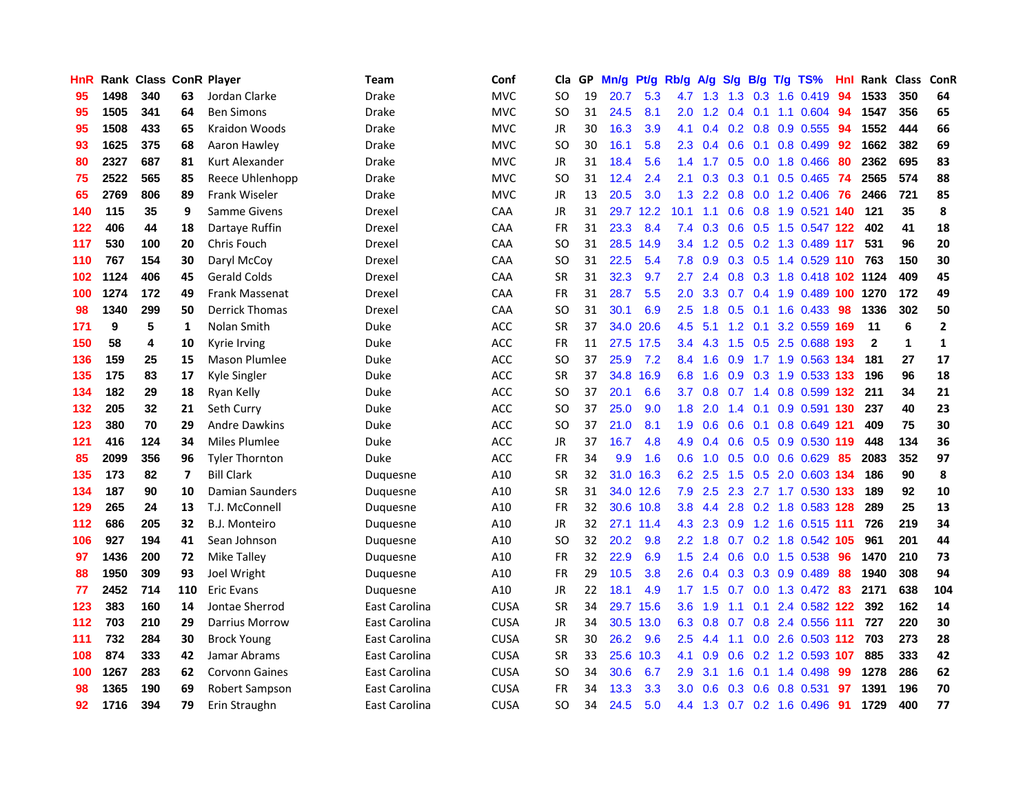| HnR |      | Rank Class ConR Player |     |                       | Team          | Conf        | Cla       | GP | Mn/g      | Pt/g      | Rb/g             | A/g           | S/g       | B/g | $T/g$ TS%                 | Hnl | Rank Class   |              | ConR         |
|-----|------|------------------------|-----|-----------------------|---------------|-------------|-----------|----|-----------|-----------|------------------|---------------|-----------|-----|---------------------------|-----|--------------|--------------|--------------|
| 95  | 1498 | 340                    | 63  | Jordan Clarke         | <b>Drake</b>  | <b>MVC</b>  | SO.       | 19 | 20.7      | 5.3       | 4.7              | 1.3           | 1.3       | 0.3 | 1.6 0.419                 | 94  | 1533         | 350          | 64           |
| 95  | 1505 | 341                    | 64  | <b>Ben Simons</b>     | <b>Drake</b>  | <b>MVC</b>  | SO.       | 31 | 24.5      | 8.1       | 2.0              | 1.2           | 0.4       | 0.1 | 1.1 0.604                 | -94 | 1547         | 356          | 65           |
| 95  | 1508 | 433                    | 65  | Kraidon Woods         | <b>Drake</b>  | <b>MVC</b>  | JR        | 30 | 16.3      | 3.9       | 4.1              | $0.4^{\circ}$ |           |     | 0.2 0.8 0.9 0.555         | -94 | 1552         | 444          | 66           |
| 93  | 1625 | 375                    | 68  | Aaron Hawley          | Drake         | <b>MVC</b>  | SO.       | 30 | 16.1      | 5.8       | $2.3^{\circ}$    | 0.4           | $0.6$ 0.1 |     | $0.8$ 0.499               | 92  | 1662         | 382          | 69           |
| 80  | 2327 | 687                    | 81  | Kurt Alexander        | Drake         | <b>MVC</b>  | JR        | 31 | 18.4      | 5.6       |                  | $1.4$ 1.7     |           |     | $0.5$ 0.0 1.8 0.466       | 80  | 2362         | 695          | 83           |
| 75  | 2522 | 565                    | 85  | Reece Uhlenhopp       | Drake         | <b>MVC</b>  | SO.       | 31 | 12.4      | 2.4       | 2.1              | 0.3           |           |     | $0.3$ 0.1 0.5 0.465       | -74 | 2565         | 574          | 88           |
| 65  | 2769 | 806                    | 89  | Frank Wiseler         | Drake         | <b>MVC</b>  | JR        | 13 | 20.5      | 3.0       | 1.3 <sub>1</sub> | 2.2           | 0.8       |     | $0.0$ 1.2 0.406           | -76 | 2466         | 721          | 85           |
| 140 | 115  | 35                     | 9   | Samme Givens          | Drexel        | CAA         | JR        | 31 |           | 29.7 12.2 | 10.1             | 1.1           | 0.6       |     | 0.8 1.9 0.521 140         |     | 121          | 35           | 8            |
| 122 | 406  | 44                     | 18  | Dartaye Ruffin        | Drexel        | CAA         | <b>FR</b> | 31 | 23.3      | 8.4       | 7.4              | 0.3           | 0.6       |     | 0.5 1.5 0.547 122         |     | 402          | 41           | 18           |
| 117 | 530  | 100                    | 20  | Chris Fouch           | Drexel        | CAA         | SO.       | 31 | 28.5 14.9 |           | $3.4^{\circ}$    | 1.2           |           |     | 0.5 0.2 1.3 0.489 117     |     | 531          | 96           | 20           |
| 110 | 767  | 154                    | 30  | Daryl McCoy           | Drexel        | <b>CAA</b>  | SO.       | 31 | 22.5      | 5.4       | 7.8              | 0.9           | 0.3       | 0.5 | 1.4 0.529 110             |     | 763          | 150          | 30           |
| 102 | 1124 | 406                    | 45  | <b>Gerald Colds</b>   | Drexel        | <b>CAA</b>  | <b>SR</b> | 31 | 32.3      | 9.7       | 2.7              | 2.4           | 0.8       | 0.3 | 1.8 0.418 102 1124        |     |              | 409          | 45           |
| 100 | 1274 | 172                    | 49  | <b>Frank Massenat</b> | Drexel        | <b>CAA</b>  | FR        | 31 | 28.7      | 5.5       | 2.0              | 3.3           | 0.7       | 0.4 | 1.9 0.489 100             |     | 1270         | 172          | 49           |
| 98  | 1340 | 299                    | 50  | <b>Derrick Thomas</b> | Drexel        | CAA         | <b>SO</b> | 31 | 30.1      | 6.9       | 2.5              | 1.8           | 0.5       | 0.1 | 1.6 0.433                 | -98 | 1336         | 302          | 50           |
| 171 | 9    | 5                      | 1   | Nolan Smith           | Duke          | <b>ACC</b>  | <b>SR</b> | 37 | 34.0      | 20.6      | 4.5              | 5.1           | 1.2       | 0.1 | 3.2 0.559 169             |     | 11           | 6            | $\mathbf{2}$ |
| 150 | 58   | 4                      | 10  | Kyrie Irving          | Duke          | ACC         | FR        | 11 | 27.5 17.5 |           |                  | $3.4$ 4.3     |           |     | 1.5 0.5 2.5 0.688 193     |     | $\mathbf{2}$ | $\mathbf{1}$ | 1            |
| 136 | 159  | 25                     | 15  | <b>Mason Plumlee</b>  | Duke          | <b>ACC</b>  | SO.       | 37 | 25.9      | 7.2       |                  | 8.4 1.6       |           |     | 0.9 1.7 1.9 0.563 134     |     | 181          | 27           | 17           |
| 135 | 175  | 83                     | 17  | Kyle Singler          | Duke          | ACC         | <b>SR</b> | 37 | 34.8 16.9 |           | 6.8              | 1.6           |           |     | 0.9 0.3 1.9 0.533 133     |     | 196          | 96           | 18           |
| 134 | 182  | 29                     | 18  | Ryan Kelly            | Duke          | ACC         | SO        | 37 | 20.1      | 6.6       | 3.7              | 0.8           |           |     | 0.7 1.4 0.8 0.599 132     |     | 211          | 34           | 21           |
| 132 | 205  | 32                     | 21  | Seth Curry            | Duke          | <b>ACC</b>  | SO        | 37 | 25.0      | 9.0       | 1.8              | 2.0           |           |     | 1.4 0.1 0.9 0.591 130     |     | 237          | 40           | 23           |
| 123 | 380  | 70                     | 29  | <b>Andre Dawkins</b>  | Duke          | <b>ACC</b>  | <b>SO</b> | 37 | 21.0      | 8.1       | 1.9              | 0.6           | 0.6       | 0.1 | 0.8 0.649 121             |     | 409          | 75           | 30           |
| 121 | 416  | 124                    | 34  | Miles Plumlee         | Duke          | <b>ACC</b>  | JR        | 37 | 16.7      | 4.8       | 4.9              | 0.4           | 0.6       |     | 0.5 0.9 0.530 119         |     | 448          | 134          | 36           |
| 85  | 2099 | 356                    | 96  | <b>Tyler Thornton</b> | <b>Duke</b>   | ACC         | <b>FR</b> | 34 | 9.9       | 1.6       | 0.6              | 1.0           | 0.5       |     | $0.0\quad 0.6\quad 0.629$ | -85 | 2083         | 352          | 97           |
| 135 | 173  | 82                     | 7   | <b>Bill Clark</b>     | Duquesne      | A10         | <b>SR</b> | 32 | 31.0      | 16.3      | 6.2              | 2.5           | 1.5       |     | 0.5 2.0 0.603 134         |     | 186          | 90           | 8            |
| 134 | 187  | 90                     | 10  | Damian Saunders       | Duquesne      | A10         | <b>SR</b> | 31 |           | 34.0 12.6 | 7.9              | 2.5           | 2.3       |     | 2.7 1.7 0.530 133         |     | 189          | 92           | 10           |
| 129 | 265  | 24                     | 13  | T.J. McConnell        | Duquesne      | A10         | <b>FR</b> | 32 |           | 30.6 10.8 | 3.8 <sub>2</sub> | 4.4           | 2.8       |     | 0.2 1.8 0.583 128         |     | 289          | 25           | 13           |
| 112 | 686  | 205                    | 32  | <b>B.J. Monteiro</b>  | Duquesne      | A10         | JR        | 32 |           | 27.1 11.4 | 4.3              | 2.3           | 0.9       | 1.2 | 1.6 0.515 111             |     | 726          | 219          | 34           |
| 106 | 927  | 194                    | 41  | Sean Johnson          | Duquesne      | A10         | <b>SO</b> | 32 | 20.2      | 9.8       | $2.2^{\circ}$    | 1.8           | 0.7       | 0.2 | 1.8 0.542 105             |     | 961          | 201          | 44           |
| 97  | 1436 | 200                    | 72  | Mike Talley           | Duquesne      | A10         | <b>FR</b> | 32 | 22.9      | 6.9       | 1.5              | 2.4           | 0.6       |     | $0.0$ 1.5 0.538           | -96 | 1470         | 210          | 73           |
| 88  | 1950 | 309                    | 93  | Joel Wright           | Duquesne      | A10         | <b>FR</b> | 29 | 10.5      | 3.8       | $2.6^{\circ}$    | 0.4           |           |     | $0.3$ $0.3$ $0.9$ $0.489$ | -88 | 1940         | 308          | 94           |
| 77  | 2452 | 714                    | 110 | <b>Eric Evans</b>     | Duquesne      | A10         | JR        | 22 | 18.1      | 4.9       |                  | $1.7$ $1.5$   |           |     | 0.7 0.0 1.3 0.472 83      |     | 2171         | 638          | 104          |
| 123 | 383  | 160                    | 14  | Jontae Sherrod        | East Carolina | <b>CUSA</b> | <b>SR</b> | 34 |           | 29.7 15.6 |                  | 3.6 1.9       | 1.1       |     | 0.1 2.4 0.582 122         |     | 392          | 162          | 14           |
| 112 | 703  | 210                    | 29  | Darrius Morrow        | East Carolina | <b>CUSA</b> | JR        | 34 |           | 30.5 13.0 | 6.3              | 0.8           | 0.7       |     | 0.8 2.4 0.556 111         |     | 727          | 220          | 30           |
| 111 | 732  | 284                    | 30  | <b>Brock Young</b>    | East Carolina | <b>CUSA</b> | <b>SR</b> | 30 | 26.2      | 9.6       | 2.5              | 4.4           | 1.1       |     | 0.0 2.6 0.503 112 703     |     |              | 273          | 28           |
| 108 | 874  | 333                    | 42  | Jamar Abrams          | East Carolina | <b>CUSA</b> | <b>SR</b> | 33 | 25.6      | 10.3      | 4.1              | 0.9           | 0.6       |     | 0.2 1.2 0.593 107         |     | 885          | 333          | 42           |
| 100 | 1267 | 283                    | 62  | <b>Corvonn Gaines</b> | East Carolina | <b>CUSA</b> | SO.       | 34 | 30.6      | 6.7       | 2.9              | 3.1           | 1.6       | 0.1 | 1.4 0.498                 | -99 | 1278         | 286          | 62           |
| 98  | 1365 | 190                    | 69  | Robert Sampson        | East Carolina | <b>CUSA</b> | FR        | 34 | 13.3      | 3.3       | 3.0              | 0.6           | 0.3       | 0.6 | 0.8 0.531                 | 97  | 1391         | 196          | 70           |
| 92  | 1716 | 394                    | 79  | Erin Straughn         | East Carolina | <b>CUSA</b> | <b>SO</b> | 34 | 24.5      | 5.0       | 4.4              | 1.3           |           |     | 0.7 0.2 1.6 0.496         | -91 | 1729         | 400          | 77           |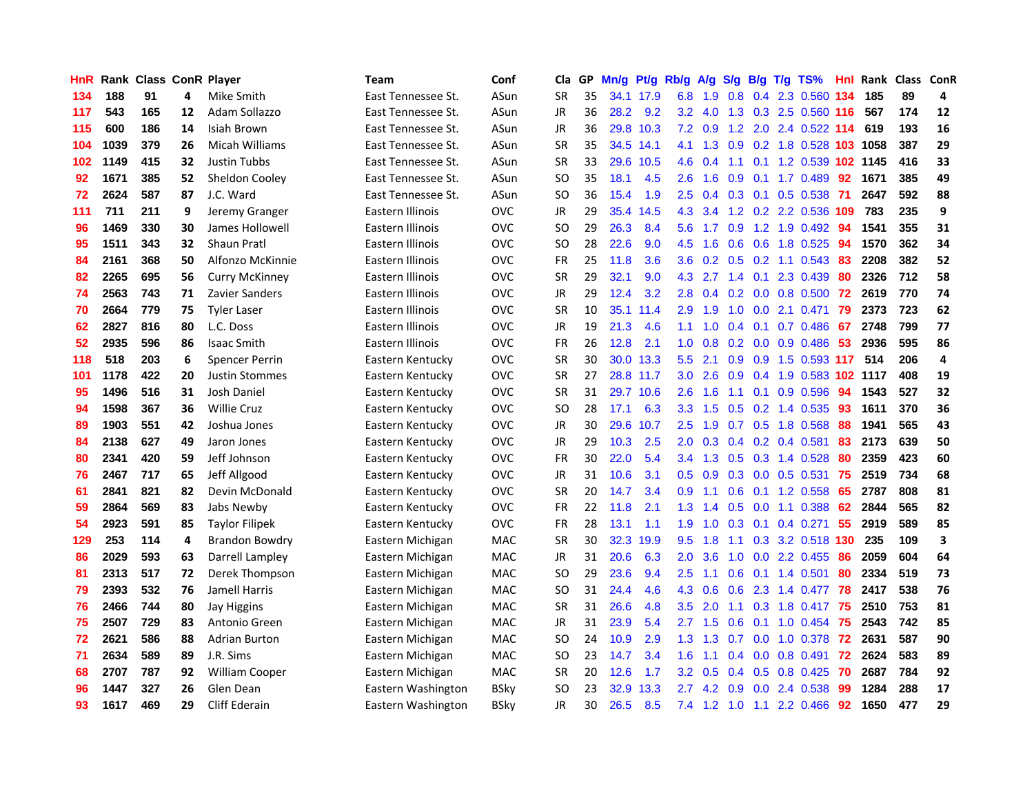| HnR |      | <b>Rank Class ConR Player</b> |    |                       | Team               | Conf        | Cla           | GP | Mn/g | Pt/g      | Rb/g             | A/g | S/g           |     | B/g T/g TS%                | Hnl |      | Rank Class ConR |                         |
|-----|------|-------------------------------|----|-----------------------|--------------------|-------------|---------------|----|------|-----------|------------------|-----|---------------|-----|----------------------------|-----|------|-----------------|-------------------------|
| 134 | 188  | 91                            | 4  | Mike Smith            | East Tennessee St. | ASun        | SR            | 35 |      | 34.1 17.9 | 6.8              | 1.9 | 0.8           | 0.4 | 2.3 0.560                  | 134 | 185  | 89              | 4                       |
| 117 | 543  | 165                           | 12 | Adam Sollazzo         | East Tennessee St. | ASun        | <b>JR</b>     | 36 | 28.2 | 9.2       | 3.2 <sub>2</sub> | 4.0 | 1.3           | 0.3 | 2.5 0.560 116              |     | 567  | 174             | 12                      |
| 115 | 600  | 186                           | 14 | Isiah Brown           | East Tennessee St. | ASun        | <b>JR</b>     | 36 | 29.8 | 10.3      | 7.2              | 0.9 | 1.2           | 2.0 | 2.4 0.522 114              |     | 619  | 193             | 16                      |
| 104 | 1039 | 379                           | 26 | Micah Williams        | East Tennessee St. | ASun        | <b>SR</b>     | 35 |      | 34.5 14.1 | 4.1              | 1.3 | 0.9           |     | 0.2 1.8 0.528 103 1058     |     |      | 387             | 29                      |
| 102 | 1149 | 415                           | 32 | <b>Justin Tubbs</b>   | East Tennessee St. | ASun        | SR            | 33 |      | 29.6 10.5 | 4.6              | 0.4 |               |     | 1.1 0.1 1.2 0.539 102 1145 |     |      | 416             | 33                      |
| 92  | 1671 | 385                           | 52 | Sheldon Cooley        | East Tennessee St. | ASun        | <b>SO</b>     | 35 | 18.1 | 4.5       | $2.6^{\circ}$    | 1.6 | 0.9           |     | $0.1$ 1.7 0.489            | 92  | 1671 | 385             | 49                      |
| 72  | 2624 | 587                           | 87 | J.C. Ward             | East Tennessee St. | ASun        | <b>SO</b>     | 36 | 15.4 | 1.9       | 2.5              | 0.4 |               |     | 0.3 0.1 0.5 0.538          | -71 | 2647 | 592             | 88                      |
| 111 | 711  | 211                           | 9  | Jeremy Granger        | Eastern Illinois   | <b>OVC</b>  | JR            | 29 | 35.4 | 14.5      | 4.3              | 3.4 |               |     | 1.2 0.2 2.2 0.536 109      |     | 783  | 235             | 9                       |
| 96  | 1469 | 330                           | 30 | James Hollowell       | Eastern Illinois   | <b>OVC</b>  | <b>SO</b>     | 29 | 26.3 | 8.4       | 5.6              | 1.7 | 0.9           |     | 1.2 1.9 0.492              | 94  | 1541 | 355             | 31                      |
| 95  | 1511 | 343                           | 32 | <b>Shaun Pratl</b>    | Eastern Illinois   | <b>OVC</b>  | <b>SO</b>     | 28 | 22.6 | 9.0       | 4.5              | 1.6 | 0.6           | 0.6 | 1.8 0.525                  | 94  | 1570 | 362             | 34                      |
| 84  | 2161 | 368                           | 50 | Alfonzo McKinnie      | Eastern Illinois   | <b>OVC</b>  | <b>FR</b>     | 25 | 11.8 | 3.6       | 3.6              | 0.2 |               |     | $0.5$ $0.2$ 1.1 $0.543$    | 83  | 2208 | 382             | 52                      |
| 82  | 2265 | 695                           | 56 | <b>Curry McKinney</b> | Eastern Illinois   | <b>OVC</b>  | <b>SR</b>     | 29 | 32.1 | 9.0       | 4.3              | 2.7 | 1.4           | 0.1 | 2.3 0.439                  | 80  | 2326 | 712             | 58                      |
| 74  | 2563 | 743                           | 71 | <b>Zavier Sanders</b> | Eastern Illinois   | <b>OVC</b>  | <b>JR</b>     | 29 | 12.4 | 3.2       | 2.8              | 0.4 | 0.2           | 0.0 | 0.8 0.500                  | 72  | 2619 | 770             | 74                      |
| 70  | 2664 | 779                           | 75 | <b>Tyler Laser</b>    | Eastern Illinois   | <b>OVC</b>  | <b>SR</b>     | 10 |      | 35.1 11.4 | 2.9              | 1.9 | 1.0           | 0.0 | 2.1 0.471                  | 79  | 2373 | 723             | 62                      |
| 62  | 2827 | 816                           | 80 | L.C. Doss             | Eastern Illinois   | <b>OVC</b>  | <b>JR</b>     | 19 | 21.3 | 4.6       | 1.1              | 1.0 | 0.4           | 0.1 | 0.7 0.486                  | 67  | 2748 | 799             | 77                      |
| 52  | 2935 | 596                           | 86 | <b>Isaac Smith</b>    | Eastern Illinois   | <b>OVC</b>  | <b>FR</b>     | 26 | 12.8 | 2.1       | 1.0              | 0.8 | 0.2           | 0.0 | 0.9 0.486                  | 53  | 2936 | 595             | 86                      |
| 118 | 518  | 203                           | 6  | <b>Spencer Perrin</b> | Eastern Kentucky   | <b>OVC</b>  | <b>SR</b>     | 30 | 30.0 | 13.3      | 5.5 <sub>1</sub> | 2.1 | 0.9           | 0.9 | 1.5 0.593 117              |     | 514  | 206             | 4                       |
| 101 | 1178 | 422                           | 20 | <b>Justin Stommes</b> | Eastern Kentucky   | <b>OVC</b>  | <b>SR</b>     | 27 |      | 28.8 11.7 | 3.0 <sub>1</sub> | 2.6 | 0.9           |     | 0.4 1.9 0.583 102 1117     |     |      | 408             | 19                      |
| 95  | 1496 | 516                           | 31 | Josh Daniel           | Eastern Kentucky   | <b>OVC</b>  | <b>SR</b>     | 31 |      | 29.7 10.6 | 2.6              | 1.6 |               |     | 1.1 0.1 0.9 0.596          | 94  | 1543 | 527             | 32                      |
| 94  | 1598 | 367                           | 36 | <b>Willie Cruz</b>    | Eastern Kentucky   | <b>OVC</b>  | <b>SO</b>     | 28 | 17.1 | 6.3       | 3.3 <sub>1</sub> | 1.5 |               |     | $0.5$ $0.2$ 1.4 $0.535$    | 93  | 1611 | 370             | 36                      |
| 89  | 1903 | 551                           | 42 | Joshua Jones          | Eastern Kentucky   | <b>OVC</b>  | JR            | 30 | 29.6 | 10.7      | $2.5^{\circ}$    | 1.9 |               |     | $0.7$ $0.5$ 1.8 $0.568$    | 88  | 1941 | 565             | 43                      |
| 84  | 2138 | 627                           | 49 | Jaron Jones           | Eastern Kentucky   | <b>OVC</b>  | JR            | 29 | 10.3 | 2.5       | 2.0              | 0.3 |               |     | $0.4$ 0.2 0.4 0.581        | 83  | 2173 | 639             | 50                      |
| 80  | 2341 | 420                           | 59 | Jeff Johnson          | Eastern Kentucky   | <b>OVC</b>  | <b>FR</b>     | 30 | 22.0 | 5.4       | 3.4              | 1.3 |               |     | 0.5 0.3 1.4 0.528          | 80  | 2359 | 423             | 60                      |
| 76  | 2467 | 717                           | 65 | Jeff Allgood          | Eastern Kentucky   | ovc         | JR            | 31 | 10.6 | 3.1       | 0.5              | 0.9 | 0.3           |     | $0.0$ 0.5 0.531            | 75  | 2519 | 734             | 68                      |
| 61  | 2841 | 821                           | 82 | Devin McDonald        | Eastern Kentucky   | ovc         | <b>SR</b>     | 20 | 14.7 | 3.4       | 0.9              | 1.1 | 0.6           | 0.1 | 1.2 0.558                  | 65  | 2787 | 808             | 81                      |
| 59  | 2864 | 569                           | 83 | Jabs Newby            | Eastern Kentucky   | ovc         | <b>FR</b>     | 22 | 11.8 | 2.1       | 1.3 <sup>°</sup> | 1.4 | 0.5           |     | $0.0$ 1.1 0.388            | 62  | 2844 | 565             | 82                      |
| 54  | 2923 | 591                           | 85 | <b>Taylor Filipek</b> | Eastern Kentucky   | <b>OVC</b>  | <b>FR</b>     | 28 | 13.1 | 1.1       | 1.9              | 1.0 | 0.3           | 0.1 | 0.4 0.271                  | 55  | 2919 | 589             | 85                      |
| 129 | 253  | 114                           | 4  | <b>Brandon Bowdry</b> | Eastern Michigan   | MAC         | <b>SR</b>     | 30 | 32.3 | 19.9      | 9.5              | 1.8 | 1.1           | 0.3 | 3.2 0.518 130              |     | 235  | 109             | $\overline{\mathbf{3}}$ |
| 86  | 2029 | 593                           | 63 | Darrell Lampley       | Eastern Michigan   | MAC         | JR            | 31 | 20.6 | 6.3       | 2.0              | 3.6 | 1.0           | 0.0 | 2.2 0.455                  | 86  | 2059 | 604             | 64                      |
| 81  | 2313 | 517                           | 72 | Derek Thompson        | Eastern Michigan   | MAC         | <b>SO</b>     | 29 | 23.6 | 9.4       | 2.5              | 1.1 | 0.6           | 0.1 | 1.4 0.501                  | 80  | 2334 | 519             | 73                      |
| 79  | 2393 | 532                           | 76 | Jamell Harris         | Eastern Michigan   | <b>MAC</b>  | <sub>SO</sub> | 31 | 24.4 | 4.6       | 4.3              | 0.6 | 0.6           | 2.3 | 1.4 0.477                  | 78  | 2417 | 538             | 76                      |
| 76  | 2466 | 744                           | 80 | Jay Higgins           | Eastern Michigan   | MAC         | <b>SR</b>     | 31 | 26.6 | 4.8       | 3.5              | 2.0 | 1.1           |     | $0.3$ 1.8 0.417            | 75  | 2510 | 753             | 81                      |
| 75  | 2507 | 729                           | 83 | Antonio Green         | Eastern Michigan   | MAC         | JR            | 31 | 23.9 | 5.4       | $2.7^{\circ}$    | 1.5 | 0.6           | 0.1 | $1.0 \ \ 0.454$            | -75 | 2543 | 742             | 85                      |
| 72  | 2621 | 586                           | 88 | <b>Adrian Burton</b>  | Eastern Michigan   | MAC         | <b>SO</b>     | 24 | 10.9 | 2.9       | 1.3 <sup>°</sup> | 1.3 | 0.7           |     | $0.0$ 1.0 0.378            | 72  | 2631 | 587             | 90                      |
| 71  | 2634 | 589                           | 89 | J.R. Sims             | Eastern Michigan   | MAC         | <b>SO</b>     | 23 | 14.7 | 3.4       | 1.6              | 1.1 | 0.4           | 0.0 | 0.8 0.491                  | 72  | 2624 | 583             | 89                      |
| 68  | 2707 | 787                           | 92 | <b>William Cooper</b> | Eastern Michigan   | MAC         | SR            | 20 | 12.6 | 1.7       | $3.2\phantom{0}$ | 0.5 | $0.4^{\circ}$ | 0.5 | $0.8$ 0.425                | 70  | 2687 | 784             | 92                      |
| 96  | 1447 | 327                           | 26 | Glen Dean             | Eastern Washington | <b>BSky</b> | <b>SO</b>     | 23 | 32.9 | 13.3      | 2.7              | 4.2 | 0.9           | 0.0 | 2.4 0.538                  | 99  | 1284 | 288             | 17                      |
| 93  | 1617 | 469                           | 29 | Cliff Ederain         | Eastern Washington | <b>BSky</b> | JR            | 30 | 26.5 | 8.5       | 7.4              | 1.2 | $-1.0$        |     | 1.1 2.2 0.466              | 92  | 1650 | 477             | 29                      |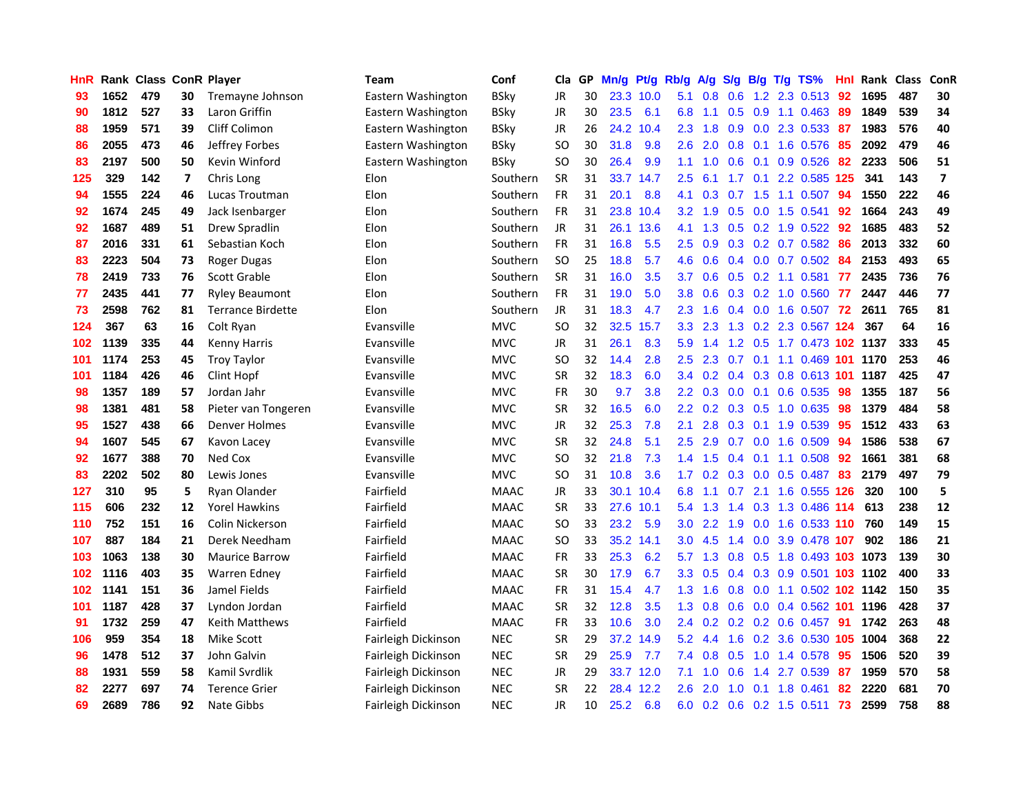| <b>HnR</b> |      | <b>Rank Class ConR Player</b> |    |                          | <b>Team</b>         | Conf        | Cla           |    | GP Mn/g | Pt/g      | Rb/g             | A/g       |                 |                 | S/g B/g T/g TS%                    | Hnl | Rank Class |     | ConR                     |
|------------|------|-------------------------------|----|--------------------------|---------------------|-------------|---------------|----|---------|-----------|------------------|-----------|-----------------|-----------------|------------------------------------|-----|------------|-----|--------------------------|
| 93         | 1652 | 479                           | 30 | Tremayne Johnson         | Eastern Washington  | <b>BSky</b> | JR            | 30 |         | 23.3 10.0 | 5.1              | 0.8       | 0.6             | 1.2             | 2.3 0.513                          | 92  | 1695       | 487 | 30                       |
| 90         | 1812 | 527                           | 33 | Laron Griffin            | Eastern Washington  | <b>BSky</b> | JR            | 30 | 23.5    | 6.1       | 6.8              | 1.1       | 0.5             | 0.9             | 1.1 0.463                          | -89 | 1849       | 539 | 34                       |
| 88         | 1959 | 571                           | 39 | <b>Cliff Colimon</b>     | Eastern Washington  | <b>BSky</b> | JR            | 26 | 24.2    | 10.4      | 2.3              | 1.8       | 0.9             | 0.0             | 2.3 0.533                          | -87 | 1983       | 576 | 40                       |
| 86         | 2055 | 473                           | 46 | Jeffrey Forbes           | Eastern Washington  | <b>BSkv</b> | SO.           | 30 | 31.8    | 9.8       | 2.6              | 2.0       | $0.8\quad 0.1$  |                 | 1.6 0.576                          | 85  | 2092       | 479 | 46                       |
| 83         | 2197 | 500                           | 50 | Kevin Winford            | Eastern Washington  | <b>BSky</b> | SO.           | 30 | 26.4    | 9.9       | 1.1              | 1.0       | $0.6 \quad 0.1$ |                 | 0.9 0.526                          | 82  | 2233       | 506 | 51                       |
| 125        | 329  | 142                           | 7  | Chris Long               | Elon                | Southern    | <b>SR</b>     | 31 |         | 33.7 14.7 | 2.5              | 6.1       |                 |                 | 1.7 0.1 2.2 0.585 125              |     | 341        | 143 | $\overline{\phantom{a}}$ |
| 94         | 1555 | 224                           | 46 | Lucas Troutman           | Elon                | Southern    | <b>FR</b>     | 31 | 20.1    | 8.8       | 4.1              | 0.3       | 0.7             |                 | 1.5 1.1 0.507                      | 94  | 1550       | 222 | 46                       |
| 92         | 1674 | 245                           | 49 | Jack Isenbarger          | Elon                | Southern    | <b>FR</b>     | 31 |         | 23.8 10.4 | 3.2 <sub>2</sub> | 1.9       | 0.5             |                 | $0.0$ 1.5 0.541                    | 92  | 1664       | 243 | 49                       |
| 92         | 1687 | 489                           | 51 | Drew Spradlin            | Elon                | Southern    | <b>JR</b>     | 31 |         | 26.1 13.6 | 4.1              | 1.3       | 0.5             |                 | $0.2$ 1.9 $0.522$                  | 92  | 1685       | 483 | 52                       |
| 87         | 2016 | 331                           | 61 | Sebastian Koch           | Elon                | Southern    | FR            | 31 | 16.8    | 5.5       | 2.5              | 0.9       |                 |                 | 0.3 0.2 0.7 0.582                  | 86  | 2013       | 332 | 60                       |
| 83         | 2223 | 504                           | 73 | Roger Dugas              | Elon                | Southern    | <sub>SO</sub> | 25 | 18.8    | 5.7       | 4.6              | 0.6       |                 |                 | $0.4$ 0.0 0.7 0.502                | 84  | 2153       | 493 | 65                       |
| 78         | 2419 | 733                           | 76 | Scott Grable             | Elon                | Southern    | <b>SR</b>     | 31 | 16.0    | 3.5       | 3.7              | 0.6       | 0.5             |                 | $0.2$ 1.1 $0.581$                  | 77  | 2435       | 736 | 76                       |
| 77         | 2435 | 441                           | 77 | <b>Ryley Beaumont</b>    | Elon                | Southern    | <b>FR</b>     | 31 | 19.0    | 5.0       | 3.8              | 0.6       | 0.3             |                 | 0.2 1.0 0.560                      | -77 | 2447       | 446 | 77                       |
| 73         | 2598 | 762                           | 81 | <b>Terrance Birdette</b> | Elon                | Southern    | <b>JR</b>     | 31 | 18.3    | 4.7       | $2.3^{\circ}$    | 1.6       | 0.4             | 0.0             | 1.6 0.507                          | 72  | 2611       | 765 | 81                       |
| 124        | 367  | 63                            | 16 | Colt Ryan                | Evansville          | <b>MVC</b>  | <b>SO</b>     | 32 | 32.5    | 15.7      | 3.3              | 2.3       | 1.3             | 0.2             | 2.3 0.567 124                      |     | 367        | 64  | 16                       |
| 102        | 1139 | 335                           | 44 | <b>Kenny Harris</b>      | Evansville          | <b>MVC</b>  | JR            | 31 | 26.1    | 8.3       | 5.9              | 1.4       |                 | $1.2 \quad 0.5$ | 1.7 0.473 102 1137                 |     |            | 333 | 45                       |
| 101        | 1174 | 253                           | 45 | <b>Troy Taylor</b>       | Evansville          | <b>MVC</b>  | <b>SO</b>     | 32 | 14.4    | 2.8       | $2.5\,$          | 2.3       |                 |                 | 0.7 0.1 1.1 0.469 101 1170         |     |            | 253 | 46                       |
| 101        | 1184 | 426                           | 46 | Clint Hopf               | Evansville          | <b>MVC</b>  | <b>SR</b>     | 32 | 18.3    | 6.0       |                  |           |                 |                 | 3.4 0.2 0.4 0.3 0.8 0.613 101 1187 |     |            | 425 | 47                       |
| 98         | 1357 | 189                           | 57 | Jordan Jahr              | Evansville          | <b>MVC</b>  | <b>FR</b>     | 30 | 9.7     | 3.8       | $2.2^{\circ}$    | 0.3       |                 |                 | $0.0$ 0.1 0.6 0.535                | -98 | 1355       | 187 | 56                       |
| 98         | 1381 | 481                           | 58 | Pieter van Tongeren      | Evansville          | <b>MVC</b>  | <b>SR</b>     | 32 | 16.5    | 6.0       | $2.2^{\circ}$    |           |                 |                 | $0.2$ 0.3 0.5 1.0 0.635            | 98  | 1379       | 484 | 58                       |
| 95         | 1527 | 438                           | 66 | Denver Holmes            | Evansville          | <b>MVC</b>  | JR            | 32 | 25.3    | 7.8       | 2.1              | 2.8       |                 |                 | 0.3 0.1 1.9 0.539                  | 95  | 1512       | 433 | 63                       |
| 94         | 1607 | 545                           | 67 | Kavon Lacey              | Evansville          | <b>MVC</b>  | <b>SR</b>     | 32 | 24.8    | 5.1       | 2.5              | 2.9       | 0.7             | 0.0             | 1.6 0.509                          | 94  | 1586       | 538 | 67                       |
| 92         | 1677 | 388                           | 70 | Ned Cox                  | Evansville          | <b>MVC</b>  | SO.           | 32 | 21.8    | 7.3       | 1.4              | 1.5       | $0.4^{\circ}$   | 0.1             | 1.1 0.508                          | 92  | 1661       | 381 | 68                       |
| 83         | 2202 | 502                           | 80 | Lewis Jones              | Evansville          | <b>MVC</b>  | SO.           | 31 | 10.8    | 3.6       | 1.7 <sup>2</sup> | 0.2       |                 |                 | $0.3$ 0.0 0.5 0.487                | 83  | 2179       | 497 | 79                       |
| 127        | 310  | 95                            | 5  | Ryan Olander             | Fairfield           | <b>MAAC</b> | <b>JR</b>     | 33 |         | 30.1 10.4 | 6.8              | 1.1       | 0.7             | 2.1             | 1.6 0.555 126                      |     | 320        | 100 | 5                        |
| 115        | 606  | 232                           | 12 | <b>Yorel Hawkins</b>     | Fairfield           | <b>MAAC</b> | <b>SR</b>     | 33 | 27.6    | 10.1      | 5.4              | 1.3       | 1.4             | 0.3             | 1.3 0.486 114                      |     | 613        | 238 | 12                       |
| 110        | 752  | 151                           | 16 | Colin Nickerson          | Fairfield           | <b>MAAC</b> | SO            | 33 | 23.2    | 5.9       | 3.0              | 2.2       | 1.9             | 0.0             | 1.6 0.533 110                      |     | 760        | 149 | 15                       |
| 107        | 887  | 184                           | 21 | Derek Needham            | Fairfield           | <b>MAAC</b> | <b>SO</b>     | 33 |         | 35.2 14.1 | 3.0              | 4.5       | 1.4             | 0.0             | 3.9 0.478 107                      |     | 902        | 186 | 21                       |
| 103        | 1063 | 138                           | 30 | <b>Maurice Barrow</b>    | Fairfield           | <b>MAAC</b> | <b>FR</b>     | 33 | 25.3    | 6.2       | 5.7              | 1.3       | 0.8             | 0.5             | 1.8 0.493 103 1073                 |     |            | 139 | 30                       |
| 102        | 1116 | 403                           | 35 | <b>Warren Edney</b>      | Fairfield           | <b>MAAC</b> | <b>SR</b>     | 30 | 17.9    | 6.7       | 3.3 <sub>2</sub> | 0.5       |                 |                 | 0.4 0.3 0.9 0.501 103 1102         |     |            | 400 | 33                       |
| 102        | 1141 | 151                           | 36 | Jamel Fields             | Fairfield           | <b>MAAC</b> | <b>FR</b>     | 31 | 15.4    | 4.7       |                  | $1.3$ 1.6 |                 |                 | 0.8 0.0 1.1 0.502 102 1142         |     |            | 150 | 35                       |
| 101        | 1187 | 428                           | 37 | Lyndon Jordan            | Fairfield           | <b>MAAC</b> | <b>SR</b>     | 32 | 12.8    | 3.5       | 1.3              | 0.8       |                 |                 | 0.6 0.0 0.4 0.562 101              |     | 1196       | 428 | 37                       |
| 91         | 1732 | 259                           | 47 | Keith Matthews           | Fairfield           | <b>MAAC</b> | <b>FR</b>     | 33 | 10.6    | 3.0       | 2.4              |           |                 |                 | $0.2$ 0.2 0.2 0.6 0.457            | 91  | 1742       | 263 | 48                       |
| 106        | 959  | 354                           | 18 | <b>Mike Scott</b>        | Fairleigh Dickinson | <b>NEC</b>  | <b>SR</b>     | 29 |         | 37.2 14.9 | 5.2              | 4.4       | 1.6             |                 | 0.2 3.6 0.530 105                  |     | 1004       | 368 | 22                       |
| 96         | 1478 | 512                           | 37 | John Galvin              | Fairleigh Dickinson | <b>NEC</b>  | <b>SR</b>     | 29 | 25.9    | 7.7       | 7.4              | 0.8       | 0.5             | 1.0             | 1.4 0.578                          | 95  | 1506       | 520 | 39                       |
| 88         | 1931 | 559                           | 58 | Kamil Svrdlik            | Fairleigh Dickinson | <b>NEC</b>  | JR            | 29 |         | 33.7 12.0 | 7.1              | 1.0       | 0.6             | 1.4             | 2.7 0.539                          | 87  | 1959       | 570 | 58                       |
| 82         | 2277 | 697                           | 74 | <b>Terence Grier</b>     | Fairleigh Dickinson | <b>NEC</b>  | SR            | 22 | 28.4    | 12.2      | 2.6              | 2.0       | 1.0             | 0.1             | 1.8 0.461                          | 82  | 2220       | 681 | 70                       |
| 69         | 2689 | 786                           | 92 | Nate Gibbs               | Fairleigh Dickinson | <b>NEC</b>  | <b>JR</b>     | 10 | 25.2    | 6.8       | 6.0              |           |                 |                 | 0.2 0.6 0.2 1.5 0.511 73           |     | 2599       | 758 | 88                       |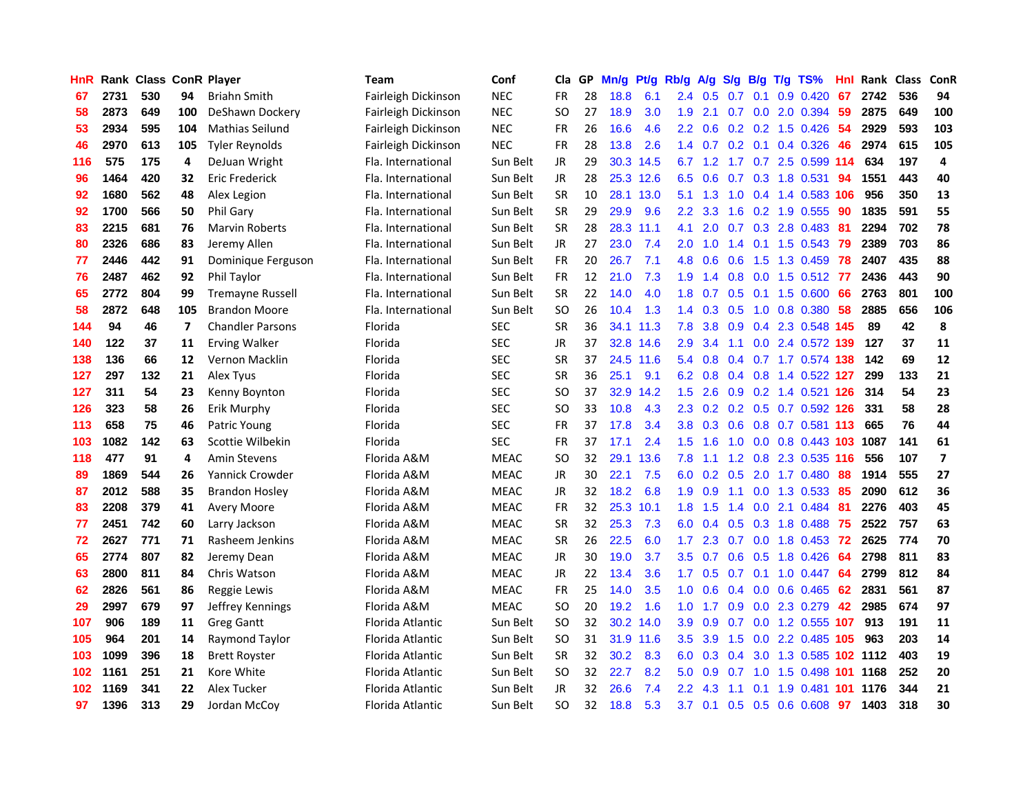| HnR |      | <b>Rank Class ConR Player</b> |     |                         | Team                | Conf        | Cla           |    | GP Mn/g | Pt/g      | Rb/g             | <b>A/g</b>      | S/g |                 | B/g T/g TS%                   | Hnl | Rank Class |     | ConR                     |
|-----|------|-------------------------------|-----|-------------------------|---------------------|-------------|---------------|----|---------|-----------|------------------|-----------------|-----|-----------------|-------------------------------|-----|------------|-----|--------------------------|
| 67  | 2731 | 530                           | 94  | <b>Briahn Smith</b>     | Fairleigh Dickinson | <b>NEC</b>  | FR            | 28 | 18.8    | 6.1       | 2.4              | 0.5             | 0.7 | 0.1             | 0.9 0.420                     | 67  | 2742       | 536 | 94                       |
| 58  | 2873 | 649                           | 100 | DeShawn Dockery         | Fairleigh Dickinson | <b>NEC</b>  | SO            | 27 | 18.9    | 3.0       | 1.9              | 2.1             | 0.7 | 0.0             | 2.0 0.394                     | 59  | 2875       | 649 | 100                      |
| 53  | 2934 | 595                           | 104 | <b>Mathias Seilund</b>  | Fairleigh Dickinson | <b>NEC</b>  | <b>FR</b>     | 26 | 16.6    | 4.6       | $2.2^{\circ}$    | 0.6             |     |                 | $0.2$ $0.2$ 1.5 $0.426$       | 54  | 2929       | 593 | 103                      |
| 46  | 2970 | 613                           | 105 | <b>Tyler Reynolds</b>   | Fairleigh Dickinson | <b>NEC</b>  | FR            | 28 | 13.8    | 2.6       |                  |                 |     |                 | 1.4 0.7 0.2 0.1 0.4 0.326     | 46  | 2974       | 615 | 105                      |
| 116 | 575  | 175                           | 4   | DeJuan Wright           | Fla. International  | Sun Belt    | <b>JR</b>     | 29 |         | 30.3 14.5 |                  | $6.7 \quad 1.2$ |     |                 | 1.7 0.7 2.5 0.599 114         |     | 634        | 197 | 4                        |
| 96  | 1464 | 420                           | 32  | Eric Frederick          | Fla. International  | Sun Belt    | <b>JR</b>     | 28 |         | 25.3 12.6 |                  | $6.5 \quad 0.6$ |     |                 | $0.7$ $0.3$ 1.8 $0.531$       | 94  | 1551       | 443 | 40                       |
| 92  | 1680 | 562                           | 48  | Alex Legion             | Fla. International  | Sun Belt    | <b>SR</b>     | 10 |         | 28.1 13.0 | 5.1              | 1.3             | 1.0 |                 | 0.4 1.4 0.583 106             |     | 956        | 350 | 13                       |
| 92  | 1700 | 566                           | 50  | Phil Gary               | Fla. International  | Sun Belt    | <b>SR</b>     | 29 | 29.9    | 9.6       | $2.2^{\circ}$    | 3.3             | 1.6 |                 | 0.2 1.9 0.555                 | 90  | 1835       | 591 | 55                       |
| 83  | 2215 | 681                           | 76  | <b>Marvin Roberts</b>   | Fla. International  | Sun Belt    | <b>SR</b>     | 28 |         | 28.3 11.1 | 4.1              | 2.0             |     |                 | 0.7 0.3 2.8 0.483             | 81  | 2294       | 702 | 78                       |
| 80  | 2326 | 686                           | 83  | Jeremy Allen            | Fla. International  | Sun Belt    | JR            | 27 | 23.0    | 7.4       | 2.0              | 1.0             | 1.4 |                 | $0.1$ 1.5 0.543               | -79 | 2389       | 703 | 86                       |
| 77  | 2446 | 442                           | 91  | Dominique Ferguson      | Fla. International  | Sun Belt    | <b>FR</b>     | 20 | 26.7    | 7.1       | 4.8              | 0.6             | 0.6 | 1.5             | 1.3 0.459                     | -78 | 2407       | 435 | 88                       |
| 76  | 2487 | 462                           | 92  | Phil Taylor             | Fla. International  | Sun Belt    | <b>FR</b>     | 12 | 21.0    | 7.3       | 1.9              | 1.4             | 0.8 | 0.0             | 1.5 0.512                     | 77  | 2436       | 443 | 90                       |
| 65  | 2772 | 804                           | 99  | <b>Tremayne Russell</b> | Fla. International  | Sun Belt    | <b>SR</b>     | 22 | 14.0    | 4.0       | 1.8              | 0.7             | 0.5 | 0.1             | 1.5 0.600                     | 66  | 2763       | 801 | 100                      |
| 58  | 2872 | 648                           | 105 | <b>Brandon Moore</b>    | Fla. International  | Sun Belt    | <b>SO</b>     | 26 | 10.4    | 1.3       | $1.4^{\circ}$    | 0.3             | 0.5 | 1.0             | 0.8 0.380                     | 58  | 2885       | 656 | 106                      |
| 144 | 94   | 46                            | 7   | <b>Chandler Parsons</b> | Florida             | <b>SEC</b>  | <b>SR</b>     | 36 |         | 34.1 11.3 | 7.8              | 3.8             | 0.9 | 0.4             | 2.3 0.548 145                 |     | 89         | 42  | 8                        |
| 140 | 122  | 37                            | 11  | <b>Erving Walker</b>    | Florida             | <b>SEC</b>  | JR            | 37 |         | 32.8 14.6 | 2.9              | 3.4             | 1.1 |                 | 0.0 2.4 0.572 139             |     | 127        | 37  | 11                       |
| 138 | 136  | 66                            | 12  | Vernon Macklin          | Florida             | <b>SEC</b>  | <b>SR</b>     | 37 |         | 24.5 11.6 |                  |                 |     |                 | 5.4 0.8 0.4 0.7 1.7 0.574 138 |     | 142        | 69  | 12                       |
| 127 | 297  | 132                           | 21  | <b>Alex Tyus</b>        | Florida             | <b>SEC</b>  | <b>SR</b>     | 36 | 25.1    | 9.1       |                  |                 |     |                 | 6.2 0.8 0.4 0.8 1.4 0.522 127 |     | 299        | 133 | 21                       |
| 127 | 311  | 54                            | 23  | Kenny Boynton           | Florida             | <b>SEC</b>  | SO            | 37 |         | 32.9 14.2 | 1.5              | 2.6             |     |                 | 0.9 0.2 1.4 0.521 126         |     | 314        | 54  | 23                       |
| 126 | 323  | 58                            | 26  | Erik Murphy             | Florida             | <b>SEC</b>  | SO            | 33 | 10.8    | 4.3       | 2.3              |                 |     |                 | 0.2 0.2 0.5 0.7 0.592 126     |     | 331        | 58  | 28                       |
| 113 | 658  | 75                            | 46  | Patric Young            | Florida             | <b>SEC</b>  | FR            | 37 | 17.8    | 3.4       | 3.8 <sup>°</sup> | 0.3             | 0.6 |                 | 0.8 0.7 0.581 113             |     | 665        | 76  | 44                       |
| 103 | 1082 | 142                           | 63  | Scottie Wilbekin        | Florida             | <b>SEC</b>  | <b>FR</b>     | 37 | 17.1    | 2.4       | 1.5 <sub>1</sub> | 1.6             | 1.0 |                 | 0.0 0.8 0.443 103 1087        |     |            | 141 | 61                       |
| 118 | 477  | 91                            | 4   | Amin Stevens            | Florida A&M         | <b>MEAC</b> | <sub>SO</sub> | 32 | 29.1    | 13.6      | 7.8              | 1.1             | 1.2 |                 | 0.8 2.3 0.535 116             |     | 556        | 107 | $\overline{\phantom{a}}$ |
| 89  | 1869 | 544                           | 26  | Yannick Crowder         | Florida A&M         | <b>MEAC</b> | JR            | 30 | 22.1    | 7.5       | 6.0              | 0.2             | 0.5 |                 | 2.0 1.7 0.480                 | 88  | 1914       | 555 | 27                       |
| 87  | 2012 | 588                           | 35  | <b>Brandon Hosley</b>   | Florida A&M         | <b>MEAC</b> | JR            | 32 | 18.2    | 6.8       | 1.9              | 0.9             | 1.1 |                 | 0.0 1.3 0.533                 | -85 | 2090       | 612 | 36                       |
| 83  | 2208 | 379                           | 41  | <b>Avery Moore</b>      | Florida A&M         | <b>MEAC</b> | <b>FR</b>     | 32 |         | 25.3 10.1 | 1.8              | 1.5             | 1.4 | 0.0             | 2.1 0.484                     | 81  | 2276       | 403 | 45                       |
| 77  | 2451 | 742                           | 60  | Larry Jackson           | Florida A&M         | <b>MEAC</b> | <b>SR</b>     | 32 | 25.3    | 7.3       | 6.0              | 0.4             | 0.5 | 0.3             | 1.8 0.488                     | 75  | 2522       | 757 | 63                       |
| 72  | 2627 | 771                           | 71  | Rasheem Jenkins         | Florida A&M         | <b>MEAC</b> | <b>SR</b>     | 26 | 22.5    | 6.0       | 1.7 <sup>2</sup> | 2.3             | 0.7 | 0.0             | 1.8 0.453                     | 72  | 2625       | 774 | 70                       |
| 65  | 2774 | 807                           | 82  | Jeremy Dean             | Florida A&M         | <b>MEAC</b> | <b>JR</b>     | 30 | 19.0    | 3.7       | 3.5              | 0.7             | 0.6 | 0.5             | 1.8 0.426                     | 64  | 2798       | 811 | 83                       |
| 63  | 2800 | 811                           | 84  | Chris Watson            | Florida A&M         | <b>MEAC</b> | JR            | 22 | 13.4    | 3.6       | 1.7 <sub>z</sub> | 0.5             |     | $0.7 \quad 0.1$ | 1.0 0.447 64                  |     | 2799       | 812 | 84                       |
| 62  | 2826 | 561                           | 86  | Reggie Lewis            | Florida A&M         | <b>MEAC</b> | <b>FR</b>     | 25 | 14.0    | 3.5       | 1.0 <sub>1</sub> | 0.6             |     |                 | $0.4$ 0.0 0.6 0.465           | 62  | 2831       | 561 | 87                       |
| 29  | 2997 | 679                           | 97  | Jeffrey Kennings        | Florida A&M         | <b>MEAC</b> | <b>SO</b>     | 20 | 19.2    | 1.6       | 1.0 <sub>1</sub> | 1.7             |     |                 | 0.9 0.0 2.3 0.279             | 42  | 2985       | 674 | 97                       |
| 107 | 906  | 189                           | 11  | <b>Greg Gantt</b>       | Florida Atlantic    | Sun Belt    | <sub>SO</sub> | 32 |         | 30.2 14.0 | 3.9              | 0.9             | 0.7 |                 | $0.0$ 1.2 0.555 107           |     | 913        | 191 | 11                       |
| 105 | 964  | 201                           | 14  | Raymond Taylor          | Florida Atlantic    | Sun Belt    | <sub>SO</sub> | 31 |         | 31.9 11.6 | 3.5              | 3.9             | 1.5 |                 | 0.0 2.2 0.485 105             |     | 963        | 203 | 14                       |
| 103 | 1099 | 396                           | 18  | <b>Brett Royster</b>    | Florida Atlantic    | Sun Belt    | SR            | 32 | 30.2    | 8.3       | 6.0              | 0.3             | 0.4 |                 | 3.0 1.3 0.585 102 1112        |     |            | 403 | 19                       |
| 102 | 1161 | 251                           | 21  | Kore White              | Florida Atlantic    | Sun Belt    | <b>SO</b>     | 32 | 22.7    | 8.2       | 5.0              | 0.9             | 0.7 | 1.0             | 1.5 0.498                     | 101 | 1168       | 252 | 20                       |
| 102 | 1169 | 341                           | 22  | Alex Tucker             | Florida Atlantic    | Sun Belt    | JR            | 32 | 26.6    | 7.4       | $2.2^{\circ}$    | 4.3             | 1.1 | 0.1             | 1.9 0.481                     | 101 | 1176       | 344 | 21                       |
| 97  | 1396 | 313                           | 29  | Jordan McCoy            | Florida Atlantic    | Sun Belt    | <b>SO</b>     | 32 | 18.8    | 5.3       | 3.7              |                 |     |                 | 0.1 0.5 0.5 0.6 0.608         | 97  | 1403       | 318 | 30                       |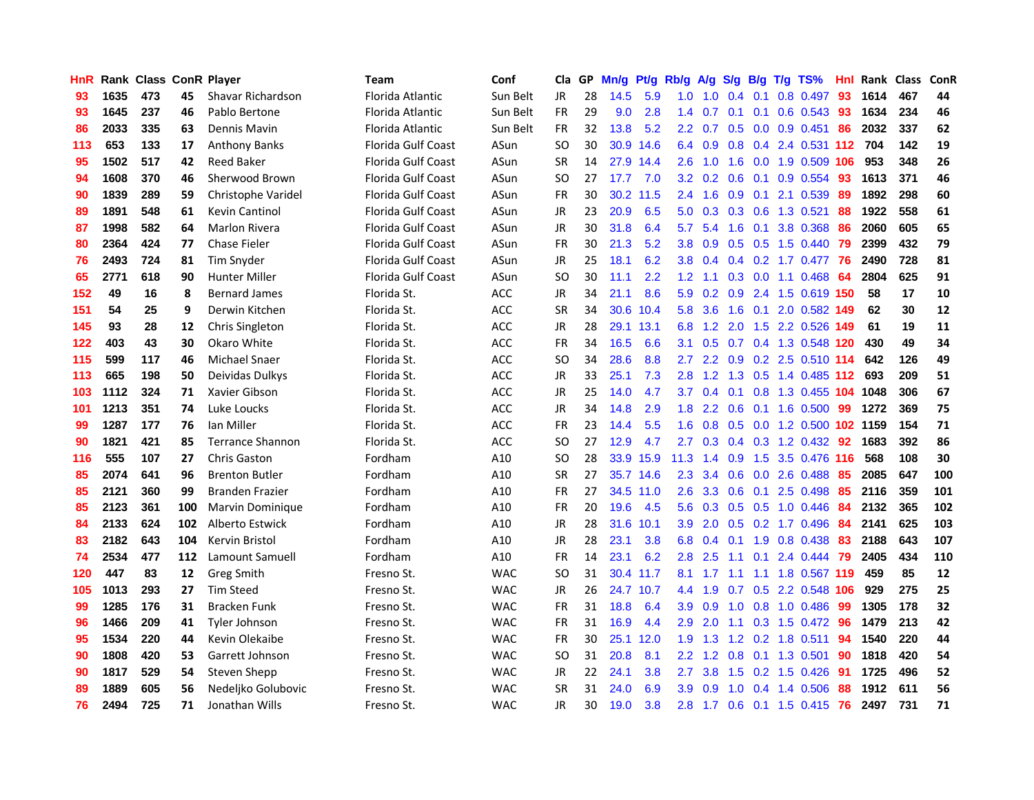| HnR. |      | Rank Class ConR Player |     |                         | Team                      | Conf       | Cla           | GP. | Mn/g | Pt/g      | Rb/g             | <b>A/g</b> | <b>S/g</b>      | B/g | T/g TS%                       | Hnl | Rank Class |     | <b>ConR</b> |
|------|------|------------------------|-----|-------------------------|---------------------------|------------|---------------|-----|------|-----------|------------------|------------|-----------------|-----|-------------------------------|-----|------------|-----|-------------|
| 93   | 1635 | 473                    | 45  | Shavar Richardson       | Florida Atlantic          | Sun Belt   | JR.           | 28  | 14.5 | 5.9       | 1.0              | 1.0        | 0.4             | 0.1 | 0.8 0.497                     | 93  | 1614       | 467 | 44          |
| 93   | 1645 | 237                    | 46  | Pablo Bertone           | Florida Atlantic          | Sun Belt   | <b>FR</b>     | 29  | 9.0  | 2.8       | 1.4              | 0.7        | 0.1             | 0.1 | 0.6 0.543                     | 93  | 1634       | 234 | 46          |
| 86   | 2033 | 335                    | 63  | Dennis Mavin            | Florida Atlantic          | Sun Belt   | <b>FR</b>     | 32  | 13.8 | 5.2       | 2.2 <sub>2</sub> | 0.7        | 0.5             | 0.0 | $0.9$ $0.451$                 | 86  | 2032       | 337 | 62          |
| 113  | 653  | 133                    | 17  | <b>Anthony Banks</b>    | Florida Gulf Coast        | ASun       | <b>SO</b>     | 30  |      | 30.9 14.6 |                  | 6.4 0.9    |                 |     | 0.8 0.4 2.4 0.531 112 704     |     |            | 142 | 19          |
| 95   | 1502 | 517                    | 42  | <b>Reed Baker</b>       | Florida Gulf Coast        | ASun       | <b>SR</b>     | 14  |      | 27.9 14.4 | 2.6              | 1.0        |                 |     | 1.6 0.0 1.9 0.509 106         |     | 953        | 348 | 26          |
| 94   | 1608 | 370                    | 46  | Sherwood Brown          | <b>Florida Gulf Coast</b> | ASun       | <sub>SO</sub> | 27  | 17.7 | 7.0       |                  |            |                 |     | 3.2 0.2 0.6 0.1 0.9 0.554     | 93  | 1613       | 371 | 46          |
| 90   | 1839 | 289                    | 59  | Christophe Varidel      | Florida Gulf Coast        | ASun       | <b>FR</b>     | 30  |      | 30.2 11.5 | 2.4              | 1.6        |                 |     | 0.9 0.1 2.1 0.539             | 89  | 1892       | 298 | 60          |
| 89   | 1891 | 548                    | 61  | <b>Kevin Cantinol</b>   | <b>Florida Gulf Coast</b> | ASun       | JR            | 23  | 20.9 | 6.5       | 5.0              | 0.3        |                 |     | 0.3 0.6 1.3 0.521             | 88  | 1922       | 558 | 61          |
| 87   | 1998 | 582                    | 64  | <b>Marlon Rivera</b>    | Florida Gulf Coast        | ASun       | <b>JR</b>     | 30  | 31.8 | 6.4       | 5.7              | 5.4        | 1.6             | 0.1 | 3.8 0.368                     | 86  | 2060       | 605 | 65          |
| 80   | 2364 | 424                    | 77  | <b>Chase Fieler</b>     | Florida Gulf Coast        | ASun       | <b>FR</b>     | 30  | 21.3 | 5.2       | 3.8 <sub>2</sub> | 0.9        | 0.5             |     | $0.5$ 1.5 0.440               | 79  | 2399       | 432 | 79          |
| 76   | 2493 | 724                    | 81  | Tim Snyder              | <b>Florida Gulf Coast</b> | ASun       | JR            | 25  | 18.1 | 6.2       | 3.8 <sub>1</sub> | 0.4        |                 |     | 0.4 0.2 1.7 0.477             | -76 | 2490       | 728 | 81          |
| 65   | 2771 | 618                    | 90  | <b>Hunter Miller</b>    | Florida Gulf Coast        | ASun       | <sub>SO</sub> | 30  | 11.1 | 2.2       | 1.2 <sub>1</sub> | 1.1        | 0.3             |     | $0.0$ 1.1 $0.468$             | 64  | 2804       | 625 | 91          |
| 152  | 49   | 16                     | 8   | <b>Bernard James</b>    | Florida St.               | <b>ACC</b> | JR            | 34  | 21.1 | 8.6       | 5.9              | 0.2        | 0.9             |     | 2.4 1.5 0.619 150             |     | 58         | 17  | 10          |
| 151  | 54   | 25                     | 9   | Derwin Kitchen          | Florida St.               | <b>ACC</b> | <b>SR</b>     | 34  |      | 30.6 10.4 | 5.8              | 3.6        | 1.6             | 0.1 | 2.0 0.582 149                 |     | 62         | 30  | 12          |
| 145  | 93   | 28                     | 12  | Chris Singleton         | Florida St.               | ACC        | <b>JR</b>     | 28  |      | 29.1 13.1 | 6.8              | 1.2        | 2.0             | 1.5 | 2.2 0.526 149                 |     | 61         | 19  | 11          |
| 122  | 403  | 43                     | 30  | Okaro White             | Florida St.               | ACC        | <b>FR</b>     | 34  | 16.5 | 6.6       | 3.1              | 0.5        | 0.7             |     | 0.4 1.3 0.548 120             |     | 430        | 49  | 34          |
| 115  | 599  | 117                    | 46  | Michael Snaer           | Florida St.               | ACC        | <b>SO</b>     | 34  | 28.6 | 8.8       |                  |            |                 |     | 2.7 2.2 0.9 0.2 2.5 0.510 114 |     | 642        | 126 | 49          |
| 113  | 665  | 198                    | 50  | Deividas Dulkys         | Florida St.               | <b>ACC</b> | <b>JR</b>     | 33  | 25.1 | 7.3       | 2.8              |            |                 |     | 1.2 1.3 0.5 1.4 0.485 112 693 |     |            | 209 | 51          |
| 103  | 1112 | 324                    | 71  | Xavier Gibson           | Florida St.               | <b>ACC</b> | <b>JR</b>     | 25  | 14.0 | 4.7       | 3.7              | 0.4        |                 |     | 0.1 0.8 1.3 0.455 104 1048    |     |            | 306 | 67          |
| 101  | 1213 | 351                    | 74  | Luke Loucks             | Florida St.               | <b>ACC</b> | JR            | 34  | 14.8 | 2.9       | 1.8              |            | $2.2 \quad 0.6$ |     | 0.1 1.6 0.500 99              |     | 1272       | 369 | 75          |
| 99   | 1287 | 177                    | 76  | Ian Miller              | Florida St.               | ACC        | <b>FR</b>     | 23  | 14.4 | 5.5       | 1.6              | 0.8        |                 |     | 0.5 0.0 1.2 0.500 102 1159    |     |            | 154 | 71          |
| 90   | 1821 | 421                    | 85  | <b>Terrance Shannon</b> | Florida St.               | ACC        | <b>SO</b>     | 27  | 12.9 | 4.7       | 2.7              | 0.3        |                 |     | 0.4 0.3 1.2 0.432 92          |     | 1683       | 392 | 86          |
| 116  | 555  | 107                    | 27  | <b>Chris Gaston</b>     | Fordham                   | A10        | <b>SO</b>     | 28  | 33.9 | 15.9      | 11.3             | 1.4        | 0.9             | 1.5 | 3.5 0.476 116                 |     | 568        | 108 | 30          |
| 85   | 2074 | 641                    | 96  | <b>Brenton Butler</b>   | Fordham                   | A10        | <b>SR</b>     | 27  |      | 35.7 14.6 | $2.3\phantom{0}$ | 3.4        | 0.6             |     | 0.0 2.6 0.488                 | 85  | 2085       | 647 | 100         |
| 85   | 2121 | 360                    | 99  | <b>Branden Frazier</b>  | Fordham                   | A10        | <b>FR</b>     | 27  |      | 34.5 11.0 | 2.6              | 3.3        | 0.6             | 0.1 | 2.5 0.498                     | 85  | 2116       | 359 | 101         |
| 85   | 2123 | 361                    | 100 | <b>Marvin Dominique</b> | Fordham                   | A10        | <b>FR</b>     | 20  | 19.6 | 4.5       | 5.6              | 0.3        | 0.5             | 0.5 | 1.0 0.446                     | 84  | 2132       | 365 | 102         |
| 84   | 2133 | 624                    | 102 | <b>Alberto Estwick</b>  | Fordham                   | A10        | <b>JR</b>     | 28  | 31.6 | 10.1      | 3.9              | 2.0        | 0.5             |     | 0.2 1.7 0.496                 | 84  | 2141       | 625 | 103         |
| 83   | 2182 | 643                    | 104 | Kervin Bristol          | Fordham                   | A10        | <b>JR</b>     | 28  | 23.1 | 3.8       | 6.8              | 0.4        | 0.1             | 1.9 | 0.8 0.438                     | 83  | 2188       | 643 | 107         |
| 74   | 2534 | 477                    | 112 | Lamount Samuell         | Fordham                   | A10        | <b>FR</b>     | 14  | 23.1 | 6.2       | 2.8              | 2.5        | 1.1             | 0.1 | 2.4 0.444                     | -79 | 2405       | 434 | 110         |
| 120  | 447  | 83                     | 12  | <b>Greg Smith</b>       | Fresno St.                | <b>WAC</b> | <b>SO</b>     | 31  |      | 30.4 11.7 | 8.1              | 1.7        | 1.1             |     | 1.1 1.8 0.567 119             |     | 459        | 85  | 12          |
| 105  | 1013 | 293                    | 27  | <b>Tim Steed</b>        | Fresno St.                | <b>WAC</b> | <b>JR</b>     | 26  |      | 24.7 10.7 | 4.4              | 1.9        |                 |     | 0.7 0.5 2.2 0.548 106         |     | 929        | 275 | 25          |
| 99   | 1285 | 176                    | 31  | <b>Bracken Funk</b>     | Fresno St.                | <b>WAC</b> | <b>FR</b>     | 31  | 18.8 | 6.4       | 3.9              | 0.9        |                 |     | 1.0 0.8 1.0 0.486 99          |     | 1305       | 178 | 32          |
| 96   | 1466 | 209                    | 41  | <b>Tyler Johnson</b>    | Fresno St.                | <b>WAC</b> | <b>FR</b>     | 31  | 16.9 | 4.4       | 2.9              | 2.0        | 1.1             |     | $0.3$ 1.5 0.472               | 96  | 1479       | 213 | 42          |
| 95   | 1534 | 220                    | 44  | Kevin Olekaibe          | Fresno St.                | <b>WAC</b> | <b>FR</b>     | 30  |      | 25.1 12.0 | 1.9              | 1.3        |                 |     | 1.2 0.2 1.8 0.511             | 94  | 1540       | 220 | 44          |
| 90   | 1808 | 420                    | 53  | Garrett Johnson         | Fresno St.                | <b>WAC</b> | <b>SO</b>     | 31  | 20.8 | 8.1       | 2.2 <sub>2</sub> | 1.2        | 0.8             |     | $0.1$ 1.3 0.501               | 90  | 1818       | 420 | 54          |
| 90   | 1817 | 529                    | 54  | Steven Shepp            | Fresno St.                | <b>WAC</b> | JR            | 22  | 24.1 | 3.8       | 2.7              | 3.8        | 1.5             |     | $0.2$ 1.5 0.426               | 91  | 1725       | 496 | 52          |
| 89   | 1889 | 605                    | 56  | Nedeljko Golubovic      | Fresno St.                | WAC        | SR            | 31  | 24.0 | 6.9       | 3.9              | 0.9        | 1.0             | 0.4 | 1.4 0.506                     | 88  | 1912       | 611 | 56          |
| 76   | 2494 | 725                    | 71  | Jonathan Wills          | Fresno St.                | <b>WAC</b> | <b>JR</b>     | 30  | 19.0 | 3.8       |                  |            |                 |     | 2.8 1.7 0.6 0.1 1.5 0.415 76  |     | 2497       | 731 | 71          |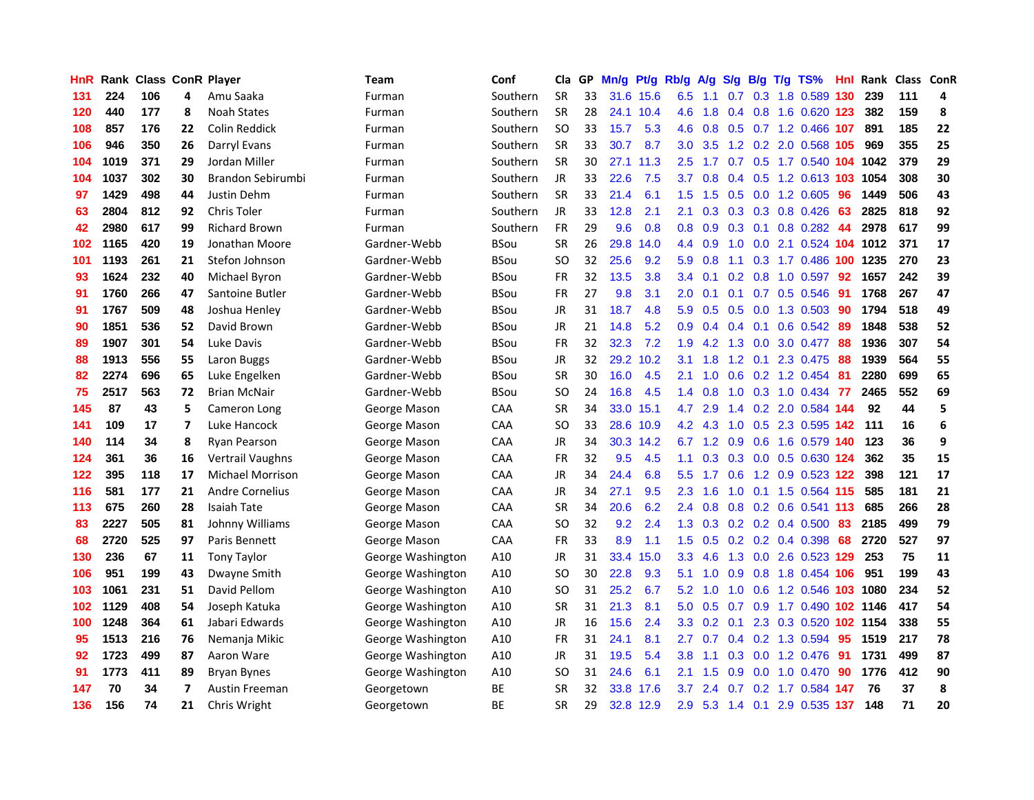| HnR. |      | <b>Rank Class ConR Player</b> |    |                         | Team              | Conf        | Cla       | GP. | Mn/g | Pt/g      | Rb/g             | <b>A/g</b>      | S/q              | B/g             | T/g TS%                    | Hnl  |          | Rank Class ConR |    |
|------|------|-------------------------------|----|-------------------------|-------------------|-------------|-----------|-----|------|-----------|------------------|-----------------|------------------|-----------------|----------------------------|------|----------|-----------------|----|
| 131  | 224  | 106                           | 4  | Amu Saaka               | Furman            | Southern    | <b>SR</b> | 33  | 31.6 | 15.6      | 6.5              | 1.1             | 0.7              | 0.3             | 1.8 0.589                  | 130  | 239      | 111             | 4  |
| 120  | 440  | 177                           | 8  | <b>Noah States</b>      | Furman            | Southern    | <b>SR</b> | 28  |      | 24.1 10.4 | 4.6              | 1.8             | 0.4              | 0.8             | 1.6 0.620 123              |      | 382      | 159             | 8  |
| 108  | 857  | 176                           | 22 | <b>Colin Reddick</b>    | Furman            | Southern    | <b>SO</b> | 33  | 15.7 | 5.3       | 4.6              | 0.8             | 0.5              | 0.7             | 1.2 0.466                  | 107  | 891      | 185             | 22 |
| 106  | 946  | 350                           | 26 | Darryl Evans            | Furman            | Southern    | <b>SR</b> | 33  | 30.7 | 8.7       | 3.0              | 3.5             |                  |                 | 1.2 0.2 2.0 0.568          | 105  | 969      | 355             | 25 |
| 104  | 1019 | 371                           | 29 | Jordan Miller           | Furman            | Southern    | <b>SR</b> | 30  |      | 27.1 11.3 | 2.5              | 1.7             |                  |                 | 0.7 0.5 1.7 0.540 104 1042 |      |          | 379             | 29 |
| 104  | 1037 | 302                           | 30 | Brandon Sebirumbi       | Furman            | Southern    | <b>JR</b> | 33  | 22.6 | 7.5       | 3.7              | 0.8             |                  | $0.4 \quad 0.5$ | 1.2 0.613 103              |      | 1054     | 308             | 30 |
| 97   | 1429 | 498                           | 44 | Justin Dehm             | Furman            | Southern    | <b>SR</b> | 33  | 21.4 | 6.1       | $1.5^{\circ}$    | 1.5             | 0.5              |                 | $0.0$ 1.2 $0.605$          | -96  | 1449     | 506             | 43 |
| 63   | 2804 | 812                           | 92 | Chris Toler             | Furman            | Southern    | <b>JR</b> | 33  | 12.8 | 2.1       | 2.1              | 0.3             | 0.3              |                 | $0.3$ 0.8 0.426            | 63   | 2825     | 818             | 92 |
| 42   | 2980 | 617                           | 99 | <b>Richard Brown</b>    | Furman            | Southern    | <b>FR</b> | 29  | 9.6  | 0.8       | 0.8 <sub>0</sub> | 0.9             | 0.3              | 0.1             | $0.8$ 0.282                | 44   | 2978     | 617             | 99 |
| 102  | 1165 | 420                           | 19 | Jonathan Moore          | Gardner-Webb      | <b>BSou</b> | <b>SR</b> | 26  | 29.8 | 14.0      | 4.4              | 0.9             | 1.0              | 0.0             | 2.1 0.524                  |      | 104 1012 | 371             | 17 |
| 101  | 1193 | 261                           | 21 | Stefon Johnson          | Gardner-Webb      | <b>BSou</b> | SO        | 32  | 25.6 | 9.2       | 5.9              | 0.8             | 1.1              | 0.3             | 1.7 0.486                  | 100  | 1235     | 270             | 23 |
| 93   | 1624 | 232                           | 40 | Michael Byron           | Gardner-Webb      | <b>BSou</b> | FR        | 32  | 13.5 | 3.8       | 3.4              | 0.1             | 0.2 <sub>0</sub> | 0.8             | 1.0 0.597                  | 92   | 1657     | 242             | 39 |
| 91   | 1760 | 266                           | 47 | Santoine Butler         | Gardner-Webb      | <b>BSou</b> | FR        | 27  | 9.8  | 3.1       | 2.0              | 0.1             | 0.1              | 0.7             | 0.5 0.546                  | 91   | 1768     | 267             | 47 |
| 91   | 1767 | 509                           | 48 | Joshua Henley           | Gardner-Webb      | <b>BSou</b> | <b>JR</b> | 31  | 18.7 | 4.8       | 5.9              | 0.5             | 0.5              | 0.0             | 1.3 0.503                  | 90   | 1794     | 518             | 49 |
| 90   | 1851 | 536                           | 52 | David Brown             | Gardner-Webb      | <b>BSou</b> | JR        | 21  | 14.8 | 5.2       | 0.9              | 0.4             | 0.4              | 0.1             | $0.6$ $0.542$              | 89   | 1848     | 538             | 52 |
| 89   | 1907 | 301                           | 54 | Luke Davis              | Gardner-Webb      | <b>BSou</b> | <b>FR</b> | 32  | 32.3 | 7.2       | 1.9              | 4.2             | 1.3              | 0.0             | 3.0 0.477                  | 88   | 1936     | 307             | 54 |
| 88   | 1913 | 556                           | 55 | Laron Buggs             | Gardner-Webb      | <b>BSou</b> | JR        | 32  | 29.2 | 10.2      | 3.1              | 1.8             | 1.2              | 0.1             | 2.3 0.475                  | -88  | 1939     | 564             | 55 |
| 82   | 2274 | 696                           | 65 | Luke Engelken           | Gardner-Webb      | <b>BSou</b> | SR        | 30  | 16.0 | 4.5       | 2.1              | 1.0             | 0.6              |                 | $0.2$ 1.2 0.454            | -81  | 2280     | 699             | 65 |
| 75   | 2517 | 563                           | 72 | <b>Brian McNair</b>     | Gardner-Webb      | <b>BSou</b> | SO        | 24  | 16.8 | 4.5       |                  | $1.4 \quad 0.8$ |                  |                 | 1.0 0.3 1.0 0.434          | - 77 | 2465     | 552             | 69 |
| 145  | 87   | 43                            | 5  | Cameron Long            | George Mason      | CAA         | <b>SR</b> | 34  | 33.0 | 15.1      | 4.7              | 2.9             |                  |                 | 1.4 0.2 2.0 0.584 144      |      | 92       | 44              | 5  |
| 141  | 109  | 17                            | 7  | Luke Hancock            | George Mason      | <b>CAA</b>  | SO        | 33  | 28.6 | 10.9      |                  | $4.2 \quad 4.3$ | 1.0              |                 | 0.5 2.3 0.595 142          |      | 111      | 16              | 6  |
| 140  | 114  | 34                            | 8  | Ryan Pearson            | George Mason      | CAA         | JR        | 34  | 30.3 | 14.2      | 6.7              | 1.2             | 0.9              |                 | 0.6 1.6 0.579 140          |      | 123      | 36              | 9  |
| 124  | 361  | 36                            | 16 | Vertrail Vaughns        | George Mason      | CAA         | <b>FR</b> | 32  | 9.5  | 4.5       | 1.1              | 0.3             | 0.3              |                 | 0.0 0.5 0.630 124          |      | 362      | 35              | 15 |
| 122  | 395  | 118                           | 17 | <b>Michael Morrison</b> | George Mason      | CAA         | <b>JR</b> | 34  | 24.4 | 6.8       | 5.5              | 1.7             | 0.6              |                 | 1.2 0.9 0.523 122          |      | 398      | 121             | 17 |
| 116  | 581  | 177                           | 21 | <b>Andre Cornelius</b>  | George Mason      | CAA         | JR        | 34  | 27.1 | 9.5       | 2.3              | 1.6             | 1.0              | 0.1             | 1.5 0.564                  | -115 | 585      | 181             | 21 |
| 113  | 675  | 260                           | 28 | <b>Isaiah Tate</b>      | George Mason      | CAA         | <b>SR</b> | 34  | 20.6 | 6.2       | 2.4              | 0.8             | 0.8              |                 | $0.2$ 0.6 0.541            | -113 | 685      | 266             | 28 |
| 83   | 2227 | 505                           | 81 | Johnny Williams         | George Mason      | <b>CAA</b>  | SO        | 32  | 9.2  | 2.4       | 1.3              | 0.3             | 0.2              | 0.2             | 0.4 0.500                  | 83   | 2185     | 499             | 79 |
| 68   | 2720 | 525                           | 97 | Paris Bennett           | George Mason      | <b>CAA</b>  | FR        | 33  | 8.9  | 1.1       | $1.5^{\circ}$    | 0.5             | 0.2              |                 | $0.2$ 0.4 0.398            | 68   | 2720     | 527             | 97 |
| 130  | 236  | 67                            | 11 | <b>Tony Taylor</b>      | George Washington | A10         | <b>JR</b> | 31  | 33.4 | 15.0      | 3.3              | 4.6             | 1.3              | 0.0             | 2.6 0.523                  | 129  | 253      | 75              | 11 |
| 106  | 951  | 199                           | 43 | Dwayne Smith            | George Washington | A10         | SO        | 30  | 22.8 | 9.3       | 5.1              | 1.0             | 0.9              | 0.8             | 1.8 0.454                  | 106  | 951      | 199             | 43 |
| 103  | 1061 | 231                           | 51 | David Pellom            | George Washington | A10         | SO        | 31  | 25.2 | 6.7       | 5.2              | 1.0             | 1.0              | 0.6             | 1.2 0.546 103              |      | 1080     | 234             | 52 |
| 102  | 1129 | 408                           | 54 | Joseph Katuka           | George Washington | A10         | <b>SR</b> | 31  | 21.3 | 8.1       | 5.0              | 0.5             | 0.7              | 0.9             | 1.7 0.490 102 1146         |      |          | 417             | 54 |
| 100  | 1248 | 364                           | 61 | Jabari Edwards          | George Washington | A10         | JR        | 16  | 15.6 | 2.4       | 3.3 <sub>1</sub> | $0.2 \quad 0.1$ |                  |                 | 2.3 0.3 0.520 102 1154     |      |          | 338             | 55 |
| 95   | 1513 | 216                           | 76 | Nemanja Mikic           | George Washington | A10         | <b>FR</b> | 31  | 24.1 | 8.1       | 2.7              | 0.7             |                  | $0.4 \quad 0.2$ | 1.3 0.594                  | 95   | 1519     | 217             | 78 |
| 92   | 1723 | 499                           | 87 | Aaron Ware              | George Washington | A10         | <b>JR</b> | 31  | 19.5 | 5.4       | 3.8              | 1.1             | 0.3              | 0.0             | 1.2 0.476                  | 91   | 1731     | 499             | 87 |
| 91   | 1773 | 411                           | 89 | <b>Bryan Bynes</b>      | George Washington | A10         | SO        | 31  | 24.6 | 6.1       | 2.1              | 1.5             | 0.9              | 0.0             | 1.0 0.470                  | 90   | 1776     | 412             | 90 |
| 147  | 70   | 34                            | 7  | Austin Freeman          | Georgetown        | BE          | <b>SR</b> | 32  | 33.8 | 17.6      | 3.7              | $\overline{2}$  | 0.7              | 0.2             | 1.7 0.584                  | 147  | 76       | 37              | 8  |
| 136  | 156  | 74                            | 21 | Chris Wright            | Georgetown        | ВE          | SR        | 29  |      | 32.8 12.9 | 2.9              | 5.3             | $1.4^{\circ}$    | 0.1             | 2.9 0.535                  | 137  | 148      | 71              | 20 |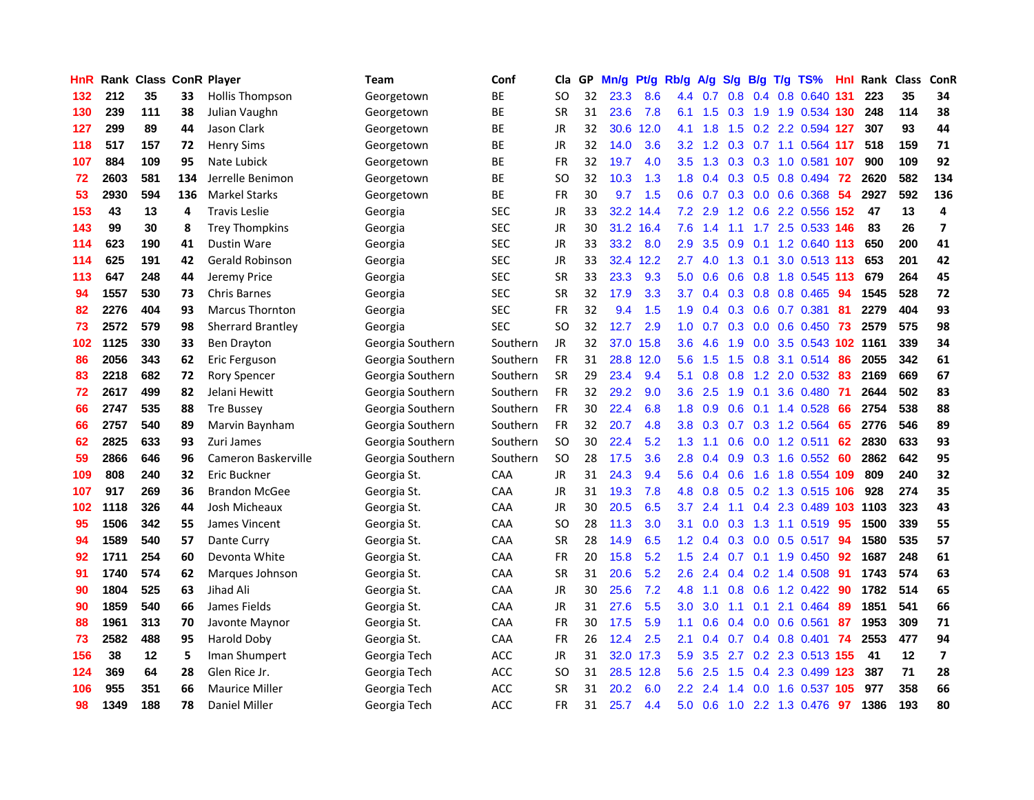| <b>HnR</b> |      | <b>Rank Class ConR Player</b> |     |                          | Team             | Conf       | Cla           |    | GP Mn/g | Pt/g      | Rb/g             | A/g                                   | S/g | B/g | T/g TS%                       | Hnl |      | Rank Class | ConR                     |
|------------|------|-------------------------------|-----|--------------------------|------------------|------------|---------------|----|---------|-----------|------------------|---------------------------------------|-----|-----|-------------------------------|-----|------|------------|--------------------------|
| 132        | 212  | 35                            | 33  | <b>Hollis Thompson</b>   | Georgetown       | BE         | SO.           | 32 | 23.3    | 8.6       | 4.4              | 0.7                                   | 0.8 | 0.4 | 0.8 0.640 131                 |     | 223  | 35         | 34                       |
| 130        | 239  | 111                           | 38  | Julian Vaughn            | Georgetown       | BE         | <b>SR</b>     | 31 | 23.6    | 7.8       | 6.1              | 1.5                                   | 0.3 | 1.9 | 1.9 0.534 130                 |     | 248  | 114        | 38                       |
| 127        | 299  | 89                            | 44  | Jason Clark              | Georgetown       | ВE         | JR            | 32 | 30.6    | 12.0      | 4.1              | 1.8                                   | 1.5 |     | 0.2 2.2 0.594 127             |     | 307  | 93         | 44                       |
| 118        | 517  | 157                           | 72  | <b>Henry Sims</b>        | Georgetown       | BE         | JR            | 32 | 14.0    | 3.6       |                  |                                       |     |     | 3.2 1.2 0.3 0.7 1.1 0.564 117 |     | 518  | 159        | 71                       |
| 107        | 884  | 109                           | 95  | Nate Lubick              | Georgetown       | BE         | <b>FR</b>     | 32 | 19.7    | 4.0       | 3.5              | 1.3                                   |     |     | 0.3 0.3 1.0 0.581 107         |     | 900  | 109        | 92                       |
| 72         | 2603 | 581                           | 134 | Jerrelle Benimon         | Georgetown       | ВE         | SO.           | 32 | 10.3    | 1.3       | 1.8 <sup>°</sup> | 0.4                                   |     |     | $0.3$ $0.5$ $0.8$ $0.494$     | -72 | 2620 | 582        | 134                      |
| 53         | 2930 | 594                           | 136 | <b>Markel Starks</b>     | Georgetown       | BE         | <b>FR</b>     | 30 | 9.7     | 1.5       | 0.6              | 0.7                                   |     |     | $0.3$ 0.0 0.6 0.368           | 54  | 2927 | 592        | 136                      |
| 153        | 43   | 13                            | 4   | <b>Travis Leslie</b>     | Georgia          | <b>SEC</b> | <b>JR</b>     | 33 | 32.2    | 14.4      | 7.2              | 2.9                                   | 1.2 | 0.6 | 2.2 0.556 152                 |     | 47   | 13         | 4                        |
| 143        | 99   | 30                            | 8   | <b>Trey Thompkins</b>    | Georgia          | <b>SEC</b> | JR            | 30 |         | 31.2 16.4 | 7.6              | $\mathcal{A}$<br>$\blacktriangleleft$ | 1.1 |     | 1.7 2.5 0.533 146             |     | 83   | 26         | $\overline{\mathbf{z}}$  |
| 114        | 623  | 190                           | 41  | <b>Dustin Ware</b>       | Georgia          | <b>SEC</b> | JR            | 33 | 33.2    | 8.0       | 2.9              | 3.5                                   | 0.9 | 0.1 | 1.2 0.640 113                 |     | 650  | 200        | 41                       |
| 114        | 625  | 191                           | 42  | <b>Gerald Robinson</b>   | Georgia          | <b>SEC</b> | JR            | 33 |         | 32.4 12.2 | 2.7              | 4.0                                   | 1.3 | 0.1 | 3.0 0.513 113                 |     | 653  | 201        | 42                       |
| 113        | 647  | 248                           | 44  | Jeremy Price             | Georgia          | <b>SEC</b> | <b>SR</b>     | 33 | 23.3    | 9.3       | 5.0              | 0.6                                   | 0.6 | 0.8 | 1.8 0.545 113                 |     | 679  | 264        | 45                       |
| 94         | 1557 | 530                           | 73  | <b>Chris Barnes</b>      | Georgia          | <b>SEC</b> | <b>SR</b>     | 32 | 17.9    | 3.3       | 3.7              | 0.4                                   | 0.3 | 0.8 | 0.8 0.465                     | 94  | 1545 | 528        | 72                       |
| 82         | 2276 | 404                           | 93  | Marcus Thornton          | Georgia          | <b>SEC</b> | <b>FR</b>     | 32 | 9.4     | 1.5       | 1.9              | 0.4                                   | 0.3 | 0.6 | $0.7$ $0.381$                 | 81  | 2279 | 404        | 93                       |
| 73         | 2572 | 579                           | 98  | <b>Sherrard Brantley</b> | Georgia          | <b>SEC</b> | <b>SO</b>     | 32 | 12.7    | 2.9       | 1.0              | 0.7                                   | 0.3 | 0.0 | $0.6$ 0.450                   | 73  | 2579 | 575        | 98                       |
| 102        | 1125 | 330                           | 33  | Ben Drayton              | Georgia Southern | Southern   | JR            | 32 | 37.0    | 15.8      | $3.6\,$          | 4.6                                   | 1.9 | 0.0 | 3.5 0.543 102 1161            |     |      | 339        | 34                       |
| 86         | 2056 | 343                           | 62  | Eric Ferguson            | Georgia Southern | Southern   | <b>FR</b>     | 31 |         | 28.8 12.0 | 5.6              | 1.5                                   |     |     | 1.5 0.8 3.1 0.514             | -86 | 2055 | 342        | 61                       |
| 83         | 2218 | 682                           | 72  | Rory Spencer             | Georgia Southern | Southern   | <b>SR</b>     | 29 | 23.4    | 9.4       | 5.1              | 0.8                                   | 0.8 |     | 1.2 2.0 0.532                 | -83 | 2169 | 669        | 67                       |
| 72         | 2617 | 499                           | 82  | Jelani Hewitt            | Georgia Southern | Southern   | <b>FR</b>     | 32 | 29.2    | 9.0       | 3.6              | 2.5                                   | 1.9 |     | 0.1 3.6 0.480 71              |     | 2644 | 502        | 83                       |
| 66         | 2747 | 535                           | 88  | <b>Tre Bussey</b>        | Georgia Southern | Southern   | <b>FR</b>     | 30 | 22.4    | 6.8       | 1.8 <sup>1</sup> | 0.9                                   | 0.6 |     | $0.1$ 1.4 0.528               | 66  | 2754 | 538        | 88                       |
| 66         | 2757 | 540                           | 89  | Marvin Baynham           | Georgia Southern | Southern   | FR            | 32 | 20.7    | 4.8       | 3.8              | 0.3                                   |     |     | 0.7 0.3 1.2 0.564             | 65  | 2776 | 546        | 89                       |
| 62         | 2825 | 633                           | 93  | Zuri James               | Georgia Southern | Southern   | SO            | 30 | 22.4    | 5.2       | 1.3              | 1.1                                   | 0.6 | 0.0 | 1.2 0.511                     | 62  | 2830 | 633        | 93                       |
| 59         | 2866 | 646                           | 96  | Cameron Baskerville      | Georgia Southern | Southern   | <sub>SO</sub> | 28 | 17.5    | 3.6       | 2.8              | 0.4                                   | 0.9 |     | 0.3 1.6 0.552                 | 60  | 2862 | 642        | 95                       |
| 109        | 808  | 240                           | 32  | Eric Buckner             | Georgia St.      | CAA        | JR            | 31 | 24.3    | 9.4       | 5.6              | 0.4                                   | 0.6 | 1.6 | 1.8 0.554                     | 109 | 809  | 240        | 32                       |
| 107        | 917  | 269                           | 36  | <b>Brandon McGee</b>     | Georgia St.      | CAA        | <b>JR</b>     | 31 | 19.3    | 7.8       | 4.8              | 0.8                                   | 0.5 | 0.2 | 1.3 0.515 106                 |     | 928  | 274        | 35                       |
| 102        | 1118 | 326                           | 44  | Josh Micheaux            | Georgia St.      | CAA        | JR            | 30 | 20.5    | 6.5       | 3.7              | 2.4                                   | 1.1 | 0.4 | 2.3 0.489 103                 |     | 1103 | 323        | 43                       |
| 95         | 1506 | 342                           | 55  | James Vincent            | Georgia St.      | CAA        | SO.           | 28 | 11.3    | 3.0       | 3.1              | 0.0                                   | 0.3 | 1.3 | 1.1 0.519                     | 95  | 1500 | 339        | 55                       |
| 94         | 1589 | 540                           | 57  | Dante Curry              | Georgia St.      | CAA        | <b>SR</b>     | 28 | 14.9    | 6.5       | 1.2 <sub>1</sub> | 0.4                                   | 0.3 | 0.0 | $0.5$ 0.517                   | 94  | 1580 | 535        | 57                       |
| 92         | 1711 | 254                           | 60  | Devonta White            | Georgia St.      | CAA        | <b>FR</b>     | 20 | 15.8    | 5.2       | 1.5              | 2.4                                   | 0.7 | 0.1 | 1.9 0.450                     | -92 | 1687 | 248        | 61                       |
| 91         | 1740 | 574                           | 62  | Marques Johnson          | Georgia St.      | <b>CAA</b> | <b>SR</b>     | 31 | 20.6    | 5.2       | 2.6              | 2.4                                   |     |     | $0.4$ 0.2 1.4 0.508           | -91 | 1743 | 574        | 63                       |
| 90         | 1804 | 525                           | 63  | Jihad Ali                | Georgia St.      | <b>CAA</b> | JR            | 30 | 25.6    | 7.2       | 4.8              | 1.1                                   |     |     | $0.8$ 0.6 1.2 0.422           | 90  | 1782 | 514        | 65                       |
| 90         | 1859 | 540                           | 66  | James Fields             | Georgia St.      | CAA        | JR            | 31 | 27.6    | 5.5       | 3.0 <sub>1</sub> | 3.0                                   | 1.1 |     | 0.1 2.1 0.464                 | 89  | 1851 | 541        | 66                       |
| 88         | 1961 | 313                           | 70  | Javonte Maynor           | Georgia St.      | CAA        | <b>FR</b>     | 30 | 17.5    | 5.9       | 1.1              | 0.6                                   |     |     | $0.4$ 0.0 0.6 0.561           | 87  | 1953 | 309        | 71                       |
| 73         | 2582 | 488                           | 95  | Harold Doby              | Georgia St.      | CAA        | FR            | 26 | 12.4    | 2.5       | 2.1              | 0.4                                   | 0.7 |     | 0.4 0.8 0.401                 | 74  | 2553 | 477        | 94                       |
| 156        | 38   | 12                            | 5   | Iman Shumpert            | Georgia Tech     | ACC        | JR            | 31 | 32.0    | 17.3      | 5.9              | 3.5                                   | 2.7 |     | 0.2 2.3 0.513 155             |     | 41   | 12         | $\overline{\phantom{a}}$ |
| 124        | 369  | 64                            | 28  | Glen Rice Jr.            | Georgia Tech     | ACC        | SO.           | 31 | 28.5    | 12.8      | 5.6              | 2.5                                   | 1.5 | 0.4 | 2.3 0.499 123                 |     | 387  | 71         | 28                       |
| 106        | 955  | 351                           | 66  | Maurice Miller           | Georgia Tech     | ACC        | SR            | 31 | 20.2    | 6.0       | $2.2\,$          | $\overline{2}$ .<br>4                 | 1.4 | 0.0 | 1.6 0.537                     | 105 | 977  | 358        | 66                       |
| 98         | 1349 | 188                           | 78  | <b>Daniel Miller</b>     | Georgia Tech     | ACC        | <b>FR</b>     | 31 | 25.7    | 4.4       | 5.0              | 0.6                                   | 1.0 |     | 2.2 1.3 0.476                 | 97  | 1386 | 193        | 80                       |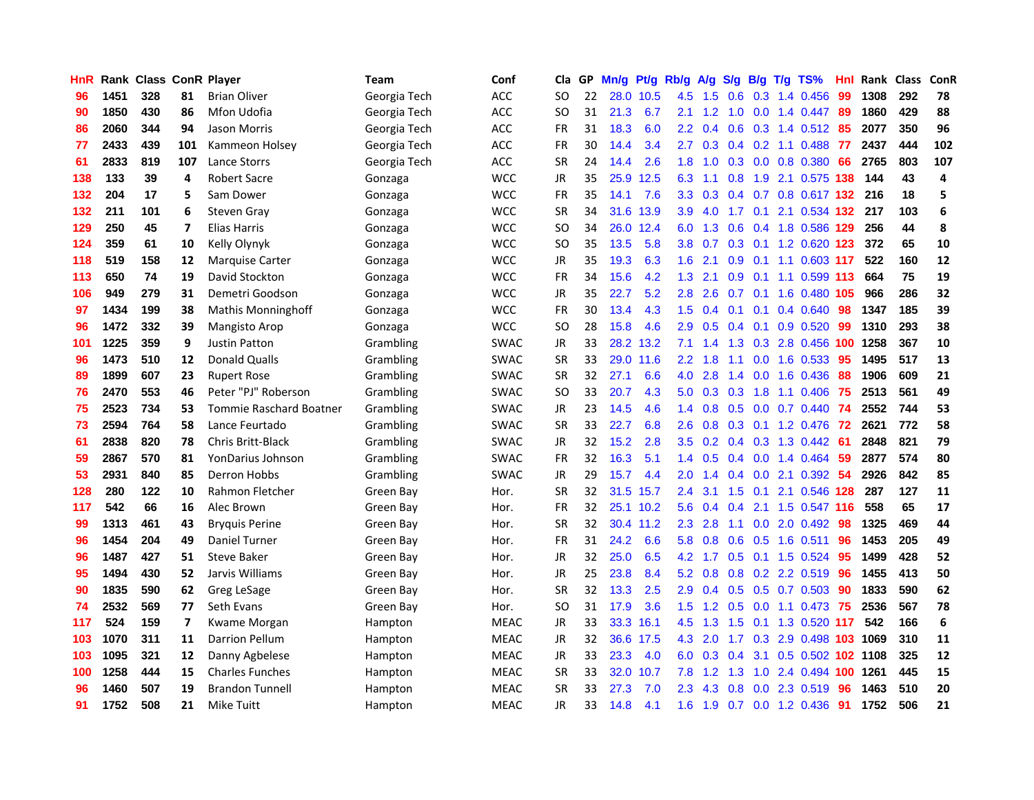| HnR |      |     |                         | Rank Class ConR Player         | Team         | Conf        | Cla       |    | GP Mn/g |           | Pt/g Rb/g        | A/g                             |               |           | S/g B/g T/g TS%           | Hnl | Rank Class |     | ConR       |
|-----|------|-----|-------------------------|--------------------------------|--------------|-------------|-----------|----|---------|-----------|------------------|---------------------------------|---------------|-----------|---------------------------|-----|------------|-----|------------|
| 96  | 1451 | 328 | 81                      | <b>Brian Oliver</b>            | Georgia Tech | ACC         | SO.       | 22 | 28.0    | 10.5      | 4.5              | 1.5                             | 0.6           | 0.3       | 1.4 0.456                 | 99  | 1308       | 292 | 78         |
| 90  | 1850 | 430 | 86                      | Mfon Udofia                    | Georgia Tech | ACC         | SO.       | 31 | 21.3    | 6.7       | 2.1              | 1.2                             | 1.0           | 0.0       | 1.4 0.447                 | -89 | 1860       | 429 | 88         |
| 86  | 2060 | 344 | 94                      | Jason Morris                   | Georgia Tech | ACC         | <b>FR</b> | 31 | 18.3    | 6.0       | $2.2\,$          | 0.4                             | 0.6           | 0.3       | 1.4 0.512                 | -85 | 2077       | 350 | 96         |
| 77  | 2433 | 439 | 101                     | Kammeon Holsey                 | Georgia Tech | <b>ACC</b>  | <b>FR</b> | 30 | 14.4    | 3.4       | 2.7              | 0.3                             |               |           | $0.4$ 0.2 1.1 0.488       | 77  | 2437       | 444 | 102        |
| 61  | 2833 | 819 | 107                     | Lance Storrs                   | Georgia Tech | <b>ACC</b>  | <b>SR</b> | 24 | 14.4    | 2.6       |                  | $1.8$ 1.0                       |               |           | 0.3 0.0 0.8 0.380         | 66  | 2765       | 803 | 107        |
| 138 | 133  | 39  | 4                       | <b>Robert Sacre</b>            | Gonzaga      | <b>WCC</b>  | JR        | 35 |         | 25.9 12.5 | 6.3              | 1.1                             |               |           | 0.8 1.9 2.1 0.575 138     |     | 144        | 43  | 4          |
| 132 | 204  | 17  | 5                       | Sam Dower                      | Gonzaga      | <b>WCC</b>  | <b>FR</b> | 35 | 14.1    | 7.6       | 3.3 <sub>2</sub> | 0.3                             |               |           | $0.4$ 0.7 0.8 0.617 132   |     | 216        | 18  | 5          |
| 132 | 211  | 101 | 6                       | <b>Steven Gray</b>             | Gonzaga      | <b>WCC</b>  | <b>SR</b> | 34 |         | 31.6 13.9 | 3.9              | 4.0                             | 1.7           | 0.1       | 2.1 0.534 132             |     | 217        | 103 | 6          |
| 129 | 250  | 45  | $\overline{\mathbf{z}}$ | <b>Elias Harris</b>            | Gonzaga      | <b>WCC</b>  | <b>SO</b> | 34 | 26.0    | 12.4      | 6.0              | 1.3                             | 0.6           |           | 0.4 1.8 0.586 129         |     | 256        | 44  | 8          |
| 124 | 359  | 61  | 10                      | Kelly Olynyk                   | Gonzaga      | <b>WCC</b>  | <b>SO</b> | 35 | 13.5    | 5.8       | 3.8              | 0.7                             |               |           | 0.3 0.1 1.2 0.620 123     |     | 372        | 65  | 10         |
| 118 | 519  | 158 | 12                      | <b>Marquise Carter</b>         | Gonzaga      | <b>WCC</b>  | JR        | 35 | 19.3    | 6.3       | 1.6              | 2.1                             | 0.9           | 0.1       | 1.1 0.603 117             |     | 522        | 160 | 12         |
| 113 | 650  | 74  | 19                      | David Stockton                 | Gonzaga      | <b>WCC</b>  | <b>FR</b> | 34 | 15.6    | 4.2       | 1.3              | 2.1                             | 0.9           | 0.1       | 1.1 0.599 113             |     | 664        | 75  | 19         |
| 106 | 949  | 279 | 31                      | Demetri Goodson                | Gonzaga      | <b>WCC</b>  | JR        | 35 | 22.7    | 5.2       | 2.8              | 2.6                             | 0.7           | 0.1       | 1.6 0.480 105             |     | 966        | 286 | 32         |
| 97  | 1434 | 199 | 38                      | Mathis Monninghoff             | Gonzaga      | WCC         | <b>FR</b> | 30 | 13.4    | 4.3       | 1.5              | 0.4                             | 0.1           | 0.1       | 0.4 0.640                 | 98  | 1347       | 185 | 39         |
| 96  | 1472 | 332 | 39                      | <b>Mangisto Arop</b>           | Gonzaga      | <b>WCC</b>  | <b>SO</b> | 28 | 15.8    | 4.6       | 2.9              | 0.5                             | 0.4           | 0.1       | 0.9 0.520                 | 99  | 1310       | 293 | 38         |
| 101 | 1225 | 359 | 9                       | <b>Justin Patton</b>           | Grambling    | <b>SWAC</b> | JR        | 33 |         | 28.2 13.2 | 7.1              | 1.4                             | 1.3           |           | 0.3 2.8 0.456 100         |     | 1258       | 367 | ${\bf 10}$ |
| 96  | 1473 | 510 | 12                      | <b>Donald Qualls</b>           | Grambling    | <b>SWAC</b> | <b>SR</b> | 33 |         | 29.0 11.6 | 2.2 <sub>2</sub> | 1.8                             | 1.1           | 0.0       | 1.6 0.533                 | -95 | 1495       | 517 | 13         |
| 89  | 1899 | 607 | 23                      | <b>Rupert Rose</b>             | Grambling    | <b>SWAC</b> | <b>SR</b> | 32 | 27.1    | 6.6       |                  | $4.0$ 2.8                       |               |           | 1.4 0.0 1.6 0.436         | -88 | 1906       | 609 | 21         |
| 76  | 2470 | 553 | 46                      | Peter "PJ" Roberson            | Grambling    | <b>SWAC</b> | SO.       | 33 | 20.7    | 4.3       | 5.0              | 0.3                             |               | $0.3$ 1.8 | 1.1 0.406                 | -75 | 2513       | 561 | 49         |
| 75  | 2523 | 734 | 53                      | <b>Tommie Raschard Boatner</b> | Grambling    | <b>SWAC</b> | JR        | 23 | 14.5    | 4.6       |                  | $1.4 \quad 0.8$                 |               |           | 0.5 0.0 0.7 0.440 74      |     | 2552       | 744 | 53         |
| 73  | 2594 | 764 | 58                      | Lance Feurtado                 | Grambling    | <b>SWAC</b> | <b>SR</b> | 33 | 22.7    | 6.8       | 2.6              | 0.8                             |               |           | 0.3 0.1 1.2 0.476 72      |     | 2621       | 772 | 58         |
| 61  | 2838 | 820 | 78                      | Chris Britt-Black              | Grambling    | <b>SWAC</b> | <b>JR</b> | 32 | 15.2    | 2.8       | 3.5              | 0.2                             |               |           | $0.4$ 0.3 1.3 0.442       | -61 | 2848       | 821 | 79         |
| 59  | 2867 | 570 | 81                      | YonDarius Johnson              | Grambling    | <b>SWAC</b> | <b>FR</b> | 32 | 16.3    | 5.1       | 1.4              | 0.5                             |               |           | $0.4$ 0.0 1.4 0.464       | -59 | 2877       | 574 | 80         |
| 53  | 2931 | 840 | 85                      | Derron Hobbs                   | Grambling    | <b>SWAC</b> | JR        | 29 | 15.7    | 4.4       | 2.0              | 1.4                             | $0.4^{\circ}$ | 0.0       | 2.1 0.392                 | 54  | 2926       | 842 | 85         |
| 128 | 280  | 122 | 10                      | Rahmon Fletcher                | Green Bay    | Hor.        | <b>SR</b> | 32 | 31.5    | 15.7      | 2.4              | 3.1                             | 1.5           | 0.1       | 2.1 0.546 128             |     | 287        | 127 | 11         |
| 117 | 542  | 66  | 16                      | Alec Brown                     | Green Bay    | Hor.        | <b>FR</b> | 32 |         | 25.1 10.2 | 5.6              | 0.4                             | 0.4           | 2.1       | 1.5 0.547 116             |     | 558        | 65  | 17         |
| 99  | 1313 | 461 | 43                      | <b>Bryquis Perine</b>          | Green Bay    | Hor.        | <b>SR</b> | 32 |         | 30.4 11.2 | 2.3              | 2.8                             | 1.1           | 0.0       | 2.0 0.492                 | 98  | 1325       | 469 | 44         |
| 96  | 1454 | 204 | 49                      | Daniel Turner                  | Green Bay    | Hor.        | <b>FR</b> | 31 | 24.2    | 6.6       | 5.8              | 0.8                             | 0.6           | 0.5       | $1.6$ 0.511               | 96  | 1453       | 205 | 49         |
| 96  | 1487 | 427 | 51                      | <b>Steve Baker</b>             | Green Bay    | Hor.        | <b>JR</b> | 32 | 25.0    | 6.5       | 4.2              | 1.7                             | 0.5           | 0.1       | 1.5 0.524                 | -95 | 1499       | 428 | 52         |
| 95  | 1494 | 430 | 52                      | Jarvis Williams                | Green Bay    | Hor.        | JR        | 25 | 23.8    | 8.4       |                  | $5.2 \quad 0.8$                 |               |           | $0.8$ $0.2$ $2.2$ $0.519$ | -96 | 1455       | 413 | 50         |
| 90  | 1835 | 590 | 62                      | Greg LeSage                    | Green Bav    | Hor.        | <b>SR</b> | 32 | 13.3    | 2.5       | 2.9 <sup>°</sup> | 0.4                             |               |           | $0.5$ $0.5$ $0.7$ $0.503$ | -90 | 1833       | 590 | 62         |
| 74  | 2532 | 569 | 77                      | Seth Evans                     | Green Bay    | Hor.        | <b>SO</b> | 31 | 17.9    | 3.6       |                  | $1.5$ 1.2                       |               |           | $0.5$ 0.0 1.1 0.473       | -75 | 2536       | 567 | 78         |
| 117 | 524  | 159 | $\overline{\mathbf{z}}$ | Kwame Morgan                   | Hampton      | <b>MEAC</b> | JR        | 33 |         | 33.3 16.1 | 4.5              | 1.3                             | 1.5           |           | 0.1 1.3 0.520 117         |     | 542        | 166 | 6          |
| 103 | 1070 | 311 | 11                      | Darrion Pellum                 | Hampton      | <b>MEAC</b> | JR        | 32 |         | 36.6 17.5 | 4.3              | 2.0                             | 1.7           | 0.3       | 2.9 0.498 103 1069        |     |            | 310 | 11         |
| 103 | 1095 | 321 | 12                      | Danny Agbelese                 | Hampton      | <b>MEAC</b> | <b>JR</b> | 33 | 23.3    | 4.0       | 6.0              | 0.3                             | 0.4           | 3.1       | 0.5 0.502 102 1108        |     |            | 325 | 12         |
| 100 | 1258 | 444 | 15                      | <b>Charles Funches</b>         | Hampton      | <b>MEAC</b> | <b>SR</b> | 33 | 32.0    | 10.7      | 7.8              | $\cdot$<br>$\blacktriangleleft$ | 1.3           | 1.0       | 2.4 0.494                 | 100 | 1261       | 445 | 15         |
| 96  | 1460 | 507 | 19                      | <b>Brandon Tunnell</b>         | Hampton      | <b>MEAC</b> | <b>SR</b> | 33 | 27.3    | 7.0       | $2.3\,$          | .3<br>$\overline{\mathcal{A}}$  | 0.8           | 0.0       | 2.3 0.519                 | 96  | 1463       | 510 | 20         |
| 91  | 1752 | 508 | 21                      | <b>Mike Tuitt</b>              | Hampton      | <b>MEAC</b> | <b>JR</b> | 33 | 14.8    | 4.1       | 1.6              | 1.9                             | 0.7           |           | 0.0 1.2 0.436             | 91  | 1752       | 506 | 21         |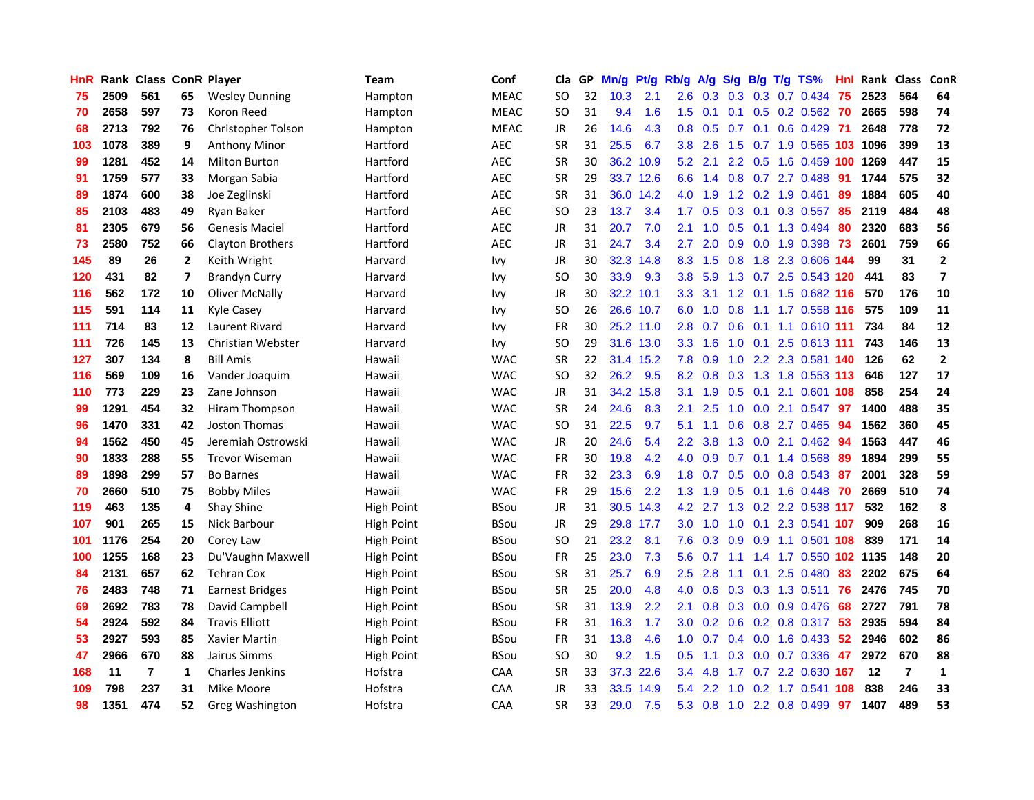| <b>HnR</b> |      | Rank Class ConR Player |              |                        | <b>Team</b>       | Conf        | Cla       |    | GP Mn/g | Pt/g      | Rb/g             | A/g             |                  |                 | S/g B/g T/g TS%       | Hnl  | Rank Class |     | ConR                     |
|------------|------|------------------------|--------------|------------------------|-------------------|-------------|-----------|----|---------|-----------|------------------|-----------------|------------------|-----------------|-----------------------|------|------------|-----|--------------------------|
| 75         | 2509 | 561                    | 65           | <b>Wesley Dunning</b>  | Hampton           | <b>MEAC</b> | SO        | 32 | 10.3    | 2.1       | 2.6              | 0.3             | 0.3              | 0.3             | 0.7 0.434             | 75   | 2523       | 564 | 64                       |
| 70         | 2658 | 597                    | 73           | Koron Reed             | Hampton           | <b>MEAC</b> | SO.       | 31 | 9.4     | 1.6       | 1.5              | 0.1             | 0.1              | 0.5             | $0.2$ 0.562           | -70  | 2665       | 598 | 74                       |
| 68         | 2713 | 792                    | 76           | Christopher Tolson     | Hampton           | <b>MEAC</b> | JR        | 26 | 14.6    | 4.3       | 0.8 <sub>0</sub> | 0.5             | 0.7              | 0.1             | $0.6$ 0.429           | - 71 | 2648       | 778 | 72                       |
| 103        | 1078 | 389                    | 9            | <b>Anthony Minor</b>   | Hartford          | <b>AEC</b>  | <b>SR</b> | 31 | 25.5    | 6.7       | 3.8 <sup>°</sup> | 2.6             |                  |                 | 1.5 0.7 1.9 0.565 103 |      | 1096       | 399 | 13                       |
| 99         | 1281 | 452                    | 14           | <b>Milton Burton</b>   | Hartford          | <b>AEC</b>  | <b>SR</b> | 30 |         | 36.2 10.9 |                  | $5.2$ 2.1       |                  |                 | 2.2 0.5 1.6 0.459 100 |      | 1269       | 447 | 15                       |
| 91         | 1759 | 577                    | 33           | Morgan Sabia           | Hartford          | <b>AEC</b>  | <b>SR</b> | 29 |         | 33.7 12.6 |                  | $6.6 \quad 1.4$ |                  |                 | 0.8 0.7 2.7 0.488     | -91  | 1744       | 575 | 32                       |
| 89         | 1874 | 600                    | 38           | Joe Zeglinski          | Hartford          | AEC         | <b>SR</b> | 31 |         | 36.0 14.2 | 4.0              | 1.9             |                  |                 | 1.2 0.2 1.9 0.461     | 89   | 1884       | 605 | 40                       |
| 85         | 2103 | 483                    | 49           | Ryan Baker             | Hartford          | <b>AEC</b>  | SO.       | 23 | 13.7    | 3.4       | $1.7^{\circ}$    | 0.5             |                  |                 | 0.3 0.1 0.3 0.557     | 85   | 2119       | 484 | 48                       |
| 81         | 2305 | 679                    | 56           | <b>Genesis Maciel</b>  | Hartford          | <b>AEC</b>  | JR        | 31 | 20.7    | 7.0       | 2.1              | 1.0             | 0.5              | 0.1             | 1.3 0.494             | 80   | 2320       | 683 | 56                       |
| 73         | 2580 | 752                    | 66           | Clayton Brothers       | Hartford          | <b>AEC</b>  | JR        | 31 | 24.7    | 3.4       | 2.7              | 2.0             | 0.9              |                 | 0.0 1.9 0.398         | 73   | 2601       | 759 | 66                       |
| 145        | 89   | 26                     | $\mathbf{2}$ | Keith Wright           | Harvard           | Ivy         | JR        | 30 |         | 32.3 14.8 |                  | 8.3 1.5         | 0.8              |                 | 1.8 2.3 0.606 144     |      | 99         | 31  | $\mathbf{2}$             |
| 120        | 431  | 82                     | 7            | <b>Brandyn Curry</b>   | Harvard           | <b>Ivy</b>  | <b>SO</b> | 30 | 33.9    | 9.3       | 3.8 <sub>2</sub> | 5.9             |                  | $1.3 \quad 0.7$ | 2.5 0.543 120         |      | 441        | 83  | $\overline{\phantom{a}}$ |
| 116        | 562  | 172                    | 10           | Oliver McNally         | Harvard           | <b>Ivy</b>  | <b>JR</b> | 30 |         | 32.2 10.1 | 3.3 <sub>2</sub> | 3.1             | 1.2              |                 | $0.1$ 1.5 0.682 116   |      | 570        | 176 | 10                       |
| 115        | 591  | 114                    | 11           | Kyle Casey             | Harvard           | <b>Ivy</b>  | SO.       | 26 |         | 26.6 10.7 | 6.0              | 1.0             | 0.8              | 1.1             | 1.7 0.558 116         |      | 575        | 109 | 11                       |
| 111        | 714  | 83                     | 12           | <b>Laurent Rivard</b>  | Harvard           | <b>Ivy</b>  | <b>FR</b> | 30 |         | 25.2 11.0 | 2.8              | 0.7             | 0.6              | 0.1             | 1.1 0.610 111         |      | 734        | 84  | 12                       |
| 111        | 726  | 145                    | 13           | Christian Webster      | Harvard           | <b>Ivy</b>  | <b>SO</b> | 29 |         | 31.6 13.0 | 3.3 <sub>2</sub> | 1.6             |                  |                 | 1.0 0.1 2.5 0.613 111 |      | 743        | 146 | 13                       |
| 127        | 307  | 134                    | 8            | <b>Bill Amis</b>       | Hawaii            | <b>WAC</b>  | <b>SR</b> | 22 |         | 31.4 15.2 | 7.8              | 0.9             |                  |                 | 1.0 2.2 2.3 0.581 140 |      | 126        | 62  | $\mathbf{2}$             |
| 116        | 569  | 109                    | 16           | Vander Joaquim         | Hawaii            | <b>WAC</b>  | SO.       | 32 | 26.2    | 9.5       |                  | $8.2 \quad 0.8$ |                  |                 | 0.3 1.3 1.8 0.553 113 |      | 646        | 127 | 17                       |
| 110        | 773  | 229                    | 23           | Zane Johnson           | Hawaii            | <b>WAC</b>  | JR        | 31 |         | 34.2 15.8 |                  | $3.1 \quad 1.9$ |                  |                 | 0.5 0.1 2.1 0.601 108 |      | 858        | 254 | 24                       |
| 99         | 1291 | 454                    | 32           | Hiram Thompson         | Hawaii            | <b>WAC</b>  | <b>SR</b> | 24 | 24.6    | 8.3       | 2.1              | 2.5             |                  |                 | 1.0 0.0 2.1 0.547     | 97   | 1400       | 488 | 35                       |
| 96         | 1470 | 331                    | 42           | Joston Thomas          | Hawaii            | <b>WAC</b>  | SO.       | 31 | 22.5    | 9.7       | 5.1              | 1.1             | 0.6              |                 | 0.8 2.7 0.465         | 94   | 1562       | 360 | 45                       |
| 94         | 1562 | 450                    | 45           | Jeremiah Ostrowski     | Hawaii            | <b>WAC</b>  | JR        | 20 | 24.6    | 5.4       | $2.2^{\circ}$    | 3.8             | 1.3              | 0.0             | 2.1 0.462             | 94   | 1563       | 447 | 46                       |
| 90         | 1833 | 288                    | 55           | <b>Trevor Wiseman</b>  | Hawaii            | <b>WAC</b>  | FR        | 30 | 19.8    | 4.2       | 4.0              | 0.9             |                  | $0.7 \quad 0.1$ | 1.4 0.568             | -89  | 1894       | 299 | 55                       |
| 89         | 1898 | 299                    | 57           | <b>Bo Barnes</b>       | Hawaii            | <b>WAC</b>  | FR        | 32 | 23.3    | 6.9       | 1.8              | 0.7             | 0.5              |                 | $0.0$ 0.8 0.543       | -87  | 2001       | 328 | 59                       |
| 70         | 2660 | 510                    | 75           | <b>Bobby Miles</b>     | Hawaii            | <b>WAC</b>  | <b>FR</b> | 29 | 15.6    | 2.2       | 1.3 <sub>1</sub> | 1.9             | 0.5              | 0.1             | 1.6 0.448             | 70   | 2669       | 510 | 74                       |
| 119        | 463  | 135                    | 4            | <b>Shay Shine</b>      | High Point        | <b>BSou</b> | <b>JR</b> | 31 |         | 30.5 14.3 | 4.2              | 2.7             |                  | $1.3 \quad 0.2$ | 2.2 0.538 117         |      | 532        | 162 | 8                        |
| 107        | 901  | 265                    | 15           | Nick Barbour           | <b>High Point</b> | <b>BSou</b> | JR        | 29 |         | 29.8 17.7 | 3.0              | 1.0             | 1.0              | 0.1             | 2.3 0.541 107         |      | 909        | 268 | 16                       |
| 101        | 1176 | 254                    | 20           | Corey Law              | <b>High Point</b> | <b>BSou</b> | <b>SO</b> | 21 | 23.2    | 8.1       | 7.6              | 0.3             | 0.9              | 0.9             | 1.1 0.501 108         |      | 839        | 171 | 14                       |
| 100        | 1255 | 168                    | 23           | Du'Vaughn Maxwell      | <b>High Point</b> | <b>BSou</b> | <b>FR</b> | 25 | 23.0    | 7.3       | 5.6              | 0.7             | 1.1              | 1.4             | 1.7 0.550 102 1135    |      |            | 148 | 20                       |
| 84         | 2131 | 657                    | 62           | <b>Tehran Cox</b>      | <b>High Point</b> | <b>BSou</b> | <b>SR</b> | 31 | 25.7    | 6.9       | $2.5^{\circ}$    | 2.8             | 1.1              |                 | $0.1$ 2.5 0.480       | 83   | 2202       | 675 | 64                       |
| 76         | 2483 | 748                    | 71           | <b>Earnest Bridges</b> | High Point        | <b>BSou</b> | <b>SR</b> | 25 | 20.0    | 4.8       | 4.0              | 0.6             |                  |                 | 0.3 0.3 1.3 0.511 76  |      | 2476       | 745 | 70                       |
| 69         | 2692 | 783                    | 78           | David Campbell         | High Point        | <b>BSou</b> | <b>SR</b> | 31 | 13.9    | 2.2       | 2.1              | 0.8             |                  |                 | 0.3 0.0 0.9 0.476     | 68   | 2727       | 791 | 78                       |
| 54         | 2924 | 592                    | 84           | <b>Travis Elliott</b>  | High Point        | <b>BSou</b> | <b>FR</b> | 31 | 16.3    | 1.7       | 3.0 <sub>1</sub> | 0.2             |                  |                 | 0.6 0.2 0.8 0.317 53  |      | 2935       | 594 | 84                       |
| 53         | 2927 | 593                    | 85           | Xavier Martin          | High Point        | <b>BSou</b> | FR        | 31 | 13.8    | 4.6       | 1.0 <sub>1</sub> | 0.7             |                  |                 | $0.4$ 0.0 1.6 0.433   | 52   | 2946       | 602 | 86                       |
| 47         | 2966 | 670                    | 88           | Jairus Simms           | High Point        | <b>BSou</b> | <b>SO</b> | 30 | 9.2     | 1.5       | 0.5 <sub>0</sub> | 1.1             | 0.3 <sub>0</sub> |                 | 0.0 0.7 0.336         | 47   | 2972       | 670 | 88                       |
| 168        | 11   | $\overline{7}$         | 1            | <b>Charles Jenkins</b> | Hofstra           | CAA         | <b>SR</b> | 33 | 37.3    | 22.6      | 3.4              | 4.8             | 1.7              |                 | 0.7 2.2 0.630         | -167 | 12         | 7   | 1                        |
| 109        | 798  | 237                    | 31           | Mike Moore             | Hofstra           | CAA         | JR        | 33 | 33.5    | 14.9      | 5.4              | 2.2             | 1.0              | 0.2             | 1.7 0.541             | 108  | 838        | 246 | 33                       |
| 98         | 1351 | 474                    | 52.          | Greg Washington        | Hofstra           | CAA         | <b>SR</b> | 33 | 29.0    | 7.5       |                  | $5.3$ 0.8       |                  |                 | 1.0 2.2 0.8 0.499     | 97   | 1407       | 489 | 53                       |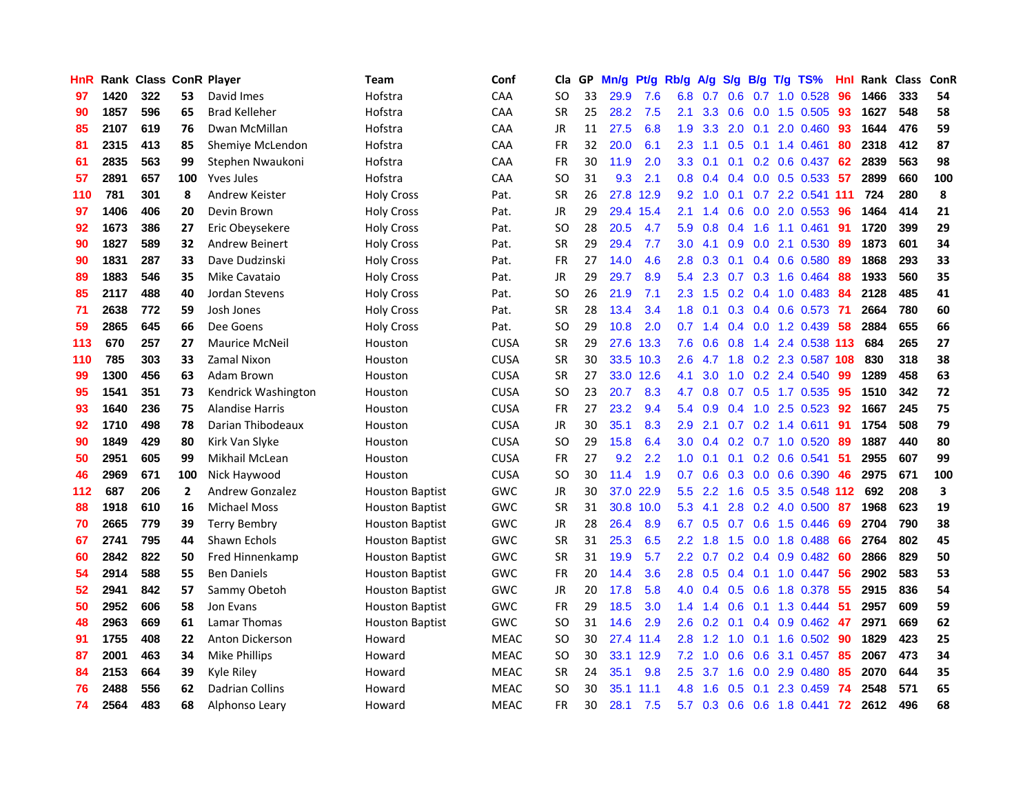| <b>HnR</b> |      | Rank Class ConR Player |                |                        | Team                   | Conf        | Cla       | GP | Mn/g | Pt/g      | Rb/g             | A/g       | S/g           | B/g            | T/g | TS%                       | Hnl | Rank Class |     | ConR |
|------------|------|------------------------|----------------|------------------------|------------------------|-------------|-----------|----|------|-----------|------------------|-----------|---------------|----------------|-----|---------------------------|-----|------------|-----|------|
| 97         | 1420 | 322                    | 53             | David Imes             | Hofstra                | CAA         | SO.       | 33 | 29.9 | 7.6       | 6.8              | 0.7       | 0.6           | 0.7            |     | 1.0 0.528                 | 96  | 1466       | 333 | 54   |
| 90         | 1857 | 596                    | 65             | <b>Brad Kelleher</b>   | Hofstra                | <b>CAA</b>  | <b>SR</b> | 25 | 28.2 | 7.5       | 2.1              | 3.3       | 0.6           | 0.0            |     | 1.5 0.505                 | 93  | 1627       | 548 | 58   |
| 85         | 2107 | 619                    | 76             | Dwan McMillan          | Hofstra                | CAA         | <b>JR</b> | 11 | 27.5 | 6.8       | 1.9              | 3.3       | 2.0           | 0.1            |     | 2.0 0.460                 | 93  | 1644       | 476 | 59   |
| 81         | 2315 | 413                    | 85             | Shemiye McLendon       | Hofstra                | CAA         | <b>FR</b> | 32 | 20.0 | 6.1       | $2.3\phantom{0}$ | 1.1       |               |                |     | $0.5$ 0.1 1.4 0.461       | 80  | 2318       | 412 | 87   |
| 61         | 2835 | 563                    | 99             | Stephen Nwaukoni       | Hofstra                | CAA         | <b>FR</b> | 30 | 11.9 | 2.0       | 3.3              | 0.1       |               |                |     | $0.1$ $0.2$ $0.6$ $0.437$ | 62  | 2839       | 563 | 98   |
| 57         | 2891 | 657                    | 100            | <b>Yves Jules</b>      | Hofstra                | <b>CAA</b>  | <b>SO</b> | 31 | 9.3  | 2.1       | 0.8 <sub>0</sub> | 0.4       |               |                |     | $0.4$ 0.0 0.5 0.533       | 57  | 2899       | 660 | 100  |
| 110        | 781  | 301                    | 8              | Andrew Keister         | <b>Holy Cross</b>      | Pat.        | <b>SR</b> | 26 | 27.8 | 12.9      | 9.2 <sub>1</sub> | 1.0       | 0.1           |                |     | 0.7 2.2 0.541 111         |     | 724        | 280 | 8    |
| 97         | 1406 | 406                    | 20             | Devin Brown            | <b>Holy Cross</b>      | Pat.        | <b>JR</b> | 29 |      | 29.4 15.4 | 2.1              | 1.4       | 0.6           | 0.0            |     | 2.0 0.553                 | 96  | 1464       | 414 | 21   |
| 92         | 1673 | 386                    | 27             | Eric Obeysekere        | <b>Holy Cross</b>      | Pat.        | <b>SO</b> | 28 | 20.5 | 4.7       | 5.9              | 0.8       | 0.4           | 1.6            |     | 1.1 0.461                 | 91  | 1720       | 399 | 29   |
| 90         | 1827 | 589                    | 32             | <b>Andrew Beinert</b>  | <b>Holy Cross</b>      | Pat.        | <b>SR</b> | 29 | 29.4 | 7.7       | 3.0              | 4.1       | 0.9           | 0.0            |     | 2.1 0.530                 | 89  | 1873       | 601 | 34   |
| 90         | 1831 | 287                    | 33             | Dave Dudzinski         | <b>Holy Cross</b>      | Pat.        | <b>FR</b> | 27 | 14.0 | 4.6       | 2.8              | 0.3       | 0.1           | 0.4            |     | 0.6 0.580                 | 89  | 1868       | 293 | 33   |
| 89         | 1883 | 546                    | 35             | Mike Cavataio          | <b>Holy Cross</b>      | Pat.        | JR        | 29 | 29.7 | 8.9       | 5.4              | 2.3       | 0.7           | 0.3            |     | 1.6 0.464                 | 88  | 1933       | 560 | 35   |
| 85         | 2117 | 488                    | 40             | Jordan Stevens         | <b>Holy Cross</b>      | Pat.        | <b>SO</b> | 26 | 21.9 | 7.1       | $2.3^{\circ}$    | 1.5       | 0.2           | 0.4            |     | 1.0 0.483                 | 84  | 2128       | 485 | 41   |
| 71         | 2638 | 772                    | 59             | Josh Jones             | <b>Holy Cross</b>      | Pat.        | <b>SR</b> | 28 | 13.4 | 3.4       | 1.8              | 0.1       | 0.3           | 0.4            |     | 0.6 0.573                 | -71 | 2664       | 780 | 60   |
| 59         | 2865 | 645                    | 66             | Dee Goens              | <b>Holy Cross</b>      | Pat.        | <b>SO</b> | 29 | 10.8 | 2.0       | 0.7              | 1.4       |               | $0.4\quad 0.0$ |     | 1.2 0.439                 | 58  | 2884       | 655 | 66   |
| 113        | 670  | 257                    | 27             | <b>Maurice McNeil</b>  | Houston                | <b>CUSA</b> | <b>SR</b> | 29 |      | 27.6 13.3 | 7.6              | 0.6       | 0.8           |                |     | 1.4 2.4 0.538 113         |     | 684        | 265 | 27   |
| 110        | 785  | 303                    | 33             | Zamal Nixon            | Houston                | <b>CUSA</b> | <b>SR</b> | 30 |      | 33.5 10.3 |                  | $2.6$ 4.7 |               |                |     | 1.8 0.2 2.3 0.587 108     |     | 830        | 318 | 38   |
| 99         | 1300 | 456                    | 63             | Adam Brown             | Houston                | <b>CUSA</b> | <b>SR</b> | 27 |      | 33.0 12.6 | 4.1              | 3.0       |               |                |     | 1.0 0.2 2.4 0.540         | -99 | 1289       | 458 | 63   |
| 95         | 1541 | 351                    | 73             | Kendrick Washington    | Houston                | <b>CUSA</b> | <b>SO</b> | 23 | 20.7 | 8.3       | 4.7              | 0.8       |               |                |     | 0.7 0.5 1.7 0.535         | -95 | 1510       | 342 | 72   |
| 93         | 1640 | 236                    | 75             | Alandise Harris        | Houston                | <b>CUSA</b> | FR        | 27 | 23.2 | 9.4       | 5.4              | 0.9       | $0.4^{\circ}$ |                |     | 1.0 2.5 0.523             | 92  | 1667       | 245 | 75   |
| 92         | 1710 | 498                    | 78             | Darian Thibodeaux      | Houston                | <b>CUSA</b> | JR        | 30 | 35.1 | 8.3       | 2.9              | 2.1       |               |                |     | $0.7$ $0.2$ 1.4 $0.611$   | 91  | 1754       | 508 | 79   |
| 90         | 1849 | 429                    | 80             | Kirk Van Slyke         | Houston                | <b>CUSA</b> | <b>SO</b> | 29 | 15.8 | 6.4       | 3.0              | 0.4       |               |                |     | 0.2 0.7 1.0 0.520         | -89 | 1887       | 440 | 80   |
| 50         | 2951 | 605                    | 99             | Mikhail McLean         | Houston                | <b>CUSA</b> | <b>FR</b> | 27 | 9.2  | 2.2       | 1.0              | 0.1       | 0.1           |                |     | $0.2$ 0.6 0.541           | 51  | 2955       | 607 | 99   |
| 46         | 2969 | 671                    | 100            | Nick Haywood           | Houston                | <b>CUSA</b> | <b>SO</b> | 30 | 11.4 | 1.9       | 0.7              | 0.6       | 0.3           |                |     | $0.0\quad 0.6\quad 0.390$ | 46  | 2975       | 671 | 100  |
| 112        | 687  | 206                    | $\overline{2}$ | <b>Andrew Gonzalez</b> | <b>Houston Baptist</b> | <b>GWC</b>  | JR.       | 30 | 37.0 | 22.9      | 5.5 <sub>1</sub> | 2.2       | 1.6           | 0.5            |     | 3.5 0.548 112             |     | 692        | 208 | 3    |
| 88         | 1918 | 610                    | 16             | <b>Michael Moss</b>    | <b>Houston Baptist</b> | <b>GWC</b>  | <b>SR</b> | 31 |      | 30.8 10.0 | 5.3              | 4.1       | 2.8           |                |     | 0.2 4.0 0.500             | 87  | 1968       | 623 | 19   |
| 70         | 2665 | 779                    | 39             | <b>Terry Bembry</b>    | <b>Houston Baptist</b> | <b>GWC</b>  | JR        | 28 | 26.4 | 8.9       | 6.7              | 0.5       | 0.7           | 0.6            |     | 1.5 0.446                 | 69  | 2704       | 790 | 38   |
| 67         | 2741 | 795                    | 44             | Shawn Echols           | <b>Houston Baptist</b> | <b>GWC</b>  | <b>SR</b> | 31 | 25.3 | 6.5       | $2.2\phantom{0}$ | 1.8       | 1.5           | 0.0            |     | 1.8 0.488                 | 66  | 2764       | 802 | 45   |
| 60         | 2842 | 822                    | 50             | Fred Hinnenkamp        | <b>Houston Baptist</b> | <b>GWC</b>  | <b>SR</b> | 31 | 19.9 | 5.7       | 2.2 <sub>2</sub> | 0.7       |               |                |     | $0.2$ 0.4 0.9 0.482       | -60 | 2866       | 829 | 50   |
| 54         | 2914 | 588                    | 55             | <b>Ben Daniels</b>     | <b>Houston Baptist</b> | <b>GWC</b>  | <b>FR</b> | 20 | 14.4 | 3.6       | 2.8 <sup>°</sup> | 0.5       |               |                |     | $0.4$ 0.1 1.0 0.447       | -56 | 2902       | 583 | 53   |
| 52         | 2941 | 842                    | 57             | Sammy Obetoh           | <b>Houston Baptist</b> | <b>GWC</b>  | JR        | 20 | 17.8 | 5.8       | 4.0              | 0.4       |               |                |     | 0.5 0.6 1.8 0.378         | -55 | 2915       | 836 | 54   |
| 50         | 2952 | 606                    | 58             | Jon Evans              | <b>Houston Baptist</b> | <b>GWC</b>  | <b>FR</b> | 29 | 18.5 | 3.0       | 1.4              | 1.4       | 0.6           |                |     | 0.1 1.3 0.444             | 51  | 2957       | 609 | 59   |
| 48         | 2963 | 669                    | 61             | Lamar Thomas           | <b>Houston Baptist</b> | GWC         | <b>SO</b> | 31 | 14.6 | 2.9       | 2.6              | 0.2       | 0.1           |                |     | 0.4 0.9 0.462             | 47  | 2971       | 669 | 62   |
| 91         | 1755 | 408                    | 22             | Anton Dickerson        | Howard                 | <b>MEAC</b> | <b>SO</b> | 30 |      | 27.4 11.4 | 2.8              | 1.2       | 1.0           | 0.1            |     | 1.6 0.502                 | 90  | 1829       | 423 | 25   |
| 87         | 2001 | 463                    | 34             | <b>Mike Phillips</b>   | Howard                 | <b>MEAC</b> | <b>SO</b> | 30 |      | 33.1 12.9 | 7.2              | 1.0       | 0.6           | 0.6            |     | 3.1 0.457                 | 85  | 2067       | 473 | 34   |
| 84         | 2153 | 664                    | 39             | Kyle Riley             | Howard                 | <b>MEAC</b> | <b>SR</b> | 24 | 35.1 | 9.8       | 2.5              | 3.7       | 1.6           | 0.0            |     | 2.9 0.480                 | 85  | 2070       | 644 | 35   |
| 76         | 2488 | 556                    | 62             | Dadrian Collins        | Howard                 | <b>MEAC</b> | <b>SO</b> | 30 |      | 35.1 11.1 | 4.8              | 1.6       | 0.5           | 0.1            |     | 2.3 0.459                 | -74 | 2548       | 571 | 65   |
| 74         | 2564 | 483                    | 68             | Alphonso Leary         | Howard                 | <b>MEAC</b> | <b>FR</b> | 30 | 28.1 | 7.5       | 5.7              | 0.3       |               | $0.6$ 0.6      |     | 1.8 0.441                 | 72  | 2612       | 496 | 68   |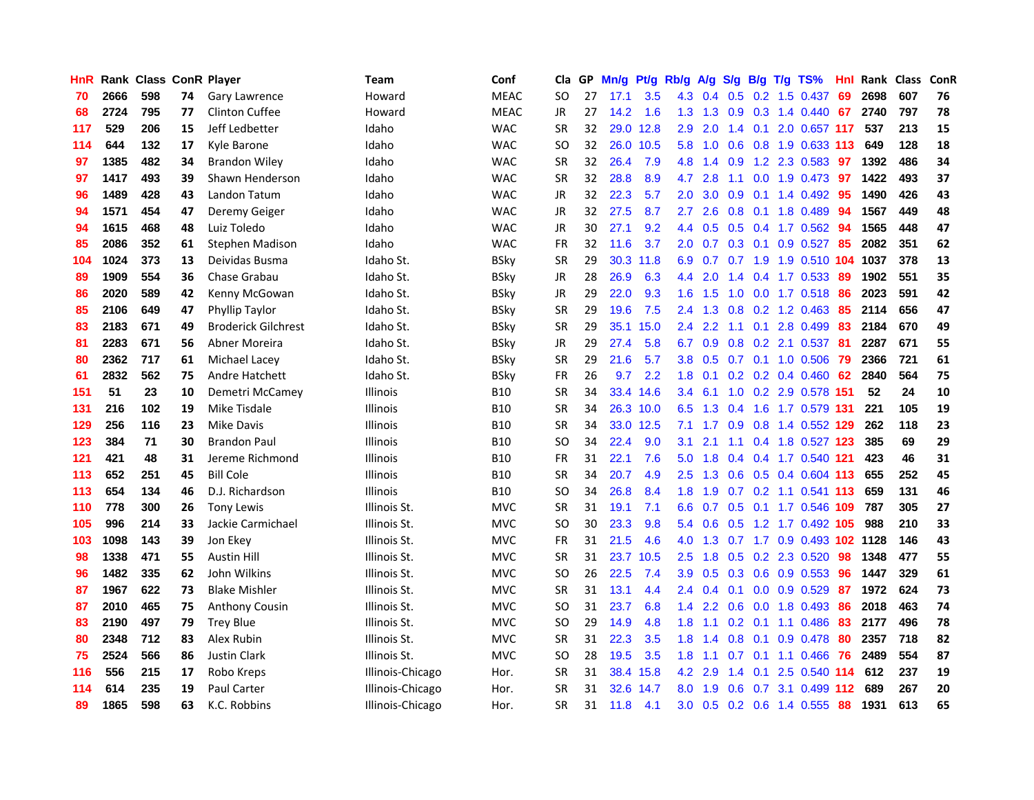| <b>HnR</b> |      | Rank Class ConR Player |    |                            | Team             | Conf        | Cla       |    | GP Mn/g Pt/g |           | Rb/g             | A/g             |     |                 | S/g B/g T/g TS%               | Hnl  | Rank Class |     | ConR |
|------------|------|------------------------|----|----------------------------|------------------|-------------|-----------|----|--------------|-----------|------------------|-----------------|-----|-----------------|-------------------------------|------|------------|-----|------|
| 70         | 2666 | 598                    | 74 | <b>Gary Lawrence</b>       | Howard           | <b>MEAC</b> | SO        | 27 | 17.1         | 3.5       | 4.3              | 0.4             | 0.5 | 0.2             | 1.5 0.437                     | 69   | 2698       | 607 | 76   |
| 68         | 2724 | 795                    | 77 | <b>Clinton Cuffee</b>      | Howard           | <b>MEAC</b> | JR        | 27 | 14.2         | 1.6       | 1.3 <sup>2</sup> | 1.3             | 0.9 | 0.3             | 1.4 0.440                     | 67   | 2740       | 797 | 78   |
| 117        | 529  | 206                    | 15 | Jeff Ledbetter             | Idaho            | <b>WAC</b>  | <b>SR</b> | 32 | 29.0         | 12.8      | 2.9              | 2.0             | 1.4 | 0.1             | 2.0 0.657 117                 |      | 537        | 213 | 15   |
| 114        | 644  | 132                    | 17 | Kyle Barone                | Idaho            | <b>WAC</b>  | SO.       | 32 |              | 26.0 10.5 | 5.8              | 1.0             |     |                 | 0.6 0.8 1.9 0.633 113         |      | 649        | 128 | 18   |
| 97         | 1385 | 482                    | 34 | <b>Brandon Wiley</b>       | Idaho            | <b>WAC</b>  | <b>SR</b> | 32 | 26.4         | 7.9       |                  | 4.8 1.4         | 0.9 |                 | 1.2 2.3 0.583 97              |      | 1392       | 486 | 34   |
| 97         | 1417 | 493                    | 39 | Shawn Henderson            | Idaho            | <b>WAC</b>  | <b>SR</b> | 32 | 28.8         | 8.9       | 4.7              | 2.8             | 1.1 |                 | 0.0 1.9 0.473 97              |      | 1422       | 493 | 37   |
| 96         | 1489 | 428                    | 43 | Landon Tatum               | Idaho            | <b>WAC</b>  | JR        | 32 | 22.3         | 5.7       | 2.0 <sub>1</sub> | 3.0             |     |                 | $0.9$ 0.1 1.4 0.492           | 95   | 1490       | 426 | 43   |
| 94         | 1571 | 454                    | 47 | Deremy Geiger              | Idaho            | <b>WAC</b>  | JR        | 32 | 27.5         | 8.7       | 2.7              | 2.6             | 0.8 |                 | $0.1$ 1.8 0.489               | 94   | 1567       | 449 | 48   |
| 94         | 1615 | 468                    | 48 | Luiz Toledo                | Idaho            | <b>WAC</b>  | JR        | 30 | 27.1         | 9.2       | 4.4              | 0.5             | 0.5 |                 | 0.4 1.7 0.562                 | 94   | 1565       | 448 | 47   |
| 85         | 2086 | 352                    | 61 | Stephen Madison            | Idaho            | <b>WAC</b>  | <b>FR</b> | 32 | 11.6         | 3.7       | 2.0              | 0.7             |     | $0.3 \quad 0.1$ | $0.9$ 0.527                   | 85   | 2082       | 351 | 62   |
| 104        | 1024 | 373                    | 13 | Deividas Busma             | Idaho St.        | <b>BSky</b> | <b>SR</b> | 29 |              | 30.3 11.8 | 6.9              | 0.7             | 0.7 |                 | 1.9 1.9 0.510 104 1037        |      |            | 378 | 13   |
| 89         | 1909 | 554                    | 36 | Chase Grabau               | Idaho St.        | <b>BSky</b> | <b>JR</b> | 28 | 26.9         | 6.3       | 4.4              | 2.0             | 1.4 |                 | $0.4$ 1.7 0.533               | -89  | 1902       | 551 | 35   |
| 86         | 2020 | 589                    | 42 | Kenny McGowan              | Idaho St.        | <b>BSky</b> | JR        | 29 | 22.0         | 9.3       | 1.6              | 1.5             | 1.0 | 0.0             | 1.7 0.518                     | 86   | 2023       | 591 | 42   |
| 85         | 2106 | 649                    | 47 | Phyllip Taylor             | Idaho St.        | BSkv        | <b>SR</b> | 29 | 19.6         | 7.5       | 2.4              | 1.3             | 0.8 |                 | $0.2$ 1.2 0.463               | 85   | 2114       | 656 | 47   |
| 83         | 2183 | 671                    | 49 | <b>Broderick Gilchrest</b> | Idaho St.        | <b>BSky</b> | <b>SR</b> | 29 | 35.1         | 15.0      | 2.4              | 2.2             | 1.1 | 0.1             | 2.8 0.499                     | 83   | 2184       | 670 | 49   |
| 81         | 2283 | 671                    | 56 | Abner Moreira              | Idaho St.        | <b>BSky</b> | JR        | 29 | 27.4         | 5.8       | 6.7              | 0.9             |     |                 | $0.8$ 0.2 2.1 0.537           | -81  | 2287       | 671 | 55   |
| 80         | 2362 | 717                    | 61 | Michael Lacey              | Idaho St.        | <b>BSky</b> | <b>SR</b> | 29 | 21.6         | 5.7       |                  | $3.8\quad 0.5$  |     |                 | 0.7 0.1 1.0 0.506             | - 79 | 2366       | 721 | 61   |
| 61         | 2832 | 562                    | 75 | <b>Andre Hatchett</b>      | Idaho St.        | <b>BSky</b> | <b>FR</b> | 26 | 9.7          | 2.2       |                  | $1.8 \quad 0.1$ |     |                 | $0.2$ 0.2 0.4 0.460 62        |      | 2840       | 564 | 75   |
| 151        | 51   | 23                     | 10 | Demetri McCamey            | <b>Illinois</b>  | <b>B10</b>  | <b>SR</b> | 34 |              | 33.4 14.6 |                  | $3.4 \quad 6.1$ |     |                 | 1.0 0.2 2.9 0.578 151         |      | 52         | 24  | 10   |
| 131        | 216  | 102                    | 19 | Mike Tisdale               | <b>Illinois</b>  | <b>B10</b>  | <b>SR</b> | 34 |              | 26.3 10.0 |                  |                 |     |                 | 6.5 1.3 0.4 1.6 1.7 0.579 131 |      | 221        | 105 | 19   |
| 129        | 256  | 116                    | 23 | Mike Davis                 | <b>Illinois</b>  | <b>B10</b>  | <b>SR</b> | 34 |              | 33.0 12.5 | 7.1              | 1.7             |     |                 | 0.9 0.8 1.4 0.552 129         |      | 262        | 118 | 23   |
| 123        | 384  | 71                     | 30 | <b>Brandon Paul</b>        | <b>Illinois</b>  | <b>B10</b>  | <b>SO</b> | 34 | 22.4         | 9.0       | 3.1              | 2.1             | 1.1 |                 | 0.4 1.8 0.527 123             |      | 385        | 69  | 29   |
| 121        | 421  | 48                     | 31 | Jereme Richmond            | <b>Illinois</b>  | <b>B10</b>  | FR        | 31 | 22.1         | 7.6       | 5.0              | 1.8             |     |                 | 0.4 0.4 1.7 0.540 121         |      | 423        | 46  | 31   |
| 113        | 652  | 251                    | 45 | <b>Bill Cole</b>           | <b>Illinois</b>  | <b>B10</b>  | <b>SR</b> | 34 | 20.7         | 4.9       | 2.5              | 1.3             |     |                 | 0.6 0.5 0.4 0.604 113         |      | 655        | 252 | 45   |
| 113        | 654  | 134                    | 46 | D.J. Richardson            | <b>Illinois</b>  | <b>B10</b>  | SO.       | 34 | 26.8         | 8.4       | 1.8              | 1.9             |     |                 | 0.7 0.2 1.1 0.541 113         |      | 659        | 131 | 46   |
| 110        | 778  | 300                    | 26 | <b>Tony Lewis</b>          | Illinois St.     | <b>MVC</b>  | <b>SR</b> | 31 | 19.1         | 7.1       | 6.6              | 0.7             | 0.5 |                 | 0.1 1.7 0.546 109             |      | 787        | 305 | 27   |
| 105        | 996  | 214                    | 33 | Jackie Carmichael          | Illinois St.     | <b>MVC</b>  | SO.       | 30 | 23.3         | 9.8       | 5.4              | 0.6             | 0.5 |                 | 1.2 1.7 0.492 105             |      | 988        | 210 | 33   |
| 103        | 1098 | 143                    | 39 | Jon Ekey                   | Illinois St.     | <b>MVC</b>  | FR        | 31 | 21.5         | 4.6       | 4.0              | 1.3             | 0.7 |                 | 1.7 0.9 0.493 102 1128        |      |            | 146 | 43   |
| 98         | 1338 | 471                    | 55 | <b>Austin Hill</b>         | Illinois St.     | <b>MVC</b>  | <b>SR</b> | 31 | 23.7         | 10.5      | 2.5              | 1.8             |     |                 | $0.5$ $0.2$ 2.3 $0.520$       | -98  | 1348       | 477 | 55   |
| 96         | 1482 | 335                    | 62 | John Wilkins               | Illinois St.     | <b>MVC</b>  | SO.       | 26 | 22.5         | 7.4       | 3.9              | 0.5             |     |                 | $0.3$ 0.6 0.9 0.553           | -96  | 1447       | 329 | 61   |
| 87         | 1967 | 622                    | 73 | <b>Blake Mishler</b>       | Illinois St.     | <b>MVC</b>  | <b>SR</b> | 31 | 13.1         | 4.4       |                  | $2.4\quad 0.4$  |     |                 | $0.1$ 0.0 0.9 0.529           | -87  | 1972       | 624 | 73   |
| 87         | 2010 | 465                    | 75 | <b>Anthony Cousin</b>      | Illinois St.     | <b>MVC</b>  | <b>SO</b> | 31 | 23.7         | 6.8       |                  | $1.4$ 2.2       |     |                 | $0.6$ $0.0$ 1.8 $0.493$       | 86   | 2018       | 463 | 74   |
| 83         | 2190 | 497                    | 79 | <b>Trey Blue</b>           | Illinois St.     | <b>MVC</b>  | SO.       | 29 | 14.9         | 4.8       | 1.8              | 1.1             |     |                 | $0.2$ 0.1 1.1 0.486           | 83   | 2177       | 496 | 78   |
| 80         | 2348 | 712                    | 83 | Alex Rubin                 | Illinois St.     | <b>MVC</b>  | <b>SR</b> | 31 | 22.3         | 3.5       | 1.8 <sup>1</sup> | 1.4             | 0.8 |                 | $0.1$ 0.9 0.478               | 80   | 2357       | 718 | 82   |
| 75         | 2524 | 566                    | 86 | Justin Clark               | Illinois St.     | <b>MVC</b>  | <b>SO</b> | 28 | 19.5         | 3.5       | 1.8              | 1.1             | 0.7 | 0.1             | 1.1 0.466                     | 76   | 2489       | 554 | 87   |
| 116        | 556  | 215                    | 17 | Robo Kreps                 | Illinois-Chicago | Hor.        | <b>SR</b> | 31 | 38.4         | 15.8      | 4.2              | 2.9             | 1.4 | 0.1             | 2.5 0.540 114                 |      | 612        | 237 | 19   |
| 114        | 614  | 235                    | 19 | <b>Paul Carter</b>         | Illinois-Chicago | Hor.        | <b>SR</b> | 31 | 32.6         | 14.7      | 8.0              | 1.9             | 0.6 | 0.7             | 3.1 0.499 112                 |      | 689        | 267 | 20   |
| 89         | 1865 | 598                    | 63 | K.C. Robbins               | Illinois-Chicago | Hor.        | <b>SR</b> | 31 | 11.8         | 4.1       | 3.0              | 0.5             |     |                 | 0.2 0.6 1.4 0.555             | 88   | 1931       | 613 | 65   |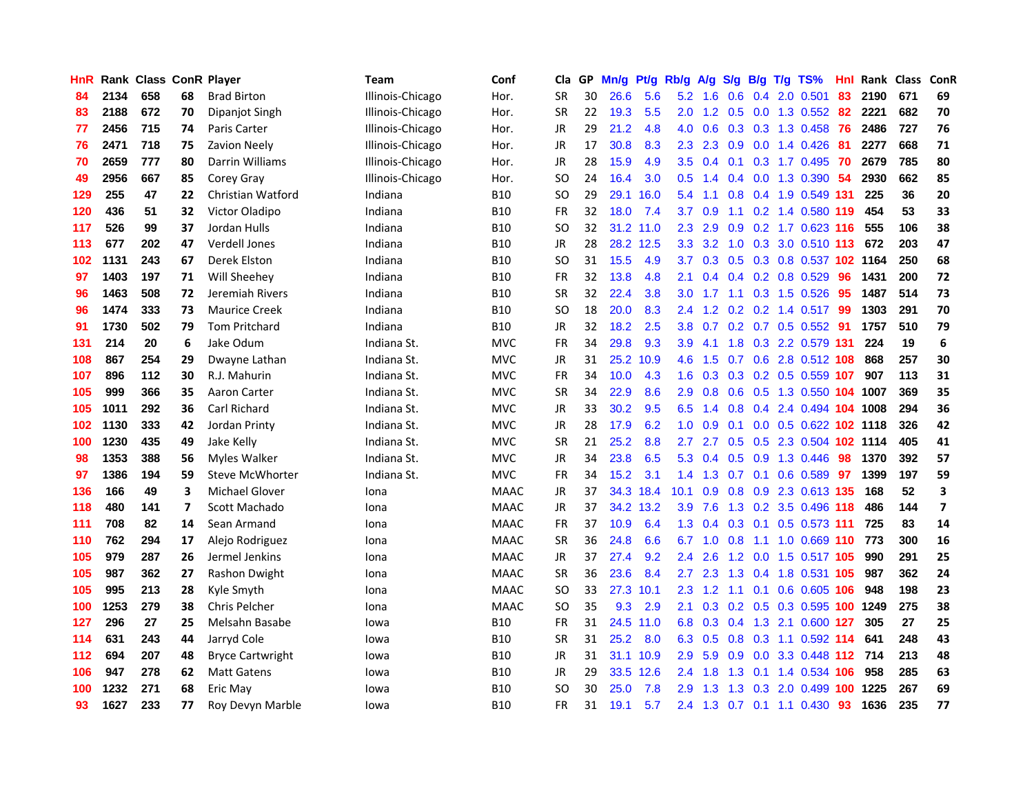| <b>HnR</b> |      | <b>Rank Class ConR Player</b> |                |                         | <b>Team</b>      | Conf        | Cla       |    | GP Mn/g   | Pt/g      | Rb/g             | A/g             |     |                 | S/g B/g T/g TS%               | Hnl | Rank Class |     | ConR                     |
|------------|------|-------------------------------|----------------|-------------------------|------------------|-------------|-----------|----|-----------|-----------|------------------|-----------------|-----|-----------------|-------------------------------|-----|------------|-----|--------------------------|
| 84         | 2134 | 658                           | 68             | <b>Brad Birton</b>      | Illinois-Chicago | Hor.        | <b>SR</b> | 30 | 26.6      | 5.6       | 5.2              | 1.6             | 0.6 | 0.4             | 2.0 0.501                     | 83  | 2190       | 671 | 69                       |
| 83         | 2188 | 672                           | 70             | Dipanjot Singh          | Illinois-Chicago | Hor.        | <b>SR</b> | 22 | 19.3      | 5.5       | 2.0              | $1.2^{\circ}$   | 0.5 | 0.0             | 1.3 0.552                     | 82  | 2221       | 682 | 70                       |
| 77         | 2456 | 715                           | 74             | Paris Carter            | Illinois-Chicago | Hor.        | JR        | 29 | 21.2      | 4.8       | 4.0              | 0.6             | 0.3 | 0.3             | 1.3 0.458                     | 76  | 2486       | 727 | 76                       |
| 76         | 2471 | 718                           | 75             | Zavion Neely            | Illinois-Chicago | Hor.        | JR        | 17 | 30.8      | 8.3       | 2.3              | 2.3             | 0.9 |                 | $0.0$ 1.4 $0.426$             | -81 | 2277       | 668 | 71                       |
| 70         | 2659 | 777                           | 80             | Darrin Williams         | Illinois-Chicago | Hor.        | JR        | 28 | 15.9      | 4.9       |                  | $3.5 \quad 0.4$ |     |                 | 0.1 0.3 1.7 0.495             | -70 | 2679       | 785 | 80                       |
| 49         | 2956 | 667                           | 85             | Corey Gray              | Illinois-Chicago | Hor.        | SO.       | 24 | 16.4      | 3.0       |                  | $0.5 \quad 1.4$ |     |                 | 0.4 0.0 1.3 0.390 54          |     | 2930       | 662 | 85                       |
| 129        | 255  | 47                            | 22             | Christian Watford       | Indiana          | <b>B10</b>  | SO.       | 29 |           | 29.1 16.0 | 5.4              | 1.1             |     |                 | 0.8 0.4 1.9 0.549 131         |     | 225        | 36  | 20                       |
| 120        | 436  | 51                            | 32             | Victor Oladipo          | Indiana          | <b>B10</b>  | FR        | 32 | 18.0      | 7.4       | 3.7              | 0.9             | 1.1 |                 | 0.2 1.4 0.580 119             |     | 454        | 53  | 33                       |
| 117        | 526  | 99                            | 37             | Jordan Hulls            | Indiana          | <b>B10</b>  | <b>SO</b> | 32 | 31.2 11.0 |           | 2.3              | 2.9             | 0.9 |                 | 0.2 1.7 0.623 116             |     | 555        | 106 | 38                       |
| 113        | 677  | 202                           | 47             | <b>Verdell Jones</b>    | Indiana          | <b>B10</b>  | JR        | 28 |           | 28.2 12.5 | 3.3              | 3.2             | 1.0 |                 | 0.3 3.0 0.510 113             |     | 672        | 203 | 47                       |
| 102        | 1131 | 243                           | 67             | Derek Elston            | Indiana          | <b>B10</b>  | <b>SO</b> | 31 | 15.5      | 4.9       | 3.7              | 0.3             |     |                 | 0.5 0.3 0.8 0.537 102 1164    |     |            | 250 | 68                       |
| 97         | 1403 | 197                           | 71             | Will Sheehey            | Indiana          | <b>B10</b>  | <b>FR</b> | 32 | 13.8      | 4.8       | 2.1              | 0.4             |     |                 | $0.4$ 0.2 0.8 0.529           | 96  | 1431       | 200 | 72                       |
| 96         | 1463 | 508                           | 72             | Jeremiah Rivers         | Indiana          | <b>B10</b>  | <b>SR</b> | 32 | 22.4      | 3.8       | 3.0 <sub>2</sub> | 1.7             | 1.1 |                 | $0.3$ 1.5 0.526               | 95  | 1487       | 514 | 73                       |
| 96         | 1474 | 333                           | 73             | <b>Maurice Creek</b>    | Indiana          | <b>B10</b>  | SO        | 18 | 20.0      | 8.3       | 2.4              | 1.2             | 0.2 |                 | $0.2$ 1.4 0.517               | -99 | 1303       | 291 | 70                       |
| 91         | 1730 | 502                           | 79             | <b>Tom Pritchard</b>    | Indiana          | <b>B10</b>  | <b>JR</b> | 32 | 18.2      | 2.5       | 3.8              | 0.7             | 0.2 |                 | $0.7$ 0.5 0.552               | -91 | 1757       | 510 | 79                       |
| 131        | 214  | 20                            | 6              | Jake Odum               | Indiana St.      | <b>MVC</b>  | <b>FR</b> | 34 | 29.8      | 9.3       | 3.9              | 4.1             |     |                 | 1.8 0.3 2.2 0.579 131         |     | 224        | 19  | 6                        |
| 108        | 867  | 254                           | 29             | Dwayne Lathan           | Indiana St.      | <b>MVC</b>  | JR        | 31 |           | 25.2 10.9 | 4.6              | 1.5             |     |                 | 0.7 0.6 2.8 0.512 108         |     | 868        | 257 | 30                       |
| 107        | 896  | 112                           | 30             | R.J. Mahurin            | Indiana St.      | <b>MVC</b>  | FR        | 34 | 10.0      | 4.3       |                  |                 |     |                 | 1.6 0.3 0.3 0.2 0.5 0.559 107 |     | 907        | 113 | 31                       |
| 105        | 999  | 366                           | 35             | Aaron Carter            | Indiana St.      | <b>MVC</b>  | <b>SR</b> | 34 | 22.9      | 8.6       | 2.9              | 0.8             |     |                 | 0.6 0.5 1.3 0.550 104 1007    |     |            | 369 | 35                       |
| 105        | 1011 | 292                           | 36             | Carl Richard            | Indiana St.      | <b>MVC</b>  | JR        | 33 | 30.2      | 9.5       |                  | $6.5 \quad 1.4$ |     |                 | 0.8 0.4 2.4 0.494 104 1008    |     |            | 294 | 36                       |
| 102        | 1130 | 333                           | 42             | Jordan Printy           | Indiana St.      | <b>MVC</b>  | JR        | 28 | 17.9      | 6.2       | 1.0              | 0.9             | 0.1 |                 | 0.0 0.5 0.622 102 1118        |     |            | 326 | 42                       |
| 100        | 1230 | 435                           | 49             | Jake Kelly              | Indiana St.      | <b>MVC</b>  | <b>SR</b> | 21 | 25.2      | 8.8       | 2.7              | 2.7             |     |                 | 0.5 0.5 2.3 0.504 102 1114    |     |            | 405 | 41                       |
| 98         | 1353 | 388                           | 56             | Myles Walker            | Indiana St.      | <b>MVC</b>  | JR        | 34 | 23.8      | 6.5       | 5.3              | 0.4             |     | $0.5\quad 0.9$  | 1.3 0.446                     | -98 | 1370       | 392 | 57                       |
| 97         | 1386 | 194                           | 59             | Steve McWhorter         | Indiana St.      | <b>MVC</b>  | FR        | 34 | 15.2      | 3.1       | 1.4              | 1.3             |     | $0.7 \quad 0.1$ | 0.6 0.589 97                  |     | 1399       | 197 | 59                       |
| 136        | 166  | 49                            | 3              | Michael Glover          | Iona             | <b>MAAC</b> | JR        | 37 |           | 34.3 18.4 | 10.1             | 0.9             |     |                 | 0.8 0.9 2.3 0.613 135         |     | 168        | 52  | 3                        |
| 118        | 480  | 141                           | $\overline{7}$ | Scott Machado           | Iona             | <b>MAAC</b> | <b>JR</b> | 37 |           | 34.2 13.2 | 3.9              | 7.6             |     | $1.3 \quad 0.2$ | 3.5 0.496 118                 |     | 486        | 144 | $\overline{\phantom{a}}$ |
| 111        | 708  | 82                            | 14             | Sean Armand             | Iona             | <b>MAAC</b> | <b>FR</b> | 37 | 10.9      | 6.4       | 1.3              | 0.4             | 0.3 | 0.1             | 0.5 0.573 111                 |     | 725        | 83  | 14                       |
| 110        | 762  | 294                           | 17             | Alejo Rodriguez         | Iona             | <b>MAAC</b> | <b>SR</b> | 36 | 24.8      | 6.6       | 6.7              | 1.0             | 0.8 | 1.1             | 1.0 0.669 110                 |     | 773        | 300 | 16                       |
| 105        | 979  | 287                           | 26             | Jermel Jenkins          | Iona             | <b>MAAC</b> | JR        | 37 | 27.4      | 9.2       | 2.4              | 2.6             |     | $1.2 \ 0.0$     | 1.5 0.517 105                 |     | 990        | 291 | 25                       |
| 105        | 987  | 362                           | 27             | Rashon Dwight           | Iona             | <b>MAAC</b> | <b>SR</b> | 36 | 23.6      | 8.4       | $2.7^{\circ}$    | 2.3             |     |                 | 1.3 0.4 1.8 0.531 105         |     | 987        | 362 | 24                       |
| 105        | 995  | 213                           | 28             | Kyle Smyth              | Iona             | <b>MAAC</b> | SO.       | 33 | 27.3 10.1 |           |                  | $2.3 \t1.2$     |     |                 | 1.1 0.1 0.6 0.605 106         |     | 948        | 198 | 23                       |
| 100        | 1253 | 279                           | 38             | <b>Chris Pelcher</b>    | Iona             | <b>MAAC</b> | <b>SO</b> | 35 | 9.3       | 2.9       | 2.1              |                 |     |                 | 0.3 0.2 0.5 0.3 0.595 100     |     | 1249       | 275 | 38                       |
| 127        | 296  | 27                            | 25             | Melsahn Basabe          | lowa             | <b>B10</b>  | <b>FR</b> | 31 |           | 24.5 11.0 | 6.8              | 0.3             |     |                 | 0.4 1.3 2.1 0.600 127         |     | 305        | 27  | 25                       |
| 114        | 631  | 243                           | 44             | Jarryd Cole             | lowa             | <b>B10</b>  | <b>SR</b> | 31 | 25.2      | 8.0       | 6.3              | 0.5             | 0.8 |                 | 0.3 1.1 0.592 114             |     | 641        | 248 | 43                       |
| 112        | 694  | 207                           | 48             | <b>Bryce Cartwright</b> | lowa             | <b>B10</b>  | JR        | 31 |           | 31.1 10.9 | 2.9              | 5.9             | 0.9 |                 | 0.0 3.3 0.448 112             |     | 714        | 213 | 48                       |
| 106        | 947  | 278                           | 62             | <b>Matt Gatens</b>      | lowa             | <b>B10</b>  | JR        | 29 |           | 33.5 12.6 | 2.4              | 1.8             | 1.3 | 0.1             | 1.4 0.534                     | 106 | 958        | 285 | 63                       |
| 100        | 1232 | 271                           | 68             | Eric May                | lowa             | B10         | SO        | 30 | 25.0      | 7.8       | 2.9              | 1.3             | 1.3 | 0.3             | 2.0 0.499                     | 100 | 1225       | 267 | 69                       |
| 93         | 1627 | 233                           | 77             | Roy Devyn Marble        | lowa             | <b>B10</b>  | <b>FR</b> | 31 | 19.1      | 5.7       |                  | $2.4$ 1.3       |     |                 | $0.7$ 0.1 1.1 0.430           | 93  | 1636       | 235 | 77                       |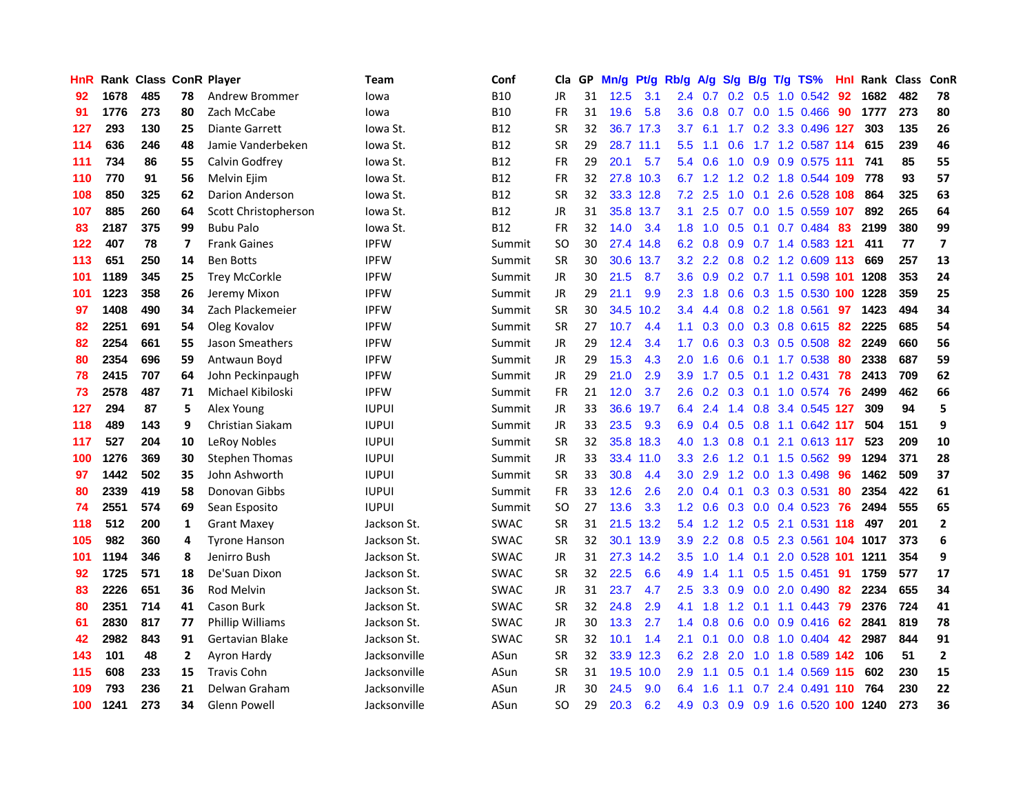| <b>HnR</b> |      | Rank Class ConR Player |                |                         | <b>Team</b>  | Conf        | Cla           |    | GP Mn/g | Pt/g      | Rb/g             | A/g              |     |                 | S/g B/g T/g TS%                | Hnl  | Rank Class |     | ConR                    |
|------------|------|------------------------|----------------|-------------------------|--------------|-------------|---------------|----|---------|-----------|------------------|------------------|-----|-----------------|--------------------------------|------|------------|-----|-------------------------|
| 92         | 1678 | 485                    | 78             | Andrew Brommer          | lowa         | <b>B10</b>  | JR            | 31 | 12.5    | 3.1       | 2.4              | 0.7              | 0.2 | 0.5             | 1.0 0.542                      | 92   | 1682       | 482 | 78                      |
| 91         | 1776 | 273                    | 80             | Zach McCabe             | lowa         | <b>B10</b>  | <b>FR</b>     | 31 | 19.6    | 5.8       | 3.6              | 0.8              | 0.7 | 0.0             | 1.5 0.466                      | 90   | 1777       | 273 | 80                      |
| 127        | 293  | 130                    | 25             | <b>Diante Garrett</b>   | lowa St.     | <b>B12</b>  | <b>SR</b>     | 32 |         | 36.7 17.3 | 3.7              | 6.1              | 1.7 |                 | 0.2 3.3 0.496 127              |      | 303        | 135 | 26                      |
| 114        | 636  | 246                    | 48             | Jamie Vanderbeken       | Iowa St.     | <b>B12</b>  | <b>SR</b>     | 29 |         | 28.7 11.1 | 5.5              | 1.1              | 0.6 |                 | 1.7 1.2 0.587 114              |      | 615        | 239 | 46                      |
| 111        | 734  | 86                     | 55             | Calvin Godfrey          | Iowa St.     | <b>B12</b>  | FR            | 29 | 20.1    | 5.7       |                  | $5.4\quad0.6$    |     |                 | 1.0 0.9 0.9 0.575 111          |      | 741        | 85  | 55                      |
| 110        | 770  | 91                     | 56             | Melvin Ejim             | Iowa St.     | <b>B12</b>  | FR            | 32 |         | 27.8 10.3 |                  |                  |     |                 | 6.7 1.2 1.2 0.2 1.8 0.544 109  |      | 778        | 93  | 57                      |
| 108        | 850  | 325                    | 62             | Darion Anderson         | Iowa St.     | <b>B12</b>  | <b>SR</b>     | 32 |         | 33.3 12.8 | 7.2              | 2.5              | 1.0 |                 | 0.1 2.6 0.528 108              |      | 864        | 325 | 63                      |
| 107        | 885  | 260                    | 64             | Scott Christopherson    | Iowa St.     | <b>B12</b>  | JR            | 31 |         | 35.8 13.7 | 3.1              | 2.5              | 0.7 |                 | 0.0 1.5 0.559 107              |      | 892        | 265 | 64                      |
| 83         | 2187 | 375                    | 99             | <b>Bubu Palo</b>        | Iowa St.     | <b>B12</b>  | <b>FR</b>     | 32 | 14.0    | 3.4       | 1.8              | 1.0              | 0.5 | 0.1             | 0.7 0.484                      | -83  | 2199       | 380 | 99                      |
| 122        | 407  | 78                     | $\overline{ }$ | <b>Frank Gaines</b>     | <b>IPFW</b>  | Summit      | <sub>SO</sub> | 30 |         | 27.4 14.8 | 6.2              | 0.8              | 0.9 |                 | 0.7 1.4 0.583 121              |      | 411        | 77  | $\overline{\mathbf{z}}$ |
| 113        | 651  | 250                    | 14             | <b>Ben Botts</b>        | <b>IPFW</b>  | Summit      | <b>SR</b>     | 30 |         | 30.6 13.7 | 3.2              | 2.2              |     |                 | 0.8 0.2 1.2 0.609 113          |      | 669        | 257 | 13                      |
| 101        | 1189 | 345                    | 25             | <b>Trey McCorkle</b>    | <b>IPFW</b>  | Summit      | <b>JR</b>     | 30 | 21.5    | 8.7       | 3.6 <sup>°</sup> | 0.9              |     |                 | 0.2 0.7 1.1 0.598 101          |      | 1208       | 353 | 24                      |
| 101        | 1223 | 358                    | 26             | Jeremy Mixon            | <b>IPFW</b>  | Summit      | JR            | 29 | 21.1    | 9.9       | $2.3^{\circ}$    | 1.8              | 0.6 |                 | 0.3 1.5 0.530 100              |      | 1228       | 359 | 25                      |
| 97         | 1408 | 490                    | 34             | Zach Plackemeier        | <b>IPFW</b>  | Summit      | <b>SR</b>     | 30 |         | 34.5 10.2 | 3.4              | 4.4              | 0.8 |                 | $0.2$ 1.8 $0.561$              | 97   | 1423       | 494 | 34                      |
| 82         | 2251 | 691                    | 54             | Oleg Kovalov            | <b>IPFW</b>  | Summit      | <b>SR</b>     | 27 | 10.7    | 4.4       | 1.1              | 0.3              | 0.0 | 0.3             | 0.8 0.615                      | 82   | 2225       | 685 | 54                      |
| 82         | 2254 | 661                    | 55             | Jason Smeathers         | <b>IPFW</b>  | Summit      | JR            | 29 | 12.4    | 3.4       | 1.7              | 0.6              |     |                 | $0.3$ $0.3$ $0.5$ $0.508$      | 82   | 2249       | 660 | 56                      |
| 80         | 2354 | 696                    | 59             | Antwaun Boyd            | <b>IPFW</b>  | Summit      | JR            | 29 | 15.3    | 4.3       | 2.0              | 1.6              |     |                 | 0.6 0.1 1.7 0.538              | 80   | 2338       | 687 | 59                      |
| 78         | 2415 | 707                    | 64             | John Peckinpaugh        | <b>IPFW</b>  | Summit      | JR            | 29 | 21.0    | 2.9       | 3.9 <sup>°</sup> | 1.7              |     |                 | 0.5 0.1 1.2 0.431 78           |      | 2413       | 709 | 62                      |
| 73         | 2578 | 487                    | 71             | Michael Kibiloski       | <b>IPFW</b>  | Summit      | <b>FR</b>     | 21 | 12.0    | 3.7       | $2.6^{\circ}$    |                  |     |                 | 0.2 0.3 0.1 1.0 0.574 76       |      | 2499       | 462 | 66                      |
| 127        | 294  | 87                     | 5              | Alex Young              | <b>IUPUI</b> | Summit      | JR            | 33 | 36.6    | 19.7      |                  | 6.4 2.4          |     |                 | 1.4 0.8 3.4 0.545 127          |      | 309        | 94  | 5                       |
| 118        | 489  | 143                    | 9              | Christian Siakam        | <b>IUPUI</b> | Summit      | JR            | 33 | 23.5    | 9.3       | 6.9              | 0.4              |     |                 | 0.5 0.8 1.1 0.642 117          |      | 504        | 151 | 9                       |
| 117        | 527  | 204                    | 10             | LeRoy Nobles            | <b>IUPUI</b> | Summit      | <b>SR</b>     | 32 | 35.8    | 18.3      | 4.0              | 1.3              | 0.8 | 0.1             | 2.1 0.613 117                  |      | 523        | 209 | 10                      |
| 100        | 1276 | 369                    | 30             | <b>Stephen Thomas</b>   | <b>IUPUI</b> | Summit      | JR            | 33 | 33.4    | 11.0      | 3.3              | 2.6              |     |                 | 1.2 0.1 1.5 0.562              | -99  | 1294       | 371 | 28                      |
| 97         | 1442 | 502                    | 35             | John Ashworth           | <b>IUPUI</b> | Summit      | <b>SR</b>     | 33 | 30.8    | 4.4       | 3.0              | 2.9              | 1.2 |                 | 0.0 1.3 0.498                  | 96   | 1462       | 509 | 37                      |
| 80         | 2339 | 419                    | 58             | Donovan Gibbs           | <b>IUPUI</b> | Summit      | <b>FR</b>     | 33 | 12.6    | 2.6       | 2.0              | 0.4              | 0.1 |                 | 0.3 0.3 0.531                  | 80   | 2354       | 422 | 61                      |
| 74         | 2551 | 574                    | 69             | Sean Esposito           | <b>IUPUI</b> | Summit      | <b>SO</b>     | 27 | 13.6    | 3.3       | 1.2              | 0.6              |     | $0.3 \ 0.0$     | 0.4 0.523                      | -76  | 2494       | 555 | 65                      |
| 118        | 512  | 200                    | 1              | <b>Grant Maxey</b>      | Jackson St.  | <b>SWAC</b> | <b>SR</b>     | 31 |         | 21.5 13.2 |                  | $5.4$ 1.2        |     | $1.2 \quad 0.5$ | 2.1 0.531 118                  |      | 497        | 201 | $\mathbf{2}$            |
| 105        | 982  | 360                    | 4              | <b>Tyrone Hanson</b>    | Jackson St.  | <b>SWAC</b> | <b>SR</b>     | 32 |         | 30.1 13.9 | 3.9              | 2.2              | 0.8 | 0.5             | 2.3 0.561 104 1017             |      |            | 373 | 6                       |
| 101        | 1194 | 346                    | 8              | Jenirro Bush            | Jackson St.  | <b>SWAC</b> | JR            | 31 |         | 27.3 14.2 | 3.5              | 1.0              | 1.4 | 0.1             | 2.0 0.528 101                  |      | 1211       | 354 | 9                       |
| 92         | 1725 | 571                    | 18             | De'Suan Dixon           | Jackson St.  | <b>SWAC</b> | <b>SR</b>     | 32 | 22.5    | 6.6       | 4.9              | 1.4              | 1.1 |                 | $0.5$ 1.5 0.451                | - 91 | 1759       | 577 | 17                      |
| 83         | 2226 | 651                    | 36             | <b>Rod Melvin</b>       | Jackson St.  | <b>SWAC</b> | JR            | 31 | 23.7    | 4.7       | $2.5^{\circ}$    | 3.3 <sub>2</sub> |     |                 | $0.9$ $0.0$ 2.0 $0.490$ 82     |      | 2234       | 655 | 34                      |
| 80         | 2351 | 714                    | 41             | Cason Burk              | Jackson St.  | <b>SWAC</b> | <b>SR</b>     | 32 | 24.8    | 2.9       | 4.1              | 1.8              |     |                 | $1.2$ 0.1 1.1 0.443            | 79   | 2376       | 724 | 41                      |
| 61         | 2830 | 817                    | 77             | <b>Phillip Williams</b> | Jackson St.  | <b>SWAC</b> | JR            | 30 | 13.3    | 2.7       | 1.4              | 0.8              | 0.6 |                 | $0.0$ $0.9$ $0.416$            | 62   | 2841       | 819 | 78                      |
| 42         | 2982 | 843                    | 91             | Gertavian Blake         | Jackson St.  | <b>SWAC</b> | <b>SR</b>     | 32 | 10.1    | 1.4       | 2.1              | 0.1              | 0.0 |                 | 0.8 1.0 0.404                  | 42   | 2987       | 844 | 91                      |
| 143        | 101  | 48                     | 2              | Ayron Hardy             | Jacksonville | ASun        | <b>SR</b>     | 32 |         | 33.9 12.3 | 6.2              | 2.8              | 2.0 | 1.0             | 1.8 0.589 142                  |      | 106        | 51  | $\mathbf{2}$            |
| 115        | 608  | 233                    | 15             | <b>Travis Cohn</b>      | Jacksonville | ASun        | <b>SR</b>     | 31 | 19.5    | 10.0      | 2.9              | 1.1              | 0.5 | 0.1             | 1.4 0.569 115                  |      | 602        | 230 | 15                      |
| 109        | 793  | 236                    | 21             | Delwan Graham           | Jacksonville | ASun        | JR            | 30 | 24.5    | 9.0       | 6.4              | 1.6              | 1.1 | 0.7             | 2.4 0.491                      | -110 | 764        | 230 | 22                      |
| 100        | 1241 | 273                    | 34             | <b>Glenn Powell</b>     | Jacksonville | ASun        | <b>SO</b>     | 29 | 20.3    | 6.2       | 4.9              |                  |     |                 | 0.3 0.9 0.9 1.6 0.520 100 1240 |      |            | 273 | 36                      |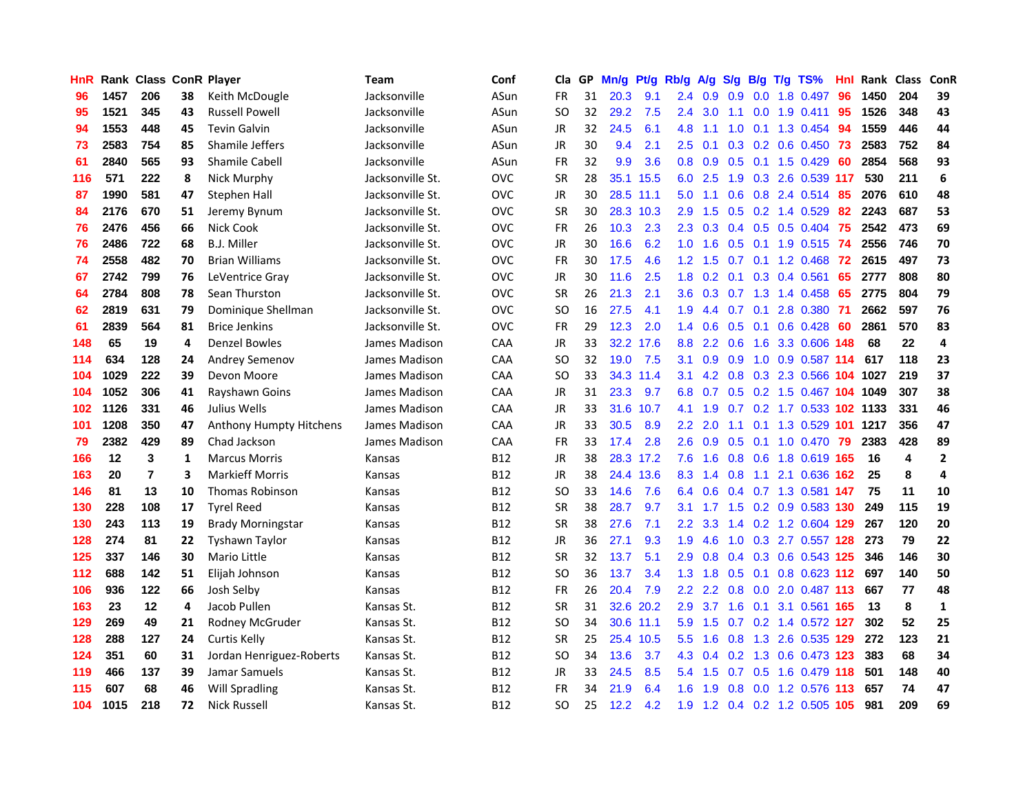| <b>HnR</b> |      | Rank Class ConR Player |    |                          | <b>Team</b>      | Conf       | Cla       |    | GP Mn/g | Pt/g      | Rb/g             | A/g            |     |                 | $S/g$ B/g T/g TS%                  | Hnl |      | Rank Class              | ConR           |
|------------|------|------------------------|----|--------------------------|------------------|------------|-----------|----|---------|-----------|------------------|----------------|-----|-----------------|------------------------------------|-----|------|-------------------------|----------------|
| 96         | 1457 | 206                    | 38 | Keith McDougle           | Jacksonville     | ASun       | <b>FR</b> | 31 | 20.3    | 9.1       | 2.4              | 0.9            | 0.9 | 0.0             | 1.8 0.497                          | 96  | 1450 | 204                     | 39             |
| 95         | 1521 | 345                    | 43 | <b>Russell Powell</b>    | Jacksonville     | ASun       | <b>SO</b> | 32 | 29.2    | 7.5       | 2.4              | 3.0            | 1.1 | 0.0             | 1.9 0.411                          | 95  | 1526 | 348                     | 43             |
| 94         | 1553 | 448                    | 45 | <b>Tevin Galvin</b>      | Jacksonville     | ASun       | JR        | 32 | 24.5    | 6.1       | 4.8              | 1.1            | 1.0 | 0.1             | 1.3 0.454                          | -94 | 1559 | 446                     | 44             |
| 73         | 2583 | 754                    | 85 | Shamile Jeffers          | Jacksonville     | ASun       | <b>JR</b> | 30 | 9.4     | 2.1       | $2.5\,$          | 0.1            |     |                 | 0.3 0.2 0.6 0.450 73               |     | 2583 | 752                     | 84             |
| 61         | 2840 | 565                    | 93 | <b>Shamile Cabell</b>    | Jacksonville     | ASun       | <b>FR</b> | 32 | 9.9     | 3.6       |                  | $0.8\quad 0.9$ |     |                 | $0.5$ 0.1 1.5 0.429                | -60 | 2854 | 568                     | 93             |
| 116        | 571  | 222                    | 8  | Nick Murphy              | Jacksonville St. | <b>OVC</b> | <b>SR</b> | 28 |         | 35.1 15.5 |                  | $6.0$ 2.5      |     |                 | 1.9 0.3 2.6 0.539 117              |     | 530  | 211                     | 6              |
| 87         | 1990 | 581                    | 47 | Stephen Hall             | Jacksonville St. | <b>OVC</b> | JR        | 30 |         | 28.5 11.1 | 5.0              | 1.1            |     |                 | 0.6 0.8 2.4 0.514                  | -85 | 2076 | 610                     | 48             |
| 84         | 2176 | 670                    | 51 | Jeremy Bynum             | Jacksonville St. | <b>OVC</b> | <b>SR</b> | 30 |         | 28.3 10.3 | 2.9              | 1.5            |     |                 | $0.5$ 0.2 1.4 0.529                | 82  | 2243 | 687                     | 53             |
| 76         | 2476 | 456                    | 66 | Nick Cook                | Jacksonville St. | <b>OVC</b> | <b>FR</b> | 26 | 10.3    | 2.3       | $2.3\phantom{0}$ | 0.3            |     |                 | 0.4 0.5 0.5 0.404                  | 75  | 2542 | 473                     | 69             |
| 76         | 2486 | 722                    | 68 | <b>B.J. Miller</b>       | Jacksonville St. | <b>OVC</b> | JR        | 30 | 16.6    | 6.2       | 1.0              | 1.6            | 0.5 | 0.1             | 1.9 0.515                          | 74  | 2556 | 746                     | 70             |
| 74         | 2558 | 482                    | 70 | <b>Brian Williams</b>    | Jacksonville St. | OVC        | <b>FR</b> | 30 | 17.5    | 4.6       | 1.2              | 1.5            | 0.7 | 0.1             | 1.2 0.468                          | 72  | 2615 | 497                     | 73             |
| 67         | 2742 | 799                    | 76 | LeVentrice Gray          | Jacksonville St. | <b>OVC</b> | <b>JR</b> | 30 | 11.6    | 2.5       | 1.8              | 0.2            | 0.1 | 0.3             | 0.4 0.561                          | 65  | 2777 | 808                     | 80             |
| 64         | 2784 | 808                    | 78 | Sean Thurston            | Jacksonville St. | <b>OVC</b> | <b>SR</b> | 26 | 21.3    | 2.1       | 3.6              | 0.3            | 0.7 | 1.3             | 1.4 0.458                          | 65  | 2775 | 804                     | 79             |
| 62         | 2819 | 631                    | 79 | Dominique Shellman       | Jacksonville St. | <b>OVC</b> | <b>SO</b> | 16 | 27.5    | 4.1       | 1.9              | 4.4            | 0.7 | 0.1             | 2.8 0.380                          | -71 | 2662 | 597                     | 76             |
| 61         | 2839 | 564                    | 81 | <b>Brice Jenkins</b>     | Jacksonville St. | <b>OVC</b> | <b>FR</b> | 29 | 12.3    | 2.0       | 1.4              | 0.6            |     | $0.5 \quad 0.1$ | $0.6$ $0.428$                      | 60  | 2861 | 570                     | 83             |
| 148        | 65   | 19                     | 4  | Denzel Bowles            | James Madison    | <b>CAA</b> | JR        | 33 |         | 32.2 17.6 | 8.8              | $2.2^{\circ}$  | 0.6 | 1.6             | 3.3 0.606 148                      |     | 68   | 22                      | 4              |
| 114        | 634  | 128                    | 24 | Andrey Semenov           | James Madison    | CAA        | <b>SO</b> | 32 | 19.0    | 7.5       | 3.1              | 0.9            | 0.9 |                 | 1.0 0.9 0.587 114                  |     | 617  | 118                     | 23             |
| 104        | 1029 | 222                    | 39 | Devon Moore              | James Madison    | CAA        | <b>SO</b> | 33 |         | 34.3 11.4 |                  |                |     |                 | 3.1 4.2 0.8 0.3 2.3 0.566 104 1027 |     |      | 219                     | 37             |
| 104        | 1052 | 306                    | 41 | Rayshawn Goins           | James Madison    | CAA        | JR        | 31 | 23.3    | 9.7       | 6.8              | 0.7            |     |                 | 0.5 0.2 1.5 0.467 104 1049         |     |      | 307                     | 38             |
| 102        | 1126 | 331                    | 46 | Julius Wells             | James Madison    | CAA        | JR        | 33 |         | 31.6 10.7 | 4.1              | 1.9            |     |                 | 0.7 0.2 1.7 0.533 102 1133         |     |      | 331                     | 46             |
| 101        | 1208 | 350                    | 47 | Anthony Humpty Hitchens  | James Madison    | CAA        | <b>JR</b> | 33 | 30.5    | 8.9       | 2.2              | 2.0            | 1.1 |                 | 0.1 1.3 0.529 101                  |     | 1217 | 356                     | 47             |
| 79         | 2382 | 429                    | 89 | Chad Jackson             | James Madison    | CAA        | <b>FR</b> | 33 | 17.4    | 2.8       | 2.6              | 0.9            | 0.5 | 0.1             | 1.0 0.470                          | -79 | 2383 | 428                     | 89             |
| 166        | 12   | 3                      | 1  | <b>Marcus Morris</b>     | Kansas           | B12        | JR        | 38 |         | 28.3 17.2 | 7.6              | 1.6            |     |                 | 0.8 0.6 1.8 0.619 165              |     | 16   | $\overline{\mathbf{4}}$ | $\overline{2}$ |
| 163        | 20   | $\overline{7}$         | 3  | <b>Markieff Morris</b>   | Kansas           | <b>B12</b> | JR        | 38 |         | 24.4 13.6 | 8.3              | 1.4            | 0.8 | 1.1             | 2.1 0.636 162                      |     | 25   | 8                       | 4              |
| 146        | 81   | 13                     | 10 | <b>Thomas Robinson</b>   | Kansas           | <b>B12</b> | <b>SO</b> | 33 | 14.6    | 7.6       | 6.4              | 0.6            |     |                 | 0.4 0.7 1.3 0.581 147              |     | 75   | 11                      | 10             |
| 130        | 228  | 108                    | 17 | <b>Tyrel Reed</b>        | Kansas           | <b>B12</b> | <b>SR</b> | 38 | 28.7    | 9.7       | 3.1              | 1.7            | 1.5 |                 | 0.2 0.9 0.583 130                  |     | 249  | 115                     | 19             |
| 130        | 243  | 113                    | 19 | <b>Brady Morningstar</b> | Kansas           | <b>B12</b> | <b>SR</b> | 38 | 27.6    | 7.1       | $2.2\phantom{0}$ | 3.3            |     |                 | 1.4 0.2 1.2 0.604 129              |     | 267  | 120                     | 20             |
| 128        | 274  | 81                     | 22 | <b>Tyshawn Taylor</b>    | Kansas           | <b>B12</b> | <b>JR</b> | 36 | 27.1    | 9.3       | 1.9              | 4.6            | 1.0 |                 | 0.3 2.7 0.557 128                  |     | 273  | 79                      | 22             |
| 125        | 337  | 146                    | 30 | <b>Mario Little</b>      | Kansas           | B12        | <b>SR</b> | 32 | 13.7    | 5.1       | 2.9              | 0.8            |     |                 | 0.4 0.3 0.6 0.543 125              |     | 346  | 146                     | 30             |
| 112        | 688  | 142                    | 51 | Elijah Johnson           | Kansas           | <b>B12</b> | <b>SO</b> | 36 | 13.7    | 3.4       |                  | $1.3$ $1.8$    |     |                 | 0.5 0.1 0.8 0.623 112 697          |     |      | 140                     | 50             |
| 106        | 936  | 122                    | 66 | Josh Selby               | Kansas           | <b>B12</b> | <b>FR</b> | 26 | 20.4    | 7.9       | 2.2 <sub>2</sub> | 2.2            |     |                 | 0.8 0.0 2.0 0.487 113              |     | 667  | 77                      | 48             |
| 163        | 23   | 12                     | 4  | Jacob Pullen             | Kansas St.       | <b>B12</b> | <b>SR</b> | 31 |         | 32.6 20.2 | 2.9              | 3.7            |     |                 | 1.6 0.1 3.1 0.561 165              |     | 13   | 8                       | $\mathbf{1}$   |
| 129        | 269  | 49                     | 21 | Rodney McGruder          | Kansas St.       | B12        | <b>SO</b> | 34 |         | 30.6 11.1 | 5.9              | 1.5            |     |                 | 0.7 0.2 1.4 0.572 127              |     | 302  | 52                      | 25             |
| 128        | 288  | 127                    | 24 | Curtis Kelly             | Kansas St.       | <b>B12</b> | <b>SR</b> | 25 |         | 25.4 10.5 | 5.5              | 1.6            | 0.8 |                 | 1.3 2.6 0.535 129                  |     | 272  | 123                     | 21             |
| 124        | 351  | 60                     | 31 | Jordan Henriguez-Roberts | Kansas St.       | B12        | <b>SO</b> | 34 | 13.6    | 3.7       | 4.3              | 0.4            | 0.2 | 1.3             | 0.6 0.473 123                      |     | 383  | 68                      | 34             |
| 119        | 466  | 137                    | 39 | Jamar Samuels            | Kansas St.       | B12        | JR        | 33 | 24.5    | 8.5       | 5.4              | 1.5            | 0.7 | 0.5             | 1.6 0.479                          | 118 | 501  | 148                     | 40             |
| 115        | 607  | 68                     | 46 | <b>Will Spradling</b>    | Kansas St.       | <b>B12</b> | <b>FR</b> | 34 | 21.9    | 6.4       | 1.6              | 1.9            | 0.8 | 0.0             | 1.2 0.576                          | 113 | 657  | 74                      | 47             |
| 104        | 1015 | 218                    | 72 | <b>Nick Russell</b>      | Kansas St.       | <b>B12</b> | <b>SO</b> | 25 | 12.2    | 4.2       |                  |                |     |                 | 1.9 1.2 0.4 0.2 1.2 0.505 105      |     | 981  | 209                     | 69             |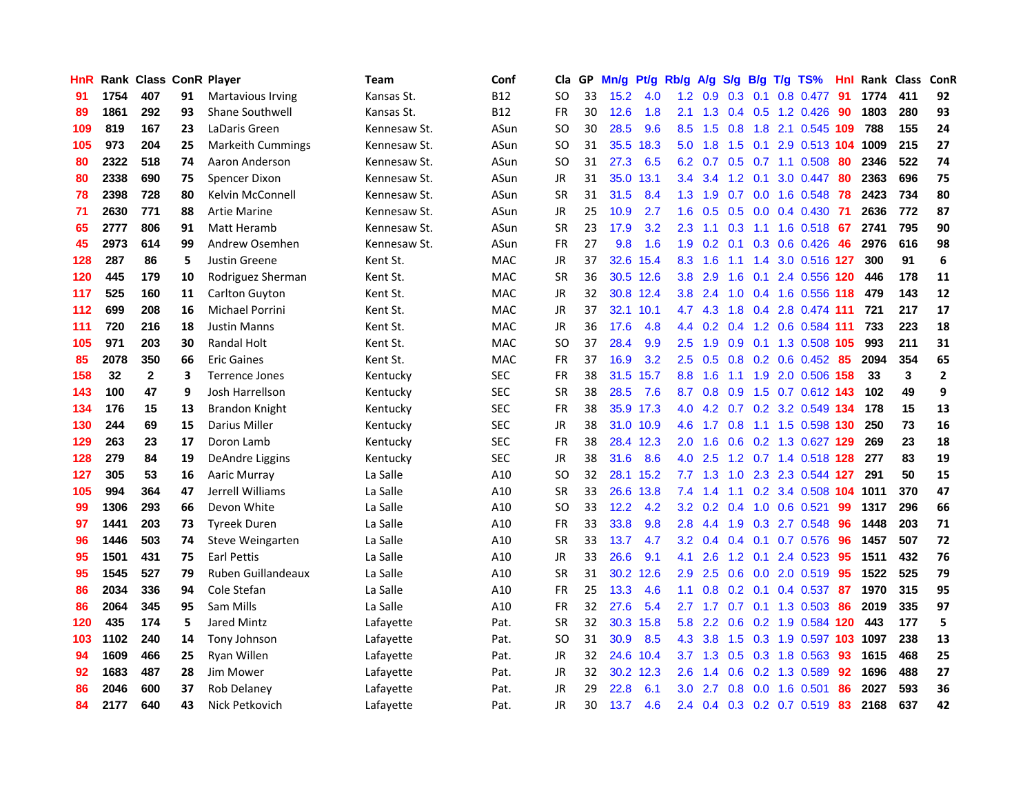| HnR |      | Rank Class ConR Player |    |                           | <b>Team</b>  | Conf       | Cla       |    | GP Mn/g | Pt/g      | Rb/g             | A/g                                              |     |                 | S/g B/g T/g TS%         | Hnl | Rank Class |     | ConR         |
|-----|------|------------------------|----|---------------------------|--------------|------------|-----------|----|---------|-----------|------------------|--------------------------------------------------|-----|-----------------|-------------------------|-----|------------|-----|--------------|
| 91  | 1754 | 407                    | 91 | <b>Martavious Irving</b>  | Kansas St.   | <b>B12</b> | SO.       | 33 | 15.2    | 4.0       | 1.2              | 0.9                                              | 0.3 | 0.1             | 0.8 0.477               | 91  | 1774       | 411 | 92           |
| 89  | 1861 | 292                    | 93 | <b>Shane Southwell</b>    | Kansas St.   | <b>B12</b> | <b>FR</b> | 30 | 12.6    | 1.8       | 2.1              | 1.3                                              | 0.4 | 0.5             | 1.2 0.426               | 90  | 1803       | 280 | 93           |
| 109 | 819  | 167                    | 23 | LaDaris Green             | Kennesaw St. | ASun       | <b>SO</b> | 30 | 28.5    | 9.6       | 8.5              | 1.5                                              | 0.8 | 1.8             | 2.1 0.545 109           |     | 788        | 155 | 24           |
| 105 | 973  | 204                    | 25 | <b>Markeith Cummings</b>  | Kennesaw St. | ASun       | SO        | 31 |         | 35.5 18.3 | 5.0              | 1.8                                              |     | $1.5 \quad 0.1$ | 2.9 0.513 104 1009      |     |            | 215 | 27           |
| 80  | 2322 | 518                    | 74 | Aaron Anderson            | Kennesaw St. | ASun       | <b>SO</b> | 31 | 27.3    | 6.5       |                  | $6.2\quad 0.7$                                   |     |                 | $0.5$ $0.7$ 1.1 $0.508$ | -80 | 2346       | 522 | 74           |
| 80  | 2338 | 690                    | 75 | Spencer Dixon             | Kennesaw St. | ASun       | JR        | 31 |         | 35.0 13.1 | 3.4              | 3.4                                              |     | $1.2 \quad 0.1$ | 3.0 0.447               | 80  | 2363       | 696 | 75           |
| 78  | 2398 | 728                    | 80 | Kelvin McConnell          | Kennesaw St. | ASun       | <b>SR</b> | 31 | 31.5    | 8.4       | 1.3 <sub>1</sub> | 1.9                                              | 0.7 |                 | 0.0 1.6 0.548           | 78  | 2423       | 734 | 80           |
| 71  | 2630 | 771                    | 88 | <b>Artie Marine</b>       | Kennesaw St. | ASun       | <b>JR</b> | 25 | 10.9    | 2.7       | 1.6              | 0.5                                              | 0.5 |                 | $0.0$ 0.4 0.430         | -71 | 2636       | 772 | 87           |
| 65  | 2777 | 806                    | 91 | Matt Heramb               | Kennesaw St. | ASun       | <b>SR</b> | 23 | 17.9    | 3.2       | 2.3              | 1.1                                              | 0.3 | 1.1             | 1.6 0.518               | 67  | 2741       | 795 | 90           |
| 45  | 2973 | 614                    | 99 | Andrew Osemhen            | Kennesaw St. | ASun       | <b>FR</b> | 27 | 9.8     | 1.6       | 1.9              | 0.2                                              | 0.1 |                 | $0.3$ 0.6 0.426         | 46  | 2976       | 616 | 98           |
| 128 | 287  | 86                     | 5  | Justin Greene             | Kent St.     | <b>MAC</b> | JR        | 37 |         | 32.6 15.4 | 8.3              | 1.6                                              | 1.1 | 1.4             | 3.0 0.516 127           |     | 300        | 91  | 6            |
| 120 | 445  | 179                    | 10 | Rodriguez Sherman         | Kent St.     | <b>MAC</b> | <b>SR</b> | 36 |         | 30.5 12.6 | 3.8              | 2.9                                              | 1.6 | 0.1             | 2.4 0.556               | 120 | 446        | 178 | 11           |
| 117 | 525  | 160                    | 11 | Carlton Guyton            | Kent St.     | <b>MAC</b> | <b>JR</b> | 32 |         | 30.8 12.4 | 3.8 <sup>°</sup> | 2.4                                              | 1.0 |                 | 0.4 1.6 0.556 118       |     | 479        | 143 | 12           |
| 112 | 699  | 208                    | 16 | <b>Michael Porrini</b>    | Kent St.     | <b>MAC</b> | <b>JR</b> | 37 |         | 32.1 10.1 | 4.7              | 4.3                                              | 1.8 | 0.4             | 2.8 0.474 111           |     | 721        | 217 | 17           |
| 111 | 720  | 216                    | 18 | <b>Justin Manns</b>       | Kent St.     | <b>MAC</b> | <b>JR</b> | 36 | 17.6    | 4.8       | 4.4              | 0.2                                              | 0.4 | 1.2             | 0.6 0.584 111           |     | 733        | 223 | 18           |
| 105 | 971  | 203                    | 30 | Randal Holt               | Kent St.     | <b>MAC</b> | <b>SO</b> | 37 | 28.4    | 9.9       | $2.5^{\circ}$    | 1.9                                              | 0.9 |                 | 0.1 1.3 0.508 105       |     | 993        | 211 | 31           |
| 85  | 2078 | 350                    | 66 | <b>Eric Gaines</b>        | Kent St.     | <b>MAC</b> | FR        | 37 | 16.9    | 3.2       |                  | $2.5\quad 0.5$                                   |     |                 | 0.8 0.2 0.6 0.452 85    |     | 2094       | 354 | 65           |
| 158 | 32   | $\mathbf{2}$           | 3  | <b>Terrence Jones</b>     | Kentucky     | <b>SEC</b> | <b>FR</b> | 38 |         | 31.5 15.7 |                  | 8.8 1.6                                          |     |                 | 1.1 1.9 2.0 0.506 158   |     | 33         | 3   | $\mathbf{2}$ |
| 143 | 100  | 47                     | 9  | Josh Harrellson           | Kentucky     | <b>SEC</b> | <b>SR</b> | 38 | 28.5    | 7.6       | 8.7              | 0.8                                              |     |                 | 0.9 1.5 0.7 0.612 143   |     | 102        | 49  | 9            |
| 134 | 176  | 15                     | 13 | Brandon Knight            | Kentucky     | <b>SEC</b> | FR        | 38 |         | 35.9 17.3 | 4.0              | 4.2                                              |     |                 | 0.7 0.2 3.2 0.549 134   |     | 178        | 15  | 13           |
| 130 | 244  | 69                     | 15 | Darius Miller             | Kentucky     | <b>SEC</b> | <b>JR</b> | 38 |         | 31.0 10.9 | 4.6              | 1.7                                              | 0.8 |                 | 1.1 1.5 0.598 130       |     | 250        | 73  | 16           |
| 129 | 263  | 23                     | 17 | Doron Lamb                | Kentucky     | <b>SEC</b> | <b>FR</b> | 38 |         | 28.4 12.3 | 2.0              | 1.6                                              | 0.6 |                 | 0.2 1.3 0.627 129       |     | 269        | 23  | 18           |
| 128 | 279  | 84                     | 19 | DeAndre Liggins           | Kentucky     | <b>SEC</b> | JR        | 38 | 31.6    | 8.6       | 4.0              | 2.5                                              |     |                 | 1.2 0.7 1.4 0.518 128   |     | 277        | 83  | 19           |
| 127 | 305  | 53                     | 16 | Aaric Murray              | La Salle     | A10        | <b>SO</b> | 32 |         | 28.1 15.2 | 7.7              | 1.3                                              | 1.0 |                 | 2.3 2.3 0.544 127       |     | 291        | 50  | 15           |
| 105 | 994  | 364                    | 47 | Jerrell Williams          | La Salle     | A10        | <b>SR</b> | 33 |         | 26.6 13.8 | 7.4              | 1.4                                              | 1.1 | 0.2             | 3.4 0.508 104           |     | 1011       | 370 | 47           |
| 99  | 1306 | 293                    | 66 | Devon White               | La Salle     | A10        | <b>SO</b> | 33 | 12.2    | 4.2       | 3.2              | 0.2                                              | 0.4 | 1.0             | $0.6$ $0.521$           | 99  | 1317       | 296 | 66           |
| 97  | 1441 | 203                    | 73 | <b>Tyreek Duren</b>       | La Salle     | A10        | <b>FR</b> | 33 | 33.8    | 9.8       | 2.8              | 4.4                                              | 1.9 | 0.3             | 2.7 0.548               | 96  | 1448       | 203 | 71           |
| 96  | 1446 | 503                    | 74 | Steve Weingarten          | La Salle     | A10        | <b>SR</b> | 33 | 13.7    | 4.7       | 3.2 <sub>2</sub> | 0.4                                              |     | $0.4 \quad 0.1$ | 0.7 0.576               | 96  | 1457       | 507 | 72           |
| 95  | 1501 | 431                    | 75 | Earl Pettis               | La Salle     | A10        | JR        | 33 | 26.6    | 9.1       | 4.1              | 2.6                                              |     | $1.2 \quad 0.1$ | 2.4 0.523               | -95 | 1511       | 432 | 76           |
| 95  | 1545 | 527                    | 79 | <b>Ruben Guillandeaux</b> | La Salle     | A10        | <b>SR</b> | 31 |         | 30.2 12.6 | $2.9^{\circ}$    | 2.5                                              |     |                 | 0.6 0.0 2.0 0.519 95    |     | 1522       | 525 | 79           |
| 86  | 2034 | 336                    | 94 | Cole Stefan               | La Salle     | A10        | <b>FR</b> | 25 | 13.3    | 4.6       | 1.1              | 0.8                                              |     | $0.2 \quad 0.1$ | 0.4 0.537               | -87 | 1970       | 315 | 95           |
| 86  | 2064 | 345                    | 95 | Sam Mills                 | La Salle     | A10        | <b>FR</b> | 32 | 27.6    | 5.4       | 2.7              | 1.7                                              |     |                 | 0.7 0.1 1.3 0.503       | 86  | 2019       | 335 | 97           |
| 120 | 435  | 174                    | 5  | Jared Mintz               | Lafayette    | Pat.       | <b>SR</b> | 32 |         | 30.3 15.8 | 5.8              | 2.2                                              | 0.6 |                 | 0.2 1.9 0.584 120       |     | 443        | 177 | 5            |
| 103 | 1102 | 240                    | 14 | Tony Johnson              | Lafayette    | Pat.       | <b>SO</b> | 31 | 30.9    | 8.5       | 4.3              | 3.8                                              | 1.5 |                 | 0.3 1.9 0.597 103 1097  |     |            | 238 | 13           |
| 94  | 1609 | 466                    | 25 | Ryan Willen               | Lafayette    | Pat.       | JR        | 32 |         | 24.6 10.4 | 3.7              | 1.3                                              | 0.5 |                 | 0.3 1.8 0.563           | 93  | 1615       | 468 | 25           |
| 92  | 1683 | 487                    | 28 | Jim Mower                 | Lafayette    | Pat.       | JR        | 32 |         | 30.2 12.3 | 2.6              | $\blacktriangleleft$<br>$\overline{\mathcal{A}}$ | 0.6 |                 | 0.2 1.3 0.589           | 92  | 1696       | 488 | 27           |
| 86  | 2046 | 600                    | 37 | Rob Delaney               | Lafayette    | Pat.       | JR        | 29 | 22.8    | 6.1       | 3.0              | 2.7                                              | 0.8 | 0.0             | 1.6 0.501               | 86  | 2027       | 593 | 36           |
| 84  | 2177 | 640                    | 43 | Nick Petkovich            | Lafayette    | Pat.       | <b>JR</b> | 30 | 13.7    | 4.6       |                  | $2.4\quad 0.4$                                   |     |                 | 0.3 0.2 0.7 0.519       | 83  | 2168       | 637 | 42           |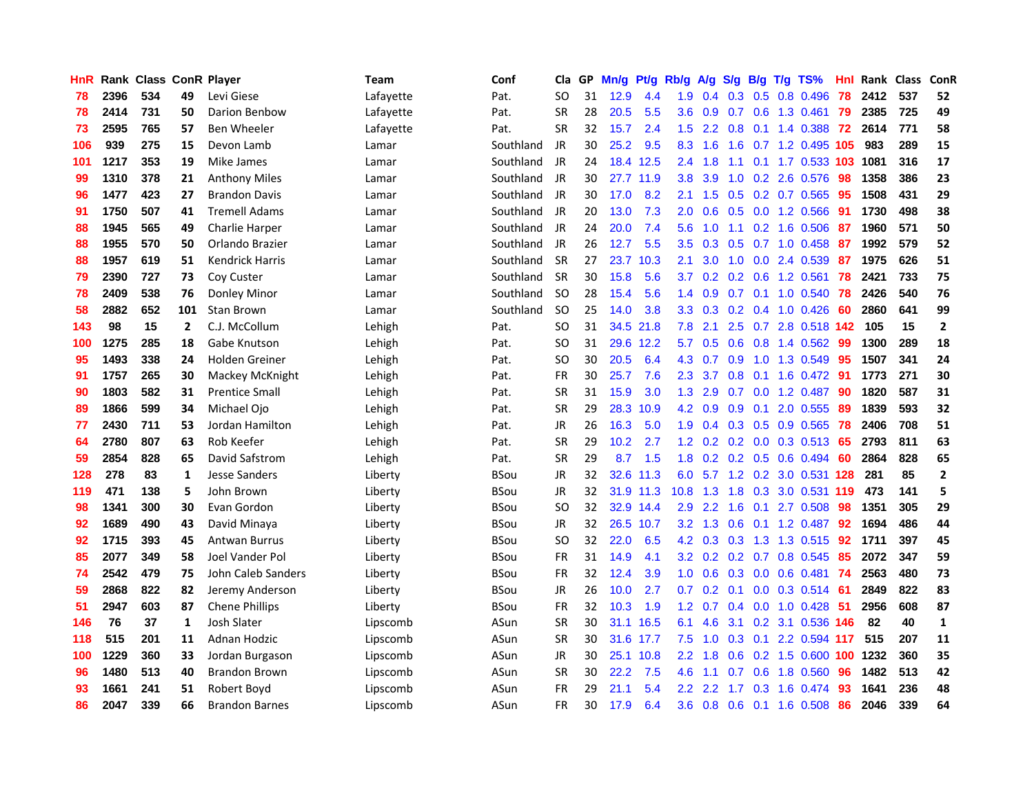| <b>HnR</b> |      | Rank Class ConR Player |              |                        | Team      | Conf        | Cla       |    | GP Mn/g   | Pt/g      | Rb/g             | A/g       | S/g           | B/g             | T/g TS%                   | Hnl | Rank Class |     | ConR         |
|------------|------|------------------------|--------------|------------------------|-----------|-------------|-----------|----|-----------|-----------|------------------|-----------|---------------|-----------------|---------------------------|-----|------------|-----|--------------|
| 78         | 2396 | 534                    | 49           | Levi Giese             | Lafayette | Pat.        | SO.       | 31 | 12.9      | 4.4       | 1.9              | 0.4       | 0.3           | 0.5             | 0.8 0.496                 | 78  | 2412       | 537 | 52           |
| 78         | 2414 | 731                    | 50           | Darion Benbow          | Lafayette | Pat.        | <b>SR</b> | 28 | 20.5      | 5.5       | 3.6              | 0.9       | 0.7           | 0.6             | 1.3 0.461                 | 79  | 2385       | 725 | 49           |
| 73         | 2595 | 765                    | 57           | <b>Ben Wheeler</b>     | Lafayette | Pat.        | <b>SR</b> | 32 | 15.7      | 2.4       | 1.5              | 2.2       | 0.8           | 0.1             | 1.4 0.388                 | 72  | 2614       | 771 | 58           |
| 106        | 939  | 275                    | 15           | Devon Lamb             | Lamar     | Southland   | JR        | 30 | 25.2      | 9.5       | 8.3              | 1.6       | 1.6           |                 | 0.7 1.2 0.495 105         |     | 983        | 289 | 15           |
| 101        | 1217 | 353                    | 19           | Mike James             | Lamar     | Southland   | JR        | 24 |           | 18.4 12.5 |                  | $2.4$ 1.8 | 1.1           |                 | 0.1 1.7 0.533 103         |     | 1081       | 316 | 17           |
| 99         | 1310 | 378                    | 21           | <b>Anthony Miles</b>   | Lamar     | Southland   | JR        | 30 |           | 27.7 11.9 | 3.8              | 3.9       |               |                 | 1.0 0.2 2.6 0.576         | -98 | 1358       | 386 | 23           |
| 96         | 1477 | 423                    | 27           | <b>Brandon Davis</b>   | Lamar     | Southland   | JR        | 30 | 17.0      | 8.2       | 2.1              | 1.5       |               |                 | $0.5$ $0.2$ $0.7$ $0.565$ | 95  | 1508       | 431 | 29           |
| 91         | 1750 | 507                    | 41           | <b>Tremell Adams</b>   | Lamar     | Southland   | JR        | 20 | 13.0      | 7.3       | 2.0              | 0.6       |               |                 | $0.5$ 0.0 1.2 0.566       | -91 | 1730       | 498 | 38           |
| 88         | 1945 | 565                    | 49           | Charlie Harper         | Lamar     | Southland   | JR        | 24 | 20.0      | 7.4       | 5.6              | 1.0       | 1.1           |                 | $0.2$ 1.6 $0.506$         | 87  | 1960       | 571 | 50           |
| 88         | 1955 | 570                    | 50           | Orlando Brazier        | Lamar     | Southland   | JR        | 26 | 12.7      | 5.5       | 3.5              | 0.3       | 0.5           |                 | 0.7 1.0 0.458             | 87  | 1992       | 579 | 52           |
| 88         | 1957 | 619                    | 51           | <b>Kendrick Harris</b> | Lamar     | Southland   | <b>SR</b> | 27 |           | 23.7 10.3 | 2.1              | 3.0       | 1.0           |                 | 0.0 2.4 0.539             | 87  | 1975       | 626 | 51           |
| 79         | 2390 | 727                    | 73           | Coy Custer             | Lamar     | Southland   | <b>SR</b> | 30 | 15.8      | 5.6       | 3.7              | 0.2       | 0.2           | 0.6             | 1.2 0.561                 | 78  | 2421       | 733 | 75           |
| 78         | 2409 | 538                    | 76           | Donley Minor           | Lamar     | Southland   | <b>SO</b> | 28 | 15.4      | 5.6       | 1.4              | 0.9       | 0.7           | 0.1             | 1.0 0.540                 | -78 | 2426       | 540 | 76           |
| 58         | 2882 | 652                    | 101          | Stan Brown             | Lamar     | Southland   | SO.       | 25 | 14.0      | 3.8       | 3.3 <sub>2</sub> | 0.3       | 0.2           | 0.4             | 1.0 0.426                 | 60  | 2860       | 641 | 99           |
| 143        | 98   | 15                     | $\mathbf{2}$ | C.J. McCollum          | Lehigh    | Pat.        | <b>SO</b> | 31 | 34.5      | 21.8      | 7.8              | 2.1       | 2.5           | 0.7             | 2.8 0.518 142             |     | 105        | 15  | $\mathbf{2}$ |
| 100        | 1275 | 285                    | 18           | Gabe Knutson           | Lehigh    | Pat.        | <b>SO</b> | 31 |           | 29.6 12.2 | 5.7              | 0.5       | 0.6           | 0.8             | 1.4 0.562                 | -99 | 1300       | 289 | 18           |
| 95         | 1493 | 338                    | 24           | Holden Greiner         | Lehigh    | Pat.        | <b>SO</b> | 30 | 20.5      | 6.4       | 4.3              | 0.7       | 0.9           | 1.0             | 1.3 0.549                 | -95 | 1507       | 341 | 24           |
| 91         | 1757 | 265                    | 30           | Mackey McKnight        | Lehigh    | Pat.        | <b>FR</b> | 30 | 25.7      | 7.6       | $2.3^{\circ}$    | 3.7       |               |                 | 0.8 0.1 1.6 0.472 91      |     | 1773       | 271 | 30           |
| 90         | 1803 | 582                    | 31           | <b>Prentice Small</b>  | Lehigh    | Pat.        | <b>SR</b> | 31 | 15.9      | 3.0       | 1.3              | 2.9       |               |                 | $0.7$ $0.0$ 1.2 $0.487$   | -90 | 1820       | 587 | 31           |
| 89         | 1866 | 599                    | 34           | Michael Ojo            | Lehigh    | Pat.        | <b>SR</b> | 29 |           | 28.3 10.9 |                  | 4.2 0.9   |               |                 | $0.9$ 0.1 2.0 0.555       | -89 | 1839       | 593 | 32           |
| 77         | 2430 | 711                    | 53           | Jordan Hamilton        | Lehigh    | Pat.        | JR        | 26 | 16.3      | 5.0       | 1.9              | 0.4       |               |                 | 0.3 0.5 0.9 0.565         | 78  | 2406       | 708 | 51           |
| 64         | 2780 | 807                    | 63           | Rob Keefer             | Lehigh    | Pat.        | <b>SR</b> | 29 | 10.2      | 2.7       | 1.2 <sub>2</sub> | 0.2       |               |                 | $0.2$ 0.0 0.3 0.513       | 65  | 2793       | 811 | 63           |
| 59         | 2854 | 828                    | 65           | David Safstrom         | Lehigh    | Pat.        | <b>SR</b> | 29 | 8.7       | 1.5       | 1.8              |           |               |                 | 0.2 0.2 0.5 0.6 0.494     | -60 | 2864       | 828 | 65           |
| 128        | 278  | 83                     | 1            | <b>Jesse Sanders</b>   | Liberty   | <b>BSou</b> | JR        | 32 |           | 32.6 11.3 | 6.0              | 5.7       |               | $1.2 \quad 0.2$ | 3.0 0.531 128             |     | 281        | 85  | $\mathbf{2}$ |
| 119        | 471  | 138                    | 5            | John Brown             | Liberty   | <b>BSou</b> | JR        | 32 |           | 31.9 11.3 | 10.8             | 1.3       | 1.8           | 0.3             | 3.0 0.531 119             |     | 473        | 141 | 5            |
| 98         | 1341 | 300                    | 30           | Evan Gordon            | Liberty   | <b>BSou</b> | <b>SO</b> | 32 |           | 32.9 14.4 | 2.9              | 2.2       | 1.6           | 0.1             | 2.7 0.508                 | 98  | 1351       | 305 | 29           |
| 92         | 1689 | 490                    | 43           | David Minaya           | Liberty   | <b>BSou</b> | <b>JR</b> | 32 | 26.5 10.7 |           | 3.2              | 1.3       | 0.6           | 0.1             | 1.2 0.487                 | 92  | 1694       | 486 | 44           |
| 92         | 1715 | 393                    | 45           | <b>Antwan Burrus</b>   | Liberty   | <b>BSou</b> | <b>SO</b> | 32 | 22.0      | 6.5       | 4.2              | 0.3       | 0.3           | 1.3             | 1.3 0.515                 | 92  | 1711       | 397 | 45           |
| 85         | 2077 | 349                    | 58           | Joel Vander Pol        | Liberty   | <b>BSou</b> | <b>FR</b> | 31 | 14.9      | 4.1       | 3.2              |           | $0.2$ 0.2 0.7 |                 | 0.8 0.545                 | 85  | 2072       | 347 | 59           |
| 74         | 2542 | 479                    | 75           | John Caleb Sanders     | Liberty   | <b>BSou</b> | <b>FR</b> | 32 | 12.4      | 3.9       | 1.0 <sub>1</sub> | 0.6       |               |                 | $0.3$ 0.0 0.6 0.481       | -74 | 2563       | 480 | 73           |
| 59         | 2868 | 822                    | 82           | Jeremy Anderson        | Liberty   | <b>BSou</b> | JR        | 26 | 10.0      | 2.7       | 0.7              |           |               |                 | 0.2 0.1 0.0 0.3 0.514 61  |     | 2849       | 822 | 83           |
| 51         | 2947 | 603                    | 87           | <b>Chene Phillips</b>  | Liberty   | <b>BSou</b> | <b>FR</b> | 32 | 10.3      | 1.9       | 1.2 <sub>1</sub> | 0.7       |               |                 | $0.4$ 0.0 1.0 0.428       | -51 | 2956       | 608 | 87           |
| 146        | 76   | 37                     | 1            | <b>Josh Slater</b>     | Lipscomb  | ASun        | <b>SR</b> | 30 |           | 31.1 16.5 | 6.1              | 4.6       |               |                 | 3.1 0.2 3.1 0.536 146     |     | 82         | 40  | $\mathbf{1}$ |
| 118        | 515  | 201                    | 11           | Adnan Hodzic           | Lipscomb  | ASun        | <b>SR</b> | 30 |           | 31.6 17.7 | 7.5              | 1.0       | 0.3           | 0.1             | 2.2 0.594 117             |     | 515        | 207 | 11           |
| 100        | 1229 | 360                    | 33           | Jordan Burgason        | Lipscomb  | ASun        | <b>JR</b> | 30 |           | 25.1 10.8 | $2.2^{\circ}$    | 1.8       | 0.6           |                 | 0.2 1.5 0.600 100         |     | 1232       | 360 | 35           |
| 96         | 1480 | 513                    | 40           | <b>Brandon Brown</b>   | Lipscomb  | ASun        | <b>SR</b> | 30 | 22.2      | 7.5       | 4.6              | 1.1       | 0.7           | 0.6             | 1.8 0.560                 | 96  | 1482       | 513 | 42           |
| 93         | 1661 | 241                    | 51           | Robert Boyd            | Lipscomb  | ASun        | FR        | 29 | 21.1      | 5.4       | $2.2^{\circ}$    | 2.2       | 1.7           | 0.3             | 1.6 0.474                 | 93  | 1641       | 236 | 48           |
| 86         | 2047 | 339                    | 66           | <b>Brandon Barnes</b>  | Lipscomb  | ASun        | <b>FR</b> | 30 | 17.9      | 6.4       | 3.6              | 0.8       |               |                 | 0.6 0.1 1.6 0.508         | 86  | 2046       | 339 | 64           |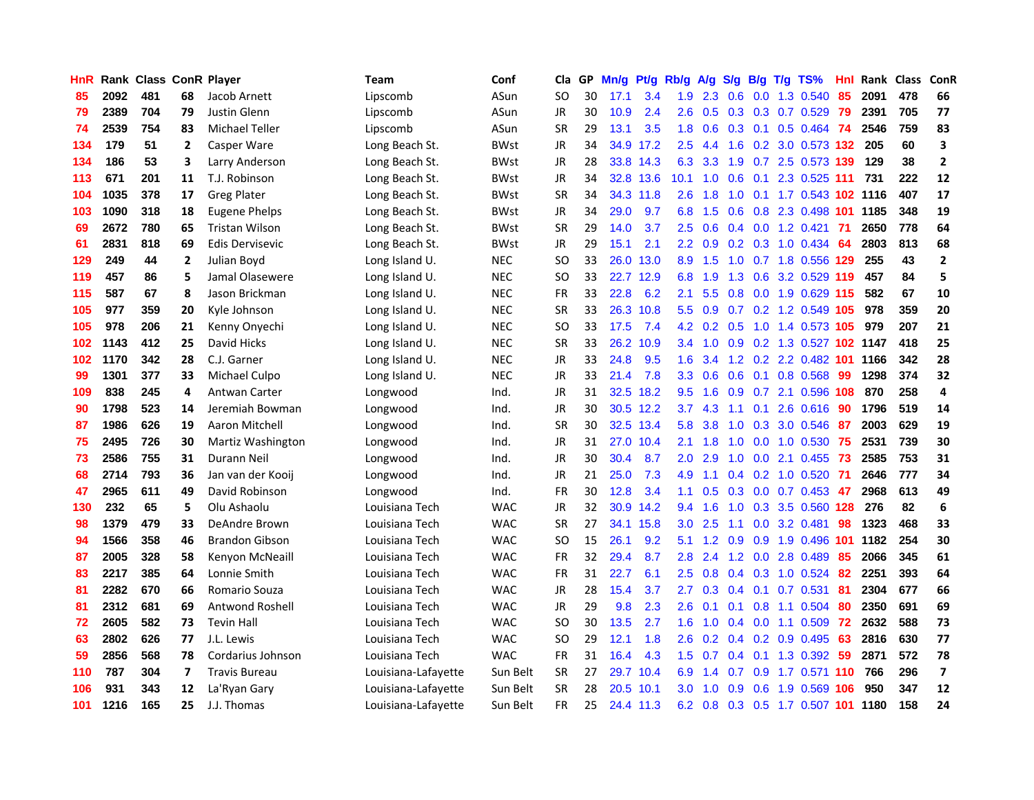| <b>HnR</b> |      |     |    | Rank Class ConR Player | Team                | Conf        | Cla       | GP | Mn/g | Pt/g      | Rb/g          | A/g                            | S/g | B/g             | $T/g$ TS%                  | Hnl  | Rank Class |     | <b>ConR</b>              |
|------------|------|-----|----|------------------------|---------------------|-------------|-----------|----|------|-----------|---------------|--------------------------------|-----|-----------------|----------------------------|------|------------|-----|--------------------------|
| 85         | 2092 | 481 | 68 | Jacob Arnett           | Lipscomb            | ASun        | SO.       | 30 | 17.1 | 3.4       | 1.9           | 2.3                            | 0.6 | 0.0             | 1.3 0.540                  | 85   | 2091       | 478 | 66                       |
| 79         | 2389 | 704 | 79 | Justin Glenn           | Lipscomb            | ASun        | JR        | 30 | 10.9 | 2.4       | 2.6           | 0.5                            |     | $0.3 \quad 0.3$ | 0.7 0.529                  | -79  | 2391       | 705 | 77                       |
| 74         | 2539 | 754 | 83 | <b>Michael Teller</b>  | Lipscomb            | ASun        | <b>SR</b> | 29 | 13.1 | 3.5       | 1.8           | 0.6                            |     | $0.3 \quad 0.1$ | $0.5$ 0.464                | - 74 | 2546       | 759 | 83                       |
| 134        | 179  | 51  | 2  | Casper Ware            | Long Beach St.      | <b>BWst</b> | JR        | 34 |      | 34.9 17.2 | 2.5           | 4.4                            |     |                 | 1.6 0.2 3.0 0.573 132      |      | 205        | 60  | 3                        |
| 134        | 186  | 53  | 3  | Larry Anderson         | Long Beach St.      | <b>BWst</b> | JR        | 28 |      | 33.8 14.3 | 6.3           | 3.3                            |     |                 | 1.9 0.7 2.5 0.573 139      |      | 129        | 38  | $\overline{2}$           |
| 113        | 671  | 201 | 11 | T.J. Robinson          | Long Beach St.      | <b>BWst</b> | JR        | 34 |      | 32.8 13.6 | 10.1          | 1.0                            | 0.6 |                 | 0.1 2.3 0.525 111          |      | 731        | 222 | 12                       |
| 104        | 1035 | 378 | 17 | <b>Greg Plater</b>     | Long Beach St.      | <b>BWst</b> | <b>SR</b> | 34 |      | 34.3 11.8 | 2.6           | 1.8                            | 1.0 |                 | 0.1 1.7 0.543 102 1116     |      |            | 407 | 17                       |
| 103        | 1090 | 318 | 18 | Eugene Phelps          | Long Beach St.      | <b>BWst</b> | <b>JR</b> | 34 | 29.0 | 9.7       | 6.8           | 1.5                            | 0.6 |                 | 0.8 2.3 0.498 101          |      | 1185       | 348 | 19                       |
| 69         | 2672 | 780 | 65 | <b>Tristan Wilson</b>  | Long Beach St.      | <b>BWst</b> | <b>SR</b> | 29 | 14.0 | 3.7       | 2.5           | 0.6                            | 0.4 |                 | $0.0$ 1.2 $0.421$          | 71   | 2650       | 778 | 64                       |
| 61         | 2831 | 818 | 69 | Edis Dervisevic        | Long Beach St.      | <b>BWst</b> | JR        | 29 | 15.1 | 2.1       | $2.2^{\circ}$ | 0.9                            |     |                 | $0.2$ $0.3$ 1.0 $0.434$    | 64   | 2803       | 813 | 68                       |
| 129        | 249  | 44  | 2  | Julian Boyd            | Long Island U.      | <b>NEC</b>  | SO.       | 33 | 26.0 | 13.0      | 8.9           | 1.5                            | 1.0 |                 | $0.7$ 1.8 $0.556$          | 129  | 255        | 43  | $\mathbf{2}$             |
| 119        | 457  | 86  | 5  | Jamal Olasewere        | Long Island U.      | <b>NEC</b>  | SO.       | 33 |      | 22.7 12.9 | 6.8           | 1.9                            | 1.3 | 0.6             | 3.2 0.529                  | -119 | 457        | 84  | 5                        |
| 115        | 587  | 67  | 8  | Jason Brickman         | Long Island U.      | <b>NEC</b>  | <b>FR</b> | 33 | 22.8 | 6.2       | 2.1           | 5.5                            | 0.8 | 0.0             | 1.9 0.629                  | -115 | 582        | 67  | 10                       |
| 105        | 977  | 359 | 20 | Kyle Johnson           | Long Island U.      | <b>NEC</b>  | SR        | 33 | 26.3 | 10.8      | 5.5           | 0.9                            | 0.7 | 0.2             | 1.2 0.549                  | 105  | 978        | 359 | 20                       |
| 105        | 978  | 206 | 21 | Kenny Onyechi          | Long Island U.      | <b>NEC</b>  | SO.       | 33 | 17.5 | 7.4       | 4.2           | 0.2                            | 0.5 | 1.0             | 1.4 0.573 105              |      | 979        | 207 | 21                       |
| 102        | 1143 | 412 | 25 | David Hicks            | Long Island U.      | <b>NEC</b>  | <b>SR</b> | 33 | 26.2 | 10.9      |               | $3.4$ 1.0                      |     |                 | 0.9 0.2 1.3 0.527 102 1147 |      |            | 418 | 25                       |
| 102        | 1170 | 342 | 28 | C.J. Garner            | Long Island U.      | <b>NEC</b>  | JR        | 33 | 24.8 | 9.5       | 1.6           | 3.4                            |     |                 | 1.2 0.2 2.2 0.482 101      |      | 1166       | 342 | 28                       |
| 99         | 1301 | 377 | 33 | Michael Culpo          | Long Island U.      | <b>NEC</b>  | JR        | 33 | 21.4 | 7.8       |               | $3.3 \quad 0.6$                |     |                 | 0.6 0.1 0.8 0.568          | -99  | 1298       | 374 | 32                       |
| 109        | 838  | 245 | 4  | Antwan Carter          | Longwood            | Ind.        | JR        | 31 |      | 32.5 18.2 | 9.5           | 1.6                            |     |                 | 0.9 0.7 2.1 0.596 108      |      | 870        | 258 | 4                        |
| 90         | 1798 | 523 | 14 | Jeremiah Bowman        | Longwood            | Ind.        | JR        | 30 |      | 30.5 12.2 | 3.7           | 4.3                            | 1.1 |                 | $0.1$ 2.6 $0.616$          | 90   | 1796       | 519 | 14                       |
| 87         | 1986 | 626 | 19 | Aaron Mitchell         | Longwood            | Ind.        | <b>SR</b> | 30 |      | 32.5 13.4 | 5.8           | 3.8                            | 1.0 |                 | 0.3 3.0 0.546              | 87   | 2003       | 629 | 19                       |
| 75         | 2495 | 726 | 30 | Martiz Washington      | Longwood            | Ind.        | JR        | 31 | 27.0 | 10.4      | 2.1           | 1.8                            | 1.0 | 0.0             | 1.0 0.530                  | -75  | 2531       | 739 | 30                       |
| 73         | 2586 | 755 | 31 | Durann Neil            | Longwood            | Ind.        | JR        | 30 | 30.4 | 8.7       | 2.0           | 2.9                            | 1.0 |                 | $0.0$ 2.1 $0.455$          | 73   | 2585       | 753 | 31                       |
| 68         | 2714 | 793 | 36 | Jan van der Kooij      | Longwood            | Ind.        | JR        | 21 | 25.0 | 7.3       | 4.9           | 1.1                            | 0.4 |                 | $0.2$ 1.0 0.520            | -71  | 2646       | 777 | 34                       |
| 47         | 2965 | 611 | 49 | David Robinson         | Longwood            | Ind.        | <b>FR</b> | 30 | 12.8 | 3.4       | 1.1           | 0.5                            | 0.3 | 0.0             | $0.7$ 0.453                | 47   | 2968       | 613 | 49                       |
| 130        | 232  | 65  | 5  | Olu Ashaolu            | Louisiana Tech      | <b>WAC</b>  | JR        | 32 | 30.9 | 14.2      | 9.4           | 1.6                            | 1.0 | 0.3             | 3.5 0.560 128              |      | 276        | 82  | 6                        |
| 98         | 1379 | 479 | 33 | DeAndre Brown          | Louisiana Tech      | <b>WAC</b>  | <b>SR</b> | 27 |      | 34.1 15.8 | 3.0           | 2.5                            | 1.1 | 0.0             | 3.2 0.481                  | 98   | 1323       | 468 | 33                       |
| 94         | 1566 | 358 | 46 | <b>Brandon Gibson</b>  | Louisiana Tech      | <b>WAC</b>  | <b>SO</b> | 15 | 26.1 | 9.2       | 5.1           | 1.2                            | 0.9 | 0.9             | 1.9 0.496                  | 101  | 1182       | 254 | 30                       |
| 87         | 2005 | 328 | 58 | Kenyon McNeaill        | Louisiana Tech      | <b>WAC</b>  | <b>FR</b> | 32 | 29.4 | 8.7       | 2.8           | 2.4                            |     | $1.2 \ 0.0$     | 2.8 0.489                  | 85   | 2066       | 345 | 61                       |
| 83         | 2217 | 385 | 64 | Lonnie Smith           | Louisiana Tech      | <b>WAC</b>  | FR        | 31 | 22.7 | 6.1       | 2.5           | 0.8                            |     |                 | $0.4$ 0.3 1.0 0.524        | -82  | 2251       | 393 | 64                       |
| 81         | 2282 | 670 | 66 | Romario Souza          | Louisiana Tech      | <b>WAC</b>  | JR        | 28 | 15.4 | 3.7       | 2.7           | 0.3                            |     | $0.4 \quad 0.1$ | 0.7 0.531                  | -81  | 2304       | 677 | 66                       |
| 81         | 2312 | 681 | 69 | <b>Antwond Roshell</b> | Louisiana Tech      | <b>WAC</b>  | JR        | 29 | 9.8  | 2.3       | 2.6           | 0.1                            |     |                 | $0.1$ 0.8 1.1 0.504        | 80   | 2350       | 691 | 69                       |
| 72         | 2605 | 582 | 73 | <b>Tevin Hall</b>      | Louisiana Tech      | <b>WAC</b>  | SO.       | 30 | 13.5 | 2.7       | 1.6           | 1.0                            |     |                 | $0.4$ 0.0 1.1 0.509        | 72   | 2632       | 588 | 73                       |
| 63         | 2802 | 626 | 77 | J.L. Lewis             | Louisiana Tech      | <b>WAC</b>  | SO        | 29 | 12.1 | 1.8       | 2.6           | 0.2                            |     |                 | 0.4 0.2 0.9 0.495          | 63   | 2816       | 630 | 77                       |
| 59         | 2856 | 568 | 78 | Cordarius Johnson      | Louisiana Tech      | <b>WAC</b>  | <b>FR</b> | 31 | 16.4 | 4.3       | 1.5           | 0.7                            | 0.4 | 0.1             | 1.3 0.392                  | 59   | 2871       | 572 | 78                       |
| 110        | 787  | 304 | 7  | <b>Travis Bureau</b>   | Louisiana-Lafayette | Sun Belt    | <b>SR</b> | 27 | 29.7 | 10.4      | 6.9           | $\overline{\mathcal{A}}$<br>-1 | 0.7 | 0.9             | 1.7 0.571                  | 110  | 766        | 296 | $\overline{\phantom{a}}$ |
| 106        | 931  | 343 | 12 | La'Ryan Gary           | Louisiana-Lafayette | Sun Belt    | <b>SR</b> | 28 | 20.5 | 10.1      | 3.0           | 1.0                            | 0.9 | 0.6             | 1.9 0.569                  | 106  | 950        | 347 | 12                       |
| 101        | 1216 | 165 | 25 | J.J. Thomas            | Louisiana-Lafayette | Sun Belt    | FR        | 25 |      | 24.4 11.3 | 6.2           | 0.8                            |     |                 | 0.3 0.5 1.7 0.507 101 1180 |      |            | 158 | 24                       |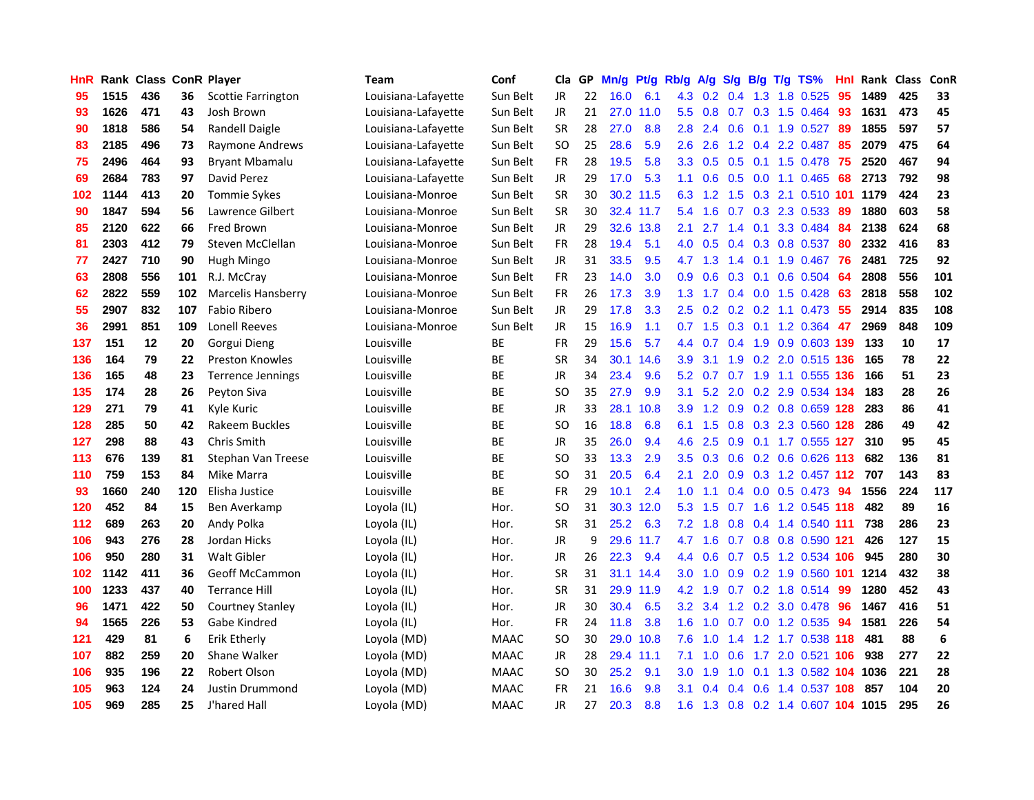| HnR |      | Rank Class ConR Player |     |                           | Team                | Conf        | Cla       | GP. | Mn/g      | Pt/g      | Rb/g             | <b>A/g</b>      | S/g           |                 | B/g T/g TS%                    | Hnl  | Rank Class |     | <b>ConR</b> |
|-----|------|------------------------|-----|---------------------------|---------------------|-------------|-----------|-----|-----------|-----------|------------------|-----------------|---------------|-----------------|--------------------------------|------|------------|-----|-------------|
| 95  | 1515 | 436                    | 36  | Scottie Farrington        | Louisiana-Lafayette | Sun Belt    | JR.       | 22  | 16.0      | 6.1       | 4.3              | 0.2             | 0.4           | 1.3             | 1.8 0.525                      | 95   | 1489       | 425 | 33          |
| 93  | 1626 | 471                    | 43  | Josh Brown                | Louisiana-Lafayette | Sun Belt    | JR.       | 21  | 27.0      | 11.0      | $5.5^{\circ}$    | 0.8             | 0.7           | 0.3             | 1.5 0.464                      | 93   | 1631       | 473 | 45          |
| 90  | 1818 | 586                    | 54  | Randell Daigle            | Louisiana-Lafayette | Sun Belt    | <b>SR</b> | 28  | 27.0      | 8.8       | 2.8              | 2.4             | 0.6           | 0.1             | 1.9 0.527                      | 89   | 1855       | 597 | 57          |
| 83  | 2185 | 496                    | 73  | Raymone Andrews           | Louisiana-Lafayette | Sun Belt    | SO        | 25  | 28.6      | 5.9       | 2.6              | 2.6             |               |                 | 1.2 0.4 2.2 0.487              | -85  | 2079       | 475 | 64          |
| 75  | 2496 | 464                    | 93  | <b>Bryant Mbamalu</b>     | Louisiana-Lafayette | Sun Belt    | <b>FR</b> | 28  | 19.5      | 5.8       |                  |                 |               |                 | 3.3 0.5 0.5 0.1 1.5 0.478 75   |      | 2520       | 467 | 94          |
| 69  | 2684 | 783                    | 97  | David Perez               | Louisiana-Lafayette | Sun Belt    | JR        | 29  | 17.0      | 5.3       |                  | $1.1 \quad 0.6$ |               |                 | $0.5$ 0.0 1.1 0.465            | 68   | 2713       | 792 | 98          |
| 102 | 1144 | 413                    | 20  | <b>Tommie Sykes</b>       | Louisiana-Monroe    | Sun Belt    | <b>SR</b> | 30  |           | 30.2 11.5 | 6.3              | 1.2             |               |                 | 1.5 0.3 2.1 0.510 101          |      | 1179       | 424 | 23          |
| 90  | 1847 | 594                    | 56  | Lawrence Gilbert          | Louisiana-Monroe    | Sun Belt    | <b>SR</b> | 30  |           | 32.4 11.7 | 5.4              | 1.6             |               |                 | 0.7 0.3 2.3 0.533              | 89   | 1880       | 603 | 58          |
| 85  | 2120 | 622                    | 66  | Fred Brown                | Louisiana-Monroe    | Sun Belt    | <b>JR</b> | 29  |           | 32.6 13.8 | 2.1              | 2.7             | $1.4^{\circ}$ | 0.1             | 3.3 0.484                      | 84   | 2138       | 624 | 68          |
| 81  | 2303 | 412                    | 79  | Steven McClellan          | Louisiana-Monroe    | Sun Belt    | FR        | 28  | 19.4      | 5.1       | 4.0              | 0.5             | 0.4           |                 | 0.3 0.8 0.537                  | 80   | 2332       | 416 | 83          |
| 77  | 2427 | 710                    | 90  | Hugh Mingo                | Louisiana-Monroe    | Sun Belt    | <b>JR</b> | 31  | 33.5      | 9.5       | 4.7              | 1.3             | $1.4^{\circ}$ | 0.1             | 1.9 0.467                      | 76   | 2481       | 725 | 92          |
| 63  | 2808 | 556                    | 101 | R.J. McCray               | Louisiana-Monroe    | Sun Belt    | <b>FR</b> | 23  | 14.0      | 3.0       | 0.9              | 0.6             | 0.3           | 0.1             | 0.6 0.504                      | 64   | 2808       | 556 | 101         |
| 62  | 2822 | 559                    | 102 | <b>Marcelis Hansberry</b> | Louisiana-Monroe    | Sun Belt    | <b>FR</b> | 26  | 17.3      | 3.9       | 1.3              | 1.7             | $0.4^{\circ}$ | 0.0             | 1.5 0.428                      | 63   | 2818       | 558 | 102         |
| 55  | 2907 | 832                    | 107 | Fabio Ribero              | Louisiana-Monroe    | Sun Belt    | JR.       | 29  | 17.8      | 3.3       | 2.5              | 0.2             | 0.2           |                 | $0.2$ 1.1 0.473                | 55   | 2914       | 835 | 108         |
| 36  | 2991 | 851                    | 109 | <b>Lonell Reeves</b>      | Louisiana-Monroe    | Sun Belt    | JR.       | 15  | 16.9      | 1.1       | 0.7              | 1.5             | 0.3           | 0.1             | 1.2 0.364                      | 47   | 2969       | 848 | 109         |
| 137 | 151  | 12                     | 20  | Gorgui Dieng              | Louisville          | ВE          | <b>FR</b> | 29  | 15.6      | 5.7       | $4.4^{\circ}$    | 0.7             | 0.4           | 1.9             | 0.9 0.603 139                  |      | 133        | 10  | 17          |
| 136 | 164  | 79                     | 22  | <b>Preston Knowles</b>    | Louisville          | ВE          | SR        | 34  | 30.1      | 14.6      | 3.9 <sup>°</sup> | 3.1             | 1.9           |                 | 0.2 2.0 0.515 136              |      | 165        | 78  | 22          |
| 136 | 165  | 48                     | 23  | <b>Terrence Jennings</b>  | Louisville          | ВE          | JR        | 34  | 23.4      | 9.6       |                  | $5.2 \quad 0.7$ |               |                 | 0.7 1.9 1.1 0.555 136          |      | 166        | 51  | 23          |
| 135 | 174  | 28                     | 26  | Peyton Siva               | Louisville          | ВE          | SO        | 35  | 27.9      | 9.9       | 3.1              |                 |               |                 | 5.2 2.0 0.2 2.9 0.534 134      |      | 183        | 28  | 26          |
| 129 | 271  | 79                     | 41  | Kyle Kuric                | Louisville          | ВE          | JR        | 33  | 28.1      | 10.8      | 3.9 <sup>°</sup> |                 |               |                 | 1.2 0.9 0.2 0.8 0.659 128      |      | 283        | 86  | 41          |
| 128 | 285  | 50                     | 42  | Rakeem Buckles            | Louisville          | ВE          | SO        | 16  | 18.8      | 6.8       | 6.1              | 1.5             |               |                 | 0.8 0.3 2.3 0.560 128          |      | 286        | 49  | 42          |
| 127 | 298  | 88                     | 43  | <b>Chris Smith</b>        | Louisville          | BE          | JR        | 35  | 26.0      | 9.4       | 4.6              | 2.5             | 0.9           |                 | 0.1 1.7 0.555 127              |      | 310        | 95  | 45          |
| 113 | 676  | 139                    | 81  | Stephan Van Treese        | Louisville          | ВE          | SO        | 33  | 13.3      | 2.9       | $3.5^{\circ}$    | 0.3             | 0.6           |                 | $0.2$ 0.6 0.626                | -113 | 682        | 136 | 81          |
| 110 | 759  | 153                    | 84  | Mike Marra                | Louisville          | ВE          | <b>SO</b> | 31  | 20.5      | 6.4       | 2.1              | 2.0             | 0.9           |                 | 0.3 1.2 0.457 112              |      | 707        | 143 | 83          |
| 93  | 1660 | 240                    | 120 | Elisha Justice            | Louisville          | BE          | <b>FR</b> | 29  | 10.1      | 2.4       | 1.0              | 1.1             | $0.4^{\circ}$ |                 | $0.0$ 0.5 0.473                | 94   | 1556       | 224 | 117         |
| 120 | 452  | 84                     | 15  | Ben Averkamp              | Loyola (IL)         | Hor.        | SO        | 31  | 30.3      | 12.0      | 5.3              | 1.5             | 0.7           | 1.6             | 1.2 0.545 118                  |      | 482        | 89  | 16          |
| 112 | 689  | 263                    | 20  | Andy Polka                | Loyola (IL)         | Hor.        | SR        | 31  | 25.2      | 6.3       | 7.2              | 1.8             | 0.8           |                 | 0.4 1.4 0.540 111              |      | 738        | 286 | 23          |
| 106 | 943  | 276                    | 28  | Jordan Hicks              | Loyola (IL)         | Hor.        | JR        | 9   | 29.6      | 11.7      | 4.7              | 1.6             |               | $0.7 \quad 0.8$ | 0.8 0.590 121                  |      | 426        | 127 | 15          |
| 106 | 950  | 280                    | 31  | Walt Gibler               | Loyola (IL)         | Hor.        | JR        | 26  | 22.3      | 9.4       | 4.4              | 0.6             | 0.7           | 0.5             | 1.2 0.534 106                  |      | 945        | 280 | 30          |
| 102 | 1142 | 411                    | 36  | <b>Geoff McCammon</b>     | Loyola (IL)         | Hor.        | SR        | 31  |           | 31.1 14.4 | 3.0 <sub>1</sub> | 1.0             |               |                 | 0.9 0.2 1.9 0.560 101          |      | 1214       | 432 | 38          |
| 100 | 1233 | 437                    | 40  | <b>Terrance Hill</b>      | Loyola (IL)         | Hor.        | <b>SR</b> | 31  |           | 29.9 11.9 | 4.2              | 1.9             |               |                 | 0.7 0.2 1.8 0.514              | -99  | 1280       | 452 | 43          |
| 96  | 1471 | 422                    | 50  | <b>Courtney Stanley</b>   | Loyola (IL)         | Hor.        | JR        | 30  | 30.4      | 6.5       | 3.2              | 3.4             |               |                 | 1.2 0.2 3.0 0.478              | -96  | 1467       | 416 | 51          |
| 94  | 1565 | 226                    | 53  | Gabe Kindred              | Loyola (IL)         | Hor.        | FR        | 24  | 11.8      | 3.8       | 1.6              | 1.0             |               |                 | 0.7 0.0 1.2 0.535              | 94   | 1581       | 226 | 54          |
| 121 | 429  | 81                     | 6   | Erik Etherly              | Loyola (MD)         | <b>MAAC</b> | SO        | 30  | 29.0      | 10.8      | 7.6              | 1.0             | 1.4           |                 | 1.2 1.7 0.538 118              |      | 481        | 88  | 6           |
| 107 | 882  | 259                    | 20  | <b>Shane Walker</b>       | Loyola (MD)         | <b>MAAC</b> | JR        | 28  | 29.4 11.1 |           | 7.1              | 1.0             | 0.6           |                 | 1.7 2.0 0.521                  | 106  | 938        | 277 | 22          |
| 106 | 935  | 196                    | 22  | Robert Olson              | Loyola (MD)         | <b>MAAC</b> | SO        | 30  | 25.2      | 9.1       | $3.0\,$          | 1.9             | 1.0           | 0.1             | 1.3 0.582                      | 104  | 1036       | 221 | 28          |
| 105 | 963  | 124                    | 24  | Justin Drummond           | Loyola (MD)         | <b>MAAC</b> | <b>FR</b> | 21  | 16.6      | 9.8       | 3.1              | $\Omega$<br>4   | $0.4^{\circ}$ | 0.6             | 1.4 0.537                      | 108  | 857        | 104 | 20          |
| 105 | 969  | 285                    | 25  | J'hared Hall              | Loyola (MD)         | <b>MAAC</b> | <b>JR</b> | 27  | 20.3      | 8.8       | 1.6              |                 |               |                 | 1.3 0.8 0.2 1.4 0.607 104 1015 |      |            | 295 | 26          |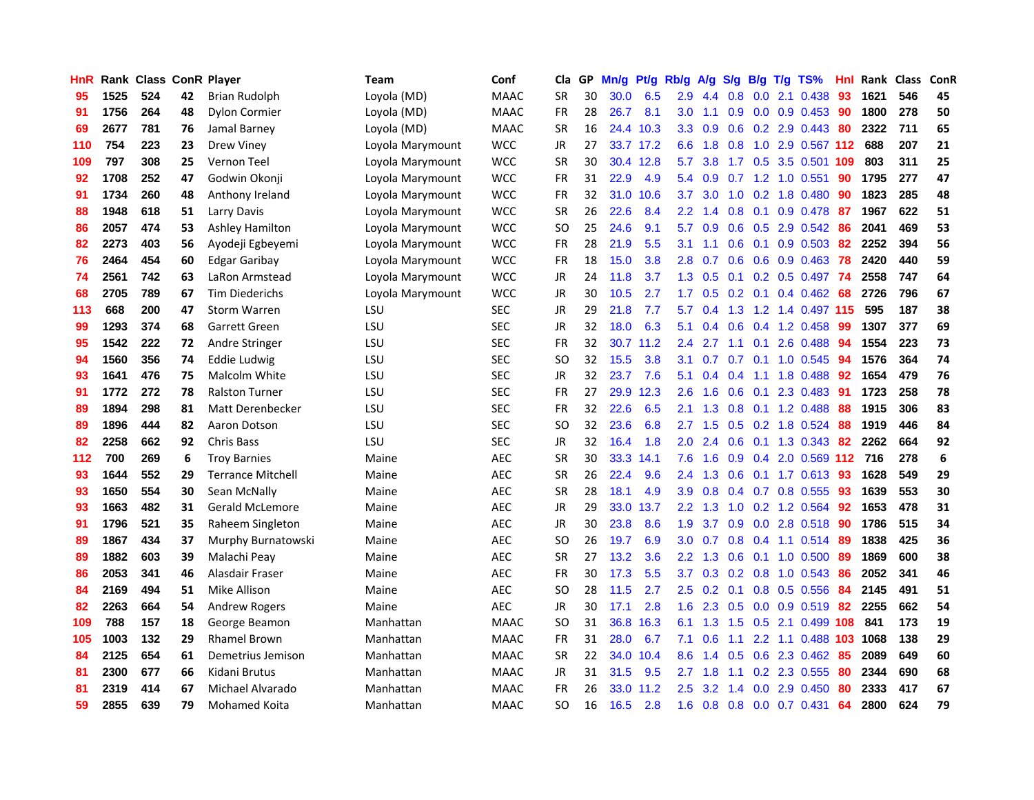| <b>HnR</b> |      | <b>Rank Class ConR Player</b> |    |                          | Team             | Conf        | Cla       |    | GP Mn/g | Pt/g      | Rb/g          | A/g          | S/g             |                  | B/g T/g TS%           | Hnl  | Rank Class |     | ConR |
|------------|------|-------------------------------|----|--------------------------|------------------|-------------|-----------|----|---------|-----------|---------------|--------------|-----------------|------------------|-----------------------|------|------------|-----|------|
| 95         | 1525 | 524                           | 42 | Brian Rudolph            | Loyola (MD)      | <b>MAAC</b> | <b>SR</b> | 30 | 30.0    | 6.5       | 2.9           | 4.4          | 0.8             | 0.0              | 2.1 0.438             | 93   | 1621       | 546 | 45   |
| 91         | 1756 | 264                           | 48 | <b>Dylon Cormier</b>     | Loyola (MD)      | <b>MAAC</b> | <b>FR</b> | 28 | 26.7    | 8.1       | 3.0           | 1.1          | 0.9             | 0.0              | $0.9$ $0.453$         | 90   | 1800       | 278 | 50   |
| 69         | 2677 | 781                           | 76 | Jamal Barney             | Loyola (MD)      | <b>MAAC</b> | <b>SR</b> | 16 | 24.4    | 10.3      | 3.3           | 0.9          | 0.6             |                  | 0.2 2.9 0.443         | 80   | 2322       | 711 | 65   |
| 110        | 754  | 223                           | 23 | <b>Drew Viney</b>        | Loyola Marymount | <b>WCC</b>  | JR        | 27 |         | 33.7 17.2 | 6.6           | 1.8          | 0.8             |                  | 1.0 2.9 0.567 112     |      | 688        | 207 | 21   |
| 109        | 797  | 308                           | 25 | Vernon Teel              | Loyola Marymount | <b>WCC</b>  | <b>SR</b> | 30 |         | 30.4 12.8 | 5.7           | 3.8          |                 |                  | 1.7 0.5 3.5 0.501 109 |      | 803        | 311 | 25   |
| 92         | 1708 | 252                           | 47 | Godwin Okonji            | Loyola Marymount | <b>WCC</b>  | FR        | 31 | 22.9    | 4.9       | 5.4           | 0.9          | 0.7             |                  | 1.2 1.0 0.551         | 90   | 1795       | 277 | 47   |
| 91         | 1734 | 260                           | 48 | Anthony Ireland          | Loyola Marymount | <b>WCC</b>  | FR        | 32 |         | 31.0 10.6 | 3.7           | 3.0          | 1.0             |                  | $0.2$ 1.8 0.480       | 90   | 1823       | 285 | 48   |
| 88         | 1948 | 618                           | 51 | Larry Davis              | Loyola Marymount | <b>WCC</b>  | <b>SR</b> | 26 | 22.6    | 8.4       | 2.2           | $\mathbf{A}$ | 0.8             | 0.1              | 0.9 0.478             | 87   | 1967       | 622 | 51   |
| 86         | 2057 | 474                           | 53 | Ashley Hamilton          | Loyola Marymount | <b>WCC</b>  | <b>SO</b> | 25 | 24.6    | 9.1       | 5.7           | 0.9          | 0.6             | 0.5              | 2.9 0.542             | 86   | 2041       | 469 | 53   |
| 82         | 2273 | 403                           | 56 | Ayodeji Egbeyemi         | Loyola Marymount | <b>WCC</b>  | FR        | 28 | 21.9    | 5.5       | 3.1           | 1.1          | 0.6             | 0.1              | 0.9 0.503             | 82   | 2252       | 394 | 56   |
| 76         | 2464 | 454                           | 60 | <b>Edgar Garibay</b>     | Loyola Marymount | <b>WCC</b>  | FR        | 18 | 15.0    | 3.8       | 2.8           | 0.7          | 0.6             | 0.6              | 0.9 0.463             | 78   | 2420       | 440 | 59   |
| 74         | 2561 | 742                           | 63 | LaRon Armstead           | Loyola Marymount | <b>WCC</b>  | JR        | 24 | 11.8    | 3.7       | 1.3           | 0.5          | 0.1             | 0.2              | 0.5 0.497             | -74  | 2558       | 747 | 64   |
| 68         | 2705 | 789                           | 67 | <b>Tim Diederichs</b>    | Loyola Marymount | <b>WCC</b>  | JR        | 30 | 10.5    | 2.7       | 1.7           | 0.5          | 0.2             | 0.1              | $0.4$ 0.462           | 68   | 2726       | 796 | 67   |
| 113        | 668  | 200                           | 47 | <b>Storm Warren</b>      | LSU              | <b>SEC</b>  | JR        | 29 | 21.8    | 7.7       | 5.7           | 0.4          | 1.3             | 1.2              | 1.4 0.497             | -115 | 595        | 187 | 38   |
| 99         | 1293 | 374                           | 68 | Garrett Green            | LSU              | <b>SEC</b>  | <b>JR</b> | 32 | 18.0    | 6.3       | 5.1           | 0.4          | 0.6             | 0.4              | 1.2 0.458             | 99   | 1307       | 377 | 69   |
| 95         | 1542 | 222                           | 72 | Andre Stringer           | LSU              | <b>SEC</b>  | <b>FR</b> | 32 | 30.7    | 11.2      | 2.4           | 2.7          | 1.1             | 0.1              | 2.6 0.488             | 94   | 1554       | 223 | 73   |
| 94         | 1560 | 356                           | 74 | Eddie Ludwig             | LSU              | <b>SEC</b>  | <b>SO</b> | 32 | 15.5    | 3.8       | 3.1           | 0.7          | $0.7 \quad 0.1$ |                  | 1.0 0.545             | -94  | 1576       | 364 | 74   |
| 93         | 1641 | 476                           | 75 | <b>Malcolm White</b>     | LSU              | <b>SEC</b>  | JR        | 32 | 23.7    | 7.6       | 5.1           | 0.4          | 0.4             | 1.1              | 1.8 0.488             | 92   | 1654       | 479 | 76   |
| 91         | 1772 | 272                           | 78 | <b>Ralston Turner</b>    | LSU              | <b>SEC</b>  | <b>FR</b> | 27 |         | 29.9 12.3 | 2.6           | 1.6          | 0.6             | 0.1              | 2.3 0.483             | 91   | 1723       | 258 | 78   |
| 89         | 1894 | 298                           | 81 | Matt Derenbecker         | LSU              | <b>SEC</b>  | FR        | 32 | 22.6    | 6.5       | 2.1           | 1.3          | 0.8             |                  | $0.1$ 1.2 0.488       | 88   | 1915       | 306 | 83   |
| 89         | 1896 | 444                           | 82 | Aaron Dotson             | LSU              | <b>SEC</b>  | SO.       | 32 | 23.6    | 6.8       | 2.7           | 1.5          | 0.5             |                  | 0.2 1.8 0.524         | 88   | 1919       | 446 | 84   |
| 82         | 2258 | 662                           | 92 | Chris Bass               | LSU              | <b>SEC</b>  | JR        | 32 | 16.4    | 1.8       | 2.0           | 2.4          | 0.6             | 0.1              | $1.3$ 0.343           | 82   | 2262       | 664 | 92   |
| 112        | 700  | 269                           | 6  | <b>Troy Barnies</b>      | Maine            | <b>AEC</b>  | <b>SR</b> | 30 | 33.3    | 14.1      | 7.6           | 1.6          | 0.9             |                  | $0.4$ 2.0 0.569 112   |      | 716        | 278 | 6    |
| 93         | 1644 | 552                           | 29 | <b>Terrance Mitchell</b> | Maine            | <b>AEC</b>  | <b>SR</b> | 26 | 22.4    | 9.6       | 2.4           | 1.3          | 0.6             | 0.1              | 1.7 0.613             | 93   | 1628       | 549 | 29   |
| 93         | 1650 | 554                           | 30 | Sean McNally             | Maine            | <b>AEC</b>  | <b>SR</b> | 28 | 18.1    | 4.9       | 3.9           | 0.8          |                 |                  | 0.4 0.7 0.8 0.555     | -93  | 1639       | 553 | 30   |
| 93         | 1663 | 482                           | 31 | <b>Gerald McLemore</b>   | Maine            | <b>AEC</b>  | <b>JR</b> | 29 | 33.0    | 13.7      | 2.2           | 1.3          | 1.0             |                  | 0.2 1.2 0.564         | 92   | 1653       | 478 | 31   |
| 91         | 1796 | 521                           | 35 | Raheem Singleton         | Maine            | <b>AEC</b>  | <b>JR</b> | 30 | 23.8    | 8.6       | 1.9           | 3.7          | 0.9             | 0.0              | 2.8 0.518             | 90   | 1786       | 515 | 34   |
| 89         | 1867 | 434                           | 37 | Murphy Burnatowski       | Maine            | <b>AEC</b>  | <b>SO</b> | 26 | 19.7    | 6.9       | 3.0           | 0.7          | 0.8             | 0.4              | $1.1$ 0.514           | 89   | 1838       | 425 | 36   |
| 89         | 1882 | 603                           | 39 | Malachi Peav             | Maine            | <b>AEC</b>  | <b>SR</b> | 27 | 13.2    | 3.6       | $2.2^{\circ}$ | 1.3          | 0.6             | 0.1              | 1.0 0.500             | -89  | 1869       | 600 | 38   |
| 86         | 2053 | 341                           | 46 | Alasdair Fraser          | Maine            | AEC         | <b>FR</b> | 30 | 17.3    | 5.5       | 3.7           | 0.3          |                 |                  | $0.2$ 0.8 1.0 0.543   | -86  | 2052       | 341 | 46   |
| 84         | 2169 | 494                           | 51 | Mike Allison             | Maine            | AEC         | SO.       | 28 | 11.5    | 2.7       | $2.5^{\circ}$ | 0.2          |                 |                  | 0.1 0.8 0.5 0.556     | -84  | 2145       | 491 | 51   |
| 82         | 2263 | 664                           | 54 | Andrew Rogers            | Maine            | <b>AEC</b>  | JR        | 30 | 17.1    | 2.8       |               | $1.6$ 2.3    |                 |                  | $0.5$ 0.0 0.9 0.519   | 82   | 2255       | 662 | 54   |
| 109        | 788  | 157                           | 18 | George Beamon            | Manhattan        | <b>MAAC</b> | <b>SO</b> | 31 | 36.8    | 16.3      | 6.1           | 1.3          | 1.5             |                  | 0.5 2.1 0.499 108     |      | 841        | 173 | 19   |
| 105        | 1003 | 132                           | 29 | <b>Rhamel Brown</b>      | Manhattan        | <b>MAAC</b> | FR        | 31 | 28.0    | 6.7       | 7.1           | 0.6          | 1.1             | $2.2^{\circ}$    | 1.1 0.488             | 103  | 1068       | 138 | 29   |
| 84         | 2125 | 654                           | 61 | Demetrius Jemison        | Manhattan        | <b>MAAC</b> | <b>SR</b> | 22 | 34.0    | 10.4      | 8.6           | $\mathbf{A}$ | 0.5             | 0.6              | 2.3 0.462             | 85   | 2089       | 649 | 60   |
| 81         | 2300 | 677                           | 66 | Kidani Brutus            | Manhattan        | <b>MAAC</b> | JR        | 31 | 31.5    | 9.5       | 2.7           | 1.8          | 1.1             | 0.2 <sub>0</sub> | 2.3 0.555             | 80   | 2344       | 690 | 68   |
| 81         | 2319 | 414                           | 67 | Michael Alvarado         | Manhattan        | <b>MAAC</b> | FR        | 26 | 33.0    | 11.2      | 2.5           | 3.2          | 1.4             | 0.0              | 2.9 0.450             | 80   | 2333       | 417 | 67   |
| 59         | 2855 | 639                           | 79 | <b>Mohamed Koita</b>     | Manhattan        | <b>MAAC</b> | <b>SO</b> | 16 | 16.5    | 2.8       | 1.6           | 0.8          |                 |                  | $0.8$ 0.0 0.7 0.431   | 64   | 2800       | 624 | 79   |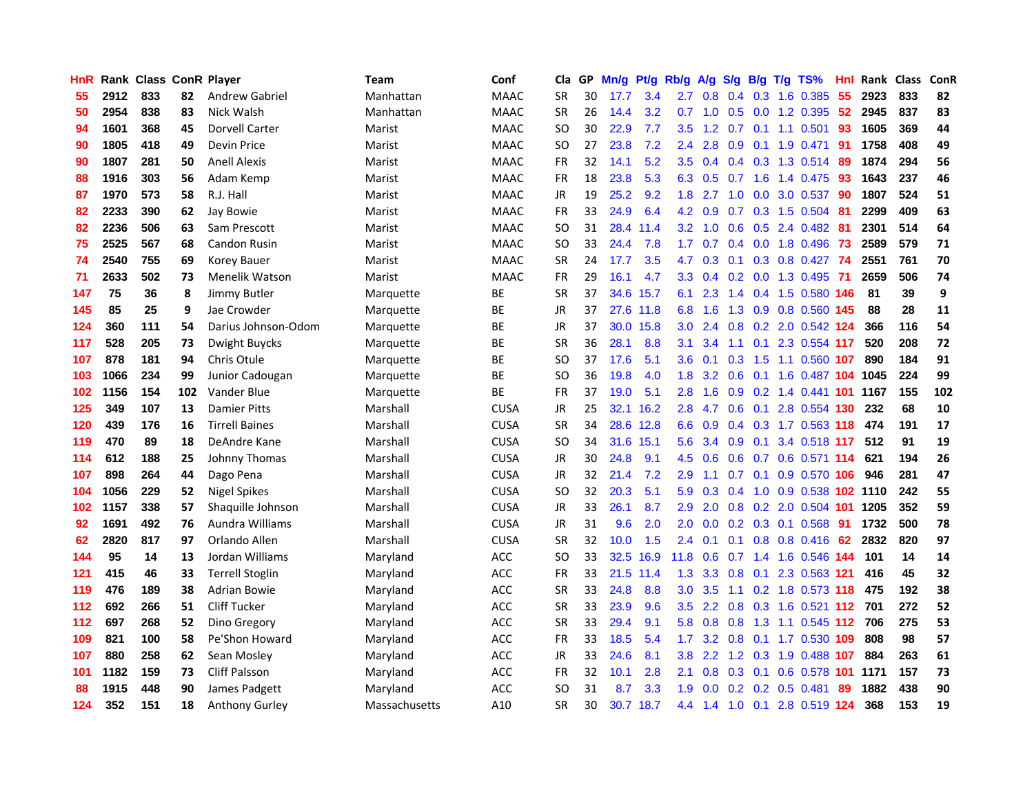| <b>HnR</b> |      | Rank Class ConR Player |     |                        | Team          | Conf        | Cla       | GP. | Mn/g Pt/g         |           | Rb/g             | A/g       |     |                 | S/g B/g T/g TS%                   | Hnl | Rank Class |     | <b>ConR</b> |
|------------|------|------------------------|-----|------------------------|---------------|-------------|-----------|-----|-------------------|-----------|------------------|-----------|-----|-----------------|-----------------------------------|-----|------------|-----|-------------|
| 55         | 2912 | 833                    | 82  | <b>Andrew Gabriel</b>  | Manhattan     | <b>MAAC</b> | <b>SR</b> | 30  | 17.7              | 3.4       | 2.7              | 0.8       | 0.4 | 0.3             | 1.6 0.385                         | 55  | 2923       | 833 | 82          |
| 50         | 2954 | 838                    | 83  | Nick Walsh             | Manhattan     | <b>MAAC</b> | <b>SR</b> | 26  | 14.4              | 3.2       | 0.7              | 1.0       | 0.5 | 0.0             | 1.2 0.395                         | 52  | 2945       | 837 | 83          |
| 94         | 1601 | 368                    | 45  | Dorvell Carter         | Marist        | <b>MAAC</b> | SO.       | 30  | 22.9              | 7.7       | 3.5              | 1.2       | 0.7 | 0.1             | 1.1 0.501                         | 93  | 1605       | 369 | 44          |
| 90         | 1805 | 418                    | 49  | <b>Devin Price</b>     | Marist        | <b>MAAC</b> | SO        | 27  | 23.8              | 7.2       | $2.4^{\circ}$    | 2.8       | 0.9 | 0.1             | 1.9 0.471                         | -91 | 1758       | 408 | 49          |
| 90         | 1807 | 281                    | 50  | <b>Anell Alexis</b>    | Marist        | <b>MAAC</b> | <b>FR</b> | 32  | 14.1              | 5.2       | 3.5              |           |     |                 | 0.4 0.4 0.3 1.3 0.514             | -89 | 1874       | 294 | 56          |
| 88         | 1916 | 303                    | 56  | Adam Kemp              | Marist        | <b>MAAC</b> | <b>FR</b> | 18  | 23.8              | 5.3       |                  | 6.3 0.5   | 0.7 | 1.6             | 1.4 0.475 93                      |     | 1643       | 237 | 46          |
| 87         | 1970 | 573                    | 58  | R.J. Hall              | Marist        | <b>MAAC</b> | JR        | 19  | 25.2              | 9.2       | 1.8              | 2.7       |     |                 | 1.0 0.0 3.0 0.537                 | -90 | 1807       | 524 | 51          |
| 82         | 2233 | 390                    | 62  | Jay Bowie              | Marist        | <b>MAAC</b> | <b>FR</b> | 33  | 24.9              | 6.4       | 4.2              | 0.9       |     |                 | $0.7$ $0.3$ 1.5 $0.504$           | 81  | 2299       | 409 | 63          |
| 82         | 2236 | 506                    | 63  | Sam Prescott           | Marist        | <b>MAAC</b> | <b>SO</b> | 31  |                   | 28.4 11.4 | 3.2              | 1.0       | 0.6 |                 | 0.5 2.4 0.482                     | -81 | 2301       | 514 | 64          |
| 75         | 2525 | 567                    | 68  | <b>Candon Rusin</b>    | Marist        | <b>MAAC</b> | SO.       | 33  | 24.4              | 7.8       | 1.7              | 0.7       |     |                 | $0.4$ 0.0 1.8 0.496               | 73  | 2589       | 579 | 71          |
| 74         | 2540 | 755                    | 69  | Korey Bauer            | Marist        | <b>MAAC</b> | <b>SR</b> | 24  | 17.7              | 3.5       | 4.7              | 0.3       | 0.1 |                 | 0.3 0.8 0.427                     | 74  | 2551       | 761 | 70          |
| 71         | 2633 | 502                    | 73  | Menelik Watson         | Marist        | <b>MAAC</b> | <b>FR</b> | 29  | 16.1              | 4.7       | 3.3 <sub>2</sub> | 0.4       |     |                 | 0.2 0.0 1.3 0.495                 | -71 | 2659       | 506 | 74          |
| 147        | 75   | 36                     | 8   | Jimmy Butler           | Marquette     | ВE          | <b>SR</b> | 37  | 34.6              | 15.7      | 6.1              | 2.3       | 1.4 |                 | 0.4 1.5 0.580 146                 |     | 81         | 39  | 9           |
| 145        | 85   | 25                     | 9   | Jae Crowder            | Marquette     | ВE          | JR        | 37  |                   | 27.6 11.8 | 6.8              | 1.6       | 1.3 | 0.9             | 0.8 0.560 145                     |     | 88         | 28  | 11          |
| 124        | 360  | 111                    | 54  | Darius Johnson-Odom    | Marquette     | ВE          | JR        | 37  | 30.0 <sub>1</sub> | 15.8      | 3.0              | 2.4       | 0.8 | 0.2             | 2.0 0.542 124                     |     | 366        | 116 | 54          |
| 117        | 528  | 205                    | 73  | Dwight Buycks          | Marquette     | ВE          | <b>SR</b> | 36  | 28.1              | 8.8       | 3.1              | 3.4       | 1.1 | 0.1             | 2.3 0.554 117                     |     | 520        | 208 | 72          |
| 107        | 878  | 181                    | 94  | Chris Otule            | Marquette     | ВE          | <b>SO</b> | 37  | 17.6              | 5.1       | 3.6              | 0.1       | 0.3 | 1.5             | 1.1 0.560 107                     |     | 890        | 184 | 91          |
| 103        | 1066 | 234                    | 99  | Junior Cadougan        | Marquette     | ВE          | <b>SO</b> | 36  | 19.8              | 4.0       | 1.8              | 3.2       |     |                 | 0.6 0.1 1.6 0.487 104 1045        |     |            | 224 | 99          |
| 102        | 1156 | 154                    | 102 | Vander Blue            | Marquette     | <b>BE</b>   | <b>FR</b> | 37  | 19.0              | 5.1       | 2.8              | 1.6       |     |                 | 0.9 0.2 1.4 0.441 101             |     | 1167       | 155 | 102         |
| 125        | 349  | 107                    | 13  | <b>Damier Pitts</b>    | Marshall      | <b>CUSA</b> | JR        | 25  |                   | 32.1 16.2 | 2.8              |           |     |                 | 4.7 0.6 0.1 2.8 0.554 130         |     | 232        | 68  | 10          |
| 120        | 439  | 176                    | 16  | <b>Tirrell Baines</b>  | Marshall      | <b>CUSA</b> | <b>SR</b> | 34  |                   | 28.6 12.8 | 6.6              | 0.9       |     |                 | 0.4 0.3 1.7 0.563 118             |     | 474        | 191 | 17          |
| 119        | 470  | 89                     | 18  | DeAndre Kane           | Marshall      | <b>CUSA</b> | <b>SO</b> | 34  |                   | 31.6 15.1 | 5.6              | 3.4       |     | $0.9\quad 0.1$  | 3.4 0.518 117                     |     | 512        | 91  | 19          |
| 114        | 612  | 188                    | 25  | Johnny Thomas          | Marshall      | <b>CUSA</b> | JR        | 30  | 24.8              | 9.1       | 4.5              | 0.6       | 0.6 |                 | 0.7 0.6 0.571 114                 |     | 621        | 194 | 26          |
| 107        | 898  | 264                    | 44  | Dago Pena              | Marshall      | <b>CUSA</b> | JR        | 32  | 21.4              | 7.2       | 2.9              | 1.1       | 0.7 | 0.1             | 0.9 0.570 106                     |     | 946        | 281 | 47          |
| 104        | 1056 | 229                    | 52  | <b>Nigel Spikes</b>    | Marshall      | <b>CUSA</b> | <b>SO</b> | 32  | 20.3              | 5.1       | 5.9              | 0.3       | 0.4 |                 | 1.0 0.9 0.538 102 1110            |     |            | 242 | 55          |
| 102        | 1157 | 338                    | 57  | Shaquille Johnson      | Marshall      | <b>CUSA</b> | JR        | 33  | 26.1              | 8.7       | 2.9              | 2.0       |     | $0.8\ 0.2$      | 2.0 0.504 101                     |     | 1205       | 352 | 59          |
| 92         | 1691 | 492                    | 76  | Aundra Williams        | Marshall      | <b>CUSA</b> | JR        | 31  | 9.6               | 2.0       | 2.0              | 0.0       |     |                 | $0.2$ $0.3$ $0.1$ $0.568$         | 91  | 1732       | 500 | 78          |
| 62         | 2820 | 817                    | 97  | Orlando Allen          | Marshall      | <b>CUSA</b> | <b>SR</b> | 32  | 10.0              | 1.5       | 2.4              | 0.1       | 0.1 | 0.8             | 0.8 0.416                         | 62  | 2832       | 820 | 97          |
| 144        | 95   | 14                     | 13  | Jordan Williams        | Maryland      | <b>ACC</b>  | SO.       | 33  | 32.5              | 16.9      | 11.8             | 0.6       | 0.7 | 1.4             | 1.6 0.546 144                     |     | 101        | 14  | 14          |
| 121        | 415  | 46                     | 33  | <b>Terrell Stoglin</b> | Maryland      | ACC.        | <b>FR</b> | 33  |                   | 21.5 11.4 | 1.3 <sub>1</sub> |           |     |                 | 3.3 0.8 0.1 2.3 0.563 121         |     | 416        | 45  | 32          |
| 119        | 476  | 189                    | 38  | <b>Adrian Bowie</b>    | Maryland      | <b>ACC</b>  | <b>SR</b> | 33  | 24.8              | 8.8       | 3.0 <sub>2</sub> | 3.5       |     |                 | 1.1 0.2 1.8 0.573 118             |     | 475        | 192 | 38          |
| 112        | 692  | 266                    | 51  | <b>Cliff Tucker</b>    | Maryland      | <b>ACC</b>  | <b>SR</b> | 33  | 23.9              | 9.6       |                  |           |     |                 | 3.5 2.2 0.8 0.3 1.6 0.521 112 701 |     |            | 272 | 52          |
| 112        | 697  | 268                    | 52  | Dino Gregory           | Maryland      | <b>ACC</b>  | <b>SR</b> | 33  | 29.4              | 9.1       | 5.8              | 0.8       |     |                 | 0.8 1.3 1.1 0.545 112             |     | 706        | 275 | 53          |
| 109        | 821  | 100                    | 58  | Pe'Shon Howard         | Maryland      | ACC         | FR        | 33  | 18.5              | 5.4       | $1.7^{\circ}$    | 3.2       | 0.8 |                 | 0.1 1.7 0.530 109                 |     | 808        | 98  | 57          |
| 107        | 880  | 258                    | 62  | Sean Mosley            | Maryland      | ACC         | JR        | 33  | 24.6              | 8.1       | 3.8              | 2.2       |     |                 | 1.2 0.3 1.9 0.488 107             |     | 884        | 263 | 61          |
| 101        | 1182 | 159                    | 73  | Cliff Palsson          | Maryland      | ACC         | <b>FR</b> | 32  | 10.1              | 2.8       | 2.1              | 0.8       | 0.3 | 0.1             | 0.6 0.578                         | 101 | 1171       | 157 | 73          |
| 88         | 1915 | 448                    | 90  | James Padgett          | Maryland      | <b>ACC</b>  | SO        | 31  | 8.7               | 3.3       | 1.9              | 0.0       |     | $0.2 \quad 0.2$ | $0.5$ 0.481                       | 89  | 1882       | 438 | 90          |
| 124        | 352  | 151                    | 18  | <b>Anthony Gurley</b>  | Massachusetts | A10         | <b>SR</b> | 30  |                   | 30.7 18.7 |                  | $4.4$ 1.4 |     |                 | 1.0 0.1 2.8 0.519 124             |     | 368        | 153 | 19          |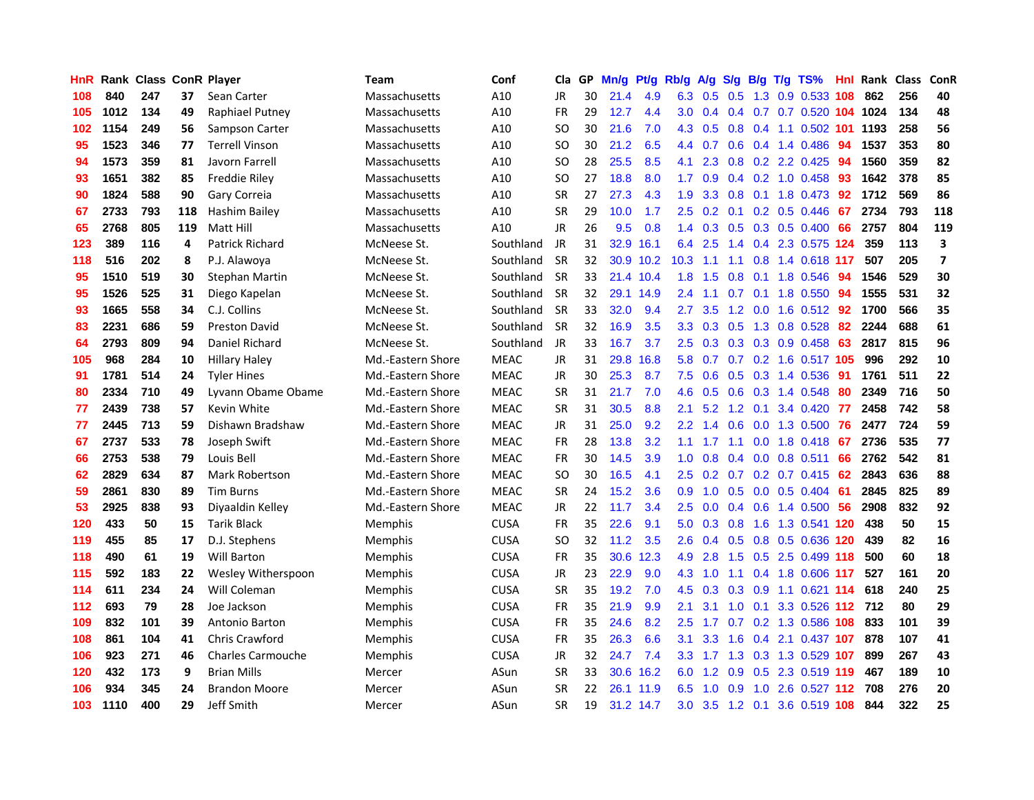| <b>HnR</b> |      | <b>Rank Class ConR Player</b> |     |                          | <b>Team</b>       | Conf        | Cla       |    | GP Mn/g | Pt/g      | Rb/g             | A/g     |               |                 | S/g B/g T/g TS%            | Hnl |      | Rank Class | ConR                    |
|------------|------|-------------------------------|-----|--------------------------|-------------------|-------------|-----------|----|---------|-----------|------------------|---------|---------------|-----------------|----------------------------|-----|------|------------|-------------------------|
| 108        | 840  | 247                           | 37  | Sean Carter              | Massachusetts     | A10         | JR        | 30 | 21.4    | 4.9       | 6.3              | 0.5     | 0.5           | 1.3             | 0.9 0.533                  | 108 | 862  | 256        | 40                      |
| 105        | 1012 | 134                           | 49  | Raphiael Putney          | Massachusetts     | A10         | <b>FR</b> | 29 | 12.7    | 4.4       | 3.0              | 0.4     |               |                 | 0.4 0.7 0.7 0.520 104 1024 |     |      | 134        | 48                      |
| 102        | 1154 | 249                           | 56  | Sampson Carter           | Massachusetts     | A10         | <b>SO</b> | 30 | 21.6    | 7.0       | 4.3              | 0.5     | 0.8           | 0.4             | 1.1 0.502 101              |     | 1193 | 258        | 56                      |
| 95         | 1523 | 346                           | 77  | <b>Terrell Vinson</b>    | Massachusetts     | A10         | <b>SO</b> | 30 | 21.2    | 6.5       |                  | 4.4 0.7 |               |                 | 0.6 0.4 1.4 0.486          | -94 | 1537 | 353        | 80                      |
| 94         | 1573 | 359                           | 81  | Javorn Farrell           | Massachusetts     | A10         | SO.       | 28 | 25.5    | 8.5       | 4.1              | 2.3     |               |                 | $0.8$ $0.2$ 2.2 $0.425$    | -94 | 1560 | 359        | 82                      |
| 93         | 1651 | 382                           | 85  | Freddie Riley            | Massachusetts     | A10         | SO.       | 27 | 18.8    | 8.0       | $1.7^{\circ}$    | 0.9     |               |                 | $0.4$ 0.2 1.0 0.458        | -93 | 1642 | 378        | 85                      |
| 90         | 1824 | 588                           | 90  | Gary Correia             | Massachusetts     | A10         | <b>SR</b> | 27 | 27.3    | 4.3       | 1.9              | 3.3     |               |                 | $0.8$ 0.1 1.8 0.473        | -92 | 1712 | 569        | 86                      |
| 67         | 2733 | 793                           | 118 | Hashim Bailey            | Massachusetts     | A10         | <b>SR</b> | 29 | 10.0    | 1.7       | 2.5              | 0.2     | 0.1           |                 | $0.2$ 0.5 0.446            | 67  | 2734 | 793        | 118                     |
| 65         | 2768 | 805                           | 119 | Matt Hill                | Massachusetts     | A10         | JR        | 26 | 9.5     | 0.8       | $1.4^{\circ}$    | 0.3     |               |                 | 0.5 0.3 0.5 0.400          | 66  | 2757 | 804        | 119                     |
| 123        | 389  | 116                           | 4   | Patrick Richard          | McNeese St.       | Southland   | JR        | 31 | 32.9    | 16.1      | 6.4              | 2.5     | 1.4           |                 | 0.4 2.3 0.575 124          |     | 359  | 113        | $\overline{\mathbf{3}}$ |
| 118        | 516  | 202                           | 8   | P.J. Alawoya             | McNeese St.       | Southland   | <b>SR</b> | 32 |         | 30.9 10.2 | 10.3             | 1.1     | 1.1           |                 | 0.8 1.4 0.618 117          |     | 507  | 205        | $\overline{\mathbf{z}}$ |
| 95         | 1510 | 519                           | 30  | <b>Stephan Martin</b>    | McNeese St.       | Southland   | <b>SR</b> | 33 |         | 21.4 10.4 | 1.8              | 1.5     | 0.8           | 0.1             | 1.8 0.546                  | 94  | 1546 | 529        | 30                      |
| 95         | 1526 | 525                           | 31  | Diego Kapelan            | McNeese St.       | Southland   | <b>SR</b> | 32 |         | 29.1 14.9 | 2.4              | 1.1     | 0.7           | 0.1             | 1.8 0.550                  | 94  | 1555 | 531        | 32                      |
| 93         | 1665 | 558                           | 34  | C.J. Collins             | McNeese St.       | Southland   | <b>SR</b> | 33 | 32.0    | 9.4       | 2.7              | 3.5     | 1.2           | 0.0             | 1.6 0.512                  | 92  | 1700 | 566        | 35                      |
| 83         | 2231 | 686                           | 59  | <b>Preston David</b>     | McNeese St.       | Southland   | <b>SR</b> | 32 | 16.9    | 3.5       | 3.3 <sub>2</sub> | 0.3     | 0.5           | 1.3             | 0.8 0.528                  | 82  | 2244 | 688        | 61                      |
| 64         | 2793 | 809                           | 94  | Daniel Richard           | McNeese St.       | Southland   | JR        | 33 | 16.7    | 3.7       | $2.5\,$          | 0.3     |               | $0.3 \quad 0.3$ | 0.9 0.458                  | 63  | 2817 | 815        | 96                      |
| 105        | 968  | 284                           | 10  | <b>Hillary Haley</b>     | Md.-Eastern Shore | <b>MEAC</b> | JR        | 31 | 29.8    | 16.8      | 5.8              | 0.7     |               |                 | 0.7 0.2 1.6 0.517 105      |     | 996  | 292        | 10                      |
| 91         | 1781 | 514                           | 24  | <b>Tyler Hines</b>       | Md.-Eastern Shore | <b>MEAC</b> | JR        | 30 | 25.3    | 8.7       | 7.5              | 0.6     |               |                 | 0.5 0.3 1.4 0.536          | -91 | 1761 | 511        | 22                      |
| 80         | 2334 | 710                           | 49  | Lyvann Obame Obame       | Md.-Eastern Shore | <b>MEAC</b> | <b>SR</b> | 31 | 21.7    | 7.0       | 4.6              | 0.5     |               |                 | 0.6 0.3 1.4 0.548          | 80  | 2349 | 716        | 50                      |
| 77         | 2439 | 738                           | 57  | Kevin White              | Md.-Eastern Shore | <b>MEAC</b> | <b>SR</b> | 31 | 30.5    | 8.8       | 2.1              | 5.2     |               | $1.2 \quad 0.1$ | 3.4 0.420 77               |     | 2458 | 742        | 58                      |
| 77         | 2445 | 713                           | 59  | Dishawn Bradshaw         | Md.-Eastern Shore | <b>MEAC</b> | JR        | 31 | 25.0    | 9.2       | 2.2              | 1.4     | 0.6           |                 | 0.0 1.3 0.500 76           |     | 2477 | 724        | 59                      |
| 67         | 2737 | 533                           | 78  | Joseph Swift             | Md.-Eastern Shore | <b>MEAC</b> | FR        | 28 | 13.8    | 3.2       | $1.1-1$          | 1.7     | 1.1           |                 | $0.0$ 1.8 $0.418$          | -67 | 2736 | 535        | 77                      |
| 66         | 2753 | 538                           | 79  | Louis Bell               | Md.-Eastern Shore | <b>MEAC</b> | <b>FR</b> | 30 | 14.5    | 3.9       | 1.0              | 0.8     | 0.4           |                 | $0.0$ 0.8 0.511            | 66  | 2762 | 542        | 81                      |
| 62         | 2829 | 634                           | 87  | Mark Robertson           | Md.-Eastern Shore | <b>MEAC</b> | <b>SO</b> | 30 | 16.5    | 4.1       | 2.5              | 0.2     |               |                 | $0.7$ $0.2$ $0.7$ $0.415$  | -62 | 2843 | 636        | 88                      |
| 59         | 2861 | 830                           | 89  | <b>Tim Burns</b>         | Md.-Eastern Shore | <b>MEAC</b> | SR        | 24 | 15.2    | 3.6       | 0.9              | 1.0     | 0.5           |                 | $0.0$ $0.5$ $0.404$        | -61 | 2845 | 825        | 89                      |
| 53         | 2925 | 838                           | 93  | Diyaaldin Kelley         | Md.-Eastern Shore | <b>MEAC</b> | JR        | 22 | 11.7    | 3.4       | 2.5              | 0.0     |               | $0.4\quad 0.6$  | 1.4 0.500                  | 56  | 2908 | 832        | 92                      |
| 120        | 433  | 50                            | 15  | <b>Tarik Black</b>       | Memphis           | <b>CUSA</b> | <b>FR</b> | 35 | 22.6    | 9.1       | 5.0              | 0.3     | 0.8           | 1.6             | 1.3 0.541 120              |     | 438  | 50         | 15                      |
| 119        | 455  | 85                            | 17  | D.J. Stephens            | <b>Memphis</b>    | <b>CUSA</b> | <b>SO</b> | 32 | 11.2    | 3.5       | 2.6              | 0.4     | 0.5           |                 | 0.8 0.5 0.636 120          |     | 439  | 82         | 16                      |
| 118        | 490  | 61                            | 19  | <b>Will Barton</b>       | <b>Memphis</b>    | <b>CUSA</b> | <b>FR</b> | 35 | 30.6    | 12.3      | 4.9              | 2.8     | 1.5           | 0.5             | 2.5 0.499 118              |     | 500  | 60         | 18                      |
| 115        | 592  | 183                           | 22  | Wesley Witherspoon       | <b>Memphis</b>    | <b>CUSA</b> | JR        | 23 | 22.9    | 9.0       | 4.3              | 1.0     | 1.1           |                 | 0.4 1.8 0.606 117          |     | 527  | 161        | 20                      |
| 114        | 611  | 234                           | 24  | Will Coleman             | <b>Memphis</b>    | <b>CUSA</b> | <b>SR</b> | 35 | 19.2    | 7.0       | 4.5              | 0.3     |               | $0.3 \quad 0.9$ | 1.1 0.621 114              |     | 618  | 240        | 25                      |
| 112        | 693  | 79                            | 28  | Joe Jackson              | <b>Memphis</b>    | <b>CUSA</b> | FR        | 35 | 21.9    | 9.9       | 2.1              | 3.1     |               | $1.0 \quad 0.1$ | 3.3 0.526 112 712          |     |      | 80         | 29                      |
| 109        | 832  | 101                           | 39  | Antonio Barton           | <b>Memphis</b>    | <b>CUSA</b> | <b>FR</b> | 35 | 24.6    | 8.2       | $2.5^{\circ}$    | 1.7     |               |                 | 0.7 0.2 1.3 0.586 108      |     | 833  | 101        | 39                      |
| 108        | 861  | 104                           | 41  | <b>Chris Crawford</b>    | <b>Memphis</b>    | <b>CUSA</b> | <b>FR</b> | 35 | 26.3    | 6.6       | 3.1              | 3.3     | 1.6           |                 | 0.4 2.1 0.437 107          |     | 878  | 107        | 41                      |
| 106        | 923  | 271                           | 46  | <b>Charles Carmouche</b> | Memphis           | <b>CUSA</b> | JR        | 32 | 24.7    | 7.4       | 3.3 <sub>2</sub> | 1.7     | 1.3           |                 | 0.3 1.3 0.529 107          |     | 899  | 267        | 43                      |
| 120        | 432  | 173                           | 9   | <b>Brian Mills</b>       | Mercer            | ASun        | <b>SR</b> | 33 |         | 30.6 16.2 | 6.0              | 1.2     | 0.9           | 0.5             | 2.3 0.519 119              |     | 467  | 189        | 10                      |
| 106        | 934  | 345                           | 24  | <b>Brandon Moore</b>     | Mercer            | ASun        | <b>SR</b> | 22 | 26.1    | 11.9      | 6.5              | 1.0     | 0.9           | 1.0             | 2.6 0.527                  | 112 | 708  | 276        | 20                      |
| 103        | 1110 | 400                           | 29  | Jeff Smith               | Mercer            | ASun        | <b>SR</b> | 19 |         | 31.2 14.7 | 3.0              |         | $3.5$ 1.2 0.1 |                 | 3.6 0.519 108              |     | 844  | 322        | 25                      |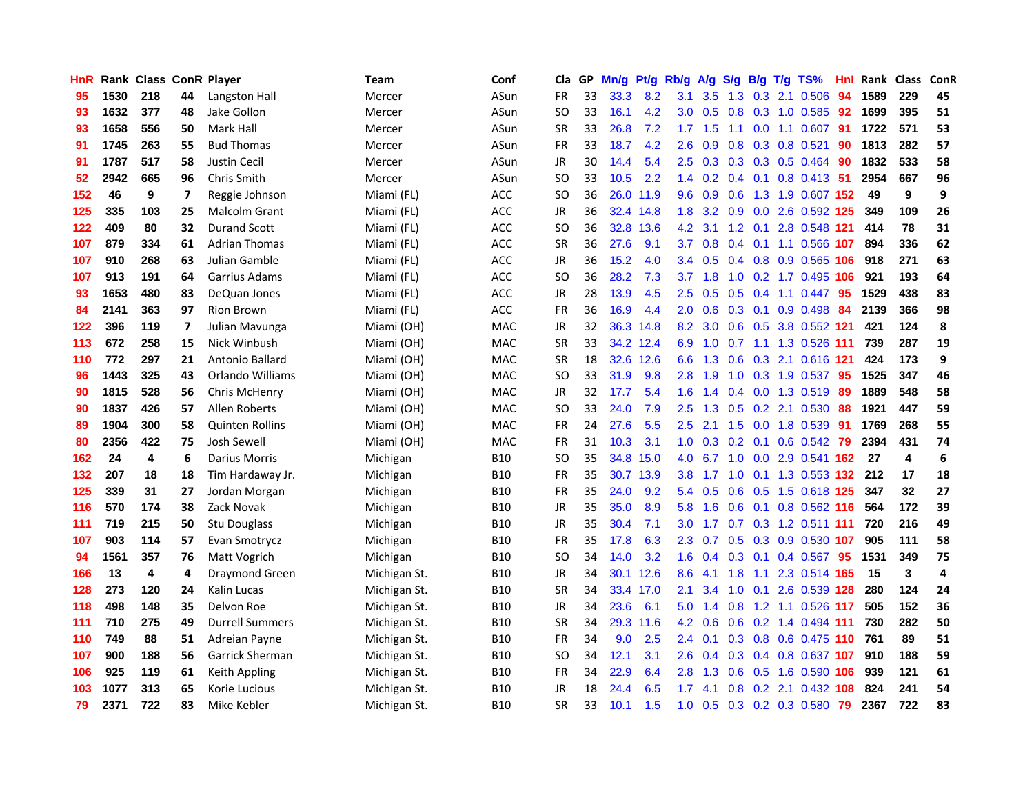| <b>HnR</b>       |      | Rank Class ConR Player |                          |                        | <b>Team</b>  | Conf       | Cla       |    | GP Mn/g | Pt/g      | Rb/g             | A/g       |                 |                 | S/g B/g T/g TS%               | Hnl | Rank Class |                         | ConR |
|------------------|------|------------------------|--------------------------|------------------------|--------------|------------|-----------|----|---------|-----------|------------------|-----------|-----------------|-----------------|-------------------------------|-----|------------|-------------------------|------|
| 95               | 1530 | 218                    | 44                       | Langston Hall          | Mercer       | ASun       | FR        | 33 | 33.3    | 8.2       | 3.1              | 3.5       | 1.3             | 0.3             | 2.1 0.506                     | 94  | 1589       | 229                     | 45   |
| 93               | 1632 | 377                    | 48                       | Jake Gollon            | Mercer       | ASun       | SO.       | 33 | 16.1    | 4.2       | 3.0              | 0.5       | 0.8             | 0.3             | 1.0 0.585                     | 92  | 1699       | 395                     | 51   |
| 93               | 1658 | 556                    | 50                       | Mark Hall              | Mercer       | ASun       | <b>SR</b> | 33 | 26.8    | 7.2       | 1.7 <sub>2</sub> | 1.5       | 1.1             | 0.0             | 1.1 0.607                     | -91 | 1722       | 571                     | 53   |
| 91               | 1745 | 263                    | 55                       | <b>Bud Thomas</b>      | Mercer       | ASun       | <b>FR</b> | 33 | 18.7    | 4.2       | 2.6              | 0.9       |                 |                 | 0.8 0.3 0.8 0.521             | 90  | 1813       | 282                     | 57   |
| 91               | 1787 | 517                    | 58                       | <b>Justin Cecil</b>    | Mercer       | ASun       | JR        | 30 | 14.4    | 5.4       |                  |           |                 |                 | 2.5 0.3 0.3 0.3 0.5 0.464     | -90 | 1832       | 533                     | 58   |
| $52\phantom{.0}$ | 2942 | 665                    | 96                       | Chris Smith            | Mercer       | ASun       | <b>SO</b> | 33 | 10.5    | 2.2       |                  |           |                 |                 | 1.4 0.2 0.4 0.1 0.8 0.413 51  |     | 2954       | 667                     | 96   |
| 152              | 46   | 9                      | 7                        | Reggie Johnson         | Miami (FL)   | ACC        | <b>SO</b> | 36 |         | 26.0 11.9 | 9.6              | 0.9       | 0.6             |                 | 1.3 1.9 0.607 152             |     | 49         | 9                       | 9    |
| 125              | 335  | 103                    | 25                       | Malcolm Grant          | Miami (FL)   | ACC        | JR        | 36 |         | 32.4 14.8 | 1.8              | 3.2       |                 |                 | 0.9 0.0 2.6 0.592 125         |     | 349        | 109                     | 26   |
| 122              | 409  | 80                     | 32                       | <b>Durand Scott</b>    | Miami (FL)   | ACC        | <b>SO</b> | 36 |         | 32.8 13.6 | 4.2              | 3.1       |                 | $1.2 \quad 0.1$ | 2.8 0.548 121                 |     | 414        | 78                      | 31   |
| 107              | 879  | 334                    | 61                       | <b>Adrian Thomas</b>   | Miami (FL)   | ACC        | <b>SR</b> | 36 | 27.6    | 9.1       | 3.7              | 0.8       |                 |                 | 0.4 0.1 1.1 0.566 107         |     | 894        | 336                     | 62   |
| 107              | 910  | 268                    | 63                       | Julian Gamble          | Miami (FL)   | ACC        | <b>JR</b> | 36 | 15.2    | 4.0       | 3.4              | 0.5       |                 |                 | 0.4 0.8 0.9 0.565 106         |     | 918        | 271                     | 63   |
| 107              | 913  | 191                    | 64                       | Garrius Adams          | Miami (FL)   | <b>ACC</b> | <b>SO</b> | 36 | 28.2    | 7.3       | 3.7              | 1.8       | 1.0             |                 | 0.2 1.7 0.495 106             |     | 921        | 193                     | 64   |
| 93               | 1653 | 480                    | 83                       | DeQuan Jones           | Miami (FL)   | <b>ACC</b> | JR        | 28 | 13.9    | 4.5       | $2.5\,$          | 0.5       | 0.5             | 0.4             | 1.1 0.447                     | 95  | 1529       | 438                     | 83   |
| 84               | 2141 | 363                    | 97                       | <b>Rion Brown</b>      | Miami (FL)   | <b>ACC</b> | <b>FR</b> | 36 | 16.9    | 4.4       | 2.0              | 0.6       | 0.3             | 0.1             | $0.9$ 0.498                   | 84  | 2139       | 366                     | 98   |
| 122              | 396  | 119                    | $\overline{\phantom{a}}$ | Julian Mavunga         | Miami (OH)   | <b>MAC</b> | JR        | 32 | 36.3    | 14.8      | 8.2              | 3.0       | 0.6             | 0.5             | 3.8 0.552 121                 |     | 421        | 124                     | 8    |
| 113              | 672  | 258                    | 15                       | Nick Winbush           | Miami (OH)   | <b>MAC</b> | <b>SR</b> | 33 |         | 34.2 12.4 | 6.9              | 1.0       | 0.7             |                 | 1.1 1.3 0.526 111             |     | 739        | 287                     | 19   |
| 110              | 772  | 297                    | 21                       | Antonio Ballard        | Miami (OH)   | <b>MAC</b> | <b>SR</b> | 18 |         | 32.6 12.6 |                  |           |                 |                 | 6.6 1.3 0.6 0.3 2.1 0.616 121 |     | 424        | 173                     | 9    |
| 96               | 1443 | 325                    | 43                       | Orlando Williams       | Miami (OH)   | <b>MAC</b> | SO.       | 33 | 31.9    | 9.8       |                  | $2.8$ 1.9 |                 |                 | 1.0 0.3 1.9 0.537 95          |     | 1525       | 347                     | 46   |
| 90               | 1815 | 528                    | 56                       | Chris McHenry          | Miami (OH)   | <b>MAC</b> | JR        | 32 | 17.7    | 5.4       | 1.6 <sup>1</sup> | 1.4       |                 |                 | 0.4 0.0 1.3 0.519             | -89 | 1889       | 548                     | 58   |
| 90               | 1837 | 426                    | 57                       | Allen Roberts          | Miami (OH)   | <b>MAC</b> | <b>SO</b> | 33 | 24.0    | 7.9       | 2.5              | 1.3       |                 |                 | $0.5$ 0.2 2.1 0.530           | 88  | 1921       | 447                     | 59   |
| 89               | 1904 | 300                    | 58                       | <b>Quinten Rollins</b> | Miami (OH)   | <b>MAC</b> | <b>FR</b> | 24 | 27.6    | 5.5       | 2.5              | 2.1       | 1.5             |                 | $0.0$ 1.8 $0.539$             | -91 | 1769       | 268                     | 55   |
| 80               | 2356 | 422                    | 75                       | Josh Sewell            | Miami (OH)   | <b>MAC</b> | <b>FR</b> | 31 | 10.3    | 3.1       | 1.0              | 0.3       |                 | $0.2 \quad 0.1$ | $0.6$ 0.542                   | -79 | 2394       | 431                     | 74   |
| 162              | 24   | 4                      | 6                        | <b>Darius Morris</b>   | Michigan     | <b>B10</b> | SO.       | 35 |         | 34.8 15.0 | 4.0              | 6.7       |                 |                 | 1.0 0.0 2.9 0.541 162         |     | 27         | $\overline{\mathbf{4}}$ | 6    |
| 132              | 207  | 18                     | 18                       | Tim Hardaway Jr.       | Michigan     | <b>B10</b> | <b>FR</b> | 35 |         | 30.7 13.9 | 3.8 <sup>°</sup> | 1.7       | 1.0             |                 | 0.1 1.3 0.553 132             |     | 212        | 17                      | 18   |
| 125              | 339  | 31                     | 27                       | Jordan Morgan          | Michigan     | <b>B10</b> | <b>FR</b> | 35 | 24.0    | 9.2       |                  | 5.4 0.5   | 0.6             | 0.5             | 1.5 0.618 125                 |     | 347        | 32                      | 27   |
| 116              | 570  | 174                    | 38                       | Zack Novak             | Michigan     | <b>B10</b> | JR        | 35 | 35.0    | 8.9       | 5.8              | 1.6       | 0.6             |                 | 0.1 0.8 0.562 116             |     | 564        | 172                     | 39   |
| 111              | 719  | 215                    | 50                       | Stu Douglass           | Michigan     | <b>B10</b> | JR        | 35 | 30.4    | 7.1       | 3.0              | 1.7       |                 |                 | 0.7 0.3 1.2 0.511 111         |     | 720        | 216                     | 49   |
| 107              | 903  | 114                    | 57                       | Evan Smotrycz          | Michigan     | <b>B10</b> | <b>FR</b> | 35 | 17.8    | 6.3       | 2.3              | 0.7       |                 | $0.5 \quad 0.3$ | 0.9 0.530 107                 |     | 905        | 111                     | 58   |
| 94               | 1561 | 357                    | 76                       | Matt Vogrich           | Michigan     | <b>B10</b> | <b>SO</b> | 34 | 14.0    | 3.2       | 1.6 <sup>°</sup> | 0.4       | $0.3 \quad 0.1$ |                 | 0.4 0.567 95                  |     | 1531       | 349                     | 75   |
| 166              | 13   | 4                      | 4                        | Draymond Green         | Michigan St. | <b>B10</b> | JR        | 34 |         | 30.1 12.6 | 8.6              | 4.1       | 1.8             |                 | 1.1 2.3 0.514 165             |     | 15         | 3                       | 4    |
| 128              | 273  | 120                    | 24                       | Kalin Lucas            | Michigan St. | <b>B10</b> | <b>SR</b> | 34 |         | 33.4 17.0 | 2.1              | 3.4       |                 | $1.0 \quad 0.1$ | 2.6 0.539 128                 |     | 280        | 124                     | 24   |
| 118              | 498  | 148                    | 35                       | Delvon Roe             | Michigan St. | <b>B10</b> | JR        | 34 | 23.6    | 6.1       | 5.0              | 1.4       |                 |                 | 0.8 1.2 1.1 0.526 117         |     | 505        | 152                     | 36   |
| 111              | 710  | 275                    | 49                       | <b>Durrell Summers</b> | Michigan St. | <b>B10</b> | <b>SR</b> | 34 |         | 29.3 11.6 | 4.2              | 0.6       |                 |                 | 0.6 0.2 1.4 0.494 111         |     | 730        | 282                     | 50   |
| 110              | 749  | 88                     | 51                       | Adreian Payne          | Michigan St. | <b>B10</b> | <b>FR</b> | 34 | 9.0     | 2.5       | $2.4^{\circ}$    | 0.1       |                 |                 | 0.3 0.8 0.6 0.475 110         |     | 761        | 89                      | 51   |
| 107              | 900  | 188                    | 56                       | Garrick Sherman        | Michigan St. | <b>B10</b> | SO.       | 34 | 12.1    | 3.1       | 2.6              | 0.4       |                 |                 | 0.3 0.4 0.8 0.637 107         |     | 910        | 188                     | 59   |
| 106              | 925  | 119                    | 61                       | Keith Appling          | Michigan St. | <b>B10</b> | <b>FR</b> | 34 | 22.9    | 6.4       | 2.8              | 1.3       | 0.6             | 0.5             | 1.6 0.590 106                 |     | 939        | 121                     | 61   |
| 103              | 1077 | 313                    | 65                       | Korie Lucious          | Michigan St. | <b>B10</b> | JR        | 18 | 24.4    | 6.5       | 1.7              | 4.1       | 0.8             | 0.2             | 2.1 0.432                     | 108 | 824        | 241                     | 54   |
| 79               | 2371 | 722                    | 83                       | Mike Kebler            | Michigan St. | <b>B10</b> | <b>SR</b> | 33 | 10.1    | 1.5       | 1.0              | 0.5       |                 |                 | $0.3$ 0.2 0.3 0.580           | -79 | 2367       | 722                     | 83   |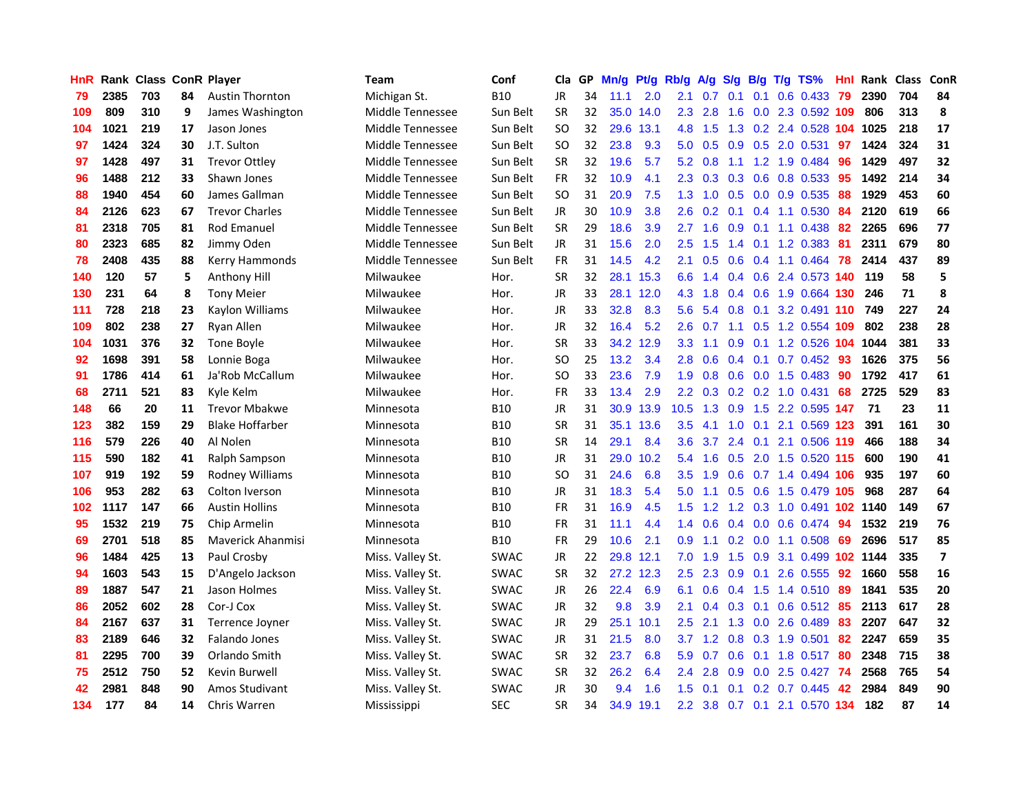| HnR |      | Rank Class ConR Player |    |                        | Team             | Conf        | Cla       | GP. | Mn/g | Pt/g      | Rb/g             | A/g             | S/g              | B/g              | T/g TS%                         | Hnl | Rank Class |     | ConR                    |
|-----|------|------------------------|----|------------------------|------------------|-------------|-----------|-----|------|-----------|------------------|-----------------|------------------|------------------|---------------------------------|-----|------------|-----|-------------------------|
| 79  | 2385 | 703                    | 84 | <b>Austin Thornton</b> | Michigan St.     | <b>B10</b>  | <b>JR</b> | 34  | 11.1 | 2.0       | 2.1              | 0.7             | 0.1              | 0.1              | 0.6 0.433                       | 79  | 2390       | 704 | 84                      |
| 109 | 809  | 310                    | 9  | James Washington       | Middle Tennessee | Sun Belt    | <b>SR</b> | 32  | 35.0 | 14.0      | $2.3^{\circ}$    | 2.8             | 1.6              | 0.0              | 2.3 0.592 109                   |     | 806        | 313 | 8                       |
| 104 | 1021 | 219                    | 17 | Jason Jones            | Middle Tennessee | Sun Belt    | <b>SO</b> | 32  | 29.6 | 13.1      | 4.8              | 1.5             | 1.3              |                  | 0.2 2.4 0.528 104 1025          |     |            | 218 | 17                      |
| 97  | 1424 | 324                    | 30 | J.T. Sulton            | Middle Tennessee | Sun Belt    | SO        | 32  | 23.8 | 9.3       | 5.0              |                 | $0.5\quad 0.9$   |                  | 0.5 2.0 0.531                   | 97  | 1424       | 324 | 31                      |
| 97  | 1428 | 497                    | 31 | <b>Trevor Ottley</b>   | Middle Tennessee | Sun Belt    | SR        | 32  | 19.6 | 5.7       |                  | $5.2 \quad 0.8$ |                  |                  | 1.1 1.2 1.9 0.484               | 96  | 1429       | 497 | 32                      |
| 96  | 1488 | 212                    | 33 | Shawn Jones            | Middle Tennessee | Sun Belt    | <b>FR</b> | 32  | 10.9 | 4.1       | $2.3^{\circ}$    |                 |                  |                  | $0.3$ $0.3$ $0.6$ $0.8$ $0.533$ | -95 | 1492       | 214 | 34                      |
| 88  | 1940 | 454                    | 60 | James Gallman          | Middle Tennessee | Sun Belt    | SO        | 31  | 20.9 | 7.5       | 1.3 <sup>°</sup> | 1.0             |                  |                  | 0.5 0.0 0.9 0.535               | 88  | 1929       | 453 | 60                      |
| 84  | 2126 | 623                    | 67 | <b>Trevor Charles</b>  | Middle Tennessee | Sun Belt    | <b>JR</b> | 30  | 10.9 | 3.8       | $2.6\,$          | 0.2             | 0.1              |                  | 0.4 1.1 0.530                   | 84  | 2120       | 619 | 66                      |
| 81  | 2318 | 705                    | 81 | Rod Emanuel            | Middle Tennessee | Sun Belt    | <b>SR</b> | 29  | 18.6 | 3.9       | 2.7              | 1.6             | 0.9              | 0.1              | 1.1 0.438                       | 82  | 2265       | 696 | 77                      |
| 80  | 2323 | 685                    | 82 | Jimmy Oden             | Middle Tennessee | Sun Belt    | JR.       | 31  | 15.6 | 2.0       | 2.5              | 1.5             | 1.4              | 0.1              | 1.2 0.383                       | 81  | 2311       | 679 | 80                      |
| 78  | 2408 | 435                    | 88 | Kerry Hammonds         | Middle Tennessee | Sun Belt    | FR        | 31  | 14.5 | 4.2       | 2.1              | 0.5             | 0.6              |                  | $0.4$ 1.1 0.464                 | 78  | 2414       | 437 | 89                      |
| 140 | 120  | 57                     | 5  | Anthony Hill           | Milwaukee        | Hor.        | <b>SR</b> | 32  |      | 28.1 15.3 | 6.6              | 1.4             | 0.4              |                  | 0.6 2.4 0.573 140               |     | 119        | 58  | 5                       |
| 130 | 231  | 64                     | 8  | <b>Tony Meier</b>      | Milwaukee        | Hor.        | JR        | 33  |      | 28.1 12.0 | 4.3              | 1.8             | 0.4              | 0.6              | 1.9 0.664                       | 130 | 246        | 71  | 8                       |
| 111 | 728  | 218                    | 23 | Kaylon Williams        | Milwaukee        | Hor.        | JR        | 33  | 32.8 | 8.3       | 5.6              | 5.4             | 0.8              | 0.1              | 3.2 0.491 110                   |     | 749        | 227 | 24                      |
| 109 | 802  | 238                    | 27 | Ryan Allen             | Milwaukee        | Hor.        | JR        | 32  | 16.4 | 5.2       | 2.6              | 0.7             | 1.1              | 0.5              | 1.2 0.554 109                   |     | 802        | 238 | 28                      |
| 104 | 1031 | 376                    | 32 | Tone Boyle             | Milwaukee        | Hor.        | <b>SR</b> | 33  |      | 34.2 12.9 | 3.3 <sub>2</sub> | 1.1             | 0.9 <sub>0</sub> | 0.1              | 1.2 0.526                       | 104 | 1044       | 381 | 33                      |
| 92  | 1698 | 391                    | 58 | Lonnie Boga            | Milwaukee        | Hor.        | SO        | 25  | 13.2 | 3.4       | 2.8              | 0.6             | 0.4              | 0.1              | $0.7$ 0.452                     | -93 | 1626       | 375 | 56                      |
| 91  | 1786 | 414                    | 61 | Ja'Rob McCallum        | Milwaukee        | Hor.        | SO        | 33  | 23.6 | 7.9       | 1.9              |                 |                  |                  | 0.8 0.6 0.0 1.5 0.483           | -90 | 1792       | 417 | 61                      |
| 68  | 2711 | 521                    | 83 | Kyle Kelm              | Milwaukee        | Hor.        | <b>FR</b> | 33  | 13.4 | 2.9       |                  |                 |                  |                  | 2.2 0.3 0.2 0.2 1.0 0.431       | -68 | 2725       | 529 | 83                      |
| 148 | 66   | 20                     | 11 | <b>Trevor Mbakwe</b>   | Minnesota        | B10         | JR        | 31  |      | 30.9 13.9 | 10.5             |                 |                  |                  | 1.3 0.9 1.5 2.2 0.595 147       |     | -71        | 23  | 11                      |
| 123 | 382  | 159                    | 29 | <b>Blake Hoffarber</b> | Minnesota        | <b>B10</b>  | <b>SR</b> | 31  |      | 35.1 13.6 | 3.5              | 4.1             |                  |                  | 1.0 0.1 2.1 0.569 123           |     | 391        | 161 | 30                      |
| 116 | 579  | 226                    | 40 | Al Nolen               | Minnesota        | B10         | <b>SR</b> | 14  | 29.1 | 8.4       | 3.6              | 3.7             |                  |                  | 2.4 0.1 2.1 0.506 119           |     | 466        | 188 | 34                      |
| 115 | 590  | 182                    | 41 | Ralph Sampson          | Minnesota        | B10         | JR        | 31  | 29.0 | 10.2      | 5.4              | 1.6             | 0.5              |                  | 2.0 1.5 0.520 115               |     | 600        | 190 | 41                      |
| 107 | 919  | 192                    | 59 | Rodney Williams        | Minnesota        | <b>B10</b>  | SO        | 31  | 24.6 | 6.8       | $3.5^{\circ}$    | 1.9             | 0.6              |                  | 0.7 1.4 0.494 106               |     | 935        | 197 | 60                      |
| 106 | 953  | 282                    | 63 | Colton Iverson         | Minnesota        | B10         | JR        | 31  | 18.3 | 5.4       | 5.0              | 1.1             | 0.5              |                  | 0.6 1.5 0.479 105               |     | 968        | 287 | 64                      |
| 102 | 1117 | 147                    | 66 | <b>Austin Hollins</b>  | Minnesota        | <b>B10</b>  | <b>FR</b> | 31  | 16.9 | 4.5       | 1.5              | 1.2             | 1.2              | 0.3              | 1.0 0.491 102 1140              |     |            | 149 | 67                      |
| 95  | 1532 | 219                    | 75 | Chip Armelin           | Minnesota        | <b>B10</b>  | <b>FR</b> | 31  | 11.1 | 4.4       | $1.4^{\circ}$    | 0.6             | 0.4              | 0.0              | 0.6 0.474                       | 94  | 1532       | 219 | 76                      |
| 69  | 2701 | 518                    | 85 | Maverick Ahanmisi      | Minnesota        | B10         | <b>FR</b> | 29  | 10.6 | 2.1       | 0.9              | 1.1             | 0.2              | 0.0              | 1.1 0.508                       | 69  | 2696       | 517 | 85                      |
| 96  | 1484 | 425                    | 13 | Paul Crosby            | Miss. Valley St. | <b>SWAC</b> | <b>JR</b> | 22  | 29.8 | 12.1      | 7.0              | 1.9             | 1.5              | 0.9              | 3.1 0.499 102 1144              |     |            | 335 | $\overline{\mathbf{z}}$ |
| 94  | 1603 | 543                    | 15 | D'Angelo Jackson       | Miss. Valley St. | <b>SWAC</b> | <b>SR</b> | 32  |      | 27.2 12.3 | 2.5              | 2.3             | 0.9              | 0.1              | 2.6 0.555                       | 92  | 1660       | 558 | 16                      |
| 89  | 1887 | 547                    | 21 | Jason Holmes           | Miss. Valley St. | <b>SWAC</b> | JR.       | 26  | 22.4 | 6.9       | 6.1              | 0.6             | 0.4              | 1.5              | 1.4 0.510                       | -89 | 1841       | 535 | 20                      |
| 86  | 2052 | 602                    | 28 | Cor-J Cox              | Miss. Valley St. | <b>SWAC</b> | JR        | 32  | 9.8  | 3.9       | 2.1              |                 | $0.4$ 0.3 0.1    |                  | $0.6$ $0.512$                   | -85 | 2113       | 617 | 28                      |
| 84  | 2167 | 637                    | 31 | Terrence Joyner        | Miss. Valley St. | <b>SWAC</b> | JR        | 29  |      | 25.1 10.1 | $2.5^{\circ}$    | 2.1             |                  |                  | 1.3 0.0 2.6 0.489               | 83  | 2207       | 647 | 32                      |
| 83  | 2189 | 646                    | 32 | <b>Falando Jones</b>   | Miss. Valley St. | <b>SWAC</b> | JR        | 31  | 21.5 | 8.0       | 3.7              | 1.2             |                  |                  | 0.8 0.3 1.9 0.501               | 82  | 2247       | 659 | 35                      |
| 81  | 2295 | 700                    | 39 | Orlando Smith          | Miss. Valley St. | <b>SWAC</b> | <b>SR</b> | 32  | 23.7 | 6.8       | 5.9              | 0.7             | 0.6              |                  | $0.1$ 1.8 $0.517$               | 80  | 2348       | 715 | 38                      |
| 75  | 2512 | 750                    | 52 | Kevin Burwell          | Miss. Valley St. | <b>SWAC</b> | <b>SR</b> | 32  | 26.2 | 6.4       | $2.4^{\circ}$    | 2.8             | 0.9              |                  | $0.0$ 2.5 $0.427$               | -74 | 2568       | 765 | 54                      |
| 42  | 2981 | 848                    | 90 | Amos Studivant         | Miss. Valley St. | <b>SWAC</b> | JR.       | 30  | 9.4  | 1.6       | 1.5              | 0.1             | 0.1              | 0.2 <sub>0</sub> | 0.7 0.445                       | 42  | 2984       | 849 | 90                      |
| 134 | 177  | 84                     | 14 | Chris Warren           | Mississippi      | <b>SEC</b>  | SR        | 34  |      | 34.9 19.1 | 2.2 <sub>2</sub> | 3.8             |                  |                  | 0.7 0.1 2.1 0.570 134           |     | 182        | 87  | 14                      |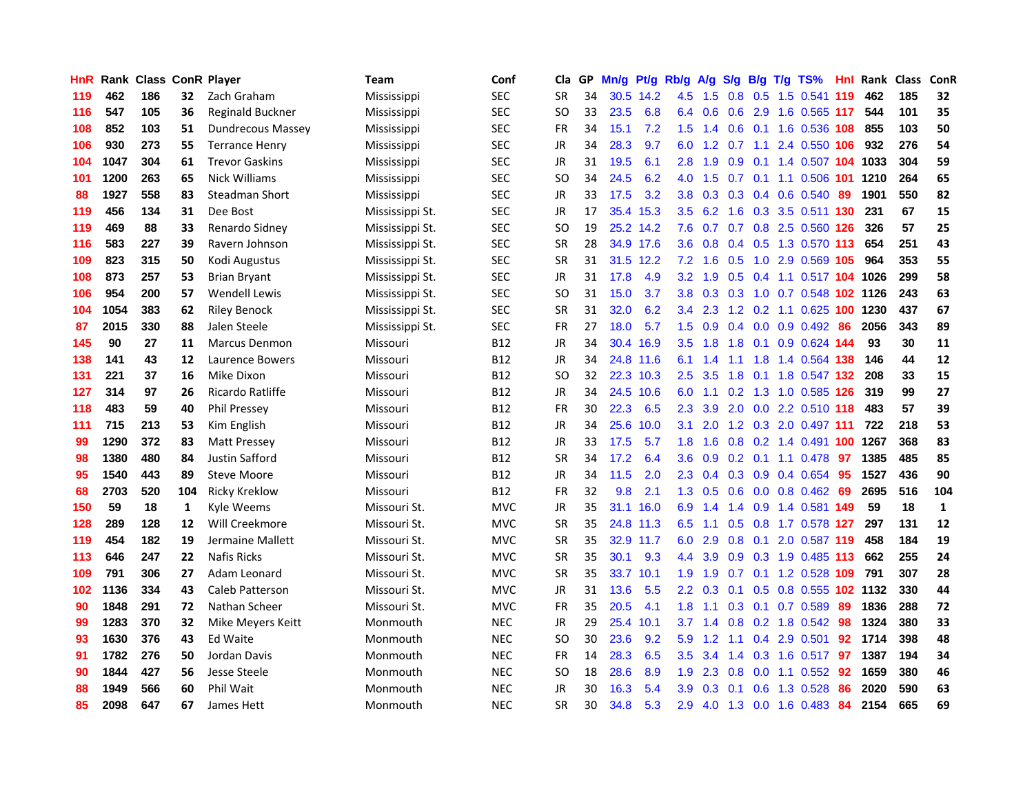| HnR |      | <b>Rank Class ConR Player</b> |              |                          | Team            | Conf       | Cla           | GP. | Mn/g | Pt/g      | Rb/g             | A/g             | S/g           | B/g                       | $T/g$ TS%                  | Hnl | Rank Class |     | ConR         |
|-----|------|-------------------------------|--------------|--------------------------|-----------------|------------|---------------|-----|------|-----------|------------------|-----------------|---------------|---------------------------|----------------------------|-----|------------|-----|--------------|
| 119 | 462  | 186                           | 32           | Zach Graham              | Mississippi     | <b>SEC</b> | <b>SR</b>     | 34  |      | 30.5 14.2 | 4.5              | 1.5             | 0.8           | 0.5                       | 1.5 0.541 119              |     | 462        | 185 | 32           |
| 116 | 547  | 105                           | 36           | Reginald Buckner         | Mississippi     | <b>SEC</b> | SO            | 33  | 23.5 | 6.8       | 6.4              | 0.6             | 0.6           | 2.9                       | 1.6 0.565 117              |     | 544        | 101 | 35           |
| 108 | 852  | 103                           | 51           | <b>Dundrecous Massey</b> | Mississippi     | <b>SEC</b> | <b>FR</b>     | 34  | 15.1 | 7.2       | 1.5              | 1.4             | 0.6           | 0.1                       | 1.6 0.536 108              |     | 855        | 103 | 50           |
| 106 | 930  | 273                           | 55           | <b>Terrance Henry</b>    | Mississippi     | <b>SEC</b> | <b>JR</b>     | 34  | 28.3 | 9.7       | 6.0              |                 |               | $1.2 \quad 0.7 \quad 1.1$ | 2.4 0.550 106              |     | 932        | 276 | 54           |
| 104 | 1047 | 304                           | 61           | <b>Trevor Gaskins</b>    | Mississippi     | <b>SEC</b> | JR            | 31  | 19.5 | 6.1       | 2.8              | 1.9             | 0.9           |                           | 0.1 1.4 0.507 104 1033     |     |            | 304 | 59           |
| 101 | 1200 | 263                           | 65           | <b>Nick Williams</b>     | Mississippi     | <b>SEC</b> | <b>SO</b>     | 34  | 24.5 | 6.2       | 4.0              | 1.5             |               |                           | 0.7 0.1 1.1 0.506 101      |     | 1210       | 264 | 65           |
| 88  | 1927 | 558                           | 83           | Steadman Short           | Mississippi     | <b>SEC</b> | JR            | 33  | 17.5 | 3.2       | 3.8 <sub>1</sub> | 0.3             |               |                           | 0.3 0.4 0.6 0.540          | 89  | 1901       | 550 | 82           |
| 119 | 456  | 134                           | 31           | Dee Bost                 | Mississippi St. | <b>SEC</b> | <b>JR</b>     | 17  |      | 35.4 15.3 | 3.5              | 6.2             |               |                           | 1.6 0.3 3.5 0.511 130      |     | 231        | 67  | 15           |
| 119 | 469  | 88                            | 33           | Renardo Sidney           | Mississippi St. | <b>SEC</b> | <sub>SO</sub> | 19  |      | 25.2 14.2 | 7.6              | 0.7             |               |                           | 0.7 0.8 2.5 0.560 126      |     | 326        | 57  | 25           |
| 116 | 583  | 227                           | 39           | Ravern Johnson           | Mississippi St. | SEC        | <b>SR</b>     | 28  |      | 34.9 17.6 | 3.6              | 0.8             |               |                           | 0.4 0.5 1.3 0.570 113      |     | 654        | 251 | 43           |
| 109 | 823  | 315                           | 50           | Kodi Augustus            | Mississippi St. | <b>SEC</b> | <b>SR</b>     | 31  |      | 31.5 12.2 | 7.2              | 1.6             | 0.5           |                           | 1.0 2.9 0.569 105          |     | 964        | 353 | 55           |
| 108 | 873  | 257                           | 53           | <b>Brian Bryant</b>      | Mississippi St. | SEC        | JR            | 31  | 17.8 | 4.9       | 3.2 <sub>2</sub> | 1.9             | 0.5           |                           | $0.4$ 1.1 0.517 104        |     | 1026       | 299 | 58           |
| 106 | 954  | 200                           | 57           | <b>Wendell Lewis</b>     | Mississippi St. | <b>SEC</b> | <b>SO</b>     | 31  | 15.0 | 3.7       | 3.8 <sub>1</sub> | 0.3             | 0.3           | 1.0                       | 0.7 0.548                  |     | 102 1126   | 243 | 63           |
| 104 | 1054 | 383                           | 62           | <b>Riley Benock</b>      | Mississippi St. | <b>SEC</b> | SR            | 31  | 32.0 | 6.2       | 3.4              | 2.3             | 1.2           | 0.2                       | 1.1 0.625 100              |     | 1230       | 437 | 67           |
| 87  | 2015 | 330                           | 88           | Jalen Steele             | Mississippi St. | <b>SEC</b> | <b>FR</b>     | 27  | 18.0 | 5.7       | $1.5^{\circ}$    | 0.9             | 0.4           | 0.0                       | $0.9$ 0.492                | 86  | 2056       | 343 | 89           |
| 145 | 90   | 27                            | 11           | <b>Marcus Denmon</b>     | Missouri        | <b>B12</b> | JR            | 34  |      | 30.4 16.9 | $3.5^{\circ}$    | 1.8             | 1.8           | 0.1                       | $0.9$ $0.624$ 144          |     | 93         | 30  | 11           |
| 138 | 141  | 43                            | 12           | Laurence Bowers          | Missouri        | B12        | JR            | 34  |      | 24.8 11.6 | 6.1              | 1.4             | $-1.1$        |                           | 1.8 1.4 0.564 138          |     | 146        | 44  | 12           |
| 131 | 221  | 37                            | 16           | Mike Dixon               | Missouri        | <b>B12</b> | <sub>SO</sub> | 32  |      | 22.3 10.3 | 2.5              | 3.5             |               |                           | 1.8 0.1 1.8 0.547 132      |     | 208        | 33  | 15           |
| 127 | 314  | 97                            | 26           | Ricardo Ratliffe         | Missouri        | <b>B12</b> | <b>JR</b>     | 34  |      | 24.5 10.6 | 6.0              | 1.1             |               |                           | 0.2 1.3 1.0 0.585 126      |     | 319        | 99  | 27           |
| 118 | 483  | 59                            | 40           | <b>Phil Pressey</b>      | Missouri        | <b>B12</b> | FR            | 30  | 22.3 | 6.5       | 2.3              | 3.9             |               |                           | 2.0 0.0 2.2 0.510 118      |     | 483        | 57  | 39           |
| 111 | 715  | 213                           | 53           | Kim English              | Missouri        | <b>B12</b> | <b>JR</b>     | 34  | 25.6 | 10.0      | 3.1              | 2.0             |               |                           | 1.2 0.3 2.0 0.497 111      |     | 722        | 218 | 53           |
| 99  | 1290 | 372                           | 83           | Matt Pressey             | Missouri        | B12        | JR            | 33  | 17.5 | 5.7       | 1.8              | 1.6             | 0.8           |                           | 0.2 1.4 0.491 100          |     | 1267       | 368 | 83           |
| 98  | 1380 | 480                           | 84           | Justin Safford           | Missouri        | <b>B12</b> | <b>SR</b>     | 34  | 17.2 | 6.4       | 3.6              | 0.9             |               |                           | $0.2$ 0.1 1.1 0.478        | -97 | 1385       | 485 | 85           |
| 95  | 1540 | 443                           | 89           | <b>Steve Moore</b>       | Missouri        | <b>B12</b> | <b>JR</b>     | 34  | 11.5 | 2.0       | 2.3              | 0.4             |               |                           | 0.3 0.9 0.4 0.654          | 95  | 1527       | 436 | 90           |
| 68  | 2703 | 520                           | 104          | <b>Ricky Kreklow</b>     | Missouri        | <b>B12</b> | <b>FR</b>     | 32  | 9.8  | 2.1       | 1.3              | 0.5             | 0.6           |                           | $0.0$ 0.8 0.462            | -69 | 2695       | 516 | 104          |
| 150 | 59   | 18                            | $\mathbf{1}$ | Kyle Weems               | Missouri St.    | <b>MVC</b> | JR            | 35  |      | 31.1 16.0 | 6.9              | 1.4             | $1.4^{\circ}$ | 0.9                       | 1.4 0.581 149              |     | 59         | 18  | $\mathbf{1}$ |
| 128 | 289  | 128                           | 12           | Will Creekmore           | Missouri St.    | <b>MVC</b> | SR            | 35  |      | 24.8 11.3 | 6.5              | 1.1             | 0.5           | 0.8                       | 1.7 0.578 127              |     | 297        | 131 | 12           |
| 119 | 454  | 182                           | 19           | Jermaine Mallett         | Missouri St.    | <b>MVC</b> | <b>SR</b>     | 35  |      | 32.9 11.7 | 6.0              | 2.9             | 0.8           | 0.1                       | 2.0 0.587 119              |     | 458        | 184 | 19           |
| 113 | 646  | 247                           | 22           | <b>Nafis Ricks</b>       | Missouri St.    | <b>MVC</b> | <b>SR</b>     | 35  | 30.1 | 9.3       | $4.4^{\circ}$    | 3.9             | 0.9           |                           | 0.3 1.9 0.485 113          |     | 662        | 255 | 24           |
| 109 | 791  | 306                           | 27           | Adam Leonard             | Missouri St.    | <b>MVC</b> | <b>SR</b>     | 35  |      | 33.7 10.1 | 1.9              | 1.9             |               |                           | 0.7 0.1 1.2 0.528 109      |     | 791        | 307 | 28           |
| 102 | 1136 | 334                           | 43           | Caleb Patterson          | Missouri St.    | <b>MVC</b> | <b>JR</b>     | 31  | 13.6 | 5.5       |                  | $2.2 \quad 0.3$ |               |                           | 0.1 0.5 0.8 0.555 102 1132 |     |            | 330 | 44           |
| 90  | 1848 | 291                           | 72           | Nathan Scheer            | Missouri St.    | <b>MVC</b> | FR            | 35  | 20.5 | 4.1       | 1.8 <sup>°</sup> | 1.1             |               |                           | $0.3$ 0.1 0.7 0.589        | -89 | 1836       | 288 | 72           |
| 99  | 1283 | 370                           | 32           | Mike Meyers Keitt        | Monmouth        | <b>NEC</b> | <b>JR</b>     | 29  | 25.4 | 10.1      | 3.7              | 1.4             |               |                           | 0.8 0.2 1.8 0.542          | 98  | 1324       | 380 | 33           |
| 93  | 1630 | 376                           | 43           | <b>Ed Waite</b>          | Monmouth        | <b>NEC</b> | SO            | 30  | 23.6 | 9.2       | 5.9              | 1.2             | 1.1           |                           | 0.4 2.9 0.501              | 92  | 1714       | 398 | 48           |
| 91  | 1782 | 276                           | 50           | Jordan Davis             | Monmouth        | <b>NEC</b> | <b>FR</b>     | 14  | 28.3 | 6.5       | 3.5              | 3.4             | 1.4           |                           | $0.3$ 1.6 0.517            | 97  | 1387       | 194 | 34           |
| 90  | 1844 | 427                           | 56           | Jesse Steele             | Monmouth        | <b>NEC</b> | <b>SO</b>     | 18  | 28.6 | 8.9       | 1.9              | 2.3             | 0.8           | 0.0                       | 1.1 0.552                  | 92  | 1659       | 380 | 46           |
| 88  | 1949 | 566                           | 60           | Phil Wait                | Monmouth        | <b>NEC</b> | JR            | 30  | 16.3 | 5.4       | 3.9              | 0.3             | 0.1           | 0.6                       | 1.3 0.528                  | 86  | 2020       | 590 | 63           |
| 85  | 2098 | 647                           | 67           | James Hett               | Monmouth        | <b>NEC</b> | <b>SR</b>     | 30  | 34.8 | 5.3       | 2.9              | 4.0             |               |                           | 1.3 0.0 1.6 0.483          | 84  | 2154       | 665 | 69           |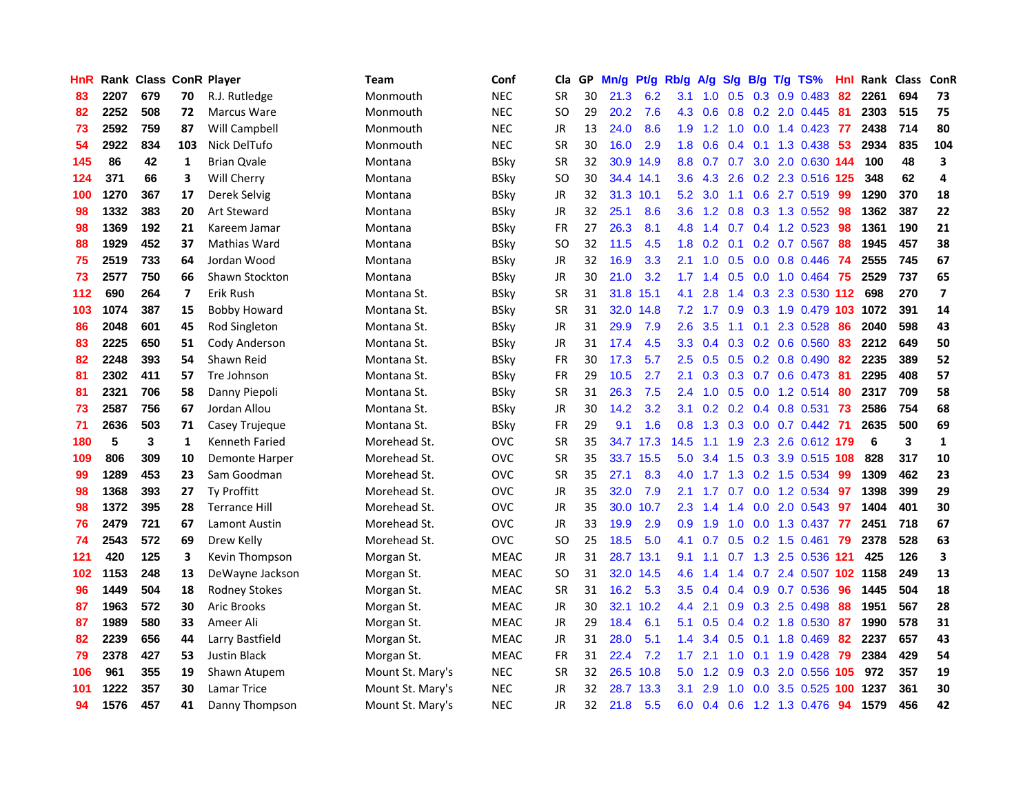| HnR |      |     |                | <b>Rank Class ConR Player</b> | Team             | Conf        | Cla       | GP | Mn/g | Pt/g      | Rb/g             | A/g             | S/g           | B/g             | $T/g$ TS%                  | Hnl | Rank Class |     | <b>ConR</b>             |
|-----|------|-----|----------------|-------------------------------|------------------|-------------|-----------|----|------|-----------|------------------|-----------------|---------------|-----------------|----------------------------|-----|------------|-----|-------------------------|
| 83  | 2207 | 679 | 70             | R.J. Rutledge                 | Monmouth         | <b>NEC</b>  | <b>SR</b> | 30 | 21.3 | 6.2       | 3.1              | 1.0             | 0.5           | 0.3             | 0.9 0.483                  | 82  | 2261       | 694 | 73                      |
| 82  | 2252 | 508 | 72             | Marcus Ware                   | Monmouth         | <b>NEC</b>  | SO.       | 29 | 20.2 | 7.6       | 4.3              | 0.6             | 0.8           |                 | 0.2 2.0 0.445              | -81 | 2303       | 515 | 75                      |
| 73  | 2592 | 759 | 87             | Will Campbell                 | Monmouth         | <b>NEC</b>  | JR        | 13 | 24.0 | 8.6       | 1.9              | 1.2             | 1.0           |                 | $0.0$ 1.4 0.423 77         |     | 2438       | 714 | 80                      |
| 54  | 2922 | 834 | 103            | Nick DelTufo                  | Monmouth         | <b>NEC</b>  | <b>SR</b> | 30 | 16.0 | 2.9       |                  | $1.8 \quad 0.6$ |               |                 | 0.4 0.1 1.3 0.438 53       |     | 2934       | 835 | 104                     |
| 145 | 86   | 42  | 1              | <b>Brian Ovale</b>            | Montana          | <b>BSky</b> | <b>SR</b> | 32 |      | 30.9 14.9 |                  | 8.8 0.7         |               |                 | 0.7 3.0 2.0 0.630 144      |     | 100        | 48  | 3                       |
| 124 | 371  | 66  | 3              | Will Cherry                   | Montana          | <b>BSky</b> | <b>SO</b> | 30 |      | 34.4 14.1 |                  | 3.6 4.3         |               |                 | 2.6 0.2 2.3 0.516 125      |     | 348        | 62  | 4                       |
| 100 | 1270 | 367 | 17             | Derek Selvig                  | Montana          | BSkv        | JR        | 32 |      | 31.3 10.1 | 5.2              | 3.0             |               |                 | 1.1 0.6 2.7 0.519          | -99 | 1290       | 370 | 18                      |
| 98  | 1332 | 383 | 20             | <b>Art Steward</b>            | Montana          | <b>BSky</b> | JR        | 32 | 25.1 | 8.6       | 3.6 <sup>°</sup> | 1.2             | 0.8           |                 | 0.3 1.3 0.552              | 98  | 1362       | 387 | 22                      |
| 98  | 1369 | 192 | 21             | Kareem Jamar                  | Montana          | <b>BSky</b> | FR        | 27 | 26.3 | 8.1       | 4.8              | 1.4             | 0.7           |                 | 0.4 1.2 0.523              | 98  | 1361       | 190 | 21                      |
| 88  | 1929 | 452 | 37             | Mathias Ward                  | Montana          | BSky        | SO.       | 32 | 11.5 | 4.5       | 1.8              | 0.2             | 0.1           |                 | 0.2 0.7 0.567              | 88  | 1945       | 457 | 38                      |
| 75  | 2519 | 733 | 64             | Jordan Wood                   | Montana          | <b>BSky</b> | JR        | 32 | 16.9 | 3.3       | 2.1              | 1.0             | 0.5           |                 | $0.0$ $0.8$ $0.446$        | 74  | 2555       | 745 | 67                      |
| 73  | 2577 | 750 | 66             | Shawn Stockton                | Montana          | <b>BSky</b> | JR        | 30 | 21.0 | 3.2       | 1.7 <sub>2</sub> | 1.4             | 0.5           | 0.0             | 1.0 0.464                  | -75 | 2529       | 737 | 65                      |
| 112 | 690  | 264 | $\overline{7}$ | Erik Rush                     | Montana St.      | <b>BSky</b> | <b>SR</b> | 31 |      | 31.8 15.1 | 4.1              | 2.8             | 1.4           | 0.3             | 2.3 0.530 112              |     | 698        | 270 | $\overline{\mathbf{z}}$ |
| 103 | 1074 | 387 | 15             | <b>Bobby Howard</b>           | Montana St.      | <b>BSky</b> | <b>SR</b> | 31 | 32.0 | 14.8      |                  | $7.2$ 1.7       | 0.9           | 0.3             | 1.9 0.479 103              |     | 1072       | 391 | 14                      |
| 86  | 2048 | 601 | 45             | Rod Singleton                 | Montana St.      | <b>BSky</b> | JR        | 31 | 29.9 | 7.9       | 2.6              | 3.5             | 1.1           | 0.1             | 2.3 0.528                  | 86  | 2040       | 598 | 43                      |
| 83  | 2225 | 650 | 51             | Cody Anderson                 | Montana St.      | <b>BSky</b> | JR        | 31 | 17.4 | 4.5       | 3.3 <sub>2</sub> | 0.4             |               |                 | $0.3$ $0.2$ $0.6$ $0.560$  | 83  | 2212       | 649 | 50                      |
| 82  | 2248 | 393 | 54             | Shawn Reid                    | Montana St.      | <b>BSky</b> | FR        | 30 | 17.3 | 5.7       |                  | $2.5\quad 0.5$  |               |                 | 0.5 0.2 0.8 0.490 82       |     | 2235       | 389 | 52                      |
| 81  | 2302 | 411 | 57             | Tre Johnson                   | Montana St.      | <b>BSky</b> | <b>FR</b> | 29 | 10.5 | 2.7       | 2.1              |                 |               |                 | 0.3 0.3 0.7 0.6 0.473 81   |     | 2295       | 408 | 57                      |
| 81  | 2321 | 706 | 58             | Danny Piepoli                 | Montana St.      | BSky        | <b>SR</b> | 31 | 26.3 | 7.5       |                  | $2.4$ 1.0       |               |                 | 0.5 0.0 1.2 0.514          | -80 | 2317       | 709 | 58                      |
| 73  | 2587 | 756 | 67             | Jordan Allou                  | Montana St.      | BSky        | JR        | 30 | 14.2 | 3.2       | 3.1              | 0.2             |               |                 | 0.2 0.4 0.8 0.531 73       |     | 2586       | 754 | 68                      |
| 71  | 2636 | 503 | 71             | Casey Trujeque                | Montana St.      | <b>BSky</b> | <b>FR</b> | 29 | 9.1  | 1.6       | 0.8 <sub>0</sub> | 1.3             |               |                 | 0.3 0.0 0.7 0.442 71       |     | 2635       | 500 | 69                      |
| 180 | 5    | 3   | 1              | Kenneth Faried                | Morehead St.     | ovc         | <b>SR</b> | 35 |      | 34.7 17.3 | 14.5             | 1.1             | 1.9           |                 | 2.3 2.6 0.612 179          |     | 6          | 3   | $\mathbf{1}$            |
| 109 | 806  | 309 | 10             | Demonte Harper                | Morehead St.     | <b>OVC</b>  | <b>SR</b> | 35 |      | 33.7 15.5 | 5.0              | 3.4             | 1.5           |                 | 0.3 3.9 0.515 108          |     | 828        | 317 | 10                      |
| 99  | 1289 | 453 | 23             | Sam Goodman                   | Morehead St.     | <b>OVC</b>  | <b>SR</b> | 35 | 27.1 | 8.3       | 4.0              | 1.7             |               |                 | 1.3 0.2 1.5 0.534          | -99 | 1309       | 462 | 23                      |
| 98  | 1368 | 393 | 27             | Ty Proffitt                   | Morehead St.     | <b>OVC</b>  | <b>JR</b> | 35 | 32.0 | 7.9       | 2.1              | 1.7             | 0.7           | 0.0             | 1.2 0.534                  | 97  | 1398       | 399 | 29                      |
| 98  | 1372 | 395 | 28             | <b>Terrance Hill</b>          | Morehead St.     | <b>OVC</b>  | JR        | 35 | 30.0 | 10.7      | $2.3^{\circ}$    | 1.4             | $1.4^{\circ}$ | 0.0             | 2.0 0.543                  | -97 | 1404       | 401 | 30                      |
| 76  | 2479 | 721 | 67             | Lamont Austin                 | Morehead St.     | <b>OVC</b>  | <b>JR</b> | 33 | 19.9 | 2.9       | 0.9              | 1.9             | 1.0           | 0.0             | 1.3 0.437 77               |     | 2451       | 718 | 67                      |
| 74  | 2543 | 572 | 69             | Drew Kelly                    | Morehead St.     | <b>OVC</b>  | <b>SO</b> | 25 | 18.5 | 5.0       | 4.1              | 0.7             |               | $0.5 \quad 0.2$ | 1.5 0.461                  | -79 | 2378       | 528 | 63                      |
| 121 | 420  | 125 | 3              | Kevin Thompson                | Morgan St.       | <b>MEAC</b> | <b>JR</b> | 31 |      | 28.7 13.1 | 9.1              | 1.1             | 0.7           |                 | 1.3 2.5 0.536 121          |     | 425        | 126 | $\overline{\mathbf{3}}$ |
| 102 | 1153 | 248 | 13             | DeWayne Jackson               | Morgan St.       | <b>MEAC</b> | <b>SO</b> | 31 |      | 32.0 14.5 | 4.6              | 1.4             |               |                 | 1.4 0.7 2.4 0.507 102 1158 |     |            | 249 | 13                      |
| 96  | 1449 | 504 | 18             | <b>Rodney Stokes</b>          | Morgan St.       | <b>MEAC</b> | <b>SR</b> | 31 | 16.2 | 5.3       | 3.5              | 0.4             |               |                 | 0.4 0.9 0.7 0.536          | -96 | 1445       | 504 | 18                      |
| 87  | 1963 | 572 | 30             | <b>Aric Brooks</b>            | Morgan St.       | <b>MEAC</b> | JR        | 30 |      | 32.1 10.2 | 4.4              | 2.1             |               |                 | 0.9 0.3 2.5 0.498          | 88  | 1951       | 567 | 28                      |
| 87  | 1989 | 580 | 33             | Ameer Ali                     | Morgan St.       | <b>MEAC</b> | JR        | 29 | 18.4 | 6.1       | 5.1              | 0.5             |               |                 | $0.4$ 0.2 1.8 0.530        | 87  | 1990       | 578 | 31                      |
| 82  | 2239 | 656 | 44             | Larry Bastfield               | Morgan St.       | <b>MEAC</b> | JR        | 31 | 28.0 | 5.1       | $1.4^{\circ}$    | 3.4             | 0.5           |                 | 0.1 1.8 0.469              | 82  | 2237       | 657 | 43                      |
| 79  | 2378 | 427 | 53             | <b>Justin Black</b>           | Morgan St.       | <b>MEAC</b> | <b>FR</b> | 31 | 22.4 | 7.2       | 1.7 <sup>2</sup> | 2.1             | 1.0           | 0.1             | 1.9 0.428                  | 79  | 2384       | 429 | 54                      |
| 106 | 961  | 355 | 19             | Shawn Atupem                  | Mount St. Mary's | <b>NEC</b>  | <b>SR</b> | 32 | 26.5 | 10.8      | 5.0              | 1.2             | 0.9           | 0.3             | 2.0 0.556                  | 105 | 972        | 357 | 19                      |
| 101 | 1222 | 357 | 30             | Lamar Trice                   | Mount St. Mary's | <b>NEC</b>  | JR        | 32 | 28.7 | 13.3      | 3.1              | 2.9             | 1.0           | 0.0             | 3.5 0.525                  | 100 | 1237       | 361 | 30                      |
| 94  | 1576 | 457 | 41             | Danny Thompson                | Mount St. Mary's | <b>NEC</b>  | <b>JR</b> | 32 | 21.8 | 5.5       | 6.0              |                 |               |                 | 0.4 0.6 1.2 1.3 0.476      | 94  | 1579       | 456 | 42                      |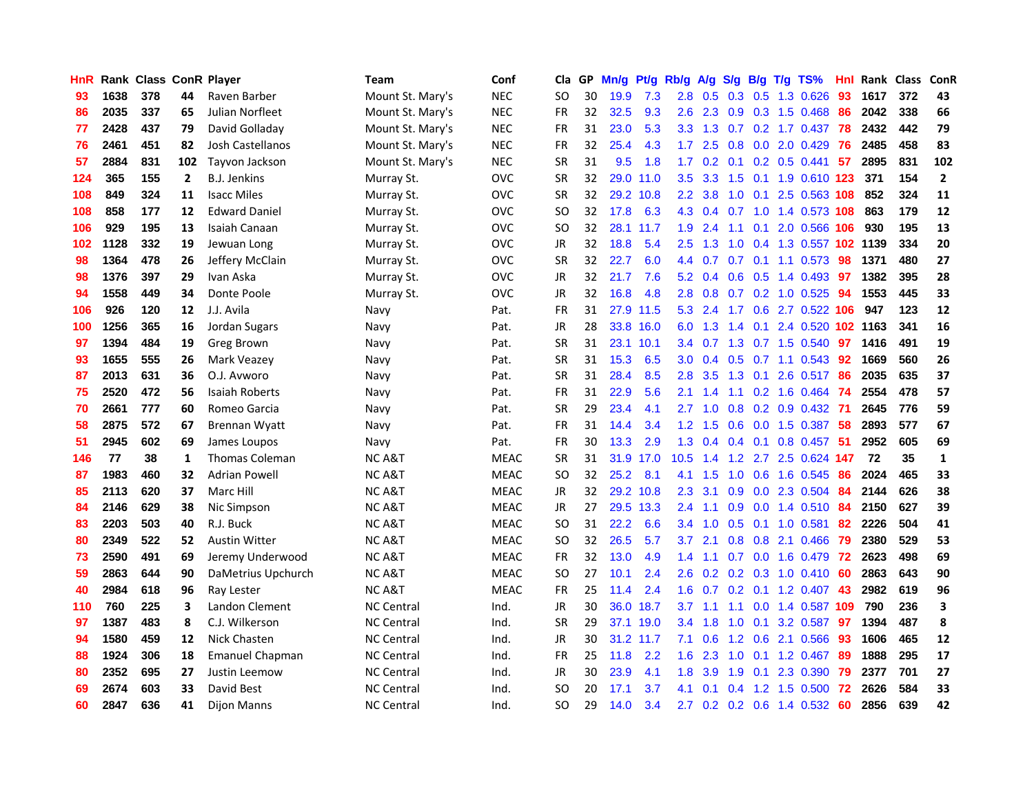| <b>HnR</b> |      | Rank Class ConR Player |     |                       | <b>Team</b>       | Conf        | Cla       |    | GP Mn/g | Pt/g      | Rb/g             | A/g       |                  |                 | S/g B/g T/g TS%              | Hnl | Rank Class |     | ConR           |
|------------|------|------------------------|-----|-----------------------|-------------------|-------------|-----------|----|---------|-----------|------------------|-----------|------------------|-----------------|------------------------------|-----|------------|-----|----------------|
| 93         | 1638 | 378                    | 44  | Raven Barber          | Mount St. Mary's  | <b>NEC</b>  | SO.       | 30 | 19.9    | 7.3       | 2.8              | 0.5       | 0.3              | 0.5             | 1.3 0.626                    | 93  | 1617       | 372 | 43             |
| 86         | 2035 | 337                    | 65  | Julian Norfleet       | Mount St. Mary's  | <b>NEC</b>  | <b>FR</b> | 32 | 32.5    | 9.3       | 2.6              | 2.3       | 0.9              | 0.3             | 1.5 0.468                    | 86  | 2042       | 338 | 66             |
| 77         | 2428 | 437                    | 79  | David Golladay        | Mount St. Mary's  | <b>NEC</b>  | <b>FR</b> | 31 | 23.0    | 5.3       | 3.3 <sub>2</sub> | 1.3       | 0.7              |                 | 0.2 1.7 0.437                | 78  | 2432       | 442 | 79             |
| 76         | 2461 | 451                    | 82  | Josh Castellanos      | Mount St. Mary's  | <b>NEC</b>  | <b>FR</b> | 32 | 25.4    | 4.3       |                  | $1.7$ 2.5 |                  |                 | 0.8 0.0 2.0 0.429            | 76  | 2485       | 458 | 83             |
| 57         | 2884 | 831                    | 102 | Tayvon Jackson        | Mount St. Mary's  | <b>NEC</b>  | <b>SR</b> | 31 | 9.5     | 1.8       |                  |           |                  |                 | 1.7 0.2 0.1 0.2 0.5 0.441    | 57  | 2895       | 831 | 102            |
| 124        | 365  | 155                    | 2   | <b>B.J. Jenkins</b>   | Murray St.        | <b>OVC</b>  | <b>SR</b> | 32 |         | 29.0 11.0 | 3.5              | 3.3       |                  |                 | 1.5 0.1 1.9 0.610 123        |     | 371        | 154 | $\overline{2}$ |
| 108        | 849  | 324                    | 11  | <b>Isacc Miles</b>    | Murray St.        | <b>OVC</b>  | <b>SR</b> | 32 |         | 29.2 10.8 | $2.2^{\circ}$    | 3.8       | 1.0              |                 | 0.1 2.5 0.563 108            |     | 852        | 324 | 11             |
| 108        | 858  | 177                    | 12  | <b>Edward Daniel</b>  | Murray St.        | <b>OVC</b>  | SO.       | 32 | 17.8    | 6.3       | 4.3              | 0.4       | 0.7              |                 | 1.0 1.4 0.573 108            |     | 863        | 179 | 12             |
| 106        | 929  | 195                    | 13  | Isaiah Canaan         | Murray St.        | <b>OVC</b>  | <b>SO</b> | 32 | 28.1    | 11.7      | 1.9              | 2.4       | 1.1              | 0.1             | 2.0 0.566                    | 106 | 930        | 195 | 13             |
| 102        | 1128 | 332                    | 19  | Jewuan Long           | Murray St.        | <b>OVC</b>  | JR        | 32 | 18.8    | 5.4       | 2.5              | 1.3       | 1.0              |                 | 0.4 1.3 0.557 102 1139       |     |            | 334 | 20             |
| 98         | 1364 | 478                    | 26  | Jeffery McClain       | Murray St.        | <b>OVC</b>  | <b>SR</b> | 32 | 22.7    | 6.0       | $4.4^{\circ}$    | 0.7       | 0.7              | 0.1             | 1.1 0.573                    | 98  | 1371       | 480 | 27             |
| 98         | 1376 | 397                    | 29  | Ivan Aska             | Murray St.        | <b>OVC</b>  | <b>JR</b> | 32 | 21.7    | 7.6       | 5.2              | 0.4       | 0.6              | 0.5             | 1.4 0.493                    | 97  | 1382       | 395 | 28             |
| 94         | 1558 | 449                    | 34  | Donte Poole           | Murray St.        | <b>OVC</b>  | JR        | 32 | 16.8    | 4.8       | 2.8              | 0.8       | 0.7              |                 | 0.2 1.0 0.525                | 94  | 1553       | 445 | 33             |
| 106        | 926  | 120                    | 12  | J.J. Avila            | Navy              | Pat.        | <b>FR</b> | 31 |         | 27.9 11.5 | 5.3              | 2.4       | 1.7              | 0.6             | 2.7 0.522                    | 106 | 947        | 123 | 12             |
| 100        | 1256 | 365                    | 16  | Jordan Sugars         | Navy              | Pat.        | JR        | 28 | 33.8    | 16.0      | 6.0              | 1.3       | 1.4              | 0.1             | 2.4 0.520                    |     | 102 1163   | 341 | 16             |
| 97         | 1394 | 484                    | 19  | <b>Greg Brown</b>     | Navy              | Pat.        | <b>SR</b> | 31 |         | 23.1 10.1 |                  | 3.4 0.7   |                  |                 | 1.3 0.7 1.5 0.540            | 97  | 1416       | 491 | 19             |
| 93         | 1655 | 555                    | 26  | Mark Veazey           | Navy              | Pat.        | <b>SR</b> | 31 | 15.3    | 6.5       | 3.0 <sub>2</sub> |           |                  |                 | 0.4 0.5 0.7 1.1 0.543 92     |     | 1669       | 560 | 26             |
| 87         | 2013 | 631                    | 36  | O.J. Avworo           | Navy              | Pat.        | <b>SR</b> | 31 | 28.4    | 8.5       |                  | $2.8$ 3.5 |                  |                 | 1.3 0.1 2.6 0.517 86         |     | 2035       | 635 | 37             |
| 75         | 2520 | 472                    | 56  | Isaiah Roberts        | Navy              | Pat.        | FR        | 31 | 22.9    | 5.6       | 2.1              | 1.4       |                  |                 | 1.1 0.2 1.6 0.464 74         |     | 2554       | 478 | 57             |
| 70         | 2661 | 777                    | 60  | Romeo Garcia          | Navy              | Pat.        | <b>SR</b> | 29 | 23.4    | 4.1       | $2.7^{\circ}$    | 1.0       |                  |                 | 0.8 0.2 0.9 0.432 71         |     | 2645       | 776 | 59             |
| 58         | 2875 | 572                    | 67  | <b>Brennan Wyatt</b>  | Navy              | Pat.        | <b>FR</b> | 31 | 14.4    | 3.4       | 1.2 <sub>1</sub> | 1.5       | 0.6              |                 | $0.0$ 1.5 0.387              | -58 | 2893       | 577 | 67             |
| 51         | 2945 | 602                    | 69  | James Loupos          | Navy              | Pat.        | <b>FR</b> | 30 | 13.3    | 2.9       | 1.3              | 0.4       |                  | $0.4 \quad 0.1$ | 0.8 0.457                    | -51 | 2952       | 605 | 69             |
| 146        | 77   | 38                     | 1   | <b>Thomas Coleman</b> | NC A&T            | <b>MEAC</b> | <b>SR</b> | 31 |         | 31.9 17.0 | 10.5             | 1.4       |                  |                 | 1.2 2.7 2.5 0.624 147        |     | 72         | 35  | $\mathbf{1}$   |
| 87         | 1983 | 460                    | 32  | <b>Adrian Powell</b>  | <b>NCA&amp;T</b>  | <b>MEAC</b> | <b>SO</b> | 32 | 25.2    | 8.1       | 4.1              | 1.5       | 1.0              | 0.6             | 1.6 0.545                    | 86  | 2024       | 465 | 33             |
| 85         | 2113 | 620                    | 37  | Marc Hill             | <b>NCA&amp;T</b>  | <b>MEAC</b> | JR        | 32 |         | 29.2 10.8 | 2.3              | 3.1       | 0.9 <sub>0</sub> | 0.0             | 2.3 0.504                    | 84  | 2144       | 626 | 38             |
| 84         | 2146 | 629                    | 38  | Nic Simpson           | <b>NCA&amp;T</b>  | <b>MEAC</b> | JR        | 27 |         | 29.5 13.3 | 2.4              | 1.1       | 0.9 <sub>o</sub> | 0.0             | 1.4 0.510                    | 84  | 2150       | 627 | 39             |
| 83         | 2203 | 503                    | 40  | R.J. Buck             | <b>NCA&amp;T</b>  | <b>MEAC</b> | SO.       | 31 | 22.2    | 6.6       | 3.4              | 1.0       | 0.5              | 0.1             | 1.0 0.581                    | 82  | 2226       | 504 | 41             |
| 80         | 2349 | 522                    | 52  | <b>Austin Witter</b>  | <b>NCA&amp;T</b>  | <b>MEAC</b> | <b>SO</b> | 32 | 26.5    | 5.7       | 3.7              | 2.1       | 0.8              |                 | 0.8 2.1 0.466                | 79  | 2380       | 529 | 53             |
| 73         | 2590 | 491                    | 69  | Jeremy Underwood      | <b>NCA&amp;T</b>  | <b>MEAC</b> | <b>FR</b> | 32 | 13.0    | 4.9       | $1.4^{\circ}$    | 1.1       |                  |                 | 0.7 0.0 1.6 0.479 72         |     | 2623       | 498 | 69             |
| 59         | 2863 | 644                    | 90  | DaMetrius Upchurch    | <b>NCA&amp;T</b>  | <b>MEAC</b> | <b>SO</b> | 27 | 10.1    | 2.4       | $2.6^{\circ}$    |           |                  |                 | $0.2$ 0.2 0.3 1.0 0.410 60   |     | 2863       | 643 | 90             |
| 40         | 2984 | 618                    | 96  | <b>Ray Lester</b>     | <b>NCA&amp;T</b>  | <b>MEAC</b> | FR        | 25 | 11.4    | 2.4       |                  |           |                  |                 | 1.6 0.7 0.2 0.1 1.2 0.407 43 |     | 2982       | 619 | 96             |
| 110        | 760  | 225                    | 3   | Landon Clement        | <b>NC Central</b> | Ind.        | <b>JR</b> | 30 |         | 36.0 18.7 | 3.7              | 1.1       |                  |                 | 1.1 0.0 1.4 0.587 109        |     | 790        | 236 | 3              |
| 97         | 1387 | 483                    | 8   | C.J. Wilkerson        | <b>NC Central</b> | Ind.        | <b>SR</b> | 29 |         | 37.1 19.0 |                  | $3.4$ 1.8 | 1.0              |                 | 0.1 3.2 0.587                | 97  | 1394       | 487 | 8              |
| 94         | 1580 | 459                    | 12  | Nick Chasten          | <b>NC Central</b> | Ind.        | JR        | 30 |         | 31.2 11.7 | 7.1              | 0.6       |                  | $1.2 \quad 0.6$ | 2.1 0.566                    | 93  | 1606       | 465 | 12             |
| 88         | 1924 | 306                    | 18  | Emanuel Chapman       | <b>NC Central</b> | Ind.        | <b>FR</b> | 25 | 11.8    | 2.2       | 1.6              | 2.3       | 1.0              | 0.1             | 1.2 0.467                    | 89  | 1888       | 295 | 17             |
| 80         | 2352 | 695                    | 27  | Justin Leemow         | <b>NC Central</b> | Ind.        | JR        | 30 | 23.9    | 4.1       | 1.8              | 3.9       | 1.9              | 0.1             | 2.3 0.390                    | 79  | 2377       | 701 | 27             |
| 69         | 2674 | 603                    | 33  | David Best            | <b>NC Central</b> | Ind.        | <b>SO</b> | 20 | 17.1    | 3.7       | 4.1              | 0.1       | 0.4              | 1.2             | 1.5 0.500                    | 72  | 2626       | 584 | 33             |
| 60         | 2847 | 636                    | 41  | <b>Dijon Manns</b>    | <b>NC Central</b> | Ind.        | <b>SO</b> | 29 | 14.0    | 3.4       | 2.7              |           |                  |                 | 0.2 0.2 0.6 1.4 0.532        | -60 | 2856       | 639 | 42             |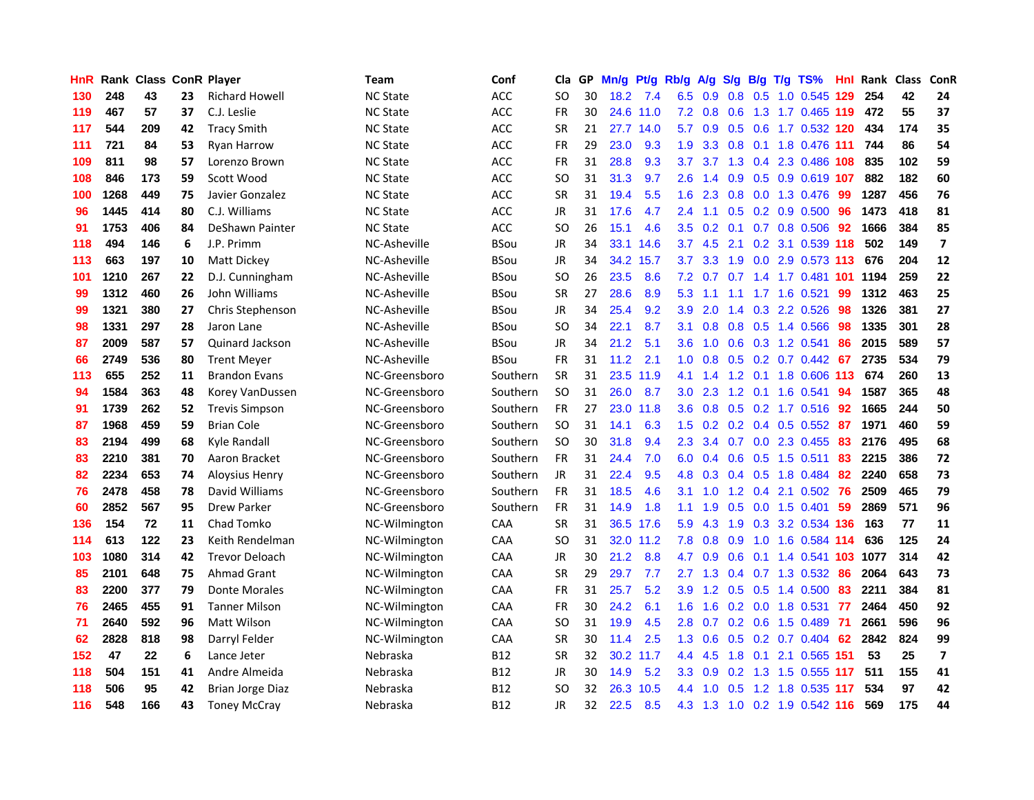| <b>HnR</b> |      | <b>Rank Class ConR Player</b> |    |                       | Team            | Conf        | Cla           |    | GP Mn/g   | Pt/g      | Rb/g             | A/g             | S/g | B/g            | $T/g$ TS%                     | Hnl  | Rank Class |     | ConR                     |
|------------|------|-------------------------------|----|-----------------------|-----------------|-------------|---------------|----|-----------|-----------|------------------|-----------------|-----|----------------|-------------------------------|------|------------|-----|--------------------------|
| 130        | 248  | 43                            | 23 | <b>Richard Howell</b> | <b>NC State</b> | <b>ACC</b>  | SO.           | 30 | 18.2      | 7.4       | 6.5              | 0.9             | 0.8 | 0.5            | 1.0 0.545                     | 129  | 254        | 42  | 24                       |
| 119        | 467  | 57                            | 37 | C.J. Leslie           | <b>NC State</b> | ACC         | <b>FR</b>     | 30 |           | 24.6 11.0 |                  | $7.2 \quad 0.8$ | 0.6 |                | 1.3 1.7 0.465 119             |      | 472        | 55  | 37                       |
| 117        | 544  | 209                           | 42 | <b>Tracy Smith</b>    | <b>NC State</b> | <b>ACC</b>  | <b>SR</b>     | 21 |           | 27.7 14.0 | 5.7              | 0.9             |     | $0.5\quad 0.6$ | 1.7 0.532 120                 |      | 434        | 174 | 35                       |
| 111        | 721  | 84                            | 53 | Ryan Harrow           | <b>NC State</b> | <b>ACC</b>  | FR            | 29 | 23.0      | 9.3       | 1.9              |                 |     |                | 3.3 0.8 0.1 1.8 0.476 111     |      | 744        | 86  | 54                       |
| 109        | 811  | 98                            | 57 | Lorenzo Brown         | <b>NC State</b> | ACC         | <b>FR</b>     | 31 | 28.8      | 9.3       | 3.7              | 3.7             |     |                | 1.3 0.4 2.3 0.486 108         |      | 835        | 102 | 59                       |
| 108        | 846  | 173                           | 59 | Scott Wood            | <b>NC State</b> | ACC         | SO.           | 31 | 31.3      | 9.7       | 2.6              | 1.4             |     |                | 0.9 0.5 0.9 0.619 107         |      | 882        | 182 | 60                       |
| 100        | 1268 | 449                           | 75 | Javier Gonzalez       | <b>NC State</b> | ACC         | <b>SR</b>     | 31 | 19.4      | 5.5       | 1.6              | 2.3             | 0.8 |                | 0.0 1.3 0.476                 | -99  | 1287       | 456 | 76                       |
| 96         | 1445 | 414                           | 80 | C.J. Williams         | <b>NC State</b> | <b>ACC</b>  | JR            | 31 | 17.6      | 4.7       | $2.4^{\circ}$    | 1.1             |     |                | $0.5$ 0.2 0.9 0.500           | 96   | 1473       | 418 | 81                       |
| 91         | 1753 | 406                           | 84 | DeShawn Painter       | <b>NC State</b> | <b>ACC</b>  | <b>SO</b>     | 26 | 15.1      | 4.6       | 3.5              | 0.2             | 0.1 |                | 0.7 0.8 0.506                 | 92   | 1666       | 384 | 85                       |
| 118        | 494  | 146                           | 6  | J.P. Primm            | NC-Asheville    | <b>BSou</b> | JR            | 34 |           | 33.1 14.6 | 3.7              | 4.5             | 2.1 |                | 0.2 3.1 0.539 118             |      | 502        | 149 | $\overline{\mathbf{z}}$  |
| 113        | 663  | 197                           | 10 | Matt Dickey           | NC-Asheville    | <b>BSou</b> | JR            | 34 | 34.2 15.7 |           | 3.7              | 3.3             | 1.9 | 0.0            | 2.9 0.573 113                 |      | 676        | 204 | 12                       |
| 101        | 1210 | 267                           | 22 | D.J. Cunningham       | NC-Asheville    | BSou        | SO.           | 26 | 23.5      | 8.6       | 7.2              | 0.7             | 0.7 |                | 1.4 1.7 0.481                 | -101 | 1194       | 259 | 22                       |
| 99         | 1312 | 460                           | 26 | John Williams         | NC-Asheville    | <b>BSou</b> | <b>SR</b>     | 27 | 28.6      | 8.9       | 5.3              | 1.1             | 1.1 | 1.7            | 1.6 0.521                     | 99   | 1312       | 463 | 25                       |
| 99         | 1321 | 380                           | 27 | Chris Stephenson      | NC-Asheville    | <b>BSou</b> | JR            | 34 | 25.4      | 9.2       | 3.9              | 2.0             | 1.4 | 0.3            | 2.2 0.526                     | 98   | 1326       | 381 | 27                       |
| 98         | 1331 | 297                           | 28 | Jaron Lane            | NC-Asheville    | <b>BSou</b> | SO.           | 34 | 22.1      | 8.7       | 3.1              | 0.8             | 0.8 | 0.5            | 1.4 0.566                     | 98   | 1335       | 301 | 28                       |
| 87         | 2009 | 587                           | 57 | Quinard Jackson       | NC-Asheville    | <b>BSou</b> | JR            | 34 | 21.2      | 5.1       | 3.6              | 1.0             |     |                | $0.6$ $0.3$ 1.2 $0.541$       | 86   | 2015       | 589 | 57                       |
| 66         | 2749 | 536                           | 80 | <b>Trent Meyer</b>    | NC-Asheville    | <b>BSou</b> | FR            | 31 | 11.2      | 2.1       |                  | $1.0 \quad 0.8$ |     |                | 0.5 0.2 0.7 0.442 67          |      | 2735       | 534 | 79                       |
| 113        | 655  | 252                           | 11 | <b>Brandon Evans</b>  | NC-Greensboro   | Southern    | <b>SR</b>     | 31 |           | 23.5 11.9 |                  | 4.1 1.4         |     |                | 1.2 0.1 1.8 0.606 113         |      | 674        | 260 | 13                       |
| 94         | 1584 | 363                           | 48 | Korey VanDussen       | NC-Greensboro   | Southern    | <b>SO</b>     | 31 | 26.0      | 8.7       | 3.0 <sub>1</sub> | 2.3             |     |                | 1.2 0.1 1.6 0.541             | 94   | 1587       | 365 | 48                       |
| 91         | 1739 | 262                           | 52 | <b>Trevis Simpson</b> | NC-Greensboro   | Southern    | <b>FR</b>     | 27 |           | 23.0 11.8 | 3.6 <sup>°</sup> | 0.8             |     |                | $0.5$ $0.2$ 1.7 $0.516$       | 92   | 1665       | 244 | 50                       |
| 87         | 1968 | 459                           | 59 | <b>Brian Cole</b>     | NC-Greensboro   | Southern    | SO.           | 31 | 14.1      | 6.3       | 1.5              | 0.2             |     |                | $0.2$ 0.4 0.5 0.552           | -87  | 1971       | 460 | 59                       |
| 83         | 2194 | 499                           | 68 | Kyle Randall          | NC-Greensboro   | Southern    | <sub>SO</sub> | 30 | 31.8      | 9.4       | 2.3              | 3.4             | 0.7 |                | 0.0 2.3 0.455                 | 83   | 2176       | 495 | 68                       |
| 83         | 2210 | 381                           | 70 | Aaron Bracket         | NC-Greensboro   | Southern    | <b>FR</b>     | 31 | 24.4      | 7.0       | 6.0              | 0.4             | 0.6 |                | $0.5$ 1.5 0.511               | 83   | 2215       | 386 | 72                       |
| 82         | 2234 | 653                           | 74 | Aloysius Henry        | NC-Greensboro   | Southern    | JR            | 31 | 22.4      | 9.5       | 4.8              | 0.3             |     |                | 0.4 0.5 1.8 0.484             | 82   | 2240       | 658 | 73                       |
| 76         | 2478 | 458                           | 78 | David Williams        | NC-Greensboro   | Southern    | <b>FR</b>     | 31 | 18.5      | 4.6       | 3.1              | 1.0             | 1.2 | 0.4            | 2.1 0.502                     | 76   | 2509       | 465 | 79                       |
| 60         | 2852 | 567                           | 95 | <b>Drew Parker</b>    | NC-Greensboro   | Southern    | <b>FR</b>     | 31 | 14.9      | 1.8       | 1.1              | 1.9             | 0.5 | 0.0            | 1.5 0.401                     | 59   | 2869       | 571 | 96                       |
| 136        | 154  | 72                            | 11 | Chad Tomko            | NC-Wilmington   | CAA         | <b>SR</b>     | 31 |           | 36.5 17.6 | 5.9              | 4.3             | 1.9 | 0.3            | 3.2 0.534 136                 |      | 163        | 77  | 11                       |
| 114        | 613  | 122                           | 23 | Keith Rendelman       | NC-Wilmington   | CAA         | <b>SO</b>     | 31 |           | 32.0 11.2 | 7.8              | 0.8             | 0.9 | 1.0            | 1.6 0.584 114                 |      | 636        | 125 | 24                       |
| 103        | 1080 | 314                           | 42 | <b>Trevor Deloach</b> | NC-Wilmington   | CAA         | JR            | 30 | 21.2      | 8.8       | 4.7              | 0.9             | 0.6 | 0.1            | 1.4 0.541 103                 |      | 1077       | 314 | 42                       |
| 85         | 2101 | 648                           | 75 | <b>Ahmad Grant</b>    | NC-Wilmington   | <b>CAA</b>  | <b>SR</b>     | 29 | 29.7      | 7.7       |                  | $2.7$ 1.3       |     |                | 0.4 0.7 1.3 0.532             | -86  | 2064       | 643 | 73                       |
| 83         | 2200 | 377                           | 79 | Donte Morales         | NC-Wilmington   | CAA         | <b>FR</b>     | 31 | 25.7      | 5.2       | 3.9              |                 |     |                | 1.2 0.5 0.5 1.4 0.500         | 83   | 2211       | 384 | 81                       |
| 76         | 2465 | 455                           | 91 | <b>Tanner Milson</b>  | NC-Wilmington   | CAA         | <b>FR</b>     | 30 | 24.2      | 6.1       | 1.6 <sup>°</sup> | 1.6             |     |                | $0.2$ 0.0 1.8 0.531           | -77  | 2464       | 450 | 92                       |
| 71         | 2640 | 592                           | 96 | Matt Wilson           | NC-Wilmington   | CAA         | <b>SO</b>     | 31 | 19.9      | 4.5       | 2.8              | 0.7             |     |                | $0.2$ 0.6 1.5 0.489           | -71  | 2661       | 596 | 96                       |
| 62         | 2828 | 818                           | 98 | Darryl Felder         | NC-Wilmington   | CAA         | <b>SR</b>     | 30 | 11.4      | 2.5       | 1.3              | 0.6             |     |                | $0.5$ 0.2 0.7 0.404           | 62   | 2842       | 824 | 99                       |
| 152        | 47   | 22                            | 6  | Lance Jeter           | Nebraska        | <b>B12</b>  | <b>SR</b>     | 32 | 30.2 11.7 |           | 4.4              | 4.5             | 1.8 | 0.1            | 2.1 0.565 151                 |      | 53         | 25  | $\overline{\phantom{a}}$ |
| 118        | 504  | 151                           | 41 | Andre Almeida         | Nebraska        | <b>B12</b>  | JR            | 30 | 14.9      | 5.2       | 3.3 <sub>1</sub> | 0.9             | 0.2 | 1.3            | 1.5 0.555                     | -117 | 511        | 155 | 41                       |
| 118        | 506  | 95                            | 42 | Brian Jorge Diaz      | Nebraska        | B12         | SO            | 32 | 26.3      | 10.5      | $4.4^{\circ}$    | 1.0             | 0.5 | 1.2            | 1.8 0.535                     | 117  | 534        | 97  | 42                       |
| 116        | 548  | 166                           | 43 | <b>Toney McCray</b>   | Nebraska        | <b>B12</b>  | <b>JR</b>     | 32 | 22.5      | 8.5       |                  |                 |     |                | 4.3 1.3 1.0 0.2 1.9 0.542 116 |      | 569        | 175 | 44                       |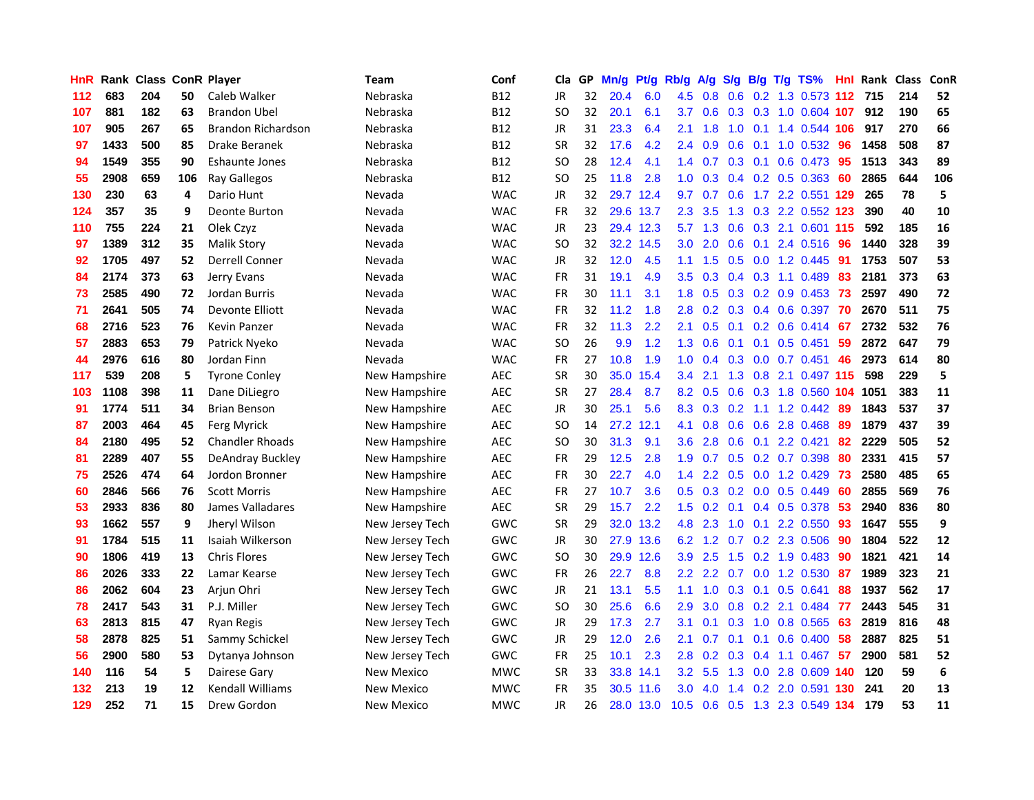| <b>HnR</b> | Rank |     |     | <b>Class ConR Player</b>  | Team              | Conf       | Cla       | GP. | Mn/g | Pt/g      | Rb/g             | A/g             | <b>S/g</b>      | B/g             | $T/g$ TS%               | Hnl | Rank Class |     | ConR |
|------------|------|-----|-----|---------------------------|-------------------|------------|-----------|-----|------|-----------|------------------|-----------------|-----------------|-----------------|-------------------------|-----|------------|-----|------|
| 112        | 683  | 204 | 50  | Caleb Walker              | Nebraska          | <b>B12</b> | <b>JR</b> | 32  | 20.4 | 6.0       | 4.5              | 0.8             | 0.6             | 0.2             | 1.3 0.573               | 112 | 715        | 214 | 52   |
| 107        | 881  | 182 | 63  | <b>Brandon Ubel</b>       | Nebraska          | <b>B12</b> | SO.       | 32  | 20.1 | 6.1       | 3.7              | 0.6             | 0.3             | 0.3             | 1.0 0.604 107           |     | 912        | 190 | 65   |
| 107        | 905  | 267 | 65  | <b>Brandon Richardson</b> | Nebraska          | <b>B12</b> | JR        | 31  | 23.3 | 6.4       | 2.1              | 1.8             | 1.0             | 0.1             | 1.4 0.544 106           |     | 917        | 270 | 66   |
| 97         | 1433 | 500 | 85  | Drake Beranek             | Nebraska          | <b>B12</b> | <b>SR</b> | 32  | 17.6 | 4.2       |                  | 2.4 0.9         | $0.6$ 0.1       |                 | 1.0 0.532               | -96 | 1458       | 508 | 87   |
| 94         | 1549 | 355 | 90  | <b>Eshaunte Jones</b>     | Nebraska          | <b>B12</b> | SO.       | 28  | 12.4 | 4.1       |                  | $1.4 \quad 0.7$ |                 | $0.3 \quad 0.1$ | $0.6$ 0.473             | -95 | 1513       | 343 | 89   |
| 55         | 2908 | 659 | 106 | Ray Gallegos              | Nebraska          | <b>B12</b> | SO.       | 25  | 11.8 | 2.8       | 1.0              | 0.3             |                 |                 | $0.4$ 0.2 0.5 0.363     | -60 | 2865       | 644 | 106  |
| 130        | 230  | 63  | 4   | Dario Hunt                | Nevada            | <b>WAC</b> | JR        | 32  |      | 29.7 12.4 | 9.7              | 0.7             | 0.6             |                 | 1.7 2.2 0.551           | 129 | 265        | 78  | 5    |
| 124        | 357  | 35  | 9   | <b>Deonte Burton</b>      | Nevada            | <b>WAC</b> | FR        | 32  |      | 29.6 13.7 | 2.3              | 3.5             |                 |                 | 1.3 0.3 2.2 0.552 123   |     | 390        | 40  | 10   |
| 110        | 755  | 224 | 21  | Olek Czyz                 | Nevada            | <b>WAC</b> | JR        | 23  |      | 29.4 12.3 | 5.7              | 1.3             | 0.6             |                 | 0.3 2.1 0.601           | 115 | 592        | 185 | 16   |
| 97         | 1389 | 312 | 35  | <b>Malik Story</b>        | Nevada            | <b>WAC</b> | SO.       | 32  |      | 32.2 14.5 | 3.0              | 2.0             | 0.6             | 0.1             | 2.4 0.516               | 96  | 1440       | 328 | 39   |
| 92         | 1705 | 497 | 52  | <b>Derrell Conner</b>     | Nevada            | <b>WAC</b> | JR        | 32  | 12.0 | 4.5       | 1.1              | 1.5             | 0.5             | 0.0             | 1.2 0.445               | -91 | 1753       | 507 | 53   |
| 84         | 2174 | 373 | 63  | Jerry Evans               | Nevada            | <b>WAC</b> | FR        | 31  | 19.1 | 4.9       | 3.5              | 0.3             | $0.4^{\circ}$   | 0.3             | 1.1 0.489               | 83  | 2181       | 373 | 63   |
| 73         | 2585 | 490 | 72  | Jordan Burris             | Nevada            | <b>WAC</b> | <b>FR</b> | 30  | 11.1 | 3.1       | 1.8              | 0.5             | 0.3             | 0.2             | 0.9 0.453               | 73  | 2597       | 490 | 72   |
| 71         | 2641 | 505 | 74  | Devonte Elliott           | Nevada            | <b>WAC</b> | <b>FR</b> | 32  | 11.2 | 1.8       | 2.8              | 0.2             | 0.3             | 0.4             | 0.6 0.397               | -70 | 2670       | 511 | 75   |
| 68         | 2716 | 523 | 76  | Kevin Panzer              | Nevada            | <b>WAC</b> | <b>FR</b> | 32  | 11.3 | 2.2       | 2.1              | 0.5             | 0.1             | 0.2             | 0.6 0.414               | 67  | 2732       | 532 | 76   |
| 57         | 2883 | 653 | 79  | Patrick Nyeko             | Nevada            | <b>WAC</b> | SO.       | 26  | 9.9  | 1.2       | 1.3              | 0.6             | 0.1             | 0.1             | $0.5$ 0.451             | -59 | 2872       | 647 | 79   |
| 44         | 2976 | 616 | 80  | Jordan Finn               | Nevada            | <b>WAC</b> | FR        | 27  | 10.8 | 1.9       | 1.0 <sub>1</sub> | 0.4             |                 |                 | $0.3$ 0.0 0.7 0.451     | -46 | 2973       | 614 | 80   |
| 117        | 539  | 208 | 5   | <b>Tyrone Conley</b>      | New Hampshire     | <b>AEC</b> | <b>SR</b> | 30  | 35.0 | 15.4      | 3.4              | 2.1             |                 |                 | 1.3 0.8 2.1 0.497 115   |     | 598        | 229 | 5    |
| 103        | 1108 | 398 | 11  | Dane DiLiegro             | New Hampshire     | <b>AEC</b> | <b>SR</b> | 27  | 28.4 | 8.7       | 8.2              | 0.5             |                 |                 | 0.6 0.3 1.8 0.560 104   |     | 1051       | 383 | 11   |
| 91         | 1774 | 511 | 34  | <b>Brian Benson</b>       | New Hampshire     | AEC        | JR        | 30  | 25.1 | 5.6       | 8.3              | 0.3             | 0.2             |                 | $1.1$ 1.2 0.442         | 89  | 1843       | 537 | 37   |
| 87         | 2003 | 464 | 45  | Ferg Myrick               | New Hampshire     | AEC        | SO        | 14  | 27.2 | 12.1      | 4.1              | 0.8             |                 |                 | $0.6$ $0.6$ 2.8 $0.468$ | 89  | 1879       | 437 | 39   |
| 84         | 2180 | 495 | 52  | <b>Chandler Rhoads</b>    | New Hampshire     | AEC        | SO.       | 30  | 31.3 | 9.1       | 3.6              | 2.8             | 0.6             | 0.1             | 2.2 0.421               | 82  | 2229       | 505 | 52   |
| 81         | 2289 | 407 | 55  | DeAndray Buckley          | New Hampshire     | <b>AEC</b> | FR        | 29  | 12.5 | 2.8       | 1.9              | 0.7             |                 |                 | 0.5 0.2 0.7 0.398       | 80  | 2331       | 415 | 57   |
| 75         | 2526 | 474 | 64  | Jordon Bronner            | New Hampshire     | <b>AEC</b> | FR        | 30  | 22.7 | 4.0       | 1.4              | 2.2             | 0.5             |                 | 0.0 1.2 0.429           | 73  | 2580       | 485 | 65   |
| 60         | 2846 | 566 | 76  | <b>Scott Morris</b>       | New Hampshire     | <b>AEC</b> | <b>FR</b> | 27  | 10.7 | 3.6       | 0.5              | 0.3             | 0.2             | 0.0             | 0.5 0.449               | 60  | 2855       | 569 | 76   |
| 53         | 2933 | 836 | 80  | James Valladares          | New Hampshire     | <b>AEC</b> | <b>SR</b> | 29  | 15.7 | 2.2       | $1.5^{\circ}$    | 0.2             | 0.1             | $0.4^{\circ}$   | 0.5 0.378               | 53  | 2940       | 836 | 80   |
| 93         | 1662 | 557 | 9   | Jheryl Wilson             | New Jersey Tech   | GWC        | <b>SR</b> | 29  | 32.0 | 13.2      | 4.8              | 2.3             | 1.0             | 0.1             | 2.2 0.550               | 93  | 1647       | 555 | 9    |
| 91         | 1784 | 515 | 11  | Isaiah Wilkerson          | New Jersey Tech   | <b>GWC</b> | JR        | 30  | 27.9 | 13.6      | 6.2              | 1.2             | 0.7             | 0.2             | 2.3 0.506               | 90  | 1804       | 522 | 12   |
| 90         | 1806 | 419 | 13  | <b>Chris Flores</b>       | New Jersey Tech   | GWC        | SO.       | 30  | 29.9 | 12.6      | 3.9              | 2.5             | 1.5             |                 | 0.2 1.9 0.483           | 90  | 1821       | 421 | 14   |
| 86         | 2026 | 333 | 22  | Lamar Kearse              | New Jersey Tech   | GWC        | <b>FR</b> | 26  | 22.7 | 8.8       |                  | $2.2$ 2.2       |                 |                 | 0.7 0.0 1.2 0.530       | -87 | 1989       | 323 | 21   |
| 86         | 2062 | 604 | 23  | Arjun Ohri                | New Jersey Tech   | GWC        | JR        | 21  | 13.1 | 5.5       | 1.1              | 1.0             | $0.3 \quad 0.1$ |                 | 0.5 0.641               | 88  | 1937       | 562 | 17   |
| 78         | 2417 | 543 | 31  | P.J. Miller               | New Jersey Tech   | GWC        | SO.       | 30  | 25.6 | 6.6       | 2.9              | 3.0             |                 |                 | 0.8 0.2 2.1 0.484       | 77  | 2443       | 545 | 31   |
| 63         | 2813 | 815 | 47  | <b>Ryan Regis</b>         | New Jersey Tech   | GWC        | JR        | 29  | 17.3 | 2.7       | 3.1              | 0.1             | 0.3             |                 | 1.0 0.8 0.565           | 63  | 2819       | 816 | 48   |
| 58         | 2878 | 825 | 51  | Sammy Schickel            | New Jersey Tech   | GWC        | JR        | 29  | 12.0 | 2.6       | 2.1              | 0.7             | 0.1             | 0.1             | $0.6$ 0.400             | 58  | 2887       | 825 | 51   |
| 56         | 2900 | 580 | 53  | Dytanya Johnson           | New Jersey Tech   | <b>GWC</b> | <b>FR</b> | 25  | 10.1 | 2.3       | 2.8              | 0.2             | 0.3             | 0.4             | 1.1 0.467               | 57  | 2900       | 581 | 52   |
| 140        | 116  | 54  | 5   | Dairese Gary              | <b>New Mexico</b> | <b>MWC</b> | <b>SR</b> | 33  | 33.8 | 14.1      | 3.2 <sub>2</sub> | 5.5             | 1.3             | 0.0             | 2.8 0.609               | 140 | 120        | 59  | 6    |
| 132        | 213  | 19  | 12  | <b>Kendall Williams</b>   | New Mexico        | MWC        | FR        | 35  | 30.5 | 11.6      | 3.0              | 4.0             | 1.4             | 0.2             | 2.0 0.591               | 130 | 241        | 20  | 13   |
| 129        | 252  | 71  | 15  | Drew Gordon               | New Mexico        | <b>MWC</b> | <b>JR</b> | 26  |      | 28.0 13.0 | 10.5             | 0.6             |                 |                 | 0.5 1.3 2.3 0.549 134   |     | 179        | 53  | 11   |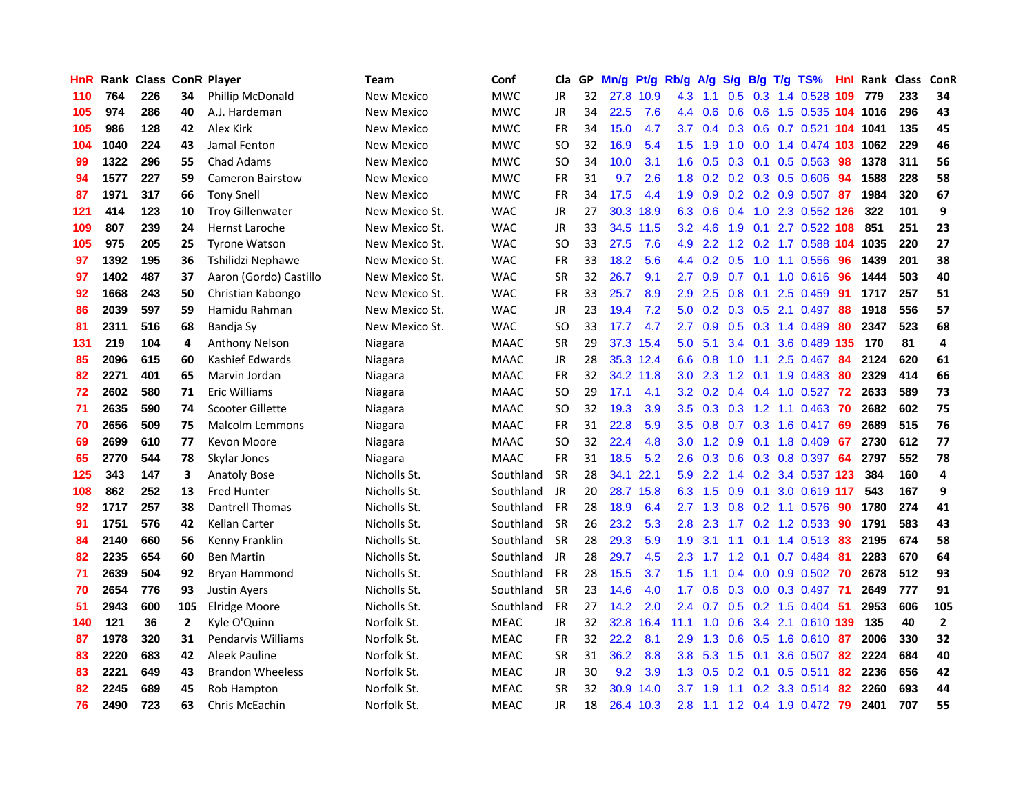| <b>HnR</b> |      | <b>Rank Class ConR Player</b> |                |                           | Team              | Conf        | Cla       |    | GP Mn/g           | Pt/g      | Rb/g             | A/g             | S/g             | B/g             | T/g | TS%                          | Hnl | Rank Class |     | ConR                    |
|------------|------|-------------------------------|----------------|---------------------------|-------------------|-------------|-----------|----|-------------------|-----------|------------------|-----------------|-----------------|-----------------|-----|------------------------------|-----|------------|-----|-------------------------|
| 110        | 764  | 226                           | 34             | <b>Phillip McDonald</b>   | New Mexico        | <b>MWC</b>  | JR        | 32 | 27.8              | 10.9      | 4.3              | 1.1             | 0.5             | 0.3             |     | 1.4 0.528                    | 109 | 779        | 233 | 34                      |
| 105        | 974  | 286                           | 40             | A.J. Hardeman             | New Mexico        | <b>MWC</b>  | JR        | 34 | 22.5              | 7.6       | 4.4              | 0.6             | 0.6             | 0.6             |     | 1.5 0.535 104 1016           |     |            | 296 | 43                      |
| 105        | 986  | 128                           | 42             | Alex Kirk                 | New Mexico        | <b>MWC</b>  | <b>FR</b> | 34 | 15.0              | 4.7       | 3.7              | 0.4             | $0.3 \quad 0.6$ |                 |     | 0.7 0.521 104 1041           |     |            | 135 | 45                      |
| 104        | 1040 | 224                           | 43             | Jamal Fenton              | <b>New Mexico</b> | <b>MWC</b>  | SO.       | 32 | 16.9              | 5.4       |                  | $1.5$ 1.9       |                 |                 |     | 1.0 0.0 1.4 0.474 103 1062   |     |            | 229 | 46                      |
| 99         | 1322 | 296                           | 55             | <b>Chad Adams</b>         | New Mexico        | <b>MWC</b>  | SO.       | 34 | 10.0              | 3.1       |                  | $1.6 \quad 0.5$ |                 |                 |     | $0.3$ 0.1 0.5 0.563          | 98  | 1378       | 311 | 56                      |
| 94         | 1577 | 227                           | 59             | <b>Cameron Bairstow</b>   | New Mexico        | <b>MWC</b>  | FR        | 31 | 9.7               | 2.6       | 1.8 <sup>°</sup> |                 |                 |                 |     | $0.2$ 0.2 0.3 0.5 0.606      | 94  | 1588       | 228 | 58                      |
| 87         | 1971 | 317                           | 66             | <b>Tony Snell</b>         | New Mexico        | <b>MWC</b>  | FR        | 34 | 17.5              | 4.4       | 1.9              | 0.9             |                 |                 |     | 0.2 0.2 0.9 0.507            | -87 | 1984       | 320 | 67                      |
| 121        | 414  | 123                           | 10             | <b>Troy Gillenwater</b>   | New Mexico St.    | <b>WAC</b>  | <b>JR</b> | 27 | 30.3              | 18.9      | 6.3              | 0.6             | 0.4             |                 |     | 1.0 2.3 0.552 126            |     | 322        | 101 | 9                       |
| 109        | 807  | 239                           | 24             | Hernst Laroche            | New Mexico St.    | <b>WAC</b>  | JR        | 33 |                   | 34.5 11.5 | 3.2              | 4.6             | 1.9             | 0.1             |     | 2.7 0.522 108                |     | 851        | 251 | 23                      |
| 105        | 975  | 205                           | 25             | <b>Tyrone Watson</b>      | New Mexico St.    | <b>WAC</b>  | SO.       | 33 | 27.5              | 7.6       | 4.9              | 2.2             | $1.2^{\circ}$   |                 |     | $0.2$ 1.7 0.588              |     | 104 1035   | 220 | 27                      |
| 97         | 1392 | 195                           | 36             | Tshilidzi Nephawe         | New Mexico St.    | <b>WAC</b>  | <b>FR</b> | 33 | 18.2              | 5.6       | $4.4^{\circ}$    | 0.2             | 0.5             | 1.0             |     | 1.1 0.556                    | 96  | 1439       | 201 | 38                      |
| 97         | 1402 | 487                           | 37             | Aaron (Gordo) Castillo    | New Mexico St.    | <b>WAC</b>  | <b>SR</b> | 32 | 26.7              | 9.1       | 2.7              | 0.9             | 0.7             | 0.1             |     | 1.0 0.616                    | 96  | 1444       | 503 | 40                      |
| 92         | 1668 | 243                           | 50             | Christian Kabongo         | New Mexico St.    | <b>WAC</b>  | <b>FR</b> | 33 | 25.7              | 8.9       | 2.9              | 2.5             | 0.8             | 0.1             |     | 2.5 0.459                    | 91  | 1717       | 257 | 51                      |
| 86         | 2039 | 597                           | 59             | Hamidu Rahman             | New Mexico St.    | <b>WAC</b>  | JR        | 23 | 19.4              | 7.2       | 5.0              | 0.2             | 0.3             | 0.5             |     | 2.1 0.497                    | 88  | 1918       | 556 | 57                      |
| 81         | 2311 | 516                           | 68             | Bandja Sy                 | New Mexico St.    | <b>WAC</b>  | SO.       | 33 | 17.7              | 4.7       | 2.7              | 0.9             | 0.5             | 0.3             |     | 1.4 0.489                    | 80  | 2347       | 523 | 68                      |
| 131        | 219  | 104                           | 4              | <b>Anthony Nelson</b>     | Niagara           | <b>MAAC</b> | <b>SR</b> | 29 |                   | 37.3 15.4 | 5.0              | 5.1             |                 | $3.4 \quad 0.1$ |     | 3.6 0.489 135                |     | 170        | 81  | 4                       |
| 85         | 2096 | 615                           | 60             | Kashief Edwards           | Niagara           | <b>MAAC</b> | JR        | 28 |                   | 35.3 12.4 | 6.6              | 0.8             | 1.0             | 1.1             |     | 2.5 0.467                    | -84 | 2124       | 620 | 61                      |
| 82         | 2271 | 401                           | 65             | Marvin Jordan             | Niagara           | <b>MAAC</b> | <b>FR</b> | 32 |                   | 34.2 11.8 |                  | $3.0\quad2.3$   |                 |                 |     | 1.2 0.1 1.9 0.483            | -80 | 2329       | 414 | 66                      |
| 72         | 2602 | 580                           | 71             | <b>Eric Williams</b>      | Niagara           | <b>MAAC</b> | SO.       | 29 | 17.1              | 4.1       |                  |                 |                 |                 |     | 3.2 0.2 0.4 0.4 1.0 0.527 72 |     | 2633       | 589 | 73                      |
| 71         | 2635 | 590                           | 74             | Scooter Gillette          | Niagara           | <b>MAAC</b> | SO.       | 32 | 19.3              | 3.9       | 3.5              | 0.3             |                 |                 |     | 0.3 1.2 1.1 0.463 70         |     | 2682       | 602 | 75                      |
| 70         | 2656 | 509                           | 75             | <b>Malcolm Lemmons</b>    | Niagara           | <b>MAAC</b> | FR        | 31 | 22.8              | 5.9       | $3.5^{\circ}$    | 0.8             |                 |                 |     | 0.7 0.3 1.6 0.417 69         |     | 2689       | 515 | 76                      |
| 69         | 2699 | 610                           | 77             | Kevon Moore               | Niagara           | <b>MAAC</b> | SO.       | 32 | 22.4              | 4.8       | 3.0              | 1.2             | 0.9             | 0.1             |     | 1.8 0.409                    | -67 | 2730       | 612 | 77                      |
| 65         | 2770 | 544                           | 78             | Skylar Jones              | Niagara           | <b>MAAC</b> | <b>FR</b> | 31 | 18.5              | 5.2       | 2.6              | 0.3             | 0.6             |                 |     | $0.3$ 0.8 0.397              | 64  | 2797       | 552 | 78                      |
| 125        | 343  | 147                           | 3              | <b>Anatoly Bose</b>       | Nicholls St.      | Southland   | <b>SR</b> | 28 | 34.1              | 22.1      | 5.9              | 2.2             |                 | $1.4 \quad 0.2$ |     | 3.4 0.537 123                |     | 384        | 160 | $\overline{\mathbf{4}}$ |
| 108        | 862  | 252                           | 13             | <b>Fred Hunter</b>        | Nicholls St.      | Southland   | JR        | 20 |                   | 28.7 15.8 | 6.3              | 1.5             | 0.9             | 0.1             |     | 3.0 0.619 117                |     | 543        | 167 | 9                       |
| 92         | 1717 | 257                           | 38             | Dantrell Thomas           | Nicholls St.      | Southland   | <b>FR</b> | 28 | 18.9              | 6.4       | 2.7              | 1.3             | 0.8             |                 |     | 0.2 1.1 0.576                | -90 | 1780       | 274 | 41                      |
| 91         | 1751 | 576                           | 42             | Kellan Carter             | Nicholls St.      | Southland   | <b>SR</b> | 26 | 23.2              | 5.3       | 2.8              | 2.3             | 1.7             | 0.2             |     | 1.2 0.533                    | 90  | 1791       | 583 | 43                      |
| 84         | 2140 | 660                           | 56             | Kenny Franklin            | Nicholls St.      | Southland   | <b>SR</b> | 28 | 29.3              | 5.9       | 1.9              | 3.1             | 1.1             | 0.1             |     | 1.4 0.513                    | 83  | 2195       | 674 | 58                      |
| 82         | 2235 | 654                           | 60             | <b>Ben Martin</b>         | Nicholls St.      | Southland   | JR        | 28 | 29.7              | 4.5       | 2.3              | 1.7             | $1.2 \quad 0.1$ |                 |     | $0.7$ 0.484                  | -81 | 2283       | 670 | 64                      |
| 71         | 2639 | 504                           | 92             | Bryan Hammond             | Nicholls St.      | Southland   | <b>FR</b> | 28 | 15.5              | 3.7       | $1.5^{\circ}$    | 1.1             |                 |                 |     | $0.4$ 0.0 0.9 0.502          | 70  | 2678       | 512 | 93                      |
| 70         | 2654 | 776                           | 93             | <b>Justin Avers</b>       | Nicholls St.      | Southland   | <b>SR</b> | 23 | 14.6              | 4.0       | 1.7              | 0.6             |                 |                 |     | 0.3 0.0 0.3 0.497 71         |     | 2649       | 777 | 91                      |
| 51         | 2943 | 600                           | 105            | <b>Elridge Moore</b>      | Nicholls St.      | Southland   | <b>FR</b> | 27 | 14.2              | 2.0       | $2.4^{\circ}$    | 0.7             |                 |                 |     | $0.5$ 0.2 1.5 0.404          | -51 | 2953       | 606 | 105                     |
| 140        | 121  | 36                            | $\overline{2}$ | Kyle O'Quinn              | Norfolk St.       | <b>MEAC</b> | <b>JR</b> | 32 | 32.8              | 16.4      | 11.1             | 1.0             | 0.6             |                 |     | 3.4 2.1 0.610 139            |     | 135        | 40  | $\mathbf{2}$            |
| 87         | 1978 | 320                           | 31             | <b>Pendarvis Williams</b> | Norfolk St.       | <b>MEAC</b> | FR        | 32 | 22.2              | 8.1       | 2.9              | 1.3             | 0.6             |                 |     | $0.5$ 1.6 0.610              | 87  | 2006       | 330 | 32                      |
| 83         | 2220 | 683                           | 42             | Aleek Pauline             | Norfolk St.       | <b>MEAC</b> | <b>SR</b> | 31 | 36.2              | 8.8       | 3.8 <sub>2</sub> | 5.3             | 1.5             | 0.1             |     | 3.6 0.507                    | 82  | 2224       | 684 | 40                      |
| 83         | 2221 | 649                           | 43             | <b>Brandon Wheeless</b>   | Norfolk St.       | <b>MEAC</b> | JR        | 30 | 9.2               | 3.9       | 1.3              | 0.5             | 0.2             | 0.1             |     | $0.5$ 0.511                  | 82  | 2236       | 656 | 42                      |
| 82         | 2245 | 689                           | 45             | Rob Hampton               | Norfolk St.       | <b>MEAC</b> | <b>SR</b> | 32 | 30.9 <sup>°</sup> | 14.0      | 3.7              | 1.9             | 1.1             | 0.2             |     | 3.3 0.514                    | 82  | 2260       | 693 | 44                      |
| 76         | 2490 | 723                           | 63             | <b>Chris McEachin</b>     | Norfolk St.       | <b>MEAC</b> | <b>JR</b> | 18 |                   | 26.4 10.3 | 2.8              |                 |                 |                 |     | 1.1 1.2 0.4 1.9 0.472 79     |     | 2401       | 707 | 55                      |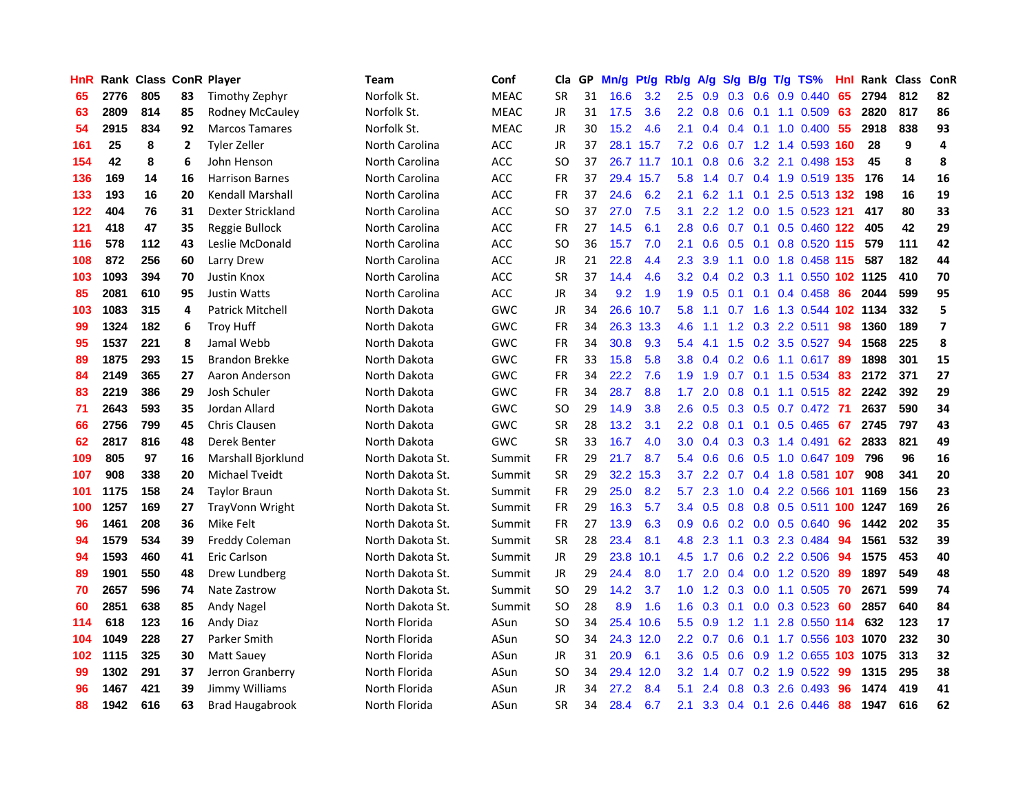| HnR |      | <b>Rank Class ConR Player</b> |    |                         | Team             | Conf        | Cla       | GP. | Mn/g | Pt/g      | Rb/g             | A/g             | S/g B/g         |                 | $T/g$ TS%                     | Hnl | Rank Class |     | <b>ConR</b>    |
|-----|------|-------------------------------|----|-------------------------|------------------|-------------|-----------|-----|------|-----------|------------------|-----------------|-----------------|-----------------|-------------------------------|-----|------------|-----|----------------|
| 65  | 2776 | 805                           | 83 | Timothy Zephyr          | Norfolk St.      | <b>MEAC</b> | <b>SR</b> | 31  | 16.6 | 3.2       | 2.5              | 0.9             | $0.3 \quad 0.6$ |                 | 0.9 0.440                     | 65  | 2794       | 812 | 82             |
| 63  | 2809 | 814                           | 85 | Rodney McCauley         | Norfolk St.      | <b>MEAC</b> | JR        | 31  | 17.5 | 3.6       |                  | $2.2 \quad 0.8$ | 0.6             | 0.1             | 1.1 0.509                     | 63  | 2820       | 817 | 86             |
| 54  | 2915 | 834                           | 92 | <b>Marcos Tamares</b>   | Norfolk St.      | <b>MEAC</b> | JR        | 30  | 15.2 | 4.6       | 2.1              | 0.4             | $0.4$ 0.1       |                 | 1.0 0.400 55                  |     | 2918       | 838 | 93             |
| 161 | 25   | 8                             | 2  | <b>Tyler Zeller</b>     | North Carolina   | <b>ACC</b>  | JR        | 37  |      | 28.1 15.7 |                  |                 |                 |                 | 7.2 0.6 0.7 1.2 1.4 0.593 160 |     | 28         | 9   | 4              |
| 154 | 42   | 8                             | 6  | John Henson             | North Carolina   | ACC         | SO.       | 37  |      | 26.7 11.7 | 10.1             |                 |                 |                 | 0.8 0.6 3.2 2.1 0.498 153     |     | 45         | 8   | 8              |
| 136 | 169  | 14                            | 16 | <b>Harrison Barnes</b>  | North Carolina   | ACC         | <b>FR</b> | 37  |      | 29.4 15.7 | 5.8              | 1.4             |                 |                 | 0.7 0.4 1.9 0.519 135         |     | 176        | 14  | 16             |
| 133 | 193  | 16                            | 20 | Kendall Marshall        | North Carolina   | ACC         | <b>FR</b> | 37  | 24.6 | 6.2       | 2.1              | 6.2             |                 |                 | 1.1 0.1 2.5 0.513 132         |     | 198        | 16  | 19             |
| 122 | 404  | 76                            | 31 | Dexter Strickland       | North Carolina   | <b>ACC</b>  | <b>SO</b> | 37  | 27.0 | 7.5       | 3.1              | 2.2             |                 |                 | 1.2 0.0 1.5 0.523 121         |     | 417        | 80  | 33             |
| 121 | 418  | 47                            | 35 | Reggie Bullock          | North Carolina   | <b>ACC</b>  | FR        | 27  | 14.5 | 6.1       | 2.8              | 0.6             | 0.7             | 0.1             | 0.5 0.460 122                 |     | 405        | 42  | 29             |
| 116 | 578  | 112                           | 43 | Leslie McDonald         | North Carolina   | ACC.        | SO.       | 36  | 15.7 | 7.0       | 2.1              | 0.6             |                 | $0.5 \quad 0.1$ | 0.8 0.520 115                 |     | 579        | 111 | 42             |
| 108 | 872  | 256                           | 60 | Larry Drew              | North Carolina   | <b>ACC</b>  | JR        | 21  | 22.8 | 4.4       | 2.3              | 3.9             | 1.1             | 0.0             | 1.8 0.458 115                 |     | 587        | 182 | 44             |
| 103 | 1093 | 394                           | 70 | Justin Knox             | North Carolina   | ACC         | <b>SR</b> | 37  | 14.4 | 4.6       | 3.2 <sub>2</sub> | 0.4             |                 | $0.2 \quad 0.3$ | 1.1 0.550 102 1125            |     |            | 410 | 70             |
| 85  | 2081 | 610                           | 95 | <b>Justin Watts</b>     | North Carolina   | <b>ACC</b>  | JR        | 34  | 9.2  | 1.9       | 1.9              | 0.5             | 0.1             | 0.1             | 0.4 0.458                     | 86  | 2044       | 599 | 95             |
| 103 | 1083 | 315                           | 4  | <b>Patrick Mitchell</b> | North Dakota     | GWC         | JR        | 34  | 26.6 | 10.7      | 5.8              | 1.1             | 0.7             | 1.6             | 1.3 0.544 102 1134            |     |            | 332 | 5              |
| 99  | 1324 | 182                           | 6  | <b>Troy Huff</b>        | North Dakota     | GWC         | <b>FR</b> | 34  | 26.3 | 13.3      | 4.6              | 1.1             | 1.2             |                 | $0.3$ 2.2 $0.511$             | 98  | 1360       | 189 | $\overline{7}$ |
| 95  | 1537 | 221                           | 8  | Jamal Webb              | North Dakota     | GWC         | <b>FR</b> | 34  | 30.8 | 9.3       | 5.4              | -4.1            |                 |                 | 1.5 0.2 3.5 0.527 94          |     | 1568       | 225 | 8              |
| 89  | 1875 | 293                           | 15 | <b>Brandon Brekke</b>   | North Dakota     | GWC         | FR        | 33  | 15.8 | 5.8       |                  | $3.8 \quad 0.4$ |                 |                 | 0.2 0.6 1.1 0.617 89          |     | 1898       | 301 | 15             |
| 84  | 2149 | 365                           | 27 | Aaron Anderson          | North Dakota     | GWC         | <b>FR</b> | 34  | 22.2 | 7.6       |                  | $1.9$ 1.9       |                 |                 | 0.7 0.1 1.5 0.534 83          |     | 2172       | 371 | 27             |
| 83  | 2219 | 386                           | 29 | Josh Schuler            | North Dakota     | GWC         | <b>FR</b> | 34  | 28.7 | 8.8       | 1.7              | 2.0             |                 |                 | 0.8 0.1 1.1 0.515 82          |     | 2242       | 392 | 29             |
| 71  | 2643 | 593                           | 35 | Jordan Allard           | North Dakota     | GWC         | SO.       | 29  | 14.9 | 3.8       | 2.6              | 0.5             |                 |                 | 0.3 0.5 0.7 0.472 71          |     | 2637       | 590 | 34             |
| 66  | 2756 | 799                           | 45 | <b>Chris Clausen</b>    | North Dakota     | GWC         | <b>SR</b> | 28  | 13.2 | 3.1       | $2.2^{\circ}$    | 0.8             |                 |                 | $0.1$ 0.1 0.5 0.465 67        |     | 2745       | 797 | 43             |
| 62  | 2817 | 816                           | 48 | Derek Benter            | North Dakota     | GWC         | <b>SR</b> | 33  | 16.7 | 4.0       | 3.0              | 0.4             |                 |                 | $0.3$ $0.3$ 1.4 $0.491$       | 62  | 2833       | 821 | 49             |
| 109 | 805  | 97                            | 16 | Marshall Bjorklund      | North Dakota St. | Summit      | FR        | 29  | 21.7 | 8.7       | 5.4              | 0.6             |                 |                 | 0.6 0.5 1.0 0.647 109         |     | 796        | 96  | 16             |
| 107 | 908  | 338                           | 20 | Michael Tveidt          | North Dakota St. | Summit      | <b>SR</b> | 29  |      | 32.2 15.3 | 3.7              | 2.2             |                 |                 | 0.7 0.4 1.8 0.581 107         |     | 908        | 341 | 20             |
| 101 | 1175 | 158                           | 24 | <b>Taylor Braun</b>     | North Dakota St. | Summit      | <b>FR</b> | 29  | 25.0 | 8.2       | 5.7              | 2.3             | 1.0             |                 | 0.4 2.2 0.566 101             |     | 1169       | 156 | 23             |
| 100 | 1257 | 169                           | 27 | <b>TrayVonn Wright</b>  | North Dakota St. | Summit      | <b>FR</b> | 29  | 16.3 | 5.7       | 3.4              | 0.5             | 0.8             |                 | 0.8 0.5 0.511 100             |     | 1247       | 169 | 26             |
| 96  | 1461 | 208                           | 36 | Mike Felt               | North Dakota St. | Summit      | <b>FR</b> | 27  | 13.9 | 6.3       | 0.9              | 0.6             | 0.2             |                 | 0.0 0.5 0.640                 | 96  | 1442       | 202 | 35             |
| 94  | 1579 | 534                           | 39 | Freddy Coleman          | North Dakota St. | Summit      | <b>SR</b> | 28  | 23.4 | 8.1       | 4.8              | 2.3             | 1.1             |                 | 0.3 2.3 0.484                 | 94  | 1561       | 532 | 39             |
| 94  | 1593 | 460                           | 41 | Eric Carlson            | North Dakota St. | Summit      | JR        | 29  | 23.8 | 10.1      | 4.5              | 1.7             | 0.6             |                 | 0.2 2.2 0.506                 | -94 | 1575       | 453 | 40             |
| 89  | 1901 | 550                           | 48 | Drew Lundberg           | North Dakota St. | Summit      | JR        | 29  | 24.4 | 8.0       | 1.7              | 2.0             |                 |                 | $0.4$ 0.0 1.2 0.520           | -89 | 1897       | 549 | 48             |
| 70  | 2657 | 596                           | 74 | Nate Zastrow            | North Dakota St. | Summit      | SO.       | 29  | 14.2 | 3.7       |                  |                 |                 |                 | 1.0 1.2 0.3 0.0 1.1 0.505     | -70 | 2671       | 599 | 74             |
| 60  | 2851 | 638                           | 85 | Andy Nagel              | North Dakota St. | Summit      | SO.       | 28  | 8.9  | 1.6       |                  | $1.6 \quad 0.3$ |                 |                 | $0.1$ 0.0 0.3 0.523           | -60 | 2857       | 640 | 84             |
| 114 | 618  | 123                           | 16 | <b>Andy Diaz</b>        | North Florida    | ASun        | <b>SO</b> | 34  |      | 25.4 10.6 | 5.5              | 0.9             | 1.2             | 1.1             | 2.8 0.550 114                 |     | 632        | 123 | 17             |
| 104 | 1049 | 228                           | 27 | Parker Smith            | North Florida    | ASun        | <b>SO</b> | 34  |      | 24.3 12.0 | $2.2^{\circ}$    | 0.7             | 0.6             |                 | 0.1 1.7 0.556 103 1070        |     |            | 232 | 30             |
| 102 | 1115 | 325                           | 30 | Matt Sauey              | North Florida    | ASun        | <b>JR</b> | 31  | 20.9 | 6.1       | 3.6 <sup>°</sup> | 0.5             |                 |                 | 0.6 0.9 1.2 0.655 103 1075    |     |            | 313 | 32             |
| 99  | 1302 | 291                           | 37 | Jerron Granberry        | North Florida    | ASun        | <b>SO</b> | 34  | 29.4 | 12.0      | 3.2 <sub>2</sub> | 1.4             | 0.7             |                 | $0.2$ 1.9 $0.522$             | -99 | 1315       | 295 | 38             |
| 96  | 1467 | 421                           | 39 | Jimmy Williams          | North Florida    | ASun        | JR        | 34  | 27.2 | 8.4       | 5.1              | 2.4             | 0.8             | 0.3             | 2.6 0.493                     | 96  | 1474       | 419 | 41             |
| 88  | 1942 | 616                           | 63 | <b>Brad Haugabrook</b>  | North Florida    | ASun        | <b>SR</b> | 34  | 28.4 | 6.7       | 2.1              |                 |                 |                 | 3.3 0.4 0.1 2.6 0.446         | 88  | 1947       | 616 | 62             |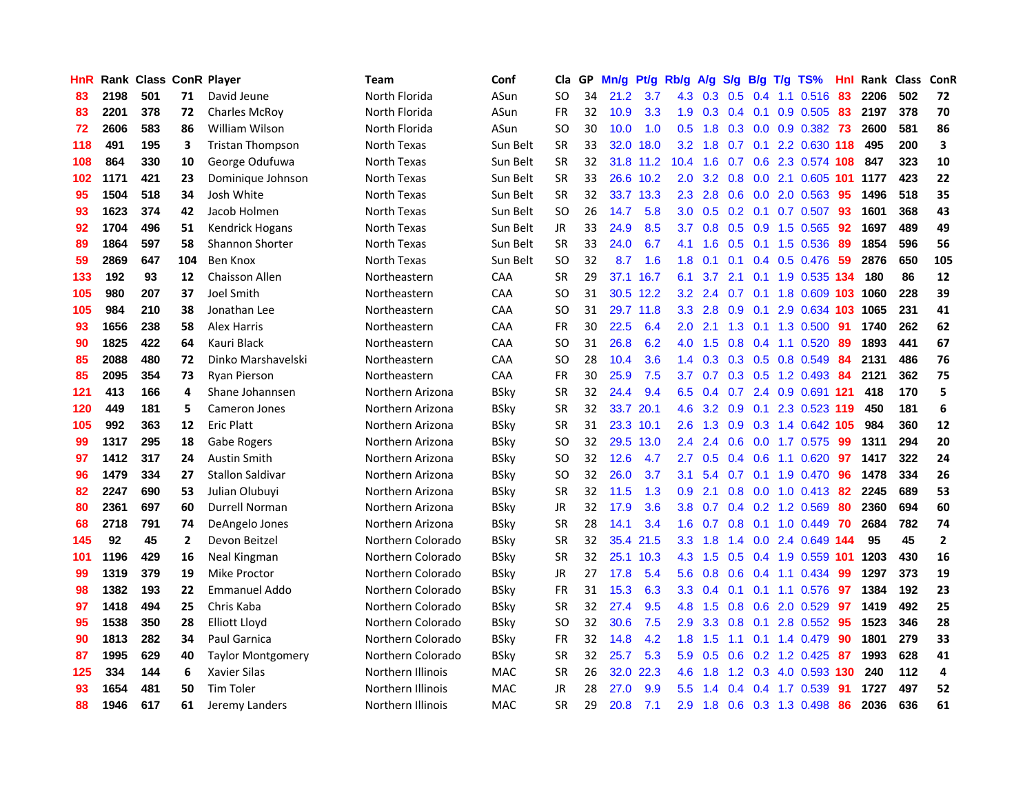| HnR |      | <b>Rank Class ConR Player</b> |              |                          | Team              | Conf        | Cla           |    | GP Mn/g             | Pt/g      | Rb/g             | A/g          | <b>S/g</b>        |     | B/g T/g TS%                   | Hnl | Rank Class |     | ConR         |
|-----|------|-------------------------------|--------------|--------------------------|-------------------|-------------|---------------|----|---------------------|-----------|------------------|--------------|-------------------|-----|-------------------------------|-----|------------|-----|--------------|
| 83  | 2198 | 501                           | 71           | David Jeune              | North Florida     | ASun        | SO            | 34 | $\mathbf{.2}$<br>21 | 3.7       | 4.3              | 0.3          | 0.5               | 0.4 | 1.1 0.516                     | 83  | 2206       | 502 | 72           |
| 83  | 2201 | 378                           | 72           | <b>Charles McRoy</b>     | North Florida     | ASun        | <b>FR</b>     | 32 | 10.9                | 3.3       | 1.9              | 0.3          | $0.4 \quad 0.1$   |     | 0.9 0.505                     | 83  | 2197       | 378 | 70           |
| 72  | 2606 | 583                           | 86           | William Wilson           | North Florida     | ASun        | SO            | 30 | 10.0                | 1.0       | 0.5              | 1.8          | 0.3               | 0.0 | $0.9$ $0.382$ 73              |     | 2600       | 581 | 86           |
| 118 | 491  | 195                           | 3            | <b>Tristan Thompson</b>  | North Texas       | Sun Belt    | <b>SR</b>     | 33 | 32.0                | 18.0      | 3.2              | 1.8          |                   |     | 0.7 0.1 2.2 0.630 118         |     | 495        | 200 | 3            |
| 108 | 864  | 330                           | 10           | George Odufuwa           | North Texas       | Sun Belt    | <b>SR</b>     | 32 |                     | 31.8 11.2 | 10.4             | 1.6          |                   |     | 0.7 0.6 2.3 0.574 108         |     | 847        | 323 | 10           |
| 102 | 1171 | 421                           | 23           | Dominique Johnson        | North Texas       | Sun Belt    | <b>SR</b>     | 33 |                     | 26.6 10.2 | 2.0              | 3.2          |                   |     | 0.8 0.0 2.1 0.605 101         |     | 1177       | 423 | 22           |
| 95  | 1504 | 518                           | 34           | Josh White               | North Texas       | Sun Belt    | <b>SR</b>     | 32 |                     | 33.7 13.3 | $2.3^{\circ}$    | 2.8          | 0.6               |     | 0.0 2.0 0.563                 | -95 | 1496       | 518 | 35           |
| 93  | 1623 | 374                           | 42           | Jacob Holmen             | North Texas       | Sun Belt    | <sub>SO</sub> | 26 | 14.7                | 5.8       | 3.0              | 0.5          |                   |     | 0.2 0.1 0.7 0.507             | 93  | 1601       | 368 | 43           |
| 92  | 1704 | 496                           | 51           | <b>Kendrick Hogans</b>   | North Texas       | Sun Belt    | JR            | 33 | 24.9                | 8.5       | 3.7              | 0.8          |                   |     | 0.5 0.9 1.5 0.565             | 92  | 1697       | 489 | 49           |
| 89  | 1864 | 597                           | 58           | <b>Shannon Shorter</b>   | North Texas       | Sun Belt    | <b>SR</b>     | 33 | 24.0                | 6.7       | 4.1              | 1.6          | 0.5               | 0.1 | 1.5 0.536                     | 89  | 1854       | 596 | 56           |
| 59  | 2869 | 647                           | 104          | Ben Knox                 | North Texas       | Sun Belt    | <b>SO</b>     | 32 | 8.7                 | 1.6       | 1.8              | 0.1          | 0.1               |     | 0.4 0.5 0.476                 | 59  | 2876       | 650 | 105          |
| 133 | 192  | 93                            | 12           | <b>Chaisson Allen</b>    | Northeastern      | CAA         | <b>SR</b>     | 29 |                     | 37.1 16.7 | 6.1              | 3.7          | 2.1               | 0.1 | 1.9 0.535 134                 |     | 180        | 86  | 12           |
| 105 | 980  | 207                           | 37           | Joel Smith               | Northeastern      | CAA         | SO            | 31 |                     | 30.5 12.2 | 3.2              | 2.4          | 0.7               | 0.1 | 1.8 0.609 103                 |     | 1060       | 228 | 39           |
| 105 | 984  | 210                           | 38           | Jonathan Lee             | Northeastern      | <b>CAA</b>  | <b>SO</b>     | 31 |                     | 29.7 11.8 | 3.3 <sub>2</sub> | 2.8          | 0.9               | 0.1 | 2.9 0.634 103                 |     | 1065       | 231 | 41           |
| 93  | 1656 | 238                           | 58           | <b>Alex Harris</b>       | Northeastern      | <b>CAA</b>  | <b>FR</b>     | 30 | 22.5                | 6.4       | 2.0              | 2.1          | 1.3               | 0.1 | 1.3 0.500                     | -91 | 1740       | 262 | 62           |
| 90  | 1825 | 422                           | 64           | Kauri Black              | Northeastern      | CAA         | SO            | 31 | 26.8                | 6.2       | 4.0              | 1.5          | 0.8               | 0.4 | 1.1 0.520                     | -89 | 1893       | 441 | 67           |
| 85  | 2088 | 480                           | 72           | Dinko Marshavelski       | Northeastern      | CAA         | <sub>SO</sub> | 28 | 10.4                | 3.6       |                  |              | $1.4$ 0.3 0.3 0.5 |     | 0.8 0.549                     | -84 | 2131       | 486 | 76           |
| 85  | 2095 | 354                           | 73           | <b>Ryan Pierson</b>      | Northeastern      | CAA         | FR            | 30 | 25.9                | 7.5       | 3.7              | 0.7          |                   |     | 0.3 0.5 1.2 0.493 84          |     | 2121       | 362 | 75           |
| 121 | 413  | 166                           | 4            | Shane Johannsen          | Northern Arizona  | <b>BSky</b> | <b>SR</b>     | 32 | 24.4                | 9.4       |                  |              |                   |     | 6.5 0.4 0.7 2.4 0.9 0.691 121 |     | 418        | 170 | 5            |
| 120 | 449  | 181                           | 5            | Cameron Jones            | Northern Arizona  | <b>BSky</b> | <b>SR</b>     | 32 |                     | 33.7 20.1 | 4.6              | 3.2          |                   |     | 0.9 0.1 2.3 0.523 119         |     | 450        | 181 | 6            |
| 105 | 992  | 363                           | 12           | <b>Eric Platt</b>        | Northern Arizona  | <b>BSky</b> | <b>SR</b>     | 31 |                     | 23.3 10.1 | 2.6              | 1.3          |                   |     | 0.9 0.3 1.4 0.642 105         |     | 984        | 360 | 12           |
| 99  | 1317 | 295                           | 18           | Gabe Rogers              | Northern Arizona  | <b>BSky</b> | <b>SO</b>     | 32 |                     | 29.5 13.0 | $2.4^{\circ}$    | 2.4          | 0.6               |     | 0.0 1.7 0.575                 | -99 | 1311       | 294 | 20           |
| 97  | 1412 | 317                           | 24           | Austin Smith             | Northern Arizona  | <b>BSky</b> | <b>SO</b>     | 32 | 12.6                | 4.7       | 2.7              | 0.5          |                   |     | $0.4$ 0.6 1.1 0.620           | -97 | 1417       | 322 | 24           |
| 96  | 1479 | 334                           | 27           | <b>Stallon Saldivar</b>  | Northern Arizona  | <b>BSky</b> | <b>SO</b>     | 32 | 26.0                | 3.7       | 3.1              | 5.4          |                   |     | 0.7 0.1 1.9 0.470 96          |     | 1478       | 334 | 26           |
| 82  | 2247 | 690                           | 53           | Julian Olubuyi           | Northern Arizona  | <b>BSky</b> | <b>SR</b>     | 32 | 11.5                | 1.3       | 0.9              | 2.1          | 0.8               |     | $0.0$ 1.0 0.413               | -82 | 2245       | 689 | 53           |
| 80  | 2361 | 697                           | 60           | Durrell Norman           | Northern Arizona  | <b>BSky</b> | JR            | 32 | 17.9                | 3.6       | 3.8 <sub>2</sub> | 0.7          |                   |     | $0.4$ 0.2 1.2 0.569           | 80  | 2360       | 694 | 60           |
| 68  | 2718 | 791                           | 74           | DeAngelo Jones           | Northern Arizona  | <b>BSky</b> | <b>SR</b>     | 28 | 14.1                | 3.4       | 1.6              | 0.7          | 0.8               |     | $0.1$ 1.0 0.449               | -70 | 2684       | 782 | 74           |
| 145 | 92   | 45                            | $\mathbf{2}$ | Devon Beitzel            | Northern Colorado | <b>BSky</b> | <b>SR</b>     | 32 |                     | 35.4 21.5 | 3.3 <sub>2</sub> | 1.8          | 1.4               | 0.0 | 2.4 0.649 144                 |     | 95         | 45  | $\mathbf{2}$ |
| 101 | 1196 | 429                           | 16           | Neal Kingman             | Northern Colorado | <b>BSky</b> | <b>SR</b>     | 32 |                     | 25.1 10.3 | 4.3              | 1.5          | 0.5               | 0.4 | 1.9 0.559 101                 |     | 1203       | 430 | 16           |
| 99  | 1319 | 379                           | 19           | <b>Mike Proctor</b>      | Northern Colorado | <b>BSky</b> | JR            | 27 | 17.8                | 5.4       | 5.6              | 0.8          | 0.6               |     | 0.4 1.1 0.434                 | -99 | 1297       | 373 | 19           |
| 98  | 1382 | 193                           | 22           | <b>Emmanuel Addo</b>     | Northern Colorado | <b>BSky</b> | FR            | 31 | 15.3                | 6.3       | 3.3 <sub>2</sub> | 0.4          | 0.1               | 0.1 | 1.1 0.576                     | -97 | 1384       | 192 | 23           |
| 97  | 1418 | 494                           | 25           | Chris Kaba               | Northern Colorado | <b>BSky</b> | SR            | 32 | 27.4                | 9.5       | 4.8              | 1.5          |                   |     | 0.8 0.6 2.0 0.529             | 97  | 1419       | 492 | 25           |
| 95  | 1538 | 350                           | 28           | Elliott Lloyd            | Northern Colorado | <b>BSky</b> | <b>SO</b>     | 32 | 30.6                | 7.5       | 2.9              | 3.3          | $0.8\quad 0.1$    |     | 2.8 0.552 95                  |     | 1523       | 346 | 28           |
| 90  | 1813 | 282                           | 34           | <b>Paul Garnica</b>      | Northern Colorado | <b>BSky</b> | <b>FR</b>     | 32 | 14.8                | 4.2       | 1.8 <sup>°</sup> | 1.5          | 1.1               |     | 0.1 1.4 0.479                 | -90 | 1801       | 279 | 33           |
| 87  | 1995 | 629                           | 40           | <b>Taylor Montgomery</b> | Northern Colorado | <b>BSky</b> | SR            | 32 | 25.7                | 5.3       | 5.9              | 0.5          | 0.6               |     | 0.2 1.2 0.425                 | 87  | 1993       | 628 | 41           |
| 125 | 334  | 144                           | 6            | Xavier Silas             | Northern Illinois | <b>MAC</b>  | <b>SR</b>     | 26 | 32.0                | 22.3      | 4.6              | 1.8          | 1.2               |     | 0.3 4.0 0.593 130             |     | 240        | 112 | 4            |
| 93  | 1654 | 481                           | 50           | Tim Toler                | Northern Illinois | <b>MAC</b>  | JR            | 28 | 27.0                | 9.9       | $5.5^{\circ}$    | $\mathbf{A}$ | $0.4^{\circ}$     | 0.4 | 1.7 0.539                     | -91 | 1727       | 497 | 52           |
| 88  | 1946 | 617                           | 61           | Jeremy Landers           | Northern Illinois | <b>MAC</b>  | SR            | 29 | 20.8                | 7.1       | 2.9              |              |                   |     | 1.8 0.6 0.3 1.3 0.498         | 86  | 2036       | 636 | 61           |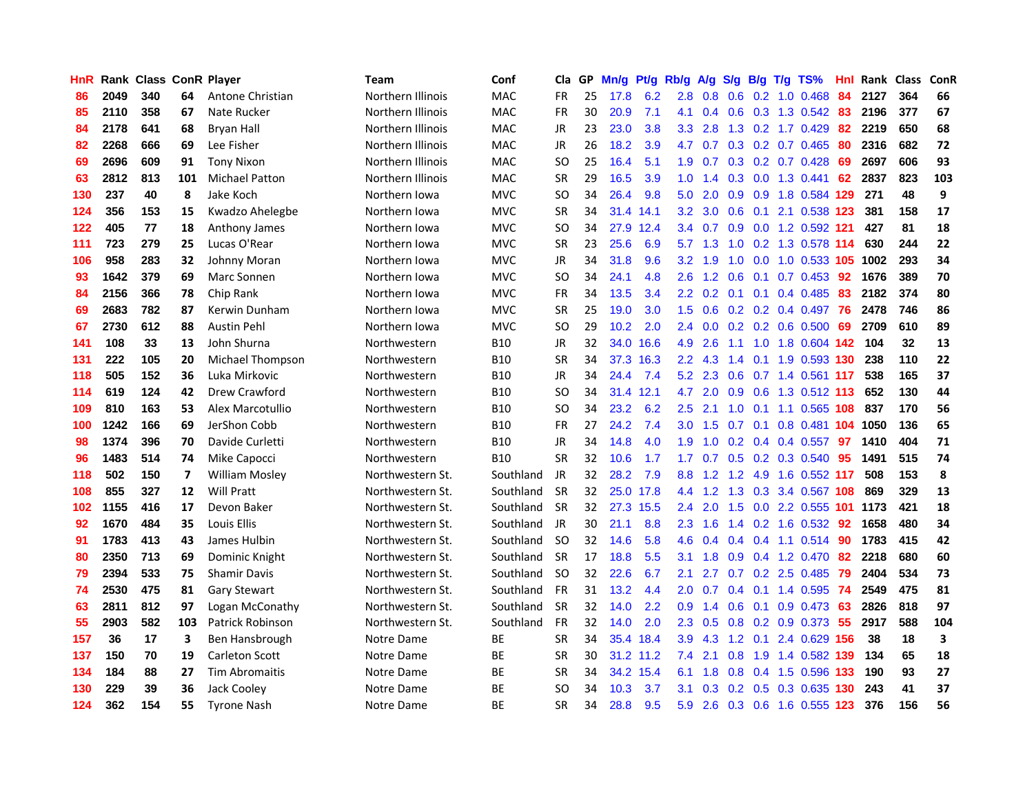| HnR |      | <b>Rank Class ConR Player</b> |                          |                       | Team              | Conf       | Cla           | GP. | Mn/g | Pt/g      | Rb/g             | A/g       | S/g |     | B/g T/g TS%                   | Hnl |      | Rank Class | ConR |
|-----|------|-------------------------------|--------------------------|-----------------------|-------------------|------------|---------------|-----|------|-----------|------------------|-----------|-----|-----|-------------------------------|-----|------|------------|------|
| 86  | 2049 | 340                           | 64                       | Antone Christian      | Northern Illinois | <b>MAC</b> | FR            | 25  | 17.8 | 6.2       | 2.8              | 0.8       | 0.6 | 0.2 | 1.0 0.468                     | 84  | 2127 | 364        | 66   |
| 85  | 2110 | 358                           | 67                       | Nate Rucker           | Northern Illinois | <b>MAC</b> | <b>FR</b>     | 30  | 20.9 | 7.1       | 4.1              | 0.4       | 0.6 | 0.3 | 1.3 0.542                     | 83  | 2196 | 377        | 67   |
| 84  | 2178 | 641                           | 68                       | <b>Bryan Hall</b>     | Northern Illinois | <b>MAC</b> | <b>JR</b>     | 23  | 23.0 | 3.8       | 3.3 <sub>1</sub> | 2.8       | 1.3 |     | 0.2 1.7 0.429                 | 82  | 2219 | 650        | 68   |
| 82  | 2268 | 666                           | 69                       | Lee Fisher            | Northern Illinois | MAC        | JR            | 26  | 18.2 | 3.9       | 4.7              | 0.7       |     |     | 0.3 0.2 0.7 0.465             | 80  | 2316 | 682        | 72   |
| 69  | 2696 | 609                           | 91                       | <b>Tony Nixon</b>     | Northern Illinois | <b>MAC</b> | <b>SO</b>     | 25  | 16.4 | 5.1       |                  |           |     |     | 1.9 0.7 0.3 0.2 0.7 0.428     | -69 | 2697 | 606        | 93   |
| 63  | 2812 | 813                           | 101                      | <b>Michael Patton</b> | Northern Illinois | <b>MAC</b> | <b>SR</b>     | 29  | 16.5 | 3.9       | 1.0 <sub>1</sub> | 1.4       |     |     | $0.3$ 0.0 1.3 0.441           | 62  | 2837 | 823        | 103  |
| 130 | 237  | 40                            | 8                        | Jake Koch             | Northern Iowa     | <b>MVC</b> | <sub>SO</sub> | 34  | 26.4 | 9.8       | 5.0 <sub>1</sub> | 2.0       |     |     | 0.9 0.9 1.8 0.584 129         |     | 271  | 48         | 9    |
| 124 | 356  | 153                           | 15                       | Kwadzo Ahelegbe       | Northern Iowa     | <b>MVC</b> | <b>SR</b>     | 34  |      | 31.4 14.1 | $3.2\phantom{0}$ | 3.0       | 0.6 |     | 0.1 2.1 0.538 123             |     | 381  | 158        | 17   |
| 122 | 405  | 77                            | 18                       | Anthony James         | Northern Iowa     | <b>MVC</b> | <sub>SO</sub> | 34  |      | 27.9 12.4 | 3.4              | 0.7       |     |     | 0.9 0.0 1.2 0.592 121         |     | 427  | 81         | 18   |
| 111 | 723  | 279                           | 25                       | Lucas O'Rear          | Northern Iowa     | <b>MVC</b> | <b>SR</b>     | 23  | 25.6 | 6.9       | 5.7              | 1.3       | 1.0 |     | 0.2 1.3 0.578 114             |     | 630  | 244        | 22   |
| 106 | 958  | 283                           | 32                       | Johnny Moran          | Northern Iowa     | <b>MVC</b> | JR            | 34  | 31.8 | 9.6       | 3.2 <sub>2</sub> | 1.9       | 1.0 |     | 0.0 1.0 0.533 105             |     | 1002 | 293        | 34   |
| 93  | 1642 | 379                           | 69                       | Marc Sonnen           | Northern Iowa     | <b>MVC</b> | <b>SO</b>     | 34  | 24.1 | 4.8       | 2.6              | 1.2       | 0.6 | 0.1 | $0.7$ 0.453                   | 92  | 1676 | 389        | 70   |
| 84  | 2156 | 366                           | 78                       | Chip Rank             | Northern Iowa     | <b>MVC</b> | FR            | 34  | 13.5 | 3.4       | $2.2\phantom{0}$ | 0.2       | 0.1 | 0.1 | 0.4 0.485                     | 83  | 2182 | 374        | 80   |
| 69  | 2683 | 782                           | 87                       | Kerwin Dunham         | Northern Iowa     | <b>MVC</b> | <b>SR</b>     | 25  | 19.0 | 3.0       | 1.5 <sub>1</sub> | 0.6       |     |     | $0.2$ 0.2 0.4 0.497           | 76  | 2478 | 746        | 86   |
| 67  | 2730 | 612                           | 88                       | <b>Austin Pehl</b>    | Northern Iowa     | <b>MVC</b> | SO            | 29  | 10.2 | 2.0       | $2.4^{\circ}$    | 0.0       |     |     | $0.2$ 0.2 0.6 0.500           | -69 | 2709 | 610        | 89   |
| 141 | 108  | 33                            | 13                       | John Shurna           | Northwestern      | <b>B10</b> | JR            | 32  | 34.0 | 16.6      | 4.9              | 2.6       | 1.1 | 1.0 | 1.8 0.604 142                 |     | 104  | 32         | 13   |
| 131 | 222  | 105                           | 20                       | Michael Thompson      | Northwestern      | <b>B10</b> | <b>SR</b>     | 34  |      | 37.3 16.3 |                  | $2.2$ 4.3 | 1.4 | 0.1 | 1.9 0.593 130                 |     | 238  | 110        | 22   |
| 118 | 505  | 152                           | 36                       | Luka Mirkovic         | Northwestern      | <b>B10</b> | JR            | 34  | 24.4 | 7.4       |                  |           |     |     | 5.2 2.3 0.6 0.7 1.4 0.561 117 |     | 538  | 165        | 37   |
| 114 | 619  | 124                           | 42                       | Drew Crawford         | Northwestern      | <b>B10</b> | <b>SO</b>     | 34  |      | 31.4 12.1 | 4.7              |           |     |     | 2.0 0.9 0.6 1.3 0.512 113     |     | 652  | 130        | 44   |
| 109 | 810  | 163                           | 53                       | Alex Marcotullio      | Northwestern      | <b>B10</b> | <b>SO</b>     | 34  | 23.2 | 6.2       | $2.5^{\circ}$    | 2.1       |     |     | 1.0 0.1 1.1 0.565 108         |     | 837  | 170        | 56   |
| 100 | 1242 | 166                           | 69                       | JerShon Cobb          | Northwestern      | <b>B10</b> | <b>FR</b>     | 27  | 24.2 | 7.4       | 3.0 <sub>1</sub> | 1.5       |     |     | 0.7 0.1 0.8 0.481 104 1050    |     |      | 136        | 65   |
| 98  | 1374 | 396                           | 70                       | Davide Curletti       | Northwestern      | <b>B10</b> | <b>JR</b>     | 34  | 14.8 | 4.0       | 1.9              | 1.0       |     |     | 0.2 0.4 0.4 0.557 97          |     | 1410 | 404        | 71   |
| 96  | 1483 | 514                           | 74                       | Mike Capocci          | Northwestern      | <b>B10</b> | <b>SR</b>     | 32  | 10.6 | 1.7       | 1.7 <sub>2</sub> | 0.7       |     |     | $0.5$ 0.2 0.3 0.540           | 95  | 1491 | 515        | 74   |
| 118 | 502  | 150                           | $\overline{\phantom{a}}$ | <b>William Mosley</b> | Northwestern St.  | Southland  | JR            | 32  | 28.2 | 7.9       | 8.8              | 1.2       | 1.2 |     | 4.9 1.6 0.552 117             |     | 508  | 153        | 8    |
| 108 | 855  | 327                           | 12                       | Will Pratt            | Northwestern St.  | Southland  | -SR           | 32  |      | 25.0 17.8 | 4.4              | 1.2       | 1.3 |     | 0.3 3.4 0.567 108             |     | 869  | 329        | 13   |
| 102 | 1155 | 416                           | 17                       | Devon Baker           | Northwestern St.  | Southland  | <b>SR</b>     | 32  |      | 27.3 15.5 | $2.4^{\circ}$    | 2.0       | 1.5 |     | 0.0 2.2 0.555 101             |     | 1173 | 421        | 18   |
| 92  | 1670 | 484                           | 35                       | <b>Louis Ellis</b>    | Northwestern St.  | Southland  | JR.           | 30  | 21.1 | 8.8       | $2.3^{\circ}$    | 1.6       | 1.4 |     | $0.2$ 1.6 0.532               | 92  | 1658 | 480        | 34   |
| 91  | 1783 | 413                           | 43                       | James Hulbin          | Northwestern St.  | Southland  | -SO           | 32  | 14.6 | 5.8       | 4.6              | 0.4       |     |     | $0.4$ 0.4 1.1 0.514           | 90  | 1783 | 415        | 42   |
| 80  | 2350 | 713                           | 69                       | Dominic Knight        | Northwestern St.  | Southland  | <b>SR</b>     | 17  | 18.8 | 5.5       | 3.1              | 1.8       | 0.9 | 0.4 | 1.2 0.470                     | 82  | 2218 | 680        | 60   |
| 79  | 2394 | 533                           | 75                       | <b>Shamir Davis</b>   | Northwestern St.  | Southland  | <b>SO</b>     | 32  | 22.6 | 6.7       | 2.1              | 2.7       | 0.7 |     | 0.2 2.5 0.485                 | 79  | 2404 | 534        | 73   |
| 74  | 2530 | 475                           | 81                       | <b>Gary Stewart</b>   | Northwestern St.  | Southland  | <b>FR</b>     | 31  | 13.2 | 4.4       | 2.0 <sub>1</sub> | 0.7       |     |     | $0.4$ 0.1 1.4 0.595           | -74 | 2549 | 475        | 81   |
| 63  | 2811 | 812                           | 97                       | Logan McConathy       | Northwestern St.  | Southland  | <b>SR</b>     | 32  | 14.0 | 2.2       | 0.9              | 1.4       |     |     | 0.6 0.1 0.9 0.473 63          |     | 2826 | 818        | 97   |
| 55  | 2903 | 582                           | 103                      | Patrick Robinson      | Northwestern St.  | Southland  | <b>FR</b>     | 32  | 14.0 | 2.0       | $2.3^{\circ}$    | 0.5       |     |     | 0.8 0.2 0.9 0.373 55          |     | 2917 | 588        | 104  |
| 157 | 36   | 17                            | 3                        | Ben Hansbrough        | Notre Dame        | ВE         | <b>SR</b>     | 34  |      | 35.4 18.4 | 3.9              | 4.3       |     |     | 1.2 0.1 2.4 0.629 156         |     | 38   | 18         | 3    |
| 137 | 150  | 70                            | 19                       | <b>Carleton Scott</b> | Notre Dame        | ВE         | <b>SR</b>     | 30  |      | 31.2 11.2 | 7.4              | 2.1       | 0.8 |     | 1.9 1.4 0.582 139             |     | 134  | 65         | 18   |
| 134 | 184  | 88                            | 27                       | <b>Tim Abromaitis</b> | Notre Dame        | <b>BE</b>  | <b>SR</b>     | 34  |      | 34.2 15.4 | 6.1              | 1.8       | 0.8 |     | 0.4 1.5 0.596 133             |     | 190  | 93         | 27   |
| 130 | 229  | 39                            | 36                       | Jack Cooley           | Notre Dame        | <b>BE</b>  | <sub>SO</sub> | 34  | 10.3 | 3.7       | 3.1              | 0.3       | 0.2 | 0.5 | 0.3 0.635                     | 130 | 243  | 41         | 37   |
| 124 | 362  | 154                           | 55                       | <b>Tyrone Nash</b>    | Notre Dame        | ВE         | SR            | 34  | 28.8 | 9.5       | 5.9              |           |     |     | 2.6 0.3 0.6 1.6 0.555 123     |     | 376  | 156        | 56   |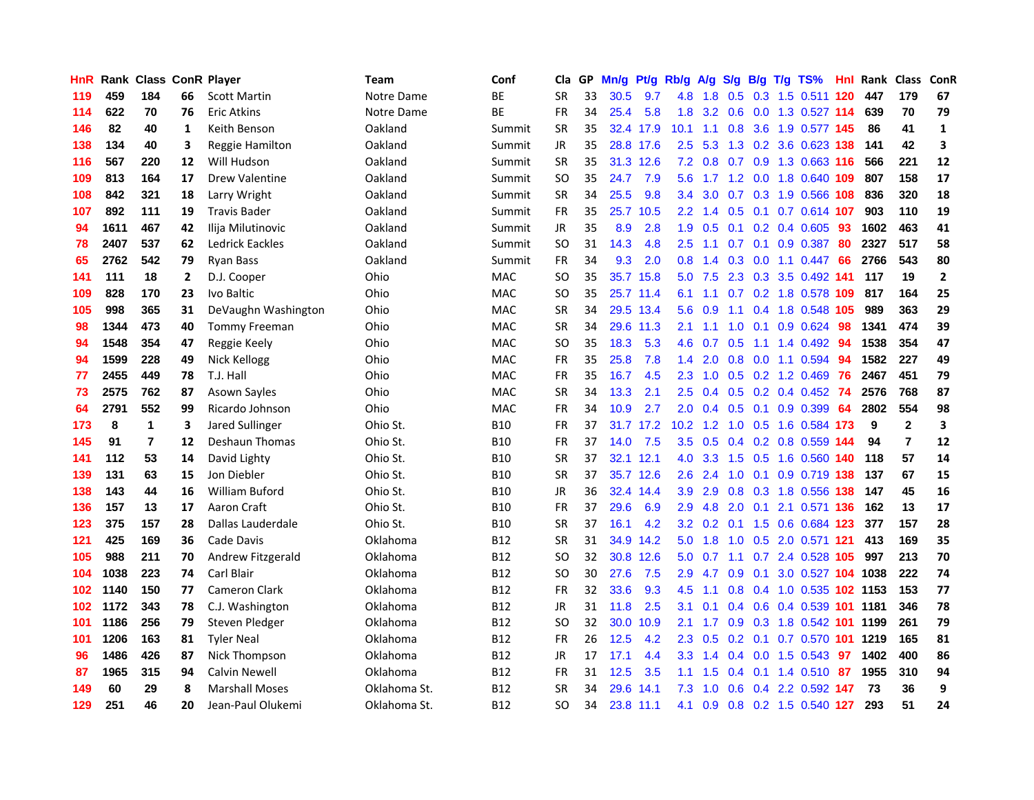| <b>HnR</b> |      | <b>Rank Class ConR Player</b> |              |                       | Team         | Conf       | Cla           | GP | Mn/g | Pt/g      | Rb/g              | A/g | S/g | B/g | $T/g$ TS%                     | Hnl | Rank Class |                | ConR         |
|------------|------|-------------------------------|--------------|-----------------------|--------------|------------|---------------|----|------|-----------|-------------------|-----|-----|-----|-------------------------------|-----|------------|----------------|--------------|
| 119        | 459  | 184                           | 66           | <b>Scott Martin</b>   | Notre Dame   | BE         | <b>SR</b>     | 33 | 30.5 | 9.7       | 4.8               | 1.8 | 0.5 | 0.3 | $1.5$ 0.511                   | 120 | 447        | 179            | 67           |
| 114        | 622  | 70                            | 76           | <b>Eric Atkins</b>    | Notre Dame   | ВE         | <b>FR</b>     | 34 | 25.4 | 5.8       | 1.8               | 3.2 | 0.6 | 0.0 | 1.3 0.527 114                 |     | 639        | 70             | 79           |
| 146        | 82   | 40                            | 1            | Keith Benson          | Oakland      | Summit     | <b>SR</b>     | 35 |      | 32.4 17.9 | 10.1              | 1.1 | 0.8 | 3.6 | 1.9 0.577 145                 |     | 86         | 41             | 1            |
| 138        | 134  | 40                            | 3            | Reggie Hamilton       | Oakland      | Summit     | <b>JR</b>     | 35 |      | 28.8 17.6 | $2.5^{\circ}$     | 5.3 |     |     | 1.3 0.2 3.6 0.623 138         |     | 141        | 42             | 3            |
| 116        | 567  | 220                           | 12           | Will Hudson           | Oakland      | Summit     | <b>SR</b>     | 35 |      | 31.3 12.6 |                   |     |     |     | 7.2 0.8 0.7 0.9 1.3 0.663 116 |     | 566        | 221            | 12           |
| 109        | 813  | 164                           | 17           | Drew Valentine        | Oakland      | Summit     | <b>SO</b>     | 35 | 24.7 | 7.9       | 5.6               |     |     |     | 1.7 1.2 0.0 1.8 0.640 109     |     | 807        | 158            | 17           |
| 108        | 842  | 321                           | 18           | Larry Wright          | Oakland      | Summit     | <b>SR</b>     | 34 | 25.5 | 9.8       | $3.4^{\circ}$     | 3.0 |     |     | 0.7 0.3 1.9 0.566 108         |     | 836        | 320            | 18           |
| 107        | 892  | 111                           | 19           | <b>Travis Bader</b>   | Oakland      | Summit     | <b>FR</b>     | 35 |      | 25.7 10.5 | 2.2 <sub>2</sub>  | 1.4 | 0.5 |     | 0.1 0.7 0.614 107             |     | 903        | 110            | 19           |
| 94         | 1611 | 467                           | 42           | Ilija Milutinovic     | Oakland      | Summit     | <b>JR</b>     | 35 | 8.9  | 2.8       | 1.9               | 0.5 | 0.1 |     | 0.2 0.4 0.605                 | 93  | 1602       | 463            | 41           |
| 78         | 2407 | 537                           | 62           | Ledrick Eackles       | Oakland      | Summit     | <b>SO</b>     | 31 | 14.3 | 4.8       | 2.5               | 1.1 | 0.7 | 0.1 | 0.9 0.387                     | 80  | 2327       | 517            | 58           |
| 65         | 2762 | 542                           | 79           | <b>Ryan Bass</b>      | Oakland      | Summit     | <b>FR</b>     | 34 | 9.3  | 2.0       | 0.8 <sub>0</sub>  | 1.4 | 0.3 |     | $0.0$ 1.1 $0.447$             | 66  | 2766       | 543            | 80           |
| 141        | 111  | 18                            | $\mathbf{2}$ | D.J. Cooper           | Ohio         | MAC        | SO            | 35 |      | 35.7 15.8 | 5.0               | 7.5 | 2.3 | 0.3 | 3.5 0.492 141                 |     | 117        | 19             | $\mathbf{2}$ |
| 109        | 828  | 170                           | 23           | Ivo Baltic            | Ohio         | MAC        | SO            | 35 |      | 25.7 11.4 | 6.1               | 1.1 | 0.7 |     | 0.2 1.8 0.578                 | 109 | 817        | 164            | 25           |
| 105        | 998  | 365                           | 31           | DeVaughn Washington   | Ohio         | <b>MAC</b> | <b>SR</b>     | 34 |      | 29.5 13.4 | 5.6               | 0.9 | 1.1 | 0.4 | 1.8 0.548 105                 |     | 989        | 363            | 29           |
| 98         | 1344 | 473                           | 40           | Tommy Freeman         | Ohio         | <b>MAC</b> | <b>SR</b>     | 34 |      | 29.6 11.3 | 2.1               | 1.1 | 1.0 | 0.1 | 0.9 0.624                     | 98  | 1341       | 474            | 39           |
| 94         | 1548 | 354                           | 47           | Reggie Keely          | Ohio         | <b>MAC</b> | <sub>SO</sub> | 35 | 18.3 | 5.3       | 4.6               | 0.7 | 0.5 | 1.1 | 1.4 0.492                     | -94 | 1538       | 354            | 47           |
| 94         | 1599 | 228                           | 49           | Nick Kellogg          | Ohio         | <b>MAC</b> | FR            | 35 | 25.8 | 7.8       | 1.4 <sup>2</sup>  | 2.0 | 0.8 |     | 0.0 1.1 0.594                 | -94 | 1582       | 227            | 49           |
| 77         | 2455 | 449                           | 78           | T.J. Hall             | Ohio         | <b>MAC</b> | <b>FR</b>     | 35 | 16.7 | 4.5       | $2.3^{\circ}$     |     |     |     | 1.0 0.5 0.2 1.2 0.469 76      |     | 2467       | 451            | 79           |
| 73         | 2575 | 762                           | 87           | <b>Asown Sayles</b>   | Ohio         | <b>MAC</b> | SR            | 34 | 13.3 | 2.1       | $2.5^{\circ}$     | 0.4 |     |     | $0.5$ 0.2 0.4 0.452 74        |     | 2576       | 768            | 87           |
| 64         | 2791 | 552                           | 99           | Ricardo Johnson       | Ohio         | <b>MAC</b> | <b>FR</b>     | 34 | 10.9 | 2.7       | 2.0 <sub>1</sub>  | 0.4 |     |     | $0.5$ 0.1 0.9 0.399           | -64 | 2802       | 554            | 98           |
| 173        | 8    | $\mathbf{1}$                  | 3            | Jared Sullinger       | Ohio St.     | <b>B10</b> | FR            | 37 |      | 31.7 17.2 | 10.2 <sub>1</sub> | 1.2 |     |     | 1.0 0.5 1.6 0.584 173         |     | 9          | $\mathbf{2}$   | 3            |
| 145        | 91   | $\overline{7}$                | 12           | <b>Deshaun Thomas</b> | Ohio St.     | <b>B10</b> | <b>FR</b>     | 37 | 14.0 | 7.5       | 3.5               | 0.5 |     |     | 0.4 0.2 0.8 0.559 144         |     | 94         | $\overline{7}$ | 12           |
| 141        | 112  | 53                            | 14           | David Lighty          | Ohio St.     | <b>B10</b> | <b>SR</b>     | 37 |      | 32.1 12.1 | 4.0               | 3.3 | 1.5 | 0.5 | 1.6 0.560 140                 |     | 118        | 57             | 14           |
| 139        | 131  | 63                            | 15           | Jon Diebler           | Ohio St.     | <b>B10</b> | SR            | 37 |      | 35.7 12.6 | 2.6               | 2.4 | 1.0 | 0.1 | 0.9 0.719 138                 |     | 137        | 67             | 15           |
| 138        | 143  | 44                            | 16           | <b>William Buford</b> | Ohio St.     | <b>B10</b> | <b>JR</b>     | 36 |      | 32.4 14.4 | 3.9               | 2.9 |     |     | 0.8 0.3 1.8 0.556 138         |     | 147        | 45             | 16           |
| 136        | 157  | 13                            | 17           | Aaron Craft           | Ohio St.     | <b>B10</b> | FR            | 37 | 29.6 | 6.9       | 2.9               | 4.8 | 2.0 | 0.1 | 2.1 0.571 136                 |     | 162        | 13             | 17           |
| 123        | 375  | 157                           | 28           | Dallas Lauderdale     | Ohio St.     | <b>B10</b> | <b>SR</b>     | 37 | 16.1 | 4.2       | 3.2 <sub>2</sub>  | 0.2 | 0.1 |     | 1.5 0.6 0.684 123             |     | 377        | 157            | 28           |
| 121        | 425  | 169                           | 36           | Cade Davis            | Oklahoma     | <b>B12</b> | <b>SR</b>     | 31 |      | 34.9 14.2 | 5.0               | 1.8 | 1.0 | 0.5 | 2.0 0.571 121                 |     | 413        | 169            | 35           |
| 105        | 988  | 211                           | 70           | Andrew Fitzgerald     | Oklahoma     | <b>B12</b> | SO            | 32 |      | 30.8 12.6 | 5.0               | 0.7 | 1.1 |     | 0.7 2.4 0.528 105             |     | 997        | 213            | 70           |
| 104        | 1038 | 223                           | 74           | Carl Blair            | Oklahoma     | <b>B12</b> | <sub>SO</sub> | 30 | 27.6 | 7.5       | 2.9               | 4.7 | 0.9 | 0.1 | 3.0 0.527 104 1038            |     |            | 222            | 74           |
| 102        | 1140 | 150                           | 77           | <b>Cameron Clark</b>  | Oklahoma     | <b>B12</b> | <b>FR</b>     | 32 | 33.6 | 9.3       | 4.5               | 1.1 |     |     | 0.8 0.4 1.0 0.535 102 1153    |     |            | 153            | 77           |
| 102        | 1172 | 343                           | 78           | C.J. Washington       | Oklahoma     | <b>B12</b> | JR            | 31 | 11.8 | 2.5       | 3.1               | 0.1 |     |     | 0.4 0.6 0.4 0.539 101 1181    |     |            | 346            | 78           |
| 101        | 1186 | 256                           | 79           | Steven Pledger        | Oklahoma     | <b>B12</b> | <b>SO</b>     | 32 |      | 30.0 10.9 | 2.1               | 1.7 |     |     | 0.9 0.3 1.8 0.542 101 1199    |     |            | 261            | 79           |
| 101        | 1206 | 163                           | 81           | <b>Tyler Neal</b>     | Oklahoma     | <b>B12</b> | <b>FR</b>     | 26 | 12.5 | 4.2       | $2.3^{\circ}$     | 0.5 |     |     | 0.2 0.1 0.7 0.570 101 1219    |     |            | 165            | 81           |
| 96         | 1486 | 426                           | 87           | Nick Thompson         | Oklahoma     | <b>B12</b> | <b>JR</b>     | 17 | 17.1 | 4.4       | 3.3               | 1.4 |     |     | 0.4 0.0 1.5 0.543             | -97 | 1402       | 400            | 86           |
| 87         | 1965 | 315                           | 94           | <b>Calvin Newell</b>  | Oklahoma     | <b>B12</b> | <b>FR</b>     | 31 | 12.5 | 3.5       | 1.1               | 1.5 | 0.4 | 0.1 | 1.4 0.510                     | 87  | 1955       | 310            | 94           |
| 149        | 60   | 29                            | 8            | <b>Marshall Moses</b> | Oklahoma St. | <b>B12</b> | <b>SR</b>     | 34 | 29.6 | 14.1      | 7.3               | 1.0 | 0.6 |     | 0.4 2.2 0.592 147             |     | 73         | 36             | 9            |
| 129        | 251  | 46                            | 20           | Jean-Paul Olukemi     | Oklahoma St. | <b>B12</b> | <b>SO</b>     | 34 |      | 23.8 11.1 | 4.1               | 0.9 |     |     | 0.8 0.2 1.5 0.540 127         |     | 293        | 51             | 24           |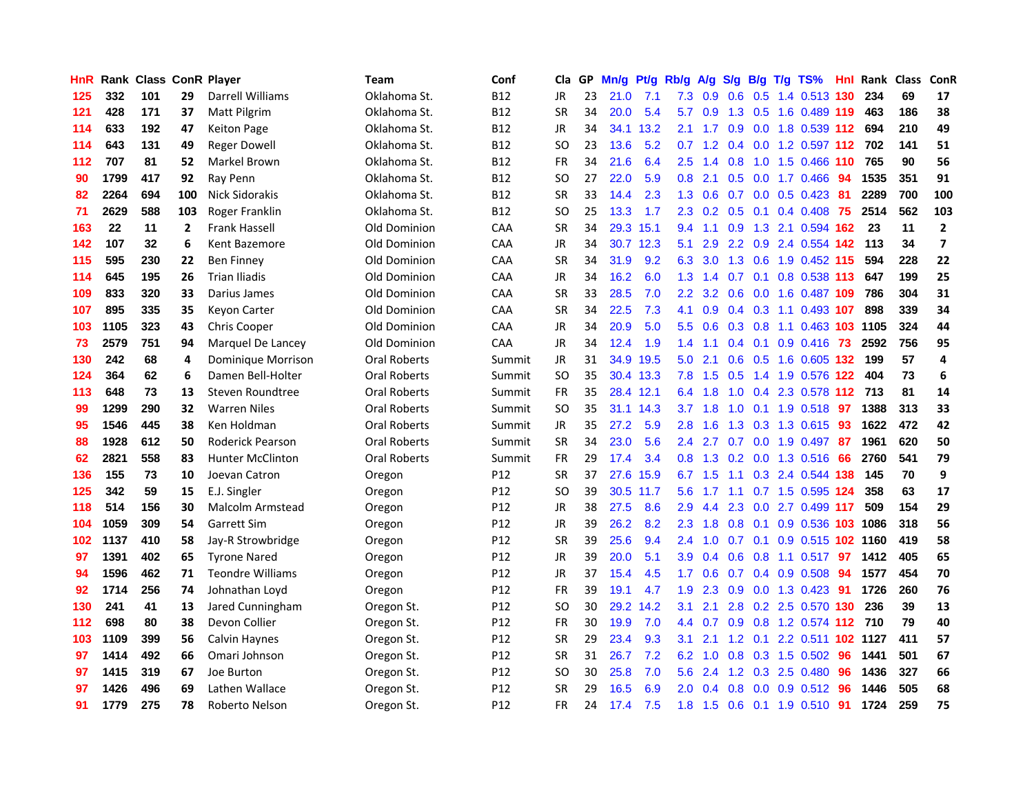| HnR |      | <b>Rank Class ConR Player</b> |              |                         | Team                | Conf            | Cla           | GP | Mn/g | Pt/g      | Rb/g             | A/g       | S/g | B/g             | $T/g$ TS%                         | Hnl  | <b>Rank Class</b> |     | ConR                    |
|-----|------|-------------------------------|--------------|-------------------------|---------------------|-----------------|---------------|----|------|-----------|------------------|-----------|-----|-----------------|-----------------------------------|------|-------------------|-----|-------------------------|
| 125 | 332  | 101                           | 29           | Darrell Williams        | Oklahoma St.        | <b>B12</b>      | <b>JR</b>     | 23 | 21.0 | 7.1       | 7.3              | 0.9       | 0.6 | 0.5             | 1.4 0.513 130                     |      | 234               | 69  | 17                      |
| 121 | 428  | 171                           | 37           | <b>Matt Pilgrim</b>     | Oklahoma St.        | <b>B12</b>      | <b>SR</b>     | 34 | 20.0 | 5.4       | 5.7              | 0.9       | 1.3 | 0.5             | 1.6 0.489 119                     |      | 463               | 186 | 38                      |
| 114 | 633  | 192                           | 47           | <b>Keiton Page</b>      | Oklahoma St.        | <b>B12</b>      | <b>JR</b>     | 34 |      | 34.1 13.2 | 2.1              | 1.7       | 0.9 | 0.0             | 1.8 0.539 112                     |      | 694               | 210 | 49                      |
| 114 | 643  | 131                           | 49           | <b>Reger Dowell</b>     | Oklahoma St.        | <b>B12</b>      | SO            | 23 | 13.6 | 5.2       |                  |           |     |                 | 0.7 1.2 0.4 0.0 1.2 0.597 112 702 |      |                   | 141 | 51                      |
| 112 | 707  | 81                            | 52           | Markel Brown            | Oklahoma St.        | <b>B12</b>      | <b>FR</b>     | 34 | 21.6 | 6.4       | $2.5^{\circ}$    | 1.4       | 0.8 |                 | 1.0 1.5 0.466 110                 |      | 765               | 90  | 56                      |
| 90  | 1799 | 417                           | 92           | Ray Penn                | Oklahoma St.        | <b>B12</b>      | <b>SO</b>     | 27 | 22.0 | 5.9       | 0.8 <sub>0</sub> | 2.1       | 0.5 |                 | 0.0 1.7 0.466                     | -94  | 1535              | 351 | 91                      |
| 82  | 2264 | 694                           | 100          | Nick Sidorakis          | Oklahoma St.        | <b>B12</b>      | <b>SR</b>     | 33 | 14.4 | 2.3       | 1.3 <sup>°</sup> | 0.6       | 0.7 |                 | $0.0$ $0.5$ $0.423$               | -81  | 2289              | 700 | 100                     |
| 71  | 2629 | 588                           | 103          | Roger Franklin          | Oklahoma St.        | <b>B12</b>      | <sub>SO</sub> | 25 | 13.3 | 1.7       | 2.3              | 0.2       | 0.5 | 0.1             | $0.4$ 0.408                       | 75   | 2514              | 562 | 103                     |
| 163 | 22   | 11                            | $\mathbf{2}$ | Frank Hassell           | Old Dominion        | CAA             | <b>SR</b>     | 34 |      | 29.3 15.1 | 9.4              | 1.1       | 0.9 |                 | 1.3 2.1 0.594 162                 |      | 23                | 11  | $\mathbf{2}$            |
| 142 | 107  | 32                            | 6            | Kent Bazemore           | Old Dominion        | <b>CAA</b>      | <b>JR</b>     | 34 |      | 30.7 12.3 | 5.1              | 2.9       |     |                 | 2.2 0.9 2.4 0.554                 | 142  | 113               | 34  | $\overline{\mathbf{z}}$ |
| 115 | 595  | 230                           | 22           | <b>Ben Finney</b>       | Old Dominion        | CAA             | <b>SR</b>     | 34 | 31.9 | 9.2       | 6.3              | 3.0       | 1.3 | 0.6             | 1.9 0.452 115                     |      | 594               | 228 | 22                      |
| 114 | 645  | 195                           | 26           | <b>Trian Iliadis</b>    | Old Dominion        | <b>CAA</b>      | JR            | 34 | 16.2 | 6.0       | 1.3              | 1.4       | 0.7 | 0.1             | 0.8 0.538                         | -113 | 647               | 199 | 25                      |
| 109 | 833  | 320                           | 33           | Darius James            | Old Dominion        | CAA             | <b>SR</b>     | 33 | 28.5 | 7.0       | $2.2^{\circ}$    | 3.2       | 0.6 | 0.0             | 1.6 0.487 109                     |      | 786               | 304 | 31                      |
| 107 | 895  | 335                           | 35           | Keyon Carter            | Old Dominion        | CAA             | SR            | 34 | 22.5 | 7.3       | 4.1              | 0.9       | 0.4 | 0.3             | 1.1 0.493 107                     |      | 898               | 339 | 34                      |
| 103 | 1105 | 323                           | 43           | <b>Chris Cooper</b>     | Old Dominion        | CAA             | <b>JR</b>     | 34 | 20.9 | 5.0       | $5.5^{\circ}$    | 0.6       | 0.3 | 0.8             | $1.1 \quad 0.463 \quad 103$       |      | 1105              | 324 | 44                      |
| 73  | 2579 | 751                           | 94           | Marquel De Lancey       | Old Dominion        | <b>CAA</b>      | JR            | 34 | 12.4 | 1.9       | 1.4 <sup>2</sup> | 1.1       |     | $0.4 \quad 0.1$ | $0.9$ 0.416 73                    |      | 2592              | 756 | 95                      |
| 130 | 242  | 68                            | 4            | Dominique Morrison      | Oral Roberts        | Summit          | JR            | 31 |      | 34.9 19.5 | 5.0              | 2.1       |     |                 | 0.6 0.5 1.6 0.605 132             |      | 199               | 57  | 4                       |
| 124 | 364  | 62                            | 6            | Damen Bell-Holter       | <b>Oral Roberts</b> | Summit          | <sub>SO</sub> | 35 |      | 30.4 13.3 |                  | $7.8$ 1.5 |     |                 | 0.5 1.4 1.9 0.576 122             |      | 404               | 73  | 6                       |
| 113 | 648  | 73                            | 13           | Steven Roundtree        | Oral Roberts        | Summit          | <b>FR</b>     | 35 |      | 28.4 12.1 |                  | 6.4 1.8   |     |                 | 1.0 0.4 2.3 0.578 112 713         |      |                   | 81  | 14                      |
| 99  | 1299 | 290                           | 32           | <b>Warren Niles</b>     | Oral Roberts        | Summit          | <b>SO</b>     | 35 |      | 31.1 14.3 | 3.7              | 1.8       | 1.0 |                 | $0.1$ 1.9 $0.518$                 | 97   | 1388              | 313 | 33                      |
| 95  | 1546 | 445                           | 38           | Ken Holdman             | Oral Roberts        | Summit          | <b>JR</b>     | 35 | 27.2 | 5.9       | 2.8              | 1.6       | 1.3 |                 | $0.3$ 1.3 0.615                   | -93  | 1622              | 472 | 42                      |
| 88  | 1928 | 612                           | 50           | Roderick Pearson        | Oral Roberts        | Summit          | <b>SR</b>     | 34 | 23.0 | 5.6       | 2.4              | 2.7       | 0.7 |                 | $0.0$ 1.9 $0.497$                 | -87  | 1961              | 620 | 50                      |
| 62  | 2821 | 558                           | 83           | <b>Hunter McClinton</b> | <b>Oral Roberts</b> | Summit          | <b>FR</b>     | 29 | 17.4 | 3.4       | 0.8 <sub>0</sub> | 1.3       |     |                 | 0.2 0.0 1.3 0.516                 | 66   | 2760              | 541 | 79                      |
| 136 | 155  | 73                            | 10           | Joevan Catron           | Oregon              | P12             | <b>SR</b>     | 37 | 27.6 | 15.9      | 6.7              | 1.5       | 1.1 |                 | 0.3 2.4 0.544 138                 |      | 145               | 70  | 9                       |
| 125 | 342  | 59                            | 15           | E.J. Singler            | Oregon              | P12             | <b>SO</b>     | 39 |      | 30.5 11.7 | 5.6              | 1.7       | 1.1 |                 | 0.7 1.5 0.595 124                 |      | 358               | 63  | 17                      |
| 118 | 514  | 156                           | 30           | <b>Malcolm Armstead</b> | Oregon              | P12             | JR            | 38 | 27.5 | 8.6       | 2.9              | 4.4       | 2.3 | 0.0             | 2.7 0.499 117                     |      | 509               | 154 | 29                      |
| 104 | 1059 | 309                           | 54           | Garrett Sim             | Oregon              | P12             | <b>JR</b>     | 39 | 26.2 | 8.2       | $2.3^{\circ}$    | 1.8       | 0.8 | 0.1             | 0.9 0.536 103                     |      | 1086              | 318 | 56                      |
| 102 | 1137 | 410                           | 58           | Jay-R Strowbridge       | Oregon              | P12             | SR            | 39 | 25.6 | 9.4       | 2.4              | 1.0       | 0.7 | 0.1             | 0.9 0.515 102 1160                |      |                   | 419 | 58                      |
| 97  | 1391 | 402                           | 65           | <b>Tyrone Nared</b>     | Oregon              | P12             | <b>JR</b>     | 39 | 20.0 | 5.1       | 3.9              | 0.4       | 0.6 | 0.8             | 1.1 0.517                         | -97  | 1412              | 405 | 65                      |
| 94  | 1596 | 462                           | 71           | <b>Teondre Williams</b> | Oregon              | P <sub>12</sub> | <b>JR</b>     | 37 | 15.4 | 4.5       | 1.7 <sub>z</sub> | 0.6       |     |                 | $0.7$ 0.4 0.9 0.508               | 94   | 1577              | 454 | 70                      |
| 92  | 1714 | 256                           | 74           | Johnathan Loyd          | Oregon              | P <sub>12</sub> | <b>FR</b>     | 39 | 19.1 | 4.7       | 1.9              | 2.3       | 0.9 |                 | 0.0 1.3 0.423 91                  |      | 1726              | 260 | 76                      |
| 130 | 241  | 41                            | 13           | Jared Cunningham        | Oregon St.          | P12             | <b>SO</b>     | 30 |      | 29.2 14.2 | 3.1              | 2.1       |     |                 | 2.8 0.2 2.5 0.570 130             |      | 236               | 39  | 13                      |
| 112 | 698  | 80                            | 38           | Devon Collier           | Oregon St.          | P <sub>12</sub> | <b>FR</b>     | 30 | 19.9 | 7.0       | 4.4              | 0.7       |     |                 | 0.9 0.8 1.2 0.574 112 710         |      |                   | 79  | 40                      |
| 103 | 1109 | 399                           | 56           | Calvin Haynes           | Oregon St.          | P12             | <b>SR</b>     | 29 | 23.4 | 9.3       | 3.1              | 2.1       | 1.2 | 0.1             | 2.2 0.511 102 1127                |      |                   | 411 | 57                      |
| 97  | 1414 | 492                           | 66           | Omari Johnson           | Oregon St.          | P <sub>12</sub> | <b>SR</b>     | 31 | 26.7 | 7.2       | 6.2              | 1.0       | 0.8 |                 | 0.3 1.5 0.502                     | 96   | 1441              | 501 | 67                      |
| 97  | 1415 | 319                           | 67           | Joe Burton              | Oregon St.          | P12             | <b>SO</b>     | 30 | 25.8 | 7.0       | 5.6              | 2.4       | 1.2 | 0.3             | 2.5 0.480                         | 96   | 1436              | 327 | 66                      |
| 97  | 1426 | 496                           | 69           | Lathen Wallace          | Oregon St.          | P12             | SR            | 29 | 16.5 | 6.9       | 2.0              | 0.4       | 0.8 | 0.0             | $0.9$ $0.512$                     | 96   | 1446              | 505 | 68                      |
| 91  | 1779 | 275                           | 78           | Roberto Nelson          | Oregon St.          | P12             | <b>FR</b>     | 24 | 17.4 | 7.5       | 1.8              | 1.5       |     |                 | 0.6 0.1 1.9 0.510 91              |      | 1724              | 259 | 75                      |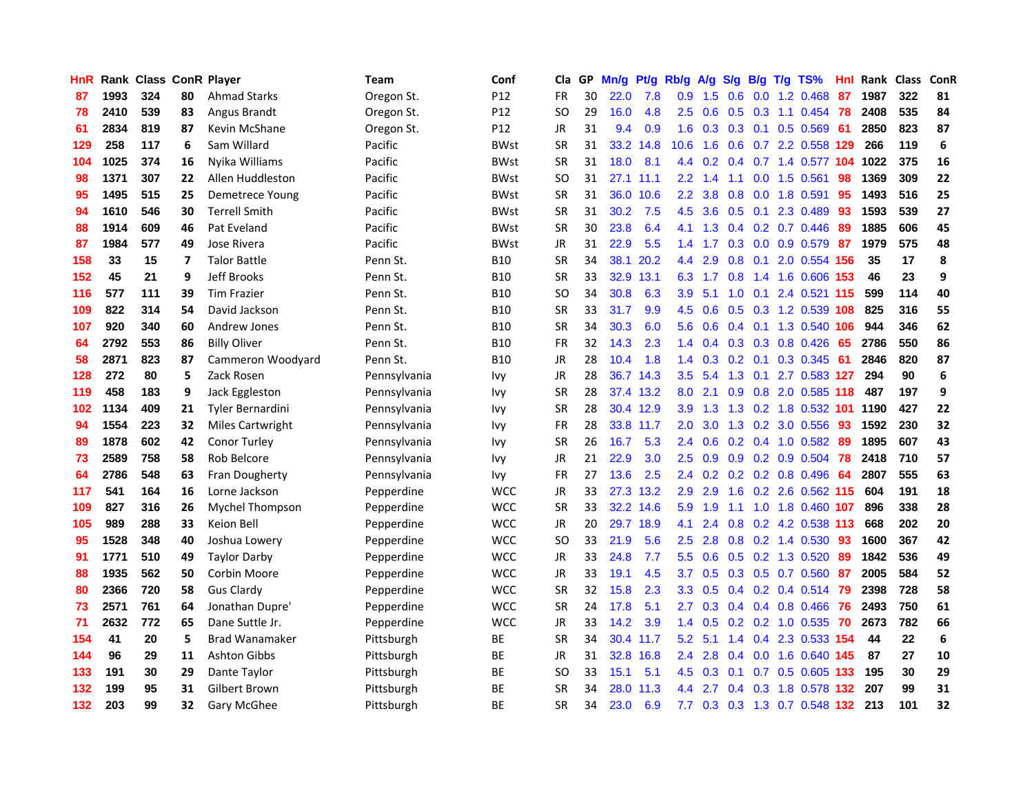| <b>HnR</b> |      | Rank Class ConR Player |                         |                         | Team         | Conf            | Cla       |    | GP Mn/g | Pt/g      | Rb/g             | A/g             |                   |                 | S/g B/g T/g TS%               | Hnl | Rank Class |     | ConR |
|------------|------|------------------------|-------------------------|-------------------------|--------------|-----------------|-----------|----|---------|-----------|------------------|-----------------|-------------------|-----------------|-------------------------------|-----|------------|-----|------|
| 87         | 1993 | 324                    | 80                      | <b>Ahmad Starks</b>     | Oregon St.   | P <sub>12</sub> | FR        | 30 | 22.0    | 7.8       | 0.9              | 1.5             | 0.6               | 0.0             | 1.2 0.468                     | 87  | 1987       | 322 | 81   |
| 78         | 2410 | 539                    | 83                      | Angus Brandt            | Oregon St.   | P <sub>12</sub> | SO.       | 29 | 16.0    | 4.8       | 2.5              | 0.6             | 0.5               | 0.3             | 1.1 0.454                     | -78 | 2408       | 535 | 84   |
| 61         | 2834 | 819                    | 87                      | Kevin McShane           | Oregon St.   | P12             | JR        | 31 | 9.4     | 0.9       | 1.6              | 0.3             | $0.3 \quad 0.1$   |                 | 0.5 0.569                     | -61 | 2850       | 823 | 87   |
| 129        | 258  | 117                    | 6                       | Sam Willard             | Pacific      | <b>BWst</b>     | <b>SR</b> | 31 |         | 33.2 14.8 | 10.6             | 1.6             | 0.6               |                 | 0.7 2.2 0.558 129             |     | 266        | 119 | 6    |
| 104        | 1025 | 374                    | 16                      | Nyika Williams          | Pacific      | <b>BWst</b>     | <b>SR</b> | 31 | 18.0    | 8.1       |                  |                 |                   |                 | 4.4 0.2 0.4 0.7 1.4 0.577 104 |     | 1022       | 375 | 16   |
| 98         | 1371 | 307                    | 22                      | Allen Huddleston        | Pacific      | <b>BWst</b>     | SO.       | 31 |         | 27.1 11.1 | 2.2 <sub>2</sub> | 1.4             | 1.1               |                 | $0.0$ 1.5 $0.561$             | 98  | 1369       | 309 | 22   |
| 95         | 1495 | 515                    | 25                      | Demetrece Young         | Pacific      | <b>BWst</b>     | <b>SR</b> | 31 |         | 36.0 10.6 | $2.2^{\circ}$    | 3.8             | 0.8               |                 | 0.0 1.8 0.591                 | 95  | 1493       | 516 | 25   |
| 94         | 1610 | 546                    | 30                      | <b>Terrell Smith</b>    | Pacific      | <b>BWst</b>     | <b>SR</b> | 31 | 30.2    | 7.5       | 4.5              | 3.6             |                   | $0.5 \quad 0.1$ | 2.3 0.489                     | 93  | 1593       | 539 | 27   |
| 88         | 1914 | 609                    | 46                      | Pat Eveland             | Pacific      | <b>BWst</b>     | <b>SR</b> | 30 | 23.8    | 6.4       | 4.1              | 1.3             |                   |                 | $0.4$ 0.2 0.7 0.446           | 89  | 1885       | 606 | 45   |
| 87         | 1984 | 577                    | 49                      | Jose Rivera             | Pacific      | <b>BWst</b>     | JR        | 31 | 22.9    | 5.5       | 1.4              | 1.7             | 0.3               |                 | 0.0 0.9 0.579                 | 87  | 1979       | 575 | 48   |
| 158        | 33   | 15                     | $\overline{\mathbf{z}}$ | <b>Talor Battle</b>     | Penn St.     | <b>B10</b>      | <b>SR</b> | 34 |         | 38.1 20.2 | 4.4              | 2.9             | 0.8               | 0.1             | 2.0 0.554                     | 156 | 35         | 17  | 8    |
| 152        | 45   | 21                     | 9                       | Jeff Brooks             | Penn St.     | <b>B10</b>      | <b>SR</b> | 33 | 32.9    | 13.1      | 6.3              | 1.7             | 0.8               |                 | 1.4 1.6 0.606                 | 153 | 46         | 23  | 9    |
| 116        | 577  | 111                    | 39                      | <b>Tim Frazier</b>      | Penn St.     | <b>B10</b>      | SO.       | 34 | 30.8    | 6.3       | 3.9              | 5.1             | 1.0               | 0.1             | 2.4 0.521 115                 |     | 599        | 114 | 40   |
| 109        | 822  | 314                    | 54                      | David Jackson           | Penn St.     | <b>B10</b>      | <b>SR</b> | 33 | 31.7    | 9.9       | 4.5              | 0.6             | 0.5               |                 | 0.3 1.2 0.539                 | 108 | 825        | 316 | 55   |
| 107        | 920  | 340                    | 60                      | <b>Andrew Jones</b>     | Penn St.     | <b>B10</b>      | <b>SR</b> | 34 | 30.3    | 6.0       | 5.6              | 0.6             |                   | $0.4$ 0.1       | 1.3 0.540                     | 106 | 944        | 346 | 62   |
| 64         | 2792 | 553                    | 86                      | <b>Billy Oliver</b>     | Penn St.     | <b>B10</b>      | <b>FR</b> | 32 | 14.3    | 2.3       |                  | $1.4 \quad 0.4$ |                   |                 | $0.3$ $0.3$ $0.8$ $0.426$     | 65  | 2786       | 550 | 86   |
| 58         | 2871 | 823                    | 87                      | Cammeron Woodyard       | Penn St.     | <b>B10</b>      | JR        | 28 | 10.4    | 1.8       |                  |                 | $1.4$ 0.3 0.2 0.1 |                 | 0.3 0.345                     | -61 | 2846       | 820 | 87   |
| 128        | 272  | 80                     | 5                       | Zack Rosen              | Pennsylvania | <b>Ivy</b>      | JR        | 28 |         | 36.7 14.3 |                  | $3.5$ 5.4       |                   |                 | 1.3 0.1 2.7 0.583 127         |     | 294        | 90  | 6    |
| 119        | 458  | 183                    | 9                       | Jack Eggleston          | Pennsylvania | <b>Ivy</b>      | <b>SR</b> | 28 |         | 37.4 13.2 | 8.0              | 2.1             |                   |                 | 0.9 0.8 2.0 0.585 118         |     | 487        | 197 | 9    |
| 102        | 1134 | 409                    | 21                      | <b>Tyler Bernardini</b> | Pennsylvania | <b>Ivy</b>      | <b>SR</b> | 28 |         | 30.4 12.9 | 3.9 <sup>°</sup> | 1.3             |                   |                 | 1.3 0.2 1.8 0.532 101         |     | 1190       | 427 | 22   |
| 94         | 1554 | 223                    | 32                      | <b>Miles Cartwright</b> | Pennsylvania | <b>Ivy</b>      | FR        | 28 |         | 33.8 11.7 | $2.0\,$          | 3.0             |                   |                 | 1.3 0.2 3.0 0.556             | 93  | 1592       | 230 | 32   |
| 89         | 1878 | 602                    | 42                      | Conor Turley            | Pennsylvania | <b>Ivy</b>      | <b>SR</b> | 26 | 16.7    | 5.3       | 2.4              | 0.6             |                   |                 | 0.2 0.4 1.0 0.582             | 89  | 1895       | 607 | 43   |
| 73         | 2589 | 758                    | 58                      | Rob Belcore             | Pennsylvania | <b>Ivy</b>      | JR        | 21 | 22.9    | 3.0       | $2.5^{\circ}$    | 0.9             |                   |                 | 0.9 0.2 0.9 0.504             | 78  | 2418       | 710 | 57   |
| 64         | 2786 | 548                    | 63                      | Fran Dougherty          | Pennsylvania | Ivy             | <b>FR</b> | 27 | 13.6    | 2.5       | $2.4^{\circ}$    | 0.2             |                   |                 | 0.2 0.2 0.8 0.496             | -64 | 2807       | 555 | 63   |
| 117        | 541  | 164                    | 16                      | Lorne Jackson           | Pepperdine   | <b>WCC</b>      | JR        | 33 |         | 27.3 13.2 | 2.9              | 2.9             | 1.6               |                 | 0.2 2.6 0.562 115             |     | 604        | 191 | 18   |
| 109        | 827  | 316                    | 26                      | <b>Mychel Thompson</b>  | Pepperdine   | <b>WCC</b>      | <b>SR</b> | 33 |         | 32.2 14.6 | 5.9              | 1.9             | 1.1               | 1.0             | 1.8 0.460 107                 |     | 896        | 338 | 28   |
| 105        | 989  | 288                    | 33                      | Keion Bell              | Pepperdine   | <b>WCC</b>      | <b>JR</b> | 20 |         | 29.7 18.9 | 4.1              | 2.4             | 0.8               |                 | 0.2 4.2 0.538 113             |     | 668        | 202 | 20   |
| 95         | 1528 | 348                    | 40                      | Joshua Lowery           | Pepperdine   | <b>WCC</b>      | <b>SO</b> | 33 | 21.9    | 5.6       | 2.5              | 2.8             | 0.8               |                 | 0.2 1.4 0.530                 | 93  | 1600       | 367 | 42   |
| 91         | 1771 | 510                    | 49                      | <b>Taylor Darby</b>     | Pepperdine   | <b>WCC</b>      | JR        | 33 | 24.8    | 7.7       | 5.5              | 0.6             |                   |                 | $0.5$ $0.2$ 1.3 $0.520$       | -89 | 1842       | 536 | 49   |
| 88         | 1935 | 562                    | 50                      | Corbin Moore            | Pepperdine   | <b>WCC</b>      | JR        | 33 | 19.1    | 4.5       | 3.7              | 0.5             |                   |                 | 0.3 0.5 0.7 0.560             | 87  | 2005       | 584 | 52   |
| 80         | 2366 | 720                    | 58                      | <b>Gus Clardy</b>       | Pepperdine   | <b>WCC</b>      | <b>SR</b> | 32 | 15.8    | 2.3       | 3.3 <sub>2</sub> | 0.5             |                   |                 | $0.4$ 0.2 0.4 0.514           | -79 | 2398       | 728 | 58   |
| 73         | 2571 | 761                    | 64                      | Jonathan Dupre'         | Pepperdine   | <b>WCC</b>      | <b>SR</b> | 24 | 17.8    | 5.1       | 2.7              | 0.3             |                   |                 | $0.4$ 0.4 0.8 0.466           | -76 | 2493       | 750 | 61   |
| 71         | 2632 | 772                    | 65                      | Dane Suttle Jr.         | Pepperdine   | <b>WCC</b>      | <b>JR</b> | 33 | 14.2    | 3.9       |                  | $1.4 \quad 0.5$ |                   |                 | 0.2 0.2 1.0 0.535             | -70 | 2673       | 782 | 66   |
| 154        | 41   | 20                     | 5                       | <b>Brad Wanamaker</b>   | Pittsburgh   | ВE              | <b>SR</b> | 34 |         | 30.4 11.7 | 5.2              | 5.1             |                   |                 | 1.4 0.4 2.3 0.533 154         |     | 44         | 22  | 6    |
| 144        | 96   | 29                     | 11                      | <b>Ashton Gibbs</b>     | Pittsburgh   | BE              | JR        | 31 |         | 32.8 16.8 | $2.4^{\circ}$    | 2.8             |                   |                 | 0.4 0.0 1.6 0.640 145         |     | 87         | 27  | 10   |
| 133        | 191  | 30                     | 29                      | Dante Taylor            | Pittsburgh   | <b>BE</b>       | <b>SO</b> | 33 | 15.1    | 5.1       | 4.5              | 0.3             | 0.1               | 0.7             | 0.5 0.605                     | 133 | 195        | 30  | 29   |
| 132        | 199  | 95                     | 31                      | Gilbert Brown           | Pittsburgh   | ВE              | <b>SR</b> | 34 | 28.0    | 11.3      | 4.4              | 2.7             | $0.4^{\circ}$     | 0.3             | 1.8 0.578                     | 132 | 207        | 99  | 31   |
| 132        | 203  | 99                     | 32                      | Gary McGhee             | Pittsburgh   | <b>BE</b>       | <b>SR</b> | 34 | 23.0    | 6.9       | 7.7 <sub>2</sub> |                 |                   |                 | 0.3 0.3 1.3 0.7 0.548 132     |     | 213        | 101 | 32   |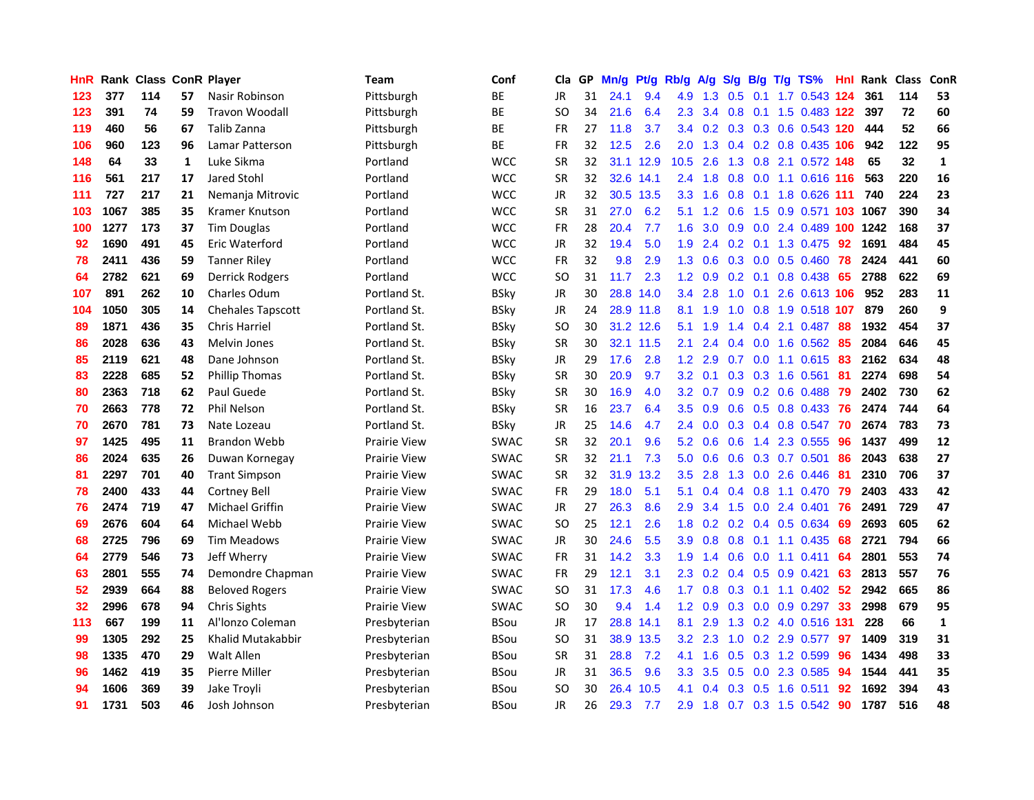| <b>HnR</b>      |      |     |    | <b>Rank Class ConR Player</b> | Team                | Conf        | Cla       |    | GP Mn/g | Pt/g      | Rb/g             | A/g             | S/g | B/g             | $T/g$ TS%                     | Hnl  |      | Rank Class | ConR         |
|-----------------|------|-----|----|-------------------------------|---------------------|-------------|-----------|----|---------|-----------|------------------|-----------------|-----|-----------------|-------------------------------|------|------|------------|--------------|
| 123             | 377  | 114 | 57 | Nasir Robinson                | Pittsburgh          | BE          | <b>JR</b> | 31 | 24.1    | 9.4       | 4.9              | 1.3             | 0.5 | 0.1             | 1.7 0.543 124                 |      | 361  | 114        | 53           |
| 123             | 391  | 74  | 59 | <b>Travon Woodall</b>         | Pittsburgh          | ВE          | SO.       | 34 | 21.6    | 6.4       | $2.3^{\circ}$    | 3.4             | 0.8 | 0.1             | 1.5 0.483 122                 |      | 397  | 72         | 60           |
| 119             | 460  | 56  | 67 | Talib Zanna                   | Pittsburgh          | ВE          | <b>FR</b> | 27 | 11.8    | 3.7       |                  |                 |     |                 | 3.4 0.2 0.3 0.3 0.6 0.543 120 |      | 444  | 52         | 66           |
| 106             | 960  | 123 | 96 | Lamar Patterson               | Pittsburgh          | ВE          | FR        | 32 | 12.5    | 2.6       |                  |                 |     |                 | 2.0 1.3 0.4 0.2 0.8 0.435 106 |      | 942  | 122        | 95           |
| 148             | 64   | 33  | 1  | Luke Sikma                    | Portland            | <b>WCC</b>  | <b>SR</b> | 32 |         | 31.1 12.9 | 10.5             | 2.6             |     |                 | 1.3 0.8 2.1 0.572 148         |      | 65   | 32         | $\mathbf{1}$ |
| 116             | 561  | 217 | 17 | Jared Stohl                   | Portland            | <b>WCC</b>  | <b>SR</b> | 32 |         | 32.6 14.1 |                  | $2.4$ 1.8       |     |                 | 0.8 0.0 1.1 0.616 116         |      | 563  | 220        | 16           |
| 111             | 727  | 217 | 21 | Nemanja Mitrovic              | Portland            | <b>WCC</b>  | <b>JR</b> | 32 |         | 30.5 13.5 | 3.3 <sub>2</sub> | 1.6             | 0.8 |                 | 0.1 1.8 0.626 111             |      | 740  | 224        | 23           |
| 103             | 1067 | 385 | 35 | Kramer Knutson                | Portland            | <b>WCC</b>  | <b>SR</b> | 31 | 27.0    | 6.2       | 5.1              | 1.2             | 0.6 |                 | 1.5 0.9 0.571 103 1067        |      |      | 390        | 34           |
| 100             | 1277 | 173 | 37 | <b>Tim Douglas</b>            | Portland            | <b>WCC</b>  | <b>FR</b> | 28 | 20.4    | 7.7       | 1.6              | 3.0             | 0.9 |                 | 0.0 2.4 0.489 100             |      | 1242 | 168        | 37           |
| 92              | 1690 | 491 | 45 | Eric Waterford                | Portland            | <b>WCC</b>  | JR        | 32 | 19.4    | 5.0       | 1.9              | 2.4             |     |                 | 0.2 0.1 1.3 0.475             | 92   | 1691 | 484        | 45           |
| 78              | 2411 | 436 | 59 | <b>Tanner Riley</b>           | Portland            | <b>WCC</b>  | <b>FR</b> | 32 | 9.8     | 2.9       | 1.3              | 0.6             |     |                 | $0.3$ 0.0 0.5 0.460           | 78   | 2424 | 441        | 60           |
| 64              | 2782 | 621 | 69 | <b>Derrick Rodgers</b>        | Portland            | <b>WCC</b>  | SO.       | 31 | 11.7    | 2.3       | 1.2 <sub>1</sub> | 0.9             | 0.2 | 0.1             | 0.8 0.438                     | 65   | 2788 | 622        | 69           |
| 107             | 891  | 262 | 10 | <b>Charles Odum</b>           | Portland St.        | <b>BSkv</b> | <b>JR</b> | 30 |         | 28.8 14.0 | 3.4              | 2.8             | 1.0 | 0.1             | 2.6 0.613 106                 |      | 952  | 283        | 11           |
| 104             | 1050 | 305 | 14 | <b>Chehales Tapscott</b>      | Portland St.        | <b>BSky</b> | JR        | 24 |         | 28.9 11.8 | 8.1              | 1.9             | 1.0 | 0.8             | 1.9 0.518 107                 |      | 879  | 260        | 9            |
| 89              | 1871 | 436 | 35 | <b>Chris Harriel</b>          | Portland St.        | <b>BSky</b> | <b>SO</b> | 30 |         | 31.2 12.6 | 5.1              | 1.9             | 1.4 | 0.4             | 2.1 0.487                     | -88  | 1932 | 454        | 37           |
| 86              | 2028 | 636 | 43 | <b>Melvin Jones</b>           | Portland St.        | <b>BSky</b> | <b>SR</b> | 30 |         | 32.1 11.5 | 2.1              | 2.4             |     |                 | $0.4$ 0.0 1.6 0.562           | -85  | 2084 | 646        | 45           |
| 85              | 2119 | 621 | 48 | Dane Johnson                  | Portland St.        | <b>BSky</b> | JR        | 29 | 17.6    | 2.8       |                  | $1.2$ 2.9       |     |                 | $0.7$ $0.0$ 1.1 $0.615$       | -83  | 2162 | 634        | 48           |
| 83              | 2228 | 685 | 52 | <b>Phillip Thomas</b>         | Portland St.        | <b>BSky</b> | <b>SR</b> | 30 | 20.9    | 9.7       |                  | $3.2 \quad 0.1$ |     |                 | $0.3$ $0.3$ 1.6 $0.561$       | - 81 | 2274 | 698        | 54           |
| 80              | 2363 | 718 | 62 | Paul Guede                    | Portland St.        | BSky        | <b>SR</b> | 30 | 16.9    | 4.0       |                  | $3.2 \quad 0.7$ |     |                 | $0.9$ $0.2$ $0.6$ $0.488$     | -79  | 2402 | 730        | 62           |
| 70              | 2663 | 778 | 72 | <b>Phil Nelson</b>            | Portland St.        | BSky        | <b>SR</b> | 16 | 23.7    | 6.4       | 3.5              | 0.9             |     |                 | 0.6 0.5 0.8 0.433 76          |      | 2474 | 744        | 64           |
| 70              | 2670 | 781 | 73 | Nate Lozeau                   | Portland St.        | <b>BSky</b> | JR        | 25 | 14.6    | 4.7       | 2.4              | 0.0             |     |                 | 0.3 0.4 0.8 0.547 70          |      | 2674 | 783        | 73           |
| 97              | 1425 | 495 | 11 | <b>Brandon Webb</b>           | Prairie View        | <b>SWAC</b> | <b>SR</b> | 32 | 20.1    | 9.6       | 5.2              | 0.6             | 0.6 |                 | 1.4 2.3 0.555                 | 96   | 1437 | 499        | 12           |
| 86              | 2024 | 635 | 26 | Duwan Kornegay                | <b>Prairie View</b> | <b>SWAC</b> | <b>SR</b> | 32 | 21.1    | 7.3       | 5.0              | 0.6             | 0.6 |                 | 0.3 0.7 0.501                 | 86   | 2043 | 638        | 27           |
| 81              | 2297 | 701 | 40 | <b>Trant Simpson</b>          | <b>Prairie View</b> | SWAC        | <b>SR</b> | 32 | 31.9    | 13.2      | 3.5              | 2.8             | 1.3 |                 | 0.0 2.6 0.446                 | -81  | 2310 | 706        | 37           |
| 78              | 2400 | 433 | 44 | <b>Cortney Bell</b>           | <b>Prairie View</b> | <b>SWAC</b> | <b>FR</b> | 29 | 18.0    | 5.1       | 5.1              | 0.4             | 0.4 | 0.8             | 1.1 0.470                     | -79  | 2403 | 433        | 42           |
| 76              | 2474 | 719 | 47 | <b>Michael Griffin</b>        | <b>Prairie View</b> | <b>SWAC</b> | JR        | 27 | 26.3    | 8.6       | 2.9              | 3.4             | 1.5 | 0.0             | 2.4 0.401                     | -76  | 2491 | 729        | 47           |
| 69              | 2676 | 604 | 64 | Michael Webb                  | Prairie View        | <b>SWAC</b> | SO        | 25 | 12.1    | 2.6       | 1.8              | 0.2             |     | $0.2 \quad 0.4$ | 0.5 0.634                     | -69  | 2693 | 605        | 62           |
| 68              | 2725 | 796 | 69 | <b>Tim Meadows</b>            | Prairie View        | <b>SWAC</b> | JR        | 30 | 24.6    | 5.5       | 3.9              | 0.8             | 0.8 | 0.1             | 1.1 0.435                     | 68   | 2721 | 794        | 66           |
| 64              | 2779 | 546 | 73 | Jeff Wherry                   | Prairie View        | <b>SWAC</b> | <b>FR</b> | 31 | 14.2    | 3.3       | 1.9              | 1.4             | 0.6 | 0.0             | 1.1 0.411                     | 64   | 2801 | 553        | 74           |
| 63              | 2801 | 555 | 74 | Demondre Chapman              | Prairie View        | <b>SWAC</b> | <b>FR</b> | 29 | 12.1    | 3.1       |                  |                 |     |                 | 2.3 0.2 0.4 0.5 0.9 0.421     | 63   | 2813 | 557        | 76           |
| 52              | 2939 | 664 | 88 | <b>Beloved Rogers</b>         | Prairie View        | <b>SWAC</b> | SO.       | 31 | 17.3    | 4.6       | 1.7              | 0.8             |     |                 | $0.3$ 0.1 1.1 0.402           | -52  | 2942 | 665        | 86           |
| 32 <sub>2</sub> | 2996 | 678 | 94 | Chris Sights                  | Prairie View        | <b>SWAC</b> | SO.       | 30 | 9.4     | 1.4       | 1.2 <sub>1</sub> | 0.9             |     |                 | $0.3$ 0.0 0.9 0.297           | -33  | 2998 | 679        | 95           |
| 113             | 667  | 199 | 11 | Al'Ionzo Coleman              | Presbyterian        | <b>BSou</b> | JR        | 17 |         | 28.8 14.1 | 8.1              | 2.9             |     |                 | 1.3 0.2 4.0 0.516 131         |      | 228  | 66         | $\mathbf{1}$ |
| 99              | 1305 | 292 | 25 | Khalid Mutakabbir             | Presbyterian        | <b>BSou</b> | <b>SO</b> | 31 |         | 38.9 13.5 | 3.2              | 2.3             | 1.0 |                 | 0.2 2.9 0.577                 | 97   | 1409 | 319        | 31           |
| 98              | 1335 | 470 | 29 | <b>Walt Allen</b>             | Presbyterian        | <b>BSou</b> | <b>SR</b> | 31 | 28.8    | 7.2       | 4.1              | 1.6             | 0.5 |                 | 0.3 1.2 0.599                 | 96   | 1434 | 498        | 33           |
| 96              | 1462 | 419 | 35 | Pierre Miller                 | Presbyterian        | <b>BSou</b> | JR        | 31 | 36.5    | 9.6       | 3.3 <sub>2</sub> | 3.5             | 0.5 | 0.0             | 2.3 0.585                     | 94   | 1544 | 441        | 35           |
| 94              | 1606 | 369 | 39 | Jake Troyli                   | Presbyterian        | BSou        | SO        | 30 | 26.4    | 10.5      | 4.1              | 0.4             | 0.3 | 0.5             | 1.6 0.511                     | 92   | 1692 | 394        | 43           |
| 91              | 1731 | 503 | 46 | Josh Johnson                  | Presbyterian        | <b>BSou</b> | <b>JR</b> | 26 | 29.3    | 7.7       | 2.9              | 1.8             |     |                 | 0.7 0.3 1.5 0.542             | 90   | 1787 | 516        | 48           |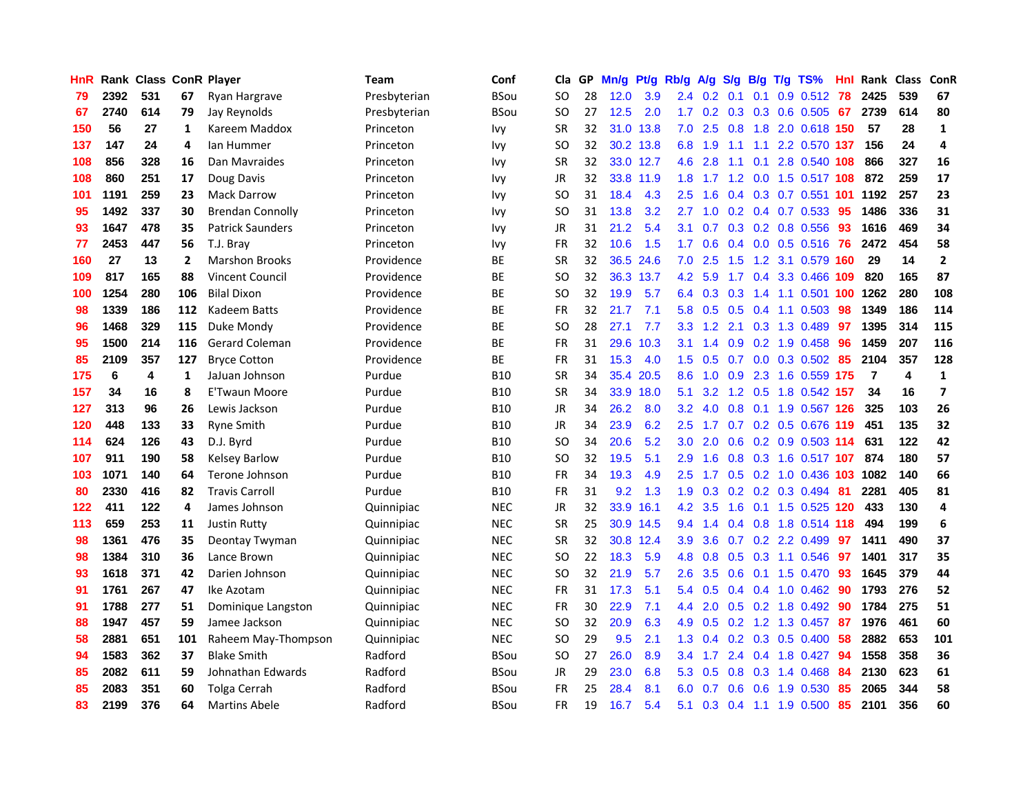| <b>HnR</b> |      |     |     | Rank Class ConR Player  | Team         | Conf        | Cla       |    | GP Mn/g | Pt/g      | Rb/g             | A/g            | S/g | B/g             | T/g TS%                       | Hnl | Rank Class |     | ConR                    |
|------------|------|-----|-----|-------------------------|--------------|-------------|-----------|----|---------|-----------|------------------|----------------|-----|-----------------|-------------------------------|-----|------------|-----|-------------------------|
| 79         | 2392 | 531 | 67  | Ryan Hargrave           | Presbyterian | <b>BSou</b> | SO.       | 28 | 12.0    | 3.9       | 2.4              | 0.2            | 0.1 | 0.1             | 0.9 0.512                     | 78  | 2425       | 539 | 67                      |
| 67         | 2740 | 614 | 79  | Jay Reynolds            | Presbyterian | <b>BSou</b> | <b>SO</b> | 27 | $12.5$  | 2.0       | 1.7 <sup>2</sup> | 0.2            | 0.3 | 0.3             | 0.6 0.505                     | 67  | 2739       | 614 | 80                      |
| 150        | 56   | 27  | 1   | Kareem Maddox           | Princeton    | Ivy         | <b>SR</b> | 32 | 31.0    | 13.8      | 7.0              | 2.5            | 0.8 | 1.8             | 2.0 0.618 150                 |     | 57         | 28  | $\mathbf 1$             |
| 137        | 147  | 24  | 4   | lan Hummer              | Princeton    | <b>Ivy</b>  | SO.       | 32 |         | 30.2 13.8 |                  | 6.8 1.9        | 1.1 | 1.1             | 2.2 0.570 137                 |     | 156        | 24  | 4                       |
| 108        | 856  | 328 | 16  | Dan Mavraides           | Princeton    | <b>Ivy</b>  | <b>SR</b> | 32 |         | 33.0 12.7 |                  | 4.6 2.8        |     | $1.1 \quad 0.1$ | 2.8 0.540 108                 |     | 866        | 327 | 16                      |
| 108        | 860  | 251 | 17  | Doug Davis              | Princeton    | <b>Ivy</b>  | JR        | 32 |         | 33.8 11.9 |                  |                |     |                 | 1.8 1.7 1.2 0.0 1.5 0.517 108 |     | 872        | 259 | 17                      |
| 101        | 1191 | 259 | 23  | <b>Mack Darrow</b>      | Princeton    | <b>Ivy</b>  | SO.       | 31 | 18.4    | 4.3       | $2.5^{\circ}$    | 1.6            |     |                 | 0.4 0.3 0.7 0.551 101         |     | 1192       | 257 | 23                      |
| 95         | 1492 | 337 | 30  | <b>Brendan Connolly</b> | Princeton    | <b>Ivy</b>  | SO.       | 31 | 13.8    | 3.2       | 2.7              | 1.0            |     |                 | $0.2$ $0.4$ $0.7$ $0.533$     | 95  | 1486       | 336 | 31                      |
| 93         | 1647 | 478 | 35  | <b>Patrick Saunders</b> | Princeton    | <b>Ivy</b>  | JR        | 31 | 21.2    | 5.4       | 3.1              | 0.7            |     |                 | 0.3 0.2 0.8 0.556             | 93  | 1616       | 469 | 34                      |
| 77         | 2453 | 447 | 56  | T.J. Bray               | Princeton    | <b>Ivy</b>  | <b>FR</b> | 32 | 10.6    | 1.5       | 1.7              | 0.6            |     |                 | $0.4$ 0.0 0.5 0.516           | 76  | 2472       | 454 | 58                      |
| 160        | 27   | 13  | 2   | <b>Marshon Brooks</b>   | Providence   | ВE          | <b>SR</b> | 32 |         | 36.5 24.6 | 7.0              | 2.5            | 1.5 | 1.2             | 3.1 0.579 160                 |     | 29         | 14  | $\mathbf{2}$            |
| 109        | 817  | 165 | 88  | <b>Vincent Council</b>  | Providence   | <b>BE</b>   | SO.       | 32 |         | 36.3 13.7 | 4.2              | 5.9            | 1.7 | 0.4             | 3.3 0.466                     | 109 | 820        | 165 | 87                      |
| 100        | 1254 | 280 | 106 | <b>Bilal Dixon</b>      | Providence   | <b>BE</b>   | SO.       | 32 | 19.9    | 5.7       | 6.4              | 0.3            | 0.3 | 1.4             | 1.1 0.501                     | 100 | 1262       | 280 | 108                     |
| 98         | 1339 | 186 | 112 | Kadeem Batts            | Providence   | <b>BE</b>   | <b>FR</b> | 32 | 21.7    | 7.1       | 5.8              | 0.5            | 0.5 | 0.4             | 1.1 0.503                     | 98  | 1349       | 186 | 114                     |
| 96         | 1468 | 329 | 115 | Duke Mondy              | Providence   | BE          | <b>SO</b> | 28 | 27.1    | 7.7       | 3.3 <sub>2</sub> | 1.2            | 2.1 | 0.3             | 1.3 0.489                     | 97  | 1395       | 314 | 115                     |
| 95         | 1500 | 214 | 116 | Gerard Coleman          | Providence   | <b>BE</b>   | <b>FR</b> | 31 | 29.6    | 10.3      | 3.1              | 1.4            | 0.9 |                 | 0.2 1.9 0.458                 | -96 | 1459       | 207 | 116                     |
| 85         | 2109 | 357 | 127 | <b>Bryce Cotton</b>     | Providence   | ВE          | FR        | 31 | 15.3    | 4.0       | 1.5              | 0.5            |     |                 | $0.7$ 0.0 0.3 0.502           | -85 | 2104       | 357 | 128                     |
| 175        | 6    | 4   | 1   | JaJuan Johnson          | Purdue       | <b>B10</b>  | <b>SR</b> | 34 |         | 35.4 20.5 | 8.6              |                |     |                 | 1.0 0.9 2.3 1.6 0.559 175     |     | -7         | 4   | $\mathbf{1}$            |
| 157        | 34   | 16  | 8   | E'Twaun Moore           | Purdue       | <b>B10</b>  | <b>SR</b> | 34 |         | 33.9 18.0 | 5.1              | 3.2            |     |                 | 1.2 0.5 1.8 0.542 157         |     | 34         | 16  | $\overline{ }$          |
| 127        | 313  | 96  | 26  | Lewis Jackson           | Purdue       | <b>B10</b>  | JR        | 34 | 26.2    | 8.0       | 3.2              | 4.0            |     |                 | 0.8 0.1 1.9 0.567 126         |     | 325        | 103 | 26                      |
| 120        | 448  | 133 | 33  | <b>Ryne Smith</b>       | Purdue       | <b>B10</b>  | JR        | 34 | 23.9    | 6.2       | 2.5              | 1.7            |     |                 | 0.7 0.2 0.5 0.676 119         |     | 451        | 135 | 32                      |
| 114        | 624  | 126 | 43  | D.J. Byrd               | Purdue       | <b>B10</b>  | <b>SO</b> | 34 | 20.6    | 5.2       | 3.0              | 2.0            | 0.6 |                 | 0.2 0.9 0.503 114             |     | 631        | 122 | 42                      |
| 107        | 911  | 190 | 58  | <b>Kelsey Barlow</b>    | Purdue       | <b>B10</b>  | <b>SO</b> | 32 | 19.5    | 5.1       | 2.9              | 1.6            | 0.8 |                 | 0.3 1.6 0.517 107             |     | 874        | 180 | 57                      |
| 103        | 1071 | 140 | 64  | Terone Johnson          | Purdue       | <b>B10</b>  | FR        | 34 | 19.3    | 4.9       | 2.5              | 1.7            |     |                 | 0.5 0.2 1.0 0.436 103         |     | 1082       | 140 | 66                      |
| 80         | 2330 | 416 | 82  | <b>Travis Carroll</b>   | Purdue       | <b>B10</b>  | <b>FR</b> | 31 | 9.2     | 1.3       | 1.9              | 0.3            |     |                 | $0.2$ $0.2$ $0.3$ $0.494$     | -81 | 2281       | 405 | 81                      |
| 122        | 411  | 122 | 4   | James Johnson           | Quinnipiac   | <b>NEC</b>  | <b>JR</b> | 32 | 33.9    | 16.1      | 4.2              | 3.5            | 1.6 |                 | $0.1$ 1.5 $0.525$             | 120 | 433        | 130 | $\overline{\mathbf{4}}$ |
| 113        | 659  | 253 | 11  | <b>Justin Rutty</b>     | Quinnipiac   | <b>NEC</b>  | <b>SR</b> | 25 |         | 30.9 14.5 | 9.4              | 1.4            |     | $0.4\quad 0.8$  | 1.8 0.514 118                 |     | 494        | 199 | 6                       |
| 98         | 1361 | 476 | 35  | Deontay Twyman          | Quinnipiac   | <b>NEC</b>  | <b>SR</b> | 32 | 30.8    | 12.4      | 3.9              | 3.6            | 0.7 | 0.2             | 2.2 0.499                     | 97  | 1411       | 490 | 37                      |
| 98         | 1384 | 310 | 36  | Lance Brown             | Quinnipiac   | <b>NEC</b>  | <b>SO</b> | 22 | 18.3    | 5.9       | 4.8              | 0.8            | 0.5 |                 | 0.3 1.1 0.546                 | -97 | 1401       | 317 | 35                      |
| 93         | 1618 | 371 | 42  | Darien Johnson          | Quinnipiac   | <b>NEC</b>  | SO.       | 32 | 21.9    | 5.7       | 2.6              | 3.5            |     | $0.6$ 0.1       | 1.5 0.470 93                  |     | 1645       | 379 | 44                      |
| 91         | 1761 | 267 | 47  | Ike Azotam              | Quinnipiac   | <b>NEC</b>  | <b>FR</b> | 31 | 17.3    | 5.1       |                  | $5.4\quad 0.5$ |     |                 | $0.4$ 0.4 1.0 0.462           | -90 | 1793       | 276 | 52                      |
| 91         | 1788 | 277 | 51  | Dominique Langston      | Quinnipiac   | <b>NEC</b>  | <b>FR</b> | 30 | 22.9    | 7.1       | 4.4              | 2.0            |     |                 | $0.5$ $0.2$ 1.8 $0.492$       | 90  | 1784       | 275 | 51                      |
| 88         | 1947 | 457 | 59  | Jamee Jackson           | Quinnipiac   | <b>NEC</b>  | SO.       | 32 | 20.9    | 6.3       | 4.9              | 0.5            |     |                 | 0.2 1.2 1.3 0.457             | 87  | 1976       | 461 | 60                      |
| 58         | 2881 | 651 | 101 | Raheem May-Thompson     | Quinnipiac   | <b>NEC</b>  | <b>SO</b> | 29 | 9.5     | 2.1       | 1.3 <sub>1</sub> | 0.4            |     |                 | $0.2$ 0.3 0.5 0.400           | 58  | 2882       | 653 | 101                     |
| 94         | 1583 | 362 | 37  | <b>Blake Smith</b>      | Radford      | <b>BSou</b> | SO.       | 27 | 26.0    | 8.9       | $3.4^{\circ}$    | 1.7            |     |                 | 2.4 0.4 1.8 0.427             | 94  | 1558       | 358 | 36                      |
| 85         | 2082 | 611 | 59  | Johnathan Edwards       | Radford      | <b>BSou</b> | JR        | 29 | 23.0    | 6.8       | 5.3              | 0.5            | 0.8 | 0.3             | 1.4 0.468                     | 84  | 2130       | 623 | 61                      |
| 85         | 2083 | 351 | 60  | Tolga Cerrah            | Radford      | <b>BSou</b> | FR        | 25 | 28.4    | 8.1       | 6.0              | 0.7            | 0.6 | 0.6             | 1.9 0.530                     | 85  | 2065       | 344 | 58                      |
| 83         | 2199 | 376 | 64  | <b>Martins Abele</b>    | Radford      | <b>BSou</b> | <b>FR</b> | 19 | 16.7    | 5.4       | 5.1              |                |     |                 | 0.3 0.4 1.1 1.9 0.500         | 85  | 2101       | 356 | 60                      |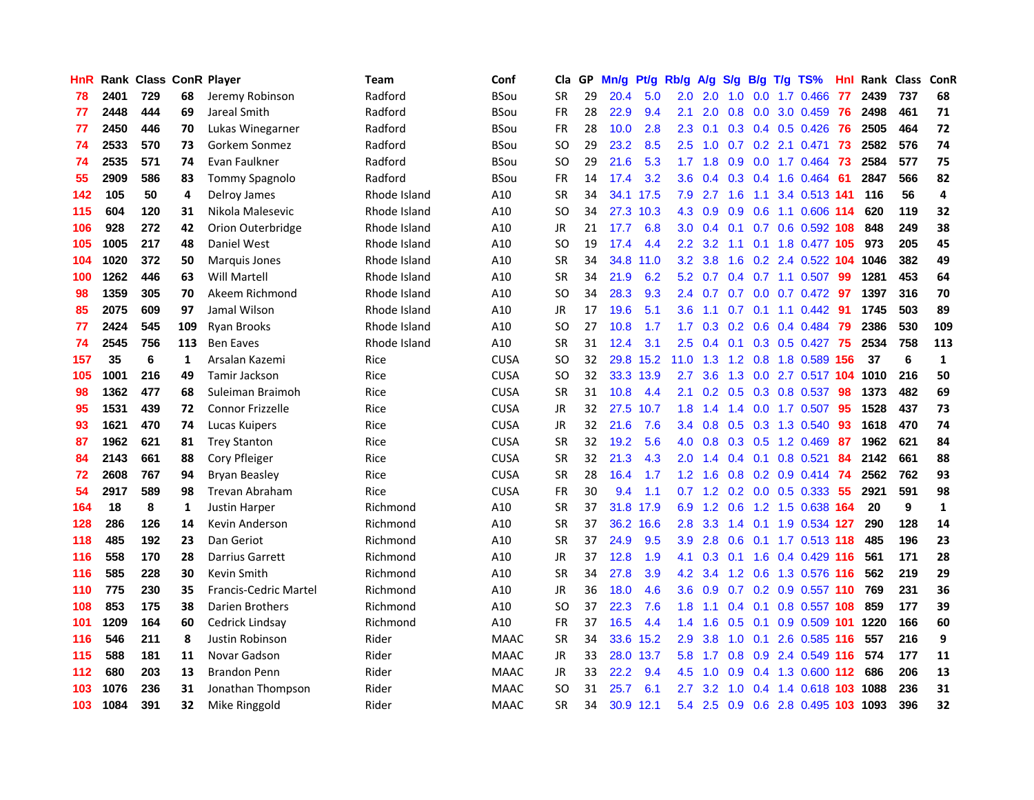| <b>HnR</b> |      | Rank Class ConR Player |              |                              | Team         | Conf        | Cla       | GP | Mn/g | Pt/g      | Rb/g             | A/g              | S/g | B/g             | T/g | TS%                        | Hnl  | Rank Class |                  | ConR         |
|------------|------|------------------------|--------------|------------------------------|--------------|-------------|-----------|----|------|-----------|------------------|------------------|-----|-----------------|-----|----------------------------|------|------------|------------------|--------------|
| 78         | 2401 | 729                    | 68           | Jeremy Robinson              | Radford      | <b>BSou</b> | <b>SR</b> | 29 | 20.4 | 5.0       | 2.0              | 2.0              | 1.0 | 0.0             |     | 1.7 0.466                  | 77   | 2439       | 737              | 68           |
| 77         | 2448 | 444                    | 69           | Jareal Smith                 | Radford      | <b>BSou</b> | <b>FR</b> | 28 | 22.9 | 9.4       | 2.1              | 2.0              | 0.8 | 0.0             |     | 3.0 0.459                  | -76  | 2498       | 461              | 71           |
| 77         | 2450 | 446                    | 70           | Lukas Winegarner             | Radford      | <b>BSou</b> | <b>FR</b> | 28 | 10.0 | 2.8       | 2.3              | 0.1              |     |                 |     | $0.3$ 0.4 0.5 0.426        | 76   | 2505       | 464              | 72           |
| 74         | 2533 | 570                    | 73           | Gorkem Sonmez                | Radford      | <b>BSou</b> | <b>SO</b> | 29 | 23.2 | 8.5       | 2.5              | 1.0              |     |                 |     | 0.7 0.2 2.1 0.471          | 73   | 2582       | 576              | 74           |
| 74         | 2535 | 571                    | 74           | Evan Faulkner                | Radford      | <b>BSou</b> | <b>SO</b> | 29 | 21.6 | 5.3       | 1.7 <sub>z</sub> | 1.8              | 0.9 |                 |     | $0.0$ 1.7 $0.464$          | -73  | 2584       | 577              | 75           |
| 55         | 2909 | 586                    | 83           | <b>Tommy Spagnolo</b>        | Radford      | <b>BSou</b> | <b>FR</b> | 14 | 17.4 | 3.2       | 3.6 <sup>°</sup> | 0.4              |     |                 |     | $0.3$ 0.4 1.6 0.464        | -61  | 2847       | 566              | 82           |
| 142        | 105  | 50                     | 4            | Delroy James                 | Rhode Island | A10         | <b>SR</b> | 34 |      | 34.1 17.5 | 7.9              | 2.7              | 1.6 |                 |     | 1.1 3.4 0.513 141          |      | 116        | 56               | 4            |
| 115        | 604  | 120                    | 31           | Nikola Malesevic             | Rhode Island | A10         | <b>SO</b> | 34 |      | 27.3 10.3 | 4.3              | 0.9              | 0.9 | 0.6             |     | 1.1 0.606 114              |      | 620        | 119              | 32           |
| 106        | 928  | 272                    | 42           | Orion Outerbridge            | Rhode Island | A10         | <b>JR</b> | 21 | 17.7 | 6.8       | 3.0              | 0.4              | 0.1 |                 |     | 0.7 0.6 0.592 108          |      | 848        | 249              | 38           |
| 105        | 1005 | 217                    | 48           | Daniel West                  | Rhode Island | A10         | <b>SO</b> | 19 | 17.4 | 4.4       | $2.2\phantom{0}$ | 3.2              | 1.1 | 0.1             |     | 1.8 0.477 105              |      | 973        | 205              | 45           |
| 104        | 1020 | 372                    | 50           | <b>Marquis Jones</b>         | Rhode Island | A10         | <b>SR</b> | 34 | 34.8 | 11.0      | 3.2              | 3.8              | 1.6 | 0.2             |     | 2.4 0.522                  | 104  | 1046       | 382              | 49           |
| 100        | 1262 | 446                    | 63           | Will Martell                 | Rhode Island | A10         | <b>SR</b> | 34 | 21.9 | 6.2       | 5.2              | 0.7              |     |                 |     | $0.4$ 0.7 1.1 0.507        | -99  | 1281       | 453              | 64           |
| 98         | 1359 | 305                    | 70           | Akeem Richmond               | Rhode Island | A10         | <b>SO</b> | 34 | 28.3 | 9.3       | 2.4              | 0.7              | 0.7 | 0.0             |     | 0.7 0.472                  | 97   | 1397       | 316              | 70           |
| 85         | 2075 | 609                    | 97           | Jamal Wilson                 | Rhode Island | A10         | <b>JR</b> | 17 | 19.6 | 5.1       | 3.6              | 1.1              | 0.7 | 0.1             |     | $1.1 \quad 0.442$          | -91  | 1745       | 503              | 89           |
| 77         | 2424 | 545                    | 109          | <b>Ryan Brooks</b>           | Rhode Island | A10         | <b>SO</b> | 27 | 10.8 | 1.7       | 1.7              | 0.3              | 0.2 | 0.6             |     | 0.4 0.484                  | -79  | 2386       | 530              | 109          |
| 74         | 2545 | 756                    | 113          | <b>Ben Eaves</b>             | Rhode Island | A10         | <b>SR</b> | 31 | 12.4 | 3.1       | 2.5              | 0.4              |     |                 |     | $0.1$ $0.3$ $0.5$ $0.427$  | -75  | 2534       | 758              | 113          |
| 157        | 35   | 6                      | 1            | Arsalan Kazemi               | Rice         | <b>CUSA</b> | <b>SO</b> | 32 |      | 29.8 15.2 | $11.0 \quad 1.3$ |                  |     |                 |     | 1.2 0.8 1.8 0.589 156      |      | 37         | 6                | $\mathbf{1}$ |
| 105        | 1001 | 216                    | 49           | <b>Tamir Jackson</b>         | Rice         | <b>CUSA</b> | <b>SO</b> | 32 |      | 33.3 13.9 | 2.7              | 3.6              |     |                 |     | 1.3 0.0 2.7 0.517 104 1010 |      |            | 216              | 50           |
| 98         | 1362 | 477                    | 68           | Suleiman Braimoh             | Rice         | <b>CUSA</b> | <b>SR</b> | 31 | 10.8 | 4.4       | 2.1              | 0.2 <sub>0</sub> |     |                 |     | $0.5$ 0.3 0.8 0.537        | -98  | 1373       | 482              | 69           |
| 95         | 1531 | 439                    | 72           | <b>Connor Frizzelle</b>      | Rice         | <b>CUSA</b> | <b>JR</b> | 32 | 27.5 | 10.7      | 1.8              | 1.4              |     |                 |     | 1.4 0.0 1.7 0.507          | 95   | 1528       | 437              | 73           |
| 93         | 1621 | 470                    | 74           | Lucas Kuipers                | Rice         | <b>CUSA</b> | JR        | 32 | 21.6 | 7.6       | 3.4              | 0.8              |     |                 |     | 0.5 0.3 1.3 0.540          | 93   | 1618       | 470              | 74           |
| 87         | 1962 | 621                    | 81           | <b>Trey Stanton</b>          | Rice         | <b>CUSA</b> | <b>SR</b> | 32 | 19.2 | 5.6       | 4.0              | 0.8              |     | $0.3$ 0.5       |     | 1.2 0.469                  | -87  | 1962       | 621              | 84           |
| 84         | 2143 | 661                    | 88           | Cory Pfleiger                | Rice         | <b>CUSA</b> | <b>SR</b> | 32 | 21.3 | 4.3       | 2.0              | 1.4              |     | $0.4 \quad 0.1$ |     | $0.8$ 0.521                | 84   | 2142       | 661              | 88           |
| 72         | 2608 | 767                    | 94           | <b>Bryan Beasley</b>         | Rice         | <b>CUSA</b> | <b>SR</b> | 28 | 16.4 | 1.7       | $1.2^{\circ}$    | 1.6              |     |                 |     | $0.8$ 0.2 0.9 0.414        | 74   | 2562       | 762              | 93           |
| 54         | 2917 | 589                    | 98           | <b>Trevan Abraham</b>        | Rice         | <b>CUSA</b> | <b>FR</b> | 30 | 9.4  | 1.1       | 0.7              | 1.2              |     |                 |     | $0.2$ 0.0 0.5 0.333        | -55  | 2921       | 591              | 98           |
| 164        | 18   | 8                      | $\mathbf{1}$ | <b>Justin Harper</b>         | Richmond     | A10         | <b>SR</b> | 37 |      | 31.8 17.9 | 6.9              | 1.2              | 0.6 |                 |     | 1.2 1.5 0.638              | 164  | 20         | $\boldsymbol{9}$ | $\mathbf{1}$ |
| 128        | 286  | 126                    | 14           | Kevin Anderson               | Richmond     | A10         | <b>SR</b> | 37 |      | 36.2 16.6 | 2.8              | 3.3              | 1.4 | 0.1             |     | 1.9 0.534 127              |      | 290        | 128              | 14           |
| 118        | 485  | 192                    | 23           | Dan Geriot                   | Richmond     | A10         | <b>SR</b> | 37 | 24.9 | 9.5       | 3.9              | 2.8              | 0.6 | 0.1             |     | 1.7 0.513 118              |      | 485        | 196              | 23           |
| 116        | 558  | 170                    | 28           | Darrius Garrett              | Richmond     | A10         | JR        | 37 | 12.8 | 1.9       | 4.1              | 0.3              | 0.1 |                 |     | 1.6 0.4 0.429 116          |      | 561        | 171              | 28           |
| 116        | 585  | 228                    | 30           | Kevin Smith                  | Richmond     | A10         | <b>SR</b> | 34 | 27.8 | 3.9       |                  | 4.2 3.4          |     |                 |     | 1.2 0.6 1.3 0.576 116      |      | 562        | 219              | 29           |
| 110        | 775  | 230                    | 35           | <b>Francis-Cedric Martel</b> | Richmond     | A10         | JR        | 36 | 18.0 | 4.6       | 3.6 <sup>°</sup> | 0.9              |     |                 |     | 0.7 0.2 0.9 0.557 110      |      | 769        | 231              | 36           |
| 108        | 853  | 175                    | 38           | Darien Brothers              | Richmond     | A10         | <b>SO</b> | 37 | 22.3 | 7.6       | 1.8              | 1.1              |     |                 |     | 0.4 0.1 0.8 0.557 108      |      | 859        | 177              | 39           |
| 101        | 1209 | 164                    | 60           | Cedrick Lindsay              | Richmond     | A10         | FR        | 37 | 16.5 | 4.4       | 1.4              | 1.6              | 0.5 | 0.1             |     | 0.9 0.509 101              |      | 1220       | 166              | 60           |
| 116        | 546  | 211                    | 8            | Justin Robinson              | Rider        | <b>MAAC</b> | <b>SR</b> | 34 |      | 33.6 15.2 | 2.9              | 3.8              | 1.0 | 0.1             |     | 2.6 0.585 116              |      | 557        | 216              | 9            |
| 115        | 588  | 181                    | 11           | Novar Gadson                 | Rider        | <b>MAAC</b> | JR        | 33 | 28.0 | 13.7      | 5.8              | 1.7              | 0.8 | 0.9             |     | 2.4 0.549 116              |      | 574        | 177              | 11           |
| 112        | 680  | 203                    | 13           | <b>Brandon Penn</b>          | Rider        | <b>MAAC</b> | JR        | 33 | 22.2 | 9.4       | 4.5              | 1.0              | 0.9 |                 |     | $0.4$ 1.3 0.600 112        |      | 686        | 206              | 13           |
| 103        | 1076 | 236                    | 31           | Jonathan Thompson            | Rider        | <b>MAAC</b> | <b>SO</b> | 31 | 25.7 | 6.1       | 2.7              | 3.2              | 1.0 | 0.4             |     | 1.4 0.618                  | -103 | 1088       | 236              | 31           |
| 103        | 1084 | 391                    | 32           | Mike Ringgold                | Rider        | <b>MAAC</b> | <b>SR</b> | 34 |      | 30.9 12.1 | 5.4              | 2.5              |     | $0.9\quad 0.6$  |     | 2.8 0.495 103 1093         |      |            | 396              | 32           |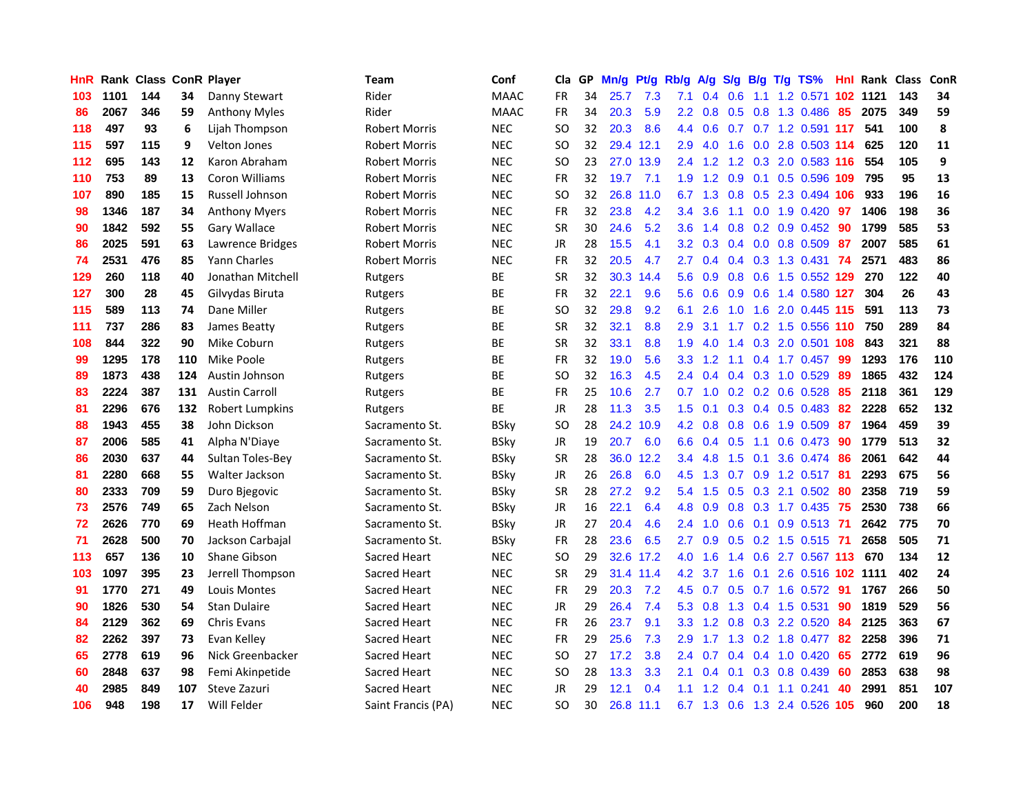| HnR |      | <b>Rank Class ConR Player</b> |     |                       | Team                 | Conf        | Cla       | GP. | Mn/g | Pt/g      | Rb/g             | A/g            | S/g             | B/g | T/g TS%                | Hnl | Rank Class |     | ConR |
|-----|------|-------------------------------|-----|-----------------------|----------------------|-------------|-----------|-----|------|-----------|------------------|----------------|-----------------|-----|------------------------|-----|------------|-----|------|
| 103 | 1101 | 144                           | 34  | Danny Stewart         | Rider                | <b>MAAC</b> | FR        | 34  | 25.7 | 7.3       | 7.1              | 0.4            | 0.6             | 1.1 | 1.2 0.571              | 102 | 1121       | 143 | 34   |
| 86  | 2067 | 346                           | 59  | <b>Anthony Myles</b>  | Rider                | <b>MAAC</b> | <b>FR</b> | 34  | 20.3 | 5.9       | 2.2 <sub>2</sub> | 0.8            | 0.5             | 0.8 | 1.3 0.486              | 85  | 2075       | 349 | 59   |
| 118 | 497  | 93                            | 6   | Lijah Thompson        | Robert Morris        | <b>NEC</b>  | SO        | 32  | 20.3 | 8.6       | 4.4              | 0.6            | 0.7             |     | 0.7 1.2 0.591 117      |     | 541        | 100 | 8    |
| 115 | 597  | 115                           | 9   | Velton Jones          | <b>Robert Morris</b> | <b>NEC</b>  | SO        | 32  |      | 29.4 12.1 | 2.9              | 4.0            | 1.6             |     | 0.0 2.8 0.503 114      |     | 625        | 120 | 11   |
| 112 | 695  | 143                           | 12  | Karon Abraham         | <b>Robert Morris</b> | <b>NEC</b>  | SO        | 23  |      | 27.0 13.9 |                  | $2.4$ 1.2      |                 |     | 1.2 0.3 2.0 0.583 116  |     | 554        | 105 | 9    |
| 110 | 753  | 89                            | 13  | Coron Williams        | <b>Robert Morris</b> | <b>NEC</b>  | FR        | 32  | 19.7 | 7.1       | 1.9 <sup>°</sup> |                | $1.2 \quad 0.9$ |     | 0.1 0.5 0.596 109      |     | 795        | 95  | 13   |
| 107 | 890  | 185                           | 15  | Russell Johnson       | <b>Robert Morris</b> | <b>NEC</b>  | <b>SO</b> | 32  | 26.8 | 11.0      | 6.7              | 1.3            |                 |     | 0.8 0.5 2.3 0.494 106  |     | 933        | 196 | 16   |
| 98  | 1346 | 187                           | 34  | <b>Anthony Myers</b>  | Robert Morris        | <b>NEC</b>  | <b>FR</b> | 32  | 23.8 | 4.2       | $3.4^{\circ}$    | 3.6            | 1.1             |     | $0.0$ 1.9 $0.420$      | -97 | 1406       | 198 | 36   |
| 90  | 1842 | 592                           | 55  | Gary Wallace          | Robert Morris        | <b>NEC</b>  | <b>SR</b> | 30  | 24.6 | 5.2       | 3.6              | 1.4            | 0.8             |     | $0.2$ 0.9 0.452        | 90  | 1799       | 585 | 53   |
| 86  | 2025 | 591                           | 63  | Lawrence Bridges      | <b>Robert Morris</b> | <b>NEC</b>  | <b>JR</b> | 28  | 15.5 | 4.1       | 3.2 <sub>2</sub> | 0.3            | 0.4             |     | $0.0$ $0.8$ $0.509$    | 87  | 2007       | 585 | 61   |
| 74  | 2531 | 476                           | 85  | Yann Charles          | <b>Robert Morris</b> | <b>NEC</b>  | FR        | 32  | 20.5 | 4.7       | 2.7              | 0.4            | $0.4^{\circ}$   |     | 0.3 1.3 0.431          | 74  | 2571       | 483 | 86   |
| 129 | 260  | 118                           | 40  | Jonathan Mitchell     | Rutgers              | <b>BE</b>   | <b>SR</b> | 32  |      | 30.3 14.4 | 5.6              | 0.9            | 0.8             | 0.6 | 1.5 0.552 129          |     | 270        | 122 | 40   |
| 127 | 300  | 28                            | 45  | Gilvydas Biruta       | Rutgers              | BE          | FR        | 32  | 22.1 | 9.6       | 5.6              | 0.6            | 0.9             | 0.6 | 1.4 0.580 127          |     | 304        | 26  | 43   |
| 115 | 589  | 113                           | 74  | Dane Miller           | Rutgers              | BE          | SO        | 32  | 29.8 | 9.2       | 6.1              | 2.6            | 1.0             | 1.6 | 2.0 0.445 115          |     | 591        | 113 | 73   |
| 111 | 737  | 286                           | 83  | James Beatty          | Rutgers              | <b>BE</b>   | <b>SR</b> | 32  | 32.1 | 8.8       | 2.9              | 3.1            | 1.7             | 0.2 | 1.5 0.556 110          |     | 750        | 289 | 84   |
| 108 | 844  | 322                           | 90  | Mike Coburn           | Rutgers              | ВE          | <b>SR</b> | 32  | 33.1 | 8.8       | 1.9              | 4.0            | 1.4             |     | 0.3 2.0 0.501 108      |     | 843        | 321 | 88   |
| 99  | 1295 | 178                           | 110 | Mike Poole            | Rutgers              | ВE          | FR        | 32  | 19.0 | 5.6       | 3.3              | 1.2            | 1.1             |     | 0.4 1.7 0.457          | -99 | 1293       | 176 | 110  |
| 89  | 1873 | 438                           | 124 | Austin Johnson        | Rutgers              | <b>BE</b>   | SO        | 32  | 16.3 | 4.5       |                  | $2.4\quad 0.4$ |                 |     | $0.4$ 0.3 1.0 0.529    | -89 | 1865       | 432 | 124  |
| 83  | 2224 | 387                           | 131 | <b>Austin Carroll</b> | Rutgers              | <b>BE</b>   | <b>FR</b> | 25  | 10.6 | 2.7       | 0.7              | 1.0            |                 |     | $0.2$ 0.2 0.6 0.528    | 85  | 2118       | 361 | 129  |
| 81  | 2296 | 676                           | 132 | Robert Lumpkins       | Rutgers              | ВE          | JR        | 28  | 11.3 | 3.5       | 1.5              | 0.1            |                 |     | $0.3$ 0.4 0.5 0.483    | 82  | 2228       | 652 | 132  |
| 88  | 1943 | 455                           | 38  | John Dickson          | Sacramento St.       | <b>BSky</b> | <b>SO</b> | 28  | 24.2 | 10.9      | 4.2              | 0.8            | 0.8             |     | 0.6 1.9 0.509          | 87  | 1964       | 459 | 39   |
| 87  | 2006 | 585                           | 41  | Alpha N'Diaye         | Sacramento St.       | <b>BSky</b> | JR        | 19  | 20.7 | 6.0       | 6.6              | 0.4            | 0.5             | 1.1 | 0.6 0.473              | 90  | 1779       | 513 | 32   |
| 86  | 2030 | 637                           | 44  | Sultan Toles-Bey      | Sacramento St.       | <b>BSky</b> | <b>SR</b> | 28  | 36.0 | 12.2      | $3.4^{\circ}$    | 4.8            | 1.5             | 0.1 | 3.6 0.474              | 86  | 2061       | 642 | 44   |
| 81  | 2280 | 668                           | 55  | Walter Jackson        | Sacramento St.       | <b>BSky</b> | JR        | 26  | 26.8 | 6.0       | 4.5              | 1.3            | 0.7             |     | 0.9 1.2 0.517          | -81 | 2293       | 675 | 56   |
| 80  | 2333 | 709                           | 59  | Duro Bjegovic         | Sacramento St.       | <b>BSky</b> | <b>SR</b> | 28  | 27.2 | 9.2       | 5.4              | 1.5            | 0.5             | 0.3 | 2.1 0.502              | 80  | 2358       | 719 | 59   |
| 73  | 2576 | 749                           | 65  | Zach Nelson           | Sacramento St.       | <b>BSky</b> | <b>JR</b> | 16  | 22.1 | 6.4       | 4.8              | 0.9            | 0.8             | 0.3 | 1.7 0.435              | -75 | 2530       | 738 | 66   |
| 72  | 2626 | 770                           | 69  | Heath Hoffman         | Sacramento St.       | <b>BSky</b> | <b>JR</b> | 27  | 20.4 | 4.6       | $2.4^{\circ}$    | 1.0            | 0.6             | 0.1 | $0.9$ $0.513$          | -71 | 2642       | 775 | 70   |
| 71  | 2628 | 500                           | 70  | Jackson Carbajal      | Sacramento St.       | <b>BSky</b> | <b>FR</b> | 28  | 23.6 | 6.5       | 2.7              | 0.9            | 0.5             |     | $0.2$ 1.5 $0.515$      | -71 | 2658       | 505 | 71   |
| 113 | 657  | 136                           | 10  | Shane Gibson          | <b>Sacred Heart</b>  | <b>NEC</b>  | SO        | 29  | 32.6 | 17.2      | 4.0              | 1.6            | 1.4             | 0.6 | 2.7 0.567 113          |     | 670        | 134 | 12   |
| 103 | 1097 | 395                           | 23  | Jerrell Thompson      | <b>Sacred Heart</b>  | <b>NEC</b>  | <b>SR</b> | 29  |      | 31.4 11.4 | 4.2              | 3.7            | 1.6             |     | 0.1 2.6 0.516 102 1111 |     |            | 402 | 24   |
| 91  | 1770 | 271                           | 49  | Louis Montes          | Sacred Heart         | <b>NEC</b>  | <b>FR</b> | 29  | 20.3 | 7.2       | 4.5              | 0.7            |                 |     | 0.5 0.7 1.6 0.572 91   |     | 1767       | 266 | 50   |
| 90  | 1826 | 530                           | 54  | <b>Stan Dulaire</b>   | Sacred Heart         | <b>NEC</b>  | <b>JR</b> | 29  | 26.4 | 7.4       | 5.3              | 0.8            |                 |     | 1.3 0.4 1.5 0.531      | 90  | 1819       | 529 | 56   |
| 84  | 2129 | 362                           | 69  | <b>Chris Evans</b>    | Sacred Heart         | <b>NEC</b>  | FR        | 26  | 23.7 | 9.1       | 3.3 <sub>1</sub> | 1.2            |                 |     | 0.8 0.3 2.2 0.520      | 84  | 2125       | 363 | 67   |
| 82  | 2262 | 397                           | 73  | Evan Kelley           | Sacred Heart         | <b>NEC</b>  | FR        | 29  | 25.6 | 7.3       | 2.9              | 1.7            | 1.3             |     | 0.2 1.8 0.477          | 82  | 2258       | 396 | 71   |
| 65  | 2778 | 619                           | 96  | Nick Greenbacker      | Sacred Heart         | <b>NEC</b>  | SO        | 27  | 17.2 | 3.8       | 2.4              | 0.7            | 0.4             |     | $0.4$ 1.0 0.420        | 65  | 2772       | 619 | 96   |
| 60  | 2848 | 637                           | 98  | Femi Akinpetide       | Sacred Heart         | <b>NEC</b>  | <b>SO</b> | 28  | 13.3 | 3.3       | 2.1              | 0.4            | 0.1             | 0.3 | 0.8 0.439              | 60  | 2853       | 638 | 98   |
| 40  | 2985 | 849                           | 107 | Steve Zazuri          | Sacred Heart         | <b>NEC</b>  | <b>JR</b> | 29  | 12.1 | 0.4       | 1.1              | .2             | 0.4             | 0.1 | 1.1 0.241              | 40  | 2991       | 851 | 107  |
| 106 | 948  | 198                           | 17  | Will Felder           | Saint Francis (PA)   | <b>NEC</b>  | SO.       | 30  |      | 26.8 11.1 | 6.7              |                | $1.3 \quad 0.6$ |     | 1.3 2.4 0.526 105      |     | 960        | 200 | 18   |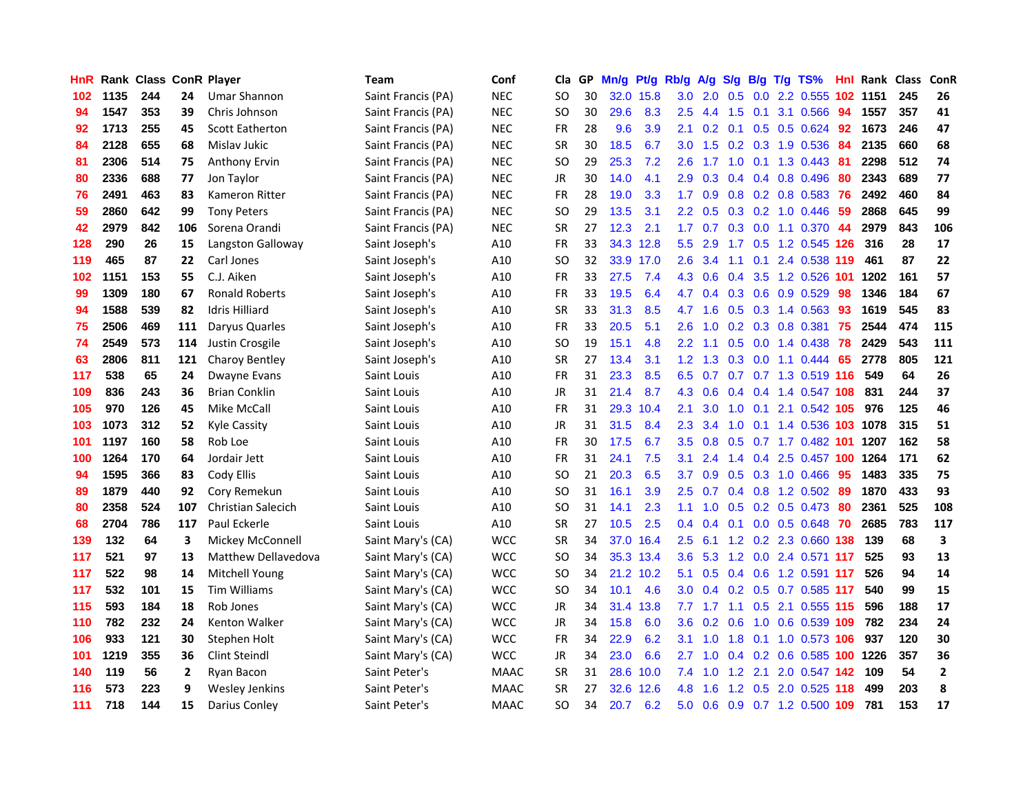| HnR |      | <b>Rank Class ConR Player</b> |                |                            | Team               | Conf        | Cla           | GP. | Mn/g | Pt/g      | Rb/g             | A/g             | <b>S/g</b>       |                 | B/g T/g TS%               | Hnl |      | Rank Class | ConR         |
|-----|------|-------------------------------|----------------|----------------------------|--------------------|-------------|---------------|-----|------|-----------|------------------|-----------------|------------------|-----------------|---------------------------|-----|------|------------|--------------|
| 102 | 1135 | 244                           | 24             | <b>Umar Shannon</b>        | Saint Francis (PA) | <b>NEC</b>  | SO            | 30  | 32.0 | 15.8      | 3.0              | 2.0             | 0.5              | 0.0             | 2.2 0.555                 | 102 | 1151 | 245        | 26           |
| 94  | 1547 | 353                           | 39             | Chris Johnson              | Saint Francis (PA) | <b>NEC</b>  | SO            | 30  | 29.6 | 8.3       | 2.5              | 4.4             | 1.5              | 0.1             | 3.1 0.566                 | 94  | 1557 | 357        | 41           |
| 92  | 1713 | 255                           | 45             | <b>Scott Eatherton</b>     | Saint Francis (PA) | <b>NEC</b>  | <b>FR</b>     | 28  | 9.6  | 3.9       | 2.1              | 0.2             | 0.1              | 0.5             | 0.5 0.624                 | 92  | 1673 | 246        | 47           |
| 84  | 2128 | 655                           | 68             | Mislav Jukic               | Saint Francis (PA) | <b>NEC</b>  | <b>SR</b>     | 30  | 18.5 | 6.7       | 3.0              |                 |                  |                 | 1.5 0.2 0.3 1.9 0.536     | 84  | 2135 | 660        | 68           |
| 81  | 2306 | 514                           | 75             | <b>Anthony Ervin</b>       | Saint Francis (PA) | <b>NEC</b>  | <sub>SO</sub> | 29  | 25.3 | 7.2       | 2.6              | 17              |                  |                 | 1.0 0.1 1.3 0.443         | -81 | 2298 | 512        | 74           |
| 80  | 2336 | 688                           | 77             | Jon Taylor                 | Saint Francis (PA) | <b>NEC</b>  | <b>JR</b>     | 30  | 14.0 | 4.1       | 2.9              | 0.3             |                  |                 | 0.4 0.4 0.8 0.496         | 80  | 2343 | 689        | 77           |
| 76  | 2491 | 463                           | 83             | Kameron Ritter             | Saint Francis (PA) | <b>NEC</b>  | <b>FR</b>     | 28  | 19.0 | 3.3       | 1.7 <sub>z</sub> | 0.9             |                  |                 | $0.8$ 0.2 0.8 0.583       | 76  | 2492 | 460        | 84           |
| 59  | 2860 | 642                           | 99             | <b>Tony Peters</b>         | Saint Francis (PA) | <b>NEC</b>  | SO            | 29  | 13.5 | 3.1       | $2.2^{\circ}$    | 0.5             |                  |                 | $0.3$ $0.2$ 1.0 $0.446$   | 59  | 2868 | 645        | 99           |
| 42  | 2979 | 842                           | 106            | Sorena Orandi              | Saint Francis (PA) | <b>NEC</b>  | <b>SR</b>     | 27  | 12.3 | 2.1       | 1.7              | 0.7             |                  |                 | 0.3 0.0 1.1 0.370         | -44 | 2979 | 843        | 106          |
| 128 | 290  | 26                            | 15             | Langston Galloway          | Saint Joseph's     | A10         | <b>FR</b>     | 33  |      | 34.3 12.8 | 5.5 <sub>1</sub> | 2.9             | 1.7 <sub>z</sub> |                 | 0.5 1.2 0.545             | 126 | 316  | 28         | 17           |
| 119 | 465  | 87                            | 22             | Carl Jones                 | Saint Joseph's     | A10         | SO            | 32  |      | 33.9 17.0 | 2.6              | 3.4             | 1.1              | 0.1             | 2.4 0.538 119             |     | 461  | 87         | 22           |
| 102 | 1151 | 153                           | 55             | C.J. Aiken                 | Saint Joseph's     | A10         | FR            | 33  | 27.5 | 7.4       | 4.3              | 0.6             | 0.4              |                 | 3.5 1.2 0.526 101         |     | 1202 | 161        | 57           |
| 99  | 1309 | 180                           | 67             | <b>Ronald Roberts</b>      | Saint Joseph's     | A10         | FR            | 33  | 19.5 | 6.4       | 4.7              | 0.4             | 0.3              | 0.6             | 0.9 0.529                 | 98  | 1346 | 184        | 67           |
| 94  | 1588 | 539                           | 82             | <b>Idris Hilliard</b>      | Saint Joseph's     | A10         | SR            | 33  | 31.3 | 8.5       | 4.7              | 1.6             | 0.5              |                 | 0.3 1.4 0.563             | 93  | 1619 | 545        | 83           |
| 75  | 2506 | 469                           | 111            | Daryus Quarles             | Saint Joseph's     | A10         | <b>FR</b>     | 33  | 20.5 | 5.1       | 2.6              | 1.0             | 0.2              | 0.3             | 0.8 0.381                 | 75  | 2544 | 474        | 115          |
| 74  | 2549 | 573                           | 114            | Justin Crosgile            | Saint Joseph's     | A10         | <sub>SO</sub> | 19  | 15.1 | 4.8       | $2.2^{\circ}$    | 1.1             | 0.5              |                 | 0.0 1.4 0.438             | 78  | 2429 | 543        | 111          |
| 63  | 2806 | 811                           | 121            | <b>Charoy Bentley</b>      | Saint Joseph's     | A10         | SR            | 27  | 13.4 | 3.1       |                  | $1.2 \quad 1.3$ |                  |                 | $0.3$ 0.0 1.1 0.444       | -65 | 2778 | 805        | 121          |
| 117 | 538  | 65                            | 24             | Dwayne Evans               | Saint Louis        | A10         | <b>FR</b>     | 31  | 23.3 | 8.5       |                  | $6.5 \quad 0.7$ |                  |                 | 0.7 0.7 1.3 0.519 116     |     | 549  | 64         | 26           |
| 109 | 836  | 243                           | 36             | <b>Brian Conklin</b>       | Saint Louis        | A10         | JR            | 31  | 21.4 | 8.7       | 4.3              | 0.6             |                  |                 | 0.4 0.4 1.4 0.547 108     |     | 831  | 244        | 37           |
| 105 | 970  | 126                           | 45             | Mike McCall                | Saint Louis        | A10         | FR            | 31  |      | 29.3 10.4 | 2.1              | 3.0             |                  |                 | 1.0 0.1 2.1 0.542 105     |     | 976  | 125        | 46           |
| 103 | 1073 | 312                           | 52             | <b>Kyle Cassity</b>        | Saint Louis        | A10         | <b>JR</b>     | 31  | 31.5 | 8.4       | 2.3              | 3.4             | 1.0              |                 | 0.1 1.4 0.536 103 1078    |     |      | 315        | 51           |
| 101 | 1197 | 160                           | 58             | Rob Loe                    | Saint Louis        | A10         | <b>FR</b>     | 30  | 17.5 | 6.7       | 3.5              | 0.8             | 0.5              |                 | 0.7 1.7 0.482 101         |     | 1207 | 162        | 58           |
| 100 | 1264 | 170                           | 64             | Jordair Jett               | Saint Louis        | A10         | <b>FR</b>     | 31  | 24.1 | 7.5       | 3.1              | 2.4             | 1.4              |                 | 0.4 2.5 0.457 100         |     | 1264 | 171        | 62           |
| 94  | 1595 | 366                           | 83             | Cody Ellis                 | Saint Louis        | A10         | SO            | 21  | 20.3 | 6.5       | 3.7              | 0.9             |                  |                 | 0.5 0.3 1.0 0.466         | 95  | 1483 | 335        | 75           |
| 89  | 1879 | 440                           | 92             | Cory Remekun               | Saint Louis        | A10         | SO            | 31  | 16.1 | 3.9       | 2.5              | 0.7             |                  | $0.4 \quad 0.8$ | 1.2 0.502                 | -89 | 1870 | 433        | 93           |
| 80  | 2358 | 524                           | 107            | <b>Christian Salecich</b>  | Saint Louis        | A10         | SO            | 31  | 14.1 | 2.3       | 1.1              | 1.0             | 0.5              |                 | $0.2$ $0.5$ $0.473$       | -80 | 2361 | 525        | 108          |
| 68  | 2704 | 786                           | 117            | Paul Eckerle               | Saint Louis        | A10         | <b>SR</b>     | 27  | 10.5 | 2.5       | 0.4              | 0.4             | 0.1              |                 | $0.0$ $0.5$ $0.648$       | 70  | 2685 | 783        | 117          |
| 139 | 132  | 64                            | 3              | Mickey McConnell           | Saint Mary's (CA)  | <b>WCC</b>  | <b>SR</b>     | 34  | 37.0 | 16.4      | 2.5              | 6.1             |                  |                 | 1.2 0.2 2.3 0.660 138     |     | 139  | 68         | 3            |
| 117 | 521  | 97                            | 13             | <b>Matthew Dellavedova</b> | Saint Mary's (CA)  | <b>WCC</b>  | <b>SO</b>     | 34  |      | 35.3 13.4 | 3.6              | 5.3             |                  |                 | 1.2 0.0 2.4 0.571 117     |     | 525  | 93         | 13           |
| 117 | 522  | 98                            | 14             | <b>Mitchell Young</b>      | Saint Mary's (CA)  | <b>WCC</b>  | <b>SO</b>     | 34  |      | 21.2 10.2 | 5.1              |                 |                  |                 | 0.5 0.4 0.6 1.2 0.591 117 |     | 526  | 94         | 14           |
| 117 | 532  | 101                           | 15             | <b>Tim Williams</b>        | Saint Mary's (CA)  | <b>WCC</b>  | SO            | 34  | 10.1 | 4.6       | 3.0 <sub>2</sub> |                 |                  |                 | 0.4 0.2 0.5 0.7 0.585 117 |     | 540  | 99         | 15           |
| 115 | 593  | 184                           | 18             | Rob Jones                  | Saint Mary's (CA)  | <b>WCC</b>  | <b>JR</b>     | 34  |      | 31.4 13.8 | 7.7              | 1.7             |                  |                 | 1.1 0.5 2.1 0.555 115     |     | 596  | 188        | 17           |
| 110 | 782  | 232                           | 24             | Kenton Walker              | Saint Mary's (CA)  | <b>WCC</b>  | JR            | 34  | 15.8 | 6.0       | 3.6 <sup>°</sup> |                 | $0.2 \quad 0.6$  |                 | 1.0 0.6 0.539 109         |     | 782  | 234        | 24           |
| 106 | 933  | 121                           | 30             | Stephen Holt               | Saint Mary's (CA)  | <b>WCC</b>  | FR            | 34  | 22.9 | 6.2       | 3.1              | 1.0             | 1.8              |                 | 0.1 1.0 0.573 106         |     | 937  | 120        | 30           |
| 101 | 1219 | 355                           | 36             | Clint Steindl              | Saint Mary's (CA)  | <b>WCC</b>  | <b>JR</b>     | 34  | 23.0 | 6.6       | 2.7              | 1.0             |                  | $0.4 \quad 0.2$ | 0.6 0.585 100             |     | 1226 | 357        | 36           |
| 140 | 119  | 56                            | $\overline{2}$ | Ryan Bacon                 | Saint Peter's      | <b>MAAC</b> | <b>SR</b>     | 31  | 28.6 | 10.0      | 7.4              | 1.0             | 1.2              | 2.1             | 2.0 0.547 142             |     | 109  | 54         | $\mathbf{2}$ |
| 116 | 573  | 223                           | 9              | <b>Wesley Jenkins</b>      | Saint Peter's      | <b>MAAC</b> | <b>SR</b>     | 27  | 32.6 | 12.6      | 4.8              | 6.6             | 1.2              | 0.5             | 2.0 0.525                 | 118 | 499  | 203        | 8            |
| 111 | 718  | 144                           | 15             | Darius Conley              | Saint Peter's      | <b>MAAC</b> | <b>SO</b>     | 34  | 20.7 | 6.2       | 5.0              |                 |                  |                 | 0.6 0.9 0.7 1.2 0.500 109 |     | 781  | 153        | 17           |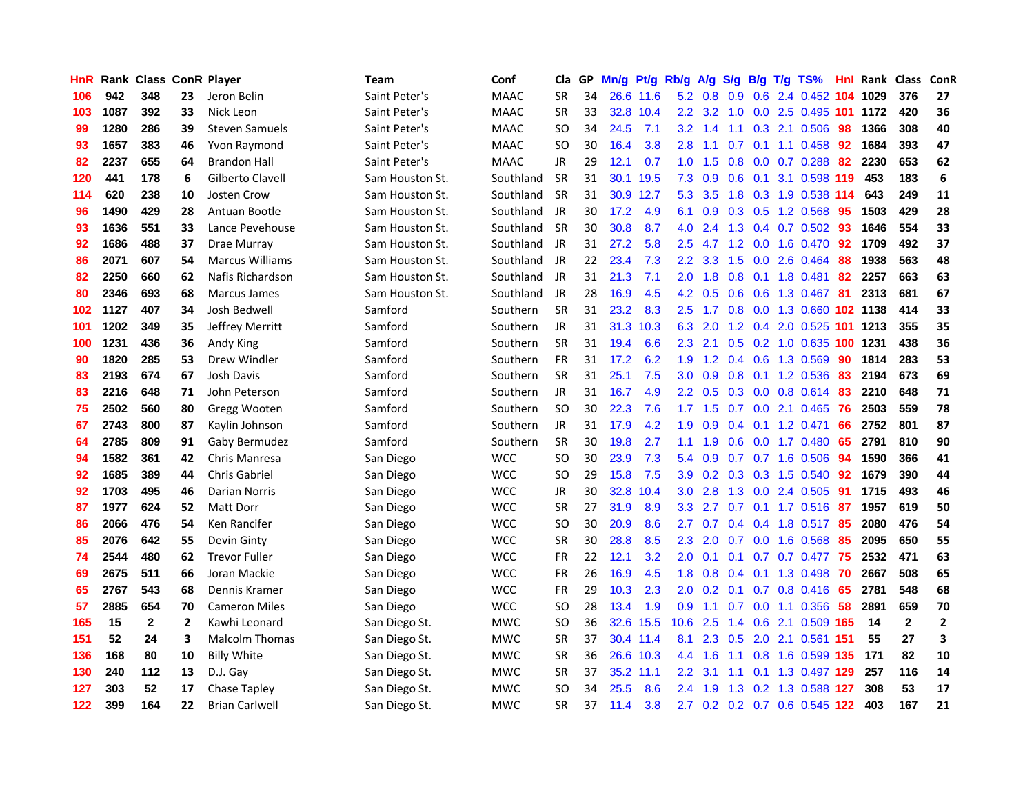| <b>HnR</b> |      | Rank Class ConR Player |                |                        | Team            | Conf        | Cla       | GP. | Mn/g Pt/g |           | Rb/g A/g         |           |     |                 | S/g B/g T/g TS%               | Hnl | Rank Class |              | <b>ConR</b>  |
|------------|------|------------------------|----------------|------------------------|-----------------|-------------|-----------|-----|-----------|-----------|------------------|-----------|-----|-----------------|-------------------------------|-----|------------|--------------|--------------|
| 106        | 942  | 348                    | 23             | Jeron Belin            | Saint Peter's   | <b>MAAC</b> | <b>SR</b> | 34  |           | 26.6 11.6 | 5.2              | 0.8       | 0.9 | 0.6             | 2.4 0.452                     | 104 | 1029       | 376          | 27           |
| 103        | 1087 | 392                    | 33             | Nick Leon              | Saint Peter's   | <b>MAAC</b> | <b>SR</b> | 33  |           | 32.8 10.4 | $2.2^{\circ}$    | 3.2       | 1.0 | 0.0             | 2.5 0.495 101                 |     | 1172       | 420          | 36           |
| 99         | 1280 | 286                    | 39             | <b>Steven Samuels</b>  | Saint Peter's   | <b>MAAC</b> | SO.       | 34  | 24.5      | 7.1       | 3.2              | 1.4       | 1.1 | 0.3             | 2.1 0.506                     | 98  | 1366       | 308          | 40           |
| 93         | 1657 | 383                    | 46             | Yvon Raymond           | Saint Peter's   | <b>MAAC</b> | <b>SO</b> | 30  | 16.4      | 3.8       | 2.8              | 1.1       | 0.7 | 0.1             | 1.1 0.458                     | -92 | 1684       | 393          | 47           |
| 82         | 2237 | 655                    | 64             | <b>Brandon Hall</b>    | Saint Peter's   | <b>MAAC</b> | JR        | 29  | 12.1      | 0.7       |                  | $1.0$ 1.5 |     |                 | 0.8 0.0 0.7 0.288             | -82 | 2230       | 653          | 62           |
| 120        | 441  | 178                    | 6              | Gilberto Clavell       | Sam Houston St. | Southland   | <b>SR</b> | 31  |           | 30.1 19.5 | 7.3              | 0.9       |     |                 | 0.6 0.1 3.1 0.598 119         |     | 453        | 183          | 6            |
| 114        | 620  | 238                    | 10             | <b>Josten Crow</b>     | Sam Houston St. | Southland   | <b>SR</b> | 31  |           | 30.9 12.7 | 5.3              | 3.5       |     |                 | 1.8 0.3 1.9 0.538 114         |     | 643        | 249          | 11           |
| 96         | 1490 | 429                    | 28             | Antuan Bootle          | Sam Houston St. | Southland   | JR        | 30  | 17.2      | 4.9       | 6.1              | 0.9       |     |                 | $0.3$ $0.5$ 1.2 0.568         | 95  | 1503       | 429          | 28           |
| 93         | 1636 | 551                    | 33             | Lance Pevehouse        | Sam Houston St. | Southland   | <b>SR</b> | 30  | 30.8      | 8.7       | 4.0              | 2.4       |     |                 | 1.3 0.4 0.7 0.502             | 93  | 1646       | 554          | 33           |
| 92         | 1686 | 488                    | 37             | Drae Murray            | Sam Houston St. | Southland   | JR        | 31  | 27.2      | 5.8       | 2.5              | 4.7       |     | $1.2 \quad 0.0$ | 1.6 0.470                     | 92  | 1709       | 492          | 37           |
| 86         | 2071 | 607                    | 54             | <b>Marcus Williams</b> | Sam Houston St. | Southland   | JR        | 22  | 23.4      | 7.3       | $2.2^{\circ}$    | 3.3       | 1.5 |                 | 0.0 2.6 0.464                 | 88  | 1938       | 563          | 48           |
| 82         | 2250 | 660                    | 62             | Nafis Richardson       | Sam Houston St. | Southland   | JR        | 31  | 21.3      | 7.1       | 2.0              | 1.8       | 0.8 | 0.1             | 1.8 0.481                     | 82  | 2257       | 663          | 63           |
| 80         | 2346 | 693                    | 68             | Marcus James           | Sam Houston St. | Southland   | JR        | 28  | 16.9      | 4.5       | 4.2              | 0.5       | 0.6 | 0.6             | 1.3 0.467                     | 81  | 2313       | 681          | 67           |
| 102        | 1127 | 407                    | 34             | Josh Bedwell           | Samford         | Southern    | <b>SR</b> | 31  | 23.2      | 8.3       | 2.5              | 1.7       | 0.8 | 0.0             | 1.3 0.660 102 1138            |     |            | 414          | 33           |
| 101        | 1202 | 349                    | 35             | Jeffrey Merritt        | Samford         | Southern    | JR        | 31  | 31.3      | 10.3      | 6.3              | 2.0       | 1.2 | 0.4             | 2.0 0.525                     | 101 | 1213       | 355          | 35           |
| 100        | 1231 | 436                    | 36             | Andy King              | Samford         | Southern    | <b>SR</b> | 31  | 19.4      | 6.6       | 2.3              | 2.1       |     |                 | 0.5 0.2 1.0 0.635 100         |     | 1231       | 438          | 36           |
| 90         | 1820 | 285                    | 53             | Drew Windler           | Samford         | Southern    | <b>FR</b> | 31  | 17.2      | 6.2       | 1.9              |           |     |                 | 1.2 0.4 0.6 1.3 0.569         | -90 | 1814       | 283          | 53           |
| 83         | 2193 | 674                    | 67             | Josh Davis             | Samford         | Southern    | <b>SR</b> | 31  | 25.1      | 7.5       | 3.0 <sub>2</sub> | 0.9       |     |                 | 0.8 0.1 1.2 0.536             | 83  | 2194       | 673          | 69           |
| 83         | 2216 | 648                    | 71             | John Peterson          | Samford         | Southern    | <b>JR</b> | 31  | 16.7      | 4.9       | $2.2^{\circ}$    | 0.5       |     |                 | $0.3$ 0.0 0.8 0.614           | 83  | 2210       | 648          | 71           |
| 75         | 2502 | 560                    | 80             | Gregg Wooten           | Samford         | Southern    | <b>SO</b> | 30  | 22.3      | 7.6       |                  | $1.7$ 1.5 |     |                 | 0.7 0.0 2.1 0.465 76          |     | 2503       | 559          | 78           |
| 67         | 2743 | 800                    | 87             | Kaylin Johnson         | Samford         | Southern    | JR        | 31  | 17.9      | 4.2       | 1.9              | 0.9       |     |                 | $0.4$ 0.1 1.2 0.471           | 66  | 2752       | 801          | 87           |
| 64         | 2785 | 809                    | 91             | Gaby Bermudez          | Samford         | Southern    | <b>SR</b> | 30  | 19.8      | 2.7       | 1.1              | 1.9       | 0.6 |                 | 0.0 1.7 0.480                 | 65  | 2791       | 810          | 90           |
| 94         | 1582 | 361                    | 42             | Chris Manresa          | San Diego       | <b>WCC</b>  | SO.       | 30  | 23.9      | 7.3       | 5.4              | 0.9       |     |                 | $0.7$ $0.7$ 1.6 0.506         | 94  | 1590       | 366          | 41           |
| 92         | 1685 | 389                    | 44             | <b>Chris Gabriel</b>   | San Diego       | <b>WCC</b>  | SO        | 29  | 15.8      | 7.5       | 3.9              | 0.2       |     |                 | 0.3 0.3 1.5 0.540             | 92  | 1679       | 390          | 44           |
| 92         | 1703 | 495                    | 46             | Darian Norris          | San Diego       | <b>WCC</b>  | JR        | 30  |           | 32.8 10.4 | 3.0              | 2.8       |     |                 | 1.3 0.0 2.4 0.505             | -91 | 1715       | 493          | 46           |
| 87         | 1977 | 624                    | 52             | <b>Matt Dorr</b>       | San Diego       | <b>WCC</b>  | <b>SR</b> | 27  | 31.9      | 8.9       | 3.3              | 2.7       | 0.7 |                 | $0.1$ 1.7 $0.516$             | 87  | 1957       | 619          | 50           |
| 86         | 2066 | 476                    | 54             | Ken Rancifer           | San Diego       | <b>WCC</b>  | SO.       | 30  | 20.9      | 8.6       | 2.7              | 0.7       |     |                 | $0.4$ 0.4 1.8 0.517           | -85 | 2080       | 476          | 54           |
| 85         | 2076 | 642                    | 55             | Devin Ginty            | San Diego       | <b>WCC</b>  | <b>SR</b> | 30  | 28.8      | 8.5       | 2.3              | 2.0       |     | $0.7 \quad 0.0$ | 1.6 0.568                     | 85  | 2095       | 650          | 55           |
| 74         | 2544 | 480                    | 62             | <b>Trevor Fuller</b>   | San Diego       | <b>WCC</b>  | <b>FR</b> | 22  | 12.1      | 3.2       | 2.0              | 0.1       | 0.1 |                 | $0.7$ $0.7$ $0.477$           | 75  | 2532       | 471          | 63           |
| 69         | 2675 | 511                    | 66             | Joran Mackie           | San Diego       | <b>WCC</b>  | <b>FR</b> | 26  | 16.9      | 4.5       | 1.8 <sup>1</sup> |           |     |                 | 0.8 0.4 0.1 1.3 0.498         | -70 | 2667       | 508          | 65           |
| 65         | 2767 | 543                    | 68             | Dennis Kramer          | San Diego       | <b>WCC</b>  | <b>FR</b> | 29  | 10.3      | 2.3       | 2.0 <sub>2</sub> |           |     |                 | $0.2$ 0.1 0.7 0.8 0.416       | 65  | 2781       | 548          | 68           |
| 57         | 2885 | 654                    | 70             | <b>Cameron Miles</b>   | San Diego       | <b>WCC</b>  | <b>SO</b> | 28  | 13.4      | 1.9       | 0.9              | 1.1       |     |                 | 0.7 0.0 1.1 0.356             | -58 | 2891       | 659          | 70           |
| 165        | 15   | $\mathbf{2}$           | $\overline{2}$ | Kawhi Leonard          | San Diego St.   | <b>MWC</b>  | SO.       | 36  |           | 32.6 15.5 | 10.6             | 2.5       |     |                 | 1.4 0.6 2.1 0.509 165         |     | -14        | $\mathbf{2}$ | $\mathbf{2}$ |
| 151        | 52   | 24                     | 3              | <b>Malcolm Thomas</b>  | San Diego St.   | <b>MWC</b>  | <b>SR</b> | 37  |           | 30.4 11.4 | 8.1              | 2.3       | 0.5 |                 | 2.0 2.1 0.561 151             |     | 55         | 27           | 3            |
| 136        | 168  | 80                     | 10             | <b>Billy White</b>     | San Diego St.   | <b>MWC</b>  | <b>SR</b> | 36  |           | 26.6 10.3 | 4.4              | 1.6       | 1.1 |                 | 0.8 1.6 0.599 135             |     | 171        | 82           | 10           |
| 130        | 240  | 112                    | 13             | D.J. Gay               | San Diego St.   | <b>MWC</b>  | <b>SR</b> | 37  |           | 35.2 11.1 | $2.2^{\circ}$    | 3.1       | 1.1 | 0.1             | 1.3 0.497 129                 |     | 257        | 116          | 14           |
| 127        | 303  | 52                     | 17             | Chase Tapley           | San Diego St.   | MWC         | <b>SO</b> | 34  | 25.5      | 8.6       | 2.4              | 1.9       | 1.3 | 0.2             | 1.3 0.588                     | 127 | 308        | 53           | 17           |
| 122        | 399  | 164                    | 22             | <b>Brian Carlwell</b>  | San Diego St.   | <b>MWC</b>  | <b>SR</b> | 37  | 11.4      | 3.8       |                  |           |     |                 | 2.7 0.2 0.2 0.7 0.6 0.545 122 |     | 403        | 167          | 21           |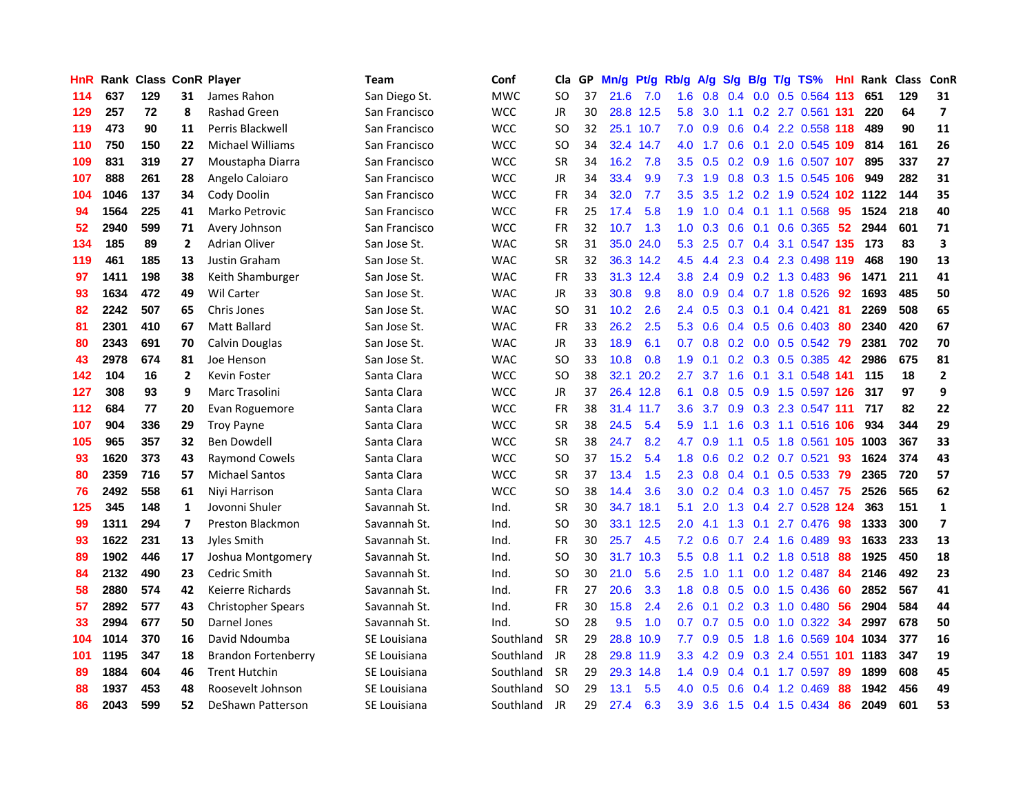| HnR |      | Rank Class ConR Player |                |                            | <b>Team</b>   | Conf       | Cla       |    | GP Mn/g | Pt/g      | Rb/g             | A/g            |     |                 | S/g B/g T/g TS%            | Hnl  | Rank Class |     | ConR                     |
|-----|------|------------------------|----------------|----------------------------|---------------|------------|-----------|----|---------|-----------|------------------|----------------|-----|-----------------|----------------------------|------|------------|-----|--------------------------|
| 114 | 637  | 129                    | 31             | James Rahon                | San Diego St. | <b>MWC</b> | SO.       | 37 | 21.6    | 7.0       | 1.6              | 0.8            | 0.4 | 0.0             | 0.5 0.564                  | 113  | 651        | 129 | 31                       |
| 129 | 257  | 72                     | 8              | Rashad Green               | San Francisco | <b>WCC</b> | JR        | 30 | 28.8    | 12.5      | 5.8              | 3.0            | 1.1 |                 | 0.2 2.7 0.561 131          |      | 220        | 64  | $\overline{\phantom{a}}$ |
| 119 | 473  | 90                     | 11             | Perris Blackwell           | San Francisco | <b>WCC</b> | SO.       | 32 |         | 25.1 10.7 | 7.0              | 0.9            | 0.6 |                 | 0.4 2.2 0.558 118          |      | 489        | 90  | 11                       |
| 110 | 750  | 150                    | 22             | <b>Michael Williams</b>    | San Francisco | <b>WCC</b> | SO.       | 34 |         | 32.4 14.7 | 4.0              | 1.7            |     | $0.6 \quad 0.1$ | 2.0 0.545 109              |      | 814        | 161 | 26                       |
| 109 | 831  | 319                    | 27             | Moustapha Diarra           | San Francisco | <b>WCC</b> | <b>SR</b> | 34 | 16.2    | 7.8       |                  | $3.5\quad 0.5$ |     |                 | 0.2 0.9 1.6 0.507 107      |      | 895        | 337 | 27                       |
| 107 | 888  | 261                    | 28             | Angelo Caloiaro            | San Francisco | <b>WCC</b> | JR        | 34 | 33.4    | 9.9       | 7.3              | 1.9            |     |                 | 0.8 0.3 1.5 0.545 106      |      | 949        | 282 | 31                       |
| 104 | 1046 | 137                    | 34             | Cody Doolin                | San Francisco | <b>WCC</b> | <b>FR</b> | 34 | 32.0    | 7.7       | $3.5^{\circ}$    | 3.5            |     |                 | 1.2 0.2 1.9 0.524 102 1122 |      |            | 144 | 35                       |
| 94  | 1564 | 225                    | 41             | Marko Petrovic             | San Francisco | <b>WCC</b> | FR        | 25 | 17.4    | 5.8       | 1.9              | 1.0            |     |                 | $0.4$ 0.1 1.1 0.568        | 95   | 1524       | 218 | 40                       |
| 52  | 2940 | 599                    | 71             | Avery Johnson              | San Francisco | <b>WCC</b> | <b>FR</b> | 32 | 10.7    | 1.3       | 1.0              | 0.3            | 0.6 | 0.1             | 0.6 0.365                  | 52   | 2944       | 601 | 71                       |
| 134 | 185  | 89                     | $\overline{2}$ | <b>Adrian Oliver</b>       | San Jose St.  | <b>WAC</b> | <b>SR</b> | 31 | 35.0    | 24.0      | 5.3              | 2.5            | 0.7 |                 | 0.4 3.1 0.547 135          |      | 173        | 83  | 3                        |
| 119 | 461  | 185                    | 13             | Justin Graham              | San Jose St.  | <b>WAC</b> | <b>SR</b> | 32 |         | 36.3 14.2 | 4.5              | 4.4            |     |                 | 2.3 0.4 2.3 0.498 119      |      | 468        | 190 | 13                       |
| 97  | 1411 | 198                    | 38             | Keith Shamburger           | San Jose St.  | <b>WAC</b> | <b>FR</b> | 33 |         | 31.3 12.4 | 3.8 <sub>2</sub> | 2.4            | 0.9 |                 | 0.2 1.3 0.483              | 96   | 1471       | 211 | 41                       |
| 93  | 1634 | 472                    | 49             | <b>Wil Carter</b>          | San Jose St.  | <b>WAC</b> | JR        | 33 | 30.8    | 9.8       | 8.0              | 0.9            | 0.4 |                 | 0.7 1.8 0.526              | 92   | 1693       | 485 | 50                       |
| 82  | 2242 | 507                    | 65             | Chris Jones                | San Jose St.  | <b>WAC</b> | SO        | 31 | 10.2    | 2.6       | $2.4^{\circ}$    | 0.5            | 0.3 | 0.1             | 0.4 0.421                  | 81   | 2269       | 508 | 65                       |
| 81  | 2301 | 410                    | 67             | <b>Matt Ballard</b>        | San Jose St.  | <b>WAC</b> | <b>FR</b> | 33 | 26.2    | 2.5       | 5.3              | 0.6            |     | $0.4 \quad 0.5$ | 0.6 0.403                  | 80   | 2340       | 420 | 67                       |
| 80  | 2343 | 691                    | 70             | Calvin Douglas             | San Jose St.  | <b>WAC</b> | JR        | 33 | 18.9    | 6.1       | 0.7              | 0.8            |     |                 | $0.2$ 0.0 0.5 0.542        | -79  | 2381       | 702 | 70                       |
| 43  | 2978 | 674                    | 81             | Joe Henson                 | San Jose St.  | <b>WAC</b> | <b>SO</b> | 33 | 10.8    | 0.8       | 1.9              | 0.1            |     |                 | 0.2 0.3 0.5 0.385          | 42   | 2986       | 675 | 81                       |
| 142 | 104  | 16                     | $\overline{2}$ | Kevin Foster               | Santa Clara   | <b>WCC</b> | SO.       | 38 |         | 32.1 20.2 | $2.7^{\circ}$    | 3.7            |     | $1.6 \quad 0.1$ | 3.1 0.548 141              |      | 115        | 18  | $\overline{2}$           |
| 127 | 308  | 93                     | 9              | Marc Trasolini             | Santa Clara   | <b>WCC</b> | JR        | 37 |         | 26.4 12.8 | 6.1              | 0.8            |     |                 | 0.5 0.9 1.5 0.597 126      |      | 317        | 97  | 9                        |
| 112 | 684  | 77                     | 20             | Evan Roguemore             | Santa Clara   | <b>WCC</b> | <b>FR</b> | 38 |         | 31.4 11.7 | 3.6              | 3.7            |     |                 | 0.9 0.3 2.3 0.547 111      |      | 717        | 82  | 22                       |
| 107 | 904  | 336                    | 29             | <b>Troy Payne</b>          | Santa Clara   | <b>WCC</b> | <b>SR</b> | 38 | 24.5    | 5.4       | 5.9              | 1.1            | 1.6 |                 | 0.3 1.1 0.516 106          |      | 934        | 344 | 29                       |
| 105 | 965  | 357                    | 32             | <b>Ben Dowdell</b>         | Santa Clara   | <b>WCC</b> | <b>SR</b> | 38 | 24.7    | 8.2       | 4.7              | 0.9            | 1.1 | 0.5             | 1.8 0.561 105              |      | 1003       | 367 | 33                       |
| 93  | 1620 | 373                    | 43             | <b>Raymond Cowels</b>      | Santa Clara   | <b>WCC</b> | <b>SO</b> | 37 | 15.2    | 5.4       | 1.8              | 0.6            |     |                 | $0.2$ $0.2$ $0.7$ $0.521$  | 93   | 1624       | 374 | 43                       |
| 80  | 2359 | 716                    | 57             | <b>Michael Santos</b>      | Santa Clara   | <b>WCC</b> | <b>SR</b> | 37 | 13.4    | 1.5       | 2.3              | 0.8            |     | $0.4 \quad 0.1$ | $0.5$ 0.533                | -79  | 2365       | 720 | 57                       |
| 76  | 2492 | 558                    | 61             | Nivi Harrison              | Santa Clara   | <b>WCC</b> | SO        | 38 | 14.4    | 3.6       | 3.0              | 0.2            |     |                 | 0.4 0.3 1.0 0.457          | -75  | 2526       | 565 | 62                       |
| 125 | 345  | 148                    | $\mathbf{1}$   | Jovonni Shuler             | Savannah St.  | Ind.       | <b>SR</b> | 30 | 34.7    | 18.1      | 5.1              | 2.0            |     | $1.3 \quad 0.4$ | 2.7 0.528                  | -124 | 363        | 151 | $\mathbf{1}$             |
| 99  | 1311 | 294                    | $\overline{ }$ | Preston Blackmon           | Savannah St.  | Ind.       | SO        | 30 |         | 33.1 12.5 | 2.0              | 4.1            | 1.3 | 0.1             | 2.7 0.476                  | 98   | 1333       | 300 | $\overline{\mathbf{z}}$  |
| 93  | 1622 | 231                    | 13             | Jyles Smith                | Savannah St.  | Ind.       | FR        | 30 | 25.7    | 4.5       | 7.2              | 0.6            | 0.7 | 2.4             | 1.6 0.489                  | 93   | 1633       | 233 | 13                       |
| 89  | 1902 | 446                    | 17             | Joshua Montgomery          | Savannah St.  | Ind.       | <b>SO</b> | 30 |         | 31.7 10.3 | 5.5              | 0.8            | 1.1 |                 | $0.2$ 1.8 $0.518$          | 88   | 1925       | 450 | 18                       |
| 84  | 2132 | 490                    | 23             | Cedric Smith               | Savannah St.  | Ind.       | <b>SO</b> | 30 | 21.0    | 5.6       | 2.5              | 1.0            | 1.1 |                 | 0.0 1.2 0.487 84           |      | 2146       | 492 | 23                       |
| 58  | 2880 | 574                    | 42             | Keierre Richards           | Savannah St.  | Ind.       | <b>FR</b> | 27 | 20.6    | 3.3       | 1.8 <sup>1</sup> | 0.8            |     |                 | 0.5 0.0 1.5 0.436          | -60  | 2852       | 567 | 41                       |
| 57  | 2892 | 577                    | 43             | <b>Christopher Spears</b>  | Savannah St.  | Ind.       | <b>FR</b> | 30 | 15.8    | 2.4       | 2.6              | 0.1            |     |                 | $0.2$ $0.3$ 1.0 $0.480$    | -56  | 2904       | 584 | 44                       |
| 33  | 2994 | 677                    | 50             | Darnel Jones               | Savannah St.  | Ind.       | <b>SO</b> | 28 | 9.5     | 1.0       | 0.7              | 0.7            |     |                 | $0.5$ $0.0$ 1.0 $0.322$    | 34   | 2997       | 678 | 50                       |
| 104 | 1014 | 370                    | 16             | David Ndoumba              | SE Louisiana  | Southland  | <b>SR</b> | 29 |         | 28.8 10.9 | 7.7              | 0.9            | 0.5 | 1.8             | 1.6 0.569 104 1034         |      |            | 377 | 16                       |
| 101 | 1195 | 347                    | 18             | <b>Brandon Fortenberry</b> | SE Louisiana  | Southland  | JR        | 28 |         | 29.8 11.9 | 3.3 <sub>2</sub> | 4.2            | 0.9 |                 | 0.3 2.4 0.551              | 101  | 1183       | 347 | 19                       |
| 89  | 1884 | 604                    | 46             | <b>Trent Hutchin</b>       | SE Louisiana  | Southland  | <b>SR</b> | 29 | 29.3    | 14.8      | $1.4^{\circ}$    | 0.9            | 0.4 | 0.1             | 1.7 0.597                  | 89   | 1899       | 608 | 45                       |
| 88  | 1937 | 453                    | 48             | Roosevelt Johnson          | SE Louisiana  | Southland  | SO.       | 29 | 13.1    | 5.5       | 4.0              | 0.5            | 0.6 | 0.4             | 1.2 0.469                  | 88   | 1942       | 456 | 49                       |
| 86  | 2043 | 599                    | 52             | DeShawn Patterson          | SE Louisiana  | Southland  | JR        | 29 | 27.4    | 6.3       | 3.9              | 3.6            |     |                 | 1.5 0.4 1.5 0.434          | 86   | 2049       | 601 | 53                       |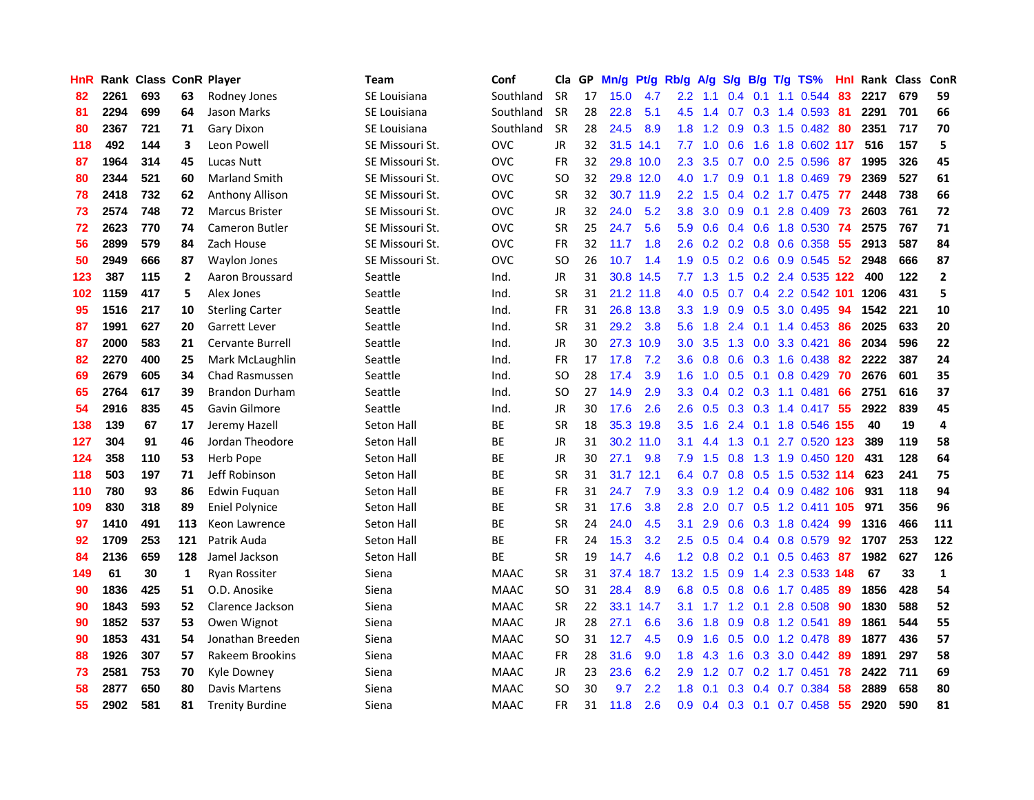| <b>HnR</b> |      | Rank Class ConR Player |                |                        | <b>Team</b>       | Conf        | Cla       |    | GP Mn/g   | Pt/g      | Rb/g             | A/g       |                 |                 | S/g B/g T/g TS%           | Hnl             | Rank Class |     | ConR         |
|------------|------|------------------------|----------------|------------------------|-------------------|-------------|-----------|----|-----------|-----------|------------------|-----------|-----------------|-----------------|---------------------------|-----------------|------------|-----|--------------|
| 82         | 2261 | 693                    | 63             | Rodney Jones           | SE Louisiana      | Southland   | <b>SR</b> | 17 | 15.0      | 4.7       | 2.2              | 1.1       | 0.4             | 0.1             | 1.1 0.544                 | 83              | 2217       | 679 | 59           |
| 81         | 2294 | 699                    | 64             | Jason Marks            | SE Louisiana      | Southland   | <b>SR</b> | 28 | 22.8      | 5.1       | 4.5              | 1.4       | 0.7             | 0.3             | 1.4 0.593                 | -81             | 2291       | 701 | 66           |
| 80         | 2367 | 721                    | 71             | Gary Dixon             | SE Louisiana      | Southland   | <b>SR</b> | 28 | 24.5      | 8.9       | 1.8              | 1.2       | 0.9             | 0.3             | 1.5 0.482                 | -80             | 2351       | 717 | 70           |
| 118        | 492  | 144                    | 3              | Leon Powell            | SE Missouri St.   | <b>OVC</b>  | <b>JR</b> | 32 | 31.5 14.1 |           |                  | $7.7$ 1.0 | 0.6             | 1.6             | 1.8 0.602 117             |                 | 516        | 157 | 5            |
| 87         | 1964 | 314                    | 45             | Lucas Nutt             | SE Missouri St.   | <b>OVC</b>  | <b>FR</b> | 32 |           | 29.8 10.0 | 2.3              | 3.5       |                 |                 | 0.7 0.0 2.5 0.596 87      |                 | 1995       | 326 | 45           |
| 80         | 2344 | 521                    | 60             | <b>Marland Smith</b>   | SE Missouri St.   | <b>OVC</b>  | SO.       | 32 |           | 29.8 12.0 | 4.0              |           |                 |                 | 1.7 0.9 0.1 1.8 0.469     | -79             | 2369       | 527 | 61           |
| 78         | 2418 | 732                    | 62             | <b>Anthony Allison</b> | SE Missouri St.   | <b>OVC</b>  | <b>SR</b> | 32 |           | 30.7 11.9 | $2.2^{\circ}$    | 1.5       |                 |                 | 0.4 0.2 1.7 0.475 77      |                 | 2448       | 738 | 66           |
| 73         | 2574 | 748                    | 72             | <b>Marcus Brister</b>  | SE Missouri St.   | <b>OVC</b>  | JR        | 32 | 24.0      | 5.2       | 3.8              | 3.0       |                 | $0.9\quad 0.1$  | 2.8 0.409                 | -73             | 2603       | 761 | 72           |
| 72         | 2623 | 770                    | 74             | <b>Cameron Butler</b>  | SE Missouri St.   | <b>OVC</b>  | <b>SR</b> | 25 | 24.7      | 5.6       | 5.9              | 0.6       |                 | $0.4\quad 0.6$  | 1.8 0.530                 | -74             | 2575       | 767 | 71           |
| 56         | 2899 | 579                    | 84             | Zach House             | SE Missouri St.   | <b>OVC</b>  | <b>FR</b> | 32 | 11.7      | 1.8       | 2.6              | 0.2       |                 |                 | 0.2 0.8 0.6 0.358         | 55              | 2913       | 587 | 84           |
| 50         | 2949 | 666                    | 87             | <b>Waylon Jones</b>    | SE Missouri St.   | <b>OVC</b>  | <b>SO</b> | 26 | 10.7      | 1.4       | 1.9              | 0.5       |                 |                 | 0.2 0.6 0.9 0.545         | 52 <sub>2</sub> | 2948       | 666 | 87           |
| 123        | 387  | 115                    | $\overline{2}$ | Aaron Broussard        | Seattle           | Ind.        | <b>JR</b> | 31 |           | 30.8 14.5 | 7.7              | 1.3       | 1.5             |                 | 0.2 2.4 0.535 122         |                 | 400        | 122 | $\mathbf{2}$ |
| 102        | 1159 | 417                    | 5              | Alex Jones             | Seattle           | Ind.        | <b>SR</b> | 31 | 21.2 11.8 |           | 4.0              | 0.5       | 0.7             | $0.4^{\circ}$   | 2.2 0.542 101             |                 | 1206       | 431 | 5            |
| 95         | 1516 | 217                    | 10             | <b>Sterling Carter</b> | Seattle           | Ind.        | FR        | 31 | 26.8 13.8 |           | 3.3 <sub>2</sub> | 1.9       | 0.9             | 0.5             | 3.0 0.495                 | 94              | 1542       | 221 | 10           |
| 87         | 1991 | 627                    | 20             | Garrett Lever          | Seattle           | Ind.        | <b>SR</b> | 31 | 29.2      | 3.8       | 5.6              | 1.8       | 2.4             | 0.1             | 1.4 0.453                 | 86              | 2025       | 633 | 20           |
| 87         | 2000 | 583                    | 21             | Cervante Burrell       | Seattle           | Ind.        | JR        | 30 |           | 27.3 10.9 | 3.0 <sub>2</sub> | 3.5       | 1.3             |                 | $0.0$ 3.3 $0.421$         | 86              | 2034       | 596 | 22           |
| 82         | 2270 | 400                    | 25             | Mark McLaughlin        | Seattle           | Ind.        | FR        | 17 | 17.8      | 7.2       | 3.6 <sup>°</sup> | 0.8       |                 |                 | 0.6 0.3 1.6 0.438         | 82              | 2222       | 387 | 24           |
| 69         | 2679 | 605                    | 34             | <b>Chad Rasmussen</b>  | Seattle           | Ind.        | SO.       | 28 | 17.4      | 3.9       |                  | $1.6$ 1.0 |                 |                 | $0.5$ 0.1 0.8 0.429       | 70              | 2676       | 601 | 35           |
| 65         | 2764 | 617                    | 39             | <b>Brandon Durham</b>  | Seattle           | Ind.        | SO.       | 27 | 14.9      | 2.9       | 3.3 <sup>°</sup> | 0.4       |                 |                 | $0.2$ 0.3 1.1 0.481       | 66              | 2751       | 616 | 37           |
| 54         | 2916 | 835                    | 45             | Gavin Gilmore          | Seattle           | Ind.        | JR        | 30 | 17.6      | 2.6       | 2.6              | 0.5       |                 |                 | 0.3 0.3 1.4 0.417 55      |                 | 2922       | 839 | 45           |
| 138        | 139  | 67                     | 17             | Jeremy Hazell          | Seton Hall        | ВE          | <b>SR</b> | 18 |           | 35.3 19.8 | 3.5              | 1.6       |                 |                 | 2.4 0.1 1.8 0.546 155     |                 | 40         | 19  | 4            |
| 127        | 304  | 91                     | 46             | Jordan Theodore        | Seton Hall        | ВE          | JR        | 31 |           | 30.2 11.0 | 3.1              | 4.4       |                 | $1.3$ 0.1       | 2.7 0.520 123             |                 | 389        | 119 | 58           |
| 124        | 358  | 110                    | 53             | Herb Pope              | Seton Hall        | ВE          | JR        | 30 | 27.1      | 9.8       | 7.9              | 1.5       | 0.8             |                 | 1.3 1.9 0.450 120         |                 | 431        | 128 | 64           |
| 118        | 503  | 197                    | 71             | Jeff Robinson          | Seton Hall        | BE          | <b>SR</b> | 31 | 31.7 12.1 |           | 6.4              | 0.7       |                 |                 | 0.8 0.5 1.5 0.532 114     |                 | 623        | 241 | 75           |
| 110        | 780  | 93                     | 86             | Edwin Fuquan           | Seton Hall        | <b>BE</b>   | <b>FR</b> | 31 | 24.7      | 7.9       | 3.3              | 0.9       |                 |                 | 1.2 0.4 0.9 0.482 106     |                 | 931        | 118 | 94           |
| 109        | 830  | 318                    | 89             | <b>Eniel Polynice</b>  | <b>Seton Hall</b> | BE          | <b>SR</b> | 31 | 17.6      | 3.8       | 2.8              | 2.0       | 0.7             | 0.5             | 1.2 0.411 105             |                 | 971        | 356 | 96           |
| 97         | 1410 | 491                    | 113            | Keon Lawrence          | Seton Hall        | BE          | <b>SR</b> | 24 | 24.0      | 4.5       | 3.1              | 2.9       | 0.6             |                 | 0.3 1.8 0.424             | -99             | 1316       | 466 | 111          |
| 92         | 1709 | 253                    | 121            | Patrik Auda            | Seton Hall        | ВE          | FR        | 24 | 15.3      | 3.2       | 2.5              | 0.5       |                 | $0.4 \quad 0.4$ | 0.8 0.579                 | 92              | 1707       | 253 | 122          |
| 84         | 2136 | 659                    | 128            | Jamel Jackson          | Seton Hall        | <b>BE</b>   | <b>SR</b> | 19 | 14.7      | 4.6       | 1.2              | 0.8       | $0.2 \quad 0.1$ |                 | $0.5$ 0.463               | -87             | 1982       | 627 | 126          |
| 149        | 61   | 30                     | 1              | Ryan Rossiter          | Siena             | <b>MAAC</b> | <b>SR</b> | 31 |           | 37.4 18.7 | $13.2 \quad 1.5$ |           | 0.9             |                 | 1.4 2.3 0.533 148         |                 | 67         | 33  | $\mathbf{1}$ |
| 90         | 1836 | 425                    | 51             | O.D. Anosike           | Siena             | <b>MAAC</b> | SO        | 31 | 28.4      | 8.9       | 6.8              | 0.5       |                 |                 | 0.8 0.6 1.7 0.485         | -89             | 1856       | 428 | 54           |
| 90         | 1843 | 593                    | 52             | Clarence Jackson       | Siena             | <b>MAAC</b> | <b>SR</b> | 22 |           | 33.1 14.7 |                  |           |                 |                 | 3.1 1.7 1.2 0.1 2.8 0.508 | 90              | 1830       | 588 | 52           |
| 90         | 1852 | 537                    | 53             | Owen Wignot            | Siena             | <b>MAAC</b> | JR        | 28 | 27.1      | 6.6       | 3.6              | 1.8       |                 |                 | 0.9 0.8 1.2 0.541         | 89              | 1861       | 544 | 55           |
| 90         | 1853 | 431                    | 54             | Jonathan Breeden       | Siena             | <b>MAAC</b> | <b>SO</b> | 31 | 12.7      | 4.5       | 0.9              | 1.6       |                 |                 | 0.5 0.0 1.2 0.478         | 89              | 1877       | 436 | 57           |
| 88         | 1926 | 307                    | 57             | Rakeem Brookins        | Siena             | <b>MAAC</b> | <b>FR</b> | 28 | 31.6      | 9.0       | 1.8              | 4.3       | 1.6             |                 | 0.3 3.0 0.442             | 89              | 1891       | 297 | 58           |
| 73         | 2581 | 753                    | 70             | Kyle Downey            | Siena             | <b>MAAC</b> | JR        | 23 | 23.6      | 6.2       | 2.9              | 1.2       | 0.7             |                 | $0.2$ 1.7 $0.451$         | 78              | 2422       | 711 | 69           |
| 58         | 2877 | 650                    | 80             | Davis Martens          | Siena             | <b>MAAC</b> | SO        | 30 | 9.7       | 2.2       | 1.8              | 0.1       | 0.3             | 0.4             | 0.7 0.384                 | 58              | 2889       | 658 | 80           |
| 55         | 2902 | 581                    | 81             | <b>Trenity Burdine</b> | Siena             | <b>MAAC</b> | <b>FR</b> | 31 | 11.8      | 2.6       | 0.9              |           |                 |                 | 0.4 0.3 0.1 0.7 0.458     | 55              | 2920       | 590 | 81           |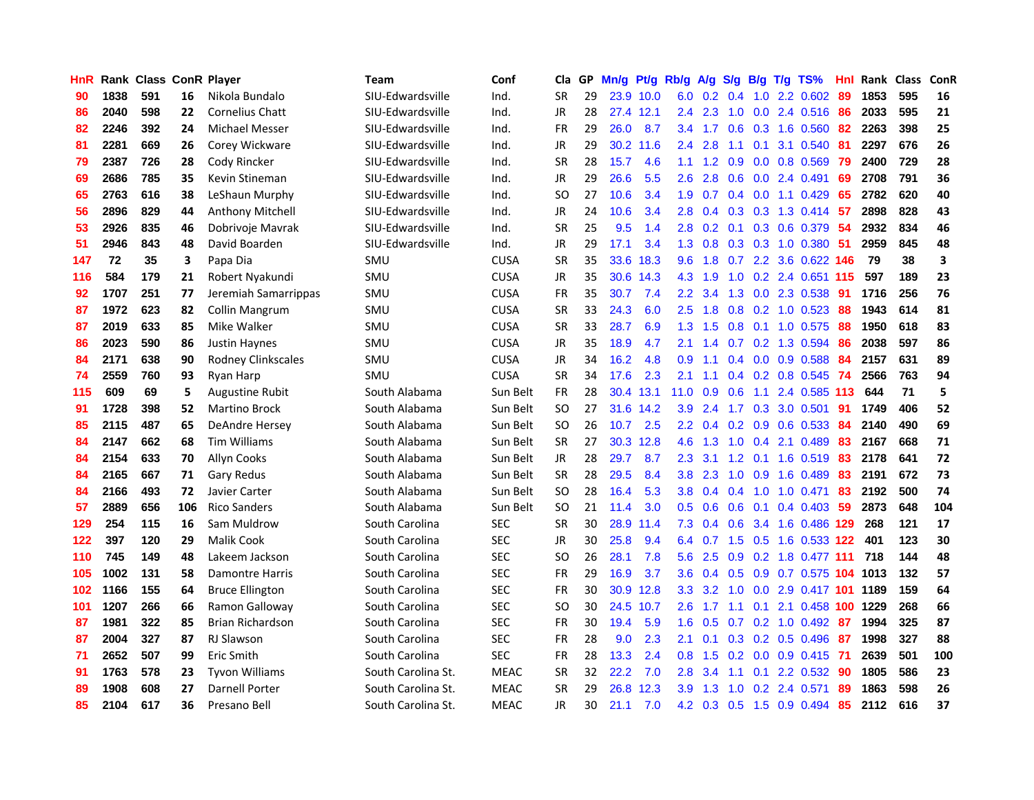| HnR |      | <b>Rank Class ConR Player</b> |     |                           | <b>Team</b>        | Conf        | Cla       |    | GP Mn/g           | Pt/g      | Rb/g             | A/g |                 |                  | $S/g$ B/g T/g TS%         | Hnl | Rank Class |     | ConR |
|-----|------|-------------------------------|-----|---------------------------|--------------------|-------------|-----------|----|-------------------|-----------|------------------|-----|-----------------|------------------|---------------------------|-----|------------|-----|------|
| 90  | 1838 | 591                           | 16  | Nikola Bundalo            | SIU-Edwardsville   | Ind.        | <b>SR</b> | 29 |                   | 23.9 10.0 | 6.0              | 0.2 | 0.4             | 1.0              | 2.2 0.602                 | 89  | 1853       | 595 | 16   |
| 86  | 2040 | 598                           | 22  | <b>Cornelius Chatt</b>    | SIU-Edwardsville   | Ind.        | JR        | 28 |                   | 27.4 12.1 | 2.4              | 2.3 | 1.0             | 0.0              | 2.4 0.516                 | 86  | 2033       | 595 | 21   |
| 82  | 2246 | 392                           | 24  | <b>Michael Messer</b>     | SIU-Edwardsville   | Ind.        | <b>FR</b> | 29 | 26.0              | 8.7       | 3.4              | 1.7 | 0.6             | 0.3              | 1.6 0.560                 | 82  | 2263       | 398 | 25   |
| 81  | 2281 | 669                           | 26  | Corey Wickware            | SIU-Edwardsville   | Ind.        | JR        | 29 |                   | 30.2 11.6 | $2.4^{\circ}$    | 2.8 | 1.1             | 0.1              | 3.1 0.540                 | 81  | 2297       | 676 | 26   |
| 79  | 2387 | 726                           | 28  | Cody Rincker              | SIU-Edwardsville   | Ind.        | <b>SR</b> | 28 | 15.7              | 4.6       | 1.1              |     |                 |                  | 1.2 0.9 0.0 0.8 0.569     | -79 | 2400       | 729 | 28   |
| 69  | 2686 | 785                           | 35  | Kevin Stineman            | SIU-Edwardsville   | Ind.        | JR        | 29 | 26.6              | 5.5       | 2.6              | 2.8 | 0.6             |                  | 0.0 2.4 0.491             | 69  | 2708       | 791 | 36   |
| 65  | 2763 | 616                           | 38  | LeShaun Murphy            | SIU-Edwardsville   | Ind.        | SO.       | 27 | 10.6              | 3.4       | 1.9              | 0.7 |                 |                  | $0.4$ 0.0 1.1 0.429       | 65  | 2782       | 620 | 40   |
| 56  | 2896 | 829                           | 44  | Anthony Mitchell          | SIU-Edwardsville   | Ind.        | JR        | 24 | 10.6              | 3.4       | 2.8              | 0.4 |                 |                  | 0.3 0.3 1.3 0.414         | 57  | 2898       | 828 | 43   |
| 53  | 2926 | 835                           | 46  | Dobrivoje Mavrak          | SIU-Edwardsville   | Ind.        | <b>SR</b> | 25 | 9.5               | 1.4       | 2.8              | 0.2 | 0.1             |                  | 0.3 0.6 0.379             | 54  | 2932       | 834 | 46   |
| 51  | 2946 | 843                           | 48  | David Boarden             | SIU-Edwardsville   | Ind.        | JR        | 29 | 17.1              | 3.4       | 1.3              | 0.8 |                 |                  | 0.3 0.3 1.0 0.380         | -51 | 2959       | 845 | 48   |
| 147 | 72   | 35                            | 3   | Papa Dia                  | SMU                | <b>CUSA</b> | <b>SR</b> | 35 | 33.6              | 18.3      | 9.6              | 1.8 | 0.7             |                  | 2.2 3.6 0.622 146         |     | 79         | 38  | 3    |
| 116 | 584  | 179                           | 21  | Robert Nyakundi           | SMU                | <b>CUSA</b> | JR        | 35 |                   | 30.6 14.3 | $4.3^{\circ}$    | 1.9 | 1.0             | 0.2              | 2.4 0.651 115             |     | 597        | 189 | 23   |
| 92  | 1707 | 251                           | 77  | Jeremiah Samarrippas      | SMU                | <b>CUSA</b> | <b>FR</b> | 35 | 30.7              | 7.4       | 2.2              | 3.4 | 1.3             | 0.0              | 2.3 0.538                 | 91  | 1716       | 256 | 76   |
| 87  | 1972 | 623                           | 82  | Collin Mangrum            | SMU                | <b>CUSA</b> | <b>SR</b> | 33 | 24.3              | 6.0       | 2.5              | 1.8 | 0.8             | 0.2              | 1.0 0.523                 | 88  | 1943       | 614 | 81   |
| 87  | 2019 | 633                           | 85  | Mike Walker               | SMU                | <b>CUSA</b> | <b>SR</b> | 33 | 28.7              | 6.9       | 1.3              | 1.5 | 0.8             | 0.1              | 1.0 0.575                 | 88  | 1950       | 618 | 83   |
| 86  | 2023 | 590                           | 86  | Justin Haynes             | SMU                | <b>CUSA</b> | JR        | 35 | 18.9              | 4.7       | 2.1              | 1.4 | 0.7             |                  | 0.2 1.3 0.594             | 86  | 2038       | 597 | 86   |
| 84  | 2171 | 638                           | 90  | <b>Rodney Clinkscales</b> | SMU                | <b>CUSA</b> | JR        | 34 | 16.2              | 4.8       | 0.9              | 1.1 |                 |                  | $0.4$ 0.0 0.9 0.588       | 84  | 2157       | 631 | 89   |
| 74  | 2559 | 760                           | 93  | Ryan Harp                 | SMU                | <b>CUSA</b> | <b>SR</b> | 34 | 17.6              | 2.3       | 2.1              | 1.1 |                 |                  | $0.4$ 0.2 0.8 0.545       | -74 | 2566       | 763 | 94   |
| 115 | 609  | 69                            | 5   | <b>Augustine Rubit</b>    | South Alabama      | Sun Belt    | FR        | 28 | 30.4              | 13.1      | 11.0             | 0.9 | 0.6             | 1.1              | 2.4 0.585 113             |     | 644        | 71  | 5    |
| 91  | 1728 | 398                           | 52  | <b>Martino Brock</b>      | South Alabama      | Sun Belt    | <b>SO</b> | 27 |                   | 31.6 14.2 | 3.9              | 2.4 |                 |                  | 1.7 0.3 3.0 0.501         | 91  | 1749       | 406 | 52   |
| 85  | 2115 | 487                           | 65  | DeAndre Hersey            | South Alabama      | Sun Belt    | SO.       | 26 | 10.7              | 2.5       | $2.2^{\circ}$    | 0.4 |                 |                  | $0.2$ $0.9$ $0.6$ $0.533$ | 84  | 2140       | 490 | 69   |
| 84  | 2147 | 662                           | 68  | <b>Tim Williams</b>       | South Alabama      | Sun Belt    | <b>SR</b> | 27 | 30.3              | 12.8      | 4.6              | 1.3 | 1.0             |                  | 0.4 2.1 0.489             | 83  | 2167       | 668 | 71   |
| 84  | 2154 | 633                           | 70  | <b>Allyn Cooks</b>        | South Alabama      | Sun Belt    | JR        | 28 | 29.7              | 8.7       | $2.3\phantom{0}$ | 3.1 | 1.2             | 0.1              | 1.6 0.519                 | 83  | 2178       | 641 | 72   |
| 84  | 2165 | 667                           | 71  | Gary Redus                | South Alabama      | Sun Belt    | <b>SR</b> | 28 | 29.5              | 8.4       | 3.8              | 2.3 | 1.0             | 0.9              | 1.6 0.489                 | 83  | 2191       | 672 | 73   |
| 84  | 2166 | 493                           | 72  | Javier Carter             | South Alabama      | Sun Belt    | <b>SO</b> | 28 | 16.4              | 5.3       | 3.8              | 0.4 | 0.4             | 1.0              | 1.0 0.471                 | 83  | 2192       | 500 | 74   |
| 57  | 2889 | 656                           | 106 | <b>Rico Sanders</b>       | South Alabama      | Sun Belt    | SO.       | 21 | 11.4              | 3.0       | 0.5              | 0.6 | 0.6             | 0.1              | 0.4 0.403                 | 59  | 2873       | 648 | 104  |
| 129 | 254  | 115                           | 16  | Sam Muldrow               | South Carolina     | <b>SEC</b>  | <b>SR</b> | 30 | 28.9              | 11.4      | 7.3              | 0.4 | 0.6             |                  | 3.4 1.6 0.486 129         |     | 268        | 121 | 17   |
| 122 | 397  | 120                           | 29  | <b>Malik Cook</b>         | South Carolina     | <b>SEC</b>  | JR        | 30 | 25.8              | 9.4       | 6.4              | 0.7 | 1.5             | 0.5              | 1.6 0.533 122             |     | 401        | 123 | 30   |
| 110 | 745  | 149                           | 48  | Lakeem Jackson            | South Carolina     | <b>SEC</b>  | <b>SO</b> | 26 | 28.1              | 7.8       | 5.6              | 2.5 | 0.9             | 0.2              | 1.8 0.477 111             |     | 718        | 144 | 48   |
| 105 | 1002 | 131                           | 58  | <b>Damontre Harris</b>    | South Carolina     | <b>SEC</b>  | FR        | 29 | 16.9              | 3.7       | 3.6              | 0.4 | 0.5             | 0.9              | 0.7 0.575 104 1013        |     |            | 132 | 57   |
| 102 | 1166 | 155                           | 64  | <b>Bruce Ellington</b>    | South Carolina     | <b>SEC</b>  | <b>FR</b> | 30 | 30.9 <sup>°</sup> | 12.8      | 3.3 <sub>2</sub> | 3.2 | 1.0             |                  | 0.0 2.9 0.417 101 1189    |     |            | 159 | 64   |
| 101 | 1207 | 266                           | 66  | Ramon Galloway            | South Carolina     | <b>SEC</b>  | SO.       | 30 |                   | 24.5 10.7 | 2.6              | 1.7 | 1.1             | 0.1              | 2.1 0.458 100 1229        |     |            | 268 | 66   |
| 87  | 1981 | 322                           | 85  | <b>Brian Richardson</b>   | South Carolina     | <b>SEC</b>  | <b>FR</b> | 30 | 19.4              | 5.9       | 1.6 <sup>°</sup> | 0.5 | 0.7             |                  | $0.2$ 1.0 0.492           | -87 | 1994       | 325 | 87   |
| 87  | 2004 | 327                           | 87  | <b>RJ Slawson</b>         | South Carolina     | <b>SEC</b>  | <b>FR</b> | 28 | 9.0               | 2.3       | 2.1              | 0.1 |                 |                  | $0.3$ 0.2 0.5 0.496       | -87 | 1998       | 327 | 88   |
| 71  | 2652 | 507                           | 99  | Eric Smith                | South Carolina     | <b>SEC</b>  | FR        | 28 | 13.3              | 2.4       | 0.8 <sub>0</sub> | 1.5 | 0.2             |                  | $0.0$ $0.9$ $0.415$       | -71 | 2639       | 501 | 100  |
| 91  | 1763 | 578                           | 23  | <b>Tyvon Williams</b>     | South Carolina St. | <b>MEAC</b> | <b>SR</b> | 32 | 22.2              | 7.0       | 2.8              | 3.4 | 1.1             | 0.1              | 2.2 0.532                 | 90  | 1805       | 586 | 23   |
| 89  | 1908 | 608                           | 27  | Darnell Porter            | South Carolina St. | <b>MEAC</b> | <b>SR</b> | 29 | 26.8              | 12.3      | 3.9              | 1.3 | 1.0             | 0.2 <sub>0</sub> | 2.4 0.571                 | 89  | 1863       | 598 | 26   |
| 85  | 2104 | 617                           | 36  | Presano Bell              | South Carolina St. | <b>MEAC</b> | <b>JR</b> | 30 | 21.1              | 7.0       | 4.2              |     | $0.3 \quad 0.5$ |                  | 1.5 0.9 0.494             | 85  | 2112       | 616 | 37   |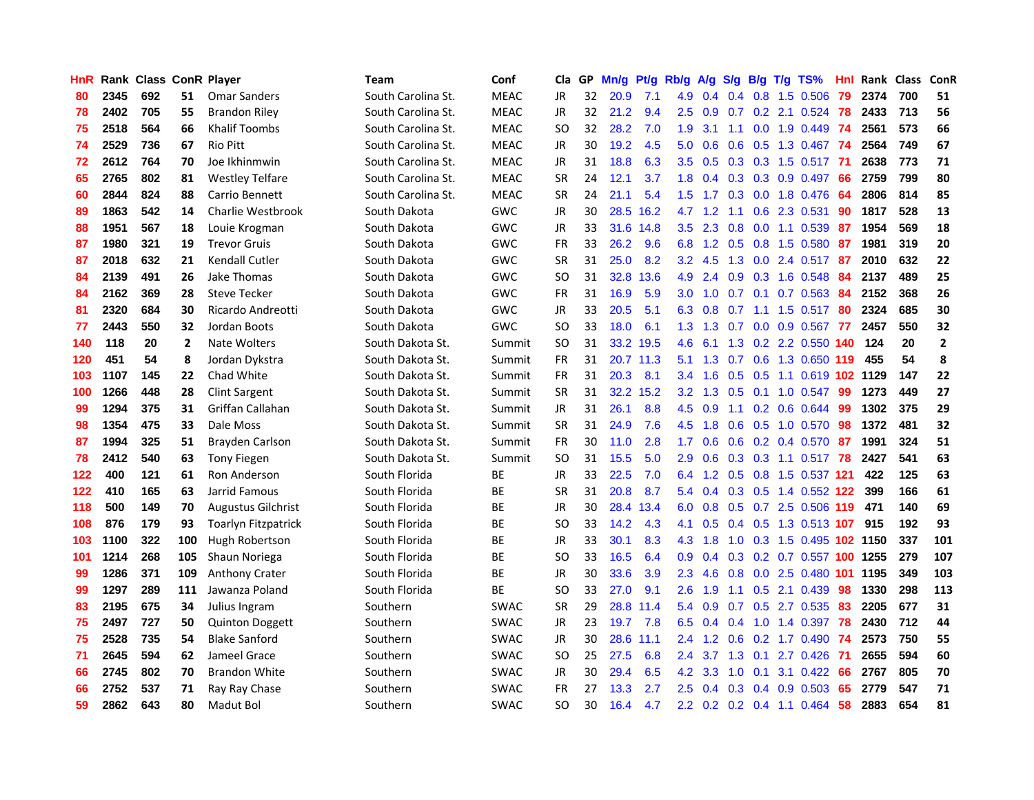| <b>HnR</b> |      | <b>Rank Class ConR Player</b> |                |                            | <b>Team</b>        | Conf        | Cla       |    | GP Mn/g | Pt/g      | Rb/g             | A/g             |     |                | S/g B/g T/g TS%            | Hnl | Rank Class |     | ConR         |
|------------|------|-------------------------------|----------------|----------------------------|--------------------|-------------|-----------|----|---------|-----------|------------------|-----------------|-----|----------------|----------------------------|-----|------------|-----|--------------|
| 80         | 2345 | 692                           | 51             | <b>Omar Sanders</b>        | South Carolina St. | <b>MEAC</b> | JR        | 32 | 20.9    | 7.1       | 4.9              | 0.4             | 0.4 | 0.8            | 1.5 0.506                  | 79  | 2374       | 700 | 51           |
| 78         | 2402 | 705                           | 55             | <b>Brandon Riley</b>       | South Carolina St. | <b>MEAC</b> | JR        | 32 | 21.2    | 9.4       | 2.5              | 0.9             | 0.7 | 0.2            | 2.1 0.524                  | 78  | 2433       | 713 | 56           |
| 75         | 2518 | 564                           | 66             | <b>Khalif Toombs</b>       | South Carolina St. | <b>MEAC</b> | SO.       | 32 | 28.2    | 7.0       | 1.9              | 3.1             | 1.1 | 0.0            | 1.9 0.449 74               |     | 2561       | 573 | 66           |
| 74         | 2529 | 736                           | 67             | <b>Rio Pitt</b>            | South Carolina St. | <b>MEAC</b> | JR        | 30 | 19.2    | 4.5       | 5.0              | 0.6             |     |                | 0.6 0.5 1.3 0.467 74       |     | 2564       | 749 | 67           |
| 72         | 2612 | 764                           | 70             | Joe Ikhinmwin              | South Carolina St. | <b>MEAC</b> | JR        | 31 | 18.8    | 6.3       |                  | $3.5 \quad 0.5$ |     |                | 0.3 0.3 1.5 0.517 71       |     | 2638       | 773 | 71           |
| 65         | 2765 | 802                           | 81             | <b>Westley Telfare</b>     | South Carolina St. | <b>MEAC</b> | <b>SR</b> | 24 | 12.1    | 3.7       | 1.8 <sup>1</sup> | 0.4             |     |                | $0.3$ $0.3$ $0.9$ $0.497$  | -66 | 2759       | 799 | 80           |
| 60         | 2844 | 824                           | 88             | Carrio Bennett             | South Carolina St. | <b>MEAC</b> | <b>SR</b> | 24 | 21.1    | 5.4       | 1.5 <sub>1</sub> | 1.7             |     |                | $0.3$ 0.0 1.8 0.476        | -64 | 2806       | 814 | 85           |
| 89         | 1863 | 542                           | 14             | Charlie Westbrook          | South Dakota       | GWC         | JR        | 30 |         | 28.5 16.2 | 4.7              | 1.2             | 1.1 |                | 0.6 2.3 0.531              | 90  | 1817       | 528 | 13           |
| 88         | 1951 | 567                           | 18             | Louie Krogman              | South Dakota       | GWC         | JR        | 33 |         | 31.6 14.8 | $3.5^{\circ}$    | 2.3             | 0.8 | 0.0            | 1.1 0.539                  | 87  | 1954       | 569 | 18           |
| 87         | 1980 | 321                           | 19             | <b>Trevor Gruis</b>        | South Dakota       | GWC         | <b>FR</b> | 33 | 26.2    | 9.6       | 6.8              | 1.2             | 0.5 |                | 0.8 1.5 0.580              | -87 | 1981       | 319 | 20           |
| 87         | 2018 | 632                           | 21             | Kendall Cutler             | South Dakota       | <b>GWC</b>  | <b>SR</b> | 31 | 25.0    | 8.2       | 3.2              | 4.5             |     |                | 1.3 0.0 2.4 0.517          | 87  | 2010       | 632 | 22           |
| 84         | 2139 | 491                           | 26             | Jake Thomas                | South Dakota       | GWC         | SO.       | 31 | 32.8    | 13.6      | 4.9              | 2.4             | 0.9 | 0.3            | 1.6 0.548                  | 84  | 2137       | 489 | 25           |
| 84         | 2162 | 369                           | 28             | Steve Tecker               | South Dakota       | GWC         | <b>FR</b> | 31 | 16.9    | 5.9       | 3.0 <sub>1</sub> | 1.0             | 0.7 | 0.1            | 0.7 0.563                  | 84  | 2152       | 368 | 26           |
| 81         | 2320 | 684                           | 30             | Ricardo Andreotti          | South Dakota       | GWC         | JR        | 33 | 20.5    | 5.1       | 6.3              | 0.8             | 0.7 | 1.1            | 1.5 0.517                  | 80  | 2324       | 685 | 30           |
| 77         | 2443 | 550                           | 32             | Jordan Boots               | South Dakota       | GWC         | <b>SO</b> | 33 | 18.0    | 6.1       | 1.3              | 1.3             | 0.7 | 0.0            | 0.9 0.567                  | 77  | 2457       | 550 | 32           |
| 140        | 118  | 20                            | $\overline{2}$ | Nate Wolters               | South Dakota St.   | Summit      | <b>SO</b> | 31 |         | 33.2 19.5 | 4.6              | 6.1             |     |                | 1.3 0.2 2.2 0.550 140      |     | 124        | 20  | $\mathbf{2}$ |
| 120        | 451  | 54                            | 8              | Jordan Dykstra             | South Dakota St.   | Summit      | FR        | 31 |         | 20.7 11.3 | 5.1              | 1.3             |     |                | 0.7 0.6 1.3 0.650 119      |     | 455        | 54  | 8            |
| 103        | 1107 | 145                           | 22             | Chad White                 | South Dakota St.   | Summit      | <b>FR</b> | 31 | 20.3    | 8.1       |                  | $3.4$ 1.6       |     |                | 0.5 0.5 1.1 0.619 102 1129 |     |            | 147 | 22           |
| 100        | 1266 | 448                           | 28             | <b>Clint Sargent</b>       | South Dakota St.   | Summit      | <b>SR</b> | 31 |         | 32.2 15.2 |                  | $3.2 \quad 1.3$ |     |                | $0.5$ 0.1 1.0 0.547        | -99 | 1273       | 449 | 27           |
| 99         | 1294 | 375                           | 31             | Griffan Callahan           | South Dakota St.   | Summit      | JR        | 31 | 26.1    | 8.8       |                  | $4.5\quad 0.9$  |     |                | 1.1 0.2 0.6 0.644          | -99 | 1302       | 375 | 29           |
| 98         | 1354 | 475                           | 33             | Dale Moss                  | South Dakota St.   | Summit      | <b>SR</b> | 31 | 24.9    | 7.6       | 4.5              | 1.8             |     |                | 0.6 0.5 1.0 0.570          | 98  | 1372       | 481 | 32           |
| 87         | 1994 | 325                           | 51             | Brayden Carlson            | South Dakota St.   | Summit      | FR        | 30 | 11.0    | 2.8       | 1.7              | 0.6             |     |                | $0.6$ 0.2 0.4 0.570        | -87 | 1991       | 324 | 51           |
| 78         | 2412 | 540                           | 63             | <b>Tony Fiegen</b>         | South Dakota St.   | Summit      | <b>SO</b> | 31 | 15.5    | 5.0       | 2.9              | 0.6             |     |                | $0.3$ $0.3$ 1.1 $0.517$    | 78  | 2427       | 541 | 63           |
| 122        | 400  | 121                           | 61             | Ron Anderson               | South Florida      | ВE          | JR        | 33 | 22.5    | 7.0       | 6.4              | 1.2             |     |                | 0.5 0.8 1.5 0.537 121      |     | 422        | 125 | 63           |
| 122        | 410  | 165                           | 63             | Jarrid Famous              | South Florida      | <b>BE</b>   | <b>SR</b> | 31 | 20.8    | 8.7       |                  | 5.4 0.4         |     |                | 0.3 0.5 1.4 0.552 122      |     | 399        | 166 | 61           |
| 118        | 500  | 149                           | 70             | <b>Augustus Gilchrist</b>  | South Florida      | <b>BE</b>   | <b>JR</b> | 30 | 28.4    | 13.4      | 6.0              | 0.8             | 0.5 | 0.7            | 2.5 0.506 119              |     | 471        | 140 | 69           |
| 108        | 876  | 179                           | 93             | <b>Toarlyn Fitzpatrick</b> | South Florida      | ВE          | SO.       | 33 | 14.2    | 4.3       | 4.1              | 0.5             |     | $0.4\quad 0.5$ | 1.3 0.513 107              |     | 915        | 192 | 93           |
| 103        | 1100 | 322                           | 100            | Hugh Robertson             | South Florida      | ВE          | JR        | 33 | 30.1    | 8.3       | 4.3              | 1.8             | 1.0 |                | 0.3 1.5 0.495 102 1150     |     |            | 337 | 101          |
| 101        | 1214 | 268                           | 105            | Shaun Noriega              | South Florida      | <b>BE</b>   | <b>SO</b> | 33 | 16.5    | 6.4       | 0.9              | 0.4             |     |                | 0.3 0.2 0.7 0.557 100 1255 |     |            | 279 | 107          |
| 99         | 1286 | 371                           | 109            | <b>Anthony Crater</b>      | South Florida      | ВE          | JR        | 30 | 33.6    | 3.9       | $2.3^{\circ}$    | 4.6             | 0.8 |                | 0.0 2.5 0.480 101 1195     |     |            | 349 | 103          |
| 99         | 1297 | 289                           | 111            | Jawanza Poland             | South Florida      | <b>BE</b>   | SO.       | 33 | 27.0    | 9.1       | 2.6              | 1.9             |     |                | $1.1$ 0.5 2.1 0.439        | -98 | 1330       | 298 | 113          |
| 83         | 2195 | 675                           | 34             | Julius Ingram              | Southern           | <b>SWAC</b> | <b>SR</b> | 29 |         | 28.8 11.4 |                  | 5.4 0.9         | 0.7 |                | 0.5 2.7 0.535              | 83  | 2205       | 677 | 31           |
| 75         | 2497 | 727                           | 50             | <b>Quinton Doggett</b>     | Southern           | <b>SWAC</b> | JR        | 23 | 19.7    | 7.8       | 6.5              | 0.4             | 0.4 |                | 1.0 1.4 0.397              | 78  | 2430       | 712 | 44           |
| 75         | 2528 | 735                           | 54             | <b>Blake Sanford</b>       | Southern           | <b>SWAC</b> | JR        | 30 | 28.6    | 11.1      | $2.4^{\circ}$    | 1.2             | 0.6 |                | 0.2 1.7 0.490              | -74 | 2573       | 750 | 55           |
| 71         | 2645 | 594                           | 62             | Jameel Grace               | Southern           | SWAC        | <b>SO</b> | 25 | 27.5    | 6.8       | $2.4^{\circ}$    | 3.7             | 1.3 | 0.1            | 2.7 0.426                  | -71 | 2655       | 594 | 60           |
| 66         | 2745 | 802                           | 70             | <b>Brandon White</b>       | Southern           | <b>SWAC</b> | JR        | 30 | 29.4    | 6.5       | 4.2              | 3.3             | 1.0 | 0.1            | 3.1 0.422                  | 66  | 2767       | 805 | 70           |
| 66         | 2752 | 537                           | 71             | Ray Ray Chase              | Southern           | <b>SWAC</b> | FR        | 27 | 13.3    | 2.7       | $2.5\,$          | 0.4             | 0.3 | 0.4            | 0.9 0.503                  | 65  | 2779       | 547 | 71           |
| 59         | 2862 | 643                           | 80             | Madut Bol                  | Southern           | <b>SWAC</b> | SO.       | 30 | 16.4    | 4.7       |                  |                 |     |                | 2.2 0.2 0.2 0.4 1.1 0.464  | 58  | 2883       | 654 | 81           |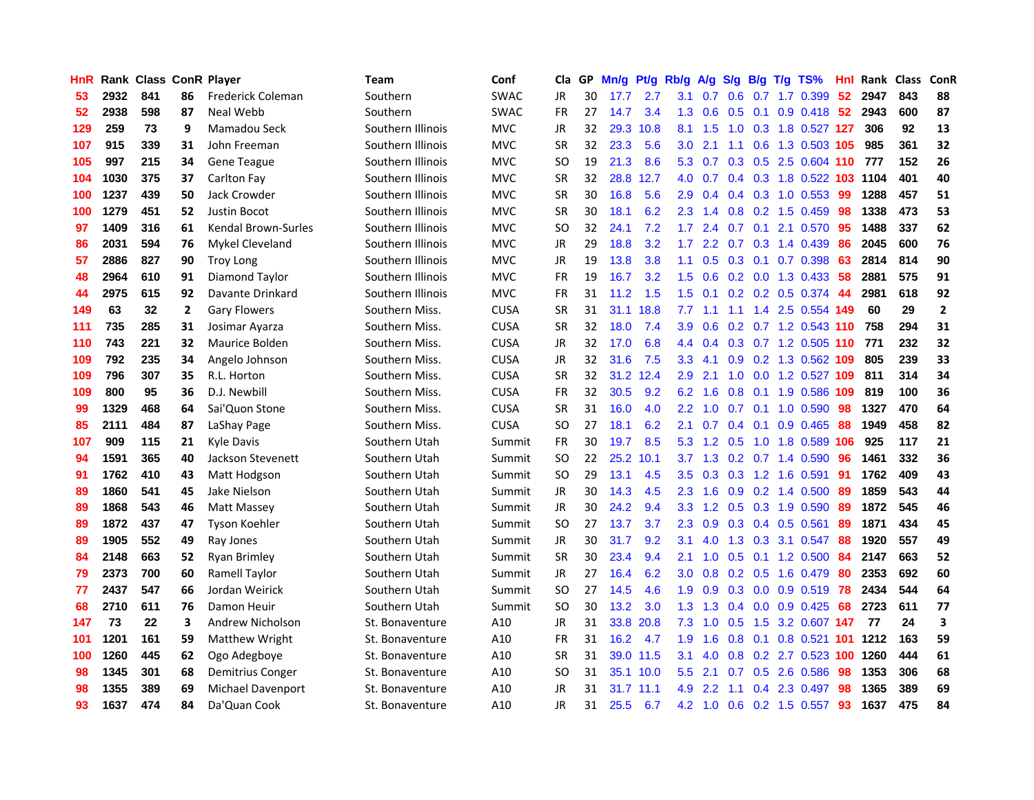| HnR |      | <b>Rank Class ConR Player</b> |              |                      | <b>Team</b>       | Conf        | Cla       |    | GP Mn/g | Pt/g      | Rb/g             | A/g             |                 |                 | $S/g$ B/g T/g TS%       | Hnl | Rank Class |     | <b>ConR</b>    |
|-----|------|-------------------------------|--------------|----------------------|-------------------|-------------|-----------|----|---------|-----------|------------------|-----------------|-----------------|-----------------|-------------------------|-----|------------|-----|----------------|
| 53  | 2932 | 841                           | 86           | Frederick Coleman    | Southern          | <b>SWAC</b> | JR        | 30 | 17.7    | 2.7       | 3.1              | 0.7             | 0.6             | 0.7             | 1.7 0.399               | 52  | 2947       | 843 | 88             |
| 52  | 2938 | 598                           | 87           | Neal Webb            | Southern          | <b>SWAC</b> | <b>FR</b> | 27 | 14.7    | 3.4       | 1.3              | 0.6             | 0.5             | 0.1             | $0.9$ $0.418$           | 52  | 2943       | 600 | 87             |
| 129 | 259  | 73                            | 9            | Mamadou Seck         | Southern Illinois | <b>MVC</b>  | JR        | 32 | 29.3    | 10.8      | 8.1              | 1.5             | 1.0             |                 | 0.3 1.8 0.527 127       |     | 306        | 92  | 13             |
| 107 | 915  | 339                           | 31           | John Freeman         | Southern Illinois | <b>MVC</b>  | <b>SR</b> | 32 | 23.3    | 5.6       | 3.0 <sub>2</sub> | 2.1             | 1.1             | 0.6             | 1.3 0.503 105           |     | 985        | 361 | 32             |
| 105 | 997  | 215                           | 34           | Gene Teague          | Southern Illinois | <b>MVC</b>  | SO.       | 19 | 21.3    | 8.6       |                  | $5.3 \quad 0.7$ |                 |                 | 0.3 0.5 2.5 0.604 110   |     | 777        | 152 | 26             |
| 104 | 1030 | 375                           | 37           | Carlton Fay          | Southern Illinois | <b>MVC</b>  | <b>SR</b> | 32 | 28.8    | 12.7      | 4.0              | 0.7             |                 |                 | 0.4 0.3 1.8 0.522 103   |     | 1104       | 401 | 40             |
| 100 | 1237 | 439                           | 50           | Jack Crowder         | Southern Illinois | <b>MVC</b>  | <b>SR</b> | 30 | 16.8    | 5.6       | 2.9              | 0.4             |                 |                 | 0.4 0.3 1.0 0.553       | -99 | 1288       | 457 | 51             |
| 100 | 1279 | 451                           | 52           | Justin Bocot         | Southern Illinois | <b>MVC</b>  | <b>SR</b> | 30 | 18.1    | 6.2       | $2.3^{\circ}$    | 1.4             | 0.8             |                 | $0.2$ 1.5 $0.459$       | 98  | 1338       | 473 | 53             |
| 97  | 1409 | 316                           | 61           | Kendal Brown-Surles  | Southern Illinois | <b>MVC</b>  | <b>SO</b> | 32 | 24.1    | 7.2       | 1.7              | 2.4             |                 | $0.7 \quad 0.1$ | 2.1 0.570               | 95  | 1488       | 337 | 62             |
| 86  | 2031 | 594                           | 76           | Mykel Cleveland      | Southern Illinois | <b>MVC</b>  | JR        | 29 | 18.8    | 3.2       | 1.7              | 2.2             | 0.7             |                 | 0.3 1.4 0.439           | 86  | 2045       | 600 | 76             |
| 57  | 2886 | 827                           | 90           | <b>Troy Long</b>     | Southern Illinois | <b>MVC</b>  | JR        | 19 | 13.8    | 3.8       | 1.1              | 0.5             |                 | $0.3 \quad 0.1$ | 0.7 0.398               | 63  | 2814       | 814 | 90             |
| 48  | 2964 | 610                           | 91           | Diamond Taylor       | Southern Illinois | <b>MVC</b>  | FR        | 19 | 16.7    | 3.2       | 1.5              | 0.6             |                 |                 | 0.2 0.0 1.3 0.433       | 58  | 2881       | 575 | 91             |
| 44  | 2975 | 615                           | 92           | Davante Drinkard     | Southern Illinois | <b>MVC</b>  | <b>FR</b> | 31 | 11.2    | 1.5       | 1.5              | 0.1             | 0.2             |                 | 0.2 0.5 0.374           | 44  | 2981       | 618 | 92             |
| 149 | 63   | 32                            | $\mathbf{2}$ | <b>Gary Flowers</b>  | Southern Miss.    | <b>CUSA</b> | <b>SR</b> | 31 |         | 31.1 18.8 | 7.7              | 1.1             | 1.1             |                 | 1.4 2.5 0.554 149       |     | 60         | 29  | $\overline{2}$ |
| 111 | 735  | 285                           | 31           | Josimar Ayarza       | Southern Miss.    | <b>CUSA</b> | <b>SR</b> | 32 | 18.0    | 7.4       | 3.9              | 0.6             | 0.2             |                 | 0.7 1.2 0.543 110       |     | 758        | 294 | 31             |
| 110 | 743  | 221                           | 32           | Maurice Bolden       | Southern Miss.    | <b>CUSA</b> | JR        | 32 | 17.0    | 6.8       | 4.4              | 0.4             |                 |                 | 0.3 0.7 1.2 0.505 110   |     | 771        | 232 | 32             |
| 109 | 792  | 235                           | 34           | Angelo Johnson       | Southern Miss.    | <b>CUSA</b> | JR        | 32 | 31.6    | 7.5       | 3.3              | 4.1             |                 |                 | 0.9 0.2 1.3 0.562 109   |     | 805        | 239 | 33             |
| 109 | 796  | 307                           | 35           | R.L. Horton          | Southern Miss.    | <b>CUSA</b> | <b>SR</b> | 32 |         | 31.2 12.4 | 2.9              | 2.1             | 1.0             |                 | 0.0 1.2 0.527 109       |     | 811        | 314 | 34             |
| 109 | 800  | 95                            | 36           | D.J. Newbill         | Southern Miss.    | <b>CUSA</b> | <b>FR</b> | 32 | 30.5    | 9.2       | 6.2              | 1.6             |                 |                 | 0.8 0.1 1.9 0.586 109   |     | 819        | 100 | 36             |
| 99  | 1329 | 468                           | 64           | Sai'Quon Stone       | Southern Miss.    | <b>CUSA</b> | <b>SR</b> | 31 | 16.0    | 4.0       | $2.2^{\circ}$    | 1.0             |                 |                 | $0.7$ 0.1 1.0 0.590     | -98 | 1327       | 470 | 64             |
| 85  | 2111 | 484                           | 87           | LaShay Page          | Southern Miss.    | <b>CUSA</b> | <b>SO</b> | 27 | 18.1    | 6.2       | 2.1              | 0.7             |                 |                 | $0.4$ 0.1 0.9 0.465     | -88 | 1949       | 458 | 82             |
| 107 | 909  | 115                           | 21           | <b>Kyle Davis</b>    | Southern Utah     | Summit      | FR        | 30 | 19.7    | 8.5       | 5.3              | 1.2             | 0.5             |                 | 1.0 1.8 0.589 106       |     | 925        | 117 | 21             |
| 94  | 1591 | 365                           | 40           | Jackson Stevenett    | Southern Utah     | Summit      | <b>SO</b> | 22 | 25.2    | 10.1      | 3.7              | 1.3             |                 |                 | $0.2$ 0.7 1.4 0.590     | 96  | 1461       | 332 | 36             |
| 91  | 1762 | 410                           | 43           | Matt Hodgson         | Southern Utah     | Summit      | <b>SO</b> | 29 | 13.1    | 4.5       | 3.5              | 0.3             | 0.3             |                 | 1.2 1.6 0.591           | -91 | 1762       | 409 | 43             |
| 89  | 1860 | 541                           | 45           | Jake Nielson         | Southern Utah     | Summit      | JR        | 30 | 14.3    | 4.5       | $2.3\phantom{0}$ | 1.6             | 0.9             |                 | $0.2$ 1.4 $0.500$       | -89 | 1859       | 543 | 44             |
| 89  | 1868 | 543                           | 46           | Matt Massey          | Southern Utah     | Summit      | JR        | 30 | 24.2    | 9.4       | 3.3              | 1.2             |                 | $0.5 \quad 0.3$ | 1.9 0.590               | 89  | 1872       | 545 | 46             |
| 89  | 1872 | 437                           | 47           | <b>Tyson Koehler</b> | Southern Utah     | Summit      | <b>SO</b> | 27 | 13.7    | 3.7       | 2.3              | 0.9             | 0.3             | 0.4             | 0.5 0.561               | 89  | 1871       | 434 | 45             |
| 89  | 1905 | 552                           | 49           | Ray Jones            | Southern Utah     | Summit      | JR        | 30 | 31.7    | 9.2       | 3.1              | 4.0             | 1.3             | 0.3             | 3.1 0.547               | 88  | 1920       | 557 | 49             |
| 84  | 2148 | 663                           | 52           | Ryan Brimley         | Southern Utah     | Summit      | <b>SR</b> | 30 | 23.4    | 9.4       | 2.1              | 1.0             | 0.5             | 0.1             | 1.2 0.500               | 84  | 2147       | 663 | 52             |
| 79  | 2373 | 700                           | 60           | <b>Ramell Taylor</b> | Southern Utah     | Summit      | <b>JR</b> | 27 | 16.4    | 6.2       | 3.0              | 0.8             | $0.2 \quad 0.5$ |                 | 1.6 0.479               | 80  | 2353       | 692 | 60             |
| 77  | 2437 | 547                           | 66           | Jordan Weirick       | Southern Utah     | Summit      | <b>SO</b> | 27 | 14.5    | 4.6       | 1.9              | 0.9             |                 | $0.3 \ 0.0$     | 0.9 0.519               | 78  | 2434       | 544 | 64             |
| 68  | 2710 | 611                           | 76           | Damon Heuir          | Southern Utah     | Summit      | SO.       | 30 | 13.2    | 3.0       |                  | $1.3$ $1.3$     |                 |                 | $0.4$ 0.0 0.9 0.425     | -68 | 2723       | 611 | 77             |
| 147 | 73   | 22                            | 3            | Andrew Nicholson     | St. Bonaventure   | A10         | JR        | 31 |         | 33.8 20.8 | 7.3              | 1.0             | 0.5             |                 | 1.5 3.2 0.607 147       |     | -77        | 24  | 3              |
| 101 | 1201 | 161                           | 59           | Matthew Wright       | St. Bonaventure   | A10         | <b>FR</b> | 31 | 16.2    | 4.7       | 1.9              | 1.6             | 0.8             | 0.1             | 0.8 0.521 101 1212      |     |            | 163 | 59             |
| 100 | 1260 | 445                           | 62           | Ogo Adegboye         | St. Bonaventure   | A10         | <b>SR</b> | 31 |         | 39.0 11.5 | 3.1              | 4.0             | 0.8             |                 | 0.2 2.7 0.523 100       |     | 1260       | 444 | 61             |
| 98  | 1345 | 301                           | 68           | Demitrius Conger     | St. Bonaventure   | A10         | SO.       | 31 |         | 35.1 10.0 | 5.5              | 2.1             | 0.7             | 0.5             | 2.6 0.586               | 98  | 1353       | 306 | 68             |
| 98  | 1355 | 389                           | 69           | Michael Davenport    | St. Bonaventure   | A10         | JR        | 31 |         | 31.7 11.1 | 4.9              | 2.2             | 1.1             | 0.4             | 2.3 0.497               | 98  | 1365       | 389 | 69             |
| 93  | 1637 | 474                           | 84           | Da'Quan Cook         | St. Bonaventure   | A10         | JR        | 31 | 25.5    | 6.7       |                  | $4.2 \quad 1.0$ |                 |                 | $0.6$ $0.2$ 1.5 $0.557$ | 93  | 1637       | 475 | 84             |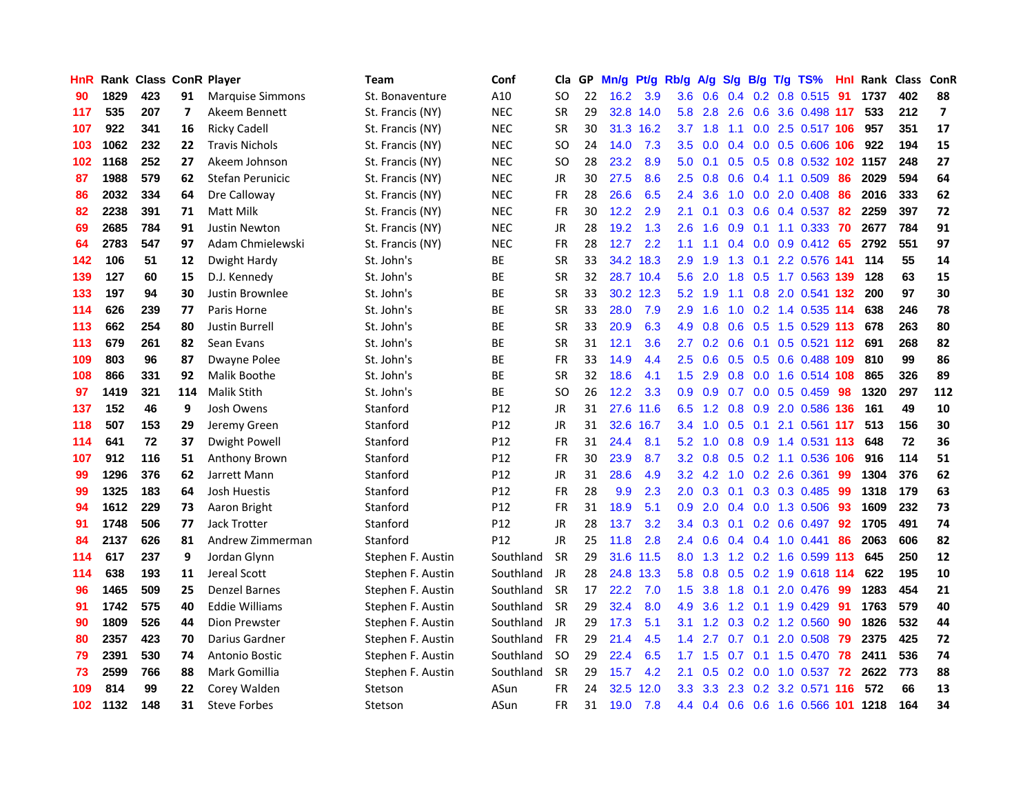| <b>HnR</b> |      | Rank Class ConR Player |     |                         | <b>Team</b>       | Conf            | Cla       |    | GP Mn/g Pt/g Rb/g |           |                  | A/g       |     |                 | S/g B/g T/g TS%                | Hnl | Rank Class |     | ConR                    |
|------------|------|------------------------|-----|-------------------------|-------------------|-----------------|-----------|----|-------------------|-----------|------------------|-----------|-----|-----------------|--------------------------------|-----|------------|-----|-------------------------|
| 90         | 1829 | 423                    | 91  | <b>Marquise Simmons</b> | St. Bonaventure   | A10             | SO.       | 22 | 16.2              | 3.9       | 3.6              | 0.6       | 0.4 | 0.2             | 0.8 0.515                      | 91  | 1737       | 402 | 88                      |
| 117        | 535  | 207                    | 7   | Akeem Bennett           | St. Francis (NY)  | <b>NEC</b>      | <b>SR</b> | 29 |                   | 32.8 14.0 | 5.8              | 2.8       | 2.6 | 0.6             | 3.6 0.498 117                  |     | 533        | 212 | $\overline{\mathbf{z}}$ |
| 107        | 922  | 341                    | 16  | <b>Ricky Cadell</b>     | St. Francis (NY)  | <b>NEC</b>      | <b>SR</b> | 30 |                   | 31.3 16.2 | 3.7              | 1.8       | 1.1 | 0.0             | 2.5 0.517 106                  |     | 957        | 351 | 17                      |
| 103        | 1062 | 232                    | 22  | <b>Travis Nichols</b>   | St. Francis (NY)  | <b>NEC</b>      | <b>SO</b> | 24 | 14.0              | 7.3       | 3.5              | 0.0       |     |                 | 0.4 0.0 0.5 0.606 106          |     | 922        | 194 | 15                      |
| 102        | 1168 | 252                    | 27  | Akeem Johnson           | St. Francis (NY)  | <b>NEC</b>      | SO.       | 28 | 23.2              | 8.9       | 5.0              | 0.1       |     |                 | 0.5 0.5 0.8 0.532 102 1157     |     |            | 248 | 27                      |
| 87         | 1988 | 579                    | 62  | Stefan Perunicic        | St. Francis (NY)  | <b>NEC</b>      | JR        | 30 | 27.5              | 8.6       | 2.5              | 0.8       | 0.6 |                 | $0.4$ 1.1 0.509                | 86  | 2029       | 594 | 64                      |
| 86         | 2032 | 334                    | 64  | Dre Calloway            | St. Francis (NY)  | <b>NEC</b>      | <b>FR</b> | 28 | 26.6              | 6.5       | $2.4^{\circ}$    | 3.6       |     |                 | 1.0 0.0 2.0 0.408              | 86  | 2016       | 333 | 62                      |
| 82         | 2238 | 391                    | 71  | Matt Milk               | St. Francis (NY)  | <b>NEC</b>      | <b>FR</b> | 30 | 12.2              | 2.9       | 2.1              | 0.1       |     |                 | 0.3 0.6 0.4 0.537              | 82  | 2259       | 397 | 72                      |
| 69         | 2685 | 784                    | 91  | <b>Justin Newton</b>    | St. Francis (NY)  | <b>NEC</b>      | JR        | 28 | 19.2              | 1.3       | 2.6              | 1.6       | 0.9 | 0.1             | 1.1 0.333                      | 70  | 2677       | 784 | 91                      |
| 64         | 2783 | 547                    | 97  | Adam Chmielewski        | St. Francis (NY)  | <b>NEC</b>      | <b>FR</b> | 28 | 12.7              | 2.2       | 1.1              | 1.1       | 0.4 |                 | $0.0$ $0.9$ $0.412$            | 65  | 2792       | 551 | 97                      |
| 142        | 106  | 51                     | 12  | Dwight Hardy            | St. John's        | ВE              | <b>SR</b> | 33 |                   | 34.2 18.3 | 2.9              | 1.9       | 1.3 | 0.1             | 2.2 0.576 141                  |     | 114        | 55  | 14                      |
| 139        | 127  | 60                     | 15  | D.J. Kennedy            | St. John's        | BE              | <b>SR</b> | 32 |                   | 28.7 10.4 | 5.6              | 2.0       | 1.8 |                 | 0.5 1.7 0.563 139              |     | 128        | 63  | 15                      |
| 133        | 197  | 94                     | 30  | Justin Brownlee         | St. John's        | ВE              | <b>SR</b> | 33 |                   | 30.2 12.3 | 5.2              | 1.9       | 1.1 | 0.8             | 2.0 0.541 132                  |     | 200        | 97  | 30                      |
| 114        | 626  | 239                    | 77  | Paris Horne             | St. John's        | <b>BE</b>       | <b>SR</b> | 33 | 28.0              | 7.9       | 2.9              | 1.6       | 1.0 |                 | 0.2 1.4 0.535 114              |     | 638        | 246 | 78                      |
| 113        | 662  | 254                    | 80  | Justin Burrell          | St. John's        | ВE              | <b>SR</b> | 33 | 20.9              | 6.3       | 4.9              | 0.8       | 0.6 | 0.5             | 1.5 0.529 113                  |     | 678        | 263 | 80                      |
| 113        | 679  | 261                    | 82  | Sean Evans              | St. John's        | BE              | <b>SR</b> | 31 | 12.1              | 3.6       | 2.7              | 0.2       | 0.6 | 0.1             | $0.5$ $0.521$ 112              |     | 691        | 268 | 82                      |
| 109        | 803  | 96                     | 87  | Dwayne Polee            | St. John's        | <b>BE</b>       | <b>FR</b> | 33 | 14.9              | 4.4       | 2.5              | 0.6       |     |                 | 0.5 0.5 0.6 0.488 109          |     | 810        | 99  | 86                      |
| 108        | 866  | 331                    | 92  | Malik Boothe            | St. John's        | ВE              | <b>SR</b> | 32 | 18.6              | 4.1       | 1.5              | 2.9       |     |                 | 0.8 0.0 1.6 0.514 108          |     | 865        | 326 | 89                      |
| 97         | 1419 | 321                    | 114 | <b>Malik Stith</b>      | St. John's        | <b>BE</b>       | <b>SO</b> | 26 | 12.2              | 3.3       | 0.9 <sup>°</sup> | 0.9       |     |                 | 0.7 0.0 0.5 0.459 98           |     | 1320       | 297 | 112                     |
| 137        | 152  | 46                     | 9   | Josh Owens              | Stanford          | P12             | JR        | 31 |                   | 27.6 11.6 |                  |           |     |                 | 6.5 1.2 0.8 0.9 2.0 0.586 136  |     | 161        | 49  | 10                      |
| 118        | 507  | 153                    | 29  | Jeremy Green            | Stanford          | P <sub>12</sub> | JR        | 31 |                   | 32.6 16.7 |                  | 3.4 1.0   |     |                 | 0.5 0.1 2.1 0.561 117          |     | 513        | 156 | 30                      |
| 114        | 641  | 72                     | 37  | Dwight Powell           | Stanford          | P12             | FR        | 31 | 24.4              | 8.1       | 5.2              | 1.0       |     |                 | 0.8 0.9 1.4 0.531 113          |     | 648        | 72  | 36                      |
| 107        | 912  | 116                    | 51  | Anthony Brown           | Stanford          | P <sub>12</sub> | <b>FR</b> | 30 | 23.9              | 8.7       | 3.2              | 0.8       |     |                 | 0.5 0.2 1.1 0.536 106          |     | 916        | 114 | 51                      |
| 99         | 1296 | 376                    | 62  | Jarrett Mann            | Stanford          | P12             | JR        | 31 | 28.6              | 4.9       | 3.2              | 4.2       |     |                 | 1.0 0.2 2.6 0.361              | -99 | 1304       | 376 | 62                      |
| 99         | 1325 | 183                    | 64  | Josh Huestis            | Stanford          | P12             | FR        | 28 | 9.9               | 2.3       | 2.0 <sub>2</sub> | 0.3       |     |                 | 0.1 0.3 0.3 0.485              | -99 | 1318       | 179 | 63                      |
| 94         | 1612 | 229                    | 73  | Aaron Bright            | Stanford          | P12             | <b>FR</b> | 31 | 18.9              | 5.1       | 0.9              | 2.0       |     |                 | 0.4 0.0 1.3 0.506              | 93  | 1609       | 232 | 73                      |
| 91         | 1748 | 506                    | 77  | Jack Trotter            | Stanford          | P12             | JR        | 28 | 13.7              | 3.2       | $3.4^{\circ}$    | 0.3       | 0.1 |                 | $0.2$ 0.6 0.497                | 92  | 1705       | 491 | 74                      |
| 84         | 2137 | 626                    | 81  | Andrew Zimmerman        | Stanford          | P <sub>12</sub> | <b>JR</b> | 25 | 11.8              | 2.8       | $2.4^{\circ}$    | 0.6       |     |                 | $0.4$ 0.4 1.0 0.441            | 86  | 2063       | 606 | 82                      |
| 114        | 617  | 237                    | 9   | Jordan Glynn            | Stephen F. Austin | Southland       | <b>SR</b> | 29 | 31.6              | 11.5      | 8.0              | 1.3       |     | $1.2 \quad 0.2$ | 1.6 0.599 113                  |     | 645        | 250 | 12                      |
| 114        | 638  | 193                    | 11  | Jereal Scott            | Stephen F. Austin | Southland       | JR        | 28 |                   | 24.8 13.3 | 5.8              | 0.8       |     |                 | 0.5 0.2 1.9 0.618 114          |     | 622        | 195 | 10                      |
| 96         | 1465 | 509                    | 25  | <b>Denzel Barnes</b>    | Stephen F. Austin | Southland       | <b>SR</b> | 17 | 22.2              | 7.0       | 1.5              | 3.8       | 1.8 | 0.1             | 2.0 0.476                      | -99 | 1283       | 454 | 21                      |
| 91         | 1742 | 575                    | 40  | <b>Eddie Williams</b>   | Stephen F. Austin | Southland       | <b>SR</b> | 29 | 32.4              | 8.0       | 4.9              | 3.6       |     |                 | 1.2 0.1 1.9 0.429 91           |     | 1763       | 579 | 40                      |
| 90         | 1809 | 526                    | 44  | Dion Prewster           | Stephen F. Austin | Southland       | JR        | 29 | 17.3              | 5.1       | 3.1              |           |     |                 | 1.2 0.3 0.2 1.2 0.560          | -90 | 1826       | 532 | 44                      |
| 80         | 2357 | 423                    | 70  | Darius Gardner          | Stephen F. Austin | Southland       | <b>FR</b> | 29 | 21.4              | 4.5       | $1.4^{\circ}$    | 2.7       | 0.7 | 0.1             | 2.0 0.508                      | 79  | 2375       | 425 | 72                      |
| 79         | 2391 | 530                    | 74  | <b>Antonio Bostic</b>   | Stephen F. Austin | Southland       | <b>SO</b> | 29 | 22.4              | 6.5       |                  | $1.7$ 1.5 | 0.7 |                 | $0.1$ 1.5 0.470                | 78  | 2411       | 536 | 74                      |
| 73         | 2599 | 766                    | 88  | Mark Gomillia           | Stephen F. Austin | Southland       | <b>SR</b> | 29 | 15.7              | 4.2       | 2.1              | 0.5       | 0.2 | 0.0             | 1.0 0.537                      | 72  | 2622       | 773 | 88                      |
| 109        | 814  | 99                     | 22  | Corey Walden            | Stetson           | ASun            | FR        | 24 | 32.5              | 12.0      | 3.3              | 3.3       | 2.3 |                 | 0.2 3.2 0.571                  | 116 | 572        | 66  | 13                      |
| 102        | 1132 | 148                    | 31  | <b>Steve Forbes</b>     | Stetson           | ASun            | FR        | 31 | 19.0              | 7.8       | 4.4              |           |     |                 | 0.4 0.6 0.6 1.6 0.566 101 1218 |     |            | 164 | 34                      |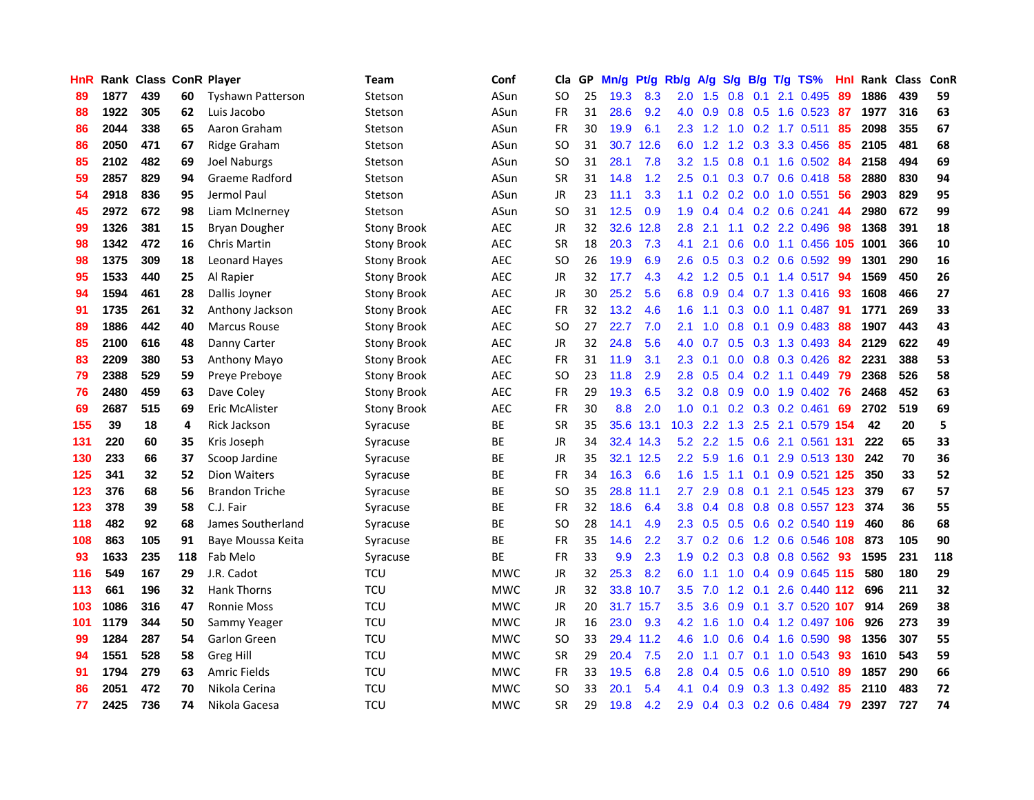| HnR |      | Rank Class ConR Player |     |                          | <b>Team</b>        | Conf       | Cla           |    | GP Mn/g | Pt/g Rb/g |                  | A/g |     |                 | S/g B/g T/g TS%           | Hnl  | Rank Class |     | ConR |
|-----|------|------------------------|-----|--------------------------|--------------------|------------|---------------|----|---------|-----------|------------------|-----|-----|-----------------|---------------------------|------|------------|-----|------|
| 89  | 1877 | 439                    | 60  | <b>Tyshawn Patterson</b> | Stetson            | ASun       | SO.           | 25 | 19.3    | 8.3       | 2.0              | 1.5 | 0.8 | 0.1             | 2.1 0.495                 | 89   | 1886       | 439 | 59   |
| 88  | 1922 | 305                    | 62  | Luis Jacobo              | Stetson            | ASun       | <b>FR</b>     | 31 | 28.6    | 9.2       | 4.0              | 0.9 | 0.8 | 0.5             | 1.6 0.523                 | 87   | 1977       | 316 | 63   |
| 86  | 2044 | 338                    | 65  | Aaron Graham             | Stetson            | ASun       | FR            | 30 | 19.9    | 6.1       | 2.3              | 1.2 | 1.0 |                 | $0.2$ 1.7 0.511           | 85   | 2098       | 355 | 67   |
| 86  | 2050 | 471                    | 67  | Ridge Graham             | Stetson            | ASun       | SO.           | 31 |         | 30.7 12.6 | 6.0              | 1.2 |     |                 | 1.2 0.3 3.3 0.456         | -85  | 2105       | 481 | 68   |
| 85  | 2102 | 482                    | 69  | Joel Naburgs             | Stetson            | ASun       | <b>SO</b>     | 31 | 28.1    | 7.8       | 3.2 <sub>0</sub> | 1.5 |     |                 | $0.8$ 0.1 1.6 0.502       | -84  | 2158       | 494 | 69   |
| 59  | 2857 | 829                    | 94  | Graeme Radford           | Stetson            | ASun       | <b>SR</b>     | 31 | 14.8    | 1.2       | 2.5              | 0.1 |     |                 | $0.3$ 0.7 0.6 0.418       | 58   | 2880       | 830 | 94   |
| 54  | 2918 | 836                    | 95  | Jermol Paul              | Stetson            | ASun       | JR            | 23 | 11.1    | 3.3       | 1.1              | 0.2 |     |                 | 0.2 0.0 1.0 0.551         | 56   | 2903       | 829 | 95   |
| 45  | 2972 | 672                    | 98  | Liam McInerney           | Stetson            | ASun       | <sub>SO</sub> | 31 | 12.5    | 0.9       | 1.9              | 0.4 |     |                 | $0.4$ 0.2 0.6 0.241       | 44   | 2980       | 672 | 99   |
| 99  | 1326 | 381                    | 15  | Bryan Dougher            | <b>Stony Brook</b> | AEC        | <b>JR</b>     | 32 | 32.6    | 12.8      | 2.8              | 2.1 | 1.1 |                 | 0.2 2.2 0.496             | 98   | 1368       | 391 | 18   |
| 98  | 1342 | 472                    | 16  | Chris Martin             | <b>Stony Brook</b> | <b>AEC</b> | <b>SR</b>     | 18 | 20.3    | 7.3       | 4.1              | 2.1 | 0.6 |                 | $0.0$ 1.1 0.456           | 105  | 1001       | 366 | 10   |
| 98  | 1375 | 309                    | 18  | <b>Leonard Haves</b>     | <b>Stony Brook</b> | <b>AEC</b> | <b>SO</b>     | 26 | 19.9    | 6.9       | 2.6              | 0.5 |     |                 | 0.3 0.2 0.6 0.592         | -99  | 1301       | 290 | 16   |
| 95  | 1533 | 440                    | 25  | Al Rapier                | <b>Stony Brook</b> | <b>AEC</b> | JR            | 32 | 17.7    | 4.3       | 4.2              | 1.2 | 0.5 |                 | $0.1$ 1.4 0.517           | -94  | 1569       | 450 | 26   |
| 94  | 1594 | 461                    | 28  | Dallis Joyner            | <b>Stony Brook</b> | <b>AEC</b> | <b>JR</b>     | 30 | 25.2    | 5.6       | 6.8              | 0.9 | 0.4 |                 | $0.7$ 1.3 $0.416$         | 93   | 1608       | 466 | 27   |
| 91  | 1735 | 261                    | 32  | Anthony Jackson          | <b>Stony Brook</b> | AEC        | <b>FR</b>     | 32 | 13.2    | 4.6       | 1.6              | 1.1 | 0.3 | 0.0             | 1.1 0.487                 | -91  | 1771       | 269 | 33   |
| 89  | 1886 | 442                    | 40  | Marcus Rouse             | <b>Stony Brook</b> | AEC        | <b>SO</b>     | 27 | 22.7    | 7.0       | 2.1              | 1.0 | 0.8 | 0.1             | 0.9 0.483                 | 88   | 1907       | 443 | 43   |
| 85  | 2100 | 616                    | 48  | Danny Carter             | <b>Stony Brook</b> | <b>AEC</b> | JR            | 32 | 24.8    | 5.6       | 4.0              | 0.7 |     |                 | $0.5$ $0.3$ $1.3$ $0.493$ | -84  | 2129       | 622 | 49   |
| 83  | 2209 | 380                    | 53  | Anthony Mayo             | Stony Brook        | <b>AEC</b> | <b>FR</b>     | 31 | 11.9    | 3.1       | $2.3^{\circ}$    | 0.1 |     |                 | $0.0$ $0.8$ $0.3$ $0.426$ | -82  | 2231       | 388 | 53   |
| 79  | 2388 | 529                    | 59  | Preye Preboye            | Stony Brook        | <b>AEC</b> | SO.           | 23 | 11.8    | 2.9       | 2.8              | 0.5 |     |                 | $0.4$ 0.2 1.1 0.449       | -79  | 2368       | 526 | 58   |
| 76  | 2480 | 459                    | 63  | Dave Coley               | Stony Brook        | <b>AEC</b> | <b>FR</b>     | 29 | 19.3    | 6.5       | 3.2 <sub>2</sub> | 0.8 |     |                 | $0.9$ $0.0$ 1.9 $0.402$   | -76  | 2468       | 452 | 63   |
| 69  | 2687 | 515                    | 69  | Eric McAlister           | Stony Brook        | AEC        | FR            | 30 | 8.8     | 2.0       | 1.0              | 0.1 |     |                 | $0.2$ $0.3$ $0.2$ $0.461$ | 69   | 2702       | 519 | 69   |
| 155 | 39   | 18                     | 4   | <b>Rick Jackson</b>      | Syracuse           | BE         | SR            | 35 |         | 35.6 13.1 | 10.3             | 2.2 |     |                 | 1.3 2.5 2.1 0.579 154     |      | 42         | 20  | 5    |
| 131 | 220  | 60                     | 35  | Kris Joseph              | Syracuse           | ВE         | <b>JR</b>     | 34 |         | 32.4 14.3 | 5.2              | 2.2 | 1.5 | 0.6             | 2.1 0.561                 | 131  | 222        | 65  | 33   |
| 130 | 233  | 66                     | 37  | Scoop Jardine            | Syracuse           | ВE         | JR            | 35 |         | 32.1 12.5 | $2.2\,$          | 5.9 | 1.6 | 0.1             | 2.9 0.513 130             |      | 242        | 70  | 36   |
| 125 | 341  | 32                     | 52  | <b>Dion Waiters</b>      | Syracuse           | BE         | <b>FR</b>     | 34 | 16.3    | 6.6       | 1.6 <sup>°</sup> | 1.5 | 1.1 | 0.1             | $0.9$ 0.521               | -125 | 350        | 33  | 52   |
| 123 | 376  | 68                     | 56  | <b>Brandon Triche</b>    | Syracuse           | BE         | SO.           | 35 | 28.8    | 11.1      | 2.7              | 2.9 | 0.8 | 0.1             | 2.1 0.545 123             |      | 379        | 67  | 57   |
| 123 | 378  | 39                     | 58  | C.J. Fair                | Syracuse           | ВE         | <b>FR</b>     | 32 | 18.6    | 6.4       | 3.8              | 0.4 |     |                 | 0.8 0.8 0.8 0.557 123     |      | 374        | 36  | 55   |
| 118 | 482  | 92                     | 68  | James Southerland        | Syracuse           | BE         | SO            | 28 | 14.1    | 4.9       | $2.3\phantom{0}$ | 0.5 |     | $0.5 \quad 0.6$ | 0.2 0.540 119             |      | 460        | 86  | 68   |
| 108 | 863  | 105                    | 91  | Baye Moussa Keita        | Syracuse           | BE         | <b>FR</b>     | 35 | 14.6    | 2.2       | 3.7              | 0.2 | 0.6 |                 | 1.2 0.6 0.546 108         |      | 873        | 105 | 90   |
| 93  | 1633 | 235                    | 118 | Fab Melo                 | Syracuse           | ВE         | FR            | 33 | 9.9     | 2.3       | 1.9 <sup>°</sup> | 0.2 |     |                 | 0.3 0.8 0.8 0.562 93      |      | 1595       | 231 | 118  |
| 116 | 549  | 167                    | 29  | J.R. Cadot               | <b>TCU</b>         | <b>MWC</b> | JR            | 32 | 25.3    | 8.2       | 6.0              | 1.1 |     |                 | 1.0 0.4 0.9 0.645 115     |      | 580        | 180 | 29   |
| 113 | 661  | 196                    | 32  | <b>Hank Thorns</b>       | <b>TCU</b>         | <b>MWC</b> | <b>JR</b>     | 32 |         | 33.8 10.7 | 3.5              | 7.0 |     | $1.2 \quad 0.1$ | 2.6 0.440 112             |      | 696        | 211 | 32   |
| 103 | 1086 | 316                    | 47  | <b>Ronnie Moss</b>       | <b>TCU</b>         | <b>MWC</b> | JR            | 20 |         | 31.7 15.7 | 3.5              | 3.6 | 0.9 | 0.1             | 3.7 0.520 107             |      | 914        | 269 | 38   |
| 101 | 1179 | 344                    | 50  | Sammy Yeager             | <b>TCU</b>         | <b>MWC</b> | JR            | 16 | 23.0    | 9.3       | 4.2              | 1.6 | 1.0 |                 | 0.4 1.2 0.497 106         |      | 926        | 273 | 39   |
| 99  | 1284 | 287                    | 54  | Garlon Green             | <b>TCU</b>         | <b>MWC</b> | <b>SO</b>     | 33 |         | 29.4 11.2 | 4.6              | 1.0 | 0.6 | 0.4             | 1.6 0.590                 | 98   | 1356       | 307 | 55   |
| 94  | 1551 | 528                    | 58  | <b>Greg Hill</b>         | <b>TCU</b>         | <b>MWC</b> | <b>SR</b>     | 29 | 20.4    | 7.5       | 2.0              | 1.1 | 0.7 | 0.1             | $1.0$ 0.543               | -93  | 1610       | 543 | 59   |
| 91  | 1794 | 279                    | 63  | <b>Amric Fields</b>      | <b>TCU</b>         | <b>MWC</b> | FR            | 33 | 19.5    | 6.8       | 2.8              | 0.4 | 0.5 | 0.6             | 1.0 0.510                 | -89  | 1857       | 290 | 66   |
| 86  | 2051 | 472                    | 70  | Nikola Cerina            | <b>TCU</b>         | <b>MWC</b> | <b>SO</b>     | 33 | 20.1    | 5.4       | 4.1              | 0.4 | 0.9 | 0.3             | 1.3 0.492                 | 85   | 2110       | 483 | 72   |
| 77  | 2425 | 736                    | 74  | Nikola Gacesa            | <b>TCU</b>         | <b>MWC</b> | <b>SR</b>     | 29 | 19.8    | 4.2       | 2.9              | 0.4 |     |                 | 0.3 0.2 0.6 0.484         | -79  | 2397       | 727 | 74   |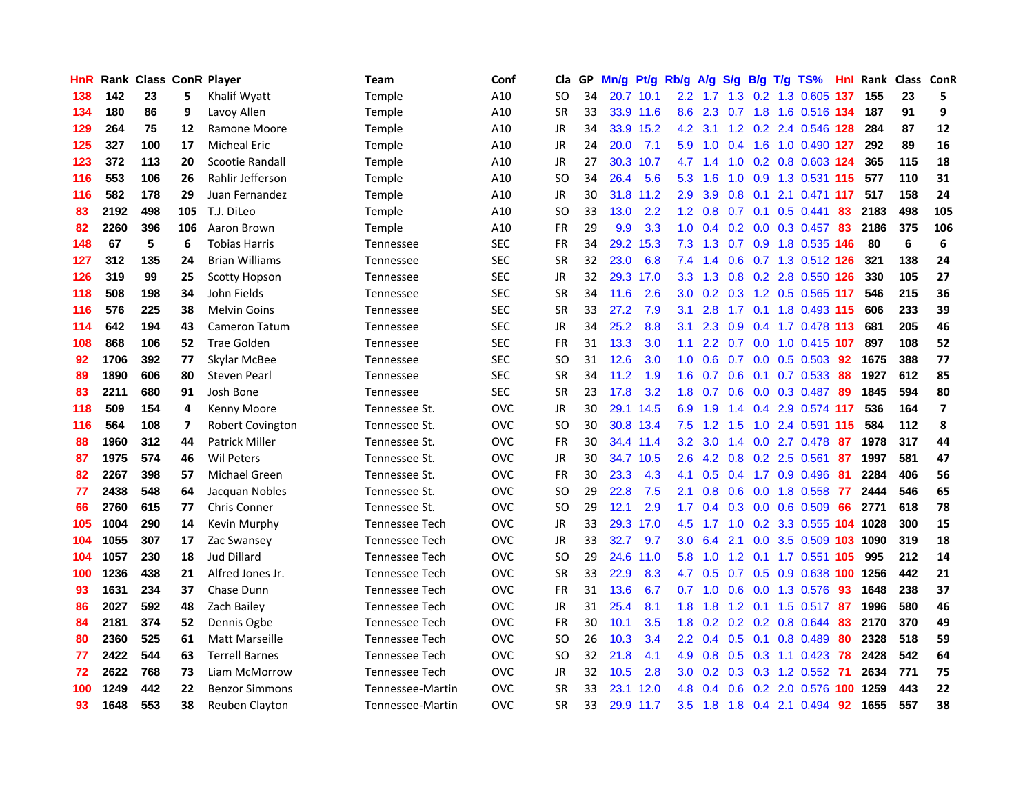| <b>HnR</b> |      | <b>Rank Class ConR Player</b> |     |                       | Team             | Conf       | Cla       | GP. | Mn/g | Pt/g      | Rb/g             | A/g             | S/g             | B/g             | T/g | TS%                       | Hnl | <b>Rank Class ConR</b> |     |                          |
|------------|------|-------------------------------|-----|-----------------------|------------------|------------|-----------|-----|------|-----------|------------------|-----------------|-----------------|-----------------|-----|---------------------------|-----|------------------------|-----|--------------------------|
| 138        | 142  | 23                            | 5   | Khalif Wyatt          | <b>Temple</b>    | A10        | SO.       | 34  |      | 20.7 10.1 | $2.2^{\circ}$    | 1.7             | 1.3             | 0.2             |     | 1.3 0.605                 | 137 | 155                    | 23  | 5                        |
| 134        | 180  | 86                            | 9   | Lavoy Allen           | <b>Temple</b>    | A10        | <b>SR</b> | 33  |      | 33.9 11.6 | 8.6              | 2.3             | 0.7             | 1.8             |     | 1.6 0.516 134             |     | 187                    | 91  | 9                        |
| 129        | 264  | 75                            | 12  | Ramone Moore          | Temple           | A10        | JR        | 34  |      | 33.9 15.2 | 4.2              | 3.1             |                 |                 |     | 1.2 0.2 2.4 0.546 128     |     | 284                    | 87  | 12                       |
| 125        | 327  | 100                           | 17  | <b>Micheal Eric</b>   | <b>Temple</b>    | A10        | JR        | 24  | 20.0 | 7.1       | 5.9              |                 | $1.0 \quad 0.4$ | 1.6             |     | 1.0 0.490 127             |     | 292                    | 89  | 16                       |
| 123        | 372  | 113                           | 20  | Scootie Randall       | <b>Temple</b>    | A10        | JR        | 27  |      | 30.3 10.7 | 4.7              | 1.4             |                 |                 |     | 1.0 0.2 0.8 0.603 124     |     | 365                    | 115 | 18                       |
| 116        | 553  | 106                           | 26  | Rahlir Jefferson      | Temple           | A10        | <b>SO</b> | 34  | 26.4 | 5.6       | 5.3              | 1.6             | 1.0             |                 |     | 0.9 1.3 0.531 115         |     | 577                    | 110 | 31                       |
| 116        | 582  | 178                           | 29  | Juan Fernandez        | Temple           | A10        | JR        | 30  |      | 31.8 11.2 | 2.9              | 3.9             | 0.8             | 0.1             |     | 2.1 0.471 117             |     | 517                    | 158 | 24                       |
| 83         | 2192 | 498                           | 105 | T.J. DiLeo            | Temple           | A10        | <b>SO</b> | 33  | 13.0 | 2.2       | 1.2              | 0.8             | 0.7             | 0.1             |     | $0.5$ 0.441               | 83  | 2183                   | 498 | 105                      |
| 82         | 2260 | 396                           | 106 | Aaron Brown           | Temple           | A10        | FR        | 29  | 9.9  | 3.3       | 1.0              | 0.4             |                 |                 |     | 0.2 0.0 0.3 0.457         | 83  | 2186                   | 375 | 106                      |
| 148        | 67   | 5                             | 6   | <b>Tobias Harris</b>  | Tennessee        | <b>SEC</b> | <b>FR</b> | 34  |      | 29.2 15.3 | 7.3              | 1.3             | 0.7             |                 |     | 0.9 1.8 0.535 146         |     | 80                     | 6   | 6                        |
| 127        | 312  | 135                           | 24  | <b>Brian Williams</b> | <b>Tennessee</b> | <b>SEC</b> | <b>SR</b> | 32  | 23.0 | 6.8       | 7.4              | 1.4             | 0.6             |                 |     | 0.7 1.3 0.512 126         |     | 321                    | 138 | 24                       |
| 126        | 319  | 99                            | 25  | <b>Scotty Hopson</b>  | Tennessee        | <b>SEC</b> | JR        | 32  |      | 29.3 17.0 | 3.3 <sub>2</sub> | 1.3             | 0.8             |                 |     | 0.2 2.8 0.550 126         |     | 330                    | 105 | 27                       |
| 118        | 508  | 198                           | 34  | John Fields           | Tennessee        | <b>SEC</b> | <b>SR</b> | 34  | 11.6 | 2.6       | 3.0              | 0.2             | 0.3             |                 |     | 1.2 0.5 0.565 117         |     | 546                    | 215 | 36                       |
| 116        | 576  | 225                           | 38  | <b>Melvin Goins</b>   | <b>Tennessee</b> | <b>SEC</b> | SR        | 33  | 27.2 | 7.9       | 3.1              | 2.8             | 1.7             | 0.1             |     | 1.8 0.493 115             |     | 606                    | 233 | 39                       |
| 114        | 642  | 194                           | 43  | Cameron Tatum         | Tennessee        | <b>SEC</b> | JR        | 34  | 25.2 | 8.8       | 3.1              | 2.3             | 0.9             | 0.4             |     | 1.7 0.478 113             |     | 681                    | 205 | 46                       |
| 108        | 868  | 106                           | 52  | Trae Golden           | <b>Tennessee</b> | <b>SEC</b> | <b>FR</b> | 31  | 13.3 | 3.0       | 1.1              |                 |                 |                 |     | 2.2 0.7 0.0 1.0 0.415 107 |     | 897                    | 108 | 52                       |
| 92         | 1706 | 392                           | 77  | Skylar McBee          | Tennessee        | <b>SEC</b> | SO        | 31  | 12.6 | 3.0       | 1.0 <sub>1</sub> | 0.6             |                 |                 |     | 0.7 0.0 0.5 0.503 92      |     | 1675                   | 388 | 77                       |
| 89         | 1890 | 606                           | 80  | <b>Steven Pearl</b>   | <b>Tennessee</b> | <b>SEC</b> | <b>SR</b> | 34  | 11.2 | 1.9       |                  | $1.6 \quad 0.7$ |                 |                 |     | $0.6$ $0.1$ $0.7$ $0.533$ | -88 | 1927                   | 612 | 85                       |
| 83         | 2211 | 680                           | 91  | Josh Bone             | <b>Tennessee</b> | <b>SEC</b> | <b>SR</b> | 23  | 17.8 | 3.2       | 1.8              | 0.7             | 0.6             |                 |     | $0.0$ $0.3$ $0.487$       | -89 | 1845                   | 594 | 80                       |
| 118        | 509  | 154                           | 4   | Kenny Moore           | Tennessee St.    | <b>OVC</b> | JR        | 30  |      | 29.1 14.5 | 6.9              | 1.9             |                 |                 |     | 1.4 0.4 2.9 0.574 117     |     | 536                    | 164 | $\overline{\phantom{a}}$ |
| 116        | 564  | 108                           | 7   | Robert Covington      | Tennessee St.    | <b>OVC</b> | SO.       | 30  |      | 30.8 13.4 | 7.5              | 1.2             | 1.5             |                 |     | 1.0 2.4 0.591 115         |     | 584                    | 112 | 8                        |
| 88         | 1960 | 312                           | 44  | <b>Patrick Miller</b> | Tennessee St.    | <b>OVC</b> | <b>FR</b> | 30  |      | 34.4 11.4 | 3.2 <sub>2</sub> | 3.0             | 1.4             | 0.0             |     | 2.7 0.478                 | -87 | 1978                   | 317 | 44                       |
| 87         | 1975 | 574                           | 46  | <b>Wil Peters</b>     | Tennessee St.    | <b>OVC</b> | <b>JR</b> | 30  |      | 34.7 10.5 | 2.6              | $4.2^{\circ}$   | 0.8             |                 |     | $0.2$ 2.5 $0.561$         | 87  | 1997                   | 581 | 47                       |
| 82         | 2267 | 398                           | 57  | Michael Green         | Tennessee St.    | <b>OVC</b> | FR        | 30  | 23.3 | 4.3       | 4.1              | 0.5             | 0.4             |                 |     | 1.7 0.9 0.496             | -81 | 2284                   | 406 | 56                       |
| 77         | 2438 | 548                           | 64  | Jacquan Nobles        | Tennessee St.    | <b>OVC</b> | SO.       | 29  | 22.8 | 7.5       | 2.1              | 0.8             | 0.6             | 0.0             |     | 1.8 0.558                 | -77 | 2444                   | 546 | 65                       |
| 66         | 2760 | 615                           | 77  | Chris Conner          | Tennessee St.    | <b>OVC</b> | SO.       | 29  | 12.1 | 2.9       | 1.7              | 0.4             | 0.3             | 0.0             |     | 0.6 0.509                 | 66  | 2771                   | 618 | 78                       |
| 105        | 1004 | 290                           | 14  | Kevin Murphy          | Tennessee Tech   | <b>OVC</b> | JR        | 33  |      | 29.3 17.0 | 4.5              | 1.7             | 1.0             | 0.2             |     | 3.3 0.555 104 1028        |     |                        | 300 | 15                       |
| 104        | 1055 | 307                           | 17  | Zac Swansey           | Tennessee Tech   | <b>OVC</b> | <b>JR</b> | 33  | 32.7 | 9.7       | 3.0              | 6.4             | 2.1             | 0.0             |     | 3.5 0.509 103             |     | 1090                   | 319 | 18                       |
| 104        | 1057 | 230                           | 18  | <b>Jud Dillard</b>    | Tennessee Tech   | <b>OVC</b> | <b>SO</b> | 29  | 24.6 | 11.0      | 5.8              | 1.0             | $1.2 \quad 0.1$ |                 |     | 1.7 0.551 105             |     | 995                    | 212 | 14                       |
| 100        | 1236 | 438                           | 21  | Alfred Jones Jr.      | Tennessee Tech   | <b>OVC</b> | <b>SR</b> | 33  | 22.9 | 8.3       | 4.7              | 0.5             |                 |                 |     | 0.7 0.5 0.9 0.638 100     |     | 1256                   | 442 | 21                       |
| 93         | 1631 | 234                           | 37  | Chase Dunn            | Tennessee Tech   | <b>OVC</b> | <b>FR</b> | 31  | 13.6 | 6.7       |                  | $0.7 \quad 1.0$ |                 |                 |     | 0.6 0.0 1.3 0.576         | -93 | 1648                   | 238 | 37                       |
| 86         | 2027 | 592                           | 48  | Zach Bailey           | Tennessee Tech   | <b>OVC</b> | JR        | 31  | 25.4 | 8.1       |                  | $1.8$ 1.8       |                 |                 |     | 1.2 0.1 1.5 0.517         | -87 | 1996                   | 580 | 46                       |
| 84         | 2181 | 374                           | 52  | Dennis Ogbe           | Tennessee Tech   | <b>OVC</b> | FR        | 30  | 10.1 | 3.5       | 1.8              |                 |                 |                 |     | 0.2 0.2 0.2 0.8 0.644     | 83  | 2170                   | 370 | 49                       |
| 80         | 2360 | 525                           | 61  | Matt Marseille        | Tennessee Tech   | <b>OVC</b> | <b>SO</b> | 26  | 10.3 | 3.4       | $2.2^{\circ}$    | 0.4             | 0.5             | 0.1             |     | 0.8 0.489                 | 80  | 2328                   | 518 | 59                       |
| 77         | 2422 | 544                           | 63  | <b>Terrell Barnes</b> | Tennessee Tech   | <b>OVC</b> | SO.       | 32  | 21.8 | 4.1       | 4.9              | 0.8             |                 | $0.5 \quad 0.3$ |     | 1.1 0.423                 | 78  | 2428                   | 542 | 64                       |
| 72         | 2622 | 768                           | 73  | Liam McMorrow         | Tennessee Tech   | <b>OVC</b> | JR        | 32  | 10.5 | 2.8       | 3.0 <sub>2</sub> | 0.2             | 0.3             |                 |     | $0.3$ 1.2 $0.552$         | -71 | 2634                   | 771 | 75                       |
| 100        | 1249 | 442                           | 22  | <b>Benzor Simmons</b> | Tennessee-Martin | <b>OVC</b> | <b>SR</b> | 33  | 23.1 | 12.0      | 4.8              | 0.4             | 0.6             | 0.2             |     | 2.0 0.576                 | 100 | 1259                   | 443 | 22                       |
| 93         | 1648 | 553                           | 38  | Reuben Clayton        | Tennessee-Martin | <b>OVC</b> | <b>SR</b> | 33  |      | 29.9 11.7 |                  | $3.5$ 1.8       |                 |                 |     | 1.8 0.4 2.1 0.494         | 92  | 1655                   | 557 | 38                       |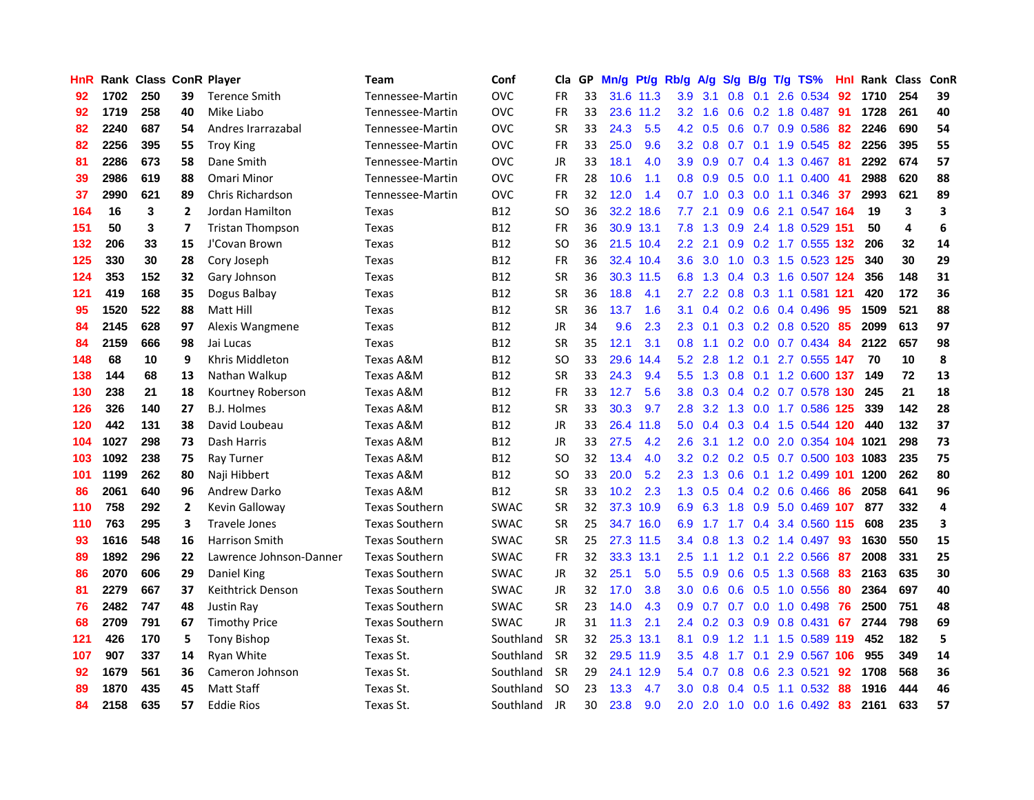| <b>HnR</b> |      | <b>Rank Class ConR Player</b> |                |                         | Team                  | Conf        | Cla       |    | GP Mn/g | Pt/g      | Rb/g             | A/g             |     |                 | S/g B/g T/g TS%             | Hnl | Rank Class |     | ConR |
|------------|------|-------------------------------|----------------|-------------------------|-----------------------|-------------|-----------|----|---------|-----------|------------------|-----------------|-----|-----------------|-----------------------------|-----|------------|-----|------|
| 92         | 1702 | 250                           | 39             | <b>Terence Smith</b>    | Tennessee-Martin      | <b>OVC</b>  | FR        | 33 |         | 31.6 11.3 | 3.9              | 3.1             | 0.8 | 0.1             | 2.6 0.534                   | 92  | 1710       | 254 | 39   |
| 92         | 1719 | 258                           | 40             | Mike Liabo              | Tennessee-Martin      | <b>OVC</b>  | <b>FR</b> | 33 |         | 23.6 11.2 | 3.2              | 1.6             | 0.6 | 0.2             | 1.8 0.487                   | -91 | 1728       | 261 | 40   |
| 82         | 2240 | 687                           | 54             | Andres Irarrazabal      | Tennessee-Martin      | <b>OVC</b>  | <b>SR</b> | 33 | 24.3    | 5.5       | 4.2              | 0.5             | 0.6 | 0.7             | 0.9 0.586                   | 82  | 2246       | 690 | 54   |
| 82         | 2256 | 395                           | 55             | <b>Troy King</b>        | Tennessee-Martin      | <b>OVC</b>  | FR        | 33 | 25.0    | 9.6       |                  | $3.2 \quad 0.8$ |     |                 | 0.7 0.1 1.9 0.545           | -82 | 2256       | 395 | 55   |
| 81         | 2286 | 673                           | 58             | Dane Smith              | Tennessee-Martin      | <b>OVC</b>  | JR        | 33 | 18.1    | 4.0       | 3.9 <sup>°</sup> | 0.9             |     |                 | 0.7 0.4 1.3 0.467 81        |     | 2292       | 674 | 57   |
| 39         | 2986 | 619                           | 88             | Omari Minor             | Tennessee-Martin      | <b>OVC</b>  | <b>FR</b> | 28 | 10.6    | 1.1       | 0.8              | 0.9             |     |                 | $0.5$ 0.0 1.1 0.400 41      |     | 2988       | 620 | 88   |
| 37         | 2990 | 621                           | 89             | Chris Richardson        | Tennessee-Martin      | <b>OVC</b>  | FR        | 32 | 12.0    | 1.4       | 0.7              | 1.0             |     |                 | $0.3$ 0.0 1.1 0.346         | 37  | 2993       | 621 | 89   |
| 164        | 16   | 3                             | $\overline{2}$ | Jordan Hamilton         | Texas                 | <b>B12</b>  | SO.       | 36 |         | 32.2 18.6 | 7.7              | 2.1             |     |                 | 0.9 0.6 2.1 0.547 164       |     | 19         | 3   | 3    |
| 151        | 50   | 3                             | 7              | <b>Tristan Thompson</b> | Texas                 | <b>B12</b>  | <b>FR</b> | 36 |         | 30.9 13.1 | 7.8              | 1.3             |     |                 | 0.9 2.4 1.8 0.529 151       |     | 50         | 4   | 6    |
| 132        | 206  | 33                            | 15             | J'Covan Brown           | Texas                 | <b>B12</b>  | <b>SO</b> | 36 |         | 21.5 10.4 | $2.2^{\circ}$    | 2.1             |     |                 | $0.9$ $0.2$ 1.7 $0.555$ 132 |     | 206        | 32  | 14   |
| 125        | 330  | 30                            | 28             | Cory Joseph             | Texas                 | <b>B12</b>  | <b>FR</b> | 36 |         | 32.4 10.4 | 3.6              | 3.0             |     |                 | 1.0 0.3 1.5 0.523 125       |     | 340        | 30  | 29   |
| 124        | 353  | 152                           | 32             | Gary Johnson            | <b>Texas</b>          | <b>B12</b>  | <b>SR</b> | 36 |         | 30.3 11.5 |                  | 6.8 1.3         |     | $0.4$ 0.3       | 1.6 0.507 124               |     | 356        | 148 | 31   |
| 121        | 419  | 168                           | 35             | Dogus Balbay            | Texas                 | <b>B12</b>  | <b>SR</b> | 36 | 18.8    | 4.1       | 2.7              | 2.2             | 0.8 | 0.3             | 1.1 0.581 121               |     | 420        | 172 | 36   |
| 95         | 1520 | 522                           | 88             | Matt Hill               | Texas                 | <b>B12</b>  | <b>SR</b> | 36 | 13.7    | 1.6       | 3.1              | 0.4             |     | $0.2 \quad 0.6$ | 0.4 0.496                   | 95  | 1509       | 521 | 88   |
| 84         | 2145 | 628                           | 97             | Alexis Wangmene         | Texas                 | <b>B12</b>  | JR        | 34 | 9.6     | 2.3       | 2.3              | 0.1             |     |                 | $0.3$ $0.2$ $0.8$ $0.520$   | 85  | 2099       | 613 | 97   |
| 84         | 2159 | 666                           | 98             | Jai Lucas               | <b>Texas</b>          | <b>B12</b>  | <b>SR</b> | 35 | 12.1    | 3.1       | 0.8 <sub>0</sub> | 1.1             |     |                 | $0.2$ 0.0 0.7 0.434 84      |     | 2122       | 657 | 98   |
| 148        | 68   | 10                            | 9              | Khris Middleton         | Texas A&M             | <b>B12</b>  | SO        | 33 | 29.6    | 14.4      |                  | $5.2$ 2.8       |     |                 | 1.2 0.1 2.7 0.555 147       |     | 70         | 10  | 8    |
| 138        | 144  | 68                            | 13             | Nathan Walkup           | Texas A&M             | <b>B12</b>  | <b>SR</b> | 33 | 24.3    | 9.4       | 5.5              |                 |     |                 | 1.3 0.8 0.1 1.2 0.600 137   |     | 149        | 72  | 13   |
| 130        | 238  | 21                            | 18             | Kourtney Roberson       | Texas A&M             | <b>B12</b>  | <b>FR</b> | 33 | 12.7    | 5.6       | 3.8 <sub>2</sub> | 0.3             |     |                 | 0.4 0.2 0.7 0.578 130       |     | 245        | 21  | 18   |
| 126        | 326  | 140                           | 27             | <b>B.J. Holmes</b>      | Texas A&M             | <b>B12</b>  | <b>SR</b> | 33 | 30.3    | 9.7       | 2.8              | 3.2             |     |                 | 1.3 0.0 1.7 0.586 125       |     | 339        | 142 | 28   |
| 120        | 442  | 131                           | 38             | David Loubeau           | <b>Texas A&amp;M</b>  | <b>B12</b>  | JR        | 33 |         | 26.4 11.8 | 5.0              | 0.4             |     |                 | 0.3 0.4 1.5 0.544 120       |     | 440        | 132 | 37   |
| 104        | 1027 | 298                           | 73             | Dash Harris             | Texas A&M             | <b>B12</b>  | JR        | 33 | 27.5    | 4.2       | 2.6              | 3.1             |     |                 | 1.2 0.0 2.0 0.354 104 1021  |     |            | 298 | 73   |
| 103        | 1092 | 238                           | 75             | Ray Turner              | Texas A&M             | <b>B12</b>  | <b>SO</b> | 32 | 13.4    | 4.0       | 3.2 <sub>2</sub> | 0.2             |     |                 | 0.2 0.5 0.7 0.500 103 1083  |     |            | 235 | 75   |
| 101        | 1199 | 262                           | 80             | Naji Hibbert            | Texas A&M             | <b>B12</b>  | <b>SO</b> | 33 | 20.0    | 5.2       | 2.3              | 1.3             | 0.6 |                 | 0.1 1.2 0.499 101           |     | 1200       | 262 | 80   |
| 86         | 2061 | 640                           | 96             | Andrew Darko            | <b>Texas A&amp;M</b>  | <b>B12</b>  | <b>SR</b> | 33 | 10.2    | 2.3       | 1.3              | 0.5             |     |                 | $0.4$ 0.2 0.6 0.466         | 86  | 2058       | 641 | 96   |
| 110        | 758  | 292                           | $\overline{2}$ | Kevin Galloway          | <b>Texas Southern</b> | <b>SWAC</b> | <b>SR</b> | 32 |         | 37.3 10.9 | 6.9              | 6.3             | 1.8 | 0.9             | 5.0 0.469 107               |     | 877        | 332 | 4    |
| 110        | 763  | 295                           | 3              | Travele Jones           | <b>Texas Southern</b> | <b>SWAC</b> | <b>SR</b> | 25 |         | 34.7 16.0 | 6.9              | 1.7             | 1.7 | 0.4             | 3.4 0.560 115               |     | 608        | 235 | 3    |
| 93         | 1616 | 548                           | 16             | <b>Harrison Smith</b>   | <b>Texas Southern</b> | <b>SWAC</b> | <b>SR</b> | 25 |         | 27.3 11.5 | $3.4^{\circ}$    | 0.8             | 1.3 | 0.2             | 1.4 0.497                   | 93  | 1630       | 550 | 15   |
| 89         | 1892 | 296                           | 22             | Lawrence Johnson-Danner | <b>Texas Southern</b> | <b>SWAC</b> | <b>FR</b> | 32 |         | 33.3 13.1 | $2.5^{\circ}$    | 1.1             |     |                 | 1.2 0.1 2.2 0.566           | -87 | 2008       | 331 | 25   |
| 86         | 2070 | 606                           | 29             | Daniel King             | <b>Texas Southern</b> | <b>SWAC</b> | JR        | 32 | 25.1    | 5.0       | 5.5              | 0.9             |     |                 | 0.6 0.5 1.3 0.568           | -83 | 2163       | 635 | 30   |
| 81         | 2279 | 667                           | 37             | Keithtrick Denson       | <b>Texas Southern</b> | <b>SWAC</b> | JR        | 32 | 17.0    | 3.8       | 3.0 <sub>2</sub> | 0.6             |     |                 | 0.6 0.5 1.0 0.556           | 80  | 2364       | 697 | 40   |
| 76         | 2482 | 747                           | 48             | Justin Ray              | <b>Texas Southern</b> | <b>SWAC</b> | <b>SR</b> | 23 | 14.0    | 4.3       | 0.9              | 0.7             |     |                 | 0.7 0.0 1.0 0.498           | 76  | 2500       | 751 | 48   |
| 68         | 2709 | 791                           | 67             | <b>Timothy Price</b>    | <b>Texas Southern</b> | <b>SWAC</b> | JR        | 31 | 11.3    | 2.1       |                  | $2.4 \quad 0.2$ |     |                 | $0.3$ $0.9$ $0.8$ $0.431$   | -67 | 2744       | 798 | 69   |
| 121        | 426  | 170                           | 5              | <b>Tony Bishop</b>      | Texas St.             | Southland   | <b>SR</b> | 32 |         | 25.3 13.1 | 8.1              | 0.9             | 1.2 | 1.1             | 1.5 0.589 119               |     | 452        | 182 | 5    |
| 107        | 907  | 337                           | 14             | Ryan White              | Texas St.             | Southland   | <b>SR</b> | 32 |         | 29.5 11.9 | 3.5              | 4.8             | 1.7 | 0.1             | 2.9 0.567 106               |     | 955        | 349 | 14   |
| 92         | 1679 | 561                           | 36             | Cameron Johnson         | Texas St.             | Southland   | -SR       | 29 |         | 24.1 12.9 | 5.4              | 0.7             | 0.8 |                 | 0.6 2.3 0.521               | 92  | 1708       | 568 | 36   |
| 89         | 1870 | 435                           | 45             | Matt Staff              | Texas St.             | Southland   | SO.       | 23 | 13.3    | 4.7       | 3.0              | 0.8             | 0.4 | 0.5             | 1.1 0.532                   | 88  | 1916       | 444 | 46   |
| 84         | 2158 | 635                           | 57             | <b>Eddie Rios</b>       | Texas St.             | Southland   | JR        | 30 | 23.8    | 9.0       | 2.0              | 2.0             |     |                 | 1.0 0.0 1.6 0.492           | 83  | 2161       | 633 | 57   |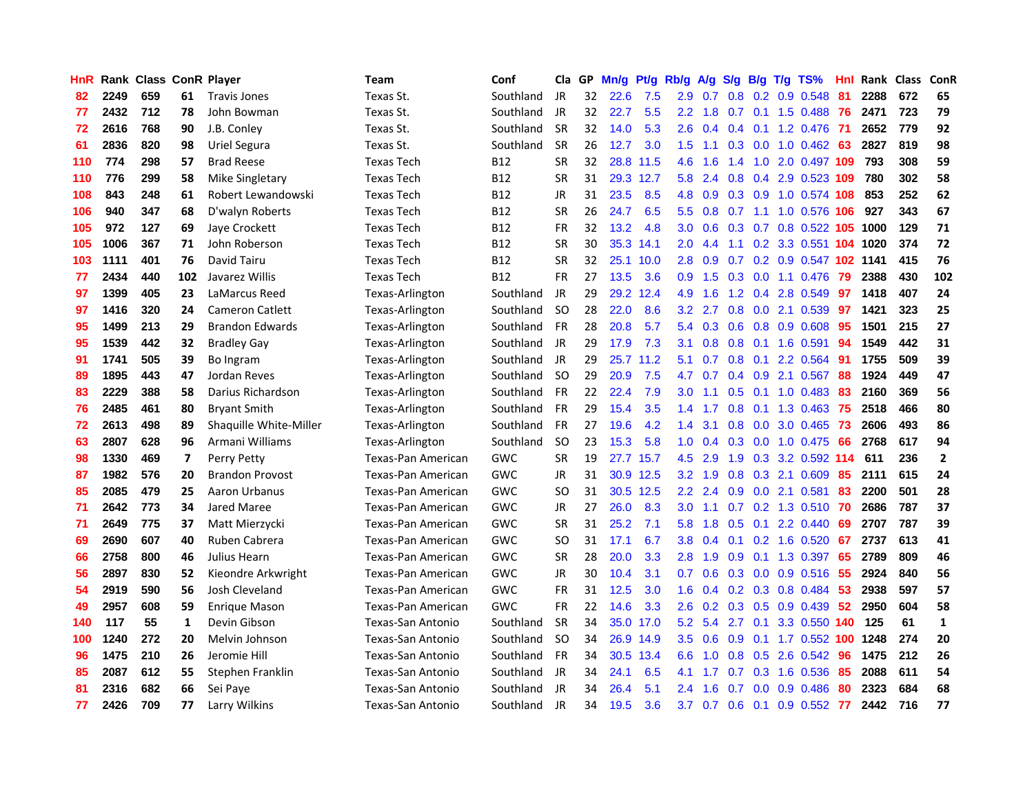| <b>HnR</b> |      | Rank Class ConR Player |                         |                        | <b>Team</b>              | Conf       | Cla       |    | GP Mn/g | Pt/g Rb/g |                  | A/g |                 |             | S/g B/g T/g TS%            | Hnl |          | Rank Class | ConR           |
|------------|------|------------------------|-------------------------|------------------------|--------------------------|------------|-----------|----|---------|-----------|------------------|-----|-----------------|-------------|----------------------------|-----|----------|------------|----------------|
| 82         | 2249 | 659                    | 61                      | <b>Travis Jones</b>    | Texas St.                | Southland  | JR        | 32 | 22.6    | 7.5       | 2.9              | 0.7 | 0.8             | 0.2         | 0.9 0.548                  | 81  | 2288     | 672        | 65             |
| 77         | 2432 | 712                    | 78                      | John Bowman            | Texas St.                | Southland  | JR        | 32 | 22.7    | 5.5       | $2.2\,$          | 1.8 | 0.7             | 0.1         | 1.5 0.488                  | 76  | 2471     | 723        | 79             |
| 72         | 2616 | 768                    | 90                      | J.B. Conley            | Texas St.                | Southland  | <b>SR</b> | 32 | 14.0    | 5.3       | 2.6              | 0.4 | $0.4^{\circ}$   | 0.1         | 1.2 0.476                  | -71 | 2652     | 779        | 92             |
| 61         | 2836 | 820                    | 98                      | Uriel Segura           | Texas St.                | Southland  | <b>SR</b> | 26 | 12.7    | 3.0       | 1.5              | 1.1 |                 | $0.3\ 0.0$  | 1.0 0.462 63               |     | 2827     | 819        | 98             |
| 110        | 774  | 298                    | 57                      | <b>Brad Reese</b>      | <b>Texas Tech</b>        | B12        | <b>SR</b> | 32 |         | 28.8 11.5 | 4.6              | 1.6 | 1.4             |             | 1.0 2.0 0.497 109          |     | 793      | 308        | 59             |
| 110        | 776  | 299                    | 58                      | Mike Singletary        | <b>Texas Tech</b>        | B12        | <b>SR</b> | 31 |         | 29.3 12.7 | 5.8              | 2.4 |                 |             | 0.8 0.4 2.9 0.523 109      |     | 780      | 302        | 58             |
| 108        | 843  | 248                    | 61                      | Robert Lewandowski     | <b>Texas Tech</b>        | <b>B12</b> | JR        | 31 | 23.5    | 8.5       | 4.8              | 0.9 |                 |             | 0.3 0.9 1.0 0.574 108      |     | 853      | 252        | 62             |
| 106        | 940  | 347                    | 68                      | D'walyn Roberts        | <b>Texas Tech</b>        | B12        | <b>SR</b> | 26 | 24.7    | 6.5       | 5.5              | 0.8 | 0.7             |             | 1.1 1.0 0.576 106          |     | 927      | 343        | 67             |
| 105        | 972  | 127                    | 69                      | Jaye Crockett          | <b>Texas Tech</b>        | <b>B12</b> | <b>FR</b> | 32 | 13.2    | 4.8       | 3.0              | 0.6 |                 |             | 0.3 0.7 0.8 0.522 105 1000 |     |          | 129        | 71             |
| 105        | 1006 | 367                    | 71                      | John Roberson          | <b>Texas Tech</b>        | B12        | <b>SR</b> | 30 | 35.3    | 14.1      | 2.0              | 4.4 | 1.1             |             | 0.2 3.3 0.551              |     | 104 1020 | 374        | 72             |
| 103        | 1111 | 401                    | 76                      | David Tairu            | <b>Texas Tech</b>        | B12        | <b>SR</b> | 32 |         | 25.1 10.0 | 2.8              | 0.9 | 0.7             |             | 0.2 0.9 0.547 102 1141     |     |          | 415        | 76             |
| 77         | 2434 | 440                    | 102                     | Javarez Willis         | <b>Texas Tech</b>        | <b>B12</b> | <b>FR</b> | 27 | 13.5    | 3.6       | 0.9              | 1.5 | 0.3             | 0.0         | 1.1 0.476                  | 79  | 2388     | 430        | 102            |
| 97         | 1399 | 405                    | 23                      | LaMarcus Reed          | Texas-Arlington          | Southland  | JR        | 29 |         | 29.2 12.4 | 4.9              | 1.6 | 1.2             | 0.4         | 2.8 0.549                  | 97  | 1418     | 407        | 24             |
| 97         | 1416 | 320                    | 24                      | <b>Cameron Catlett</b> | Texas-Arlington          | Southland  | <b>SO</b> | 28 | 22.0    | 8.6       | $3.2\phantom{0}$ | 2.7 | 0.8             | 0.0         | 2.1 0.539                  | 97  | 1421     | 323        | 25             |
| 95         | 1499 | 213                    | 29                      | <b>Brandon Edwards</b> | Texas-Arlington          | Southland  | FR        | 28 | 20.8    | 5.7       | 5.4              | 0.3 | 0.6             | 0.8         | 0.9 0.608                  | 95  | 1501     | 215        | 27             |
| 95         | 1539 | 442                    | 32                      | <b>Bradley Gay</b>     | Texas-Arlington          | Southland  | JR        | 29 | 17.9    | 7.3       | 3.1              | 0.8 | 0.8             | 0.1         | 1.6 0.591                  | -94 | 1549     | 442        | 31             |
| 91         | 1741 | 505                    | 39                      | Bo Ingram              | Texas-Arlington          | Southland  | JR        | 29 | 25.7    | 11.2      | 5.1              | 0.7 | 0.8             | 0.1         | 2.2 0.564                  | -91 | 1755     | 509        | 39             |
| 89         | 1895 | 443                    | 47                      | Jordan Reves           | Texas-Arlington          | Southland  | SO.       | 29 | 20.9    | 7.5       | 4.7              | 0.7 |                 |             | $0.4$ $0.9$ 2.1 $0.567$    | 88  | 1924     | 449        | 47             |
| 83         | 2229 | 388                    | 58                      | Darius Richardson      | Texas-Arlington          | Southland  | <b>FR</b> | 22 | 22.4    | 7.9       | 3.0              | 1.1 |                 |             | 0.5 0.1 1.0 0.483 83       |     | 2160     | 369        | 56             |
| 76         | 2485 | 461                    | 80                      | <b>Bryant Smith</b>    | Texas-Arlington          | Southland  | <b>FR</b> | 29 | 15.4    | 3.5       | 1.4              | 1.7 |                 |             | 0.8 0.1 1.3 0.463 75       |     | 2518     | 466        | 80             |
| 72         | 2613 | 498                    | 89                      | Shaquille White-Miller | Texas-Arlington          | Southland  | <b>FR</b> | 27 | 19.6    | 4.2       | 1.4              | 3.1 |                 |             | 0.8 0.0 3.0 0.465 73       |     | 2606     | 493        | 86             |
| 63         | 2807 | 628                    | 96                      | Armani Williams        | Texas-Arlington          | Southland  | <b>SO</b> | 23 | 15.3    | 5.8       | 1.0              | 0.4 |                 |             | 0.3 0.0 1.0 0.475          | 66  | 2768     | 617        | 94             |
| 98         | 1330 | 469                    | $\overline{\mathbf{z}}$ | Perry Petty            | Texas-Pan American       | <b>GWC</b> | <b>SR</b> | 19 |         | 27.7 15.7 | 4.5              | 2.9 |                 |             | 1.9 0.3 3.2 0.592 114      |     | 611      | 236        | $\overline{2}$ |
| 87         | 1982 | 576                    | 20                      | <b>Brandon Provost</b> | Texas-Pan American       | <b>GWC</b> | JR        | 31 |         | 30.9 12.5 | 3.2 <sub>1</sub> | 1.9 | 0.8             |             | 0.3 2.1 0.609              | 85  | 2111     | 615        | 24             |
| 85         | 2085 | 479                    | 25                      | Aaron Urbanus          | Texas-Pan American       | <b>GWC</b> | SO        | 31 |         | 30.5 12.5 | $2.2^{\circ}$    | 2.4 |                 |             | 0.9 0.0 2.1 0.581          | 83  | 2200     | 501        | 28             |
| 71         | 2642 | 773                    | 34                      | Jared Maree            | Texas-Pan American       | <b>GWC</b> | JR        | 27 | 26.0    | 8.3       | 3.0              | 1.1 | 0.7             |             | $0.2$ 1.3 0.510            | -70 | 2686     | 787        | 37             |
| 71         | 2649 | 775                    | 37                      | Matt Mierzycki         | Texas-Pan American       | GWC        | <b>SR</b> | 31 | 25.2    | 7.1       | 5.8              | 1.8 | 0.5             | 0.1         | 2.2 0.440                  | 69  | 2707     | 787        | 39             |
| 69         | 2690 | 607                    | 40                      | Ruben Cabrera          | Texas-Pan American       | <b>GWC</b> | <b>SO</b> | 31 | 17.1    | 6.7       | 3.8              | 0.4 | 0.1             |             | $0.2$ 1.6 0.520            | -67 | 2737     | 613        | 41             |
| 66         | 2758 | 800                    | 46                      | Julius Hearn           | Texas-Pan American       | <b>GWC</b> | <b>SR</b> | 28 | 20.0    | 3.3       | 2.8              | 1.9 | 0.9             | 0.1         | 1.3 0.397                  | 65  | 2789     | 809        | 46             |
| 56         | 2897 | 830                    | 52                      | Kieondre Arkwright     | Texas-Pan American       | <b>GWC</b> | <b>JR</b> | 30 | 10.4    | 3.1       | 0.7              | 0.6 |                 | $0.3 \ 0.0$ | 0.9 0.516                  | 55  | 2924     | 840        | 56             |
| 54         | 2919 | 590                    | 56                      | Josh Cleveland         | Texas-Pan American       | <b>GWC</b> | <b>FR</b> | 31 | 12.5    | 3.0       | 1.6              | 0.4 |                 |             | 0.2 0.3 0.8 0.484          | -53 | 2938     | 597        | 57             |
| 49         | 2957 | 608                    | 59                      | <b>Enrique Mason</b>   | Texas-Pan American       | <b>GWC</b> | <b>FR</b> | 22 | 14.6    | 3.3       | $2.6\,$          | 0.2 |                 |             | $0.3$ $0.5$ $0.9$ $0.439$  | -52 | 2950     | 604        | 58             |
| 140        | 117  | 55                     | 1                       | Devin Gibson           | Texas-San Antonio        | Southland  | <b>SR</b> | 34 |         | 35.0 17.0 | 5.2              | 5.4 | 2.7             | 0.1         | 3.3 0.550 140              |     | 125      | 61         | 1              |
| 100        | 1240 | 272                    | 20                      | Melvin Johnson         | Texas-San Antonio        | Southland  | <b>SO</b> | 34 |         | 26.9 14.9 | $3.5\,$          | 0.6 | 0.9             |             | 0.1 1.7 0.552 100          |     | 1248     | 274        | 20             |
| 96         | 1475 | 210                    | 26                      | Jeromie Hill           | Texas-San Antonio        | Southland  | FR        | 34 |         | 30.5 13.4 | 6.6              | 1.0 | 0.8             | 0.5         | 2.6 0.542                  | 96  | 1475     | 212        | 26             |
| 85         | 2087 | 612                    | 55                      | Stephen Franklin       | Texas-San Antonio        | Southland  | JR        | 34 | 24.1    | 6.5       | 4.1              | 1.7 | 0.7             | 0.3         | 1.6 0.536                  | 85  | 2088     | 611        | 54             |
| 81         | 2316 | 682                    | 66                      | Sei Paye               | <b>Texas-San Antonio</b> | Southland  | JR        | 34 | 26.4    | 5.1       | 2.4              | 1.6 | 0.7             | 0.0         | 0.9 0.486                  | 80  | 2323     | 684        | 68             |
| 77         | 2426 | 709                    | 77                      | Larry Wilkins          | Texas-San Antonio        | Southland  | JR        | 34 | 19.5    | 3.6       | 3.7              | 0.7 | $0.6 \quad 0.1$ |             | 0.9 0.552                  | 77  | 2442     | 716        | 77             |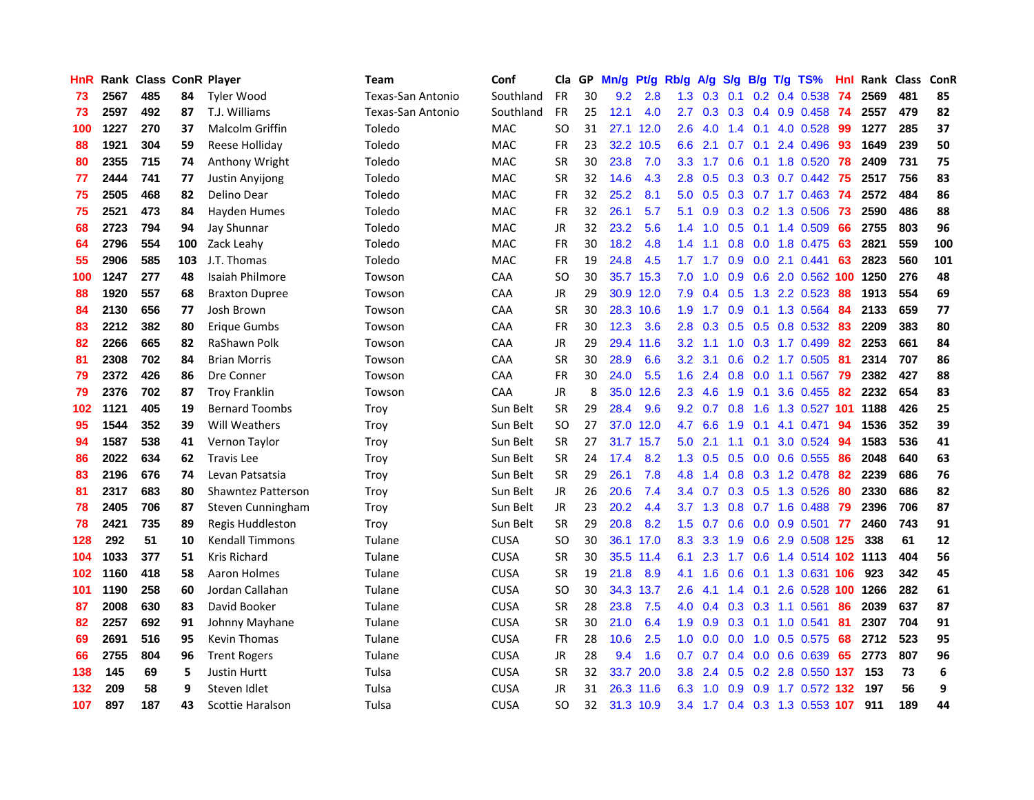| HnR |      | <b>Rank Class ConR Player</b> |     |                           | Team              | Conf        | Cla       |    | GP Mn/g | Pt/g      | Rb/g             | A/g | <b>S/g</b>      |                 | B/g T/g TS%                   | Hnl | Rank Class |     | ConR |
|-----|------|-------------------------------|-----|---------------------------|-------------------|-------------|-----------|----|---------|-----------|------------------|-----|-----------------|-----------------|-------------------------------|-----|------------|-----|------|
| 73  | 2567 | 485                           | 84  | <b>Tyler Wood</b>         | Texas-San Antonio | Southland   | <b>FR</b> | 30 | 9.2     | 2.8       | 1.3              | 0.3 | 0.1             | 0.2             | 0.4 0.538                     | 74  | 2569       | 481 | 85   |
| 73  | 2597 | 492                           | 87  | T.J. Williams             | Texas-San Antonio | Southland   | <b>FR</b> | 25 | 12.1    | 4.0       | 2.7              | 0.3 | 0.3             | 0.4             | $0.9$ $0.458$                 | -74 | 2557       | 479 | 82   |
| 100 | 1227 | 270                           | 37  | Malcolm Griffin           | Toledo            | <b>MAC</b>  | SO        | 31 |         | 27.1 12.0 | 2.6              | 4.0 | $1.4^{\circ}$   | 0.1             | 4.0 0.528                     | -99 | 1277       | 285 | 37   |
| 88  | 1921 | 304                           | 59  | Reese Holliday            | Toledo            | <b>MAC</b>  | <b>FR</b> | 23 |         | 32.2 10.5 | 6.6              | 2.1 |                 | $0.7 \quad 0.1$ | 2.4 0.496                     | 93  | 1649       | 239 | 50   |
| 80  | 2355 | 715                           | 74  | Anthony Wright            | Toledo            | MAC         | <b>SR</b> | 30 | 23.8    | 7.0       | 3.3 <sub>1</sub> | 1.7 |                 |                 | 0.6 0.1 1.8 0.520 78          |     | 2409       | 731 | 75   |
| 77  | 2444 | 741                           | 77  | Justin Anyijong           | Toledo            | <b>MAC</b>  | <b>SR</b> | 32 | 14.6    | 4.3       | 2.8              | 0.5 |                 |                 | 0.3 0.3 0.7 0.442 75          |     | 2517       | 756 | 83   |
| 75  | 2505 | 468                           | 82  | Delino Dear               | Toledo            | <b>MAC</b>  | FR        | 32 | 25.2    | 8.1       | 5.0              | 0.5 |                 |                 | 0.3 0.7 1.7 0.463 74          |     | 2572       | 484 | 86   |
| 75  | 2521 | 473                           | 84  | Hayden Humes              | Toledo            | MAC         | <b>FR</b> | 32 | 26.1    | 5.7       | 5.1              | 0.9 |                 |                 | $0.3$ 0.2 1.3 0.506           | 73  | 2590       | 486 | 88   |
| 68  | 2723 | 794                           | 94  | Jay Shunnar               | Toledo            | MAC         | JR        | 32 | 23.2    | 5.6       | 1.4              | 1.0 | 0.5             | 0.1             | 1.4 0.509                     | 66  | 2755       | 803 | 96   |
| 64  | 2796 | 554                           | 100 | Zack Leahy                | Toledo            | <b>MAC</b>  | <b>FR</b> | 30 | 18.2    | 4.8       | 1.4              | 1.1 | 0.8             |                 | 0.0 1.8 0.475                 | 63  | 2821       | 559 | 100  |
| 55  | 2906 | 585                           | 103 | J.T. Thomas               | Toledo            | MAC         | <b>FR</b> | 19 | 24.8    | 4.5       | 1.7              | 1.7 | 0.9             |                 | $0.0$ 2.1 $0.441$             | 63  | 2823       | 560 | 101  |
| 100 | 1247 | 277                           | 48  | Isaiah Philmore           | Towson            | CAA         | SO        | 30 |         | 35.7 15.3 | 7.0              | 1.0 | 0.9             | 0.6             | 2.0 0.562 100                 |     | 1250       | 276 | 48   |
| 88  | 1920 | 557                           | 68  | <b>Braxton Dupree</b>     | Towson            | <b>CAA</b>  | JR        | 29 |         | 30.9 12.0 | 7.9              | 0.4 | 0.5             | 1.3             | 2.2 0.523                     | 88  | 1913       | 554 | 69   |
| 84  | 2130 | 656                           | 77  | Josh Brown                | Towson            | CAA         | SR        | 30 |         | 28.3 10.6 | 1.9              | 1.7 | 0.9             |                 | 0.1 1.3 0.564                 | 84  | 2133       | 659 | 77   |
| 83  | 2212 | 382                           | 80  | Erigue Gumbs              | Towson            | CAA         | <b>FR</b> | 30 | 12.3    | 3.6       | 2.8              | 0.3 | 0.5             | 0.5             | 0.8 0.532                     | 83  | 2209       | 383 | 80   |
| 82  | 2266 | 665                           | 82  | RaShawn Polk              | Towson            | CAA         | <b>JR</b> | 29 | 29.4    | 11.6      | 3.2 <sub>2</sub> | 1.1 | 1.0             |                 | 0.3 1.7 0.499                 | 82  | 2253       | 661 | 84   |
| 81  | 2308 | 702                           | 84  | <b>Brian Morris</b>       | Towson            | CAA         | SR        | 30 | 28.9    | 6.6       | 3.2              | 3.1 |                 |                 | $0.6$ $0.2$ 1.7 $0.505$       | -81 | 2314       | 707 | 86   |
| 79  | 2372 | 426                           | 86  | Dre Conner                | Towson            | <b>CAA</b>  | <b>FR</b> | 30 | 24.0    | 5.5       | 1.6              | 2.4 |                 |                 | 0.8 0.0 1.1 0.567 79          |     | 2382       | 427 | 88   |
| 79  | 2376 | 702                           | 87  | <b>Troy Franklin</b>      | Towson            | <b>CAA</b>  | JR        | 8  | 35.0    | 12.6      | $2.3^{\circ}$    | 4.6 |                 |                 | 1.9 0.1 3.6 0.455 82          |     | 2232       | 654 | 83   |
| 102 | 1121 | 405                           | 19  | <b>Bernard Toombs</b>     | Troy              | Sun Belt    | <b>SR</b> | 29 | 28.4    | 9.6       | 9.2              |     | $0.7 \quad 0.8$ | 1.6             | 1.3 0.527 101                 |     | 1188       | 426 | 25   |
| 95  | 1544 | 352                           | 39  | Will Weathers             | Troy              | Sun Belt    | <b>SO</b> | 27 | 37.0    | 12.0      | 4.7              | 6.6 | 1.9             | 0.1             | 4.1 0.471                     | 94  | 1536       | 352 | 39   |
| 94  | 1587 | 538                           | 41  | Vernon Taylor             | Troy              | Sun Belt    | <b>SR</b> | 27 |         | 31.7 15.7 | 5.0              | 2.1 | 1.1             | 0.1             | 3.0 0.524                     | 94  | 1583       | 536 | 41   |
| 86  | 2022 | 634                           | 62  | <b>Travis Lee</b>         | Troy              | Sun Belt    | <b>SR</b> | 24 | 17.4    | 8.2       | 1.3              | 0.5 | 0.5             |                 | 0.0 0.6 0.555                 | 86  | 2048       | 640 | 63   |
| 83  | 2196 | 676                           | 74  | Levan Patsatsia           | Troy              | Sun Belt    | <b>SR</b> | 29 | 26.1    | 7.8       | 4.8              | 1.4 |                 |                 | 0.8 0.3 1.2 0.478             | 82  | 2239       | 686 | 76   |
| 81  | 2317 | 683                           | 80  | <b>Shawntez Patterson</b> | Troy              | Sun Belt    | JR.       | 26 | 20.6    | 7.4       | $3.4^{\circ}$    | 0.7 |                 |                 | 0.3 0.5 1.3 0.526             | 80  | 2330       | 686 | 82   |
| 78  | 2405 | 706                           | 87  | Steven Cunningham         | Troy              | Sun Belt    | JR.       | 23 | 20.2    | 4.4       | 3.7              | 1.3 | 0.8             |                 | 0.7 1.6 0.488                 | -79 | 2396       | 706 | 87   |
| 78  | 2421 | 735                           | 89  | Regis Huddleston          | Troy              | Sun Belt    | <b>SR</b> | 29 | 20.8    | 8.2       | 1.5              | 0.7 | 0.6             | 0.0             | $0.9$ 0.501                   | -77 | 2460       | 743 | 91   |
| 128 | 292  | 51                            | 10  | <b>Kendall Timmons</b>    | Tulane            | <b>CUSA</b> | SO        | 30 |         | 36.1 17.0 | 8.3              | 3.3 | 1.9             | 0.6             | 2.9 0.508 125                 |     | 338        | 61  | 12   |
| 104 | 1033 | 377                           | 51  | <b>Kris Richard</b>       | Tulane            | <b>CUSA</b> | <b>SR</b> | 30 |         | 35.5 11.4 | 6.1              | 2.3 | 1.7             | 0.6             | 1.4 0.514 102 1113            |     |            | 404 | 56   |
| 102 | 1160 | 418                           | 58  | Aaron Holmes              | Tulane            | <b>CUSA</b> | <b>SR</b> | 19 | 21.8    | 8.9       | 4.1              | 1.6 |                 |                 | 0.6 0.1 1.3 0.631 106         |     | 923        | 342 | 45   |
| 101 | 1190 | 258                           | 60  | Jordan Callahan           | Tulane            | <b>CUSA</b> | SO        | 30 |         | 34.3 13.7 | 2.6              | 4.1 |                 | $1.4 \quad 0.1$ | 2.6 0.528 100                 |     | 1266       | 282 | 61   |
| 87  | 2008 | 630                           | 83  | David Booker              | Tulane            | <b>CUSA</b> | <b>SR</b> | 28 | 23.8    | 7.5       | 4.0              | 0.4 |                 |                 | $0.3$ $0.3$ 1.1 $0.561$       | 86  | 2039       | 637 | 87   |
| 82  | 2257 | 692                           | 91  | Johnny Mayhane            | Tulane            | <b>CUSA</b> | <b>SR</b> | 30 | 21.0    | 6.4       | 1.9              | 0.9 |                 |                 | 0.3 0.1 1.0 0.541             | 81  | 2307       | 704 | 91   |
| 69  | 2691 | 516                           | 95  | Kevin Thomas              | Tulane            | <b>CUSA</b> | FR        | 28 | 10.6    | 2.5       | 1.0              | 0.0 | 0.0             |                 | 1.0 0.5 0.575                 | 68  | 2712       | 523 | 95   |
| 66  | 2755 | 804                           | 96  | <b>Trent Rogers</b>       | Tulane            | <b>CUSA</b> | <b>JR</b> | 28 | 9.4     | 1.6       | 0.7              | 0.7 |                 |                 | 0.4 0.0 0.6 0.639             | 65  | 2773       | 807 | 96   |
| 138 | 145  | 69                            | 5   | <b>Justin Hurtt</b>       | Tulsa             | <b>CUSA</b> | <b>SR</b> | 32 | 33.7    | 20.0      | 3.8 <sub>2</sub> | 2.4 | 0.5             |                 | 0.2 2.8 0.550 137             |     | 153        | 73  | 6    |
| 132 | 209  | 58                            | 9   | Steven Idlet              | Tulsa             | <b>CUSA</b> | <b>JR</b> | 31 |         | 26.3 11.6 | 6.3              | 1.0 | 0.9             | 0.9             | 1.7 0.572                     | 132 | 197        | 56  | 9    |
| 107 | 897  | 187                           | 43  | Scottie Haralson          | Tulsa             | <b>CUSA</b> | <b>SO</b> | 32 |         | 31.3 10.9 |                  |     |                 |                 | 3.4 1.7 0.4 0.3 1.3 0.553 107 |     | 911        | 189 | 44   |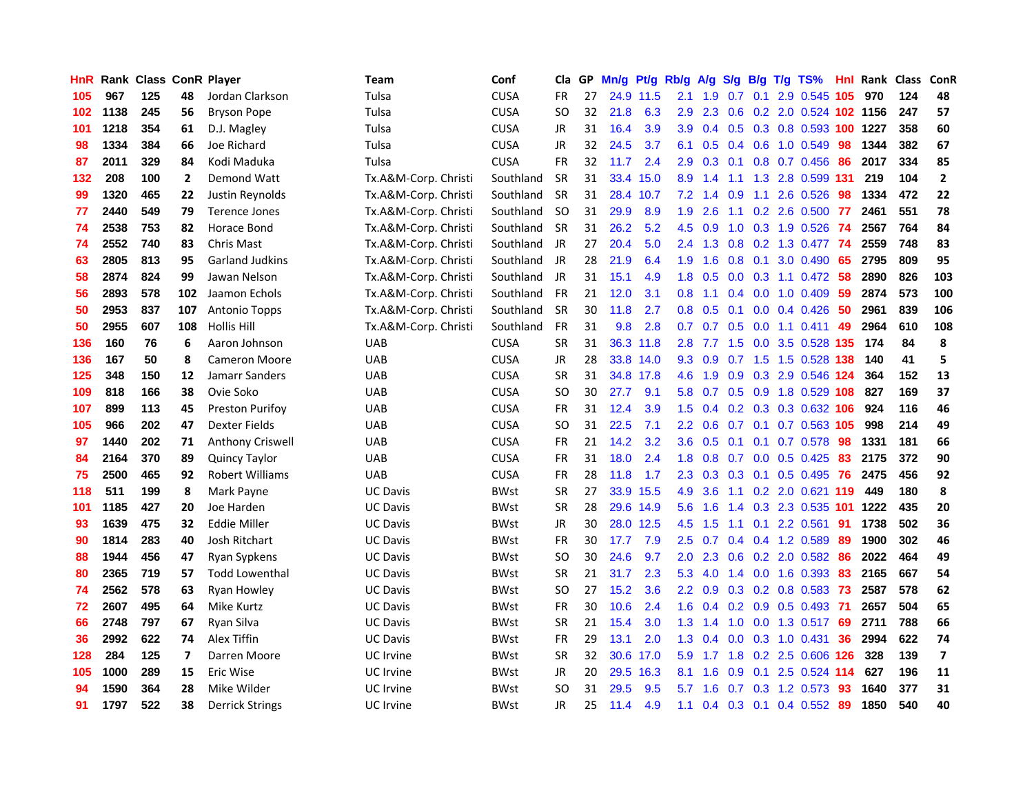| <b>HnR</b> |      | Rank Class ConR Player |                |                        | <b>Team</b>          | Conf        | Cla       |    | GP Mn/g Pt/g |           | Rb/g             | A/g             |               |                 | S/g B/g T/g TS%            | Hnl | Rank Class |     | ConR                     |
|------------|------|------------------------|----------------|------------------------|----------------------|-------------|-----------|----|--------------|-----------|------------------|-----------------|---------------|-----------------|----------------------------|-----|------------|-----|--------------------------|
| 105        | 967  | 125                    | 48             | Jordan Clarkson        | Tulsa                | <b>CUSA</b> | FR        | 27 |              | 24.9 11.5 | 2.1              | 1.9             | 0.7           | 0.1             | 2.9 0.545                  | 105 | 970        | 124 | 48                       |
| 102        | 1138 | 245                    | 56             | <b>Bryson Pope</b>     | Tulsa                | <b>CUSA</b> | SO.       | 32 | 21.8         | 6.3       | 2.9              | 2.3             | 0.6           |                 | 0.2 2.0 0.524 102 1156     |     |            | 247 | 57                       |
| 101        | 1218 | 354                    | 61             | D.J. Magley            | Tulsa                | <b>CUSA</b> | JR        | 31 | 16.4         | 3.9       | 3.9              | 0.4             |               |                 | 0.5 0.3 0.8 0.593 100 1227 |     |            | 358 | 60                       |
| 98         | 1334 | 384                    | 66             | Joe Richard            | Tulsa                | <b>CUSA</b> | JR        | 32 | 24.5         | 3.7       | 6.1              | 0.5             |               |                 | 0.4 0.6 1.0 0.549          | -98 | 1344       | 382 | 67                       |
| 87         | 2011 | 329                    | 84             | Kodi Maduka            | Tulsa                | <b>CUSA</b> | <b>FR</b> | 32 | 11.7         | 2.4       | 2.9              |                 |               |                 | 0.3 0.1 0.8 0.7 0.456 86   |     | 2017       | 334 | 85                       |
| 132        | 208  | 100                    | $\overline{2}$ | Demond Watt            | Tx.A&M-Corp. Christi | Southland   | <b>SR</b> | 31 |              | 33.4 15.0 | 8.9              | 1.4             | 1.1           |                 | 1.3 2.8 0.599 131          |     | 219        | 104 | $\overline{2}$           |
| 99         | 1320 | 465                    | 22             | Justin Reynolds        | Tx.A&M-Corp. Christi | Southland   | <b>SR</b> | 31 |              | 28.4 10.7 |                  | $7.2 \quad 1.4$ | 0.9           |                 | $1.1$ 2.6 0.526            | 98  | 1334       | 472 | 22                       |
| 77         | 2440 | 549                    | 79             | <b>Terence Jones</b>   | Tx.A&M-Corp. Christi | Southland   | <b>SO</b> | 31 | 29.9         | 8.9       | 1.9              | 2.6             | 1.1           |                 | 0.2 2.6 0.500 77           |     | 2461       | 551 | 78                       |
| 74         | 2538 | 753                    | 82             | Horace Bond            | Tx.A&M-Corp. Christi | Southland   | <b>SR</b> | 31 | 26.2         | 5.2       | 4.5              | 0.9             | 1.0           |                 | 0.3 1.9 0.526              | -74 | 2567       | 764 | 84                       |
| 74         | 2552 | 740                    | 83             | <b>Chris Mast</b>      | Tx.A&M-Corp. Christi | Southland   | JR        | 27 | 20.4         | 5.0       | $2.4^{\circ}$    | 1.3             | 0.8           |                 | $0.2$ 1.3 0.477            | 74  | 2559       | 748 | 83                       |
| 63         | 2805 | 813                    | 95             | <b>Garland Judkins</b> | Tx.A&M-Corp. Christi | Southland   | JR        | 28 | 21.9         | 6.4       | 1.9              | 1.6             | 0.8           | 0.1             | 3.0 0.490 65               |     | 2795       | 809 | 95                       |
| 58         | 2874 | 824                    | 99             | Jawan Nelson           | Tx.A&M-Corp. Christi | Southland   | JR        | 31 | 15.1         | 4.9       | 1.8              | 0.5             | 0.0           | 0.3             | 1.1 0.472                  | 58  | 2890       | 826 | 103                      |
| 56         | 2893 | 578                    | 102            | Jaamon Echols          | Tx.A&M-Corp. Christi | Southland   | <b>FR</b> | 21 | 12.0         | 3.1       | 0.8 <sub>0</sub> | 1.1             | 0.4           | 0.0             | 1.0 0.409                  | 59  | 2874       | 573 | 100                      |
| 50         | 2953 | 837                    | 107            | <b>Antonio Topps</b>   | Tx.A&M-Corp. Christi | Southland   | <b>SR</b> | 30 | 11.8         | 2.7       | 0.8 <sub>0</sub> | 0.5             | 0.1           | 0.0             | 0.4 0.426                  | 50  | 2961       | 839 | 106                      |
| 50         | 2955 | 607                    | 108            | <b>Hollis Hill</b>     | Tx.A&M-Corp. Christi | Southland   | <b>FR</b> | 31 | 9.8          | 2.8       | 0.7              | 0.7             | 0.5           | 0.0             | $1.1 \quad 0.411$          | 49  | 2964       | 610 | 108                      |
| 136        | 160  | 76                     | 6              | Aaron Johnson          | <b>UAB</b>           | <b>CUSA</b> | <b>SR</b> | 31 |              | 36.3 11.8 | 2.8              | 7.7             | 1.5           |                 | 0.0 3.5 0.528 135          |     | 174        | 84  | 8                        |
| 136        | 167  | 50                     | 8              | <b>Cameron Moore</b>   | <b>UAB</b>           | <b>CUSA</b> | JR        | 28 |              | 33.8 14.0 |                  | $9.3 \quad 0.9$ |               |                 | 0.7 1.5 1.5 0.528 138      |     | 140        | 41  | 5                        |
| 125        | 348  | 150                    | 12             | Jamarr Sanders         | UAB                  | <b>CUSA</b> | <b>SR</b> | 31 |              | 34.8 17.8 |                  | $4.6$ 1.9       |               |                 | 0.9 0.3 2.9 0.546 124      |     | 364        | 152 | 13                       |
| 109        | 818  | 166                    | 38             | Ovie Soko              | <b>UAB</b>           | <b>CUSA</b> | SO.       | 30 | 27.7         | 9.1       | 5.8              | 0.7             |               |                 | 0.5 0.9 1.8 0.529 108      |     | 827        | 169 | 37                       |
| 107        | 899  | 113                    | 45             | <b>Preston Purifov</b> | <b>UAB</b>           | <b>CUSA</b> | <b>FR</b> | 31 | 12.4         | 3.9       |                  | $1.5 \t0.4$     |               |                 | 0.2 0.3 0.3 0.632 106      |     | 924        | 116 | 46                       |
| 105        | 966  | 202                    | 47             | Dexter Fields          | <b>UAB</b>           | <b>CUSA</b> | SO.       | 31 | 22.5         | 7.1       | $2.2\,$          | 0.6             |               |                 | 0.7 0.1 0.7 0.563 105      |     | 998        | 214 | 49                       |
| 97         | 1440 | 202                    | 71             | Anthony Criswell       | <b>UAB</b>           | <b>CUSA</b> | FR        | 21 | 14.2         | 3.2       | 3.6              | 0.5             | 0.1           | 0.1             | $0.7$ 0.578                | 98  | 1331       | 181 | 66                       |
| 84         | 2164 | 370                    | 89             | <b>Quincy Taylor</b>   | <b>UAB</b>           | <b>CUSA</b> | FR        | 31 | 18.0         | 2.4       | 1.8              | 0.8             |               |                 | 0.7 0.0 0.5 0.425          | 83  | 2175       | 372 | 90                       |
| 75         | 2500 | 465                    | 92             | Robert Williams        | <b>UAB</b>           | <b>CUSA</b> | FR        | 28 | 11.8         | 1.7       | 2.3              | 0.3             |               | $0.3 \quad 0.1$ | 0.5 0.495                  | 76  | 2475       | 456 | 92                       |
| 118        | 511  | 199                    | 8              | Mark Payne             | <b>UC Davis</b>      | <b>BWst</b> | <b>SR</b> | 27 |              | 33.9 15.5 | 4.9              | 3.6             |               |                 | 1.1 0.2 2.0 0.621 119      |     | 449        | 180 | 8                        |
| 101        | 1185 | 427                    | 20             | Joe Harden             | <b>UC Davis</b>      | <b>BWst</b> | <b>SR</b> | 28 |              | 29.6 14.9 | 5.6              | 1.6             | $1.4^{\circ}$ |                 | 0.3 2.3 0.535 101 1222     |     |            | 435 | 20                       |
| 93         | 1639 | 475                    | 32             | <b>Eddie Miller</b>    | UC Davis             | <b>BWst</b> | <b>JR</b> | 30 |              | 28.0 12.5 | 4.5              | 1.5             | 1.1           | 0.1             | 2.2 0.561                  | 91  | 1738       | 502 | 36                       |
| 90         | 1814 | 283                    | 40             | Josh Ritchart          | <b>UC Davis</b>      | <b>BWst</b> | FR        | 30 | 17.7         | 7.9       | 2.5              | 0.7             |               |                 | 0.4 0.4 1.2 0.589          | -89 | 1900       | 302 | 46                       |
| 88         | 1944 | 456                    | 47             | Ryan Sypkens           | <b>UC Davis</b>      | <b>BWst</b> | <b>SO</b> | 30 | 24.6         | 9.7       | 2.0              | 2.3             | 0.6           |                 | $0.2$ 2.0 0.582            | 86  | 2022       | 464 | 49                       |
| 80         | 2365 | 719                    | 57             | <b>Todd Lowenthal</b>  | <b>UC Davis</b>      | <b>BWst</b> | <b>SR</b> | 21 | 31.7         | 2.3       | 5.3              | 4.0             |               |                 | 1.4 0.0 1.6 0.393          | -83 | 2165       | 667 | 54                       |
| 74         | 2562 | 578                    | 63             | Ryan Howley            | UC Davis             | <b>BWst</b> | SO.       | 27 | 15.2         | 3.6       |                  | $2.2 \quad 0.9$ |               |                 | $0.3$ 0.2 0.8 0.583        | -73 | 2587       | 578 | 62                       |
| 72         | 2607 | 495                    | 64             | Mike Kurtz             | <b>UC Davis</b>      | <b>BWst</b> | <b>FR</b> | 30 | 10.6         | 2.4       |                  | $1.6 \quad 0.4$ |               |                 | 0.2 0.9 0.5 0.493 71       |     | 2657       | 504 | 65                       |
| 66         | 2748 | 797                    | 67             | Ryan Silva             | <b>UC Davis</b>      | <b>BWst</b> | <b>SR</b> | 21 | 15.4         | 3.0       |                  | $1.3 \quad 1.4$ | 1.0           |                 | $0.0$ 1.3 0.517            | -69 | 2711       | 788 | 66                       |
| 36         | 2992 | 622                    | 74             | Alex Tiffin            | <b>UC Davis</b>      | <b>BWst</b> | FR        | 29 | 13.1         | 2.0       | 1.3              | 0.4             | 0.0           |                 | 0.3 1.0 0.431              | 36  | 2994       | 622 | 74                       |
| 128        | 284  | 125                    | 7              | Darren Moore           | UC Irvine            | <b>BWst</b> | <b>SR</b> | 32 |              | 30.6 17.0 | 5.9              | 1.7             | 1.8           |                 | 0.2 2.5 0.606 126          |     | 328        | 139 | $\overline{\phantom{a}}$ |
| 105        | 1000 | 289                    | 15             | Eric Wise              | <b>UC</b> Irvine     | <b>BWst</b> | JR        | 20 |              | 29.5 16.3 | 8.1              | 1.6             | 0.9           | 0.1             | 2.5 0.524 114              |     | 627        | 196 | 11                       |
| 94         | 1590 | 364                    | 28             | Mike Wilder            | UC Irvine            | BWst        | SO        | 31 | 29.5         | 9.5       | 5.7              | 1.6             | 0.7           |                 | 0.3 1.2 0.573              | 93  | 1640       | 377 | 31                       |
| 91         | 1797 | 522                    | 38             | <b>Derrick Strings</b> | UC Irvine            | <b>BWst</b> | <b>JR</b> | 25 | 11.4         | 4.9       | 1.1              | 0.4             |               |                 | 0.3 0.1 0.4 0.552          | -89 | 1850       | 540 | 40                       |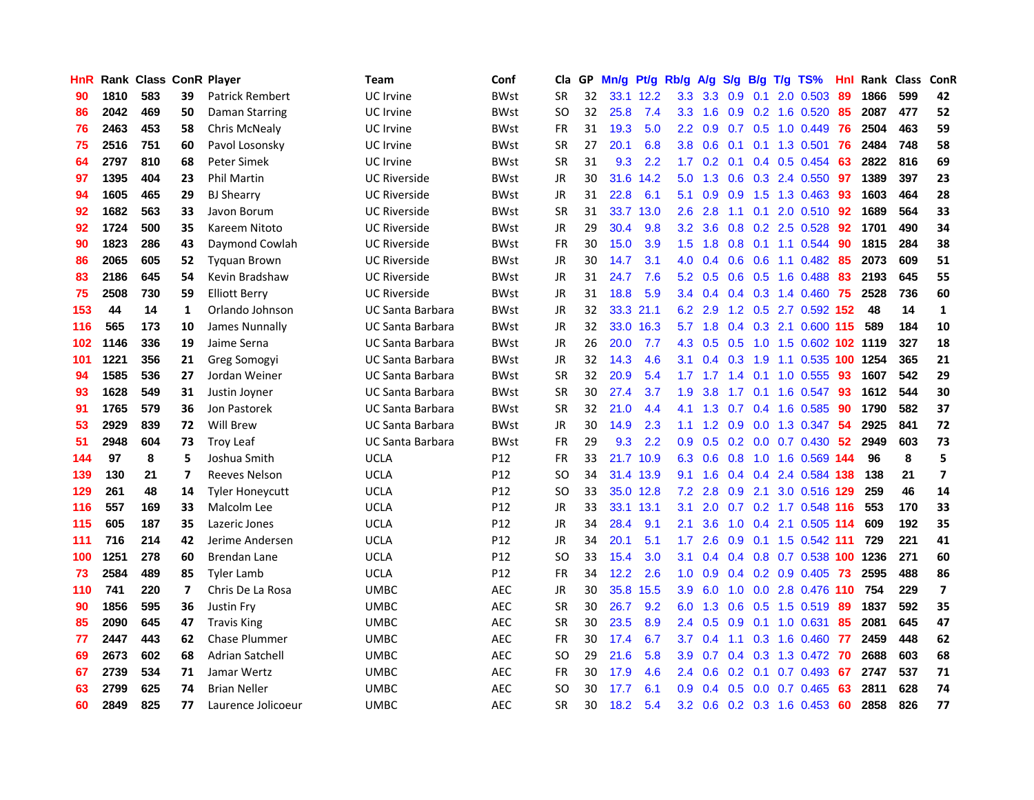| HnR |      | Rank Class ConR Player |                         |                        | <b>Team</b>             | Conf        | Cla       |    | GP Mn/g Pt/g Rb/g |           |                  | A/g             |     |                 | S/g B/g T/g TS%         | Hnl | Rank Class |     | <b>ConR</b>             |
|-----|------|------------------------|-------------------------|------------------------|-------------------------|-------------|-----------|----|-------------------|-----------|------------------|-----------------|-----|-----------------|-------------------------|-----|------------|-----|-------------------------|
| 90  | 1810 | 583                    | 39                      | <b>Patrick Rembert</b> | <b>UC</b> Irvine        | <b>BWst</b> | <b>SR</b> | 32 |                   | 33.1 12.2 | 3.3              | 3.3             | 0.9 | 0.1             | 2.0 0.503               | 89  | 1866       | 599 | 42                      |
| 86  | 2042 | 469                    | 50                      | Daman Starring         | <b>UC</b> Irvine        | <b>BWst</b> | SO.       | 32 | 25.8              | 7.4       | 3.3 <sub>2</sub> | 1.6             | 0.9 | 0.2             | 1.6 0.520               | 85  | 2087       | 477 | 52                      |
| 76  | 2463 | 453                    | 58                      | Chris McNealy          | <b>UC</b> Irvine        | <b>BWst</b> | <b>FR</b> | 31 | 19.3              | 5.0       | $2.2\,$          | 0.9             | 0.7 | 0.5             | 1.0 0.449               | 76  | 2504       | 463 | 59                      |
| 75  | 2516 | 751                    | 60                      | Pavol Losonsky         | <b>UC</b> Irvine        | <b>BWst</b> | <b>SR</b> | 27 | 20.1              | 6.8       | 3.8 <sub>1</sub> | 0.6             |     |                 | $0.1$ 0.1 1.3 0.501     | -76 | 2484       | 748 | 58                      |
| 64  | 2797 | 810                    | 68                      | Peter Simek            | <b>UC</b> Irvine        | <b>BWst</b> | <b>SR</b> | 31 | 9.3               | 2.2       | 1.7 <sub>2</sub> |                 |     |                 | 0.2 0.1 0.4 0.5 0.454   | 63  | 2822       | 816 | 69                      |
| 97  | 1395 | 404                    | 23                      | <b>Phil Martin</b>     | <b>UC Riverside</b>     | <b>BWst</b> | <b>JR</b> | 30 |                   | 31.6 14.2 |                  | $5.0$ 1.3       |     |                 | $0.6$ $0.3$ 2.4 $0.550$ | 97  | 1389       | 397 | 23                      |
| 94  | 1605 | 465                    | 29                      | <b>BJ Shearry</b>      | <b>UC Riverside</b>     | <b>BWst</b> | JR        | 31 | 22.8              | 6.1       | 5.1              | 0.9             | 0.9 |                 | 1.5 1.3 0.463           | -93 | 1603       | 464 | 28                      |
| 92  | 1682 | 563                    | 33                      | Javon Borum            | <b>UC Riverside</b>     | <b>BWst</b> | <b>SR</b> | 31 |                   | 33.7 13.0 | 2.6              | 2.8             | 1.1 |                 | $0.1$ 2.0 $0.510$       | 92  | 1689       | 564 | 33                      |
| 92  | 1724 | 500                    | 35                      | Kareem Nitoto          | <b>UC Riverside</b>     | <b>BWst</b> | <b>JR</b> | 29 | 30.4              | 9.8       | 3.2 <sub>2</sub> | 3.6             |     |                 | 0.8 0.2 2.5 0.528       | 92  | 1701       | 490 | 34                      |
| 90  | 1823 | 286                    | 43                      | Daymond Cowlah         | <b>UC Riverside</b>     | <b>BWst</b> | <b>FR</b> | 30 | 15.0              | 3.9       | 1.5              | 1.8             | 0.8 | 0.1             | 1.1 0.544               | 90  | 1815       | 284 | 38                      |
| 86  | 2065 | 605                    | 52                      | <b>Tyguan Brown</b>    | <b>UC Riverside</b>     | BWst        | <b>JR</b> | 30 | 14.7              | 3.1       | 4.0              | 0.4             |     | $0.6\quad 0.6$  | 1.1 0.482               | 85  | 2073       | 609 | 51                      |
| 83  | 2186 | 645                    | 54                      | Kevin Bradshaw         | <b>UC Riverside</b>     | <b>BWst</b> | JR        | 31 | 24.7              | 7.6       | 5.2              | 0.5             |     |                 | 0.6 0.5 1.6 0.488       | 83  | 2193       | 645 | 55                      |
| 75  | 2508 | 730                    | 59                      | <b>Elliott Berry</b>   | <b>UC Riverside</b>     | <b>BWst</b> | <b>JR</b> | 31 | 18.8              | 5.9       |                  | $3.4 \quad 0.4$ |     | $0.4$ 0.3       | 1.4 0.460               | 75  | 2528       | 736 | 60                      |
| 153 | 44   | 14                     | $\mathbf{1}$            | Orlando Johnson        | <b>UC Santa Barbara</b> | <b>BWst</b> | JR        | 32 |                   | 33.3 21.1 | 6.2              | 2.9             | 1.2 | 0.5             | 2.7 0.592 152           |     | 48         | 14  | $\mathbf{1}$            |
| 116 | 565  | 173                    | 10                      | James Nunnally         | <b>UC Santa Barbara</b> | <b>BWst</b> | JR        | 32 |                   | 33.0 16.3 | 5.7              | 1.8             | 0.4 | 0.3             | 2.1 0.600 115           |     | 589        | 184 | 10                      |
| 102 | 1146 | 336                    | 19                      | Jaime Serna            | <b>UC Santa Barbara</b> | <b>BWst</b> | JR        | 26 | 20.0              | 7.7       | 4.3              | 0.5             | 0.5 | 1.0             | 1.5 0.602 102 1119      |     |            | 327 | 18                      |
| 101 | 1221 | 356                    | 21                      | Greg Somogyi           | <b>UC Santa Barbara</b> | <b>BWst</b> | JR        | 32 | 14.3              | 4.6       | 3.1              | 0.4             | 0.3 | 1.9             | 1.1 0.535 100 1254      |     |            | 365 | 21                      |
| 94  | 1585 | 536                    | 27                      | Jordan Weiner          | <b>UC Santa Barbara</b> | <b>BWst</b> | <b>SR</b> | 32 | 20.9              | 5.4       |                  | $1.7$ 1.7       |     | $1.4 \quad 0.1$ | 1.0 0.555               | -93 | 1607       | 542 | 29                      |
| 93  | 1628 | 549                    | 31                      | Justin Joyner          | <b>UC Santa Barbara</b> | <b>BWst</b> | <b>SR</b> | 30 | 27.4              | 3.7       | 1.9              | 3.8             | 1.7 |                 | 0.1 1.6 0.547 93        |     | 1612       | 544 | 30                      |
| 91  | 1765 | 579                    | 36                      | Jon Pastorek           | <b>UC Santa Barbara</b> | <b>BWst</b> | <b>SR</b> | 32 | 21.0              | 4.4       | 4.1              | 1.3             |     |                 | $0.7$ 0.4 1.6 0.585     | 90  | 1790       | 582 | 37                      |
| 53  | 2929 | 839                    | 72                      | Will Brew              | <b>UC Santa Barbara</b> | <b>BWst</b> | JR        | 30 | 14.9              | 2.3       | 1.1              | 1.2             | 0.9 |                 | $0.0$ 1.3 0.347         | -54 | 2925       | 841 | 72                      |
| 51  | 2948 | 604                    | 73                      | <b>Troy Leaf</b>       | <b>UC Santa Barbara</b> | <b>BWst</b> | <b>FR</b> | 29 | 9.3               | 2.2       | 0.9              | 0.5             |     |                 | $0.2$ 0.0 0.7 0.430     | 52  | 2949       | 603 | 73                      |
| 144 | 97   | 8                      | 5                       | Joshua Smith           | <b>UCLA</b>             | P12         | <b>FR</b> | 33 |                   | 21.7 10.9 | 6.3              | 0.6             | 0.8 | 1.0             | 1.6 0.569 144           |     | 96         | 8   | 5                       |
| 139 | 130  | 21                     | $\overline{7}$          | <b>Reeves Nelson</b>   | <b>UCLA</b>             | P12         | <b>SO</b> | 34 |                   | 31.4 13.9 | 9.1              | 1.6             |     |                 | 0.4 0.4 2.4 0.584 138   |     | 138        | 21  | $\overline{\mathbf{z}}$ |
| 129 | 261  | 48                     | 14                      | <b>Tyler Honeycutt</b> | <b>UCLA</b>             | P12         | <b>SO</b> | 33 |                   | 35.0 12.8 | 7.2              | 2.8             | 0.9 | 2.1             | 3.0 0.516 129           |     | 259        | 46  | 14                      |
| 116 | 557  | 169                    | 33                      | Malcolm Lee            | <b>UCLA</b>             | P12         | <b>JR</b> | 33 |                   | 33.1 13.1 | 3.1              | 2.0             | 0.7 |                 | 0.2 1.7 0.548 116       |     | 553        | 170 | 33                      |
| 115 | 605  | 187                    | 35                      | Lazeric Jones          | <b>UCLA</b>             | P12         | JR        | 34 | 28.4              | 9.1       | 2.1              | 3.6             | 1.0 | 0.4             | 2.1 0.505 114           |     | 609        | 192 | 35                      |
| 111 | 716  | 214                    | 42                      | Jerime Andersen        | <b>UCLA</b>             | P12         | <b>JR</b> | 34 | 20.1              | 5.1       | 1.7 <sub>2</sub> | 2.6             | 0.9 |                 | 0.1 1.5 0.542 111       |     | 729        | 221 | 41                      |
| 100 | 1251 | 278                    | 60                      | <b>Brendan Lane</b>    | <b>UCLA</b>             | P12         | <b>SO</b> | 33 | 15.4              | 3.0       | 3.1              | 0.4             |     |                 | 0.4 0.8 0.7 0.538 100   |     | 1236       | 271 | 60                      |
| 73  | 2584 | 489                    | 85                      | <b>Tyler Lamb</b>      | <b>UCLA</b>             | P12         | <b>FR</b> | 34 | 12.2              | 2.6       | 1.0 <sub>1</sub> | 0.9             |     |                 | $0.4$ 0.2 0.9 0.405 73  |     | 2595       | 488 | 86                      |
| 110 | 741  | 220                    | $\overline{\mathbf{z}}$ | Chris De La Rosa       | <b>UMBC</b>             | <b>AEC</b>  | JR        | 30 |                   | 35.8 15.5 | 3.9              | 6.0             |     |                 | 1.0 0.0 2.8 0.476 110   |     | 754        | 229 | $\overline{\mathbf{z}}$ |
| 90  | 1856 | 595                    | 36                      | Justin Fry             | <b>UMBC</b>             | <b>AEC</b>  | <b>SR</b> | 30 | 26.7              | 9.2       | 6.0              | 1.3             |     |                 | 0.6 0.5 1.5 0.519 89    |     | 1837       | 592 | 35                      |
| 85  | 2090 | 645                    | 47                      | <b>Travis King</b>     | <b>UMBC</b>             | <b>AEC</b>  | <b>SR</b> | 30 | 23.5              | 8.9       | 2.4              | 0.5             |     |                 | 0.9 0.1 1.0 0.631       | 85  | 2081       | 645 | 47                      |
| 77  | 2447 | 443                    | 62                      | <b>Chase Plummer</b>   | <b>UMBC</b>             | <b>AEC</b>  | <b>FR</b> | 30 | 17.4              | 6.7       | 3.7              | 0.4             |     |                 | 1.1 0.3 1.6 0.460 77    |     | 2459       | 448 | 62                      |
| 69  | 2673 | 602                    | 68                      | <b>Adrian Satchell</b> | <b>UMBC</b>             | <b>AEC</b>  | <b>SO</b> | 29 | 21.6              | 5.8       | 3.9              | 0.7             |     |                 | 0.4 0.3 1.3 0.472       | -70 | 2688       | 603 | 68                      |
| 67  | 2739 | 534                    | 71                      | Jamar Wertz            | <b>UMBC</b>             | <b>AEC</b>  | FR        | 30 | 17.9              | 4.6       | $2.4^{\circ}$    | 0.6             | 0.2 | 0.1             | 0.7 0.493               | 67  | 2747       | 537 | 71                      |
| 63  | 2799 | 625                    | 74                      | <b>Brian Neller</b>    | <b>UMBC</b>             | <b>AEC</b>  | <b>SO</b> | 30 | 17.7              | 6.1       | 0.9              | 0.4             | 0.5 | 0.0             | 0.7 0.465               | 63  | 2811       | 628 | 74                      |
| 60  | 2849 | 825                    | 77                      | Laurence Jolicoeur     | <b>UMBC</b>             | <b>AEC</b>  | <b>SR</b> | 30 | 18.2              | 5.4       |                  | $3.2 \quad 0.6$ |     |                 | $0.2$ 0.3 1.6 0.453     | -60 | 2858       | 826 | 77                      |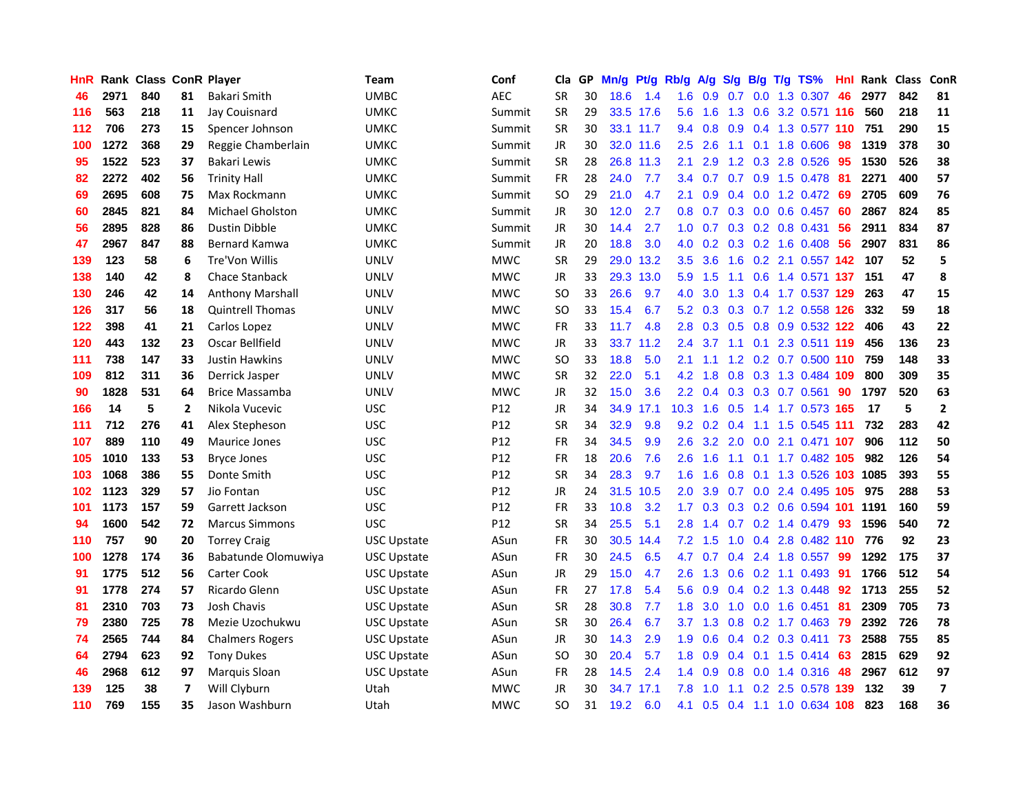| <b>HnR</b> |      | Rank Class ConR Player |                |                         | Team               | Conf            | Cla       |    | GP Mn/g Pt/g |           | Rb/g             | A/g             |     |     | S/g B/g T/g TS%           | Hnl | Rank Class |     | ConR                    |
|------------|------|------------------------|----------------|-------------------------|--------------------|-----------------|-----------|----|--------------|-----------|------------------|-----------------|-----|-----|---------------------------|-----|------------|-----|-------------------------|
| 46         | 2971 | 840                    | 81             | Bakari Smith            | UMBC               | <b>AEC</b>      | <b>SR</b> | 30 | 18.6         | 1.4       | 1.6              | 0.9             | 0.7 | 0.0 | 1.3 0.307                 | 46  | 2977       | 842 | 81                      |
| 116        | 563  | 218                    | 11             | Jay Couisnard           | <b>UMKC</b>        | Summit          | <b>SR</b> | 29 |              | 33.5 17.6 | $5.6^{\circ}$    | 1.6             | 1.3 | 0.6 | 3.2 0.571 116             |     | 560        | 218 | 11                      |
| 112        | 706  | 273                    | 15             | Spencer Johnson         | <b>UMKC</b>        | Summit          | <b>SR</b> | 30 |              | 33.1 11.7 | 9.4              | 0.8             | 0.9 |     | 0.4 1.3 0.577 110         |     | 751        | 290 | 15                      |
| 100        | 1272 | 368                    | 29             | Reggie Chamberlain      | UMKC               | Summit          | JR        | 30 |              | 32.0 11.6 | 2.5              | 2.6             |     |     | 1.1 0.1 1.8 0.606         | -98 | 1319       | 378 | 30                      |
| 95         | 1522 | 523                    | 37             | Bakari Lewis            | UMKC               | Summit          | <b>SR</b> | 28 |              | 26.8 11.3 | 2.1              | 2.9             |     |     | 1.2 0.3 2.8 0.526         | -95 | 1530       | 526 | 38                      |
| 82         | 2272 | 402                    | 56             | <b>Trinity Hall</b>     | UMKC               | Summit          | <b>FR</b> | 28 | 24.0         | 7.7       |                  |                 |     |     | 3.4 0.7 0.7 0.9 1.5 0.478 | -81 | 2271       | 400 | 57                      |
| 69         | 2695 | 608                    | 75             | Max Rockmann            | UMKC               | Summit          | <b>SO</b> | 29 | 21.0         | 4.7       | 2.1              | 0.9             |     |     | $0.4$ 0.0 1.2 0.472       | -69 | 2705       | 609 | 76                      |
| 60         | 2845 | 821                    | 84             | <b>Michael Gholston</b> | имкс               | Summit          | JR        | 30 | 12.0         | 2.7       | 0.8 <sub>0</sub> | 0.7             |     |     | $0.3$ 0.0 0.6 0.457       | -60 | 2867       | 824 | 85                      |
| 56         | 2895 | 828                    | 86             | <b>Dustin Dibble</b>    | <b>UMKC</b>        | Summit          | <b>JR</b> | 30 | 14.4         | 2.7       | 1.0              | 0.7             |     |     | $0.3$ 0.2 0.8 0.431       | 56  | 2911       | 834 | 87                      |
| 47         | 2967 | 847                    | 88             | <b>Bernard Kamwa</b>    | <b>UMKC</b>        | Summit          | JR        | 20 | 18.8         | 3.0       | 4.0              | 0.2             |     |     | $0.3$ 0.2 1.6 0.408       | 56  | 2907       | 831 | 86                      |
| 139        | 123  | 58                     | 6              | Tre'Von Willis          | <b>UNLV</b>        | <b>MWC</b>      | <b>SR</b> | 29 | 29.0         | 13.2      | 3.5              | 3.6             | 1.6 |     | 0.2 2.1 0.557 142         |     | 107        | 52  | 5                       |
| 138        | 140  | 42                     | 8              | Chace Stanback          | <b>UNLV</b>        | <b>MWC</b>      | JR        | 33 |              | 29.3 13.0 | 5.9              | 1.5             | 1.1 | 0.6 | 1.4 0.571 137             |     | 151        | 47  | 8                       |
| 130        | 246  | 42                     | 14             | <b>Anthony Marshall</b> | <b>UNLV</b>        | <b>MWC</b>      | SO.       | 33 | 26.6         | 9.7       | 4.0              | 3.0             | 1.3 |     | 0.4 1.7 0.537 129         |     | 263        | 47  | 15                      |
| 126        | 317  | 56                     | 18             | <b>Quintrell Thomas</b> | <b>UNLV</b>        | <b>MWC</b>      | SO.       | 33 | 15.4         | 6.7       | 5.2              | 0.3             | 0.3 |     | 0.7 1.2 0.558 126         |     | 332        | 59  | 18                      |
| 122        | 398  | 41                     | 21             | Carlos Lopez            | <b>UNLV</b>        | <b>MWC</b>      | <b>FR</b> | 33 | 11.7         | 4.8       | 2.8              | 0.3             | 0.5 | 0.8 | 0.9 0.532 122             |     | 406        | 43  | 22                      |
| 120        | 443  | 132                    | 23             | Oscar Bellfield         | <b>UNLV</b>        | <b>MWC</b>      | JR        | 33 |              | 33.7 11.2 | 2.4              | 3.7             | 1.1 |     | 0.1 2.3 0.511 119         |     | 456        | 136 | 23                      |
| 111        | 738  | 147                    | 33             | <b>Justin Hawkins</b>   | <b>UNLV</b>        | <b>MWC</b>      | <b>SO</b> | 33 | 18.8         | 5.0       | 2.1              | 1.1             |     |     | 1.2 0.2 0.7 0.500 110     |     | 759        | 148 | 33                      |
| 109        | 812  | 311                    | 36             | Derrick Jasper          | UNLV               | <b>MWC</b>      | <b>SR</b> | 32 | 22.0         | 5.1       |                  | $4.2 \quad 1.8$ |     |     | 0.8 0.3 1.3 0.484 109     |     | 800        | 309 | 35                      |
| 90         | 1828 | 531                    | 64             | <b>Brice Massamba</b>   | <b>UNLV</b>        | <b>MWC</b>      | JR        | 32 | 15.0         | 3.6       |                  | $2.2 \quad 0.4$ |     |     | $0.3$ $0.3$ $0.7$ $0.561$ | -90 | 1797       | 520 | 63                      |
| 166        | 14   | 5                      | 2              | Nikola Vucevic          | <b>USC</b>         | P12             | JR        | 34 |              | 34.9 17.1 | 10.3             | 1.6             |     |     | 0.5 1.4 1.7 0.573 165     |     | 17         | 5   | $\overline{2}$          |
| 111        | 712  | 276                    | 41             | Alex Stepheson          | <b>USC</b>         | P12             | <b>SR</b> | 34 | 32.9         | 9.8       | 9.2              | 0.2             | 0.4 |     | 1.1 1.5 0.545 111         |     | 732        | 283 | 42                      |
| 107        | 889  | 110                    | 49             | <b>Maurice Jones</b>    | <b>USC</b>         | P12             | <b>FR</b> | 34 | 34.5         | 9.9       | 2.6              | 3.2             | 2.0 |     | 0.0 2.1 0.471 107         |     | 906        | 112 | 50                      |
| 105        | 1010 | 133                    | 53             | <b>Bryce Jones</b>      | <b>USC</b>         | P12             | FR        | 18 | 20.6         | 7.6       | 2.6              | 1.6             | 1.1 |     | 0.1 1.7 0.482 105         |     | 982        | 126 | 54                      |
| 103        | 1068 | 386                    | 55             | Donte Smith             | <b>USC</b>         | P12             | <b>SR</b> | 34 | 28.3         | 9.7       | 1.6              | 1.6             | 0.8 | 0.1 | 1.3 0.526 103             |     | 1085       | 393 | 55                      |
| 102        | 1123 | 329                    | 57             | Jio Fontan              | <b>USC</b>         | P <sub>12</sub> | <b>JR</b> | 24 |              | 31.5 10.5 | 2.0              | 3.9             | 0.7 |     | 0.0 2.4 0.495 105         |     | 975        | 288 | 53                      |
| 101        | 1173 | 157                    | 59             | Garrett Jackson         | <b>USC</b>         | P12             | <b>FR</b> | 33 | 10.8         | 3.2       | 1.7 <sup>2</sup> | 0.3             |     |     | 0.3 0.2 0.6 0.594 101     |     | 1191       | 160 | 59                      |
| 94         | 1600 | 542                    | 72             | <b>Marcus Simmons</b>   | <b>USC</b>         | P12             | <b>SR</b> | 34 | 25.5         | 5.1       | 2.8              | 1.4             | 0.7 | 0.2 | 1.4 0.479                 | 93  | 1596       | 540 | 72                      |
| 110        | 757  | 90                     | 20             | <b>Torrey Craig</b>     | <b>USC Upstate</b> | ASun            | FR        | 30 | 30.5         | 14.4      | 7.2              | 1.5             | 1.0 | 0.4 | 2.8 0.482 110             |     | 776        | 92  | 23                      |
| 100        | 1278 | 174                    | 36             | Babatunde Olomuwiya     | <b>USC Upstate</b> | ASun            | <b>FR</b> | 30 | 24.5         | 6.5       | 4.7              | 0.7             | 0.4 |     | 2.4 1.8 0.557             | -99 | 1292       | 175 | 37                      |
| 91         | 1775 | 512                    | 56             | <b>Carter Cook</b>      | <b>USC Upstate</b> | ASun            | JR        | 29 | 15.0         | 4.7       | 2.6              | 1.3             |     |     | $0.6$ 0.2 1.1 0.493       | -91 | 1766       | 512 | 54                      |
| 91         | 1778 | 274                    | 57             | Ricardo Glenn           | USC Upstate        | ASun            | <b>FR</b> | 27 | 17.8         | 5.4       | 5.6              | 0.9             |     |     | $0.4$ 0.2 1.3 0.448       | 92  | 1713       | 255 | 52                      |
| 81         | 2310 | 703                    | 73             | <b>Josh Chavis</b>      | USC Upstate        | ASun            | <b>SR</b> | 28 | 30.8         | 7.7       | 1.8              | 3.0             |     |     | 1.0 0.0 1.6 0.451         | 81  | 2309       | 705 | 73                      |
| 79         | 2380 | 725                    | 78             | Mezie Uzochukwu         | USC Upstate        | ASun            | <b>SR</b> | 30 | 26.4         | 6.7       |                  | 3.7 1.3         |     |     | $0.8$ 0.2 1.7 0.463       | -79 | 2392       | 726 | 78                      |
| 74         | 2565 | 744                    | 84             | <b>Chalmers Rogers</b>  | USC Upstate        | ASun            | JR        | 30 | 14.3         | 2.9       | 1.9              | 0.6             |     |     | 0.4 0.2 0.3 0.411 73      |     | 2588       | 755 | 85                      |
| 64         | 2794 | 623                    | 92             | <b>Tony Dukes</b>       | USC Upstate        | ASun            | <b>SO</b> | 30 | 20.4         | 5.7       | 1.8              | 0.9             |     |     | $0.4$ 0.1 1.5 0.414       | 63  | 2815       | 629 | 92                      |
| 46         | 2968 | 612                    | 97             | Marquis Sloan           | <b>USC Upstate</b> | ASun            | <b>FR</b> | 28 | 14.5         | 2.4       | 1.4              | 0.9             | 0.8 | 0.0 | 1.4 0.316                 | 48  | 2967       | 612 | 97                      |
| 139        | 125  | 38                     | $\overline{7}$ | Will Clyburn            | Utah               | <b>MWC</b>      | <b>JR</b> | 30 | 34.7         | 17.1      | 7.8              | 1.0             | 1.1 | 0.2 | 2.5 0.578                 | 139 | 132        | 39  | $\overline{\mathbf{z}}$ |
| 110        | 769  | 155                    | 35             | Jason Washburn          | Utah               | <b>MWC</b>      | SO.       | 31 | 19.2         | 6.0       | 4.1              | 0.5             |     |     | 0.4 1.1 1.0 0.634 108     |     | 823        | 168 | 36                      |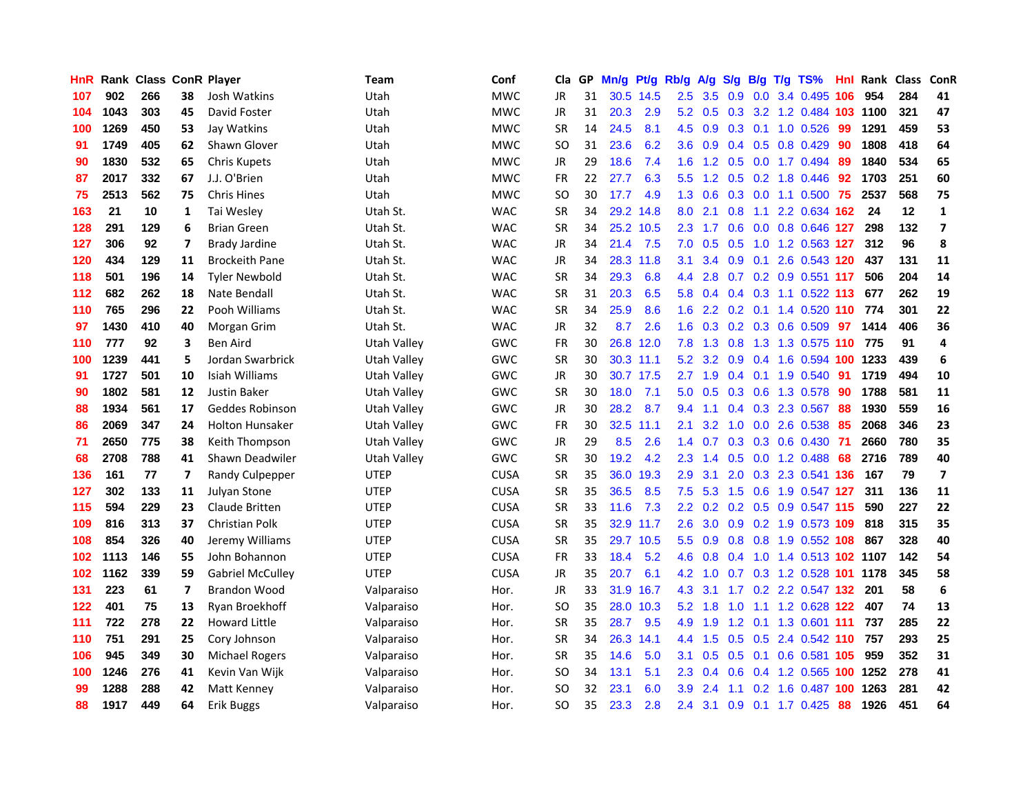| <b>HnR</b> |      | Rank Class ConR Player |    |                         | <b>Team</b> | Conf        | Cla       |    | GP Mn/g   | Pt/g      | Rb/g             | A/g             |     |                 | S/g B/g T/g TS%                    | Hnl | Rank Class |     | ConR                    |
|------------|------|------------------------|----|-------------------------|-------------|-------------|-----------|----|-----------|-----------|------------------|-----------------|-----|-----------------|------------------------------------|-----|------------|-----|-------------------------|
| 107        | 902  | 266                    | 38 | Josh Watkins            | Utah        | <b>MWC</b>  | JR        | 31 |           | 30.5 14.5 | $2.5\,$          | 3.5             | 0.9 | 0.0             | 3.4 0.495                          | 106 | 954        | 284 | 41                      |
| 104        | 1043 | 303                    | 45 | David Foster            | Utah        | <b>MWC</b>  | JR        | 31 | 20.3      | 2.9       | 5.2              | 0.5             | 0.3 | 3.2             | 1.2 0.484 103                      |     | 1100       | 321 | 47                      |
| 100        | 1269 | 450                    | 53 | Jay Watkins             | Utah        | <b>MWC</b>  | <b>SR</b> | 14 | 24.5      | 8.1       | 4.5              | 0.9             | 0.3 | 0.1             | 1.0 0.526                          | -99 | 1291       | 459 | 53                      |
| 91         | 1749 | 405                    | 62 | Shawn Glover            | Utah        | <b>MWC</b>  | SO        | 31 | 23.6      | 6.2       | 3.6 <sup>°</sup> | 0.9             |     |                 | 0.4 0.5 0.8 0.429                  | -90 | 1808       | 418 | 64                      |
| 90         | 1830 | 532                    | 65 | <b>Chris Kupets</b>     | Utah        | <b>MWC</b>  | JR        | 29 | 18.6      | 7.4       |                  |                 |     |                 | 1.6 1.2 0.5 0.0 1.7 0.494          | 89  | 1840       | 534 | 65                      |
| 87         | 2017 | 332                    | 67 | J.J. O'Brien            | Utah        | <b>MWC</b>  | FR        | 22 | 27.7      | 6.3       |                  |                 |     |                 | 5.5 1.2 0.5 0.2 1.8 0.446          | -92 | 1703       | 251 | 60                      |
| 75         | 2513 | 562                    | 75 | <b>Chris Hines</b>      | Utah        | <b>MWC</b>  | <b>SO</b> | 30 | 17.7      | 4.9       | 1.3              | 0.6             |     |                 | 0.3 0.0 1.1 0.500 75               |     | 2537       | 568 | 75                      |
| 163        | 21   | 10                     | 1  | Tai Wesley              | Utah St.    | <b>WAC</b>  | <b>SR</b> | 34 |           | 29.2 14.8 | 8.0              | 2.1             | 0.8 | 1.1             | 2.2 0.634 162                      |     | 24         | 12  | $\mathbf{1}$            |
| 128        | 291  | 129                    | 6  | <b>Brian Green</b>      | Utah St.    | <b>WAC</b>  | <b>SR</b> | 34 | 25.2 10.5 |           | 2.3              | 1.7             |     |                 | 0.6 0.0 0.8 0.646 127              |     | 298        | 132 | $\overline{\mathbf{z}}$ |
| 127        | 306  | 92                     | 7  | Brady Jardine           | Utah St.    | <b>WAC</b>  | JR        | 34 | 21.4      | 7.5       | 7.0              | 0.5             | 0.5 |                 | 1.0 1.2 0.563 127                  |     | 312        | 96  | 8                       |
| 120        | 434  | 129                    | 11 | <b>Brockeith Pane</b>   | Utah St.    | <b>WAC</b>  | JR        | 34 |           | 28.3 11.8 | 3.1              | 3.4             |     | $0.9\quad 0.1$  | 2.6 0.543 120                      |     | 437        | 131 | 11                      |
| 118        | 501  | 196                    | 14 | <b>Tyler Newbold</b>    | Utah St.    | <b>WAC</b>  | <b>SR</b> | 34 | 29.3      | 6.8       | $4.4^{\circ}$    | 2.8             | 0.7 |                 | 0.2 0.9 0.551 117                  |     | 506        | 204 | 14                      |
| 112        | 682  | 262                    | 18 | Nate Bendall            | Utah St.    | <b>WAC</b>  | <b>SR</b> | 31 | 20.3      | 6.5       | 5.8              | 0.4             |     |                 | 0.4 0.3 1.1 0.522 113              |     | 677        | 262 | 19                      |
| 110        | 765  | 296                    | 22 | Pooh Williams           | Utah St.    | <b>WAC</b>  | <b>SR</b> | 34 | 25.9      | 8.6       | 1.6              | 2.2             | 0.2 | 0.1             | 1.4 0.520 110                      |     | 774        | 301 | 22                      |
| 97         | 1430 | 410                    | 40 | Morgan Grim             | Utah St.    | <b>WAC</b>  | JR        | 32 | 8.7       | 2.6       | 1.6              | 0.3             |     | $0.2 \quad 0.3$ | 0.6 0.509                          | 97  | 1414       | 406 | 36                      |
| 110        | 777  | 92                     | 3  | <b>Ben Aird</b>         | Utah Valley | GWC         | FR        | 30 |           | 26.8 12.0 |                  | $7.8$ 1.3       | 0.8 |                 | 1.3 1.3 0.575 110                  |     | 775        | 91  | 4                       |
| 100        | 1239 | 441                    | 5  | Jordan Swarbrick        | Utah Valley | GWC         | <b>SR</b> | 30 |           | 30.3 11.1 |                  |                 |     |                 | 5.2 3.2 0.9 0.4 1.6 0.594 100 1233 |     |            | 439 | 6                       |
| 91         | 1727 | 501                    | 10 | Isiah Williams          | Utah Valley | GWC         | JR        | 30 |           | 30.7 17.5 |                  | $2.7$ 1.9       |     |                 | 0.4 0.1 1.9 0.540 91               |     | 1719       | 494 | ${\bf 10}$              |
| 90         | 1802 | 581                    | 12 | Justin Baker            | Utah Valley | GWC         | <b>SR</b> | 30 | 18.0      | 7.1       |                  | $5.0\quad 0.5$  |     |                 | 0.3 0.6 1.3 0.578                  | 90  | 1788       | 581 | 11                      |
| 88         | 1934 | 561                    | 17 | Geddes Robinson         | Utah Valley | GWC         | JR        | 30 | 28.2      | 8.7       | $9.4^{\circ}$    | 1.1             |     |                 | 0.4 0.3 2.3 0.567                  | 88  | 1930       | 559 | 16                      |
| 86         | 2069 | 347                    | 24 | <b>Holton Hunsaker</b>  | Utah Vallev | GWC         | <b>FR</b> | 30 |           | 32.5 11.1 | 2.1              | 3.2             | 1.0 |                 | 0.0 2.6 0.538                      | 85  | 2068       | 346 | 23                      |
| 71         | 2650 | 775                    | 38 | Keith Thompson          | Utah Valley | GWC         | JR        | 29 | 8.5       | 2.6       | 1.4              | 0.7             |     |                 | $0.3$ $0.3$ $0.6$ $0.430$          | -71 | 2660       | 780 | 35                      |
| 68         | 2708 | 788                    | 41 | Shawn Deadwiler         | Utah Valley | GWC         | <b>SR</b> | 30 | 19.2      | 4.2       | 2.3              | 1.4             |     |                 | $0.5$ 0.0 1.2 0.488                | -68 | 2716       | 789 | 40                      |
| 136        | 161  | 77                     | 7  | Randy Culpepper         | <b>UTEP</b> | <b>CUSA</b> | <b>SR</b> | 35 |           | 36.0 19.3 | 2.9              | 3.1             | 2.0 |                 | 0.3 2.3 0.541 136                  |     | 167        | 79  | $\overline{\mathbf{z}}$ |
| 127        | 302  | 133                    | 11 | Julyan Stone            | <b>UTEP</b> | <b>CUSA</b> | <b>SR</b> | 35 | 36.5      | 8.5       | 7.5              | 5.3             | 1.5 | 0.6             | 1.9 0.547 127                      |     | 311        | 136 | 11                      |
| 115        | 594  | 229                    | 23 | Claude Britten          | <b>UTEP</b> | <b>CUSA</b> | <b>SR</b> | 33 | 11.6      | 7.3       | $2.2\phantom{0}$ | 0.2             |     | $0.2 \quad 0.5$ | 0.9 0.547 115                      |     | 590        | 227 | 22                      |
| 109        | 816  | 313                    | 37 | Christian Polk          | <b>UTEP</b> | <b>CUSA</b> | <b>SR</b> | 35 |           | 32.9 11.7 | 2.6              | 3.0             | 0.9 |                 | 0.2 1.9 0.573 109                  |     | 818        | 315 | 35                      |
| 108        | 854  | 326                    | 40 | Jeremy Williams         | <b>UTEP</b> | <b>CUSA</b> | <b>SR</b> | 35 |           | 29.7 10.5 | 5.5              | 0.9             |     |                 | 0.8 0.8 1.9 0.552 108              |     | 867        | 328 | 40                      |
| 102        | 1113 | 146                    | 55 | John Bohannon           | <b>UTEP</b> | <b>CUSA</b> | <b>FR</b> | 33 | 18.4      | 5.2       | 4.6              | 0.8             |     |                 | 0.4 1.0 1.4 0.513 102 1107         |     |            | 142 | 54                      |
| 102        | 1162 | 339                    | 59 | <b>Gabriel McCulley</b> | <b>UTEP</b> | <b>CUSA</b> | JR        | 35 | 20.7      | 6.1       |                  | 4.2 1.0         |     |                 | 0.7 0.3 1.2 0.528 101 1178         |     |            | 345 | 58                      |
| 131        | 223  | 61                     | 7  | <b>Brandon Wood</b>     | Valparaiso  | Hor.        | JR        | 33 |           | 31.9 16.7 | 4.3              | 3.1             |     |                 | 1.7 0.2 2.2 0.547 132 201          |     |            | 58  | 6                       |
| 122        | 401  | 75                     | 13 | Ryan Broekhoff          | Valparaiso  | Hor.        | SO.       | 35 |           | 28.0 10.3 |                  | $5.2 \quad 1.8$ | 1.0 |                 | 1.1 1.2 0.628 122                  |     | 407        | 74  | 13                      |
| 111        | 722  | 278                    | 22 | <b>Howard Little</b>    | Valparaiso  | Hor.        | <b>SR</b> | 35 | 28.7      | 9.5       | 4.9              | 1.9             |     |                 | 1.2 0.1 1.3 0.601 111              |     | 737        | 285 | 22                      |
| 110        | 751  | 291                    | 25 | Cory Johnson            | Valparaiso  | Hor.        | <b>SR</b> | 34 |           | 26.3 14.1 | 4.4              | 1.5             |     |                 | 0.5 0.5 2.4 0.542 110              |     | 757        | 293 | 25                      |
| 106        | 945  | 349                    | 30 | <b>Michael Rogers</b>   | Valparaiso  | Hor.        | <b>SR</b> | 35 | 14.6      | 5.0       | 3.1              | 0.5             | 0.5 | 0.1             | 0.6 0.581                          | 105 | 959        | 352 | 31                      |
| 100        | 1246 | 276                    | 41 | Kevin Van Wijk          | Valparaiso  | Hor.        | SO.       | 34 | 13.1      | 5.1       | 2.3              | 0.4             | 0.6 |                 | 0.4 1.2 0.565                      |     | 100 1252   | 278 | 41                      |
| 99         | 1288 | 288                    | 42 | Matt Kenney             | Valparaiso  | Hor.        | <b>SO</b> | 32 | 23.1      | 6.0       | 3.9              | 2.4             | 1.1 | 0.2             | 1.6 0.487                          | 100 | 1263       | 281 | 42                      |
| 88         | 1917 | 449                    | 64 | Erik Buggs              | Valparaiso  | Hor.        | SO.       | 35 | 23.3      | 2.8       | 2.4              | 3.1             |     |                 | 0.9 0.1 1.7 0.425                  | 88  | 1926       | 451 | 64                      |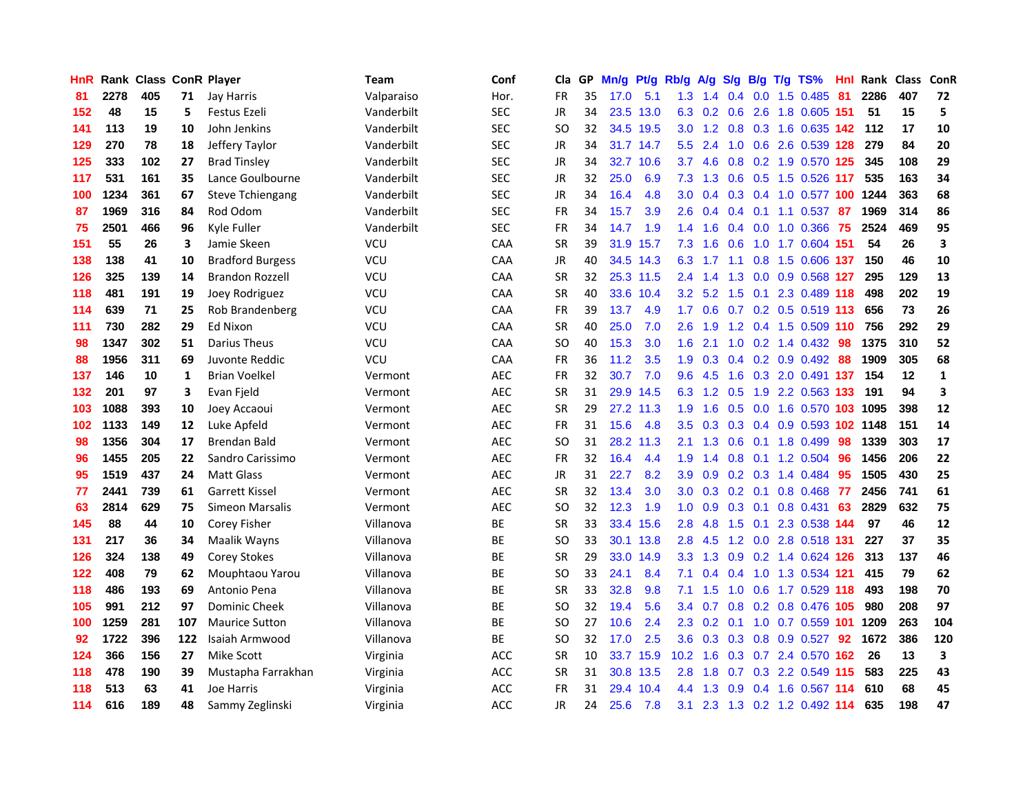| <b>HnR</b> |      | Rank Class ConR Player |     |                         | <b>Team</b> | Conf       | Cla       |    | GP Mn/g Pt/g |           | Rb/g              | A/g            |                 |     | S/g B/g T/g TS%            | Hnl  | Rank Class |     | ConR         |
|------------|------|------------------------|-----|-------------------------|-------------|------------|-----------|----|--------------|-----------|-------------------|----------------|-----------------|-----|----------------------------|------|------------|-----|--------------|
| 81         | 2278 | 405                    | 71  | Jay Harris              | Valparaiso  | Hor.       | FR        | 35 | 17.0         | 5.1       | 1.3               | 1.4            | 0.4             | 0.0 | 1.5 0.485                  | 81   | 2286       | 407 | 72           |
| 152        | 48   | 15                     | 5   | Festus Ezeli            | Vanderbilt  | <b>SEC</b> | JR        | 34 |              | 23.5 13.0 | 6.3               | 0.2            | 0.6             | 2.6 | 1.8 0.605 151              |      | 51         | 15  | 5            |
| 141        | 113  | 19                     | 10  | John Jenkins            | Vanderbilt  | <b>SEC</b> | SO.       | 32 |              | 34.5 19.5 | 3.0 <sub>2</sub>  | 1.2            | 0.8             |     | 0.3 1.6 0.635 142          |      | 112        | 17  | 10           |
| 129        | 270  | 78                     | 18  | Jeffery Taylor          | Vanderbilt  | <b>SEC</b> | JR        | 34 |              | 31.7 14.7 | 5.5               | 2.4            |                 |     | 1.0 0.6 2.6 0.539 128      |      | 279        | 84  | 20           |
| 125        | 333  | 102                    | 27  | <b>Brad Tinsley</b>     | Vanderbilt  | <b>SEC</b> | JR        | 34 |              | 32.7 10.6 | 3.7               | 4.6            |                 |     | 0.8 0.2 1.9 0.570 125      |      | 345        | 108 | 29           |
| 117        | 531  | 161                    | 35  | Lance Goulbourne        | Vanderbilt  | <b>SEC</b> | JR        | 32 | 25.0         | 6.9       | 7.3               | 1.3            |                 |     | 0.6 0.5 1.5 0.526 117      |      | 535        | 163 | 34           |
| 100        | 1234 | 361                    | 67  | <b>Steve Tchiengang</b> | Vanderbilt  | <b>SEC</b> | JR        | 34 | 16.4         | 4.8       | 3.0               | 0.4            |                 |     | 0.3 0.4 1.0 0.577 100 1244 |      |            | 363 | 68           |
| 87         | 1969 | 316                    | 84  | Rod Odom                | Vanderbilt  | <b>SEC</b> | FR        | 34 | 15.7         | 3.9       | 2.6               | 0.4            |                 |     | $0.4$ 0.1 1.1 0.537        | -87  | 1969       | 314 | 86           |
| 75         | 2501 | 466                    | 96  | Kyle Fuller             | Vanderbilt  | <b>SEC</b> | <b>FR</b> | 34 | 14.7         | 1.9       | 1.4               | 1.6            |                 |     | 0.4 0.0 1.0 0.366          | -75  | 2524       | 469 | 95           |
| 151        | 55   | 26                     | 3   | Jamie Skeen             | VCU         | CAA        | <b>SR</b> | 39 | 31.9         | 15.7      | 7.3               | 1.6            | 0.6             |     | 1.0 1.7 0.604 151          |      | 54         | 26  | 3            |
| 138        | 138  | 41                     | 10  | <b>Bradford Burgess</b> | <b>VCU</b>  | CAA        | JR        | 40 |              | 34.5 14.3 | 6.3               | 1.7            | 1.1             | 0.8 | 1.5 0.606 137              |      | 150        | 46  | 10           |
| 126        | 325  | 139                    | 14  | <b>Brandon Rozzell</b>  | <b>VCU</b>  | CAA        | <b>SR</b> | 32 |              | 25.3 11.5 | 2.4               | 1.4            | 1.3             | 0.0 | 0.9 0.568 127              |      | 295        | 129 | 13           |
| 118        | 481  | 191                    | 19  | Joey Rodriguez          | <b>VCU</b>  | <b>CAA</b> | <b>SR</b> | 40 |              | 33.6 10.4 | 3.2               | 5.2            | 1.5             | 0.1 | 2.3 0.489 118              |      | 498        | 202 | 19           |
| 114        | 639  | 71                     | 25  | Rob Brandenberg         | <b>VCU</b>  | CAA        | <b>FR</b> | 39 | 13.7         | 4.9       | 1.7 <sup>2</sup>  | 0.6            | 0.7             |     | 0.2 0.5 0.519 113          |      | 656        | 73  | 26           |
| 111        | 730  | 282                    | 29  | <b>Ed Nixon</b>         | <b>VCU</b>  | CAA        | <b>SR</b> | 40 | 25.0         | 7.0       | 2.6               | 1.9            | 1.2             | 0.4 | 1.5 0.509 110              |      | 756        | 292 | 29           |
| 98         | 1347 | 302                    | 51  | Darius Theus            | VCU         | CAA        | <b>SO</b> | 40 | 15.3         | 3.0       | 1.6               | 2.1            | 1.0             |     | $0.2$ 1.4 $0.432$          | -98  | 1375       | 310 | 52           |
| 88         | 1956 | 311                    | 69  | Juvonte Reddic          | VCU         | CAA        | FR        | 36 | 11.2         | 3.5       | 1.9               |                |                 |     | $0.3$ 0.4 0.2 0.9 0.492    | -88  | 1909       | 305 | 68           |
| 137        | 146  | 10                     | 1   | <b>Brian Voelkel</b>    | Vermont     | <b>AEC</b> | FR        | 32 | 30.7         | 7.0       |                   | $9.6$ 4.5      |                 |     | 1.6 0.3 2.0 0.491 137      |      | 154        | 12  | $\mathbf{1}$ |
| 132        | 201  | 97                     | 3   | Evan Fjeld              | Vermont     | AEC        | <b>SR</b> | 31 |              | 29.9 14.5 |                   |                | 6.3 1.2 0.5     |     | 1.9 2.2 0.563 133          |      | 191        | 94  | 3            |
| 103        | 1088 | 393                    | 10  | Joey Accaoui            | Vermont     | AEC        | <b>SR</b> | 29 |              | 27.2 11.3 | 1.9               | 1.6            |                 |     | 0.5 0.0 1.6 0.570 103 1095 |      |            | 398 | 12           |
| 102        | 1133 | 149                    | 12  | Luke Apfeld             | Vermont     | <b>AEC</b> | FR        | 31 | 15.6         | 4.8       | 3.5               | 0.3            |                 |     | 0.3 0.4 0.9 0.593 102 1148 |      |            | 151 | 14           |
| 98         | 1356 | 304                    | 17  | Brendan Bald            | Vermont     | <b>AEC</b> | <b>SO</b> | 31 |              | 28.2 11.3 | 2.1               | 1.3            | 0.6             | 0.1 | 1.8 0.499                  | 98   | 1339       | 303 | 17           |
| 96         | 1455 | 205                    | 22  | Sandro Carissimo        | Vermont     | <b>AEC</b> | FR        | 32 | 16.4         | 4.4       | 1.9               | 1.4            | 0.8             | 0.1 | 1.2 0.504                  | 96   | 1456       | 206 | 22           |
| 95         | 1519 | 437                    | 24  | <b>Matt Glass</b>       | Vermont     | <b>AEC</b> | JR        | 31 | 22.7         | 8.2       | 3.9               | 0.9            |                 |     | 0.2 0.3 1.4 0.484          | 95   | 1505       | 430 | 25           |
| 77         | 2441 | 739                    | 61  | <b>Garrett Kissel</b>   | Vermont     | <b>AEC</b> | <b>SR</b> | 32 | 13.4         | 3.0       | 3.0               | 0.3            | $0.2 \quad 0.1$ |     | 0.8 0.468                  | 77   | 2456       | 741 | 61           |
| 63         | 2814 | 629                    | 75  | Simeon Marsalis         | Vermont     | <b>AEC</b> | <b>SO</b> | 32 | 12.3         | 1.9       | 1.0 <sub>1</sub>  | 0.9            | 0.3             | 0.1 | 0.8 0.431                  | 63   | 2829       | 632 | 75           |
| 145        | 88   | 44                     | 10  | Corey Fisher            | Villanova   | BE         | <b>SR</b> | 33 |              | 33.4 15.6 | 2.8               | 4.8            | 1.5             | 0.1 | 2.3 0.538 144              |      | 97         | 46  | 12           |
| 131        | 217  | 36                     | 34  | Maalik Wayns            | Villanova   | ВE         | <b>SO</b> | 33 |              | 30.1 13.8 | 2.8               | 4.5            | 1.2             | 0.0 | 2.8 0.518 131              |      | 227        | 37  | 35           |
| 126        | 324  | 138                    | 49  | <b>Corey Stokes</b>     | Villanova   | <b>BE</b>  | <b>SR</b> | 29 | 33.0         | 14.9      | 3.3 <sup>°</sup>  | 1.3            | 0.9             |     | 0.2 1.4 0.624 126          |      | 313        | 137 | 46           |
| 122        | 408  | 79                     | 62  | Mouphtaou Yarou         | Villanova   | ВE         | SO.       | 33 | 24.1         | 8.4       | 7.1               |                | $0.4 \quad 0.4$ |     | 1.0 1.3 0.534 121          |      | 415        | 79  | 62           |
| 118        | 486  | 193                    | 69  | Antonio Pena            | Villanova   | BE         | <b>SR</b> | 33 | 32.8         | 9.8       | 7.1               | 1.5            |                 |     | 1.0 0.6 1.7 0.529 118      |      | 493        | 198 | 70           |
| 105        | 991  | 212                    | 97  | <b>Dominic Cheek</b>    | Villanova   | BE         | <b>SO</b> | 32 | 19.4         | 5.6       |                   | $3.4\quad 0.7$ |                 |     | 0.8 0.2 0.8 0.476 105      |      | 980        | 208 | 97           |
| 100        | 1259 | 281                    | 107 | <b>Maurice Sutton</b>   | Villanova   | <b>BE</b>  | SO.       | 27 | 10.6         | 2.4       | 2.3               | 0.2            | 0.1             |     | 1.0 0.7 0.559 101          |      | 1209       | 263 | 104          |
| 92         | 1722 | 396                    | 122 | Isaiah Armwood          | Villanova   | ВE         | <b>SO</b> | 32 | 17.0         | 2.5       | 3.6 <sup>°</sup>  | 0.3            |                 |     | 0.3 0.8 0.9 0.527          | 92   | 1672       | 386 | 120          |
| 124        | 366  | 156                    | 27  | Mike Scott              | Virginia    | ACC        | <b>SR</b> | 10 |              | 33.7 15.9 | 10.2 <sub>1</sub> | 1.6            |                 |     | 0.3 0.7 2.4 0.570 162      |      | 26         | 13  | 3            |
| 118        | 478  | 190                    | 39  | Mustapha Farrakhan      | Virginia    | ACC        | <b>SR</b> | 31 |              | 30.8 13.5 | 2.8               | 1.8            | 0.7             |     | 0.3 2.2 0.549 115          |      | 583        | 225 | 43           |
| 118        | 513  | 63                     | 41  | Joe Harris              | Virginia    | <b>ACC</b> | FR        | 31 | 29.4         | 10.4      | $4.4^{\circ}$     | 1.3            | 0.9             | 0.4 | 1.6 0.567                  | -114 | 610        | 68  | 45           |
| 114        | 616  | 189                    | 48  | Sammy Zeglinski         | Virginia    | ACC        | <b>JR</b> | 24 | 25.6         | 7.8       | 3.1               |                |                 |     | 2.3 1.3 0.2 1.2 0.492 114  |      | 635        | 198 | 47           |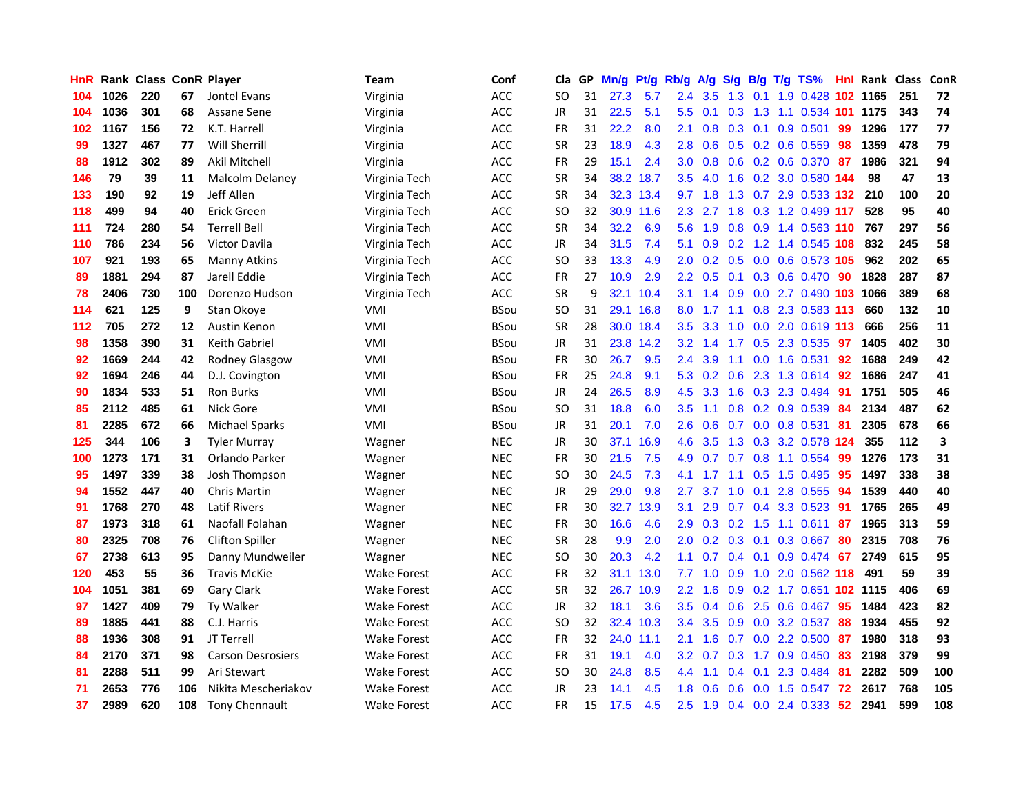| HnR |      | Rank Class ConR Player |     |                          | <b>Team</b>        | Conf        | Cla       |    | GP Mn/g |           | Pt/g Rb/g        | A/g             |               |                 | S/g B/g T/g TS%              | Hnl | Rank Class |     | ConR |
|-----|------|------------------------|-----|--------------------------|--------------------|-------------|-----------|----|---------|-----------|------------------|-----------------|---------------|-----------------|------------------------------|-----|------------|-----|------|
| 104 | 1026 | 220                    | 67  | Jontel Evans             | Virginia           | ACC         | SO.       | 31 | 27.3    | 5.7       | 2.4              | 3.5             | 1.3           | 0.1             | 1.9 0.428                    | 102 | 1165       | 251 | 72   |
| 104 | 1036 | 301                    | 68  | Assane Sene              | Virginia           | ACC         | <b>JR</b> | 31 | 22.5    | 5.1       | 5.5              | 0.1             | 0.3           | 1.3             | 1.1 0.534 101                |     | 1175       | 343 | 74   |
| 102 | 1167 | 156                    | 72  | K.T. Harrell             | Virginia           | ACC         | FR        | 31 | 22.2    | 8.0       | 2.1              | 0.8             |               | $0.3 \quad 0.1$ | $0.9$ $0.501$                | 99  | 1296       | 177 | 77   |
| 99  | 1327 | 467                    | 77  | <b>Will Sherrill</b>     | Virginia           | <b>ACC</b>  | <b>SR</b> | 23 | 18.9    | 4.3       | 2.8              | 0.6             |               |                 | 0.5 0.2 0.6 0.559            | -98 | 1359       | 478 | 79   |
| 88  | 1912 | 302                    | 89  | Akil Mitchell            | Virginia           | <b>ACC</b>  | <b>FR</b> | 29 | 15.1    | 2.4       |                  | $3.0\quad 0.8$  |               |                 | 0.6 0.2 0.6 0.370 87         |     | 1986       | 321 | 94   |
| 146 | 79   | 39                     | 11  | <b>Malcolm Delaney</b>   | Virginia Tech      | ACC         | <b>SR</b> | 34 |         | 38.2 18.7 | $3.5^{\circ}$    | 4.0             | 1.6           |                 | 0.2 3.0 0.580 144            |     | 98         | 47  | 13   |
| 133 | 190  | 92                     | 19  | Jeff Allen               | Virginia Tech      | ACC         | <b>SR</b> | 34 |         | 32.3 13.4 | 9.7              | 1.8             |               |                 | 1.3 0.7 2.9 0.533 132        |     | 210        | 100 | 20   |
| 118 | 499  | 94                     | 40  | Erick Green              | Virginia Tech      | ACC         | SO.       | 32 |         | 30.9 11.6 | $2.3\phantom{0}$ | 2.7             | 1.8           |                 | 0.3 1.2 0.499 117            |     | 528        | 95  | 40   |
| 111 | 724  | 280                    | 54  | <b>Terrell Bell</b>      | Virginia Tech      | <b>ACC</b>  | <b>SR</b> | 34 | 32.2    | 6.9       | 5.6              | 1.9             | 0.8           | 0.9             | 1.4 0.563 110                |     | 767        | 297 | 56   |
| 110 | 786  | 234                    | 56  | <b>Victor Davila</b>     | Virginia Tech      | <b>ACC</b>  | <b>JR</b> | 34 | 31.5    | 7.4       | 5.1              | 0.9             | 0.2           |                 | 1.2 1.4 0.545 108            |     | 832        | 245 | 58   |
| 107 | 921  | 193                    | 65  | Manny Atkins             | Virginia Tech      | ACC         | <b>SO</b> | 33 | 13.3    | 4.9       | 2.0              | 0.2             |               |                 | 0.5 0.0 0.6 0.573 105        |     | 962        | 202 | 65   |
| 89  | 1881 | 294                    | 87  | Jarell Eddie             | Virginia Tech      | ACC         | <b>FR</b> | 27 | 10.9    | 2.9       | $2.2\,$          | 0.5             | 0.1           | 0.3             | 0.6 0.470                    | -90 | 1828       | 287 | 87   |
| 78  | 2406 | 730                    | 100 | Dorenzo Hudson           | Virginia Tech      | ACC         | <b>SR</b> | 9  |         | 32.1 10.4 | 3.1              | 1.4             | 0.9           | 0.0             | 2.7 0.490 103                |     | 1066       | 389 | 68   |
| 114 | 621  | 125                    | 9   | Stan Okove               | VMI                | <b>BSou</b> | SO.       | 31 |         | 29.1 16.8 | 8.0              | 1.7             | 1.1           | 0.8             | 2.3 0.583 113                |     | 660        | 132 | 10   |
| 112 | 705  | 272                    | 12  | Austin Kenon             | VMI                | <b>BSou</b> | <b>SR</b> | 28 |         | 30.0 18.4 | 3.5              | 3.3             | 1.0           | 0.0             | 2.0 0.619 113                |     | 666        | 256 | 11   |
| 98  | 1358 | 390                    | 31  | <b>Keith Gabriel</b>     | VMI                | <b>BSou</b> | <b>JR</b> | 31 |         | 23.8 14.2 |                  | $3.2 \quad 1.4$ | 1.7           | 0.5             | 2.3 0.535                    | -97 | 1405       | 402 | 30   |
| 92  | 1669 | 244                    | 42  | Rodney Glasgow           | VMI                | <b>BSou</b> | FR        | 30 | 26.7    | 9.5       | $2.4^{\circ}$    | 3.9             | 1.1           |                 | 0.0 1.6 0.531                | -92 | 1688       | 249 | 42   |
| 92  | 1694 | 246                    | 44  | D.J. Covington           | VMI                | <b>BSou</b> | <b>FR</b> | 25 | 24.8    | 9.1       |                  |                 |               |                 | 5.3 0.2 0.6 2.3 1.3 0.614 92 |     | 1686       | 247 | 41   |
| 90  | 1834 | 533                    | 51  | <b>Ron Burks</b>         | <b>VMI</b>         | <b>BSou</b> | JR        | 24 | 26.5    | 8.9       | 4.5              | 3.3             |               |                 | 1.6 0.3 2.3 0.494            | -91 | 1751       | 505 | 46   |
| 85  | 2112 | 485                    | 61  | Nick Gore                | VMI                | <b>BSou</b> | SO        | 31 | 18.8    | 6.0       | $3.5^{\circ}$    | 1.1             |               |                 | $0.8$ 0.2 0.9 0.539          | 84  | 2134       | 487 | 62   |
| 81  | 2285 | 672                    | 66  | <b>Michael Sparks</b>    | VMI                | <b>BSou</b> | JR        | 31 | 20.1    | 7.0       | $2.6\,$          | 0.6             |               |                 | 0.7 0.0 0.8 0.531            | -81 | 2305       | 678 | 66   |
| 125 | 344  | 106                    | 3   | <b>Tyler Murray</b>      | Wagner             | <b>NEC</b>  | JR        | 30 | 37.1    | 16.9      | 4.6              | 3.5             | 1.3           |                 | 0.3 3.2 0.578 124            |     | 355        | 112 | 3    |
| 100 | 1273 | 171                    | 31  | Orlando Parker           | Wagner             | NEC         | FR        | 30 | 21.5    | 7.5       | 4.9              | 0.7             |               |                 | $0.7$ $0.8$ 1.1 $0.554$      | -99 | 1276       | 173 | 31   |
| 95  | 1497 | 339                    | 38  | Josh Thompson            | Wagner             | <b>NEC</b>  | SO.       | 30 | 24.5    | 7.3       | 4.1              | 1.7             | 1.1           | 0.5             | 1.5 0.495                    | 95  | 1497       | 338 | 38   |
| 94  | 1552 | 447                    | 40  | Chris Martin             | Wagner             | <b>NEC</b>  | JR        | 29 | 29.0    | 9.8       | 2.7              | 3.7             | 1.0           | 0.1             | 2.8 0.555                    | 94  | 1539       | 440 | 40   |
| 91  | 1768 | 270                    | 48  | <b>Latif Rivers</b>      | Wagner             | <b>NEC</b>  | <b>FR</b> | 30 | 32.7    | 13.9      | 3.1              | 2.9             | 0.7           | 0.4             | 3.3 0.523                    | 91  | 1765       | 265 | 49   |
| 87  | 1973 | 318                    | 61  | Naofall Folahan          | Wagner             | <b>NEC</b>  | <b>FR</b> | 30 | 16.6    | 4.6       | 2.9              | 0.3             | 0.2           | 1.5             | $1.1 \ 0.611$                | 87  | 1965       | 313 | 59   |
| 80  | 2325 | 708                    | 76  | <b>Clifton Spiller</b>   | Wagner             | <b>NEC</b>  | <b>SR</b> | 28 | 9.9     | 2.0       | 2.0              | 0.2             | 0.3           | 0.1             | 0.3 0.667                    | -80 | 2315       | 708 | 76   |
| 67  | 2738 | 613                    | 95  | Danny Mundweiler         | Wagner             | <b>NEC</b>  | <b>SO</b> | 30 | 20.3    | 4.2       | 1.1              | 0.7             |               | $0.4$ 0.1       | 0.9 0.474                    | -67 | 2749       | 615 | 95   |
| 120 | 453  | 55                     | 36  | <b>Travis McKie</b>      | <b>Wake Forest</b> | ACC         | <b>FR</b> | 32 |         | 31.1 13.0 | 7.7              | 1.0             | 0.9           |                 | 1.0 2.0 0.562 118            |     | 491        | 59  | 39   |
| 104 | 1051 | 381                    | 69  | Gary Clark               | Wake Forest        | ACC         | <b>SR</b> | 32 |         | 26.7 10.9 | $2.2^{\circ}$    | 1.6             |               |                 | 0.9 0.2 1.7 0.651 102 1115   |     |            | 406 | 69   |
| 97  | 1427 | 409                    | 79  | Ty Walker                | <b>Wake Forest</b> | <b>ACC</b>  | <b>JR</b> | 32 | 18.1    | 3.6       | 3.5              | 0.4             |               |                 | $0.6$ 2.5 0.6 0.467          | 95  | 1484       | 423 | 82   |
| 89  | 1885 | 441                    | 88  | C.J. Harris              | <b>Wake Forest</b> | <b>ACC</b>  | <b>SO</b> | 32 |         | 32.4 10.3 | 3.4              | 3.5             |               |                 | 0.9 0.0 3.2 0.537            | 88  | 1934       | 455 | 92   |
| 88  | 1936 | 308                    | 91  | JT Terrell               | <b>Wake Forest</b> | ACC         | FR        | 32 |         | 24.0 11.1 | 2.1              | 1.6             | 0.7           |                 | $0.0$ 2.2 $0.500$            | 87  | 1980       | 318 | 93   |
| 84  | 2170 | 371                    | 98  | <b>Carson Desrosiers</b> | <b>Wake Forest</b> | ACC         | <b>FR</b> | 31 | 19.1    | 4.0       | $3.2\phantom{0}$ | 0.7             | 0.3           |                 | 1.7 0.9 0.450                | 83  | 2198       | 379 | 99   |
| 81  | 2288 | 511                    | 99  | Ari Stewart              | <b>Wake Forest</b> | ACC         | <b>SO</b> | 30 | 24.8    | 8.5       | 4.4              | 1.1             | $0.4^{\circ}$ | 0.1             | 2.3 0.484                    | -81 | 2282       | 509 | 100  |
| 71  | 2653 | 776                    | 106 | Nikita Mescheriakov      | <b>Wake Forest</b> | ACC         | JR        | 23 | 14.1    | 4.5       | 1.8              | 0.6             | 0.6           | 0.0             | 1.5 0.547                    | 72  | 2617       | 768 | 105  |
| 37  | 2989 | 620                    | 108 | <b>Tony Chennault</b>    | <b>Wake Forest</b> | ACC         | <b>FR</b> | 15 | 17.5    | 4.5       | 2.5              | 1.9             |               |                 | 0.4 0.0 2.4 0.333            | 52  | 2941       | 599 | 108  |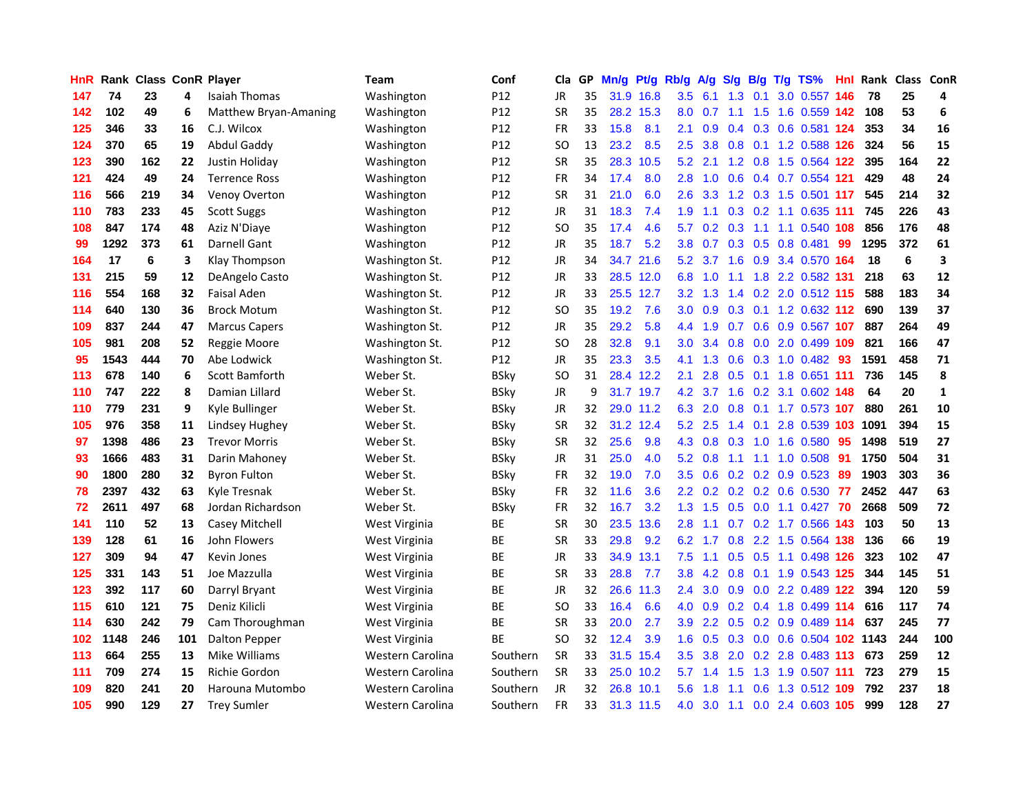| HnR. |      | <b>Rank Class ConR Player</b> |     |                       | Team             | Conf            | Cla           |    | GP Mn/g | Pt/g      | Rb/g             | A/g             |                 |                 | S/g B/g T/g TS%           | Hnl |      | Rank Class ConR |              |
|------|------|-------------------------------|-----|-----------------------|------------------|-----------------|---------------|----|---------|-----------|------------------|-----------------|-----------------|-----------------|---------------------------|-----|------|-----------------|--------------|
| 147  | 74   | 23                            | 4   | Isaiah Thomas         | Washington       | P <sub>12</sub> | JR            | 35 |         | 31.9 16.8 | 3.5              | 6.1             | 1.3             | 0.1             | 3.0 0.557                 | 146 | 78   | 25              | 4            |
| 142  | 102  | 49                            | 6   | Matthew Bryan-Amaning | Washington       | P <sub>12</sub> | <b>SR</b>     | 35 |         | 28.2 15.3 | 8.0              | 0.7             | 1.1             | 1.5             | 1.6 0.559 142             |     | 108  | 53              | 6            |
| 125  | 346  | 33                            | 16  | C.J. Wilcox           | Washington       | P12             | <b>FR</b>     | 33 | 15.8    | 8.1       | 2.1              | 0.9             |                 | $0.4 \quad 0.3$ | 0.6 0.581 124             |     | 353  | 34              | 16           |
| 124  | 370  | 65                            | 19  | Abdul Gaddy           | Washington       | P <sub>12</sub> | SO            | 13 | 23.2    | 8.5       | 2.5              | 3.8             |                 |                 | 0.8 0.1 1.2 0.588 126     |     | 324  | 56              | 15           |
| 123  | 390  | 162                           | 22  | Justin Holiday        | Washington       | P12             | <b>SR</b>     | 35 |         | 28.3 10.5 | 5.2              | 2.1             |                 |                 | 1.2 0.8 1.5 0.564 122     |     | 395  | 164             | 22           |
| 121  | 424  | 49                            | 24  | <b>Terrence Ross</b>  | Washington       | P <sub>12</sub> | FR            | 34 | 17.4    | 8.0       | 2.8              | 1.0             |                 |                 | 0.6 0.4 0.7 0.554 121     |     | 429  | 48              | 24           |
| 116  | 566  | 219                           | 34  | <b>Venoy Overton</b>  | Washington       | P12             | <b>SR</b>     | 31 | 21.0    | 6.0       | 2.6              | 3.3             |                 |                 | 1.2 0.3 1.5 0.501 117     |     | 545  | 214             | 32           |
| 110  | 783  | 233                           | 45  | <b>Scott Suggs</b>    | Washington       | P12             | <b>JR</b>     | 31 | 18.3    | 7.4       | 1.9              |                 |                 |                 | 0.3 0.2 1.1 0.635 111     |     | 745  | 226             | 43           |
| 108  | 847  | 174                           | 48  | Aziz N'Diaye          | Washington       | P12             | <sub>SO</sub> | 35 | 17.4    | 4.6       | 5.7              | 0.2             | 0.3             | 1.1             | 1.1 0.540                 | 108 | 856  | 176             | 48           |
| 99   | 1292 | 373                           | 61  | Darnell Gant          | Washington       | P <sub>12</sub> | JR            | 35 | 18.7    | 5.2       | 3.8              | 0.7             |                 | $0.3 \quad 0.5$ | 0.8 0.481                 | 99  | 1295 | 372             | 61           |
| 164  | 17   | 6                             | 3   | Klay Thompson         | Washington St.   | P12             | <b>JR</b>     | 34 |         | 34.7 21.6 | 5.2              | 3.7             |                 |                 | 1.6 0.9 3.4 0.570 164     |     | 18   | 6               | 3            |
| 131  | 215  | 59                            | 12  | DeAngelo Casto        | Washington St.   | P <sub>12</sub> | <b>JR</b>     | 33 |         | 28.5 12.0 | 6.8              | 1.0             | 1.1             | 1.8             | 2.2 0.582 131             |     | 218  | 63              | 12           |
| 116  | 554  | 168                           | 32  | <b>Faisal Aden</b>    | Washington St.   | P <sub>12</sub> | JR            | 33 |         | 25.5 12.7 | 3.2              | 1.3             | 1.4             | 0.2             | 2.0 0.512 115             |     | 588  | 183             | 34           |
| 114  | 640  | 130                           | 36  | <b>Brock Motum</b>    | Washington St.   | P12             | SO            | 35 | 19.2    | 7.6       | 3.0              | 0.9             | 0.3             |                 | $0.1$ 1.2 0.632 112       |     | 690  | 139             | 37           |
| 109  | 837  | 244                           | 47  | <b>Marcus Capers</b>  | Washington St.   | P12             | <b>JR</b>     | 35 | 29.2    | 5.8       | $4.4^{\circ}$    | 1.9             | 0.7             | 0.6             | 0.9 0.567 107             |     | 887  | 264             | 49           |
| 105  | 981  | 208                           | 52  | Reggie Moore          | Washington St.   | P12             | <sub>SO</sub> | 28 | 32.8    | 9.1       | 3.0              | 3.4             | 0.8             |                 | 0.0 2.0 0.499 109         |     | 821  | 166             | 47           |
| 95   | 1543 | 444                           | 70  | Abe Lodwick           | Washington St.   | P12             | JR            | 35 | 23.3    | 3.5       | 4.1              | 1.3             |                 |                 | 0.6 0.3 1.0 0.482 93      |     | 1591 | 458             | 71           |
| 113  | 678  | 140                           | 6   | Scott Bamforth        | Weber St.        | <b>BSky</b>     | SO            | 31 |         | 28.4 12.2 | 2.1              | 2.8             |                 |                 | 0.5 0.1 1.8 0.651 111     |     | 736  | 145             | 8            |
| 110  | 747  | 222                           | 8   | Damian Lillard        | Weber St.        | <b>BSky</b>     | JR            | 9  |         | 31.7 19.7 | 4.2              | 3.7             |                 |                 | 1.6 0.2 3.1 0.602 148     |     | 64   | 20              | $\mathbf{1}$ |
| 110  | 779  | 231                           | 9   | Kyle Bullinger        | Weber St.        | BSky            | JR            | 32 |         | 29.0 11.2 | 6.3              | 2.0             |                 |                 | 0.8 0.1 1.7 0.573 107     |     | 880  | 261             | 10           |
| 105  | 976  | 358                           | 11  | Lindsey Hughey        | Weber St.        | <b>BSky</b>     | <b>SR</b>     | 32 |         | 31.2 12.4 | 5.2              | 2.5             |                 | $1.4 \quad 0.1$ | 2.8 0.539 103             |     | 1091 | 394             | 15           |
| 97   | 1398 | 486                           | 23  | <b>Trevor Morris</b>  | Weber St.        | <b>BSky</b>     | <b>SR</b>     | 32 | 25.6    | 9.8       | 4.3              | 0.8             | 0.3             | 1.0             | 1.6 0.580                 | 95  | 1498 | 519             | 27           |
| 93   | 1666 | 483                           | 31  | Darin Mahoney         | Weber St.        | <b>BSky</b>     | JR            | 31 | 25.0    | 4.0       |                  | $5.2 \quad 0.8$ | 1.1             | 1.1             | 1.0 0.508                 | 91  | 1750 | 504             | 31           |
| 90   | 1800 | 280                           | 32  | <b>Byron Fulton</b>   | Weber St.        | <b>BSky</b>     | FR            | 32 | 19.0    | 7.0       | 3.5              | 0.6             |                 |                 | $0.2$ $0.2$ $0.9$ $0.523$ | -89 | 1903 | 303             | 36           |
| 78   | 2397 | 432                           | 63  | Kyle Tresnak          | Weber St.        | <b>BSky</b>     | <b>FR</b>     | 32 | 11.6    | 3.6       | 2.2 <sub>2</sub> | 0.2             |                 |                 | $0.2$ 0.2 0.6 0.530       | -77 | 2452 | 447             | 63           |
| 72   | 2611 | 497                           | 68  | Jordan Richardson     | Weber St.        | <b>BSky</b>     | <b>FR</b>     | 32 | 16.7    | 3.2       | 1.3              | 1.5             | 0.5             | 0.0             | $1.1 \quad 0.427$         | 70  | 2668 | 509             | 72           |
| 141  | 110  | 52                            | 13  | Casey Mitchell        | West Virginia    | ВE              | <b>SR</b>     | 30 |         | 23.5 13.6 | 2.8              | 1.1             | 0.7             | 0.2             | 1.7 0.566                 | 143 | 103  | 50              | 13           |
| 139  | 128  | 61                            | 16  | John Flowers          | West Virginia    | BE              | SR            | 33 | 29.8    | 9.2       | 6.2              | 1.7             | 0.8             | 2.2             | 1.5 0.564 138             |     | 136  | 66              | 19           |
| 127  | 309  | 94                            | 47  | Kevin Jones           | West Virginia    | <b>BE</b>       | <b>JR</b>     | 33 | 34.9    | 13.1      | 7.5              | 1.1             | 0.5             | 0.5             | 1.1 0.498 126             |     | 323  | 102             | 47           |
| 125  | 331  | 143                           | 51  | Joe Mazzulla          | West Virginia    | ВE              | <b>SR</b>     | 33 | 28.8    | 7.7       | 3.8              |                 | $4.2 \quad 0.8$ | 0.1             | 1.9 0.543 125             |     | 344  | 145             | 51           |
| 123  | 392  | 117                           | 60  | Darryl Bryant         | West Virginia    | BE              | <b>JR</b>     | 32 |         | 26.6 11.3 | $2.4^{\circ}$    | 3.0             |                 |                 | 0.9 0.0 2.2 0.489 122     |     | 394  | 120             | 59           |
| 115  | 610  | 121                           | 75  | Deniz Kilicli         | West Virginia    | <b>BE</b>       | <b>SO</b>     | 33 | 16.4    | 6.6       | 4.0              | 0.9             |                 |                 | 0.2 0.4 1.8 0.499 114     |     | 616  | 117             | 74           |
| 114  | 630  | 242                           | 79  | Cam Thoroughman       | West Virginia    | ВE              | <b>SR</b>     | 33 | 20.0    | 2.7       | 3.9              | 2.2             | 0.5             |                 | 0.2 0.9 0.489 114         |     | 637  | 245             | 77           |
| 102  | 1148 | 246                           | 101 | Dalton Pepper         | West Virginia    | ВE              | SO            | 32 | 12.4    | 3.9       | 1.6              | 0.5             | 0.3             |                 | 0.0 0.6 0.504 102 1143    |     |      | 244             | 100          |
| 113  | 664  | 255                           | 13  | Mike Williams         | Western Carolina | Southern        | <b>SR</b>     | 33 |         | 31.5 15.4 | $3.5^{\circ}$    | 3.8             | 2.0             |                 | 0.2 2.8 0.483 113         |     | 673  | 259             | 12           |
| 111  | 709  | 274                           | 15  | Richie Gordon         | Western Carolina | Southern        | <b>SR</b>     | 33 | 25.0    | 10.2      | 5.7              | 1.4             | 1.5             | 1.3             | 1.9 0.507                 | 111 | 723  | 279             | 15           |
| 109  | 820  | 241                           | 20  | Harouna Mutombo       | Western Carolina | Southern        | <b>JR</b>     | 32 | 26.8    | 10.1      | 5.6              | 1.8             | 1.1             | 0.6             | 1.3 0.512                 | 109 | 792  | 237             | 18           |
| 105  | 990  | 129                           | 27  | <b>Trey Sumler</b>    | Western Carolina | Southern        | <b>FR</b>     | 33 |         | 31.3 11.5 | 4.0              | 3.0             |                 |                 | 1.1 0.0 2.4 0.603 105     |     | 999  | 128             | 27           |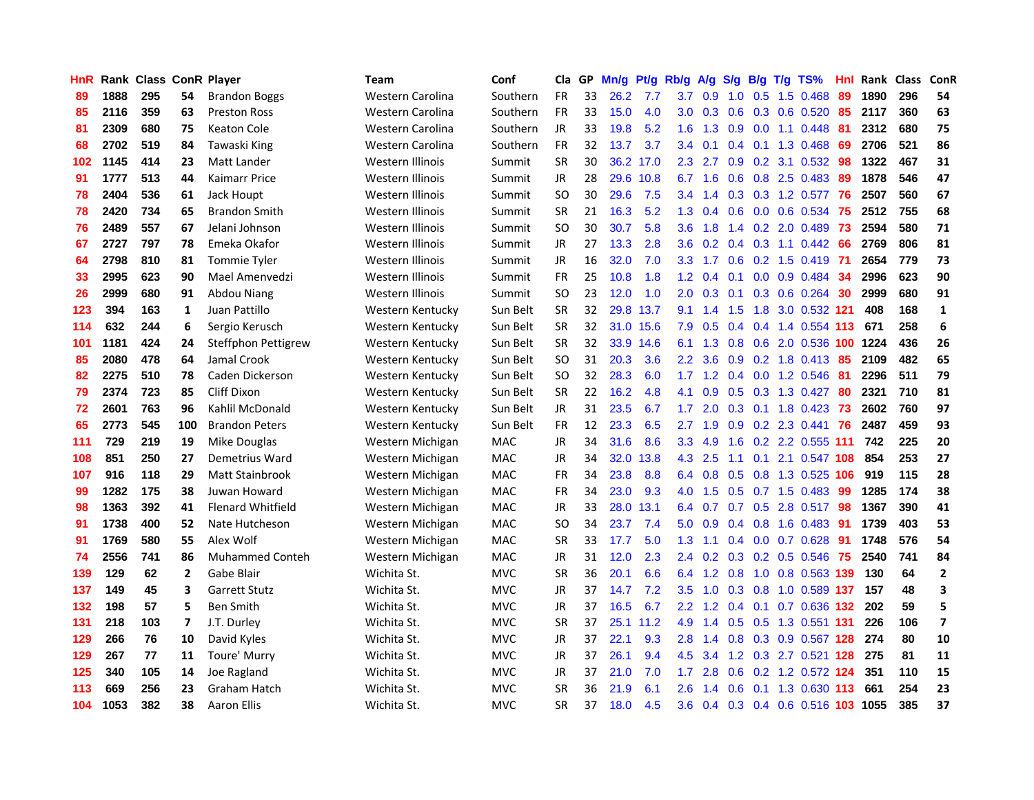| HnR |      | <b>Rank Class ConR Player</b> |              |                          | Team             | Conf       | Cla           | GP. | Mn/g | Pt/g      | Rb/g             | <b>A/g</b> | <b>S/g</b>    |                 | B/g T/g TS%                    | Hnl | Rank Class |     | <b>ConR</b>    |
|-----|------|-------------------------------|--------------|--------------------------|------------------|------------|---------------|-----|------|-----------|------------------|------------|---------------|-----------------|--------------------------------|-----|------------|-----|----------------|
| 89  | 1888 | 295                           | 54           | <b>Brandon Boggs</b>     | Western Carolina | Southern   | <b>FR</b>     | 33  | 26.2 | 7.7       | 3.7              | 0.9        | 1.0           | 0.5             | 1.5 0.468                      | 89  | 1890       | 296 | 54             |
| 85  | 2116 | 359                           | 63           | <b>Preston Ross</b>      | Western Carolina | Southern   | <b>FR</b>     | 33  | 15.0 | 4.0       | 3.0              | 0.3        | 0.6           | 0.3             | 0.6 0.520                      | 85  | 2117       | 360 | 63             |
| 81  | 2309 | 680                           | 75           | Keaton Cole              | Western Carolina | Southern   | <b>JR</b>     | 33  | 19.8 | 5.2       | 1.6              | 1.3        | 0.9           | 0.0             | 1.1 0.448                      | 81  | 2312       | 680 | 75             |
| 68  | 2702 | 519                           | 84           | Tawaski King             | Western Carolina | Southern   | <b>FR</b>     | 32  | 13.7 | 3.7       | 3.4              | 0.1        | 0.4           | 0.1             | 1.3 0.468                      | -69 | 2706       | 521 | 86             |
| 102 | 1145 | 414                           | 23           | Matt Lander              | Western Illinois | Summit     | <b>SR</b>     | 30  |      | 36.2 17.0 | 2.3              | 2.7        |               |                 | $0.9$ $0.2$ $3.1$ $0.532$      | -98 | 1322       | 467 | 31             |
| 91  | 1777 | 513                           | 44           | Kaimarr Price            | Western Illinois | Summit     | <b>JR</b>     | 28  |      | 29.6 10.8 | 6.7              | 1.6        |               |                 | 0.6 0.8 2.5 0.483              | -89 | 1878       | 546 | 47             |
| 78  | 2404 | 536                           | 61           | Jack Houpt               | Western Illinois | Summit     | <b>SO</b>     | 30  | 29.6 | 7.5       | $3.4^{\circ}$    | 1.4        |               |                 | $0.3$ $0.3$ 1.2 $0.577$        | 76  | 2507       | 560 | 67             |
| 78  | 2420 | 734                           | 65           | <b>Brandon Smith</b>     | Western Illinois | Summit     | <b>SR</b>     | 21  | 16.3 | 5.2       | 1.3 <sup>°</sup> | 0.4        | 0.6           |                 | $0.0\quad 0.6\quad 0.534$      | 75  | 2512       | 755 | 68             |
| 76  | 2489 | 557                           | 67           | Jelani Johnson           | Western Illinois | Summit     | <sub>SO</sub> | 30  | 30.7 | 5.8       | 3.6 <sup>°</sup> | 1.8        | 1.4           |                 | 0.2 2.0 0.489                  | 73  | 2594       | 580 | 71             |
| 67  | 2727 | 797                           | 78           | Emeka Okafor             | Western Illinois | Summit     | JR            | 27  | 13.3 | 2.8       | 3.6              | 0.2        | 0.4           |                 | $0.3$ 1.1 $0.442$              | 66  | 2769       | 806 | 81             |
| 64  | 2798 | 810                           | 81           | <b>Tommie Tyler</b>      | Western Illinois | Summit     | JR            | 16  | 32.0 | 7.0       | 3.3 <sub>1</sub> | 1.7        | 0.6           |                 | $0.2$ 1.5 0.419                | -71 | 2654       | 779 | 73             |
| 33  | 2995 | 623                           | 90           | Mael Amenyedzi           | Western Illinois | Summit     | <b>FR</b>     | 25  | 10.8 | 1.8       | 1.2              | 0.4        | 0.1           |                 | $0.0$ 0.9 0.484                | 34  | 2996       | 623 | 90             |
| 26  | 2999 | 680                           | 91           | Abdou Niang              | Western Illinois | Summit     | <b>SO</b>     | 23  | 12.0 | 1.0       | 2.0              | 0.3        | 0.1           | 0.3             | $0.6$ 0.264                    | 30  | 2999       | 680 | 91             |
| 123 | 394  | 163                           | $\mathbf{1}$ | Juan Pattillo            | Western Kentucky | Sun Belt   | <b>SR</b>     | 32  | 29.8 | 13.7      | 9.1              | 1.4        | 1.5           | 1.8             | 3.0 0.532 121                  |     | 408        | 168 | $\mathbf{1}$   |
| 114 | 632  | 244                           | 6            | Sergio Kerusch           | Western Kentucky | Sun Belt   | <b>SR</b>     | 32  |      | 31.0 15.6 | 7.9              | 0.5        | 0.4           |                 | 0.4 1.4 0.554 113              |     | 671        | 258 | 6              |
| 101 | 1181 | 424                           | 24           | Steffphon Pettigrew      | Western Kentucky | Sun Belt   | <b>SR</b>     | 32  |      | 33.9 14.6 | 6.1              | 1.3        | 0.8           | 0.6             | 2.0 0.536                      | 100 | 1224       | 436 | 26             |
| 85  | 2080 | 478                           | 64           | Jamal Crook              | Western Kentucky | Sun Belt   | <b>SO</b>     | 31  | 20.3 | 3.6       | $2.2^{\circ}$    | 3.6        | 0.9           |                 | $0.2$ 1.8 $0.413$              | -85 | 2109       | 482 | 65             |
| 82  | 2275 | 510                           | 78           | Caden Dickerson          | Western Kentucky | Sun Belt   | <b>SO</b>     | 32  | 28.3 | 6.0       |                  |            |               |                 | 1.7 1.2 0.4 0.0 1.2 0.546      | -81 | 2296       | 511 | 79             |
| 79  | 2374 | 723                           | 85           | <b>Cliff Dixon</b>       | Western Kentucky | Sun Belt   | <b>SR</b>     | 22  | 16.2 | 4.8       |                  | 4.1 0.9    |               |                 | 0.5 0.3 1.3 0.427              | -80 | 2321       | 710 | 81             |
| 72  | 2601 | 763                           | 96           | Kahlil McDonald          | Western Kentucky | Sun Belt   | JR            | 31  | 23.5 | 6.7       | 1.7 <sub>z</sub> | 2.0        |               |                 | $0.3$ 0.1 1.8 0.423            | 73  | 2602       | 760 | 97             |
| 65  | 2773 | 545                           | 100          | <b>Brandon Peters</b>    | Western Kentucky | Sun Belt   | <b>FR</b>     | 12  | 23.3 | 6.5       | $2.7^{\circ}$    | 1.9        |               |                 | 0.9 0.2 2.3 0.441 76           |     | 2487       | 459 | 93             |
| 111 | 729  | 219                           | 19           | Mike Douglas             | Western Michigan | MAC        | JR            | 34  | 31.6 | 8.6       | 3.3 <sub>2</sub> | 4.9        | 1.6           |                 | 0.2 2.2 0.555 111              |     | 742        | 225 | 20             |
| 108 | 851  | 250                           | 27           | Demetrius Ward           | Western Michigan | <b>MAC</b> | JR            | 34  | 32.0 | 13.8      | 4.3              | 2.5        | 1.1           |                 | 0.1 2.1 0.547 108              |     | 854        | 253 | 27             |
| 107 | 916  | 118                           | 29           | <b>Matt Stainbrook</b>   | Western Michigan | MAC        | <b>FR</b>     | 34  | 23.8 | 8.8       | 6.4              | 0.8        | 0.5           |                 | 0.8 1.3 0.525 106              |     | 919        | 115 | 28             |
| 99  | 1282 | 175                           | 38           | Juwan Howard             | Western Michigan | MAC        | FR            | 34  | 23.0 | 9.3       | 4.0              | 1.5        |               |                 | $0.5$ 0.7 1.5 0.483            | -99 | 1285       | 174 | 38             |
| 98  | 1363 | 392                           | 41           | <b>Flenard Whitfield</b> | Western Michigan | <b>MAC</b> | <b>JR</b>     | 33  | 28.0 | 13.1      | 6.4              | 0.7        |               | $0.7 \quad 0.5$ | 2.8 0.517                      | 98  | 1367       | 390 | 41             |
| 91  | 1738 | 400                           | 52           | Nate Hutcheson           | Western Michigan | <b>MAC</b> | SO            | 34  | 23.7 | 7.4       | 5.0              | 0.9        | $0.4^{\circ}$ | 0.8             | 1.6 0.483                      | 91  | 1739       | 403 | 53             |
| 91  | 1769 | 580                           | 55           | Alex Wolf                | Western Michigan | <b>MAC</b> | <b>SR</b>     | 33  | 17.7 | 5.0       | 1.3 <sub>1</sub> | 1.1        |               |                 | $0.4$ 0.0 0.7 0.628            | 91  | 1748       | 576 | 54             |
| 74  | 2556 | 741                           | 86           | <b>Muhammed Conteh</b>   | Western Michigan | <b>MAC</b> | JR            | 31  | 12.0 | 2.3       | $2.4^{\circ}$    | 0.2        | 0.3           | 0.2             | $0.5$ 0.546                    | 75  | 2540       | 741 | 84             |
| 139 | 129  | 62                            | $\mathbf{2}$ | Gabe Blair               | Wichita St.      | <b>MVC</b> | <b>SR</b>     | 36  | 20.1 | 6.6       | 6.4              | 1.2        | 0.8           | 1.0             | 0.8 0.563 139                  |     | 130        | 64  | $\mathbf{2}$   |
| 137 | 149  | 45                            | 3            | <b>Garrett Stutz</b>     | Wichita St.      | <b>MVC</b> | <b>JR</b>     | 37  | 14.7 | 7.2       | 3.5              | 1.0        | 0.3           | 0.8             | 1.0 0.589 137                  |     | 157        | 48  | 3              |
| 132 | 198  | 57                            | 5            | <b>Ben Smith</b>         | Wichita St.      | <b>MVC</b> | JR            | 37  | 16.5 | 6.7       |                  | $2.2$ 1.2  |               | $0.4 \quad 0.1$ | 0.7 0.636 132                  |     | -202       | 59  | 5              |
| 131 | 218  | 103                           | 7            | J.T. Durley              | Wichita St.      | <b>MVC</b> | <b>SR</b>     | 37  |      | 25.1 11.2 | 4.9              | 1.4        |               |                 | 0.5 0.5 1.3 0.551 131          |     | 226        | 106 | $\overline{ }$ |
| 129 | 266  | 76                            | 10           | David Kyles              | Wichita St.      | <b>MVC</b> | <b>JR</b>     | 37  | 22.1 | 9.3       | 2.8              | 1.4        |               |                 | 0.8 0.3 0.9 0.567 128          |     | 274        | 80  | 10             |
| 129 | 267  | 77                            | 11           | Toure' Murry             | Wichita St.      | <b>MVC</b> | JR            | 37  | 26.1 | 9.4       | 4.5              | 3.4        |               |                 | 1.2 0.3 2.7 0.521 128          |     | 275        | 81  | 11             |
| 125 | 340  | 105                           | 14           | Joe Ragland              | Wichita St.      | <b>MVC</b> | JR            | 37  | 21.0 | 7.0       | 1.7 <sup>2</sup> | 2.8        | 0.6           |                 | 0.2 1.2 0.572 124              |     | 351        | 110 | 15             |
| 113 | 669  | 256                           | 23           | Graham Hatch             | Wichita St.      | <b>MVC</b> | <b>SR</b>     | 36  | 21.9 | 6.1       | 2.6              |            | 0.6           | 0.1             | 1.3 0.630                      | 113 | 661        | 254 | 23             |
| 104 | 1053 | 382                           | 38           | Aaron Ellis              | Wichita St.      | <b>MVC</b> | SR            | 37  | 18.0 | 4.5       | 3.6 <sup>°</sup> |            |               |                 | 0.4 0.3 0.4 0.6 0.516 103 1055 |     |            | 385 | 37             |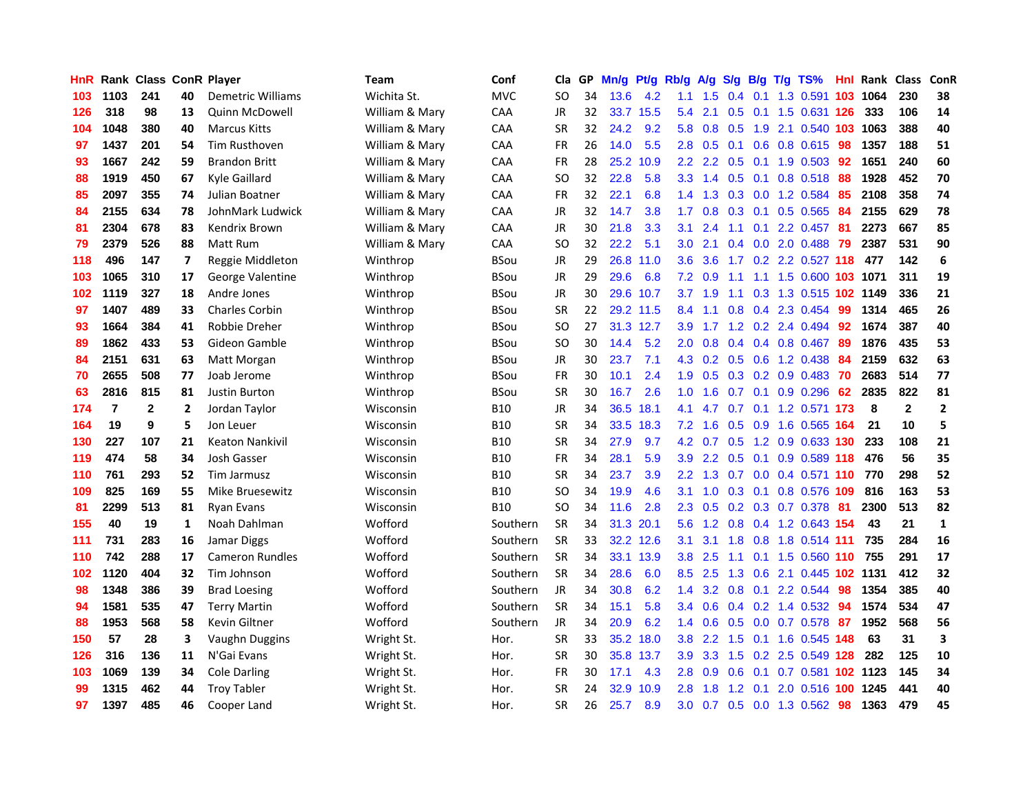| HnR. |                | <b>Rank Class ConR Player</b> |              |                        | Team           | Conf        | Cla           | GP. | Mn/g | Pt/g      | Rb/g             | A/g             | <b>S/g</b> | B/g | T/g TS%                      | Hnl | Rank Class |              | ConR             |
|------|----------------|-------------------------------|--------------|------------------------|----------------|-------------|---------------|-----|------|-----------|------------------|-----------------|------------|-----|------------------------------|-----|------------|--------------|------------------|
| 103  | 1103           | 241                           | 40           | Demetric Williams      | Wichita St.    | <b>MVC</b>  | SO            | 34  | 13.6 | 4.2       | 1.1              | 1.5             | 0.4        | 0.1 | 1.3 0.591                    | 103 | 1064       | 230          | 38               |
| 126  | 318            | 98                            | 13           | <b>Quinn McDowell</b>  | William & Mary | CAA         | <b>JR</b>     | 32  |      | 33.7 15.5 | 5.4              | 2.1             | 0.5        | 0.1 | 1.5 0.631 126                |     | 333        | 106          | 14               |
| 104  | 1048           | 380                           | 40           | <b>Marcus Kitts</b>    | William & Mary | <b>CAA</b>  | <b>SR</b>     | 32  | 24.2 | 9.2       | 5.8              | 0.8             | 0.5        | 1.9 | 2.1 0.540 103                |     | 1063       | 388          | 40               |
| 97   | 1437           | 201                           | 54           | Tim Rusthoven          | William & Mary | CAA         | <b>FR</b>     | 26  | 14.0 | 5.5       | 2.8              | 0.5             |            |     | 0.1 0.6 0.8 0.615            | -98 | 1357       | 188          | 51               |
| 93   | 1667           | 242                           | 59           | <b>Brandon Britt</b>   | William & Mary | CAA         | FR            | 28  |      | 25.2 10.9 |                  |                 |            |     | 2.2 2.2 0.5 0.1 1.9 0.503 92 |     | 1651       | 240          | 60               |
| 88   | 1919           | 450                           | 67           | Kyle Gaillard          | William & Mary | <b>CAA</b>  | <b>SO</b>     | 32  | 22.8 | 5.8       |                  | $3.3 \quad 1.4$ |            |     | $0.5$ 0.1 0.8 0.518          | 88  | 1928       | 452          | 70               |
| 85   | 2097           | 355                           | 74           | Julian Boatner         | William & Mary | <b>CAA</b>  | <b>FR</b>     | 32  | 22.1 | 6.8       |                  | $1.4$ 1.3       |            |     | $0.3$ 0.0 1.2 0.584          | 85  | 2108       | 358          | 74               |
| 84   | 2155           | 634                           | 78           | JohnMark Ludwick       | William & Mary | CAA         | <b>JR</b>     | 32  | 14.7 | 3.8       | 1.7 <sub>z</sub> | 0.8             | 0.3        | 0.1 | $0.5$ 0.565                  | 84  | 2155       | 629          | 78               |
| 81   | 2304           | 678                           | 83           | Kendrix Brown          | William & Mary | CAA         | <b>JR</b>     | 30  | 21.8 | 3.3       | 3.1              | 2.4             | 1.1        | 0.1 | 2.2 0.457                    | -81 | 2273       | 667          | 85               |
| 79   | 2379           | 526                           | 88           | Matt Rum               | William & Mary | CAA         | <sub>SO</sub> | 32  | 22.2 | 5.1       | 3.0 <sub>2</sub> | 2.1             | 0.4        |     | 0.0 2.0 0.488                | 79  | 2387       | 531          | 90               |
| 118  | 496            | 147                           | 7            | Reggie Middleton       | Winthrop       | <b>BSou</b> | JR            | 29  |      | 26.8 11.0 | 3.6              | 3.6             |            |     | 1.7 0.2 2.2 0.527 118        |     | 477        | 142          | $\boldsymbol{6}$ |
| 103  | 1065           | 310                           | 17           | George Valentine       | Winthrop       | <b>BSou</b> | <b>JR</b>     | 29  | 29.6 | 6.8       | 7.2              | 0.9             | 1.1        | 1.1 | 1.5 0.600 103 1071           |     |            | 311          | 19               |
| 102  | 1119           | 327                           | 18           | Andre Jones            | Winthrop       | <b>BSou</b> | JR            | 30  |      | 29.6 10.7 | 3.7              | 1.9             | 1.1        | 0.3 | 1.3 0.515 102 1149           |     |            | 336          | 21               |
| 97   | 1407           | 489                           | 33           | <b>Charles Corbin</b>  | Winthrop       | <b>BSou</b> | SR            | 22  |      | 29.2 11.5 | 8.4              | 1.1             | 0.8        | 0.4 | 2.3 0.454                    | -99 | 1314       | 465          | 26               |
| 93   | 1664           | 384                           | 41           | Robbie Dreher          | Winthrop       | <b>BSou</b> | <sub>SO</sub> | 27  |      | 31.3 12.7 | 3.9              | 1.7             | 1.2        |     | 0.2 2.4 0.494                | 92  | 1674       | 387          | 40               |
| 89   | 1862           | 433                           | 53           | Gideon Gamble          | Winthrop       | <b>BSou</b> | <sub>SO</sub> | 30  | 14.4 | 5.2       | 2.0 <sub>1</sub> | 0.8             |            |     | 0.4 0.4 0.8 0.467            | -89 | 1876       | 435          | 53               |
| 84   | 2151           | 631                           | 63           | Matt Morgan            | Winthrop       | <b>BSou</b> | JR            | 30  | 23.7 | 7.1       |                  |                 |            |     | 4.3 0.2 0.5 0.6 1.2 0.438    | -84 | 2159       | 632          | 63               |
| 70   | 2655           | 508                           | 77           | Joab Jerome            | Winthrop       | <b>BSou</b> | <b>FR</b>     | 30  | 10.1 | 2.4       |                  | $1.9\quad 0.5$  |            |     | 0.3 0.2 0.9 0.483 70         |     | 2683       | 514          | 77               |
| 63   | 2816           | 815                           | 81           | <b>Justin Burton</b>   | Winthrop       | <b>BSou</b> | <b>SR</b>     | 30  | 16.7 | 2.6       | 1.0 <sub>1</sub> | 1.6             |            |     | $0.7$ 0.1 0.9 0.296 62       |     | 2835       | 822          | 81               |
| 174  | $\overline{7}$ | 2                             | 2            | Jordan Taylor          | Wisconsin      | <b>B10</b>  | JR            | 34  | 36.5 | 18.1      | 4.1              |                 |            |     | 4.7 0.7 0.1 1.2 0.571 173    |     | 8          | $\mathbf{2}$ | $\overline{2}$   |
| 164  | 19             | 9                             | 5            | Jon Leuer              | Wisconsin      | <b>B10</b>  | <b>SR</b>     | 34  |      | 33.5 18.3 | 7.2              | 1.6             |            |     | 0.5 0.9 1.6 0.565 164        |     | 21         | 10           | 5                |
| 130  | 227            | 107                           | 21           | <b>Keaton Nankivil</b> | Wisconsin      | <b>B10</b>  | <b>SR</b>     | 34  | 27.9 | 9.7       | 4.2              | 0.7             | 0.5        |     | 1.2 0.9 0.633 130            |     | 233        | 108          | 21               |
| 119  | 474            | 58                            | 34           | Josh Gasser            | Wisconsin      | <b>B10</b>  | <b>FR</b>     | 34  | 28.1 | 5.9       | 3.9              | $2.2^{\circ}$   | 0.5        | 0.1 | 0.9 0.589 118                |     | 476        | 56           | 35               |
| 110  | 761            | 293                           | 52           | Tim Jarmusz            | Wisconsin      | <b>B10</b>  | <b>SR</b>     | 34  | 23.7 | 3.9       | $2.2^{\circ}$    | 1.3             |            |     | 0.7 0.0 0.4 0.571 110        |     | 770        | 298          | 52               |
| 109  | 825            | 169                           | 55           | Mike Bruesewitz        | Wisconsin      | <b>B10</b>  | SO            | 34  | 19.9 | 4.6       | 3.1              | 1.0             | 0.3        | 0.1 | 0.8 0.576 109                |     | 816        | 163          | 53               |
| 81   | 2299           | 513                           | 81           | <b>Ryan Evans</b>      | Wisconsin      | <b>B10</b>  | SO            | 34  | 11.6 | 2.8       | 2.3              | 0.5             | 0.2        |     | 0.3 0.7 0.378                | -81 | 2300       | 513          | 82               |
| 155  | 40             | 19                            | $\mathbf{1}$ | Noah Dahlman           | Wofford        | Southern    | <b>SR</b>     | 34  | 31.3 | 20.1      | 5.6              | 1.2             | 0.8        |     | 0.4 1.2 0.643 154            |     | 43         | 21           | $\mathbf{1}$     |
| 111  | 731            | 283                           | 16           | Jamar Diggs            | Wofford        | Southern    | SR            | 33  |      | 32.2 12.6 | 3.1              | 3.1             | 1.8        | 0.8 | 1.8 0.514 111                |     | 735        | 284          | 16               |
| 110  | 742            | 288                           | 17           | <b>Cameron Rundles</b> | Wofford        | Southern    | <b>SR</b>     | 34  |      | 33.1 13.9 | 3.8              | 2.5             | 1.1        | 0.1 | 1.5 0.560 110                |     | 755        | 291          | 17               |
| 102  | 1120           | 404                           | 32           | Tim Johnson            | Wofford        | Southern    | <b>SR</b>     | 34  | 28.6 | 6.0       | 8.5              | 2.5             |            |     | 1.3 0.6 2.1 0.445 102 1131   |     |            | 412          | 32               |
| 98   | 1348           | 386                           | 39           | <b>Brad Loesing</b>    | Wofford        | Southern    | <b>JR</b>     | 34  | 30.8 | 6.2       | 1.4              |                 |            |     | 3.2 0.8 0.1 2.2 0.544        | 98  | 1354       | 385          | 40               |
| 94   | 1581           | 535                           | 47           | <b>Terry Martin</b>    | Wofford        | Southern    | <b>SR</b>     | 34  | 15.1 | 5.8       |                  | $3.4\quad 0.6$  |            |     | $0.4$ 0.2 1.4 0.532          | 94  | 1574       | 534          | 47               |
| 88   | 1953           | 568                           | 58           | Kevin Giltner          | Wofford        | Southern    | JR            | 34  | 20.9 | 6.2       |                  | $1.4 \quad 0.6$ |            |     | 0.5 0.0 0.7 0.578            | 87  | 1952       | 568          | 56               |
| 150  | 57             | 28                            | 3            | Vaughn Duggins         | Wright St.     | Hor.        | SR            | 33  |      | 35.2 18.0 | 3.8 <sup>°</sup> | 2.2             | 1.5        |     | 0.1 1.6 0.545 148            |     | 63         | 31           | 3                |
| 126  | 316            | 136                           | 11           | N'Gai Evans            | Wright St.     | Hor.        | <b>SR</b>     | 30  |      | 35.8 13.7 | 3.9              | 3.3             | 1.5        |     | 0.2 2.5 0.549 128            |     | 282        | 125          | 10               |
| 103  | 1069           | 139                           | 34           | <b>Cole Darling</b>    | Wright St.     | Hor.        | FR            | 30  | 17.1 | 4.3       | 2.8              | 0.9             | 0.6        | 0.1 | $0.7$ 0.581                  |     | 102 1123   | 145          | 34               |
| 99   | 1315           | 462                           | 44           | <b>Troy Tabler</b>     | Wright St.     | Hor.        | <b>SR</b>     | 24  | 32.9 | 10.9      | 2.8              | 1.8             | 1.2        | 0.1 | 2.0 0.516                    | 100 | 1245       | 441          | 40               |
| 97   | 1397           | 485                           | 46           | Cooper Land            | Wright St.     | Hor.        | <b>SR</b>     | 26  | 25.7 | 8.9       | 3.0              |                 |            |     | 0.7 0.5 0.0 1.3 0.562        | 98  | 1363       | 479          | 45               |